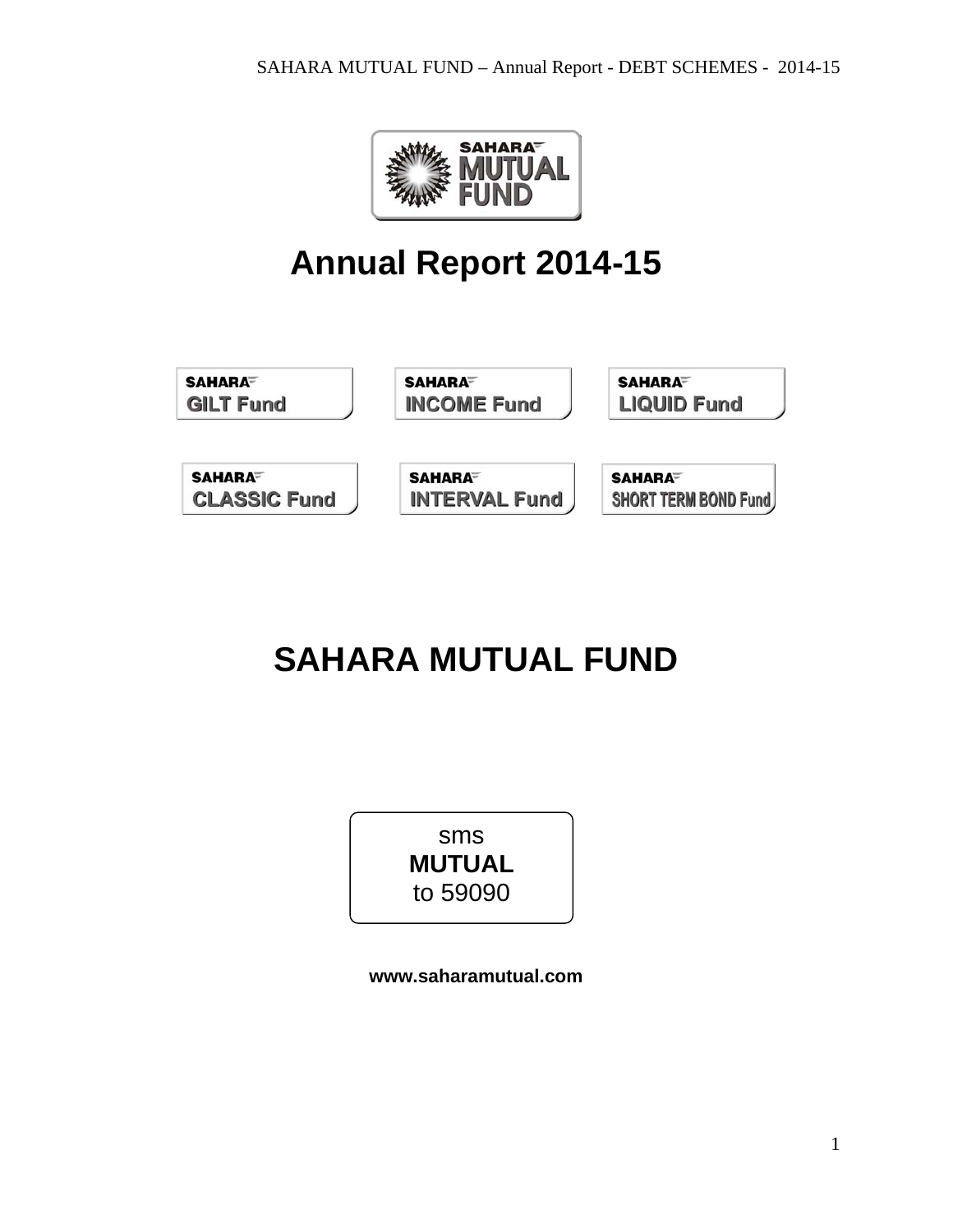

# **Annual Report 2014-15**



# **SAHARA MUTUAL FUND**



**www.saharamutual.com**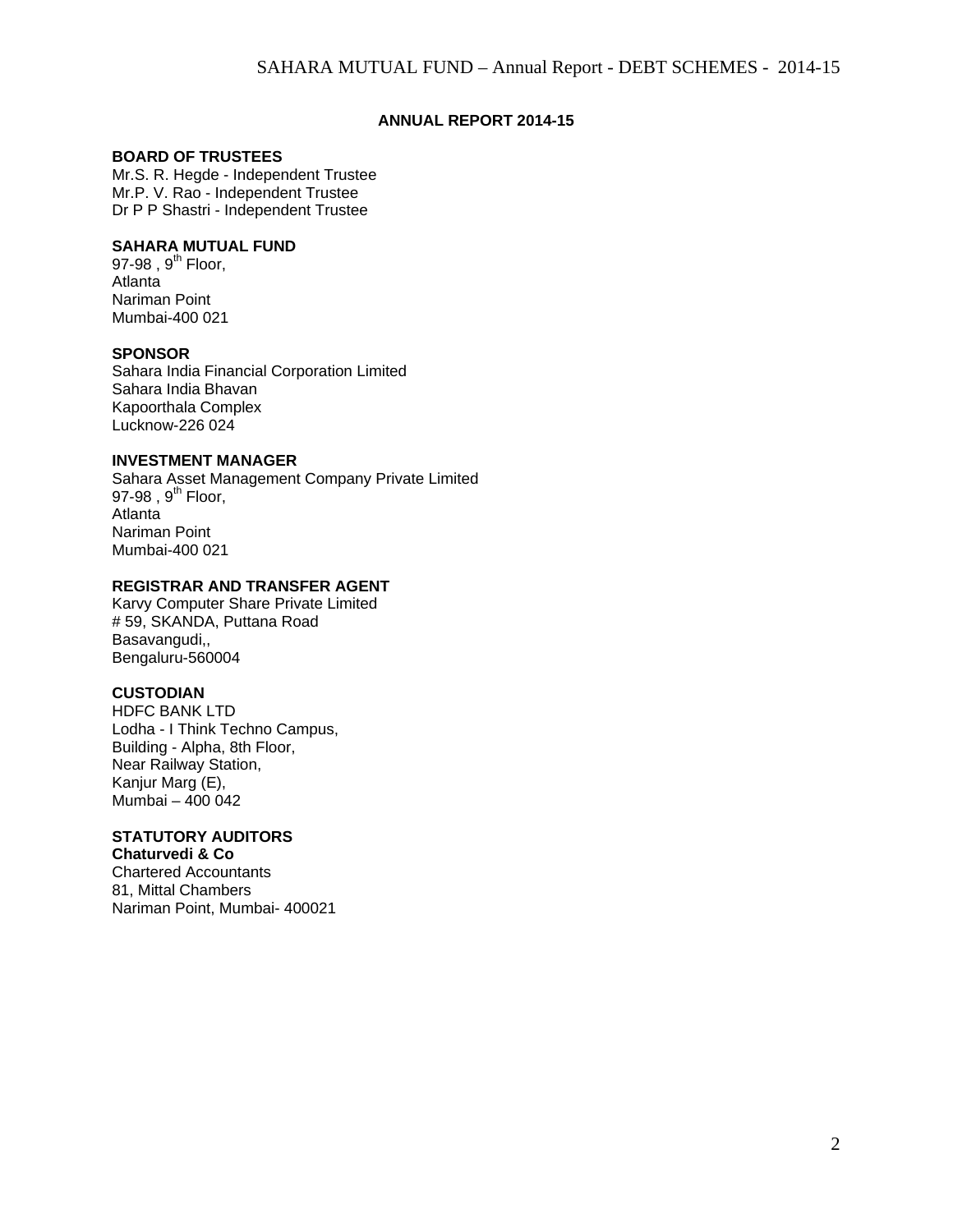## **ANNUAL REPORT 2014-15**

## **BOARD OF TRUSTEES**

Mr.S. R. Hegde - Independent Trustee Mr.P. V. Rao - Independent Trustee Dr P P Shastri - Independent Trustee

## **SAHARA MUTUAL FUND**

97-98,  $9<sup>th</sup>$  Floor, Atlanta Nariman Point Mumbai-400 021

## **SPONSOR**

Sahara India Financial Corporation Limited Sahara India Bhavan Kapoorthala Complex Lucknow-226 024

## **INVESTMENT MANAGER**

Sahara Asset Management Company Private Limited 97-98,  $9<sup>th</sup>$  Floor, Atlanta Nariman Point Mumbai-400 021

## **REGISTRAR AND TRANSFER AGENT**

Karvy Computer Share Private Limited # 59, SKANDA, Puttana Road Basavangudi,, Bengaluru-560004

## **CUSTODIAN**

HDFC BANK LTD Lodha - I Think Techno Campus, Building - Alpha, 8th Floor, Near Railway Station, Kanjur Marg (E), Mumbai – 400 042

# **STATUTORY AUDITORS**

**Chaturvedi & Co**  Chartered Accountants 81, Mittal Chambers Nariman Point, Mumbai- 400021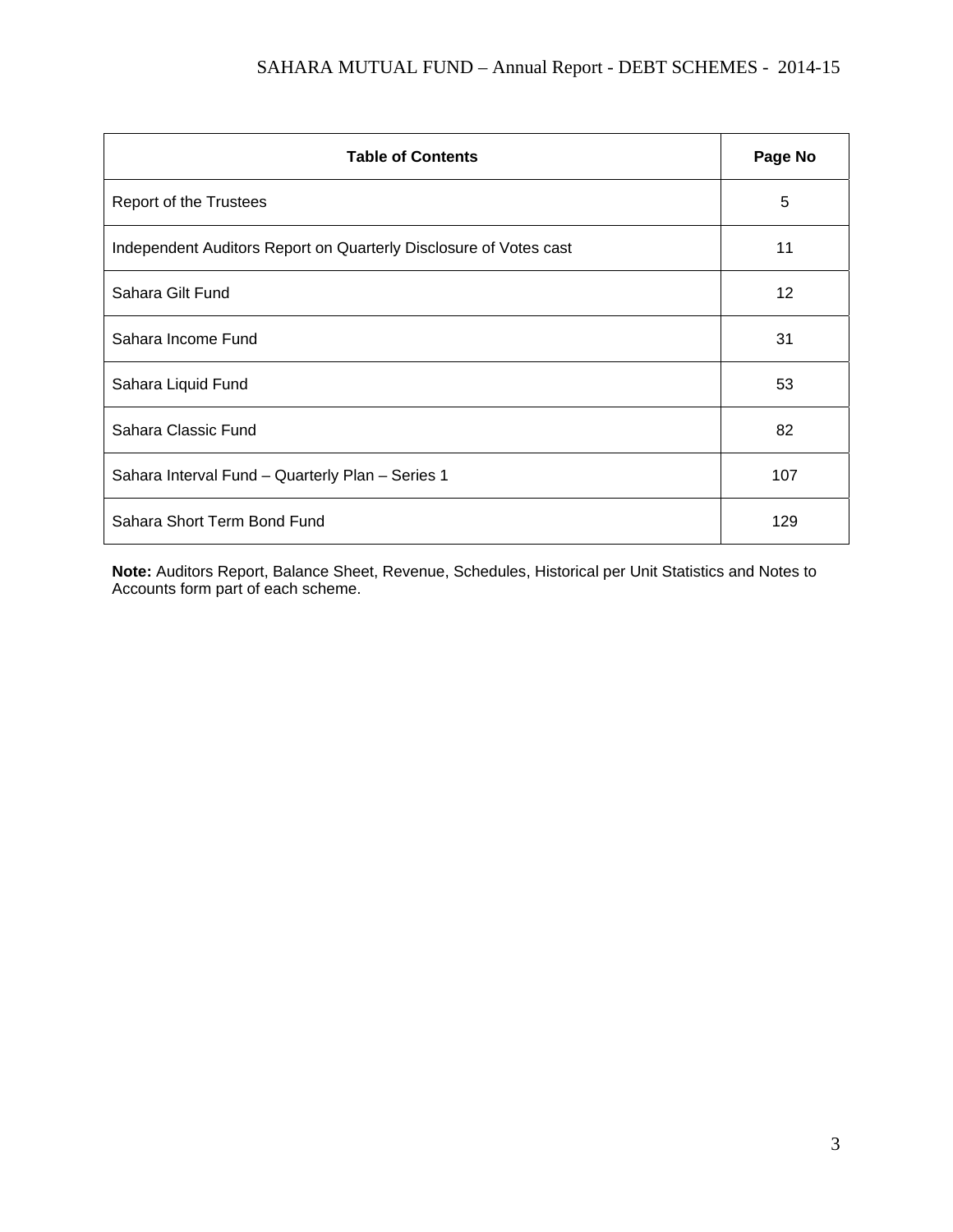| <b>Table of Contents</b>                                          | Page No |
|-------------------------------------------------------------------|---------|
| Report of the Trustees                                            | 5       |
| Independent Auditors Report on Quarterly Disclosure of Votes cast | 11      |
| Sahara Gilt Fund                                                  | 12      |
| Sahara Income Fund                                                | 31      |
| Sahara Liquid Fund                                                | 53      |
| Sahara Classic Fund                                               | 82      |
| Sahara Interval Fund - Quarterly Plan - Series 1                  | 107     |
| Sahara Short Term Bond Fund                                       | 129     |

**Note:** Auditors Report, Balance Sheet, Revenue, Schedules, Historical per Unit Statistics and Notes to Accounts form part of each scheme.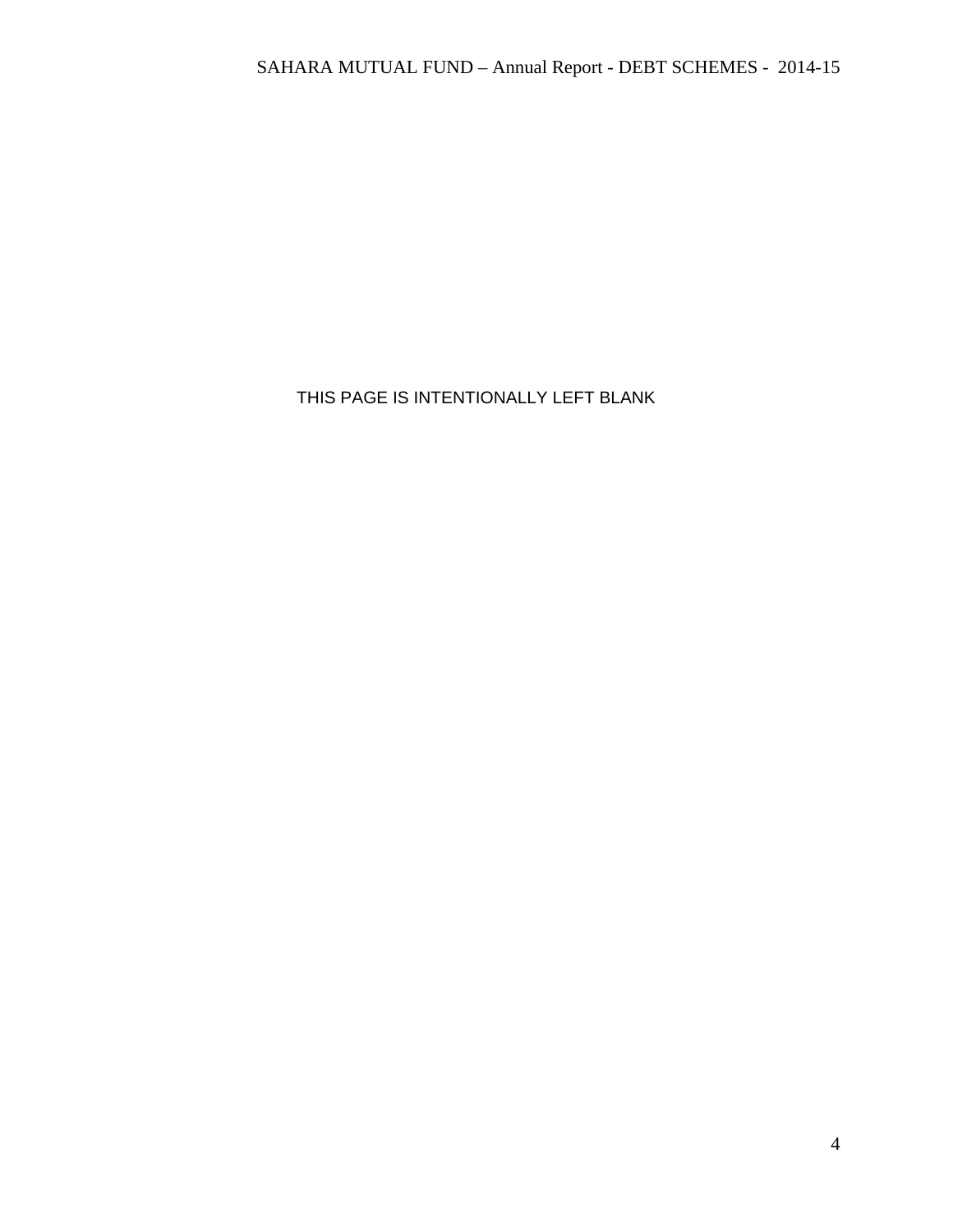# THIS PAGE IS INTENTIONALLY LEFT BLANK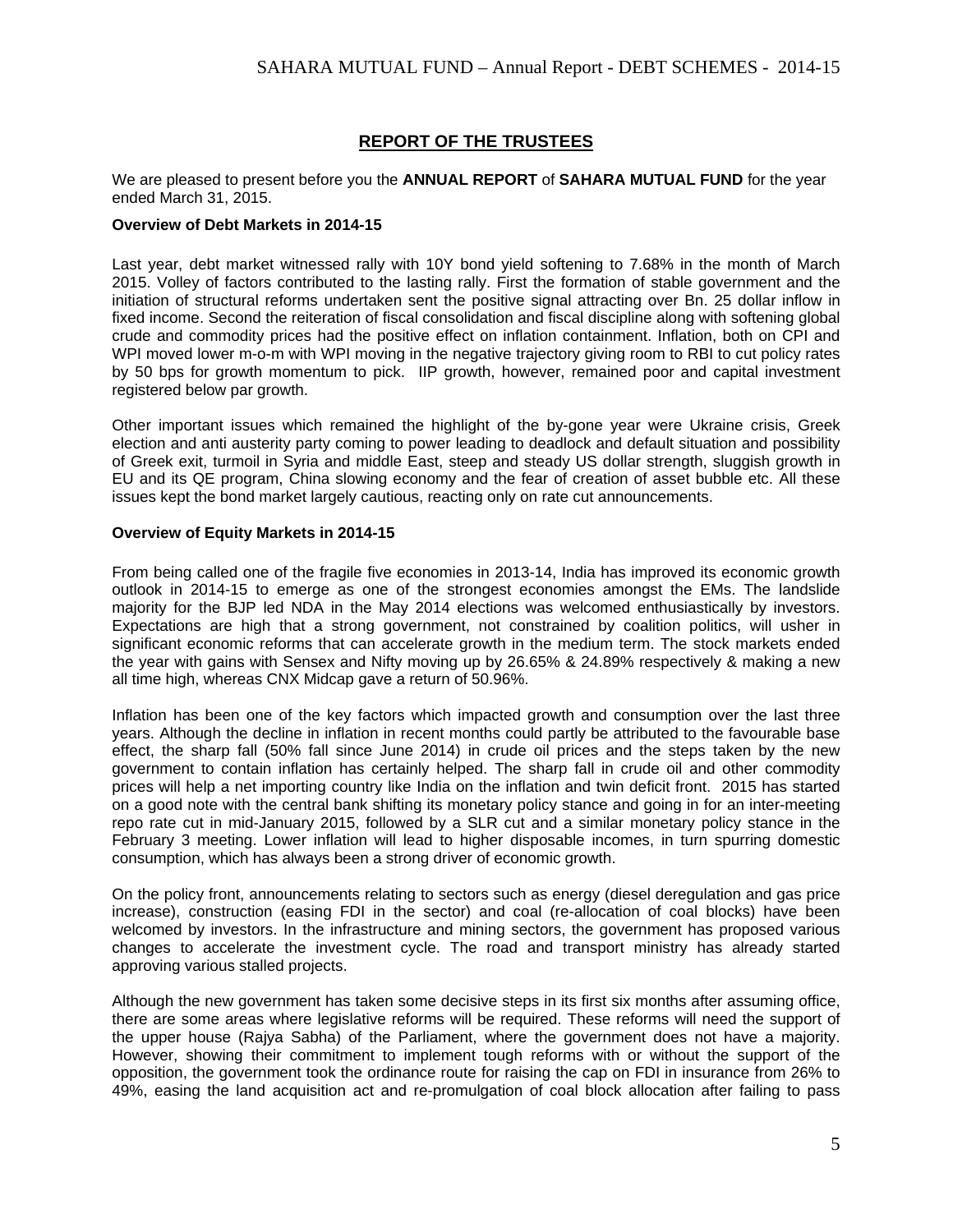## **REPORT OF THE TRUSTEES**

We are pleased to present before you the **ANNUAL REPORT** of **SAHARA MUTUAL FUND** for the year ended March 31, 2015.

## **Overview of Debt Markets in 2014-15**

Last year, debt market witnessed rally with 10Y bond yield softening to 7.68% in the month of March 2015. Volley of factors contributed to the lasting rally. First the formation of stable government and the initiation of structural reforms undertaken sent the positive signal attracting over Bn. 25 dollar inflow in fixed income. Second the reiteration of fiscal consolidation and fiscal discipline along with softening global crude and commodity prices had the positive effect on inflation containment. Inflation, both on CPI and WPI moved lower m-o-m with WPI moving in the negative trajectory giving room to RBI to cut policy rates by 50 bps for growth momentum to pick. IIP growth, however, remained poor and capital investment registered below par growth.

Other important issues which remained the highlight of the by-gone year were Ukraine crisis, Greek election and anti austerity party coming to power leading to deadlock and default situation and possibility of Greek exit, turmoil in Syria and middle East, steep and steady US dollar strength, sluggish growth in EU and its QE program, China slowing economy and the fear of creation of asset bubble etc. All these issues kept the bond market largely cautious, reacting only on rate cut announcements.

## **Overview of Equity Markets in 2014-15**

From being called one of the fragile five economies in 2013-14, India has improved its economic growth outlook in 2014-15 to emerge as one of the strongest economies amongst the EMs. The landslide majority for the BJP led NDA in the May 2014 elections was welcomed enthusiastically by investors. Expectations are high that a strong government, not constrained by coalition politics, will usher in significant economic reforms that can accelerate growth in the medium term. The stock markets ended the year with gains with Sensex and Nifty moving up by 26.65% & 24.89% respectively & making a new all time high, whereas CNX Midcap gave a return of 50.96%.

Inflation has been one of the key factors which impacted growth and consumption over the last three years. Although the decline in inflation in recent months could partly be attributed to the favourable base effect, the sharp fall (50% fall since June 2014) in crude oil prices and the steps taken by the new government to contain inflation has certainly helped. The sharp fall in crude oil and other commodity prices will help a net importing country like India on the inflation and twin deficit front. 2015 has started on a good note with the central bank shifting its monetary policy stance and going in for an inter-meeting repo rate cut in mid-January 2015, followed by a SLR cut and a similar monetary policy stance in the February 3 meeting. Lower inflation will lead to higher disposable incomes, in turn spurring domestic consumption, which has always been a strong driver of economic growth.

On the policy front, announcements relating to sectors such as energy (diesel deregulation and gas price increase), construction (easing FDI in the sector) and coal (re-allocation of coal blocks) have been welcomed by investors. In the infrastructure and mining sectors, the government has proposed various changes to accelerate the investment cycle. The road and transport ministry has already started approving various stalled projects.

Although the new government has taken some decisive steps in its first six months after assuming office, there are some areas where legislative reforms will be required. These reforms will need the support of the upper house (Rajya Sabha) of the Parliament, where the government does not have a majority. However, showing their commitment to implement tough reforms with or without the support of the opposition, the government took the ordinance route for raising the cap on FDI in insurance from 26% to 49%, easing the land acquisition act and re-promulgation of coal block allocation after failing to pass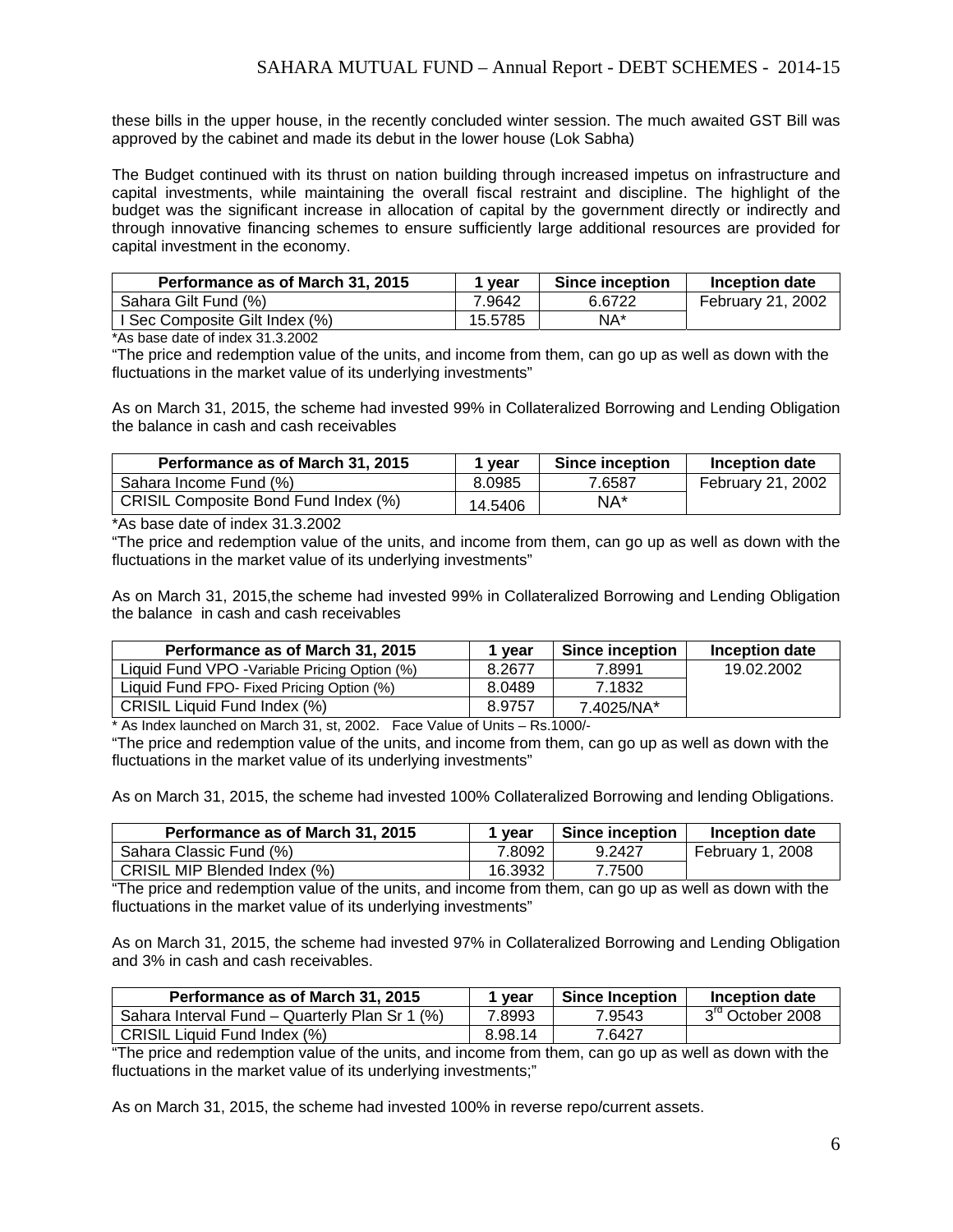these bills in the upper house, in the recently concluded winter session. The much awaited GST Bill was approved by the cabinet and made its debut in the lower house (Lok Sabha)

The Budget continued with its thrust on nation building through increased impetus on infrastructure and capital investments, while maintaining the overall fiscal restraint and discipline. The highlight of the budget was the significant increase in allocation of capital by the government directly or indirectly and through innovative financing schemes to ensure sufficiently large additional resources are provided for capital investment in the economy.

| Performance as of March 31, 2015 | vear    | <b>Since inception</b> | <b>Inception date</b> |
|----------------------------------|---------|------------------------|-----------------------|
| Sahara Gilt Fund (%)             | 7.9642  | 6.6722                 | February 21, 2002     |
| I Sec Composite Gilt Index (%)   | 15.5785 | NA*                    |                       |

\*As base date of index 31.3.2002

"The price and redemption value of the units, and income from them, can go up as well as down with the fluctuations in the market value of its underlying investments"

As on March 31, 2015, the scheme had invested 99% in Collateralized Borrowing and Lending Obligation the balance in cash and cash receivables

| Performance as of March 31, 2015     | vear    | <b>Since inception</b> | Inception date    |
|--------------------------------------|---------|------------------------|-------------------|
| Sahara Income Fund (%)               | 8.0985  | 7.6587                 | February 21, 2002 |
| CRISIL Composite Bond Fund Index (%) | 14.5406 | NA*                    |                   |

\*As base date of index 31.3.2002

"The price and redemption value of the units, and income from them, can go up as well as down with the fluctuations in the market value of its underlying investments"

As on March 31, 2015,the scheme had invested 99% in Collateralized Borrowing and Lending Obligation the balance in cash and cash receivables

| Performance as of March 31, 2015              | l vear | <b>Since inception</b> | Inception date |
|-----------------------------------------------|--------|------------------------|----------------|
| Liquid Fund VPO - Variable Pricing Option (%) | 8.2677 | 7.8991                 | 19.02.2002     |
| Liquid Fund FPO- Fixed Pricing Option (%)     | 8.0489 | 7.1832                 |                |
| CRISIL Liquid Fund Index (%)                  | 8.9757 | 7.4025/NA*             |                |

 $*$  As Index launched on March 31, st, 2002. Face Value of Units – Rs.1000/-

"The price and redemption value of the units, and income from them, can go up as well as down with the fluctuations in the market value of its underlying investments"

As on March 31, 2015, the scheme had invested 100% Collateralized Borrowing and lending Obligations.

| Performance as of March 31, 2015 | l vear  | <b>Since inception</b> | <b>Inception date</b> |
|----------------------------------|---------|------------------------|-----------------------|
| Sahara Classic Fund (%)          | 7.8092  | 9.2427                 | February 1, 2008      |
| CRISIL MIP Blended Index (%)     | 16.3932 | 7.7500                 |                       |

"The price and redemption value of the units, and income from them, can go up as well as down with the fluctuations in the market value of its underlying investments"

As on March 31, 2015, the scheme had invested 97% in Collateralized Borrowing and Lending Obligation and 3% in cash and cash receivables.

| Performance as of March 31, 2015               | 1 vear  | <b>Since Inception</b> | Inception date   |
|------------------------------------------------|---------|------------------------|------------------|
| Sahara Interval Fund – Quarterly Plan Sr 1 (%) | 7.8993  | 7.9543                 | 3rd October 2008 |
| CRISIL Liquid Fund Index (%)                   | 8.98.14 | 7.6427                 |                  |

"The price and redemption value of the units, and income from them, can go up as well as down with the fluctuations in the market value of its underlying investments;"

As on March 31, 2015, the scheme had invested 100% in reverse repo/current assets.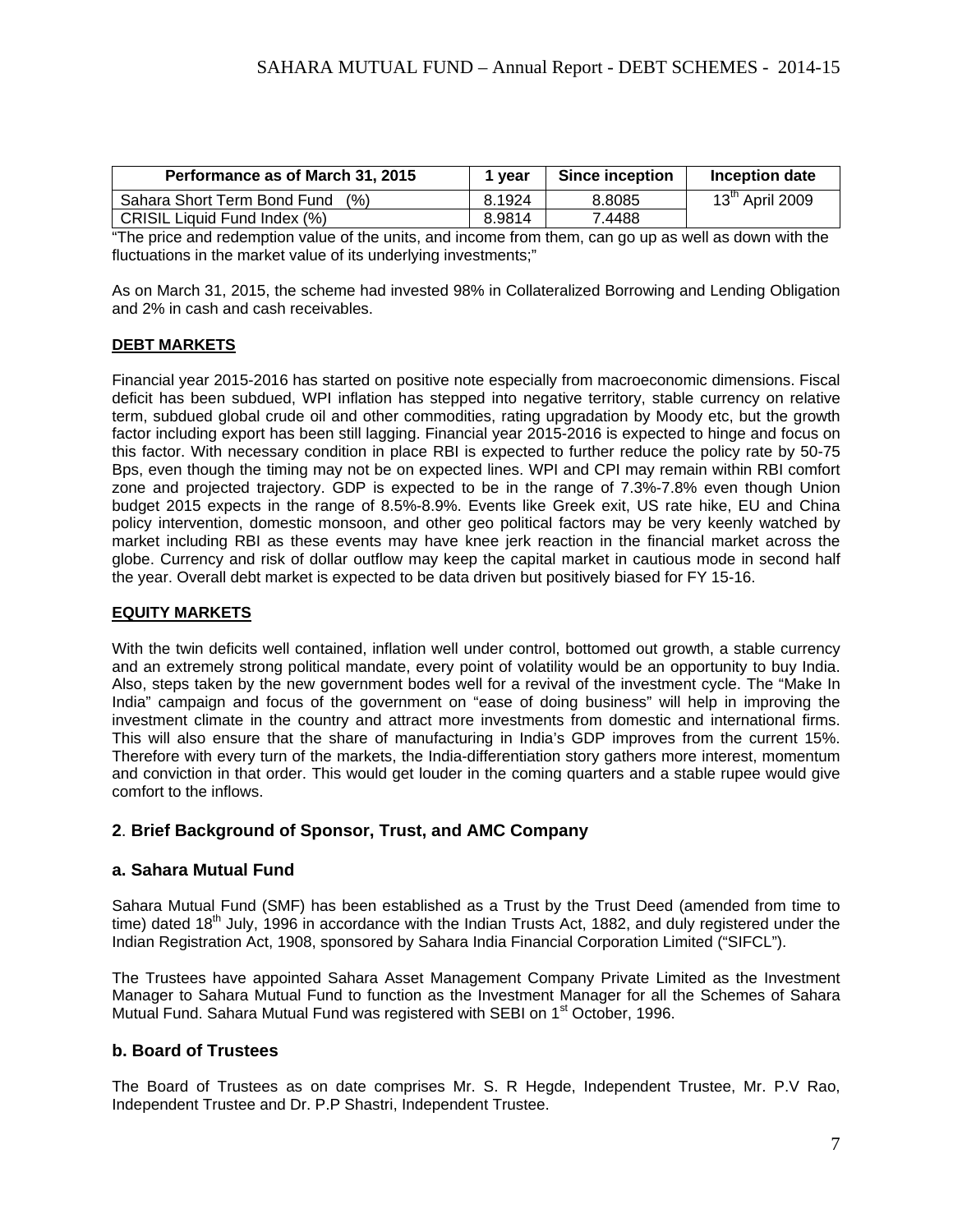| Performance as of March 31, 2015             | vear   | <b>Since inception</b> | Inception date              |
|----------------------------------------------|--------|------------------------|-----------------------------|
| Sahara Short Term Bond Fund<br>$\frac{1}{2}$ | 8.1924 | 8.8085                 | 13 <sup>th</sup> April 2009 |
| CRISIL Liquid Fund Index (%)                 | 8.9814 | 7.4488                 |                             |

"The price and redemption value of the units, and income from them, can go up as well as down with the fluctuations in the market value of its underlying investments;"

As on March 31, 2015, the scheme had invested 98% in Collateralized Borrowing and Lending Obligation and 2% in cash and cash receivables.

## **DEBT MARKETS**

Financial year 2015-2016 has started on positive note especially from macroeconomic dimensions. Fiscal deficit has been subdued, WPI inflation has stepped into negative territory, stable currency on relative term, subdued global crude oil and other commodities, rating upgradation by Moody etc, but the growth factor including export has been still lagging. Financial year 2015-2016 is expected to hinge and focus on this factor. With necessary condition in place RBI is expected to further reduce the policy rate by 50-75 Bps, even though the timing may not be on expected lines. WPI and CPI may remain within RBI comfort zone and projected trajectory. GDP is expected to be in the range of 7.3%-7.8% even though Union budget 2015 expects in the range of 8.5%-8.9%. Events like Greek exit, US rate hike, EU and China policy intervention, domestic monsoon, and other geo political factors may be very keenly watched by market including RBI as these events may have knee jerk reaction in the financial market across the globe. Currency and risk of dollar outflow may keep the capital market in cautious mode in second half the year. Overall debt market is expected to be data driven but positively biased for FY 15-16.

## **EQUITY MARKETS**

With the twin deficits well contained, inflation well under control, bottomed out growth, a stable currency and an extremely strong political mandate, every point of volatility would be an opportunity to buy India. Also, steps taken by the new government bodes well for a revival of the investment cycle. The "Make In India" campaign and focus of the government on "ease of doing business" will help in improving the investment climate in the country and attract more investments from domestic and international firms. This will also ensure that the share of manufacturing in India's GDP improves from the current 15%. Therefore with every turn of the markets, the India-differentiation story gathers more interest, momentum and conviction in that order. This would get louder in the coming quarters and a stable rupee would give comfort to the inflows.

## **2**. **Brief Background of Sponsor, Trust, and AMC Company**

## **a. Sahara Mutual Fund**

Sahara Mutual Fund (SMF) has been established as a Trust by the Trust Deed (amended from time to time) dated 18<sup>th</sup> July, 1996 in accordance with the Indian Trusts Act, 1882, and duly registered under the Indian Registration Act, 1908, sponsored by Sahara India Financial Corporation Limited ("SIFCL").

The Trustees have appointed Sahara Asset Management Company Private Limited as the Investment Manager to Sahara Mutual Fund to function as the Investment Manager for all the Schemes of Sahara Mutual Fund. Sahara Mutual Fund was registered with SEBI on 1<sup>st</sup> October, 1996.

## **b. Board of Trustees**

The Board of Trustees as on date comprises Mr. S. R Hegde, Independent Trustee, Mr. P.V Rao, Independent Trustee and Dr. P.P Shastri, Independent Trustee.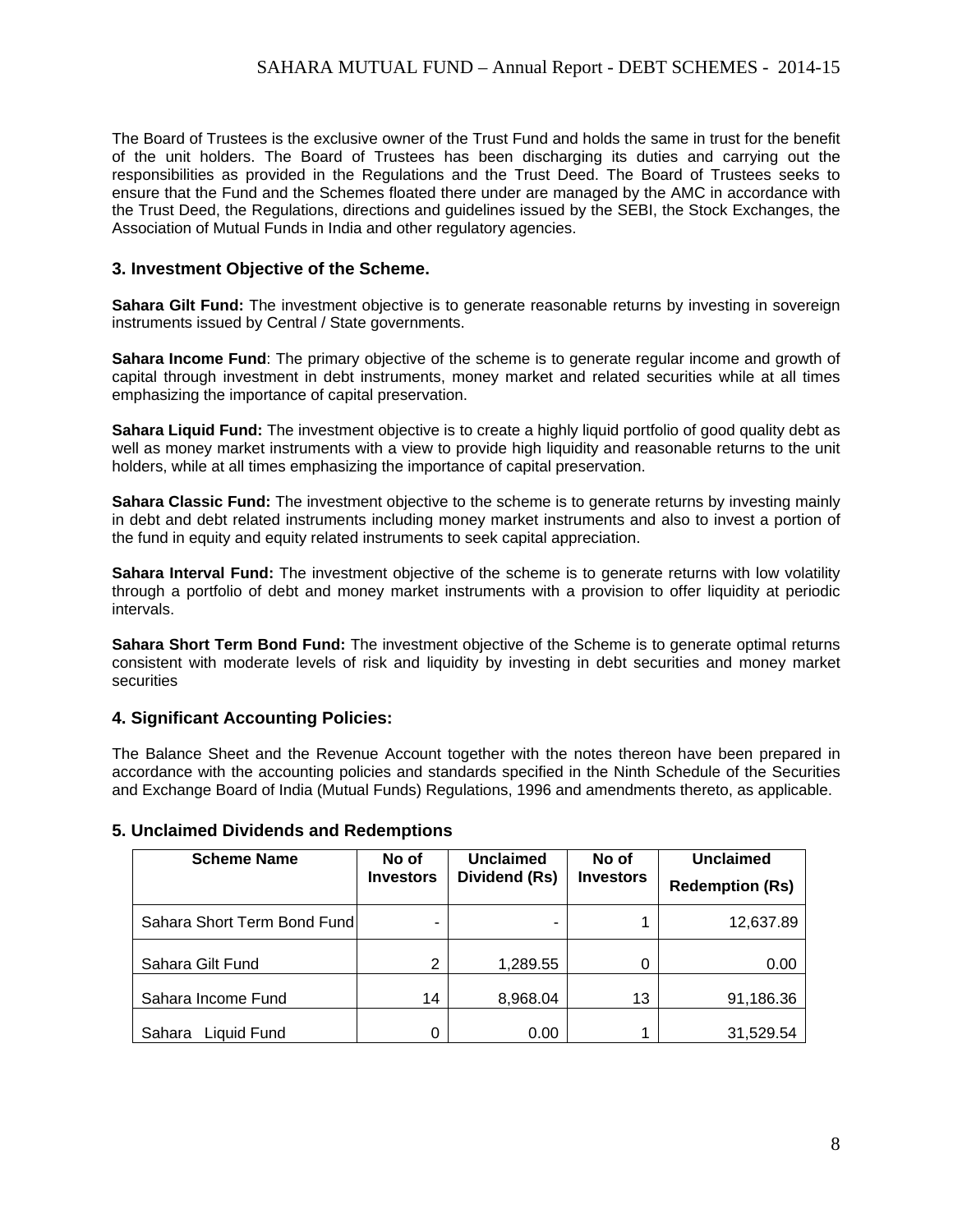The Board of Trustees is the exclusive owner of the Trust Fund and holds the same in trust for the benefit of the unit holders. The Board of Trustees has been discharging its duties and carrying out the responsibilities as provided in the Regulations and the Trust Deed. The Board of Trustees seeks to ensure that the Fund and the Schemes floated there under are managed by the AMC in accordance with the Trust Deed, the Regulations, directions and guidelines issued by the SEBI, the Stock Exchanges, the Association of Mutual Funds in India and other regulatory agencies.

## **3. Investment Objective of the Scheme.**

**Sahara Gilt Fund:** The investment objective is to generate reasonable returns by investing in sovereign instruments issued by Central / State governments.

**Sahara Income Fund**: The primary objective of the scheme is to generate regular income and growth of capital through investment in debt instruments, money market and related securities while at all times emphasizing the importance of capital preservation.

**Sahara Liquid Fund:** The investment objective is to create a highly liquid portfolio of good quality debt as well as money market instruments with a view to provide high liquidity and reasonable returns to the unit holders, while at all times emphasizing the importance of capital preservation.

**Sahara Classic Fund:** The investment objective to the scheme is to generate returns by investing mainly in debt and debt related instruments including money market instruments and also to invest a portion of the fund in equity and equity related instruments to seek capital appreciation.

**Sahara Interval Fund:** The investment objective of the scheme is to generate returns with low volatility through a portfolio of debt and money market instruments with a provision to offer liquidity at periodic intervals.

**Sahara Short Term Bond Fund:** The investment objective of the Scheme is to generate optimal returns consistent with moderate levels of risk and liquidity by investing in debt securities and money market securities

## **4. Significant Accounting Policies:**

The Balance Sheet and the Revenue Account together with the notes thereon have been prepared in accordance with the accounting policies and standards specified in the Ninth Schedule of the Securities and Exchange Board of India (Mutual Funds) Regulations, 1996 and amendments thereto, as applicable.

| <b>Scheme Name</b>          | No of<br><b>Investors</b> | <b>Unclaimed</b><br>Dividend (Rs) | No of<br><b>Investors</b> | Unclaimed<br><b>Redemption (Rs)</b> |
|-----------------------------|---------------------------|-----------------------------------|---------------------------|-------------------------------------|
| Sahara Short Term Bond Fund |                           | -                                 |                           | 12,637.89                           |
| Sahara Gilt Fund            | 2                         | 1,289.55                          | 0                         | 0.00                                |
| Sahara Income Fund          | 14                        | 8,968.04                          | 13                        | 91,186.36                           |
| Liquid Fund<br>Sahara       | 0                         | 0.00                              |                           | 31,529.54                           |

## **5. Unclaimed Dividends and Redemptions**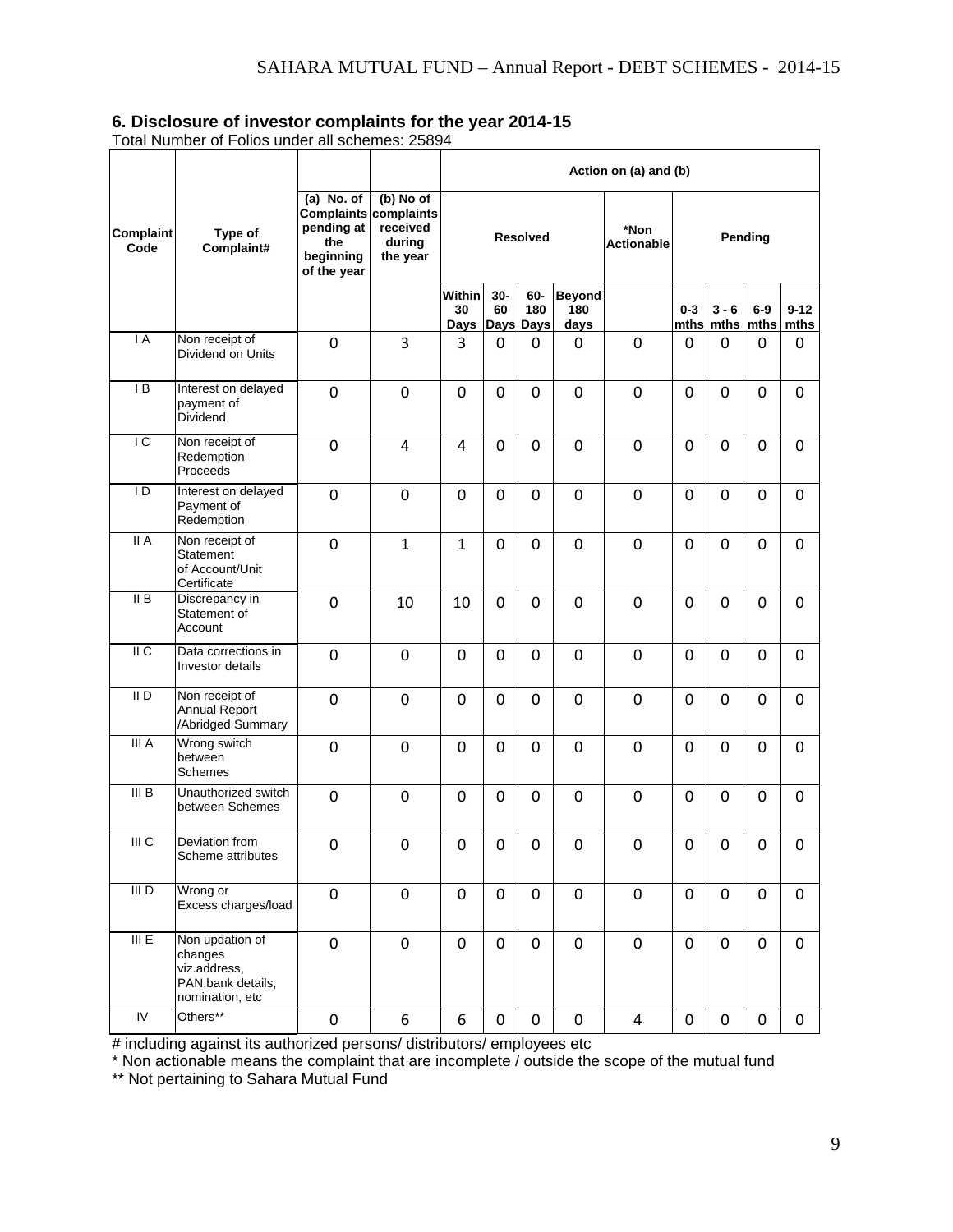## **6. Disclosure of investor complaints for the year 2014-15**

Total Number of Folios under all schemes: 25894

|                          |                                                                                     |                                                                                    |                                                           | Action on (a) and (b)                            |             |                           |                              |                |              |                      |               |                  |
|--------------------------|-------------------------------------------------------------------------------------|------------------------------------------------------------------------------------|-----------------------------------------------------------|--------------------------------------------------|-------------|---------------------------|------------------------------|----------------|--------------|----------------------|---------------|------------------|
| <b>Complaint</b><br>Code | Type of<br>Complaint#                                                               | $(a)$ No. of<br><b>Complaints</b><br>pending at<br>the<br>beginning<br>of the year | (b) No of<br>complaints<br>received<br>during<br>the year | *Non<br><b>Resolved</b><br>Pending<br>Actionable |             |                           |                              |                |              |                      |               |                  |
|                          |                                                                                     |                                                                                    |                                                           | Within<br>30<br>Days                             | $30-$<br>60 | $60-$<br>180<br>Days Days | <b>Beyond</b><br>180<br>days |                | $0 - 3$      | $3 - 6$<br>mths mths | $6-9$<br>mths | $9 - 12$<br>mths |
| IA                       | Non receipt of<br>Dividend on Units                                                 | $\mathbf 0$                                                                        | 3                                                         | 3                                                | $\Omega$    | $\Omega$                  | 0                            | $\mathbf 0$    | $\Omega$     | 0                    | 0             | 0                |
| I <sub>B</sub>           | Interest on delayed<br>payment of<br><b>Dividend</b>                                | $\mathbf 0$                                                                        | 0                                                         | 0                                                | $\Omega$    | 0                         | 0                            | 0              | $\Omega$     | 0                    | 0             | 0                |
| IC                       | Non receipt of<br>Redemption<br>Proceeds                                            | $\mathbf 0$                                                                        | 4                                                         | 4                                                | 0           | 0                         | 0                            | $\mathbf 0$    | 0            | $\mathbf 0$          | 0             | $\mathbf 0$      |
| ID                       | Interest on delayed<br>Payment of<br>Redemption                                     | $\overline{0}$                                                                     | 0                                                         | 0                                                | 0           | $\mathbf 0$               | $\overline{0}$               | $\overline{0}$ | $\mathbf{0}$ | $\mathbf 0$          | $\mathbf 0$   | 0                |
| II A                     | Non receipt of<br>Statement<br>of Account/Unit<br>Certificate                       | 0                                                                                  | $\mathbf{1}$                                              | $\mathbf{1}$                                     | 0           | 0                         | 0                            | 0              | $\Omega$     | $\mathbf 0$          | 0             | 0                |
| $\overline{I}$ B         | Discrepancy in<br>Statement of<br>Account                                           | $\mathbf 0$                                                                        | 10                                                        | 10                                               | 0           | 0                         | 0                            | $\mathbf 0$    | $\Omega$     | 0                    | $\mathbf 0$   | $\mathbf 0$      |
| II C                     | Data corrections in<br>Investor details                                             | 0                                                                                  | 0                                                         | 0                                                | 0           | 0                         | 0                            | $\mathbf 0$    | $\Omega$     | 0                    | 0             | 0                |
| $\overline{ID}$          | Non receipt of<br><b>Annual Report</b><br>/Abridged Summary                         | $\mathbf 0$                                                                        | 0                                                         | 0                                                | 0           | 0                         | 0                            | 0              | $\mathbf{0}$ | $\mathbf 0$          | 0             | 0                |
| III A                    | Wrong switch<br>between<br>Schemes                                                  | $\mathbf 0$                                                                        | 0                                                         | 0                                                | $\Omega$    | 0                         | 0                            | $\mathbf 0$    | $\Omega$     | 0                    | 0             | 0                |
| $III$ B                  | Unauthorized switch<br>between Schemes                                              | $\mathbf 0$                                                                        | 0                                                         | 0                                                | 0           | $\mathbf 0$               | 0                            | $\mathbf 0$    | $\Omega$     | $\mathbf 0$          | $\mathbf 0$   | 0                |
| $\overline{III}$ C       | Deviation from<br>Scheme attributes                                                 | $\pmb{0}$                                                                          | $\Omega$                                                  | 0                                                | 0           | $\Omega$                  | $\Omega$                     | $\Omega$       | 0            | 0                    | $\Omega$      | $\Omega$         |
| $\overline{III}$ D       | Wrong or<br>Excess charges/load                                                     | $\mathbf 0$                                                                        | $\mathbf 0$                                               | $\boldsymbol{0}$                                 | $\mathbf 0$ | 0                         | $\mathbf 0$                  | $\mathbf 0$    | 0            | $\boldsymbol{0}$     | $\mathbf 0$   | $\mathbf 0$      |
| III E                    | Non updation of<br>changes<br>viz.address,<br>PAN, bank details,<br>nomination, etc | $\mathbf 0$                                                                        | $\mathbf 0$                                               | 0                                                | 0           | 0                         | 0                            | $\mathbf 0$    | $\mathbf 0$  | $\mathbf 0$          | $\mathbf 0$   | $\mathbf 0$      |
| IV                       | Others**                                                                            | $\pmb{0}$                                                                          | 6                                                         | 6                                                | 0           | $\pmb{0}$                 | $\boldsymbol{0}$             | 4              | 0            | $\pmb{0}$            | $\pmb{0}$     | $\pmb{0}$        |

# including against its authorized persons/ distributors/ employees etc

\* Non actionable means the complaint that are incomplete / outside the scope of the mutual fund

\*\* Not pertaining to Sahara Mutual Fund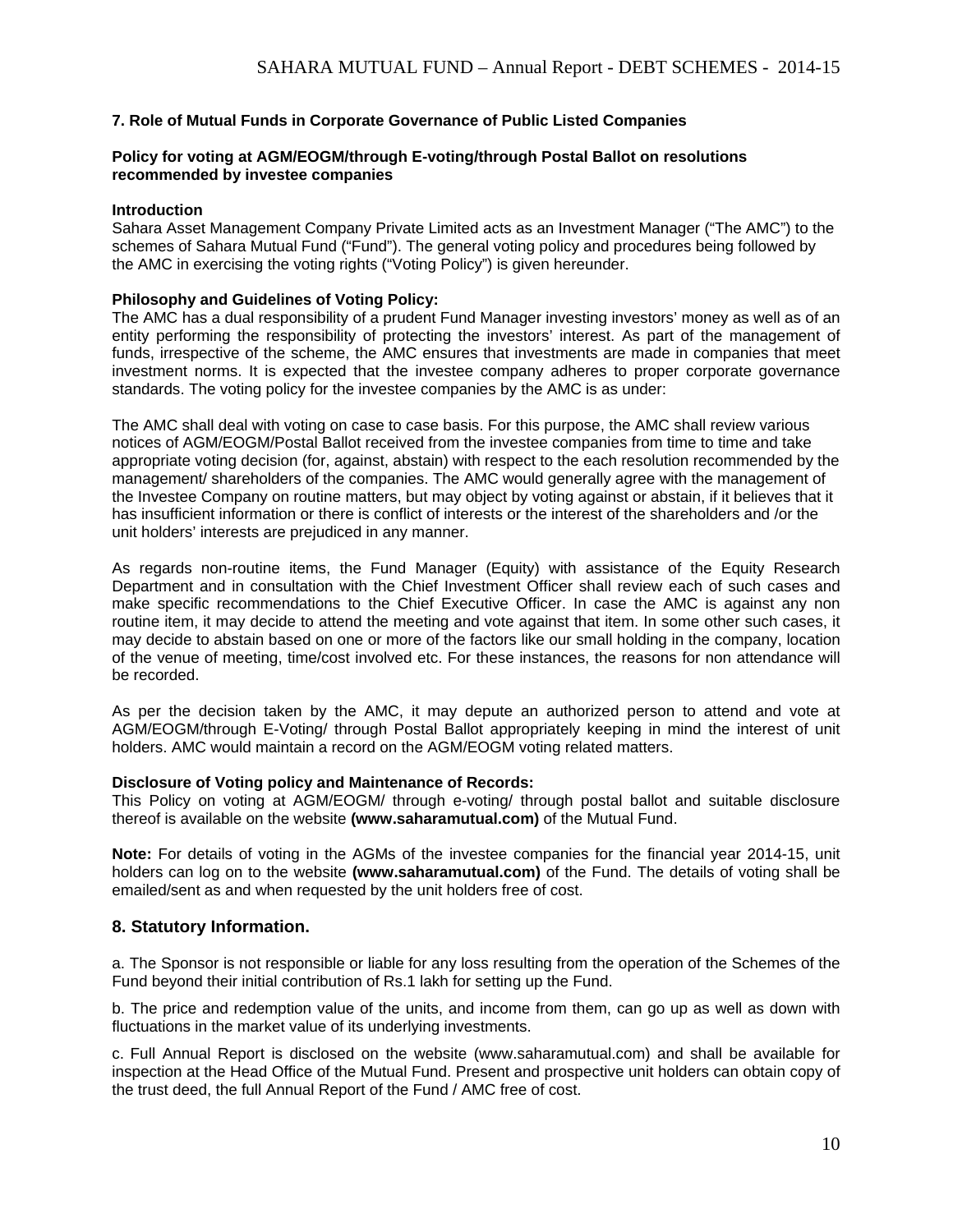## **7. Role of Mutual Funds in Corporate Governance of Public Listed Companies**

#### **Policy for voting at AGM/EOGM/through E-voting/through Postal Ballot on resolutions recommended by investee companies**

## **Introduction**

Sahara Asset Management Company Private Limited acts as an Investment Manager ("The AMC") to the schemes of Sahara Mutual Fund ("Fund"). The general voting policy and procedures being followed by the AMC in exercising the voting rights ("Voting Policy") is given hereunder.

## **Philosophy and Guidelines of Voting Policy:**

The AMC has a dual responsibility of a prudent Fund Manager investing investors' money as well as of an entity performing the responsibility of protecting the investors' interest. As part of the management of funds, irrespective of the scheme, the AMC ensures that investments are made in companies that meet investment norms. It is expected that the investee company adheres to proper corporate governance standards. The voting policy for the investee companies by the AMC is as under:

The AMC shall deal with voting on case to case basis. For this purpose, the AMC shall review various notices of AGM/EOGM/Postal Ballot received from the investee companies from time to time and take appropriate voting decision (for, against, abstain) with respect to the each resolution recommended by the management/ shareholders of the companies. The AMC would generally agree with the management of the Investee Company on routine matters, but may object by voting against or abstain, if it believes that it has insufficient information or there is conflict of interests or the interest of the shareholders and /or the unit holders' interests are prejudiced in any manner.

As regards non-routine items, the Fund Manager (Equity) with assistance of the Equity Research Department and in consultation with the Chief Investment Officer shall review each of such cases and make specific recommendations to the Chief Executive Officer. In case the AMC is against any non routine item, it may decide to attend the meeting and vote against that item. In some other such cases, it may decide to abstain based on one or more of the factors like our small holding in the company, location of the venue of meeting, time/cost involved etc. For these instances, the reasons for non attendance will be recorded.

As per the decision taken by the AMC, it may depute an authorized person to attend and vote at AGM/EOGM/through E-Voting/ through Postal Ballot appropriately keeping in mind the interest of unit holders. AMC would maintain a record on the AGM/EOGM voting related matters.

## **Disclosure of Voting policy and Maintenance of Records:**

This Policy on voting at AGM/EOGM/ through e-voting/ through postal ballot and suitable disclosure thereof is available on the website **(www.saharamutual.com)** of the Mutual Fund.

**Note:** For details of voting in the AGMs of the investee companies for the financial year 2014-15, unit holders can log on to the website **(www.saharamutual.com)** of the Fund. The details of voting shall be emailed/sent as and when requested by the unit holders free of cost.

## **8. Statutory Information.**

a. The Sponsor is not responsible or liable for any loss resulting from the operation of the Schemes of the Fund beyond their initial contribution of Rs.1 lakh for setting up the Fund.

b. The price and redemption value of the units, and income from them, can go up as well as down with fluctuations in the market value of its underlying investments.

c. Full Annual Report is disclosed on the website (www.saharamutual.com) and shall be available for inspection at the Head Office of the Mutual Fund. Present and prospective unit holders can obtain copy of the trust deed, the full Annual Report of the Fund / AMC free of cost.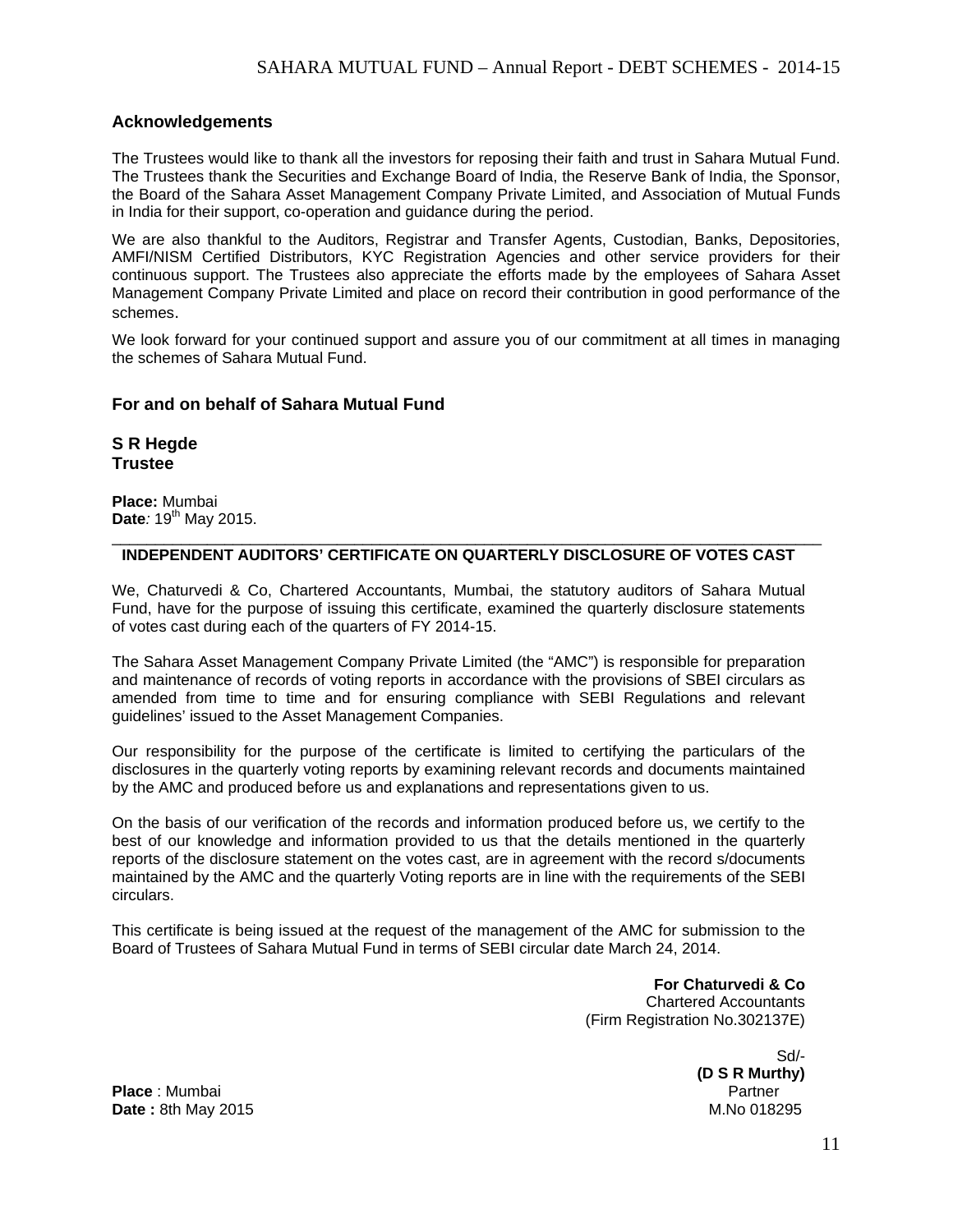## **Acknowledgements**

The Trustees would like to thank all the investors for reposing their faith and trust in Sahara Mutual Fund. The Trustees thank the Securities and Exchange Board of India, the Reserve Bank of India, the Sponsor, the Board of the Sahara Asset Management Company Private Limited, and Association of Mutual Funds in India for their support, co-operation and guidance during the period.

We are also thankful to the Auditors, Registrar and Transfer Agents, Custodian, Banks, Depositories, AMFI/NISM Certified Distributors, KYC Registration Agencies and other service providers for their continuous support. The Trustees also appreciate the efforts made by the employees of Sahara Asset Management Company Private Limited and place on record their contribution in good performance of the schemes.

We look forward for your continued support and assure you of our commitment at all times in managing the schemes of Sahara Mutual Fund.

## **For and on behalf of Sahara Mutual Fund**

**S R Hegde Trustee** 

**Place:** Mumbai **Date**: 19<sup>th</sup> May 2015.

## **INDEPENDENT AUDITORS' CERTIFICATE ON QUARTERLY DISCLOSURE OF VOTES CAST**

\_\_\_\_\_\_\_\_\_\_\_\_\_\_\_\_\_\_\_\_\_\_\_\_\_\_\_\_\_\_\_\_\_\_\_\_\_\_\_\_\_\_\_\_\_\_\_\_\_\_\_\_\_\_\_\_\_\_\_\_\_\_\_\_\_\_\_\_\_\_\_\_\_\_\_\_\_\_\_\_\_\_

We, Chaturvedi & Co, Chartered Accountants, Mumbai, the statutory auditors of Sahara Mutual Fund, have for the purpose of issuing this certificate, examined the quarterly disclosure statements of votes cast during each of the quarters of FY 2014-15.

The Sahara Asset Management Company Private Limited (the "AMC") is responsible for preparation and maintenance of records of voting reports in accordance with the provisions of SBEI circulars as amended from time to time and for ensuring compliance with SEBI Regulations and relevant guidelines' issued to the Asset Management Companies.

Our responsibility for the purpose of the certificate is limited to certifying the particulars of the disclosures in the quarterly voting reports by examining relevant records and documents maintained by the AMC and produced before us and explanations and representations given to us.

On the basis of our verification of the records and information produced before us, we certify to the best of our knowledge and information provided to us that the details mentioned in the quarterly reports of the disclosure statement on the votes cast, are in agreement with the record s/documents maintained by the AMC and the quarterly Voting reports are in line with the requirements of the SEBI circulars.

This certificate is being issued at the request of the management of the AMC for submission to the Board of Trustees of Sahara Mutual Fund in terms of SEBI circular date March 24, 2014.

> **For Chaturvedi & Co**  Chartered Accountants (Firm Registration No.302137E)

> > Sd/- **(D S R Murthy)**

**Place** : Mumbai **Partner** Partner **Place** : Mumbai **Partner Date :** 8th May 2015 **M.No 018295** M.No 018295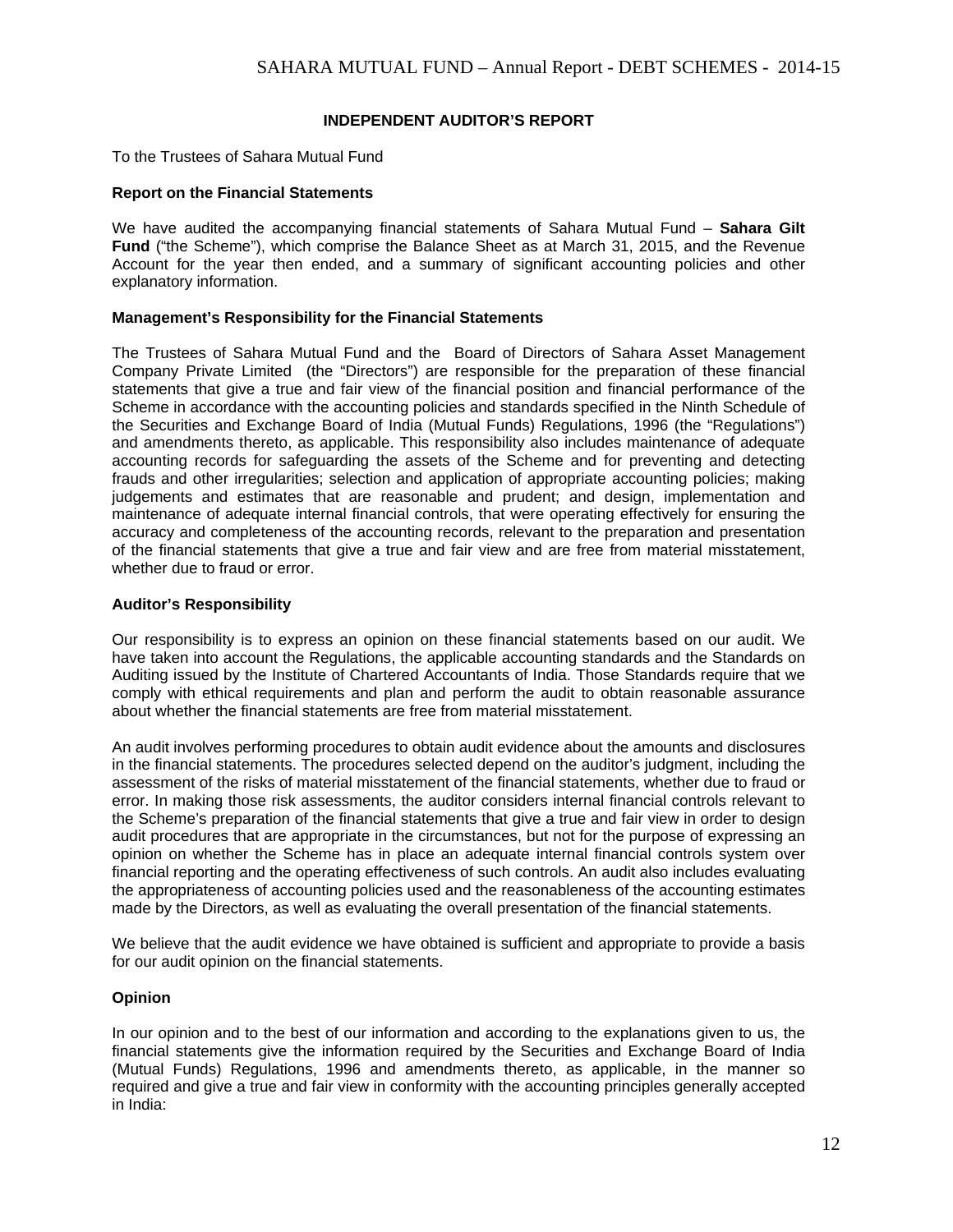## **INDEPENDENT AUDITOR'S REPORT**

To the Trustees of Sahara Mutual Fund

#### **Report on the Financial Statements**

We have audited the accompanying financial statements of Sahara Mutual Fund – **Sahara Gilt Fund** ("the Scheme"), which comprise the Balance Sheet as at March 31, 2015, and the Revenue Account for the year then ended, and a summary of significant accounting policies and other explanatory information.

#### **Management's Responsibility for the Financial Statements**

The Trustees of Sahara Mutual Fund and the Board of Directors of Sahara Asset Management Company Private Limited (the "Directors") are responsible for the preparation of these financial statements that give a true and fair view of the financial position and financial performance of the Scheme in accordance with the accounting policies and standards specified in the Ninth Schedule of the Securities and Exchange Board of India (Mutual Funds) Regulations, 1996 (the "Regulations") and amendments thereto, as applicable. This responsibility also includes maintenance of adequate accounting records for safeguarding the assets of the Scheme and for preventing and detecting frauds and other irregularities; selection and application of appropriate accounting policies; making judgements and estimates that are reasonable and prudent; and design, implementation and maintenance of adequate internal financial controls, that were operating effectively for ensuring the accuracy and completeness of the accounting records, relevant to the preparation and presentation of the financial statements that give a true and fair view and are free from material misstatement, whether due to fraud or error.

#### **Auditor's Responsibility**

Our responsibility is to express an opinion on these financial statements based on our audit. We have taken into account the Regulations, the applicable accounting standards and the Standards on Auditing issued by the Institute of Chartered Accountants of India. Those Standards require that we comply with ethical requirements and plan and perform the audit to obtain reasonable assurance about whether the financial statements are free from material misstatement.

An audit involves performing procedures to obtain audit evidence about the amounts and disclosures in the financial statements. The procedures selected depend on the auditor's judgment, including the assessment of the risks of material misstatement of the financial statements, whether due to fraud or error. In making those risk assessments, the auditor considers internal financial controls relevant to the Scheme's preparation of the financial statements that give a true and fair view in order to design audit procedures that are appropriate in the circumstances, but not for the purpose of expressing an opinion on whether the Scheme has in place an adequate internal financial controls system over financial reporting and the operating effectiveness of such controls. An audit also includes evaluating the appropriateness of accounting policies used and the reasonableness of the accounting estimates made by the Directors, as well as evaluating the overall presentation of the financial statements.

We believe that the audit evidence we have obtained is sufficient and appropriate to provide a basis for our audit opinion on the financial statements.

## **Opinion**

In our opinion and to the best of our information and according to the explanations given to us, the financial statements give the information required by the Securities and Exchange Board of India (Mutual Funds) Regulations, 1996 and amendments thereto, as applicable, in the manner so required and give a true and fair view in conformity with the accounting principles generally accepted in India: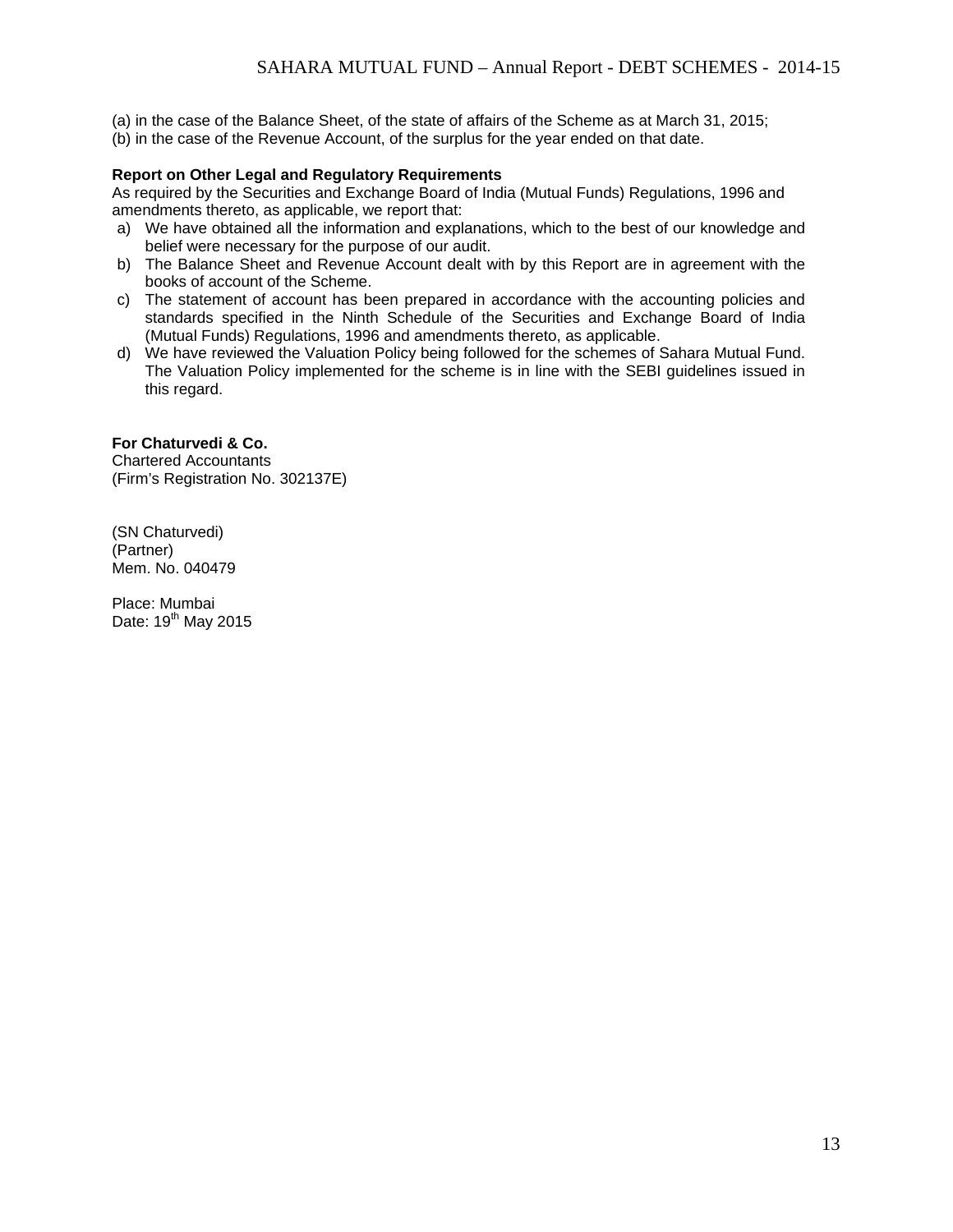(a) in the case of the Balance Sheet, of the state of affairs of the Scheme as at March 31, 2015; (b) in the case of the Revenue Account, of the surplus for the year ended on that date.

## **Report on Other Legal and Regulatory Requirements**

As required by the Securities and Exchange Board of India (Mutual Funds) Regulations, 1996 and amendments thereto, as applicable, we report that:

- a) We have obtained all the information and explanations, which to the best of our knowledge and belief were necessary for the purpose of our audit.
- b) The Balance Sheet and Revenue Account dealt with by this Report are in agreement with the books of account of the Scheme.
- c) The statement of account has been prepared in accordance with the accounting policies and standards specified in the Ninth Schedule of the Securities and Exchange Board of India (Mutual Funds) Regulations, 1996 and amendments thereto, as applicable.
- d) We have reviewed the Valuation Policy being followed for the schemes of Sahara Mutual Fund. The Valuation Policy implemented for the scheme is in line with the SEBI guidelines issued in this regard.

## **For Chaturvedi & Co.**

Chartered Accountants (Firm's Registration No. 302137E)

(SN Chaturvedi) (Partner) Mem. No. 040479

Place: Mumbai Date:  $19^{th}$  May 2015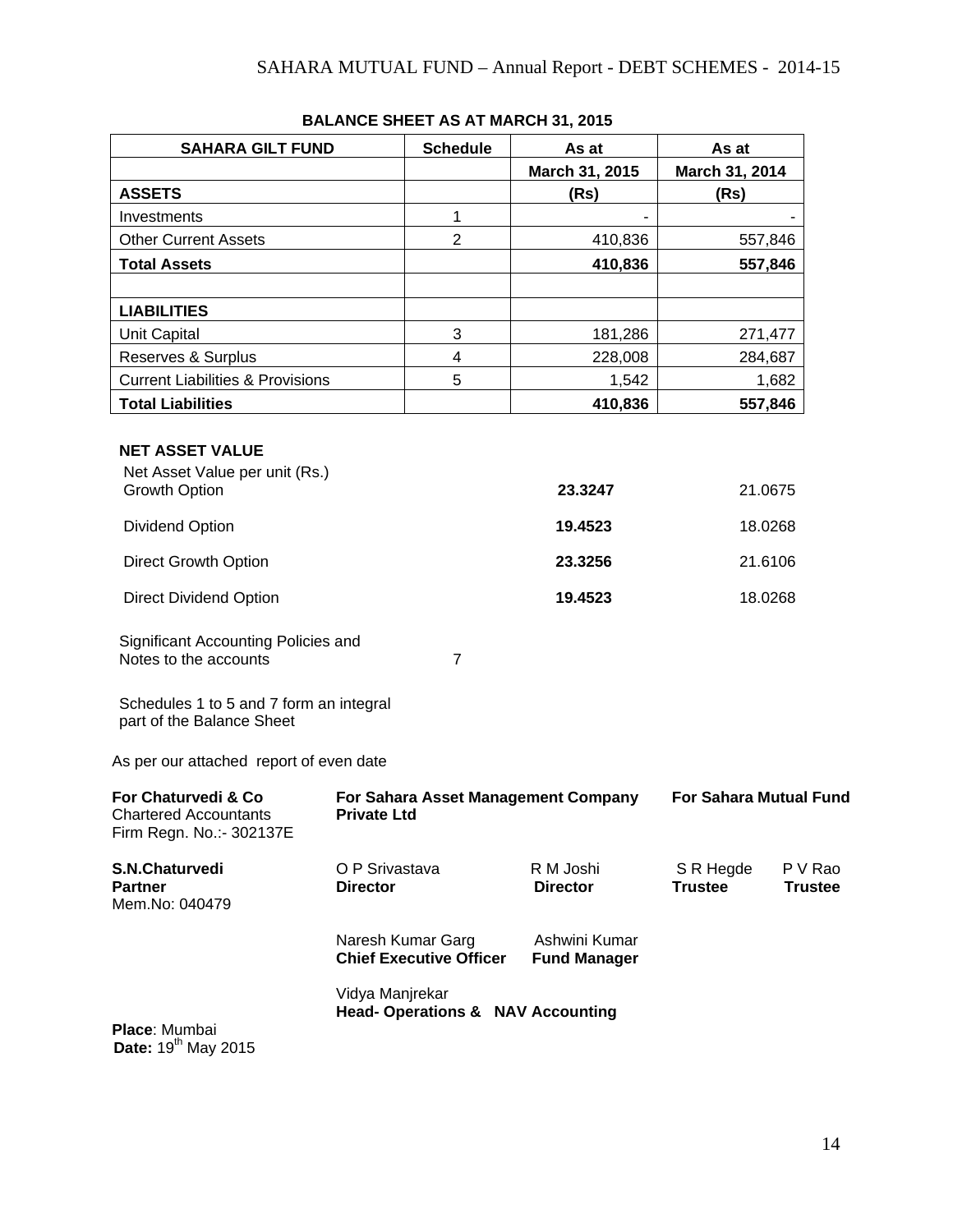| <b>SAHARA GILT FUND</b>                                                                                                                                                                                                                                                                                     |                                   | <b>Schedule</b>                                     | As at                                    | As at                                    |                           |
|-------------------------------------------------------------------------------------------------------------------------------------------------------------------------------------------------------------------------------------------------------------------------------------------------------------|-----------------------------------|-----------------------------------------------------|------------------------------------------|------------------------------------------|---------------------------|
|                                                                                                                                                                                                                                                                                                             |                                   |                                                     | March 31, 2015                           | March 31, 2014                           |                           |
| <b>ASSETS</b>                                                                                                                                                                                                                                                                                               |                                   |                                                     | (Rs)                                     | (Rs)                                     |                           |
| Investments                                                                                                                                                                                                                                                                                                 |                                   | 1                                                   |                                          |                                          |                           |
| <b>Other Current Assets</b>                                                                                                                                                                                                                                                                                 |                                   | $\overline{2}$                                      | 410,836                                  | 557,846                                  |                           |
| <b>Total Assets</b>                                                                                                                                                                                                                                                                                         |                                   |                                                     | 410,836                                  | 557,846                                  |                           |
|                                                                                                                                                                                                                                                                                                             |                                   |                                                     |                                          |                                          |                           |
| <b>LIABILITIES</b>                                                                                                                                                                                                                                                                                          |                                   |                                                     |                                          |                                          |                           |
| Unit Capital                                                                                                                                                                                                                                                                                                |                                   | 3                                                   | 181,286                                  | 271,477                                  |                           |
| Reserves & Surplus                                                                                                                                                                                                                                                                                          |                                   | $\overline{\mathbf{4}}$                             | 228,008                                  | 284,687                                  |                           |
| <b>Current Liabilities &amp; Provisions</b>                                                                                                                                                                                                                                                                 |                                   | 5                                                   | 1,542                                    |                                          | 1,682                     |
| <b>Total Liabilities</b>                                                                                                                                                                                                                                                                                    |                                   |                                                     | 410,836                                  | 557,846                                  |                           |
| <b>NET ASSET VALUE</b><br>Net Asset Value per unit (Rs.)<br><b>Growth Option</b><br>Dividend Option<br><b>Direct Growth Option</b><br><b>Direct Dividend Option</b><br>Significant Accounting Policies and<br>Notes to the accounts<br>Schedules 1 to 5 and 7 form an integral<br>part of the Balance Sheet |                                   | $\overline{7}$                                      | 23.3247<br>19.4523<br>23.3256<br>19.4523 | 21.0675<br>18.0268<br>21.6106<br>18.0268 |                           |
| As per our attached report of even date<br>For Chaturvedi & Co<br><b>Chartered Accountants</b>                                                                                                                                                                                                              | <b>Private Ltd</b>                |                                                     | For Sahara Asset Management Company      | <b>For Sahara Mutual Fund</b>            |                           |
| Firm Regn. No.:- 302137E                                                                                                                                                                                                                                                                                    |                                   |                                                     |                                          |                                          |                           |
| <b>S.N.Chaturvedi</b><br><b>Partner</b><br>Mem.No: 040479                                                                                                                                                                                                                                                   | O P Srivastava<br><b>Director</b> |                                                     | R M Joshi<br><b>Director</b>             | S R Hegde<br><b>Trustee</b>              | P V Rao<br><b>Trustee</b> |
|                                                                                                                                                                                                                                                                                                             |                                   | Naresh Kumar Garg<br><b>Chief Executive Officer</b> | Ashwini Kumar<br><b>Fund Manager</b>     |                                          |                           |
| Place: Mumbai                                                                                                                                                                                                                                                                                               | Vidya Manjrekar                   | <b>Head- Operations &amp; NAV Accounting</b>        |                                          |                                          |                           |

# **BALANCE SHEET AS AT MARCH 31, 2015**

**Date:** 19<sup>th</sup> May 2015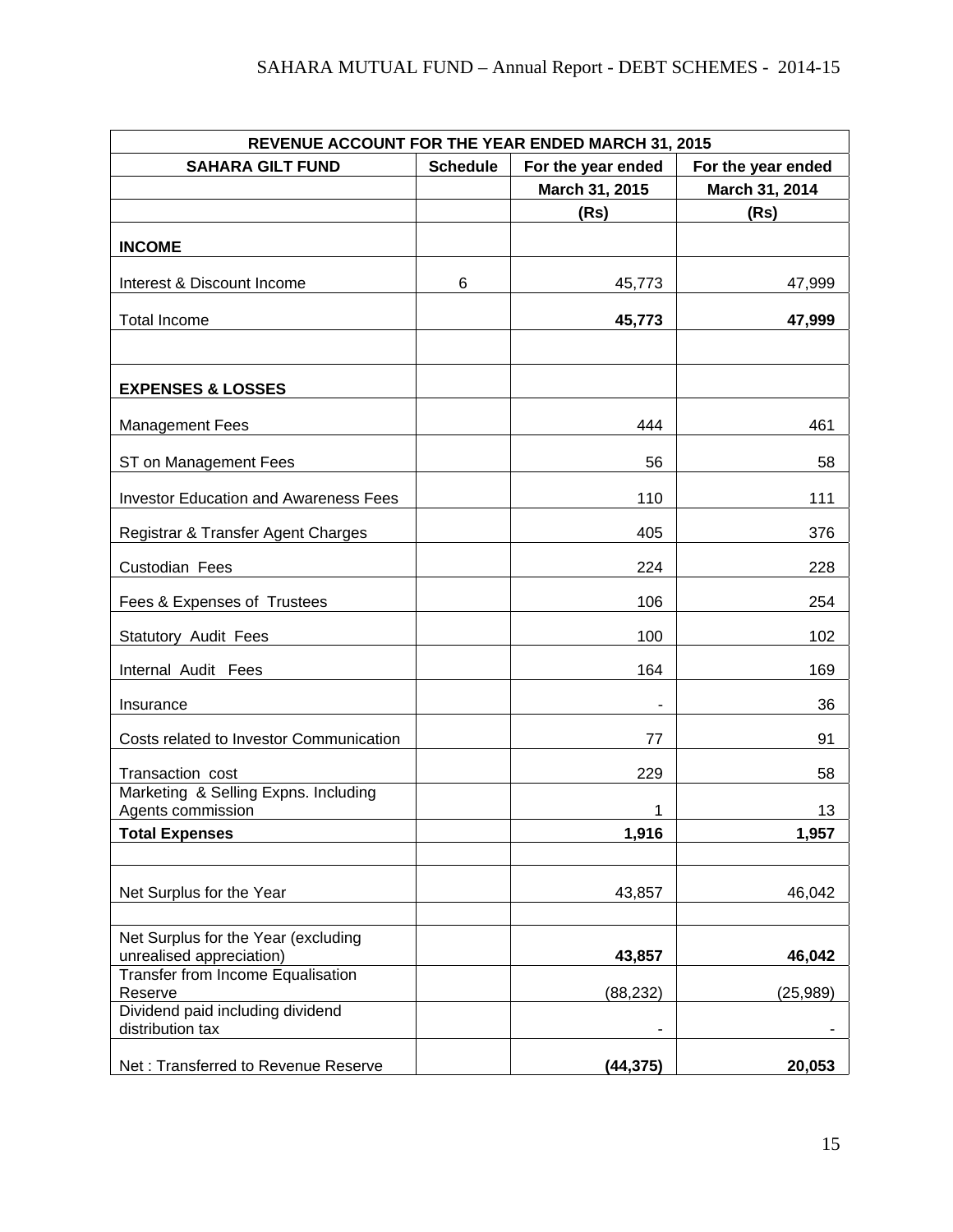| <b>REVENUE ACCOUNT FOR THE YEAR ENDED MARCH 31, 2015</b>  |                 |                    |                    |  |  |  |  |
|-----------------------------------------------------------|-----------------|--------------------|--------------------|--|--|--|--|
| <b>SAHARA GILT FUND</b>                                   | <b>Schedule</b> | For the year ended | For the year ended |  |  |  |  |
|                                                           |                 | March 31, 2015     | March 31, 2014     |  |  |  |  |
|                                                           |                 | (Rs)               | (Rs)               |  |  |  |  |
| <b>INCOME</b>                                             |                 |                    |                    |  |  |  |  |
| Interest & Discount Income                                | 6               | 45,773             | 47,999             |  |  |  |  |
|                                                           |                 |                    |                    |  |  |  |  |
| <b>Total Income</b>                                       |                 | 45,773             | 47,999             |  |  |  |  |
|                                                           |                 |                    |                    |  |  |  |  |
| <b>EXPENSES &amp; LOSSES</b>                              |                 |                    |                    |  |  |  |  |
| <b>Management Fees</b>                                    |                 | 444                | 461                |  |  |  |  |
| ST on Management Fees                                     |                 | 56                 | 58                 |  |  |  |  |
| <b>Investor Education and Awareness Fees</b>              |                 | 110                | 111                |  |  |  |  |
| Registrar & Transfer Agent Charges                        |                 | 405                | 376                |  |  |  |  |
| Custodian Fees                                            |                 | 224                | 228                |  |  |  |  |
|                                                           |                 |                    |                    |  |  |  |  |
| Fees & Expenses of Trustees                               |                 | 106                | 254                |  |  |  |  |
| <b>Statutory Audit Fees</b>                               |                 | 100                | 102                |  |  |  |  |
| Internal Audit Fees                                       |                 | 164                | 169                |  |  |  |  |
| Insurance                                                 |                 |                    | 36                 |  |  |  |  |
| Costs related to Investor Communication                   |                 | 77                 | 91                 |  |  |  |  |
| Transaction cost                                          |                 | 229                | 58                 |  |  |  |  |
| Marketing & Selling Expns. Including<br>Agents commission |                 | 1                  | 13                 |  |  |  |  |
| <b>Total Expenses</b>                                     |                 | 1,916              | 1,957              |  |  |  |  |
|                                                           |                 |                    |                    |  |  |  |  |
| Net Surplus for the Year                                  |                 | 43,857             | 46,042             |  |  |  |  |
| Net Surplus for the Year (excluding                       |                 |                    |                    |  |  |  |  |
| unrealised appreciation)                                  |                 | 43,857             | 46,042             |  |  |  |  |
| <b>Transfer from Income Equalisation</b><br>Reserve       |                 | (88, 232)          | (25, 989)          |  |  |  |  |
| Dividend paid including dividend<br>distribution tax      |                 |                    |                    |  |  |  |  |
|                                                           |                 |                    |                    |  |  |  |  |
| Net: Transferred to Revenue Reserve                       |                 | (44, 375)          | 20,053             |  |  |  |  |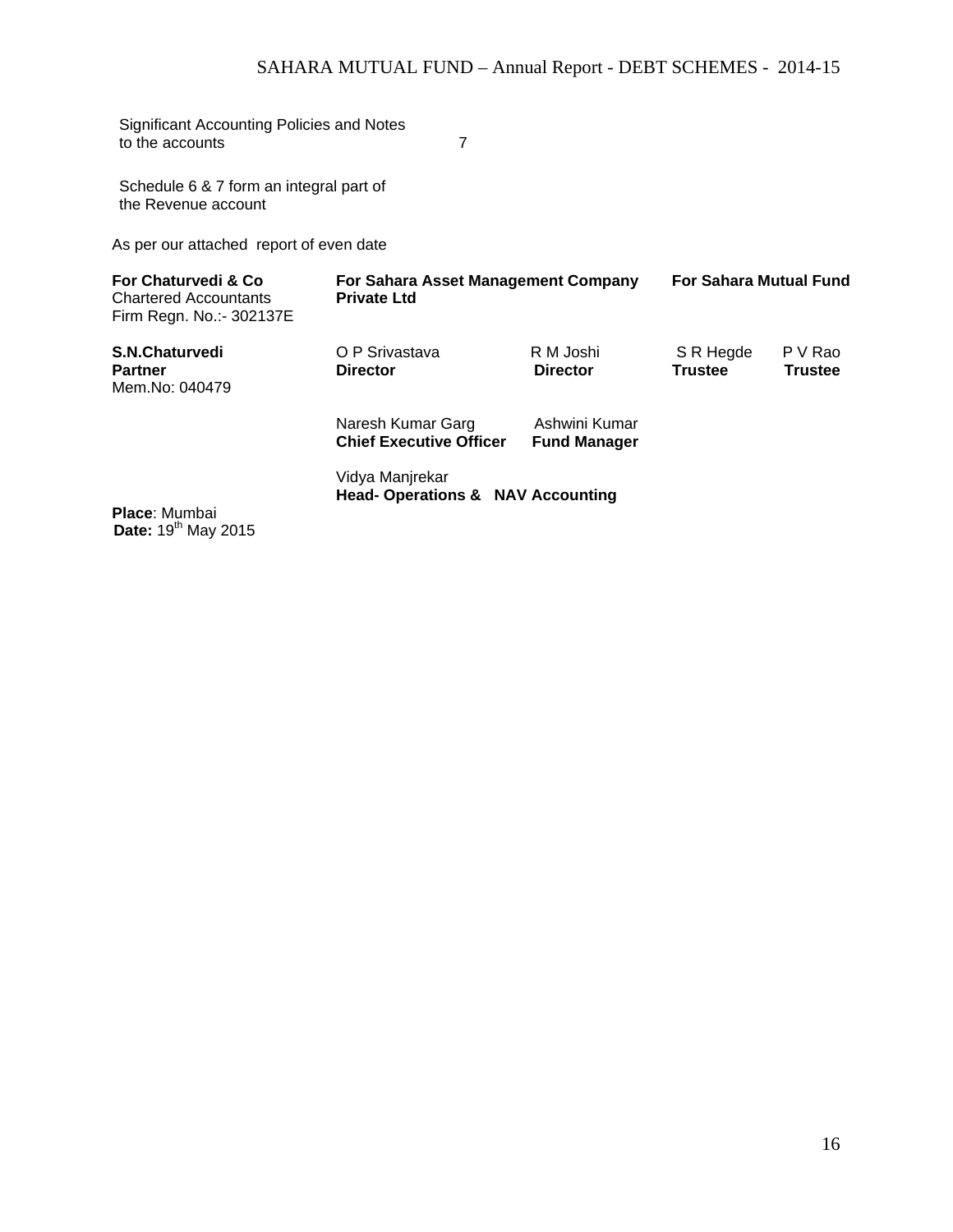Significant Accounting Policies and Notes to the accounts **7** 

Schedule 6 & 7 form an integral part of the Revenue account

As per our attached report of even date

| For Chaturvedi & Co.<br><b>Chartered Accountants</b><br>Firm Regn. No.:- 302137E | <b>For Sahara Asset Management Company</b><br><b>Private Ltd</b> | <b>For Sahara Mutual Fund</b>        |                             |                           |
|----------------------------------------------------------------------------------|------------------------------------------------------------------|--------------------------------------|-----------------------------|---------------------------|
| <b>S.N.Chaturvedi</b><br><b>Partner</b><br>Mem.No: 040479                        | O P Srivastava<br><b>Director</b>                                | R M Joshi<br><b>Director</b>         | S R Hegde<br><b>Trustee</b> | P V Rao<br><b>Trustee</b> |
|                                                                                  | Naresh Kumar Garg<br><b>Chief Executive Officer</b>              | Ashwini Kumar<br><b>Fund Manager</b> |                             |                           |
|                                                                                  | Vidya Manjrekar<br><b>Head- Operations &amp; NAV Accounting</b>  |                                      |                             |                           |
| <b>Place:</b> Mumbai<br>Date: $19th$ May 2015                                    |                                                                  |                                      |                             |                           |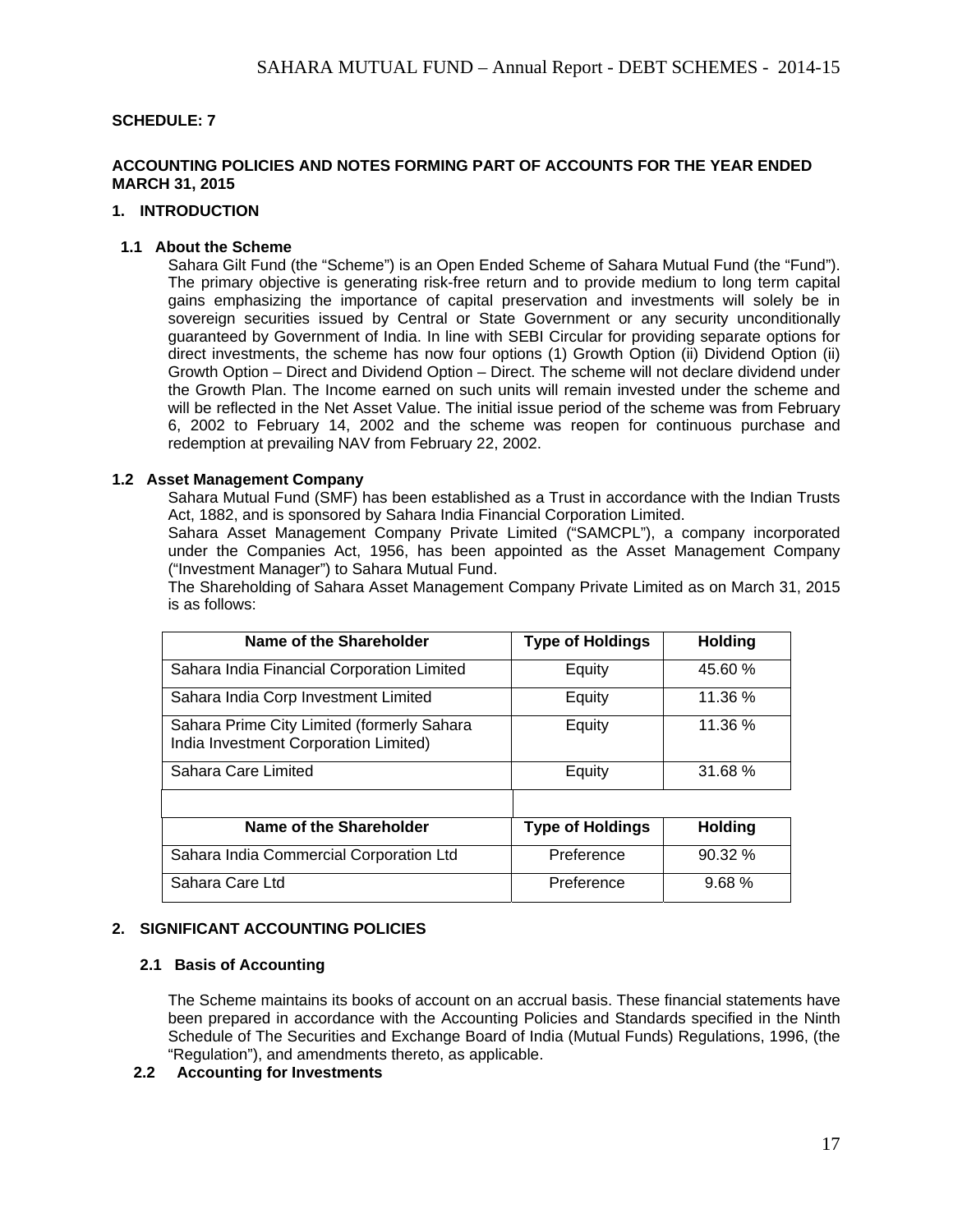## **SCHEDULE: 7**

## **ACCOUNTING POLICIES AND NOTES FORMING PART OF ACCOUNTS FOR THE YEAR ENDED MARCH 31, 2015**

## **1. INTRODUCTION**

## **1.1 About the Scheme**

Sahara Gilt Fund (the "Scheme") is an Open Ended Scheme of Sahara Mutual Fund (the "Fund"). The primary objective is generating risk-free return and to provide medium to long term capital gains emphasizing the importance of capital preservation and investments will solely be in sovereign securities issued by Central or State Government or any security unconditionally guaranteed by Government of India. In line with SEBI Circular for providing separate options for direct investments, the scheme has now four options (1) Growth Option (ii) Dividend Option (ii) Growth Option – Direct and Dividend Option – Direct. The scheme will not declare dividend under the Growth Plan. The Income earned on such units will remain invested under the scheme and will be reflected in the Net Asset Value. The initial issue period of the scheme was from February 6, 2002 to February 14, 2002 and the scheme was reopen for continuous purchase and redemption at prevailing NAV from February 22, 2002.

## **1.2 Asset Management Company**

Sahara Mutual Fund (SMF) has been established as a Trust in accordance with the Indian Trusts Act, 1882, and is sponsored by Sahara India Financial Corporation Limited.

Sahara Asset Management Company Private Limited ("SAMCPL"), a company incorporated under the Companies Act, 1956, has been appointed as the Asset Management Company ("Investment Manager") to Sahara Mutual Fund.

The Shareholding of Sahara Asset Management Company Private Limited as on March 31, 2015 is as follows:

| Name of the Shareholder                                                             | <b>Type of Holdings</b> | <b>Holding</b> |
|-------------------------------------------------------------------------------------|-------------------------|----------------|
| Sahara India Financial Corporation Limited                                          | Equity                  | 45.60 %        |
| Sahara India Corp Investment Limited                                                | Equity                  | 11.36 %        |
| Sahara Prime City Limited (formerly Sahara<br>India Investment Corporation Limited) | Equity                  | 11.36 %        |
| Sahara Care Limited                                                                 | Equity                  | 31.68%         |
|                                                                                     |                         |                |
| Name of the Shareholder                                                             | <b>Type of Holdings</b> | <b>Holding</b> |
| Sahara India Commercial Corporation Ltd                                             | Preference              | 90.32%         |
| Sahara Care Ltd                                                                     | Preference              | 9.68%          |

## **2. SIGNIFICANT ACCOUNTING POLICIES**

## **2.1 Basis of Accounting**

The Scheme maintains its books of account on an accrual basis. These financial statements have been prepared in accordance with the Accounting Policies and Standards specified in the Ninth Schedule of The Securities and Exchange Board of India (Mutual Funds) Regulations, 1996, (the "Regulation"), and amendments thereto, as applicable.

## **2.2 Accounting for Investments**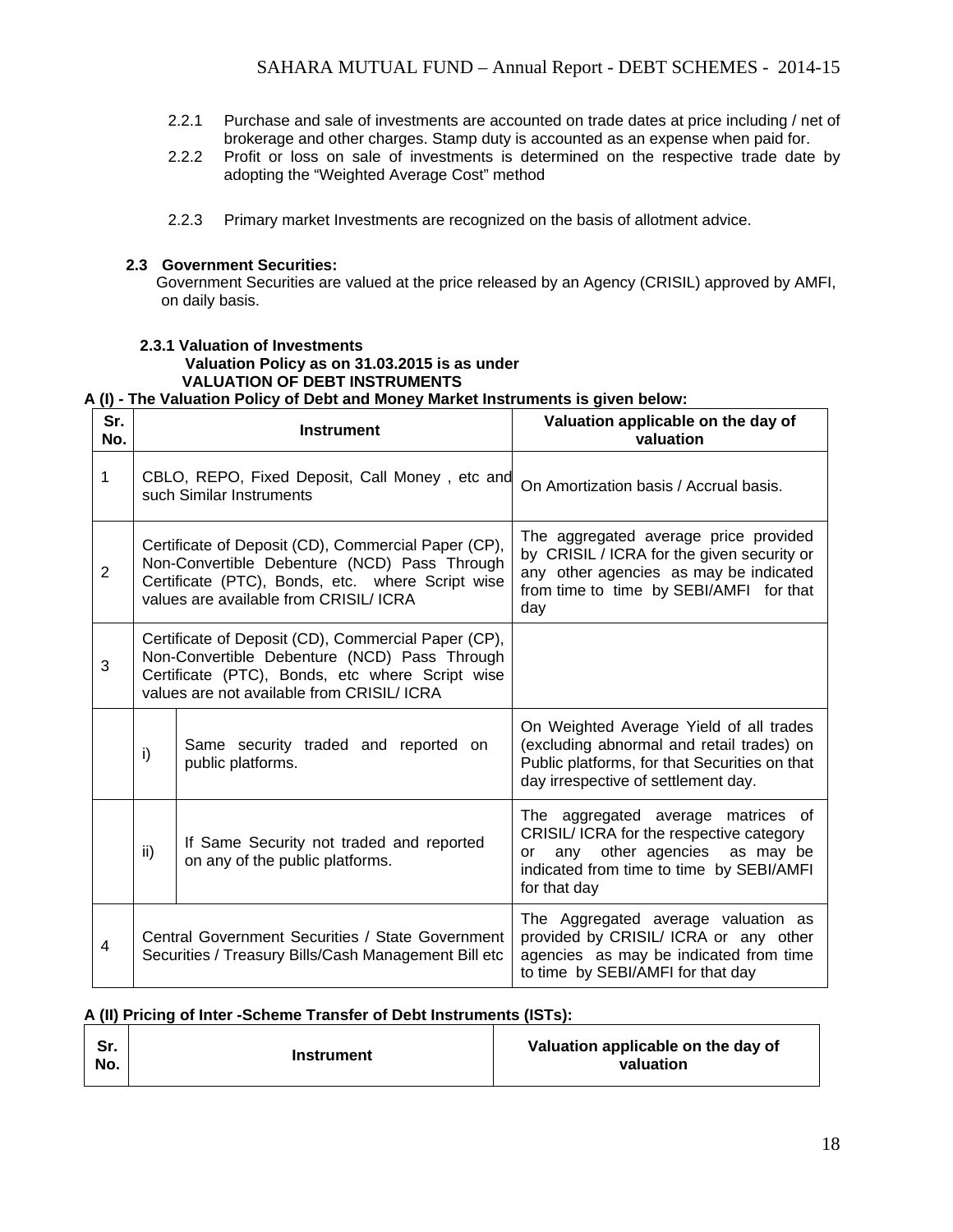- 2.2.1 Purchase and sale of investments are accounted on trade dates at price including / net of brokerage and other charges. Stamp duty is accounted as an expense when paid for.
- 2.2.2 Profit or loss on sale of investments is determined on the respective trade date by adopting the "Weighted Average Cost" method
- 2.2.3 Primary market Investments are recognized on the basis of allotment advice.

## **2.3 Government Securities:**

 Government Securities are valued at the price released by an Agency (CRISIL) approved by AMFI, on daily basis.

## **2.3.1 Valuation of Investments Valuation Policy as on 31.03.2015 is as under VALUATION OF DEBT INSTRUMENTS**

## **A (I) - The Valuation Policy of Debt and Money Market Instruments is given below:**

| Sr.<br>No.     |                                                                                    | <b>Instrument</b>                                                                                                                                                                                    | Valuation applicable on the day of<br>valuation                                                                                                                                     |
|----------------|------------------------------------------------------------------------------------|------------------------------------------------------------------------------------------------------------------------------------------------------------------------------------------------------|-------------------------------------------------------------------------------------------------------------------------------------------------------------------------------------|
| $\mathbf{1}$   |                                                                                    | CBLO, REPO, Fixed Deposit, Call Money, etc and<br>such Similar Instruments                                                                                                                           | On Amortization basis / Accrual basis.                                                                                                                                              |
| $\overline{2}$ |                                                                                    | Certificate of Deposit (CD), Commercial Paper (CP),<br>Non-Convertible Debenture (NCD) Pass Through<br>Certificate (PTC), Bonds, etc. where Script wise<br>values are available from CRISIL/ ICRA    | The aggregated average price provided<br>by CRISIL / ICRA for the given security or<br>any other agencies as may be indicated<br>from time to time by SEBI/AMFI for that<br>day     |
| 3              |                                                                                    | Certificate of Deposit (CD), Commercial Paper (CP),<br>Non-Convertible Debenture (NCD) Pass Through<br>Certificate (PTC), Bonds, etc where Script wise<br>values are not available from CRISIL/ ICRA |                                                                                                                                                                                     |
|                | Same security traded and reported on<br>i)<br>public platforms.                    |                                                                                                                                                                                                      | On Weighted Average Yield of all trades<br>(excluding abnormal and retail trades) on<br>Public platforms, for that Securities on that<br>day irrespective of settlement day.        |
|                | If Same Security not traded and reported<br>ii)<br>on any of the public platforms. |                                                                                                                                                                                                      | The aggregated average matrices of<br>CRISIL/ ICRA for the respective category<br>other agencies as may be<br>anv<br>or<br>indicated from time to time by SEBI/AMFI<br>for that day |
| 4              |                                                                                    | Central Government Securities / State Government<br>Securities / Treasury Bills/Cash Management Bill etc                                                                                             | The Aggregated average valuation as<br>provided by CRISIL/ ICRA or any other<br>agencies as may be indicated from time<br>to time by SEBI/AMFI for that day                         |

## **A (II) Pricing of Inter -Scheme Transfer of Debt Instruments (ISTs):**

| Sr.<br>No. | <b>Instrument</b> | Valuation applicable on the day of<br>valuation |
|------------|-------------------|-------------------------------------------------|
|------------|-------------------|-------------------------------------------------|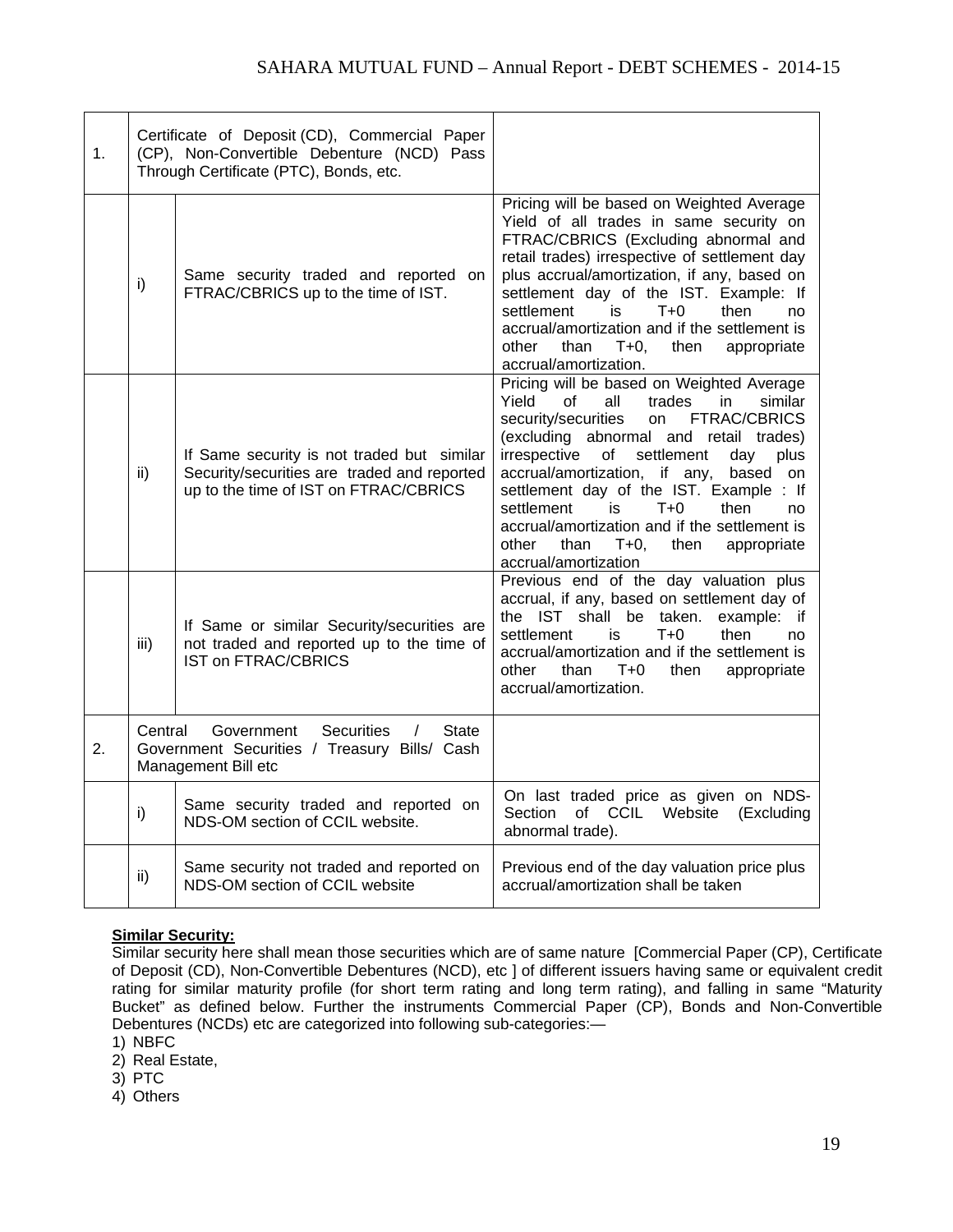| 1.                                                                                                                                           |      | Certificate of Deposit (CD), Commercial Paper<br>(CP), Non-Convertible Debenture (NCD) Pass<br>Through Certificate (PTC), Bonds, etc. |                                                                                                                                                                                                                                                                                                                                                                                                                                                                                                               |
|----------------------------------------------------------------------------------------------------------------------------------------------|------|---------------------------------------------------------------------------------------------------------------------------------------|---------------------------------------------------------------------------------------------------------------------------------------------------------------------------------------------------------------------------------------------------------------------------------------------------------------------------------------------------------------------------------------------------------------------------------------------------------------------------------------------------------------|
|                                                                                                                                              | i)   | Same security traded and reported on<br>FTRAC/CBRICS up to the time of IST.                                                           | Pricing will be based on Weighted Average<br>Yield of all trades in same security on<br>FTRAC/CBRICS (Excluding abnormal and<br>retail trades) irrespective of settlement day<br>plus accrual/amortization, if any, based on<br>settlement day of the IST. Example: If<br>settlement<br>$T+0$<br>is<br>then<br>no<br>accrual/amortization and if the settlement is<br>$T+0$ ,<br>other<br>than<br>then<br>appropriate<br>accrual/amortization.                                                                |
|                                                                                                                                              | ii)  | If Same security is not traded but similar<br>Security/securities are traded and reported<br>up to the time of IST on FTRAC/CBRICS    | Pricing will be based on Weighted Average<br>Yield<br>οf<br>all<br>trades<br>similar<br>in.<br>security/securities<br><b>FTRAC/CBRICS</b><br>on<br>(excluding abnormal and retail trades)<br>irrespective<br>settlement<br>of<br>dav<br>plus<br>accrual/amortization, if any,<br>based<br>on<br>settlement day of the IST. Example : If<br>settlement<br>$T+0$<br>is<br>then<br>no<br>accrual/amortization and if the settlement is<br>$T+0.$<br>then<br>other<br>than<br>appropriate<br>accrual/amortization |
|                                                                                                                                              | iii) | If Same or similar Security/securities are<br>not traded and reported up to the time of<br><b>IST on FTRAC/CBRICS</b>                 | Previous end of the day valuation plus<br>accrual, if any, based on settlement day of<br>the IST shall be taken.<br>example: if<br>settlement<br>$T+0$<br>then<br>is<br>no<br>accrual/amortization and if the settlement is<br>other<br>than<br>$T+0$<br>then<br>appropriate<br>accrual/amortization.                                                                                                                                                                                                         |
| Central<br>Government<br><b>Securities</b><br>State<br>$\prime$<br>2.<br>Government Securities / Treasury Bills/ Cash<br>Management Bill etc |      |                                                                                                                                       |                                                                                                                                                                                                                                                                                                                                                                                                                                                                                                               |
|                                                                                                                                              | i)   | Same security traded and reported on<br>NDS-OM section of CCIL website.                                                               | On last traded price as given on NDS-<br>Section<br>of<br>CCIL<br>Website<br>(Excluding<br>abnormal trade).                                                                                                                                                                                                                                                                                                                                                                                                   |
|                                                                                                                                              | ii)  | Same security not traded and reported on<br>NDS-OM section of CCIL website                                                            | Previous end of the day valuation price plus<br>accrual/amortization shall be taken                                                                                                                                                                                                                                                                                                                                                                                                                           |

## **Similar Security:**

Similar security here shall mean those securities which are of same nature [Commercial Paper (CP), Certificate of Deposit (CD), Non-Convertible Debentures (NCD), etc ] of different issuers having same or equivalent credit rating for similar maturity profile (for short term rating and long term rating), and falling in same "Maturity Bucket" as defined below. Further the instruments Commercial Paper (CP), Bonds and Non-Convertible Debentures (NCDs) etc are categorized into following sub-categories:—

1) NBFC

2) Real Estate,

3) PTC

4) Others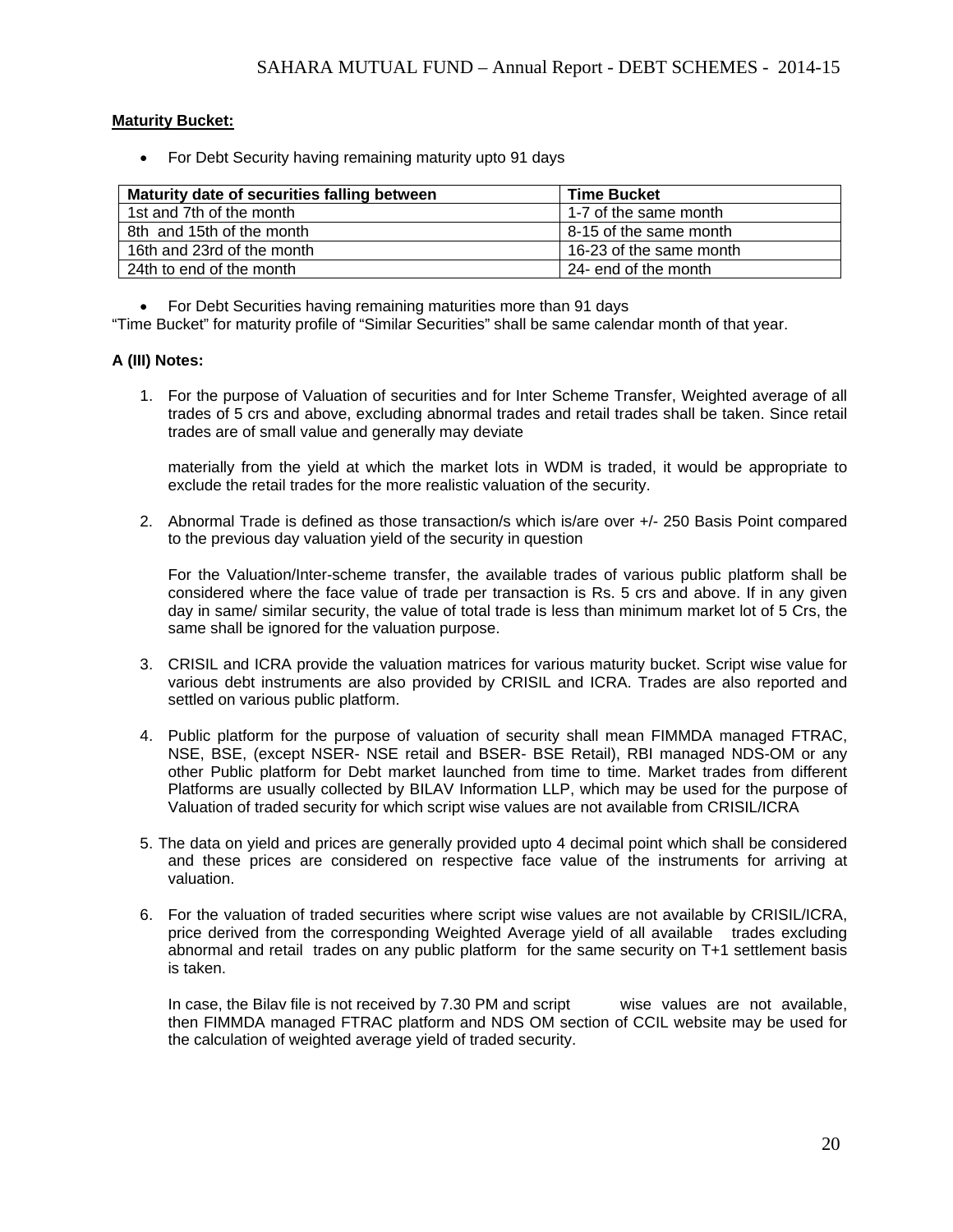## **Maturity Bucket:**

• For Debt Security having remaining maturity upto 91 days

| Maturity date of securities falling between | <b>Time Bucket</b>      |
|---------------------------------------------|-------------------------|
| 1st and 7th of the month                    | 1-7 of the same month   |
| 8th and 15th of the month                   | 8-15 of the same month  |
| 16th and 23rd of the month                  | 16-23 of the same month |
| 24th to end of the month                    | 24- end of the month    |

• For Debt Securities having remaining maturities more than 91 days

"Time Bucket" for maturity profile of "Similar Securities" shall be same calendar month of that year.

## **A (III) Notes:**

1. For the purpose of Valuation of securities and for Inter Scheme Transfer, Weighted average of all trades of 5 crs and above, excluding abnormal trades and retail trades shall be taken. Since retail trades are of small value and generally may deviate

materially from the yield at which the market lots in WDM is traded, it would be appropriate to exclude the retail trades for the more realistic valuation of the security.

2. Abnormal Trade is defined as those transaction/s which is/are over +/- 250 Basis Point compared to the previous day valuation yield of the security in question

For the Valuation/Inter-scheme transfer, the available trades of various public platform shall be considered where the face value of trade per transaction is Rs. 5 crs and above. If in any given day in same/ similar security, the value of total trade is less than minimum market lot of 5 Crs, the same shall be ignored for the valuation purpose.

- 3. CRISIL and ICRA provide the valuation matrices for various maturity bucket. Script wise value for various debt instruments are also provided by CRISIL and ICRA. Trades are also reported and settled on various public platform.
- 4. Public platform for the purpose of valuation of security shall mean FIMMDA managed FTRAC, NSE, BSE, (except NSER- NSE retail and BSER- BSE Retail), RBI managed NDS-OM or any other Public platform for Debt market launched from time to time. Market trades from different Platforms are usually collected by BILAV Information LLP, which may be used for the purpose of Valuation of traded security for which script wise values are not available from CRISIL/ICRA
- 5. The data on yield and prices are generally provided upto 4 decimal point which shall be considered and these prices are considered on respective face value of the instruments for arriving at valuation.
- 6. For the valuation of traded securities where script wise values are not available by CRISIL/ICRA, price derived from the corresponding Weighted Average yield of all available trades excluding abnormal and retail trades on any public platform for the same security on T+1 settlement basis is taken.

In case, the Bilav file is not received by 7.30 PM and script wise values are not available, then FIMMDA managed FTRAC platform and NDS OM section of CCIL website may be used for the calculation of weighted average yield of traded security.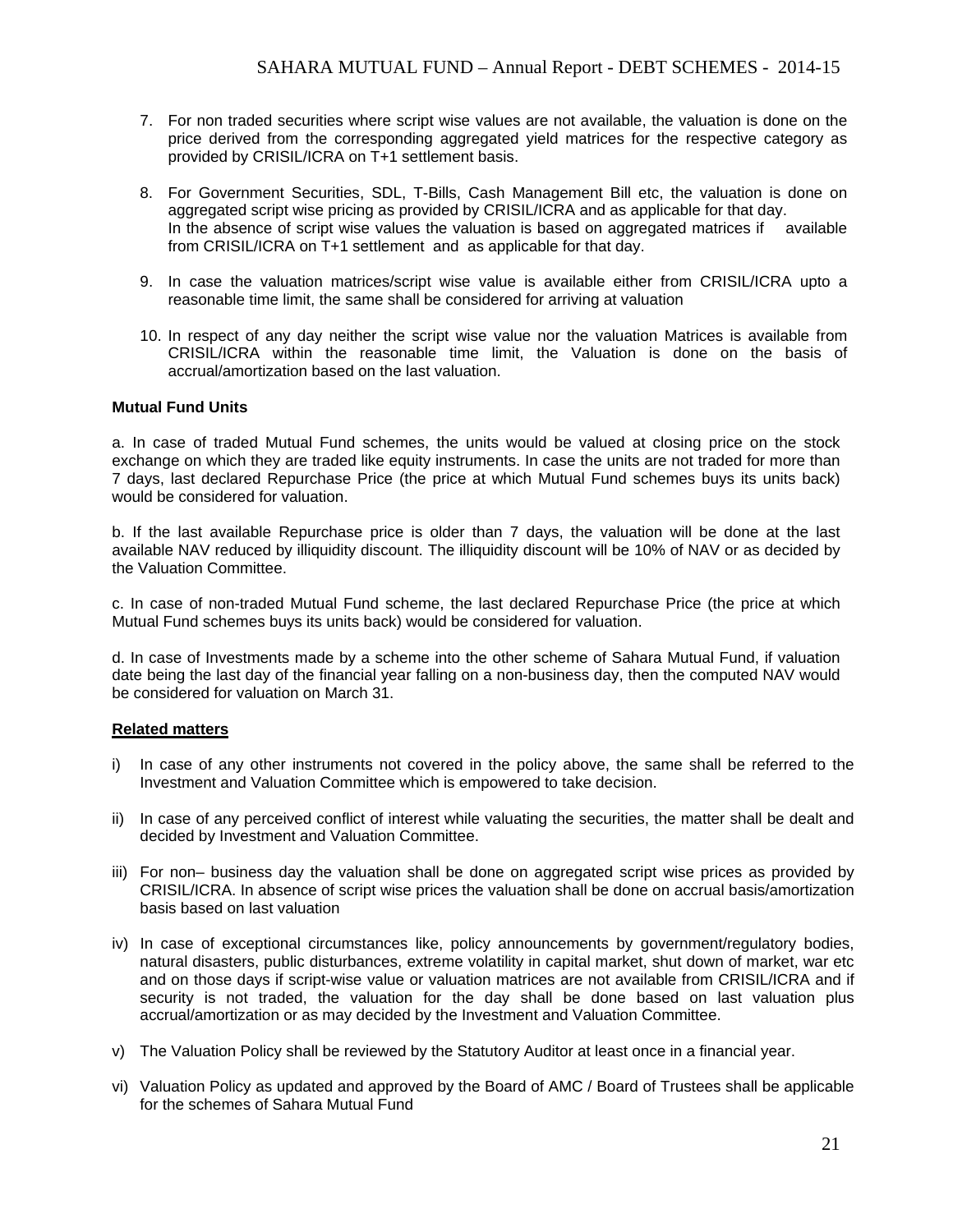- 7. For non traded securities where script wise values are not available, the valuation is done on the price derived from the corresponding aggregated yield matrices for the respective category as provided by CRISIL/ICRA on T+1 settlement basis.
- 8. For Government Securities, SDL, T-Bills, Cash Management Bill etc, the valuation is done on aggregated script wise pricing as provided by CRISIL/ICRA and as applicable for that day. In the absence of script wise values the valuation is based on aggregated matrices if available from CRISIL/ICRA on T+1 settlement and as applicable for that day.
- 9. In case the valuation matrices/script wise value is available either from CRISIL/ICRA upto a reasonable time limit, the same shall be considered for arriving at valuation
- 10. In respect of any day neither the script wise value nor the valuation Matrices is available from CRISIL/ICRA within the reasonable time limit, the Valuation is done on the basis of accrual/amortization based on the last valuation.

## **Mutual Fund Units**

a. In case of traded Mutual Fund schemes, the units would be valued at closing price on the stock exchange on which they are traded like equity instruments. In case the units are not traded for more than 7 days, last declared Repurchase Price (the price at which Mutual Fund schemes buys its units back) would be considered for valuation.

b. If the last available Repurchase price is older than 7 days, the valuation will be done at the last available NAV reduced by illiquidity discount. The illiquidity discount will be 10% of NAV or as decided by the Valuation Committee.

c. In case of non-traded Mutual Fund scheme, the last declared Repurchase Price (the price at which Mutual Fund schemes buys its units back) would be considered for valuation.

d. In case of Investments made by a scheme into the other scheme of Sahara Mutual Fund, if valuation date being the last day of the financial year falling on a non-business day, then the computed NAV would be considered for valuation on March 31.

## **Related matters**

- i) In case of any other instruments not covered in the policy above, the same shall be referred to the Investment and Valuation Committee which is empowered to take decision.
- ii) In case of any perceived conflict of interest while valuating the securities, the matter shall be dealt and decided by Investment and Valuation Committee.
- iii) For non– business day the valuation shall be done on aggregated script wise prices as provided by CRISIL/ICRA. In absence of script wise prices the valuation shall be done on accrual basis/amortization basis based on last valuation
- iv) In case of exceptional circumstances like, policy announcements by government/regulatory bodies, natural disasters, public disturbances, extreme volatility in capital market, shut down of market, war etc and on those days if script-wise value or valuation matrices are not available from CRISIL/ICRA and if security is not traded, the valuation for the day shall be done based on last valuation plus accrual/amortization or as may decided by the Investment and Valuation Committee.
- v) The Valuation Policy shall be reviewed by the Statutory Auditor at least once in a financial year.
- vi) Valuation Policy as updated and approved by the Board of AMC / Board of Trustees shall be applicable for the schemes of Sahara Mutual Fund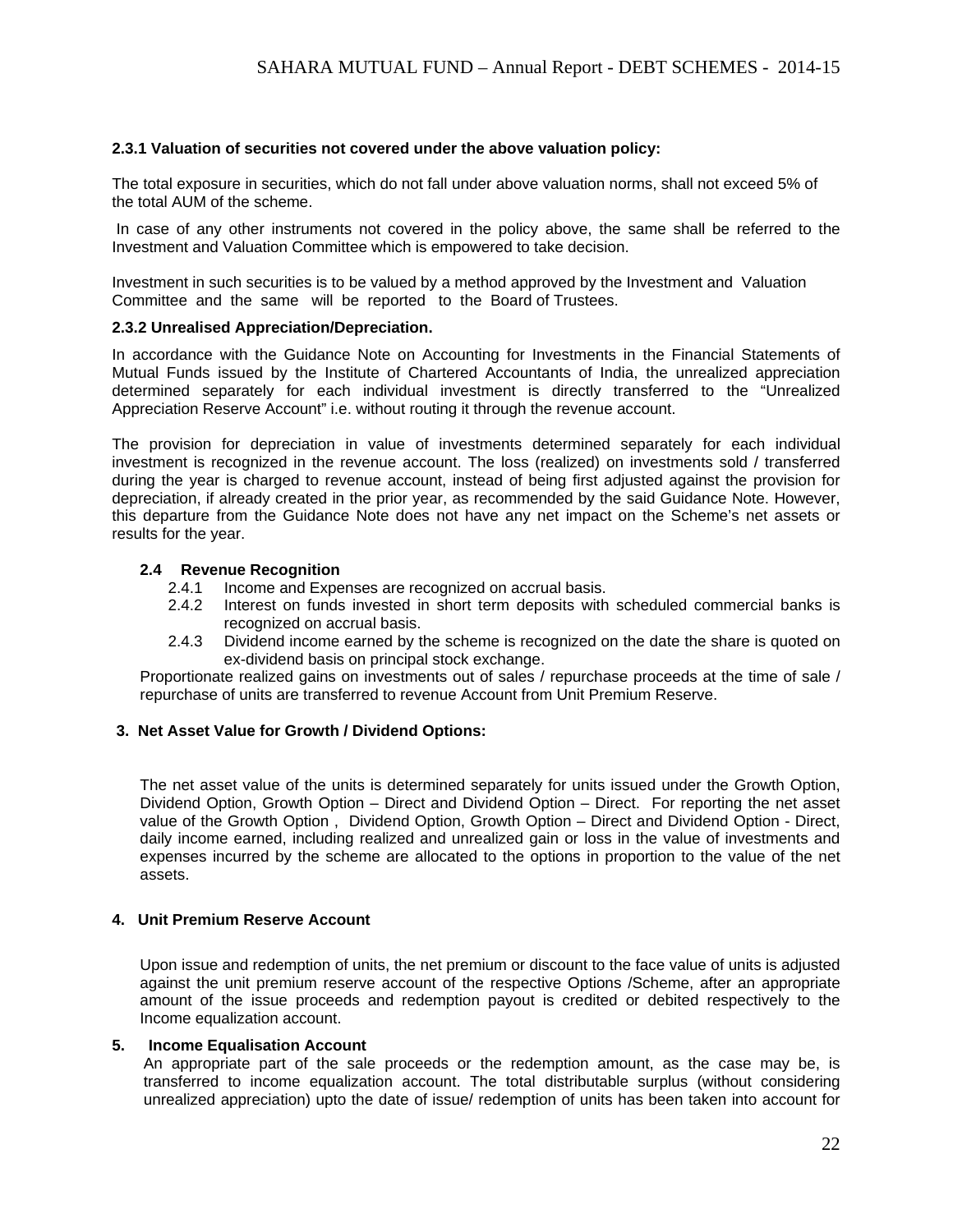## **2.3.1 Valuation of securities not covered under the above valuation policy:**

The total exposure in securities, which do not fall under above valuation norms, shall not exceed 5% of the total AUM of the scheme.

 In case of any other instruments not covered in the policy above, the same shall be referred to the Investment and Valuation Committee which is empowered to take decision.

Investment in such securities is to be valued by a method approved by the Investment and Valuation Committee and the same will be reported to the Board of Trustees.

## **2.3.2 Unrealised Appreciation/Depreciation.**

In accordance with the Guidance Note on Accounting for Investments in the Financial Statements of Mutual Funds issued by the Institute of Chartered Accountants of India, the unrealized appreciation determined separately for each individual investment is directly transferred to the "Unrealized Appreciation Reserve Account" i.e. without routing it through the revenue account.

The provision for depreciation in value of investments determined separately for each individual investment is recognized in the revenue account. The loss (realized) on investments sold / transferred during the year is charged to revenue account, instead of being first adjusted against the provision for depreciation, if already created in the prior year, as recommended by the said Guidance Note. However, this departure from the Guidance Note does not have any net impact on the Scheme's net assets or results for the year.

#### **2.4 Revenue Recognition**

- 2.4.1 Income and Expenses are recognized on accrual basis.
- 2.4.2 Interest on funds invested in short term deposits with scheduled commercial banks is recognized on accrual basis.
- 2.4.3 Dividend income earned by the scheme is recognized on the date the share is quoted on ex-dividend basis on principal stock exchange.

Proportionate realized gains on investments out of sales / repurchase proceeds at the time of sale / repurchase of units are transferred to revenue Account from Unit Premium Reserve.

## **3. Net Asset Value for Growth / Dividend Options:**

The net asset value of the units is determined separately for units issued under the Growth Option, Dividend Option, Growth Option – Direct and Dividend Option – Direct. For reporting the net asset value of the Growth Option , Dividend Option, Growth Option – Direct and Dividend Option - Direct, daily income earned, including realized and unrealized gain or loss in the value of investments and expenses incurred by the scheme are allocated to the options in proportion to the value of the net assets.

## **4. Unit Premium Reserve Account**

Upon issue and redemption of units, the net premium or discount to the face value of units is adjusted against the unit premium reserve account of the respective Options /Scheme, after an appropriate amount of the issue proceeds and redemption payout is credited or debited respectively to the Income equalization account.

## **5. Income Equalisation Account**

An appropriate part of the sale proceeds or the redemption amount, as the case may be, is transferred to income equalization account. The total distributable surplus (without considering unrealized appreciation) upto the date of issue/ redemption of units has been taken into account for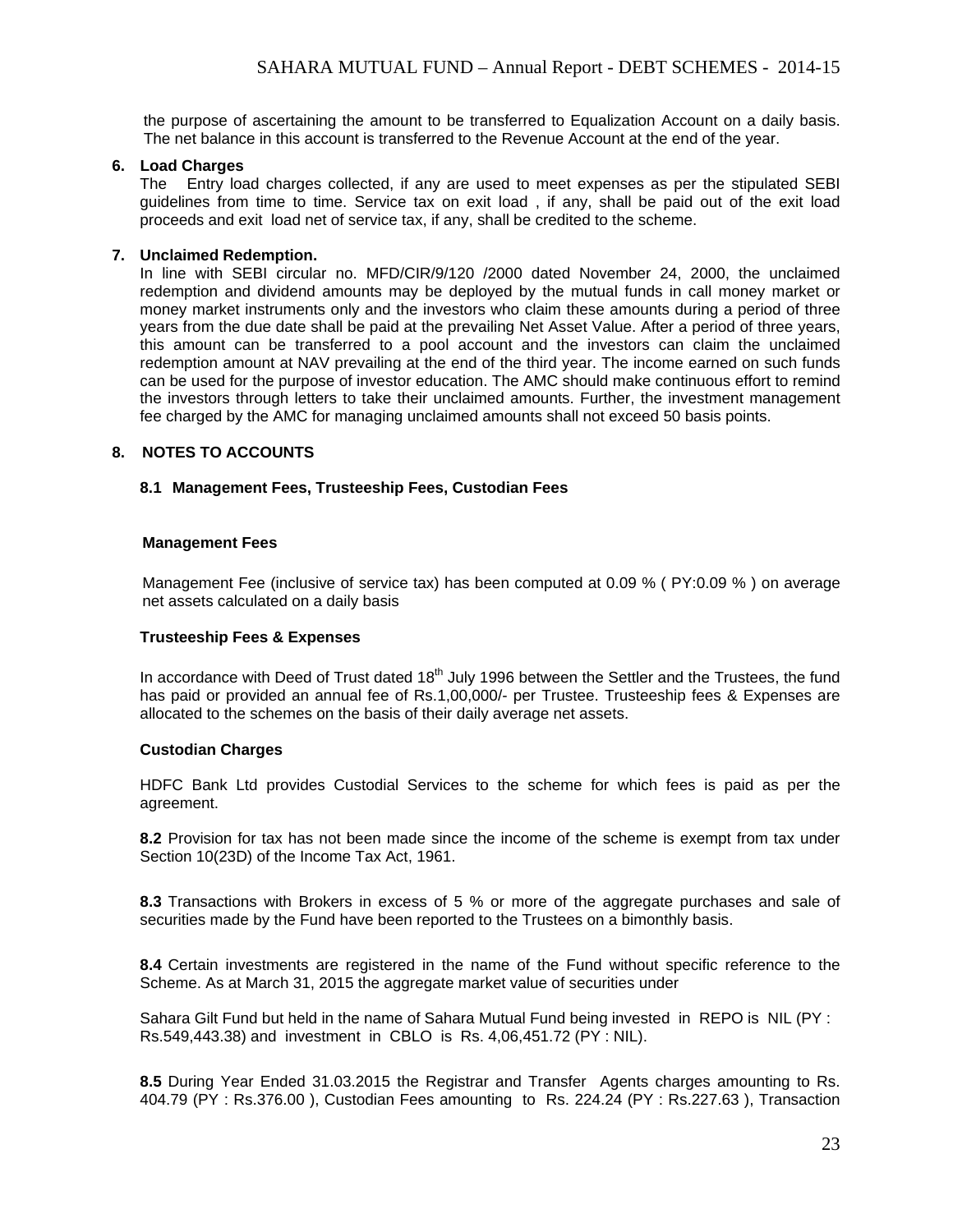the purpose of ascertaining the amount to be transferred to Equalization Account on a daily basis. The net balance in this account is transferred to the Revenue Account at the end of the year.

## **6. Load Charges**

The Entry load charges collected, if any are used to meet expenses as per the stipulated SEBI guidelines from time to time. Service tax on exit load , if any, shall be paid out of the exit load proceeds and exit load net of service tax, if any, shall be credited to the scheme.

## **7. Unclaimed Redemption.**

In line with SEBI circular no. MFD/CIR/9/120 /2000 dated November 24, 2000, the unclaimed redemption and dividend amounts may be deployed by the mutual funds in call money market or money market instruments only and the investors who claim these amounts during a period of three years from the due date shall be paid at the prevailing Net Asset Value. After a period of three years, this amount can be transferred to a pool account and the investors can claim the unclaimed redemption amount at NAV prevailing at the end of the third year. The income earned on such funds can be used for the purpose of investor education. The AMC should make continuous effort to remind the investors through letters to take their unclaimed amounts. Further, the investment management fee charged by the AMC for managing unclaimed amounts shall not exceed 50 basis points.

## **8. NOTES TO ACCOUNTS**

## **8.1 Management Fees, Trusteeship Fees, Custodian Fees**

## **Management Fees**

Management Fee (inclusive of service tax) has been computed at 0.09 % ( PY:0.09 % ) on average net assets calculated on a daily basis

## **Trusteeship Fees & Expenses**

In accordance with Deed of Trust dated  $18<sup>th</sup>$  July 1996 between the Settler and the Trustees, the fund has paid or provided an annual fee of Rs.1,00,000/- per Trustee. Trusteeship fees & Expenses are allocated to the schemes on the basis of their daily average net assets.

## **Custodian Charges**

HDFC Bank Ltd provides Custodial Services to the scheme for which fees is paid as per the agreement.

**8.2** Provision for tax has not been made since the income of the scheme is exempt from tax under Section 10(23D) of the Income Tax Act, 1961.

**8.3** Transactions with Brokers in excess of 5 % or more of the aggregate purchases and sale of securities made by the Fund have been reported to the Trustees on a bimonthly basis.

**8.4** Certain investments are registered in the name of the Fund without specific reference to the Scheme. As at March 31, 2015 the aggregate market value of securities under

Sahara Gilt Fund but held in the name of Sahara Mutual Fund being invested in REPO is NIL (PY : Rs.549,443.38) and investment in CBLO is Rs. 4,06,451.72 (PY : NIL).

**8.5** During Year Ended 31.03.2015 the Registrar and Transfer Agents charges amounting to Rs. 404.79 (PY : Rs.376.00 ), Custodian Fees amounting to Rs. 224.24 (PY : Rs.227.63 ), Transaction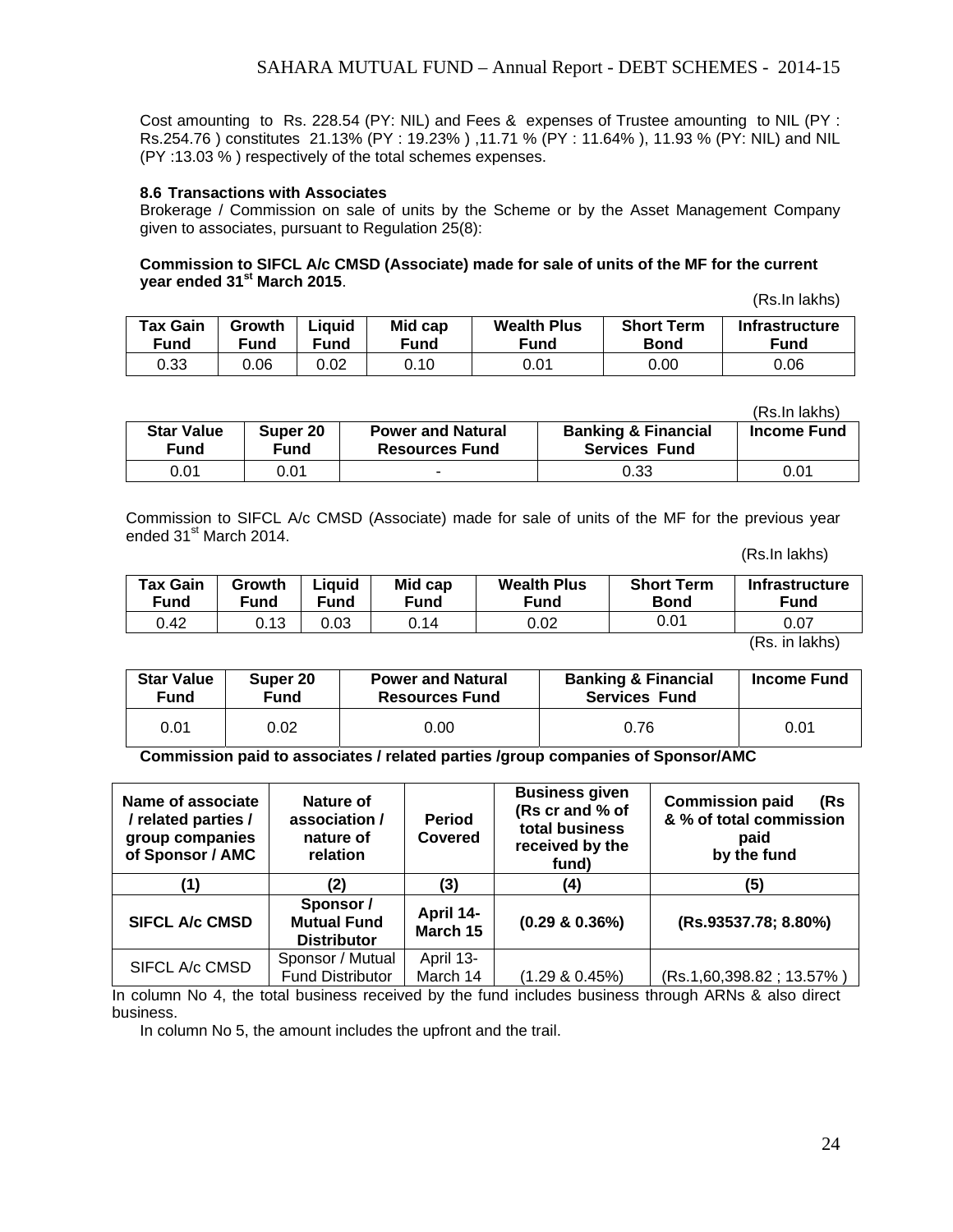Cost amounting to Rs. 228.54 (PY: NIL) and Fees & expenses of Trustee amounting to NIL (PY : Rs.254.76 ) constitutes 21.13% (PY : 19.23% ) ,11.71 % (PY : 11.64% ), 11.93 % (PY: NIL) and NIL (PY :13.03 % ) respectively of the total schemes expenses.

## **8.6 Transactions with Associates**

Brokerage / Commission on sale of units by the Scheme or by the Asset Management Company given to associates, pursuant to Regulation 25(8):

#### **Commission to SIFCL A/c CMSD (Associate) made for sale of units of the MF for the current year ended 31st March 2015**.

(Rs.In lakhs)

| <b>Tax Gain</b> | Growth | ∟iquid | Mid cap | <b>Wealth Plus</b> | <b>Short Term</b> | <b>Infrastructure</b> |
|-----------------|--------|--------|---------|--------------------|-------------------|-----------------------|
| Fund            | Fund   | ™und   | Fund    | Fund               | Bond              | Fund                  |
| 0.33            | .06 ل  | 0.02   | 0.10    | 0.01               | 0.00              | 0.06                  |

|                                  |                  |                                                   |                                                        | (Rs. In lakhs)     |
|----------------------------------|------------------|---------------------------------------------------|--------------------------------------------------------|--------------------|
| <b>Star Value</b><br><b>Fund</b> | Super 20<br>Fund | <b>Power and Natural</b><br><b>Resources Fund</b> | <b>Banking &amp; Financial</b><br><b>Services Fund</b> | <b>Income Fund</b> |
| 0.01                             | 0.01             |                                                   | 0.33                                                   | 0.01               |

Commission to SIFCL A/c CMSD (Associate) made for sale of units of the MF for the previous year ended 31<sup>st</sup> March 2014.

(Rs.In lakhs)

| <b>Tax Gain</b> | <b>Growth</b> | Liquid | Mid cap | <b>Wealth Plus</b> | <b>Short Term</b> | Infrastructure |
|-----------------|---------------|--------|---------|--------------------|-------------------|----------------|
| Fund            | Fund          | Fund   | ≂und    | Fund               | Bond              | Fund           |
| 0.42            | 0.13          | 0.03   | 0.14    | 0.02               | 0.01              | 0.07           |

(Rs. in lakhs)

| <b>Star Value</b> | Super 20 | <b>Power and Natural</b> | <b>Banking &amp; Financial</b> | <b>Income Fund</b> |
|-------------------|----------|--------------------------|--------------------------------|--------------------|
| Fund              | Fund     | <b>Resources Fund</b>    | <b>Services Fund</b>           |                    |
| 0.01              | ን.02.    | Ე.೦೦                     | 0.76                           | 0.01               |

**Commission paid to associates / related parties /group companies of Sponsor/AMC** 

| <b>Name of associate</b><br>/ related parties /<br>group companies<br>of Sponsor / AMC | Nature of<br>association /<br>nature of<br>relation   | <b>Period</b><br><b>Covered</b> | <b>Business given</b><br>(Rs cr and % of<br>total business<br>received by the<br>fund) | <b>Commission paid</b><br>(Rs<br>& % of total commission<br>paid<br>by the fund |
|----------------------------------------------------------------------------------------|-------------------------------------------------------|---------------------------------|----------------------------------------------------------------------------------------|---------------------------------------------------------------------------------|
| (1)                                                                                    | (2)                                                   | (3)                             | (4)                                                                                    | (5)                                                                             |
| <b>SIFCL A/c CMSD</b>                                                                  | Sponsor /<br><b>Mutual Fund</b><br><b>Distributor</b> | April 14-<br>March 15           | $(0.29 & 0.36\%)$                                                                      | (Rs.93537.78; 8.80%)                                                            |
| SIFCL A/c CMSD                                                                         | Sponsor / Mutual<br>Fund Distributor                  | April 13-<br>March 14           | (1.29 & 0.45%)                                                                         | (Rs.1,60,398.82; 13.57%)                                                        |

In column No 4, the total business received by the fund includes business through ARNs & also direct business.

In column No 5, the amount includes the upfront and the trail.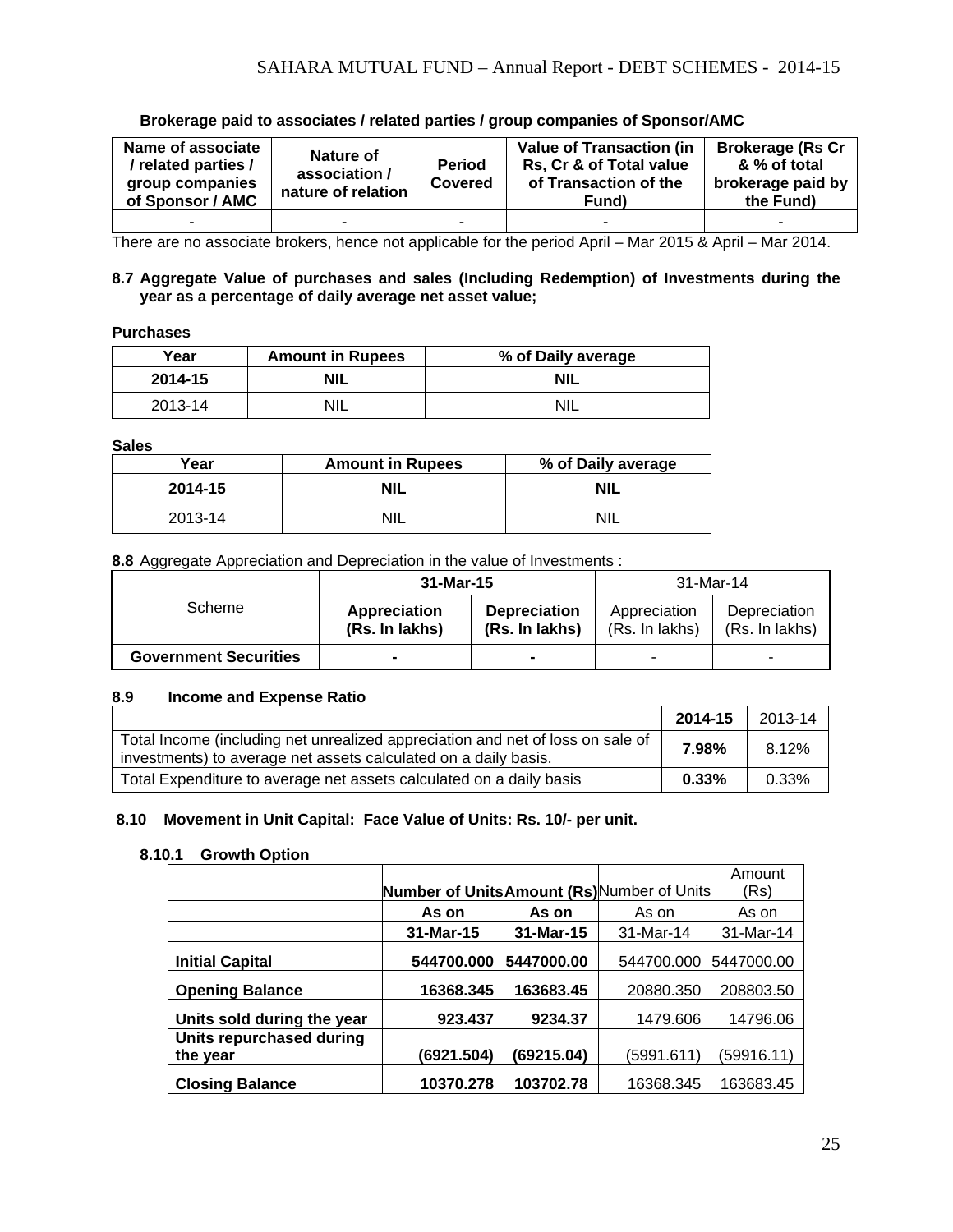## **Brokerage paid to associates / related parties / group companies of Sponsor/AMC**

| Name of associate<br>/ related parties /<br>group companies<br>of Sponsor / AMC | Nature of<br>association /<br>nature of relation | <b>Period</b><br>Covered | <b>Value of Transaction (in</b><br>Rs, Cr & of Total value<br>of Transaction of the<br>Fund) | <b>Brokerage (Rs Cr</b><br>& % of total<br>brokerage paid by<br>the Fund) |
|---------------------------------------------------------------------------------|--------------------------------------------------|--------------------------|----------------------------------------------------------------------------------------------|---------------------------------------------------------------------------|
|                                                                                 |                                                  |                          |                                                                                              | -                                                                         |

There are no associate brokers, hence not applicable for the period April – Mar 2015 & April – Mar 2014.

## **8.7 Aggregate Value of purchases and sales (Including Redemption) of Investments during the year as a percentage of daily average net asset value;**

## **Purchases**

| Year    | <b>Amount in Rupees</b> | % of Daily average |
|---------|-------------------------|--------------------|
| 2014-15 | <b>NIL</b>              | <b>NIL</b>         |
| 2013-14 | <b>NIL</b>              | <b>NIL</b>         |

## **Sales**

| Year    | <b>Amount in Rupees</b> | % of Daily average |
|---------|-------------------------|--------------------|
| 2014-15 | <b>NIL</b>              | <b>NIL</b>         |
| 2013-14 | VIL                     | nil                |

**8.8** Aggregate Appreciation and Depreciation in the value of Investments :

|                              | $31-Mar-15$                    |                                       | 31-Mar-14                                                        |  |  |
|------------------------------|--------------------------------|---------------------------------------|------------------------------------------------------------------|--|--|
| Scheme                       | Appreciation<br>(Rs. In lakhs) | <b>Depreciation</b><br>(Rs. In lakhs) | Appreciation<br>Depreciation<br>(Rs. In lakhs)<br>(Rs. In lakhs) |  |  |
| <b>Government Securities</b> | -                              |                                       |                                                                  |  |  |

## **8.9 Income and Expense Ratio**

|                                                                                                                                                   | 2014-15  | 2013-14 |
|---------------------------------------------------------------------------------------------------------------------------------------------------|----------|---------|
| Total Income (including net unrealized appreciation and net of loss on sale of<br>investments) to average net assets calculated on a daily basis. | 7.98%    | 8.12%   |
| Total Expenditure to average net assets calculated on a daily basis                                                                               | $0.33\%$ | 0.33%   |

## **8.10 Movement in Unit Capital: Face Value of Units: Rs. 10/- per unit.**

## **8.10.1 Growth Option**

|                                      |                                                   |            |            | Amount     |
|--------------------------------------|---------------------------------------------------|------------|------------|------------|
|                                      | <b>Number of UnitsAmount (Rs)</b> Number of Units |            |            | (Rs)       |
|                                      | As on                                             | As on      | As on      | As on      |
|                                      | 31-Mar-15                                         | 31-Mar-15  | 31-Mar-14  | 31-Mar-14  |
| <b>Initial Capital</b>               | 544700.000                                        | 5447000.00 | 544700.000 | 5447000.00 |
| <b>Opening Balance</b>               | 16368.345                                         | 163683.45  | 20880.350  | 208803.50  |
| Units sold during the year           | 923.437                                           | 9234.37    | 1479.606   | 14796.06   |
| Units repurchased during<br>the year | (6921.504)                                        | (69215.04) | (5991.611) | (59916.11) |
| <b>Closing Balance</b>               | 10370.278                                         | 103702.78  | 16368.345  | 163683.45  |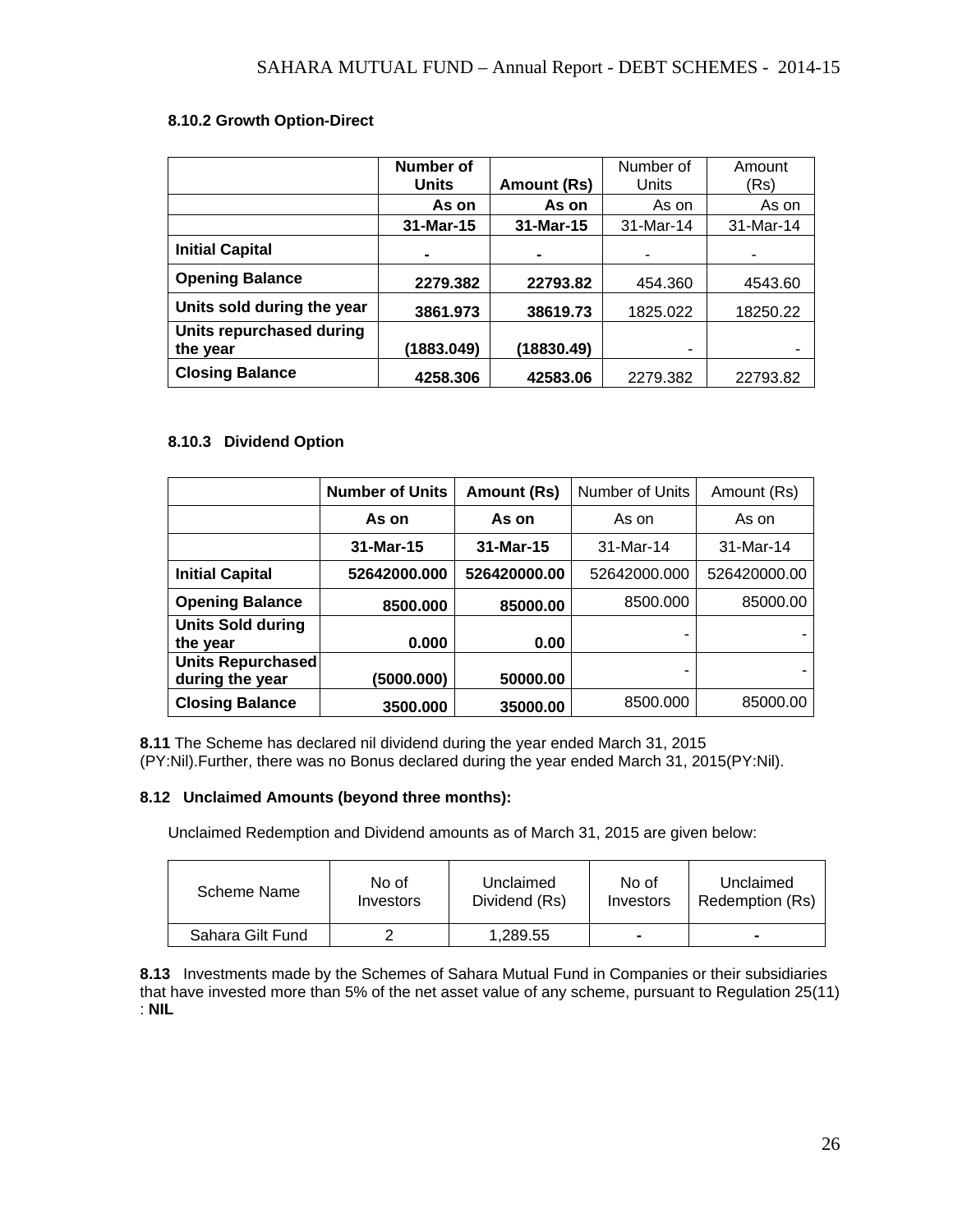## **8.10.2 Growth Option-Direct**

|                                      | Number of<br><b>Units</b> | <b>Amount (Rs)</b> | Number of<br><b>Units</b> | Amount<br>(Rs) |
|--------------------------------------|---------------------------|--------------------|---------------------------|----------------|
|                                      | As on                     | As on              | As on                     | As on          |
|                                      | 31-Mar-15                 | 31-Mar-15          | 31-Mar-14                 | 31-Mar-14      |
| <b>Initial Capital</b>               | $\blacksquare$            |                    |                           | -              |
| <b>Opening Balance</b>               | 2279.382                  | 22793.82           | 454.360                   | 4543.60        |
| Units sold during the year           | 3861.973                  | 38619.73           | 1825.022                  | 18250.22       |
| Units repurchased during<br>the year | (1883.049)                | (18830.49)         | ۰                         | -              |
| <b>Closing Balance</b>               | 4258.306                  | 42583.06           | 2279.382                  | 22793.82       |

## **8.10.3 Dividend Option**

|                                             | <b>Number of Units</b> | Amount (Rs)  | Number of Units | Amount (Rs)  |
|---------------------------------------------|------------------------|--------------|-----------------|--------------|
|                                             | As on                  | As on        | As on           | As on        |
|                                             | 31-Mar-15              | 31-Mar-15    | 31-Mar-14       | 31-Mar-14    |
| <b>Initial Capital</b>                      | 52642000.000           | 526420000.00 | 52642000.000    | 526420000.00 |
| <b>Opening Balance</b>                      | 8500,000               | 85000.00     | 8500,000        | 85000.00     |
| <b>Units Sold during</b><br>the year        | 0.000                  | 0.00         | -               |              |
| <b>Units Repurchased</b><br>during the year | (5000.000)             | 50000.00     |                 |              |
| <b>Closing Balance</b>                      | 3500,000               | 35000.00     | 8500.000        | 85000.00     |

**8.11** The Scheme has declared nil dividend during the year ended March 31, 2015 (PY:Nil).Further, there was no Bonus declared during the year ended March 31, 2015(PY:Nil).

## **8.12 Unclaimed Amounts (beyond three months):**

Unclaimed Redemption and Dividend amounts as of March 31, 2015 are given below:

| Scheme Name      | No of     | Unclaimed     | No of     | Unclaimed       |
|------------------|-----------|---------------|-----------|-----------------|
|                  | Investors | Dividend (Rs) | Investors | Redemption (Rs) |
| Sahara Gilt Fund |           | 1.289.55      |           |                 |

**8.13** Investments made by the Schemes of Sahara Mutual Fund in Companies or their subsidiaries that have invested more than 5% of the net asset value of any scheme, pursuant to Regulation 25(11) : **NIL**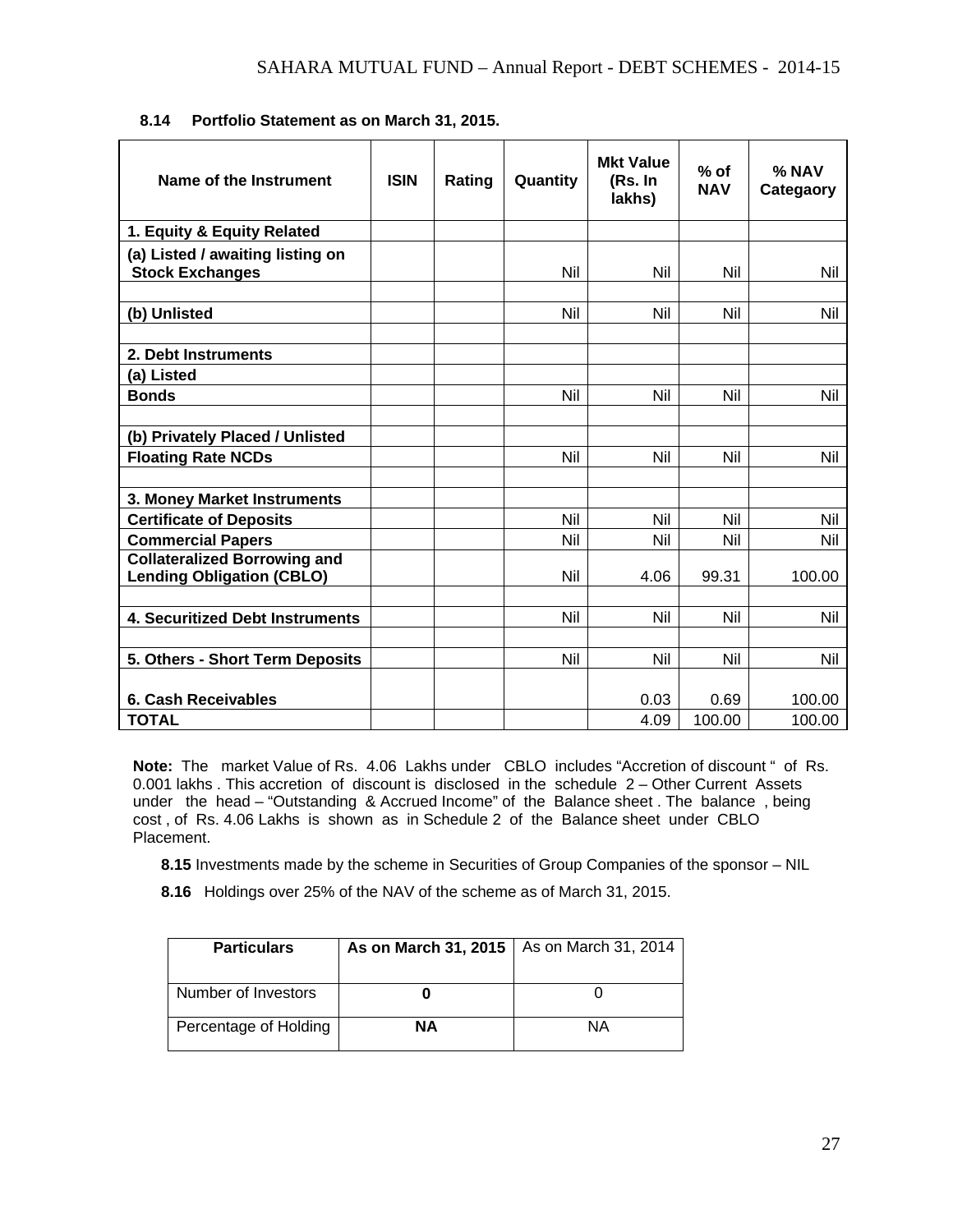| Name of the Instrument                                                  | <b>ISIN</b> | Rating | Quantity | <b>Mkt Value</b><br>(Rs. In<br>lakhs) | $%$ of<br><b>NAV</b> | % NAV<br>Categaory |
|-------------------------------------------------------------------------|-------------|--------|----------|---------------------------------------|----------------------|--------------------|
| 1. Equity & Equity Related                                              |             |        |          |                                       |                      |                    |
| (a) Listed / awaiting listing on<br><b>Stock Exchanges</b>              |             |        | Nil      | Nil                                   | Nil                  | Nil                |
|                                                                         |             |        |          |                                       |                      |                    |
| (b) Unlisted                                                            |             |        | Nil      | Nil                                   | Nil                  | Nil                |
|                                                                         |             |        |          |                                       |                      |                    |
| 2. Debt Instruments                                                     |             |        |          |                                       |                      |                    |
| (a) Listed                                                              |             |        |          |                                       |                      |                    |
| <b>Bonds</b>                                                            |             |        | Nil      | Nil                                   | Nil                  | Nil                |
|                                                                         |             |        |          |                                       |                      |                    |
| (b) Privately Placed / Unlisted                                         |             |        |          |                                       |                      |                    |
| <b>Floating Rate NCDs</b>                                               |             |        | Nil      | Nil                                   | Nil                  | <b>Nil</b>         |
|                                                                         |             |        |          |                                       |                      |                    |
| 3. Money Market Instruments                                             |             |        |          |                                       |                      |                    |
| <b>Certificate of Deposits</b>                                          |             |        | Nil      | Nil                                   | Nil                  | Nil                |
| <b>Commercial Papers</b>                                                |             |        | Nil      | Nil                                   | Nil                  | Nil                |
| <b>Collateralized Borrowing and</b><br><b>Lending Obligation (CBLO)</b> |             |        | Nil      | 4.06                                  | 99.31                | 100.00             |
|                                                                         |             |        |          |                                       |                      |                    |
| 4. Securitized Debt Instruments                                         |             |        | Nil      | Nil                                   | Nil                  | Nil                |
|                                                                         |             |        |          |                                       |                      |                    |
| 5. Others - Short Term Deposits                                         |             |        | Nil      | Nil                                   | Nil                  | Nil                |
| 6. Cash Receivables                                                     |             |        |          | 0.03                                  | 0.69                 | 100.00             |
| <b>TOTAL</b>                                                            |             |        |          | 4.09                                  | 100.00               | 100.00             |

## **8.14 Portfolio Statement as on March 31, 2015.**

**Note:** The market Value of Rs. 4.06 Lakhs under CBLO includes "Accretion of discount " of Rs. 0.001 lakhs . This accretion of discount is disclosed in the schedule 2 – Other Current Assets under the head – "Outstanding & Accrued Income" of the Balance sheet . The balance , being cost , of Rs. 4.06 Lakhs is shown as in Schedule 2 of the Balance sheet under CBLO Placement.

- **8.15** Investments made by the scheme in Securities of Group Companies of the sponsor NIL
- **8.16** Holdings over 25% of the NAV of the scheme as of March 31, 2015.

| <b>Particulars</b>    | As on March 31, 2015 | As on March 31, 2014 |
|-----------------------|----------------------|----------------------|
|                       |                      |                      |
| Number of Investors   |                      |                      |
| Percentage of Holding | ΝA                   | ΝA                   |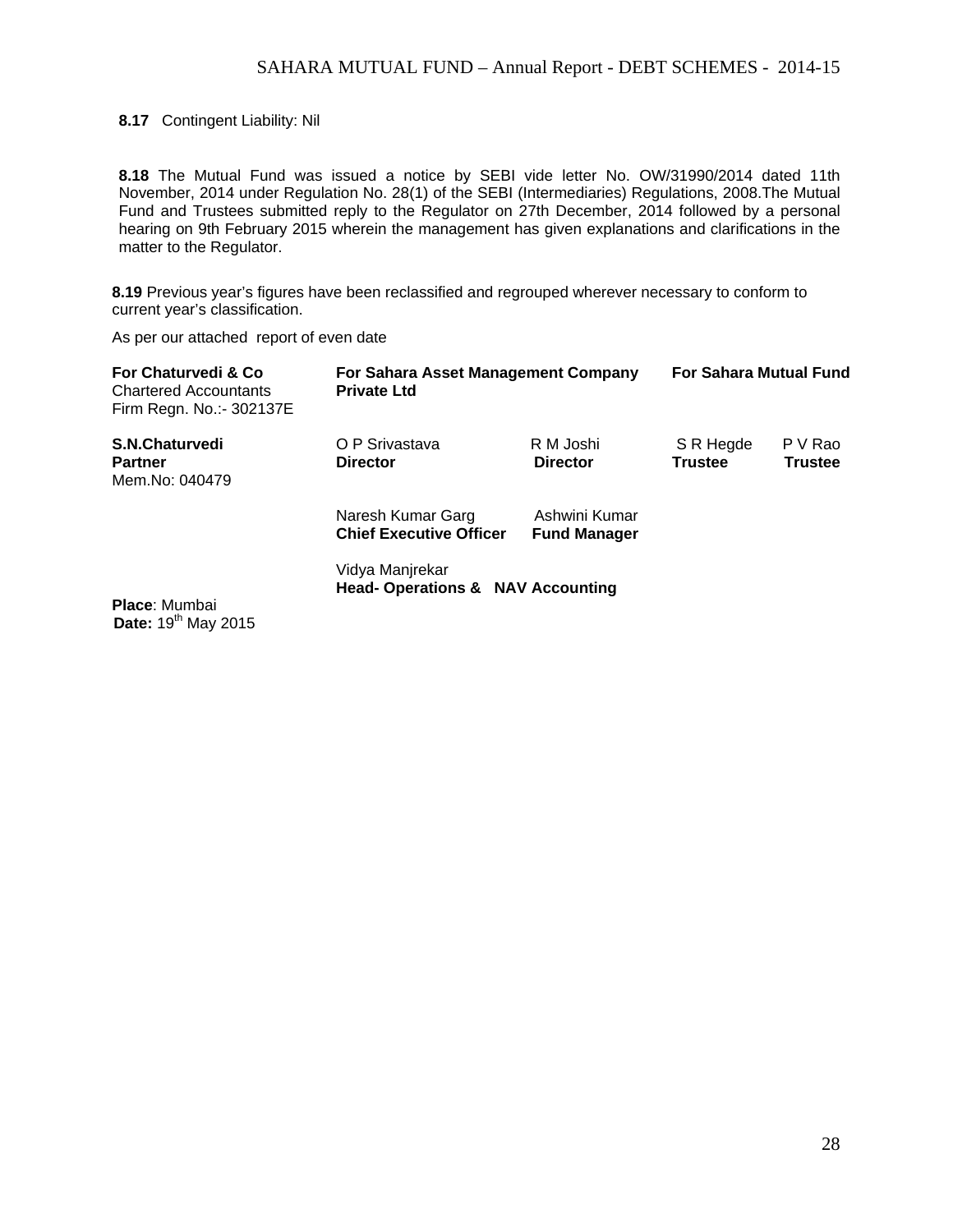## **8.17** Contingent Liability: Nil

**8.18** The Mutual Fund was issued a notice by SEBI vide letter No. OW/31990/2014 dated 11th November, 2014 under Regulation No. 28(1) of the SEBI (Intermediaries) Regulations, 2008.The Mutual Fund and Trustees submitted reply to the Regulator on 27th December, 2014 followed by a personal hearing on 9th February 2015 wherein the management has given explanations and clarifications in the matter to the Regulator.

**8.19** Previous year's figures have been reclassified and regrouped wherever necessary to conform to current year's classification.

As per our attached report of even date

| For Chaturvedi & Co.<br><b>Chartered Accountants</b><br>Firm Regn. No.:- 302137E | For Sahara Asset Management Company<br><b>Private Ltd</b>       |                                      | <b>For Sahara Mutual Fund</b> |                           |
|----------------------------------------------------------------------------------|-----------------------------------------------------------------|--------------------------------------|-------------------------------|---------------------------|
| <b>S.N.Chaturvedi</b><br><b>Partner</b><br>Mem.No: 040479                        | O P Srivastava<br><b>Director</b>                               | R M Joshi<br><b>Director</b>         | S R Hegde<br><b>Trustee</b>   | P V Rao<br><b>Trustee</b> |
|                                                                                  | Naresh Kumar Garg<br><b>Chief Executive Officer</b>             | Ashwini Kumar<br><b>Fund Manager</b> |                               |                           |
| <b>Place: Mumbai</b><br>Date: $19th$ May 2015                                    | Vidya Manjrekar<br><b>Head- Operations &amp; NAV Accounting</b> |                                      |                               |                           |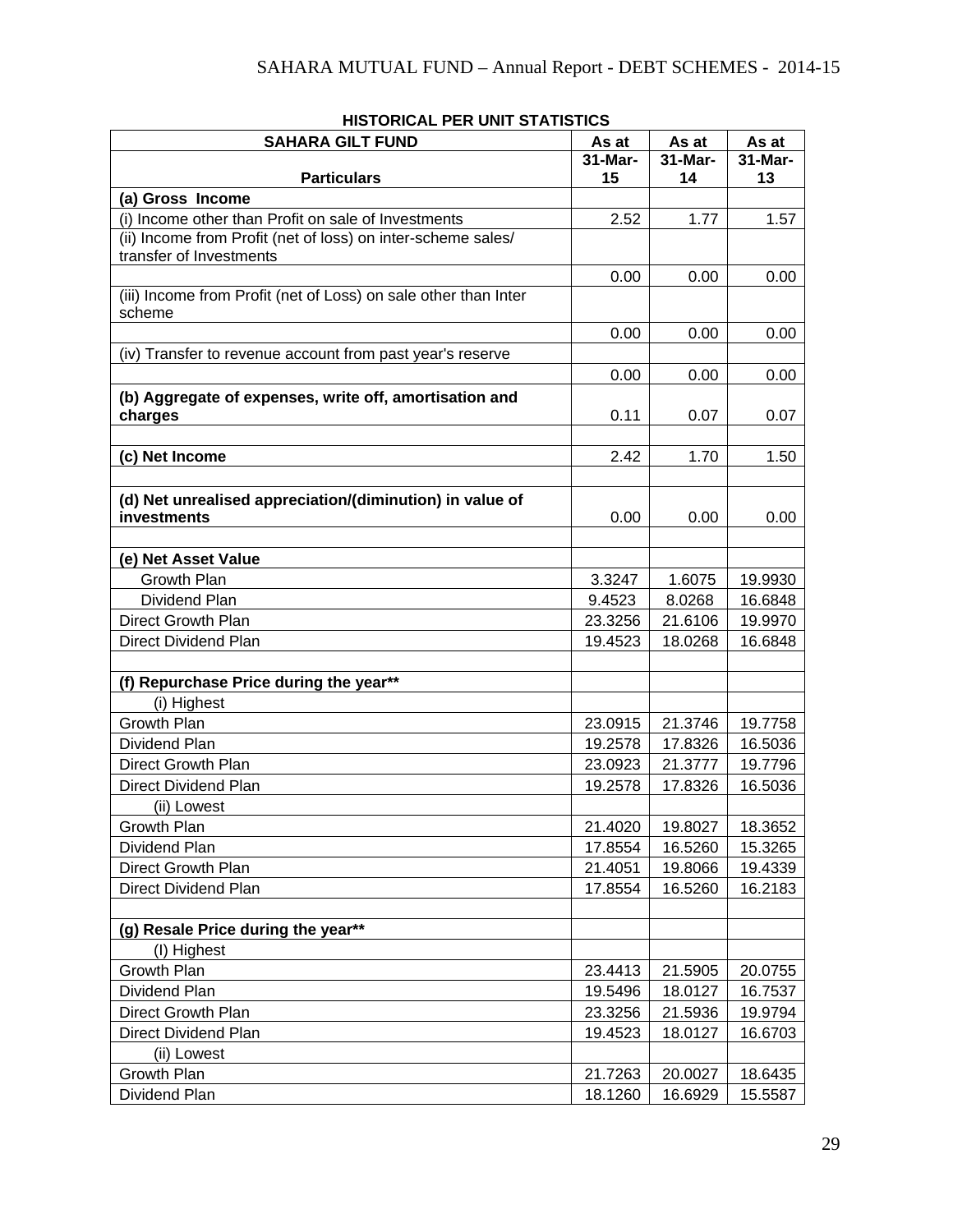| <b>INSTONIUAL FER UNIT STATISTICS</b><br><b>SAHARA GILT FUND</b> | As at      | As at   | As at   |
|------------------------------------------------------------------|------------|---------|---------|
|                                                                  | $31$ -Mar- | 31-Mar- | 31-Mar- |
| <b>Particulars</b>                                               | 15         | 14      | 13      |
| (a) Gross Income                                                 |            |         |         |
| (i) Income other than Profit on sale of Investments              | 2.52       | 1.77    | 1.57    |
| (ii) Income from Profit (net of loss) on inter-scheme sales/     |            |         |         |
| transfer of Investments                                          |            |         |         |
|                                                                  | 0.00       | 0.00    | 0.00    |
| (iii) Income from Profit (net of Loss) on sale other than Inter  |            |         |         |
| scheme                                                           |            |         |         |
|                                                                  | 0.00       | 0.00    | 0.00    |
| (iv) Transfer to revenue account from past year's reserve        |            |         |         |
|                                                                  | 0.00       | 0.00    | 0.00    |
| (b) Aggregate of expenses, write off, amortisation and           |            |         |         |
| charges                                                          | 0.11       | 0.07    | 0.07    |
|                                                                  |            |         |         |
| (c) Net Income                                                   | 2.42       | 1.70    | 1.50    |
|                                                                  |            |         |         |
| (d) Net unrealised appreciation/(diminution) in value of         |            |         |         |
| investments                                                      | 0.00       | 0.00    | 0.00    |
|                                                                  |            |         |         |
| (e) Net Asset Value                                              |            |         |         |
| Growth Plan                                                      | 3.3247     | 1.6075  | 19.9930 |
| Dividend Plan                                                    | 9.4523     | 8.0268  | 16.6848 |
| Direct Growth Plan                                               | 23.3256    | 21.6106 | 19.9970 |
| <b>Direct Dividend Plan</b>                                      | 19.4523    | 18.0268 | 16.6848 |
|                                                                  |            |         |         |
| (f) Repurchase Price during the year**                           |            |         |         |
| (i) Highest                                                      |            |         |         |
| Growth Plan                                                      | 23.0915    | 21.3746 | 19.7758 |
| Dividend Plan                                                    | 19.2578    | 17.8326 | 16.5036 |
| Direct Growth Plan                                               | 23.0923    | 21.3777 | 19.7796 |
| <b>Direct Dividend Plan</b>                                      | 19.2578    | 17.8326 | 16.5036 |
| (ii) Lowest                                                      |            |         |         |
| Growth Plan                                                      | 21.4020    | 19.8027 | 18.3652 |
| Dividend Plan                                                    | 17.8554    | 16.5260 | 15.3265 |
| Direct Growth Plan                                               | 21.4051    | 19.8066 | 19.4339 |
| <b>Direct Dividend Plan</b>                                      | 17.8554    | 16.5260 | 16.2183 |
|                                                                  |            |         |         |
| (g) Resale Price during the year**                               |            |         |         |
| (I) Highest                                                      |            |         |         |
| Growth Plan                                                      | 23.4413    | 21.5905 | 20.0755 |
| Dividend Plan                                                    | 19.5496    | 18.0127 | 16.7537 |
| Direct Growth Plan                                               | 23.3256    | 21.5936 | 19.9794 |
| <b>Direct Dividend Plan</b>                                      | 19.4523    | 18.0127 | 16.6703 |
| (ii) Lowest                                                      |            |         |         |
| Growth Plan                                                      | 21.7263    | 20.0027 | 18.6435 |
| Dividend Plan                                                    | 18.1260    | 16.6929 | 15.5587 |

# **HISTORICAL PER UNIT STATISTICS**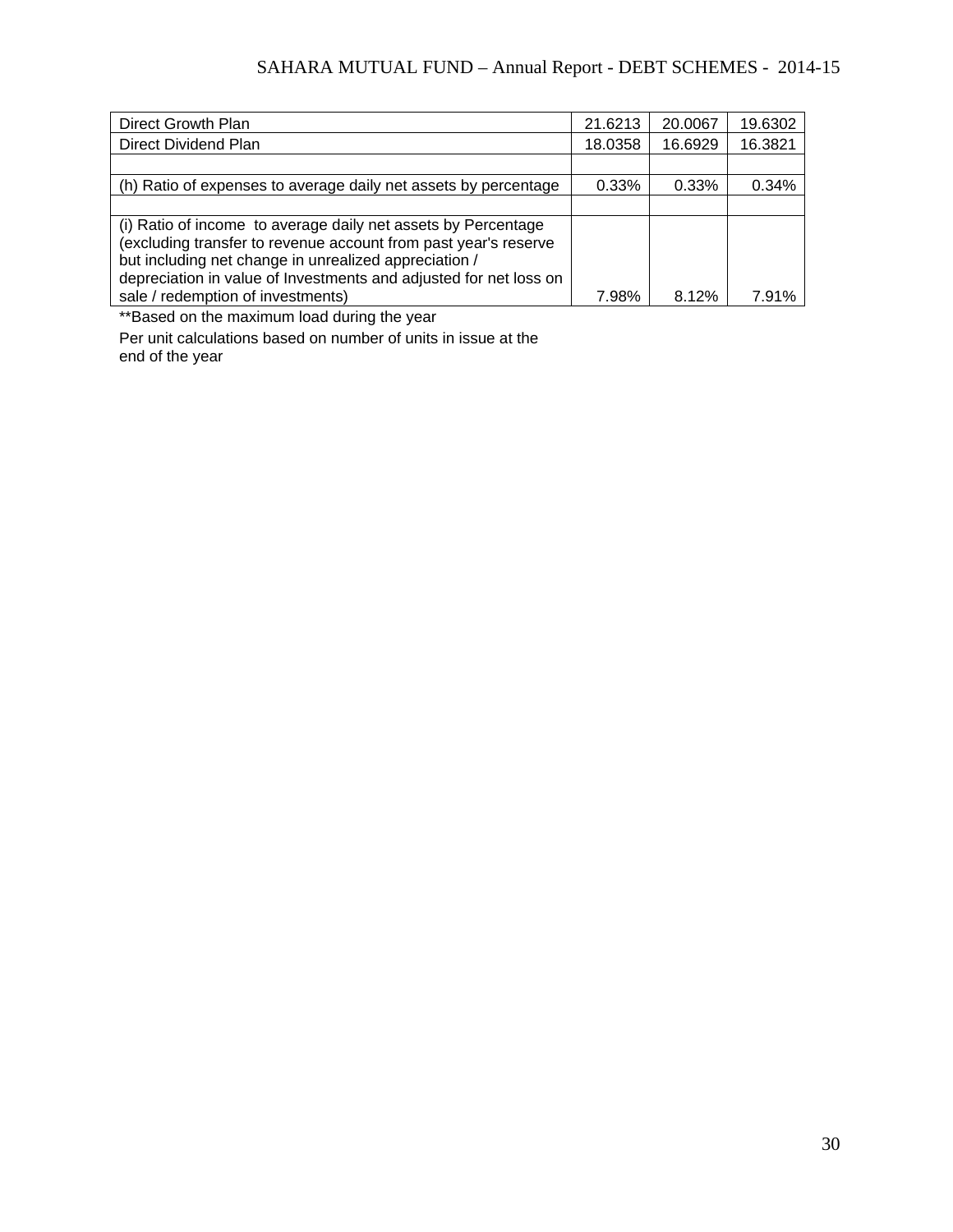| Direct Growth Plan                                                                                                                                                                                                                                             | 21.6213 | 20.0067 | 19.6302 |
|----------------------------------------------------------------------------------------------------------------------------------------------------------------------------------------------------------------------------------------------------------------|---------|---------|---------|
| Direct Dividend Plan                                                                                                                                                                                                                                           | 18.0358 | 16.6929 | 16.3821 |
|                                                                                                                                                                                                                                                                |         |         |         |
| (h) Ratio of expenses to average daily net assets by percentage                                                                                                                                                                                                | 0.33%   | 0.33%   | 0.34%   |
|                                                                                                                                                                                                                                                                |         |         |         |
| (i) Ratio of income to average daily net assets by Percentage<br>(excluding transfer to revenue account from past year's reserve<br>but including net change in unrealized appreciation /<br>depreciation in value of Investments and adjusted for net loss on |         |         |         |
| sale / redemption of investments)                                                                                                                                                                                                                              | 7.98%   | 8.12%   | 7.91%   |

\*\*Based on the maximum load during the year

Per unit calculations based on number of units in issue at the end of the year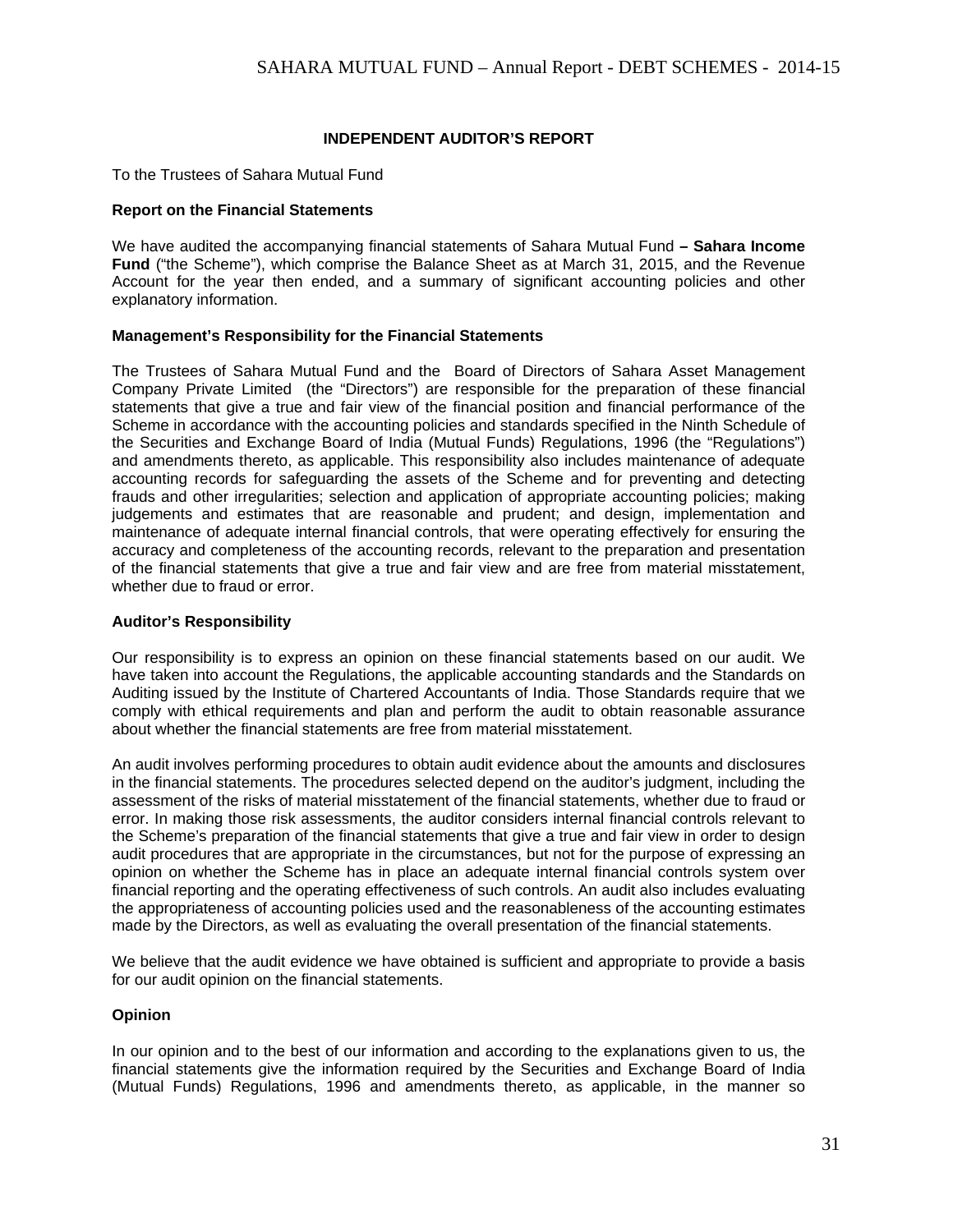## **INDEPENDENT AUDITOR'S REPORT**

To the Trustees of Sahara Mutual Fund

## **Report on the Financial Statements**

We have audited the accompanying financial statements of Sahara Mutual Fund **– Sahara Income Fund** ("the Scheme"), which comprise the Balance Sheet as at March 31, 2015, and the Revenue Account for the year then ended, and a summary of significant accounting policies and other explanatory information.

## **Management's Responsibility for the Financial Statements**

The Trustees of Sahara Mutual Fund and the Board of Directors of Sahara Asset Management Company Private Limited (the "Directors") are responsible for the preparation of these financial statements that give a true and fair view of the financial position and financial performance of the Scheme in accordance with the accounting policies and standards specified in the Ninth Schedule of the Securities and Exchange Board of India (Mutual Funds) Regulations, 1996 (the "Regulations") and amendments thereto, as applicable. This responsibility also includes maintenance of adequate accounting records for safeguarding the assets of the Scheme and for preventing and detecting frauds and other irregularities; selection and application of appropriate accounting policies; making judgements and estimates that are reasonable and prudent; and design, implementation and maintenance of adequate internal financial controls, that were operating effectively for ensuring the accuracy and completeness of the accounting records, relevant to the preparation and presentation of the financial statements that give a true and fair view and are free from material misstatement, whether due to fraud or error.

## **Auditor's Responsibility**

Our responsibility is to express an opinion on these financial statements based on our audit. We have taken into account the Regulations, the applicable accounting standards and the Standards on Auditing issued by the Institute of Chartered Accountants of India. Those Standards require that we comply with ethical requirements and plan and perform the audit to obtain reasonable assurance about whether the financial statements are free from material misstatement.

An audit involves performing procedures to obtain audit evidence about the amounts and disclosures in the financial statements. The procedures selected depend on the auditor's judgment, including the assessment of the risks of material misstatement of the financial statements, whether due to fraud or error. In making those risk assessments, the auditor considers internal financial controls relevant to the Scheme's preparation of the financial statements that give a true and fair view in order to design audit procedures that are appropriate in the circumstances, but not for the purpose of expressing an opinion on whether the Scheme has in place an adequate internal financial controls system over financial reporting and the operating effectiveness of such controls. An audit also includes evaluating the appropriateness of accounting policies used and the reasonableness of the accounting estimates made by the Directors, as well as evaluating the overall presentation of the financial statements.

We believe that the audit evidence we have obtained is sufficient and appropriate to provide a basis for our audit opinion on the financial statements.

## **Opinion**

In our opinion and to the best of our information and according to the explanations given to us, the financial statements give the information required by the Securities and Exchange Board of India (Mutual Funds) Regulations, 1996 and amendments thereto, as applicable, in the manner so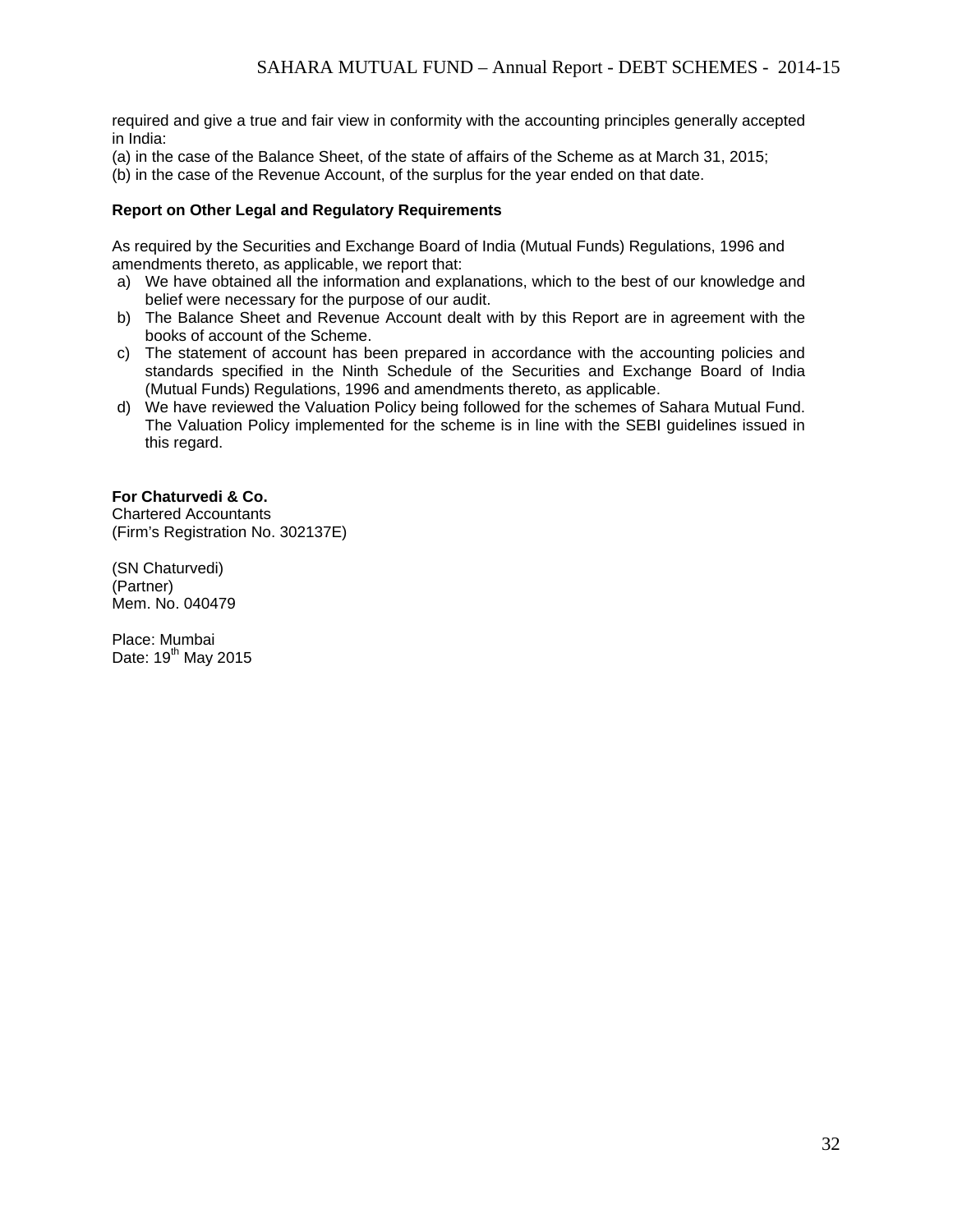required and give a true and fair view in conformity with the accounting principles generally accepted in India:

(a) in the case of the Balance Sheet, of the state of affairs of the Scheme as at March 31, 2015;

(b) in the case of the Revenue Account, of the surplus for the year ended on that date.

## **Report on Other Legal and Regulatory Requirements**

As required by the Securities and Exchange Board of India (Mutual Funds) Regulations, 1996 and amendments thereto, as applicable, we report that:

- a) We have obtained all the information and explanations, which to the best of our knowledge and belief were necessary for the purpose of our audit.
- b) The Balance Sheet and Revenue Account dealt with by this Report are in agreement with the books of account of the Scheme.
- c) The statement of account has been prepared in accordance with the accounting policies and standards specified in the Ninth Schedule of the Securities and Exchange Board of India (Mutual Funds) Regulations, 1996 and amendments thereto, as applicable.
- d) We have reviewed the Valuation Policy being followed for the schemes of Sahara Mutual Fund. The Valuation Policy implemented for the scheme is in line with the SEBI guidelines issued in this regard.

## **For Chaturvedi & Co.**

Chartered Accountants (Firm's Registration No. 302137E)

(SN Chaturvedi) (Partner) Mem. No. 040479

Place: Mumbai Date: 19<sup>th</sup> May 2015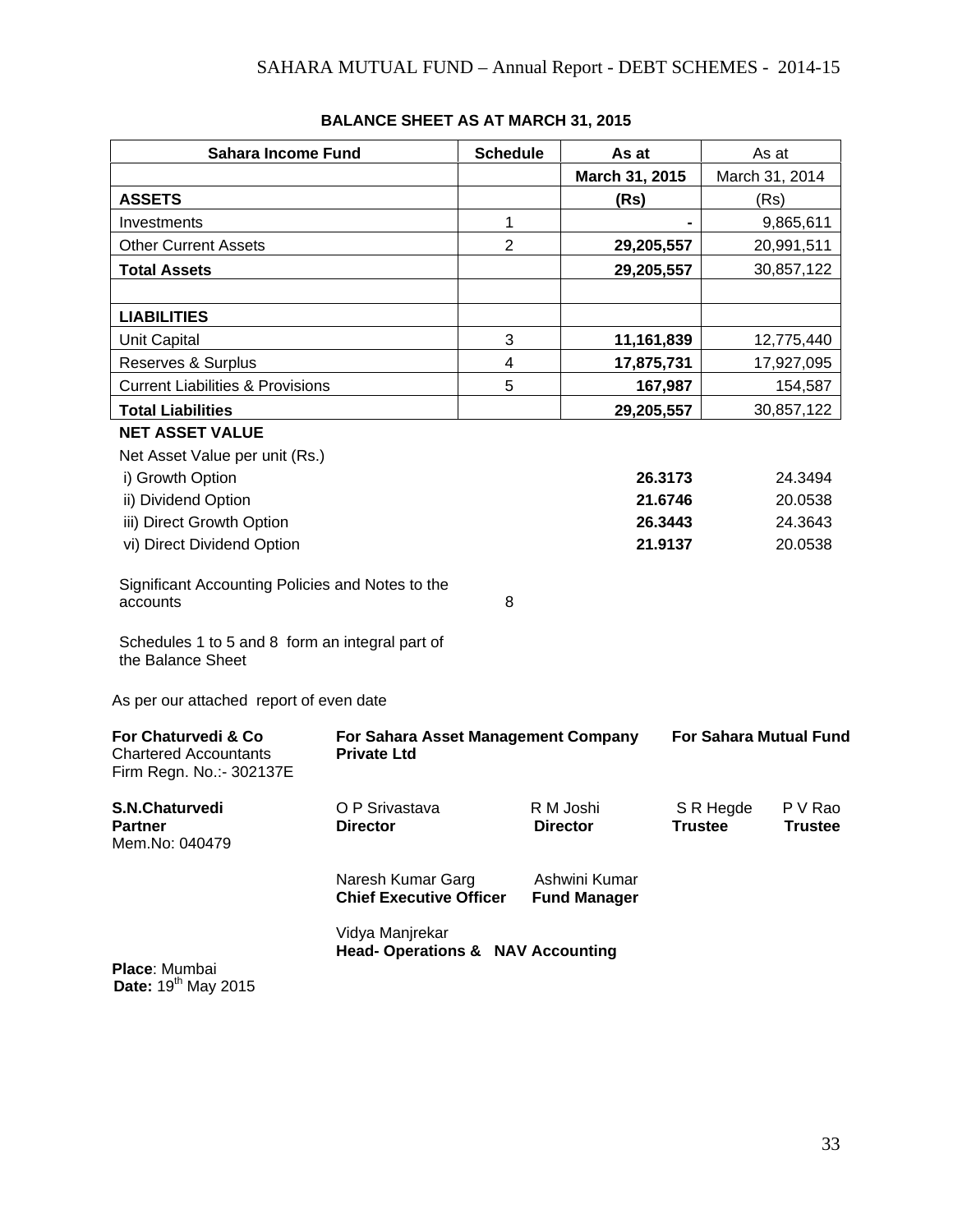| <b>Sahara Income Fund</b>                                                       |                                                                 | <b>Schedule</b> |                                      | As at                        | As at                                                    |
|---------------------------------------------------------------------------------|-----------------------------------------------------------------|-----------------|--------------------------------------|------------------------------|----------------------------------------------------------|
|                                                                                 |                                                                 |                 |                                      | March 31, 2015               | March 31, 2014                                           |
| <b>ASSETS</b>                                                                   |                                                                 |                 |                                      | (Rs)                         | (Rs)                                                     |
| Investments                                                                     |                                                                 | 1               |                                      |                              | 9,865,611                                                |
| <b>Other Current Assets</b>                                                     |                                                                 | 2               |                                      | 29,205,557                   | 20,991,511                                               |
| <b>Total Assets</b>                                                             |                                                                 |                 |                                      | 29,205,557                   | 30,857,122                                               |
|                                                                                 |                                                                 |                 |                                      |                              |                                                          |
| <b>LIABILITIES</b>                                                              |                                                                 |                 |                                      |                              |                                                          |
| <b>Unit Capital</b>                                                             |                                                                 | 3               |                                      | 11,161,839                   | 12,775,440                                               |
| Reserves & Surplus                                                              |                                                                 | 4               |                                      | 17,875,731                   | 17,927,095                                               |
| <b>Current Liabilities &amp; Provisions</b>                                     |                                                                 | 5               |                                      | 167,987                      | 154,587                                                  |
| <b>Total Liabilities</b>                                                        |                                                                 |                 |                                      | 29,205,557                   | 30,857,122                                               |
| <b>NET ASSET VALUE</b>                                                          |                                                                 |                 |                                      |                              |                                                          |
| Net Asset Value per unit (Rs.)                                                  |                                                                 |                 |                                      |                              |                                                          |
| i) Growth Option                                                                |                                                                 |                 |                                      | 26.3173                      | 24.3494                                                  |
| ii) Dividend Option                                                             |                                                                 |                 |                                      | 21.6746                      | 20.0538                                                  |
| iii) Direct Growth Option                                                       |                                                                 |                 |                                      | 26.3443                      | 24.3643                                                  |
| vi) Direct Dividend Option                                                      |                                                                 |                 |                                      | 21.9137                      | 20.0538                                                  |
| Significant Accounting Policies and Notes to the                                |                                                                 |                 |                                      |                              |                                                          |
| accounts                                                                        |                                                                 | 8               |                                      |                              |                                                          |
| Schedules 1 to 5 and 8 form an integral part of<br>the Balance Sheet            |                                                                 |                 |                                      |                              |                                                          |
| As per our attached report of even date                                         |                                                                 |                 |                                      |                              |                                                          |
| For Chaturvedi & Co<br><b>Chartered Accountants</b><br>Firm Regn. No.:- 302137E | For Sahara Asset Management Company<br><b>Private Ltd</b>       |                 |                                      |                              | <b>For Sahara Mutual Fund</b>                            |
| <b>S.N.Chaturvedi</b><br><b>Partner</b><br>Mem.No: 040479                       | O P Srivastava<br><b>Director</b>                               |                 |                                      | R M Joshi<br><b>Director</b> | S R Hegde<br>P V Rao<br><b>Trustee</b><br><b>Trustee</b> |
|                                                                                 | Naresh Kumar Garg<br><b>Chief Executive Officer</b>             |                 | Ashwini Kumar<br><b>Fund Manager</b> |                              |                                                          |
|                                                                                 | Vidya Manjrekar<br><b>Head- Operations &amp; NAV Accounting</b> |                 |                                      |                              |                                                          |

# **BALANCE SHEET AS AT MARCH 31, 2015**

**Place**: Mumbai **Date:** 19<sup>th</sup> May 2015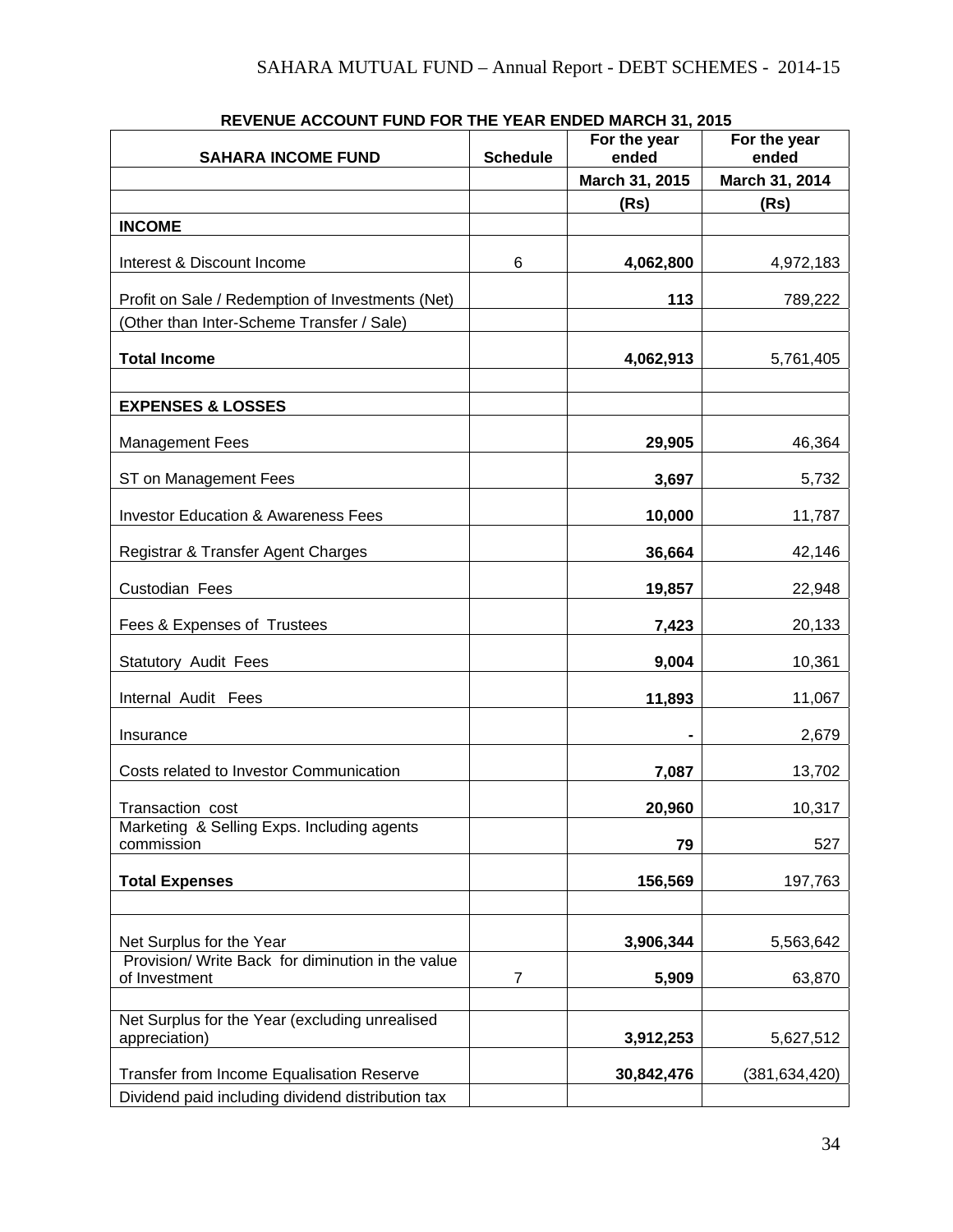| REVENUE ACCOUNT FUND FOR THE TEAR ENDED MARCH 31, 2013             |                 | For the year           | For the year           |  |
|--------------------------------------------------------------------|-----------------|------------------------|------------------------|--|
| <b>SAHARA INCOME FUND</b>                                          | <b>Schedule</b> | ended                  | ended                  |  |
|                                                                    |                 | March 31, 2015<br>(Rs) | March 31, 2014<br>(Rs) |  |
| <b>INCOME</b>                                                      |                 |                        |                        |  |
| Interest & Discount Income                                         | 6               | 4,062,800              | 4,972,183              |  |
| Profit on Sale / Redemption of Investments (Net)                   |                 | 113                    | 789,222                |  |
| (Other than Inter-Scheme Transfer / Sale)                          |                 |                        |                        |  |
| <b>Total Income</b>                                                |                 | 4,062,913              | 5,761,405              |  |
| <b>EXPENSES &amp; LOSSES</b>                                       |                 |                        |                        |  |
| <b>Management Fees</b>                                             |                 | 29,905                 | 46,364                 |  |
| ST on Management Fees                                              |                 | 3,697                  | 5,732                  |  |
| <b>Investor Education &amp; Awareness Fees</b>                     |                 | 10,000                 | 11,787                 |  |
| Registrar & Transfer Agent Charges                                 |                 | 36,664                 | 42,146                 |  |
| Custodian Fees                                                     |                 | 19,857                 | 22,948                 |  |
| Fees & Expenses of Trustees                                        |                 | 7,423                  | 20,133                 |  |
| Statutory Audit Fees                                               |                 | 9,004                  | 10,361                 |  |
| Internal Audit Fees                                                |                 | 11,893                 | 11,067                 |  |
| Insurance                                                          |                 |                        | 2,679                  |  |
| Costs related to Investor Communication                            |                 | 7,087                  | 13,702                 |  |
| Transaction cost                                                   |                 | 20,960                 | 10,317                 |  |
| Marketing & Selling Exps. Including agents<br>commission           |                 | 79                     | 527                    |  |
| <b>Total Expenses</b>                                              |                 | 156,569                | 197,763                |  |
| Net Surplus for the Year                                           |                 | 3,906,344              | 5,563,642              |  |
| Provision/ Write Back for diminution in the value<br>of Investment | $\overline{7}$  | 5,909                  | 63,870                 |  |
|                                                                    |                 |                        |                        |  |
| Net Surplus for the Year (excluding unrealised<br>appreciation)    |                 | 3,912,253              | 5,627,512              |  |
| Transfer from Income Equalisation Reserve                          |                 | 30,842,476             | (381, 634, 420)        |  |
| Dividend paid including dividend distribution tax                  |                 |                        |                        |  |

## **REVENUE ACCOUNT FUND FOR THE YEAR ENDED MARCH 31, 2015**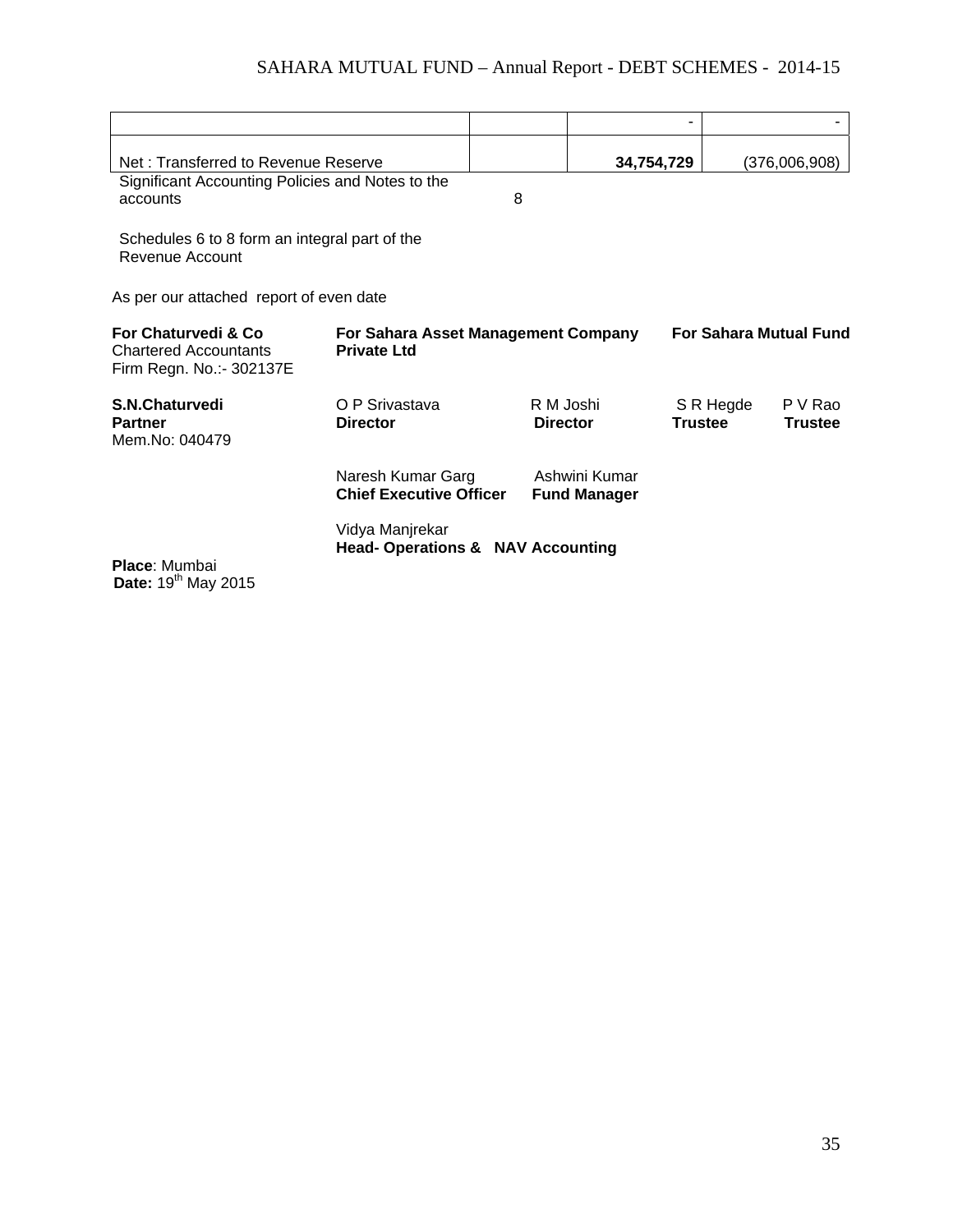| Net: Transferred to Revenue Reserve                                             |                                                                 | 34,754,729                           |                             | (376,006,908)                 |
|---------------------------------------------------------------------------------|-----------------------------------------------------------------|--------------------------------------|-----------------------------|-------------------------------|
| Significant Accounting Policies and Notes to the<br>accounts                    | 8                                                               |                                      |                             |                               |
| Schedules 6 to 8 form an integral part of the<br>Revenue Account                |                                                                 |                                      |                             |                               |
| As per our attached report of even date                                         |                                                                 |                                      |                             |                               |
| For Chaturvedi & Co<br><b>Chartered Accountants</b><br>Firm Regn. No.:- 302137E | For Sahara Asset Management Company<br><b>Private Ltd</b>       |                                      |                             | <b>For Sahara Mutual Fund</b> |
| S.N.Chaturvedi<br><b>Partner</b><br>Mem.No: 040479                              | O P Srivastava<br><b>Director</b>                               | R M Joshi<br><b>Director</b>         | S R Hegde<br><b>Trustee</b> | P V Rao<br><b>Trustee</b>     |
|                                                                                 | Naresh Kumar Garg<br><b>Chief Executive Officer</b>             | Ashwini Kumar<br><b>Fund Manager</b> |                             |                               |
| <b>Place: Mumbai</b><br>Date: $19th$ May 2015                                   | Vidya Manjrekar<br><b>Head- Operations &amp; NAV Accounting</b> |                                      |                             |                               |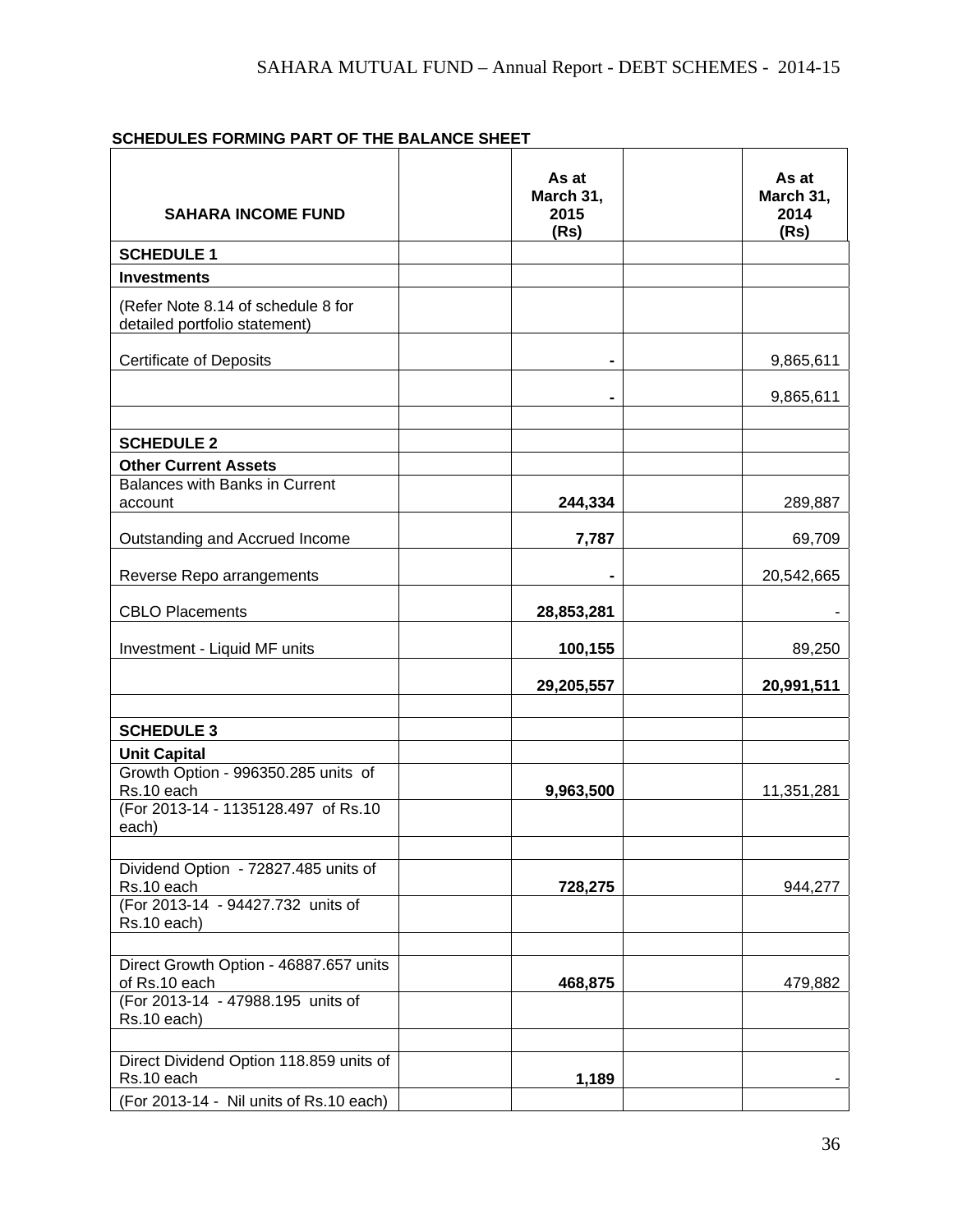## **SCHEDULES FORMING PART OF THE BALANCE SHEET**

| <b>SAHARA INCOME FUND</b>                                           | As at<br>March 31,<br>2015<br>(Rs) | As at<br>March 31,<br>2014<br>(Rs) |
|---------------------------------------------------------------------|------------------------------------|------------------------------------|
| <b>SCHEDULE 1</b>                                                   |                                    |                                    |
| <b>Investments</b>                                                  |                                    |                                    |
| (Refer Note 8.14 of schedule 8 for<br>detailed portfolio statement) |                                    |                                    |
| <b>Certificate of Deposits</b>                                      |                                    | 9,865,611                          |
|                                                                     |                                    | 9,865,611                          |
| <b>SCHEDULE 2</b>                                                   |                                    |                                    |
| <b>Other Current Assets</b>                                         |                                    |                                    |
| <b>Balances with Banks in Current</b><br>account                    | 244,334                            | 289,887                            |
| Outstanding and Accrued Income                                      | 7,787                              | 69,709                             |
| Reverse Repo arrangements                                           |                                    | 20,542,665                         |
| <b>CBLO Placements</b>                                              | 28,853,281                         |                                    |
| Investment - Liquid MF units                                        | 100,155                            | 89,250                             |
|                                                                     | 29,205,557                         | 20,991,511                         |
| <b>SCHEDULE 3</b>                                                   |                                    |                                    |
| <b>Unit Capital</b>                                                 |                                    |                                    |
| Growth Option - 996350.285 units of<br>Rs.10 each                   | 9,963,500                          | 11,351,281                         |
| (For 2013-14 - 1135128.497 of Rs.10)<br>each)                       |                                    |                                    |
|                                                                     |                                    |                                    |
| Dividend Option - 72827.485 units of<br>Rs.10 each                  | 728,275                            | 944,277                            |
| (For 2013-14 - 94427.732 units of<br>Rs.10 each)                    |                                    |                                    |
| Direct Growth Option - 46887.657 units                              |                                    |                                    |
| of Rs.10 each                                                       | 468,875                            | 479,882                            |
| (For 2013-14 - 47988.195 units of<br>Rs.10 each)                    |                                    |                                    |
|                                                                     |                                    |                                    |
| Direct Dividend Option 118.859 units of<br>Rs.10 each               | 1,189                              |                                    |
| (For 2013-14 - Nil units of Rs.10 each)                             |                                    |                                    |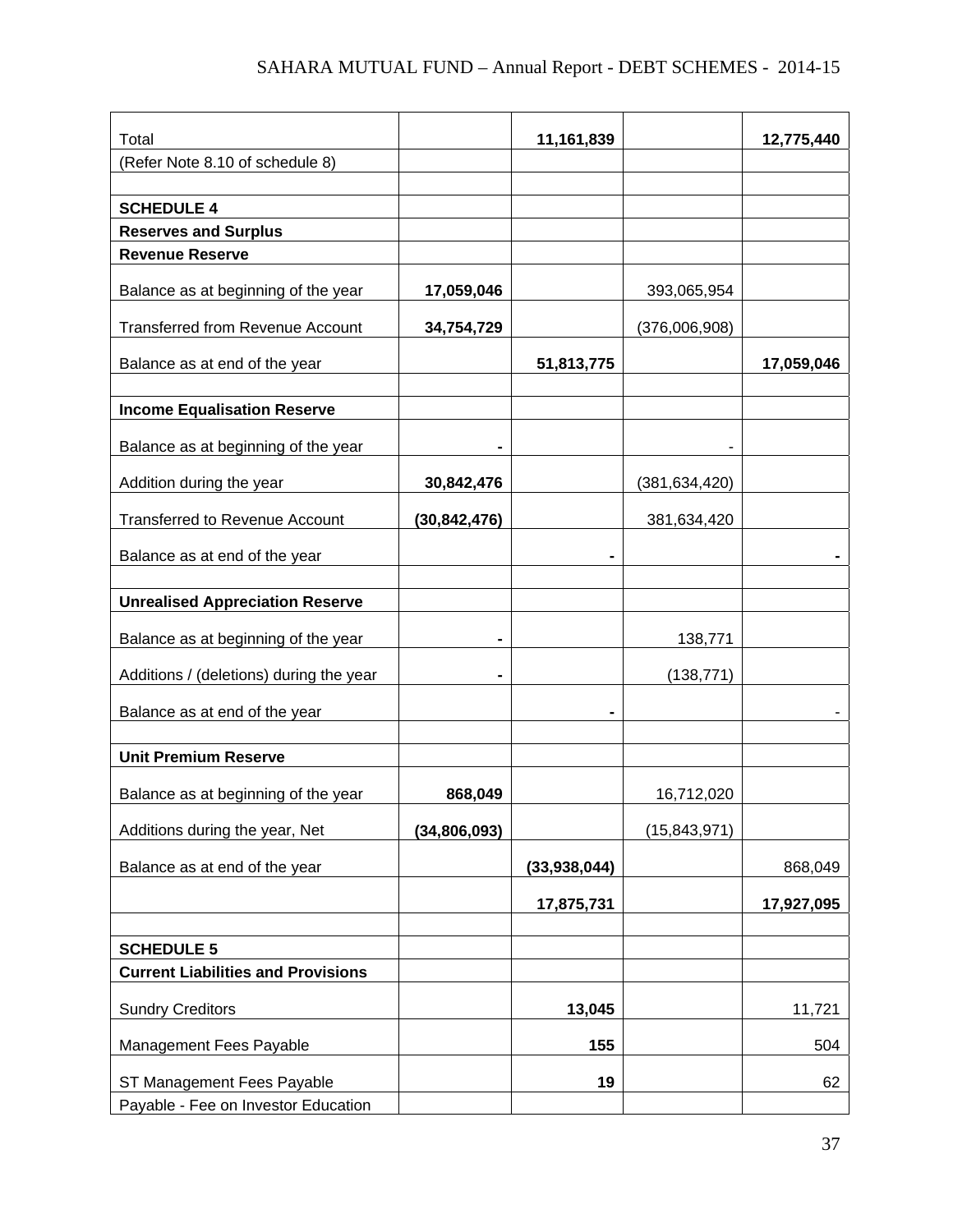| Total                                     |                | 11, 161, 839 |                 | 12,775,440 |
|-------------------------------------------|----------------|--------------|-----------------|------------|
| (Refer Note 8.10 of schedule 8)           |                |              |                 |            |
|                                           |                |              |                 |            |
| <b>SCHEDULE 4</b>                         |                |              |                 |            |
| <b>Reserves and Surplus</b>               |                |              |                 |            |
| <b>Revenue Reserve</b>                    |                |              |                 |            |
| Balance as at beginning of the year       | 17,059,046     |              | 393,065,954     |            |
| <b>Transferred from Revenue Account</b>   | 34,754,729     |              | (376,006,908)   |            |
| Balance as at end of the year             |                | 51,813,775   |                 | 17,059,046 |
| <b>Income Equalisation Reserve</b>        |                |              |                 |            |
| Balance as at beginning of the year       |                |              |                 |            |
| Addition during the year                  | 30,842,476     |              | (381, 634, 420) |            |
| <b>Transferred to Revenue Account</b>     | (30, 842, 476) |              | 381,634,420     |            |
| Balance as at end of the year             |                |              |                 |            |
| <b>Unrealised Appreciation Reserve</b>    |                |              |                 |            |
| Balance as at beginning of the year       | $\blacksquare$ |              | 138,771         |            |
| Additions / (deletions) during the year   | $\blacksquare$ |              | (138, 771)      |            |
| Balance as at end of the year             |                |              |                 |            |
| <b>Unit Premium Reserve</b>               |                |              |                 |            |
| Balance as at beginning of the year       | 868,049        |              | 16,712,020      |            |
| Additions during the year, Net            | (34,806,093)   |              | (15, 843, 971)  |            |
| Balance as at end of the year             |                | (33,938,044) |                 | 868,049    |
|                                           |                | 17,875,731   |                 | 17,927,095 |
| <b>SCHEDULE 5</b>                         |                |              |                 |            |
| <b>Current Liabilities and Provisions</b> |                |              |                 |            |
|                                           |                |              |                 |            |
| <b>Sundry Creditors</b>                   |                | 13,045       |                 | 11,721     |
| Management Fees Payable                   |                | 155          |                 | 504        |
| ST Management Fees Payable                |                | 19           |                 | 62         |
| Payable - Fee on Investor Education       |                |              |                 |            |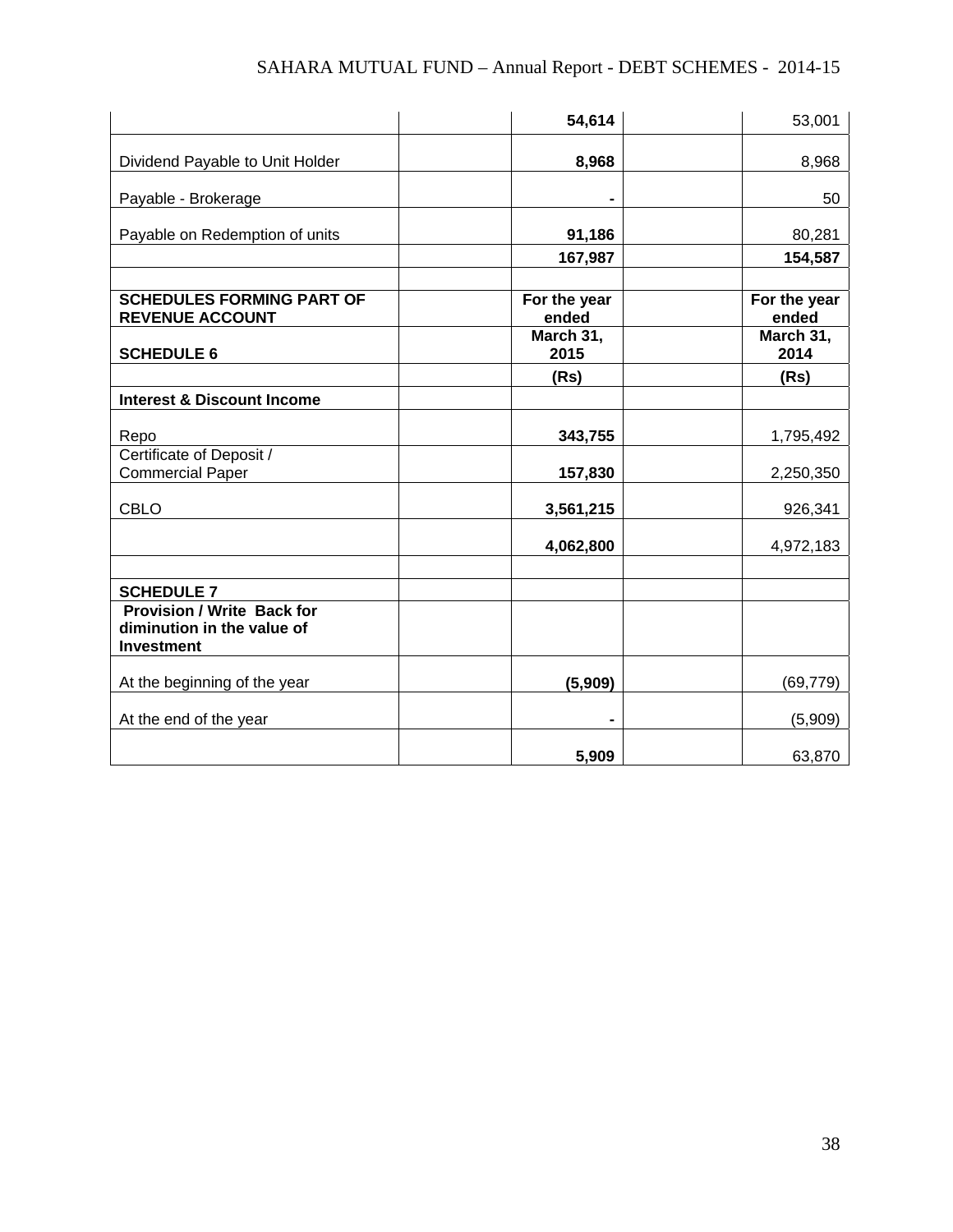|                                                                                      | 54,614                | 53,001                |
|--------------------------------------------------------------------------------------|-----------------------|-----------------------|
| Dividend Payable to Unit Holder                                                      | 8,968                 | 8,968                 |
| Payable - Brokerage                                                                  |                       | 50                    |
| Payable on Redemption of units                                                       | 91,186                | 80,281                |
|                                                                                      | 167,987               | 154,587               |
| <b>SCHEDULES FORMING PART OF</b><br><b>REVENUE ACCOUNT</b>                           | For the year<br>ended | For the year<br>ended |
| <b>SCHEDULE 6</b>                                                                    | March 31,<br>2015     | March 31,<br>2014     |
|                                                                                      | (Rs)                  | (Rs)                  |
| <b>Interest &amp; Discount Income</b>                                                |                       |                       |
| Repo                                                                                 | 343,755               | 1,795,492             |
| Certificate of Deposit /<br><b>Commercial Paper</b>                                  | 157,830               | 2,250,350             |
|                                                                                      |                       |                       |
| <b>CBLO</b>                                                                          | 3,561,215             | 926,341               |
|                                                                                      | 4,062,800             | 4,972,183             |
| <b>SCHEDULE 7</b>                                                                    |                       |                       |
| <b>Provision / Write Back for</b><br>diminution in the value of<br><b>Investment</b> |                       |                       |
| At the beginning of the year                                                         | (5,909)               | (69, 779)             |
| At the end of the year                                                               |                       | (5,909)               |
|                                                                                      | 5,909                 | 63,870                |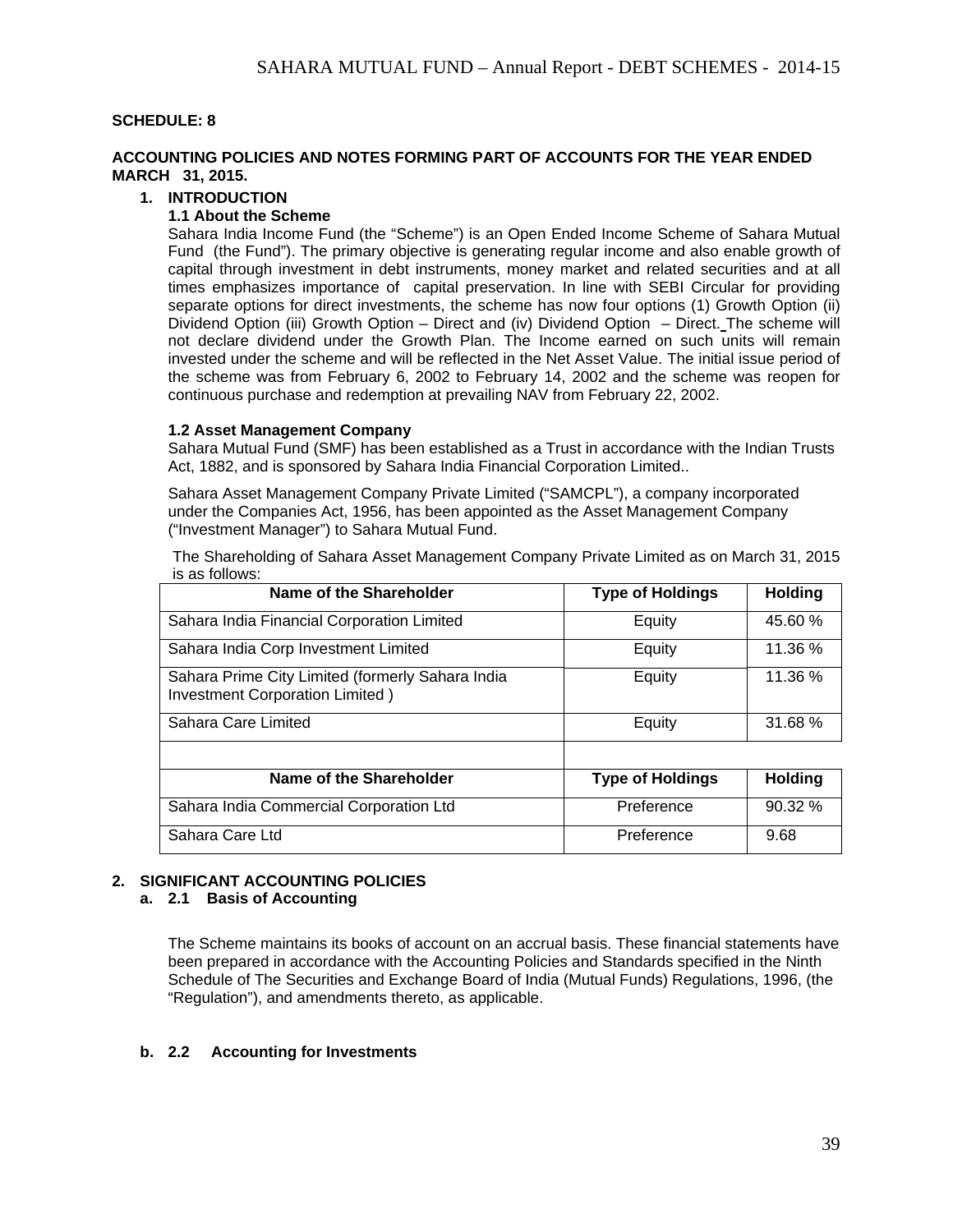## **SCHEDULE: 8**

### **ACCOUNTING POLICIES AND NOTES FORMING PART OF ACCOUNTS FOR THE YEAR ENDED MARCH 31, 2015.**

## **1. INTRODUCTION**

## **1.1 About the Scheme**

Sahara India Income Fund (the "Scheme") is an Open Ended Income Scheme of Sahara Mutual Fund (the Fund"). The primary objective is generating regular income and also enable growth of capital through investment in debt instruments, money market and related securities and at all times emphasizes importance of capital preservation. In line with SEBI Circular for providing separate options for direct investments, the scheme has now four options (1) Growth Option (ii) Dividend Option (iii) Growth Option – Direct and (iv) Dividend Option – Direct. The scheme will not declare dividend under the Growth Plan. The Income earned on such units will remain invested under the scheme and will be reflected in the Net Asset Value. The initial issue period of the scheme was from February 6, 2002 to February 14, 2002 and the scheme was reopen for continuous purchase and redemption at prevailing NAV from February 22, 2002.

### **1.2 Asset Management Company**

Sahara Mutual Fund (SMF) has been established as a Trust in accordance with the Indian Trusts Act, 1882, and is sponsored by Sahara India Financial Corporation Limited..

Sahara Asset Management Company Private Limited ("SAMCPL"), a company incorporated under the Companies Act, 1956, has been appointed as the Asset Management Company ("Investment Manager") to Sahara Mutual Fund.

The Shareholding of Sahara Asset Management Company Private Limited as on March 31, 2015 is as follows:

| Name of the Shareholder                                                             | <b>Type of Holdings</b> | <b>Holding</b> |
|-------------------------------------------------------------------------------------|-------------------------|----------------|
| Sahara India Financial Corporation Limited                                          | Equity                  | 45.60%         |
| Sahara India Corp Investment Limited                                                | Equity                  | 11.36 %        |
| Sahara Prime City Limited (formerly Sahara India<br>Investment Corporation Limited) | Equity                  | 11.36 %        |
| Sahara Care Limited                                                                 | Equity                  | 31.68%         |
|                                                                                     |                         |                |
| Name of the Shareholder                                                             | <b>Type of Holdings</b> | <b>Holding</b> |
| Sahara India Commercial Corporation Ltd                                             | Preference              | 90.32 %        |

Sahara Care Ltd **Preference 9.68** 

## **2. SIGNIFICANT ACCOUNTING POLICIES**

### **a. 2.1 Basis of Accounting**

The Scheme maintains its books of account on an accrual basis. These financial statements have been prepared in accordance with the Accounting Policies and Standards specified in the Ninth Schedule of The Securities and Exchange Board of India (Mutual Funds) Regulations, 1996, (the "Regulation"), and amendments thereto, as applicable.

## **b. 2.2 Accounting for Investments**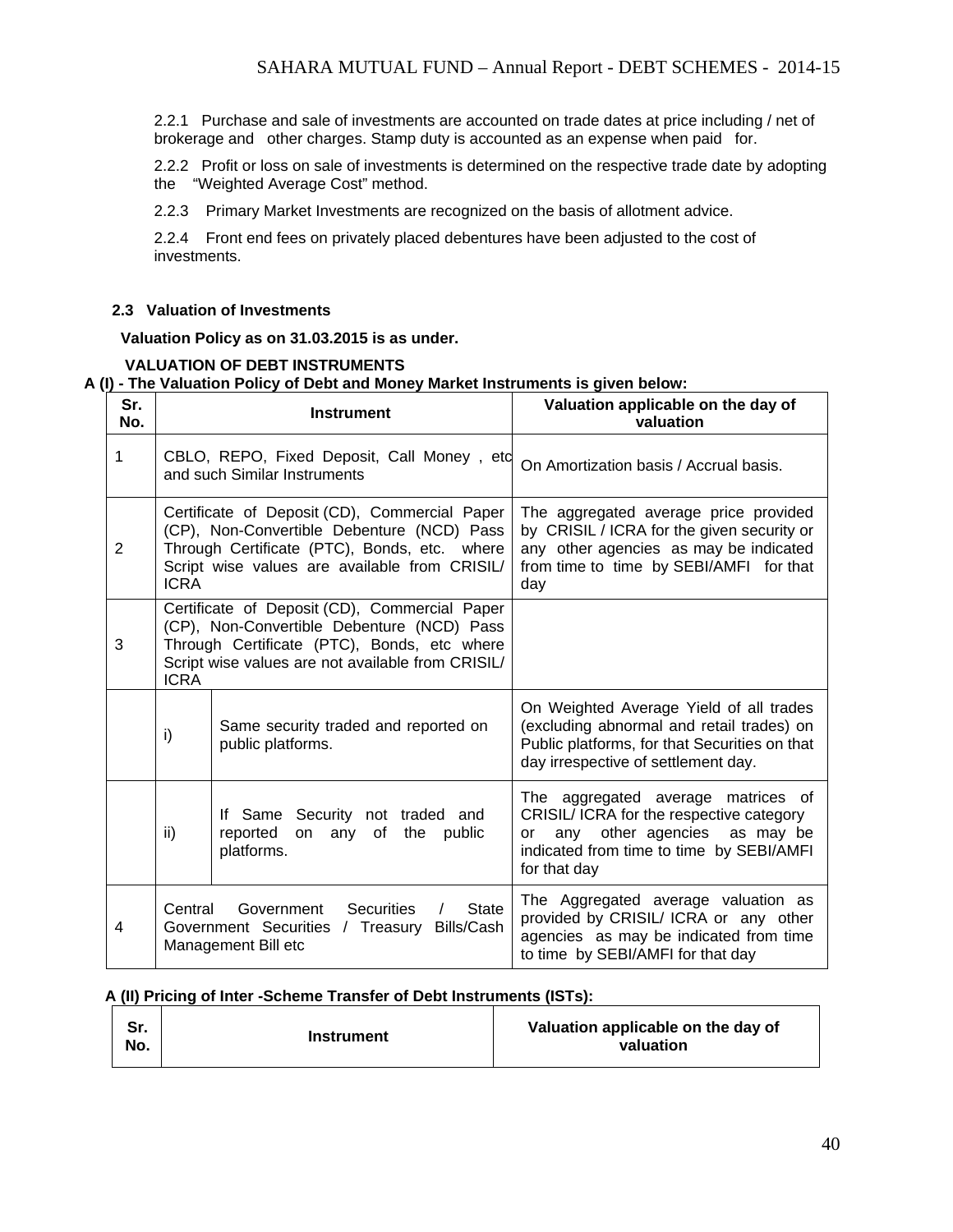2.2.1 Purchase and sale of investments are accounted on trade dates at price including / net of brokerage and other charges. Stamp duty is accounted as an expense when paid for.

2.2.2 Profit or loss on sale of investments is determined on the respective trade date by adopting the "Weighted Average Cost" method.

2.2.3 Primary Market Investments are recognized on the basis of allotment advice.

2.2.4 Front end fees on privately placed debentures have been adjusted to the cost of investments.

## **2.3 Valuation of Investments**

 **Valuation Policy as on 31.03.2015 is as under.** 

## **VALUATION OF DEBT INSTRUMENTS**

### **A (I) - The Valuation Policy of Debt and Money Market Instruments is given below:**

| Sr.<br>No. |             | <b>Instrument</b>                                                                                                                                                                               | Valuation applicable on the day of<br>valuation                                                                                                                                     |
|------------|-------------|-------------------------------------------------------------------------------------------------------------------------------------------------------------------------------------------------|-------------------------------------------------------------------------------------------------------------------------------------------------------------------------------------|
| 1          |             | CBLO, REPO, Fixed Deposit, Call Money, etc<br>and such Similar Instruments                                                                                                                      | On Amortization basis / Accrual basis.                                                                                                                                              |
| 2          | <b>ICRA</b> | Certificate of Deposit (CD), Commercial Paper<br>(CP), Non-Convertible Debenture (NCD) Pass<br>Through Certificate (PTC), Bonds, etc. where<br>Script wise values are available from CRISIL/    | The aggregated average price provided<br>by CRISIL / ICRA for the given security or<br>any other agencies as may be indicated<br>from time to time by SEBI/AMFI for that<br>day     |
| 3          | <b>ICRA</b> | Certificate of Deposit (CD), Commercial Paper<br>(CP), Non-Convertible Debenture (NCD) Pass<br>Through Certificate (PTC), Bonds, etc where<br>Script wise values are not available from CRISIL/ |                                                                                                                                                                                     |
|            | i)          | Same security traded and reported on<br>public platforms.                                                                                                                                       | On Weighted Average Yield of all trades<br>(excluding abnormal and retail trades) on<br>Public platforms, for that Securities on that<br>day irrespective of settlement day.        |
|            | ii)         | If Same Security not traded and<br>reported<br>of the<br>on any<br>public<br>platforms.                                                                                                         | The aggregated average matrices of<br>CRISIL/ ICRA for the respective category<br>other agencies as may be<br>any<br>or<br>indicated from time to time by SEBI/AMFI<br>for that day |
| 4          | Central     | <b>Securities</b><br><b>State</b><br>Government<br>Government Securities / Treasury<br>Bills/Cash<br>Management Bill etc                                                                        | The Aggregated average valuation as<br>provided by CRISIL/ ICRA or any other<br>agencies as may be indicated from time<br>to time by SEBI/AMFI for that day                         |

# **A (II) Pricing of Inter -Scheme Transfer of Debt Instruments (ISTs):**

| Sr.<br>No. | Instrument | Valuation applicable on the day of<br>valuation |
|------------|------------|-------------------------------------------------|
|------------|------------|-------------------------------------------------|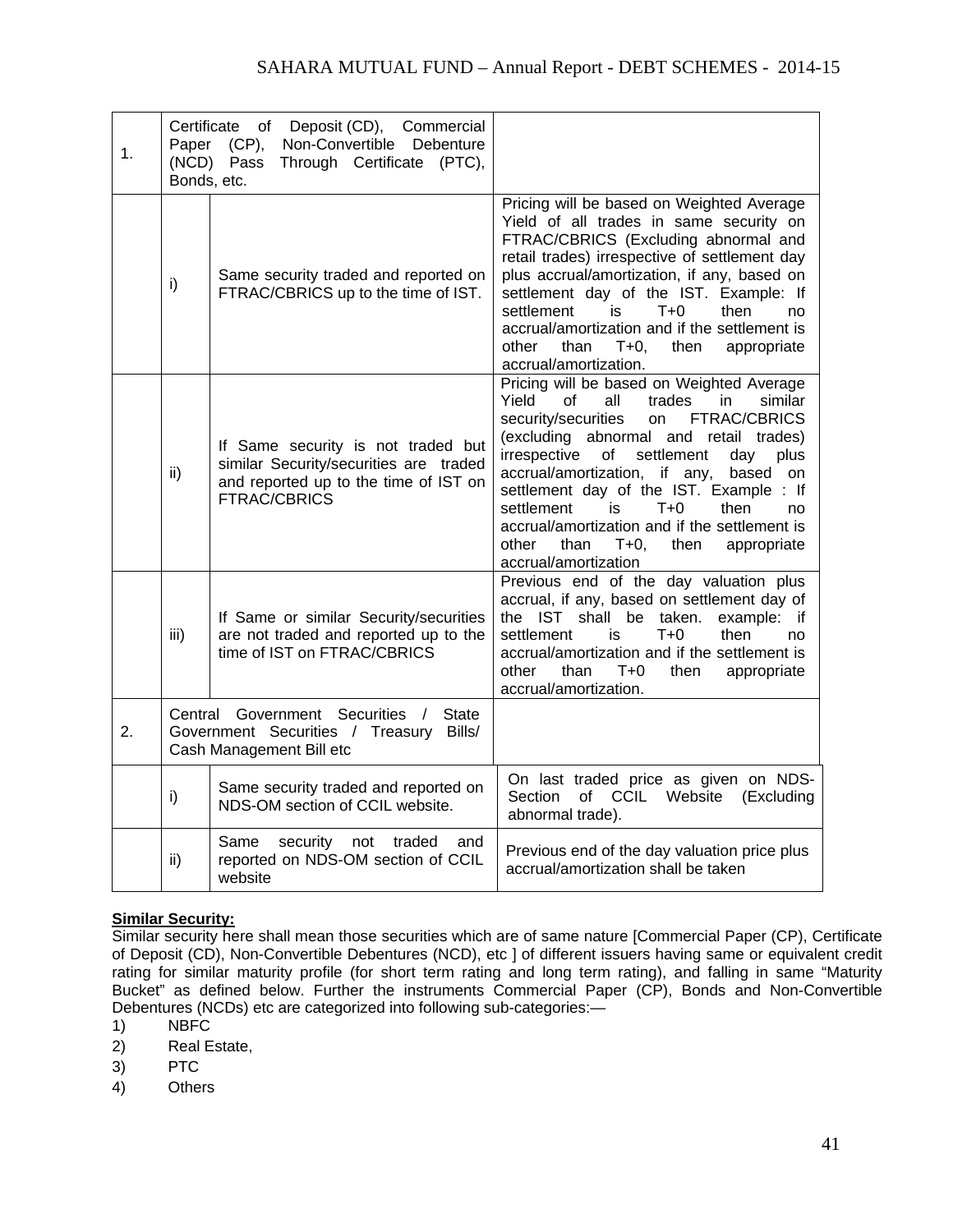| 1. | Paper<br>Bonds, etc.                                                                             | Deposit (CD), Commercial<br>Certificate of<br>Non-Convertible Debenture<br>$(CP)$ ,<br>(NCD) Pass<br>Through Certificate (PTC),              |                                                                                                                                                                                                                                                                                                                                                                                                                                                                                                             |
|----|--------------------------------------------------------------------------------------------------|----------------------------------------------------------------------------------------------------------------------------------------------|-------------------------------------------------------------------------------------------------------------------------------------------------------------------------------------------------------------------------------------------------------------------------------------------------------------------------------------------------------------------------------------------------------------------------------------------------------------------------------------------------------------|
|    | i)                                                                                               | Same security traded and reported on<br>FTRAC/CBRICS up to the time of IST.                                                                  | Pricing will be based on Weighted Average<br>Yield of all trades in same security on<br>FTRAC/CBRICS (Excluding abnormal and<br>retail trades) irrespective of settlement day<br>plus accrual/amortization, if any, based on<br>settlement day of the IST. Example: If<br>settlement<br>is.<br>$T+0$<br>then<br>no<br>accrual/amortization and if the settlement is<br>other<br>than<br>T+0.<br>then<br>appropriate<br>accrual/amortization.                                                                |
|    | ii)                                                                                              | If Same security is not traded but<br>similar Security/securities are traded<br>and reported up to the time of IST on<br><b>FTRAC/CBRICS</b> | Pricing will be based on Weighted Average<br>Yield<br>of<br>all<br>trades<br>similar<br>in.<br><b>FTRAC/CBRICS</b><br>security/securities<br>on<br>(excluding abnormal and retail trades)<br>irrespective<br>of<br>settlement<br>day<br>plus<br>accrual/amortization, if any,<br>based on<br>settlement day of the IST. Example : If<br>$T+0$<br>settlement<br>is<br>then<br>no<br>accrual/amortization and if the settlement is<br>$T+0$ ,<br>other<br>than<br>then<br>appropriate<br>accrual/amortization |
|    | iii)                                                                                             | If Same or similar Security/securities<br>are not traded and reported up to the<br>time of IST on FTRAC/CBRICS                               | Previous end of the day valuation plus<br>accrual, if any, based on settlement day of<br>the IST shall be taken. example: if<br>settlement<br>$T+0$<br>then<br>is<br>no<br>accrual/amortization and if the settlement is<br>$T+0$<br>other<br>than<br>then<br>appropriate<br>accrual/amortization.                                                                                                                                                                                                          |
| 2. | Central                                                                                          | Government Securities /<br>State<br>Government Securities / Treasury Bills/<br>Cash Management Bill etc                                      |                                                                                                                                                                                                                                                                                                                                                                                                                                                                                                             |
|    | i)                                                                                               | Same security traded and reported on<br>NDS-OM section of CCIL website.                                                                      | On last traded price as given on NDS-<br>Section<br>of CCIL<br>Website<br>(Excluding<br>abnormal trade).                                                                                                                                                                                                                                                                                                                                                                                                    |
|    | Same<br>security<br>not<br>traded<br>and<br>reported on NDS-OM section of CCIL<br>ii)<br>website |                                                                                                                                              | Previous end of the day valuation price plus<br>accrual/amortization shall be taken                                                                                                                                                                                                                                                                                                                                                                                                                         |

## **Similar Security:**

Similar security here shall mean those securities which are of same nature [Commercial Paper (CP), Certificate of Deposit (CD), Non-Convertible Debentures (NCD), etc ] of different issuers having same or equivalent credit rating for similar maturity profile (for short term rating and long term rating), and falling in same "Maturity Bucket" as defined below. Further the instruments Commercial Paper (CP), Bonds and Non-Convertible Debentures (NCDs) etc are categorized into following sub-categories:—

- 1) NBFC
- 2) Real Estate,
- 3) PTC
- 4) Others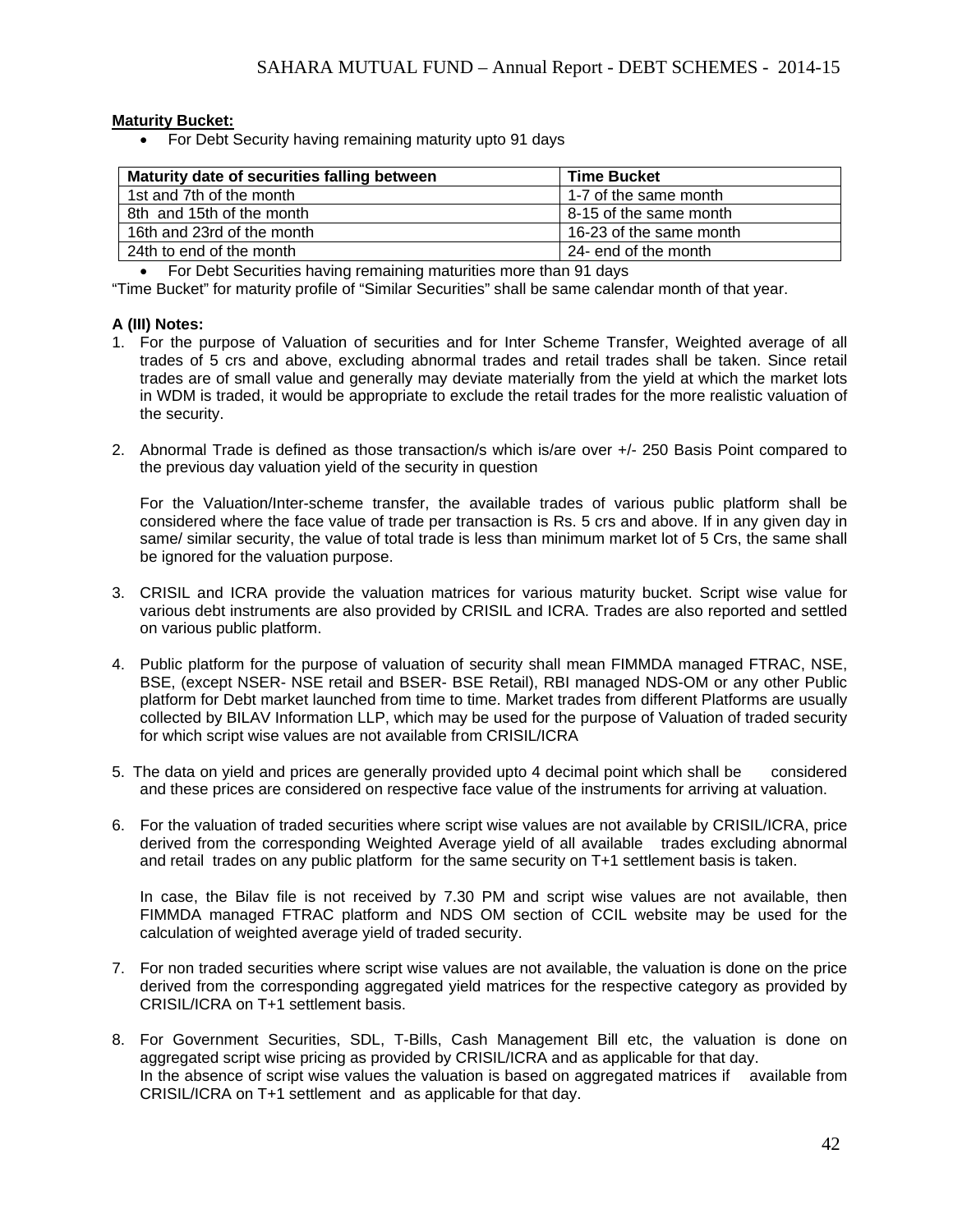## **Maturity Bucket:**

• For Debt Security having remaining maturity upto 91 days

| Maturity date of securities falling between | <b>Time Bucket</b>      |
|---------------------------------------------|-------------------------|
| 1st and 7th of the month                    | 1-7 of the same month   |
| 8th and 15th of the month                   | 8-15 of the same month  |
| 16th and 23rd of the month                  | 16-23 of the same month |
| 24th to end of the month                    | 24- end of the month    |

• For Debt Securities having remaining maturities more than 91 days

"Time Bucket" for maturity profile of "Similar Securities" shall be same calendar month of that year.

## **A (III) Notes:**

- 1. For the purpose of Valuation of securities and for Inter Scheme Transfer, Weighted average of all trades of 5 crs and above, excluding abnormal trades and retail trades shall be taken. Since retail trades are of small value and generally may deviate materially from the yield at which the market lots in WDM is traded, it would be appropriate to exclude the retail trades for the more realistic valuation of the security.
- 2. Abnormal Trade is defined as those transaction/s which is/are over +/- 250 Basis Point compared to the previous day valuation yield of the security in question

For the Valuation/Inter-scheme transfer, the available trades of various public platform shall be considered where the face value of trade per transaction is Rs. 5 crs and above. If in any given day in same/ similar security, the value of total trade is less than minimum market lot of 5 Crs, the same shall be ignored for the valuation purpose.

- 3. CRISIL and ICRA provide the valuation matrices for various maturity bucket. Script wise value for various debt instruments are also provided by CRISIL and ICRA. Trades are also reported and settled on various public platform.
- 4. Public platform for the purpose of valuation of security shall mean FIMMDA managed FTRAC, NSE, BSE, (except NSER- NSE retail and BSER- BSE Retail), RBI managed NDS-OM or any other Public platform for Debt market launched from time to time. Market trades from different Platforms are usually collected by BILAV Information LLP, which may be used for the purpose of Valuation of traded security for which script wise values are not available from CRISIL/ICRA
- 5. The data on yield and prices are generally provided upto 4 decimal point which shall be considered and these prices are considered on respective face value of the instruments for arriving at valuation.
- 6. For the valuation of traded securities where script wise values are not available by CRISIL/ICRA, price derived from the corresponding Weighted Average yield of all available trades excluding abnormal and retail trades on any public platform for the same security on T+1 settlement basis is taken.

In case, the Bilav file is not received by 7.30 PM and script wise values are not available, then FIMMDA managed FTRAC platform and NDS OM section of CCIL website may be used for the calculation of weighted average yield of traded security.

- 7. For non traded securities where script wise values are not available, the valuation is done on the price derived from the corresponding aggregated yield matrices for the respective category as provided by CRISIL/ICRA on T+1 settlement basis.
- 8. For Government Securities, SDL, T-Bills, Cash Management Bill etc, the valuation is done on aggregated script wise pricing as provided by CRISIL/ICRA and as applicable for that day. In the absence of script wise values the valuation is based on aggregated matrices if available from CRISIL/ICRA on T+1 settlement and as applicable for that day.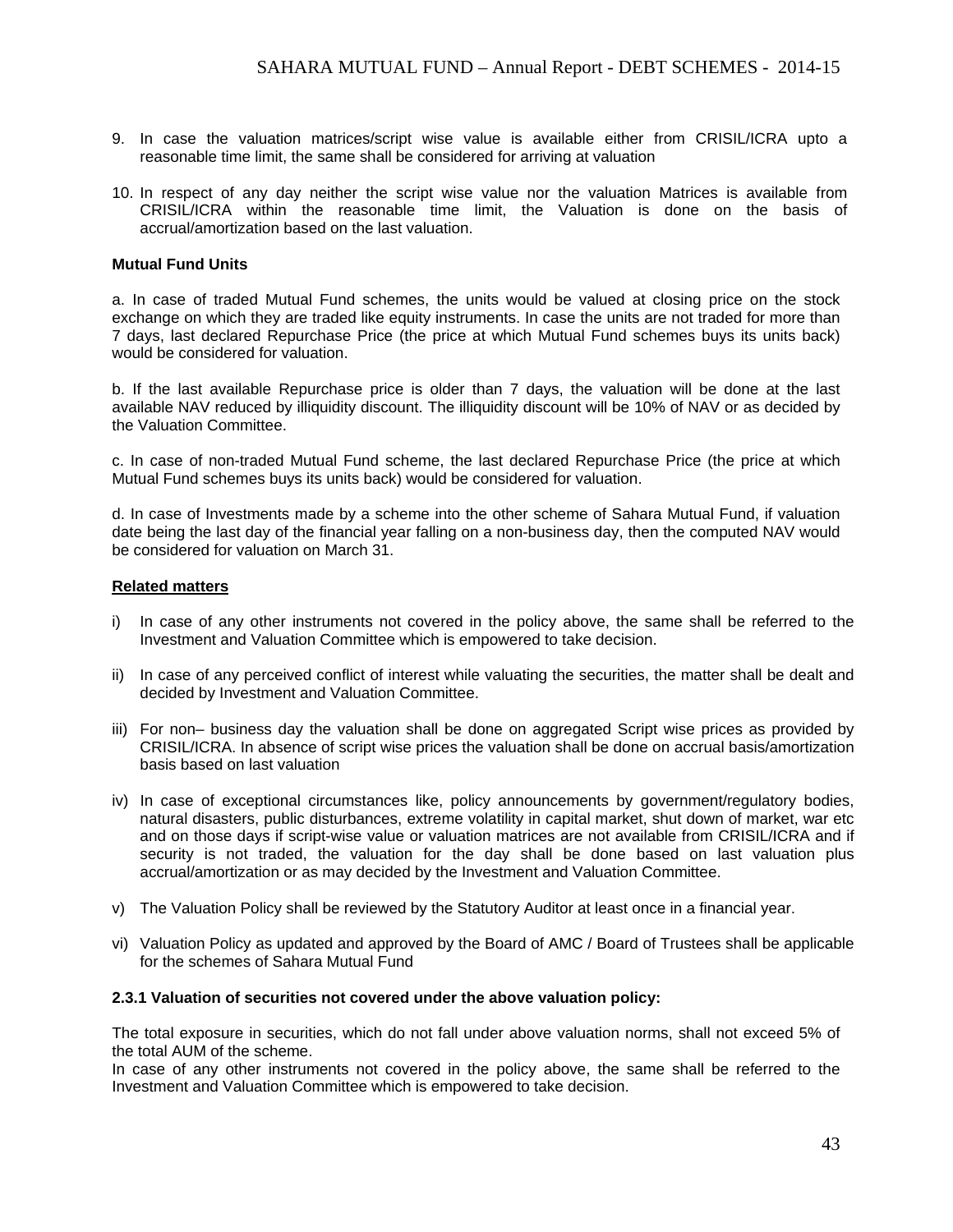- 9. In case the valuation matrices/script wise value is available either from CRISIL/ICRA upto a reasonable time limit, the same shall be considered for arriving at valuation
- 10. In respect of any day neither the script wise value nor the valuation Matrices is available from CRISIL/ICRA within the reasonable time limit, the Valuation is done on the basis of accrual/amortization based on the last valuation.

### **Mutual Fund Units**

a. In case of traded Mutual Fund schemes, the units would be valued at closing price on the stock exchange on which they are traded like equity instruments. In case the units are not traded for more than 7 days, last declared Repurchase Price (the price at which Mutual Fund schemes buys its units back) would be considered for valuation.

b. If the last available Repurchase price is older than 7 days, the valuation will be done at the last available NAV reduced by illiquidity discount. The illiquidity discount will be 10% of NAV or as decided by the Valuation Committee.

c. In case of non-traded Mutual Fund scheme, the last declared Repurchase Price (the price at which Mutual Fund schemes buys its units back) would be considered for valuation.

d. In case of Investments made by a scheme into the other scheme of Sahara Mutual Fund, if valuation date being the last day of the financial year falling on a non-business day, then the computed NAV would be considered for valuation on March 31.

### **Related matters**

- i) In case of any other instruments not covered in the policy above, the same shall be referred to the Investment and Valuation Committee which is empowered to take decision.
- ii) In case of any perceived conflict of interest while valuating the securities, the matter shall be dealt and decided by Investment and Valuation Committee.
- iii) For non– business day the valuation shall be done on aggregated Script wise prices as provided by CRISIL/ICRA. In absence of script wise prices the valuation shall be done on accrual basis/amortization basis based on last valuation
- iv) In case of exceptional circumstances like, policy announcements by government/regulatory bodies, natural disasters, public disturbances, extreme volatility in capital market, shut down of market, war etc and on those days if script-wise value or valuation matrices are not available from CRISIL/ICRA and if security is not traded, the valuation for the day shall be done based on last valuation plus accrual/amortization or as may decided by the Investment and Valuation Committee.
- v) The Valuation Policy shall be reviewed by the Statutory Auditor at least once in a financial year.
- vi) Valuation Policy as updated and approved by the Board of AMC / Board of Trustees shall be applicable for the schemes of Sahara Mutual Fund

### **2.3.1 Valuation of securities not covered under the above valuation policy:**

The total exposure in securities, which do not fall under above valuation norms, shall not exceed 5% of the total AUM of the scheme.

In case of any other instruments not covered in the policy above, the same shall be referred to the Investment and Valuation Committee which is empowered to take decision.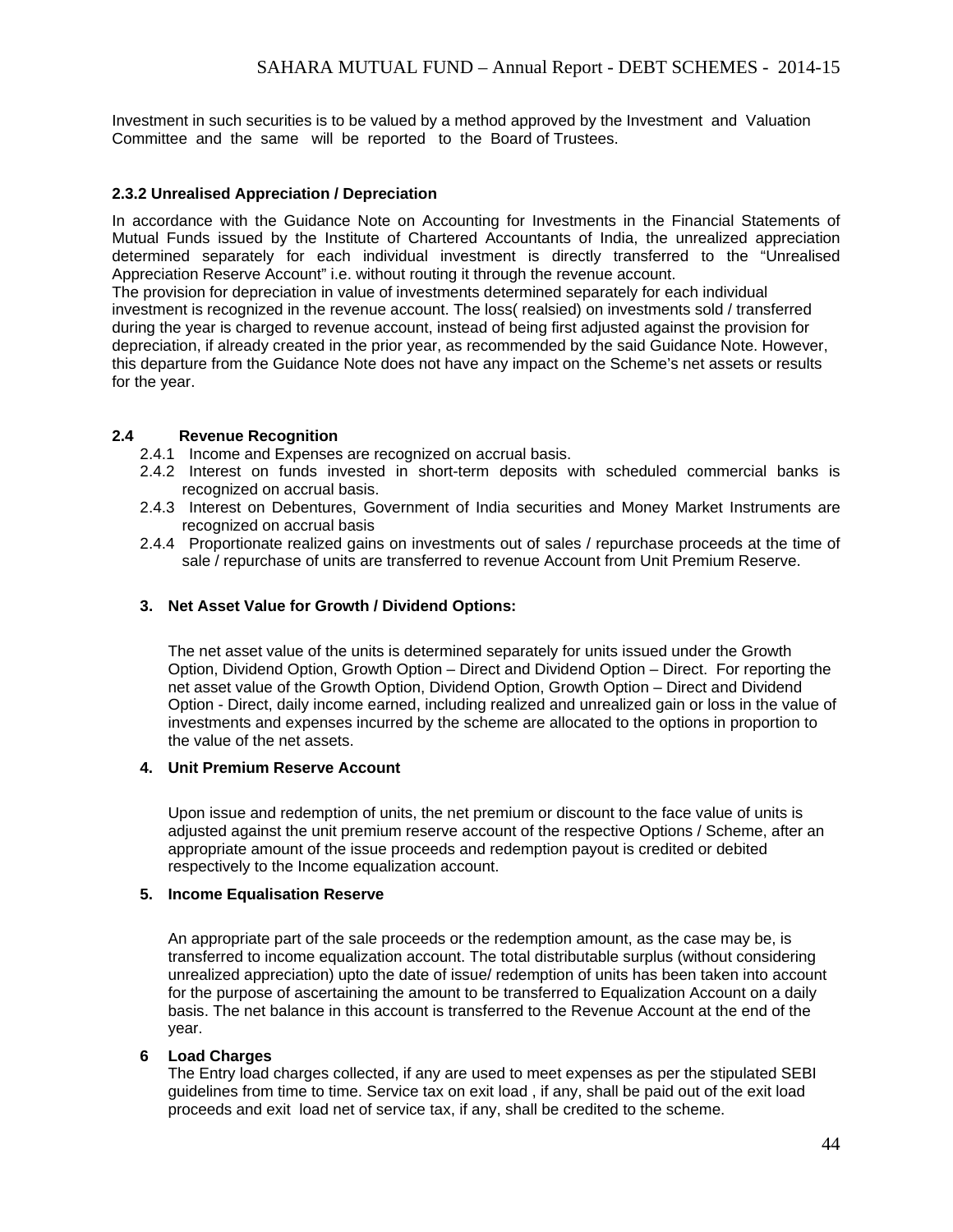Investment in such securities is to be valued by a method approved by the Investment and Valuation Committee and the same will be reported to the Board of Trustees.

## **2.3.2 Unrealised Appreciation / Depreciation**

In accordance with the Guidance Note on Accounting for Investments in the Financial Statements of Mutual Funds issued by the Institute of Chartered Accountants of India, the unrealized appreciation determined separately for each individual investment is directly transferred to the "Unrealised Appreciation Reserve Account" i.e. without routing it through the revenue account.

The provision for depreciation in value of investments determined separately for each individual investment is recognized in the revenue account. The loss( realsied) on investments sold / transferred during the year is charged to revenue account, instead of being first adjusted against the provision for depreciation, if already created in the prior year, as recommended by the said Guidance Note. However, this departure from the Guidance Note does not have any impact on the Scheme's net assets or results for the year.

## **2.4 Revenue Recognition**

- 2.4.1 Income and Expenses are recognized on accrual basis.
- 2.4.2 Interest on funds invested in short-term deposits with scheduled commercial banks is recognized on accrual basis.
- 2.4.3 Interest on Debentures, Government of India securities and Money Market Instruments are recognized on accrual basis
- 2.4.4 Proportionate realized gains on investments out of sales / repurchase proceeds at the time of sale / repurchase of units are transferred to revenue Account from Unit Premium Reserve.

## **3. Net Asset Value for Growth / Dividend Options:**

The net asset value of the units is determined separately for units issued under the Growth Option, Dividend Option, Growth Option – Direct and Dividend Option – Direct. For reporting the net asset value of the Growth Option, Dividend Option, Growth Option – Direct and Dividend Option - Direct, daily income earned, including realized and unrealized gain or loss in the value of investments and expenses incurred by the scheme are allocated to the options in proportion to the value of the net assets.

### **4. Unit Premium Reserve Account**

Upon issue and redemption of units, the net premium or discount to the face value of units is adjusted against the unit premium reserve account of the respective Options / Scheme, after an appropriate amount of the issue proceeds and redemption payout is credited or debited respectively to the Income equalization account.

### **5. Income Equalisation Reserve**

An appropriate part of the sale proceeds or the redemption amount, as the case may be, is transferred to income equalization account. The total distributable surplus (without considering unrealized appreciation) upto the date of issue/ redemption of units has been taken into account for the purpose of ascertaining the amount to be transferred to Equalization Account on a daily basis. The net balance in this account is transferred to the Revenue Account at the end of the year.

### **6 Load Charges**

The Entry load charges collected, if any are used to meet expenses as per the stipulated SEBI guidelines from time to time. Service tax on exit load , if any, shall be paid out of the exit load proceeds and exit load net of service tax, if any, shall be credited to the scheme.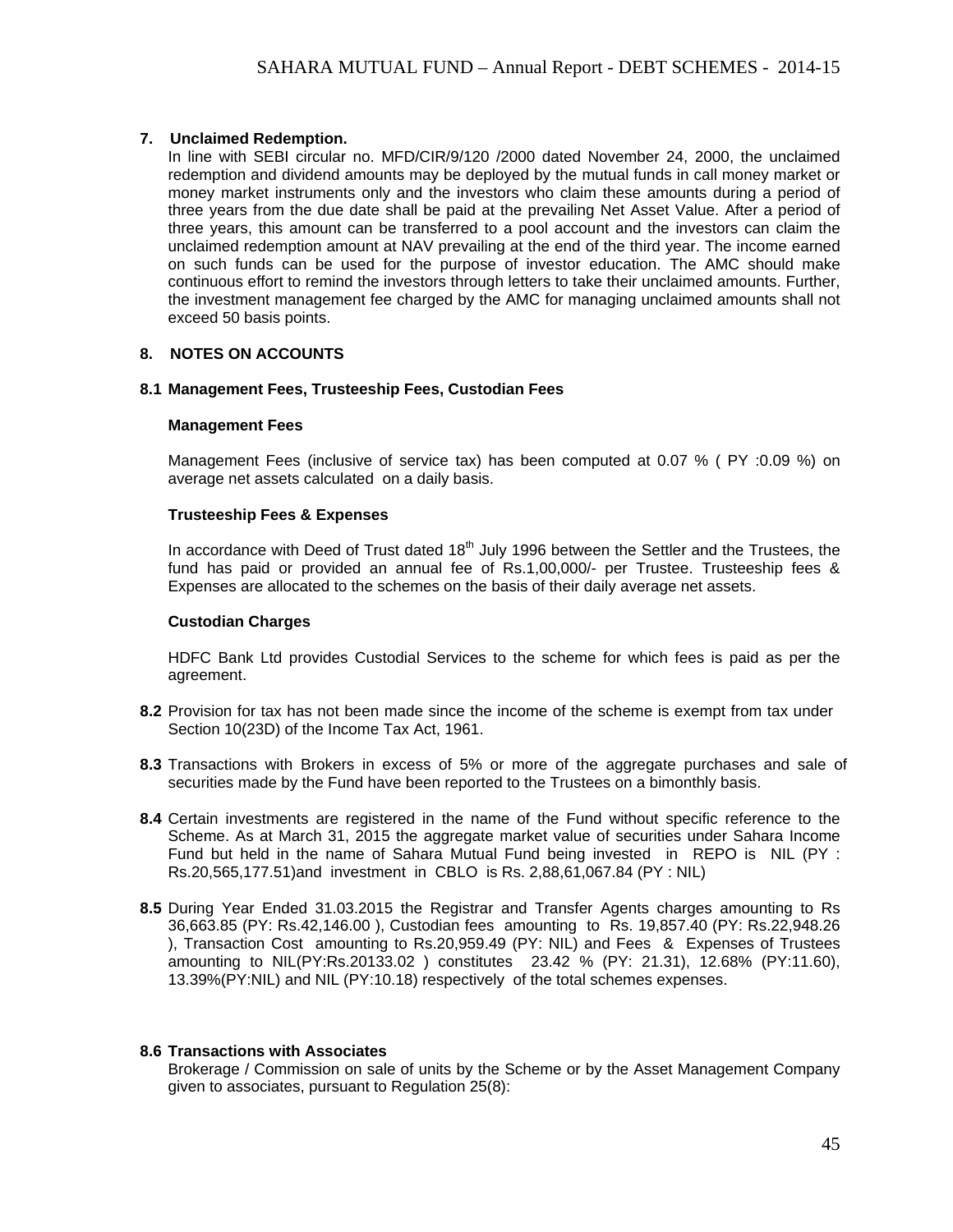## **7. Unclaimed Redemption.**

In line with SEBI circular no. MFD/CIR/9/120 /2000 dated November 24, 2000, the unclaimed redemption and dividend amounts may be deployed by the mutual funds in call money market or money market instruments only and the investors who claim these amounts during a period of three years from the due date shall be paid at the prevailing Net Asset Value. After a period of three years, this amount can be transferred to a pool account and the investors can claim the unclaimed redemption amount at NAV prevailing at the end of the third year. The income earned on such funds can be used for the purpose of investor education. The AMC should make continuous effort to remind the investors through letters to take their unclaimed amounts. Further, the investment management fee charged by the AMC for managing unclaimed amounts shall not exceed 50 basis points.

## **8. NOTES ON ACCOUNTS**

### **8.1 Management Fees, Trusteeship Fees, Custodian Fees**

### **Management Fees**

Management Fees (inclusive of service tax) has been computed at 0.07 % ( PY :0.09 %) on average net assets calculated on a daily basis.

### **Trusteeship Fees & Expenses**

In accordance with Deed of Trust dated  $18<sup>th</sup>$  July 1996 between the Settler and the Trustees, the fund has paid or provided an annual fee of Rs.1,00,000/- per Trustee. Trusteeship fees & Expenses are allocated to the schemes on the basis of their daily average net assets.

### **Custodian Charges**

HDFC Bank Ltd provides Custodial Services to the scheme for which fees is paid as per the agreement.

- **8.2** Provision for tax has not been made since the income of the scheme is exempt from tax under Section 10(23D) of the Income Tax Act, 1961.
- **8.3** Transactions with Brokers in excess of 5% or more of the aggregate purchases and sale of securities made by the Fund have been reported to the Trustees on a bimonthly basis.
- **8.4** Certain investments are registered in the name of the Fund without specific reference to the Scheme. As at March 31, 2015 the aggregate market value of securities under Sahara Income Fund but held in the name of Sahara Mutual Fund being invested in REPO is NIL (PY : Rs.20,565,177.51)and investment in CBLO is Rs. 2,88,61,067.84 (PY : NIL)
- **8.5** During Year Ended 31.03.2015 the Registrar and Transfer Agents charges amounting to Rs 36,663.85 (PY: Rs.42,146.00 ), Custodian fees amounting to Rs. 19,857.40 (PY: Rs.22,948.26 ), Transaction Cost amounting to Rs.20,959.49 (PY: NIL) and Fees & Expenses of Trustees amounting to NIL(PY:Rs.20133.02 ) constitutes 23.42 % (PY: 21.31), 12.68% (PY:11.60), 13.39%(PY:NIL) and NIL (PY:10.18) respectively of the total schemes expenses.

### **8.6 Transactions with Associates**

Brokerage / Commission on sale of units by the Scheme or by the Asset Management Company given to associates, pursuant to Regulation 25(8):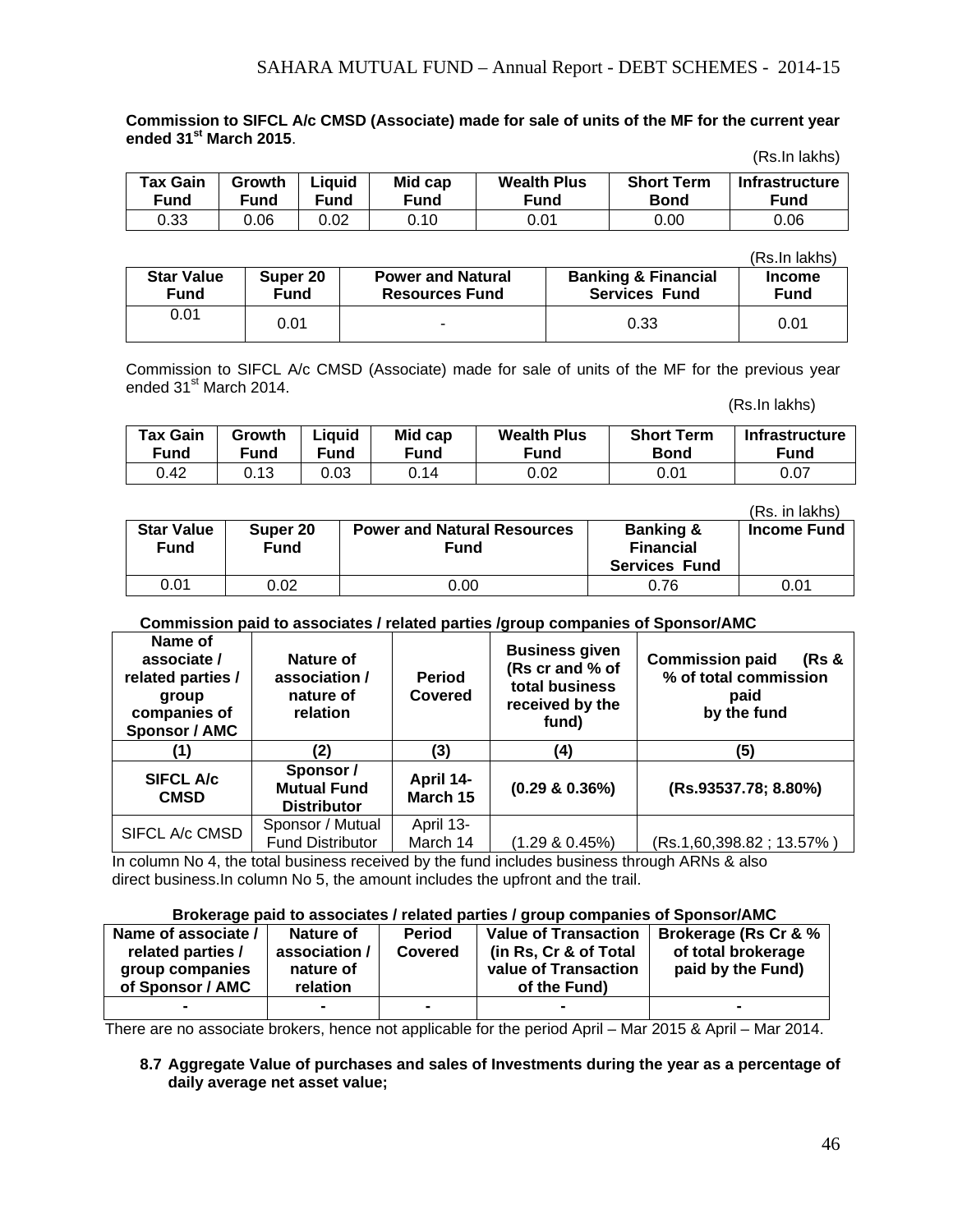**Commission to SIFCL A/c CMSD (Associate) made for sale of units of the MF for the current year ended 31st March 2015**.

| <b>Tax Gain</b> | Growth | Liguid         | Mid cap | <b>Wealth Plus</b> | <b>Short Term</b> | <b>Infrastructure</b> |
|-----------------|--------|----------------|---------|--------------------|-------------------|-----------------------|
| Fund            | Fund   | $\epsilon$ und | Fund    | <b>Fund</b>        | <b>Bond</b>       | Fund                  |
| 0.33            | 0.06   | 0.02           | 0.10    | 0.01               | 0.00              | 0.06                  |

(Rs.In lakhs)

(Rs.In lakhs)

| <b>Star Value</b><br>Fund | <b>Power and Natural</b><br>Super 20<br>Fund<br><b>Resources Fund</b> |  | <b>Banking &amp; Financial</b><br><b>Income</b><br><b>Services Fund</b><br><b>Fund</b> |      |  |
|---------------------------|-----------------------------------------------------------------------|--|----------------------------------------------------------------------------------------|------|--|
| 0.01                      | 0.01                                                                  |  | 0.33                                                                                   | 0.01 |  |

Commission to SIFCL A/c CMSD (Associate) made for sale of units of the MF for the previous year ended 31<sup>st</sup> March 2014.

(Rs.In lakhs)

| <b>Tax Gain</b> | Growth | ∟iquid | Mid cap | <b>Wealth Plus</b> | <b>Short Term</b> | <b>Infrastructure</b> |
|-----------------|--------|--------|---------|--------------------|-------------------|-----------------------|
| ≂und            | Fund   | Fund   | Fund    | Fund               | Bond              | Fund                  |
| 0.42            | 0.13   | 0.03   | 0.14    | 0.02               | 0.01              | 0.07                  |

|                                  |                  |                                            |                                                                  | (Rs. in lakhs)     |
|----------------------------------|------------------|--------------------------------------------|------------------------------------------------------------------|--------------------|
| <b>Star Value</b><br><b>Fund</b> | Super 20<br>Fund | <b>Power and Natural Resources</b><br>Fund | <b>Banking &amp;</b><br><b>Financial</b><br><b>Services Fund</b> | <b>Income Fund</b> |
| 0.01                             | 0.02             | 0.00                                       | 0.76                                                             | 0.01               |

**Commission paid to associates / related parties /group companies of Sponsor/AMC** 

| Name of<br>associate /<br>related parties /<br>group<br>companies of<br><b>Sponsor / AMC</b> | Nature of<br>association /<br>nature of<br>relation   | <b>Period</b><br>Covered | <b>Business given</b><br>(Rs cr and % of<br>total business<br>received by the<br>fund) | <b>Commission paid</b><br>(Rs &<br>% of total commission<br>paid<br>by the fund |
|----------------------------------------------------------------------------------------------|-------------------------------------------------------|--------------------------|----------------------------------------------------------------------------------------|---------------------------------------------------------------------------------|
| (1)                                                                                          | 2)                                                    | (3)                      | (4)                                                                                    | (5)                                                                             |
| <b>SIFCL A/c</b><br><b>CMSD</b>                                                              | Sponsor /<br><b>Mutual Fund</b><br><b>Distributor</b> | April 14-<br>March 15    | (0.29 & 0.36%)                                                                         | (Rs.93537.78; 8.80%)                                                            |
| SIFCL A/c CMSD                                                                               | Sponsor / Mutual<br><b>Fund Distributor</b>           | April 13-<br>March 14    | (1.29 & 0.45%)                                                                         | (Rs.1,60,398.82; 13.57%)                                                        |

In column No 4, the total business received by the fund includes business through ARNs & also direct business.In column No 5, the amount includes the upfront and the trail.

## **Brokerage paid to associates / related parties / group companies of Sponsor/AMC**

| Name of associate /<br>related parties /<br>group companies<br>of Sponsor / AMC | Nature of<br>association /<br>nature of<br>relation | <b>Period</b><br>Covered | <b>Value of Transaction</b><br>(in Rs, Cr & of Total)<br>value of Transaction<br>of the Fund) | Brokerage (Rs Cr & %<br>of total brokerage<br>paid by the Fund) |
|---------------------------------------------------------------------------------|-----------------------------------------------------|--------------------------|-----------------------------------------------------------------------------------------------|-----------------------------------------------------------------|
|                                                                                 | $\blacksquare$                                      | $\overline{\phantom{0}}$ | $\overline{\phantom{a}}$                                                                      |                                                                 |

There are no associate brokers, hence not applicable for the period April – Mar 2015 & April – Mar 2014.

## **8.7 Aggregate Value of purchases and sales of Investments during the year as a percentage of daily average net asset value;**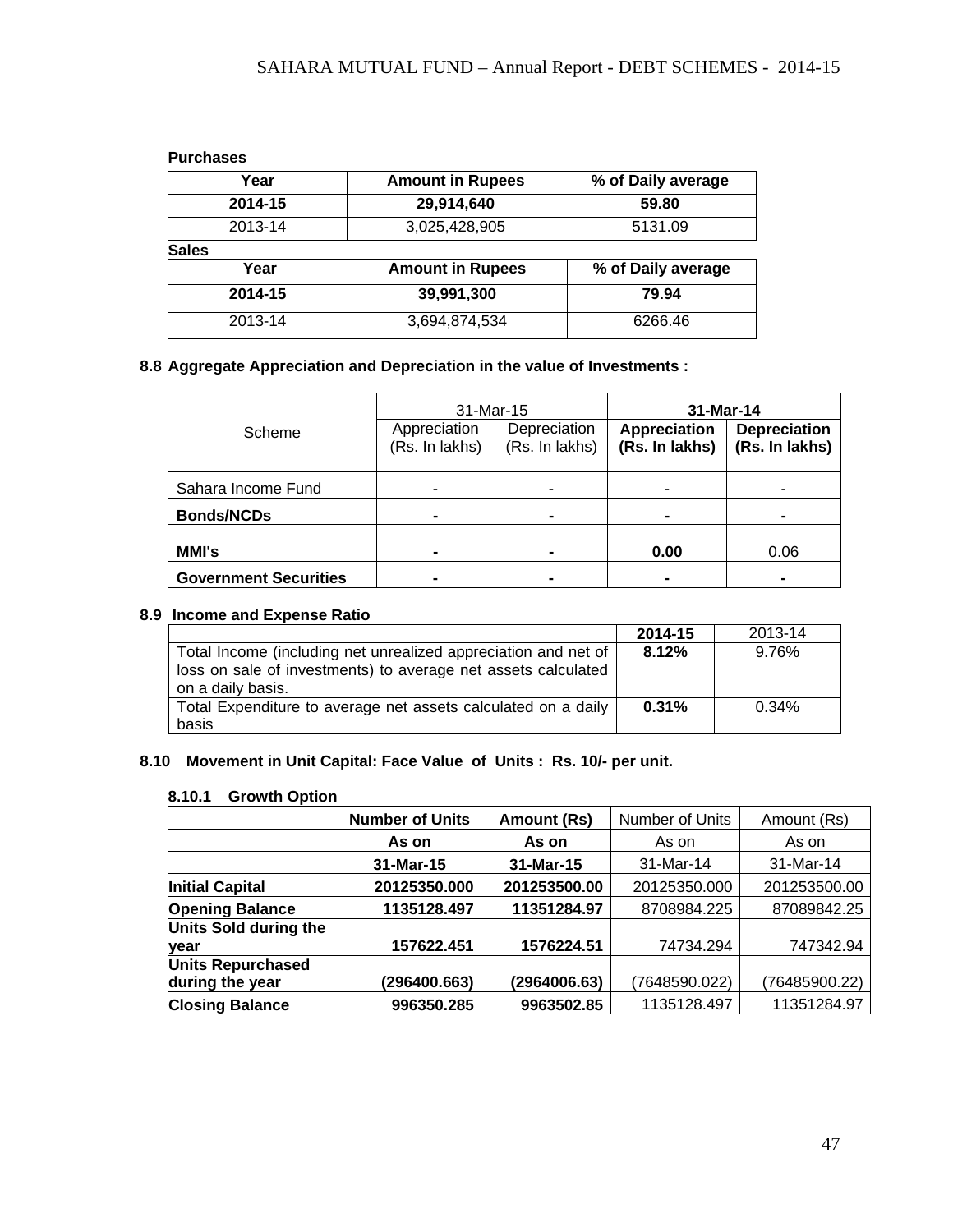## **Purchases**

| Year         | <b>Amount in Rupees</b> | % of Daily average |
|--------------|-------------------------|--------------------|
| 2014-15      | 29,914,640              | 59.80              |
| 2013-14      | 3,025,428,905           | 5131.09            |
| <b>Sales</b> |                         |                    |
| Year         | <b>Amount in Rupees</b> | % of Daily average |
| 2014-15      | 39,991,300              | 79.94              |
| 2013-14      | 3,694,874,534           | 6266.46            |

## **8.8 Aggregate Appreciation and Depreciation in the value of Investments :**

|                              | 31-Mar-15                      |                                | 31-Mar-14                      |                                       |  |
|------------------------------|--------------------------------|--------------------------------|--------------------------------|---------------------------------------|--|
| Scheme                       | Appreciation<br>(Rs. In lakhs) | Depreciation<br>(Rs. In lakhs) | Appreciation<br>(Rs. In lakhs) | <b>Depreciation</b><br>(Rs. In lakhs) |  |
| Sahara Income Fund           | ۰                              | ۰                              | ۰                              |                                       |  |
| <b>Bonds/NCDs</b>            |                                | $\blacksquare$                 | $\blacksquare$                 |                                       |  |
| <b>MMI's</b>                 |                                | $\blacksquare$                 | 0.00                           | 0.06                                  |  |
| <b>Government Securities</b> | -                              | $\blacksquare$                 | $\blacksquare$                 |                                       |  |

## **8.9 Income and Expense Ratio**

|                                                                | 2014-15 | 2013-14 |
|----------------------------------------------------------------|---------|---------|
| Total Income (including net unrealized appreciation and net of | 8.12%   | 9.76%   |
| loss on sale of investments) to average net assets calculated  |         |         |
| on a daily basis.                                              |         |         |
| Total Expenditure to average net assets calculated on a daily  | 0.31%   | 0.34%   |
| basis                                                          |         |         |

## **8.10 Movement in Unit Capital: Face Value of Units : Rs. 10/- per unit.**

## **8.10.1 Growth Option**

|                                             | <b>Number of Units</b> | Amount (Rs)  | Number of Units | Amount (Rs)   |
|---------------------------------------------|------------------------|--------------|-----------------|---------------|
|                                             | As on                  | As on        | As on           | As on         |
|                                             | 31-Mar-15              | 31-Mar-15    | 31-Mar-14       | 31-Mar-14     |
| <b>Initial Capital</b>                      | 20125350.000           | 201253500.00 | 20125350.000    | 201253500.00  |
| <b>Opening Balance</b>                      | 1135128.497            | 11351284.97  | 8708984.225     | 87089842.25   |
| Units Sold during the<br>year               | 157622.451             | 1576224.51   | 74734.294       | 747342.94     |
| <b>Units Repurchased</b><br>during the year | (296400.663)           | (2964006.63) | (7648590.022)   | (76485900.22) |
| <b>Closing Balance</b>                      | 996350.285             | 9963502.85   | 1135128.497     | 11351284.97   |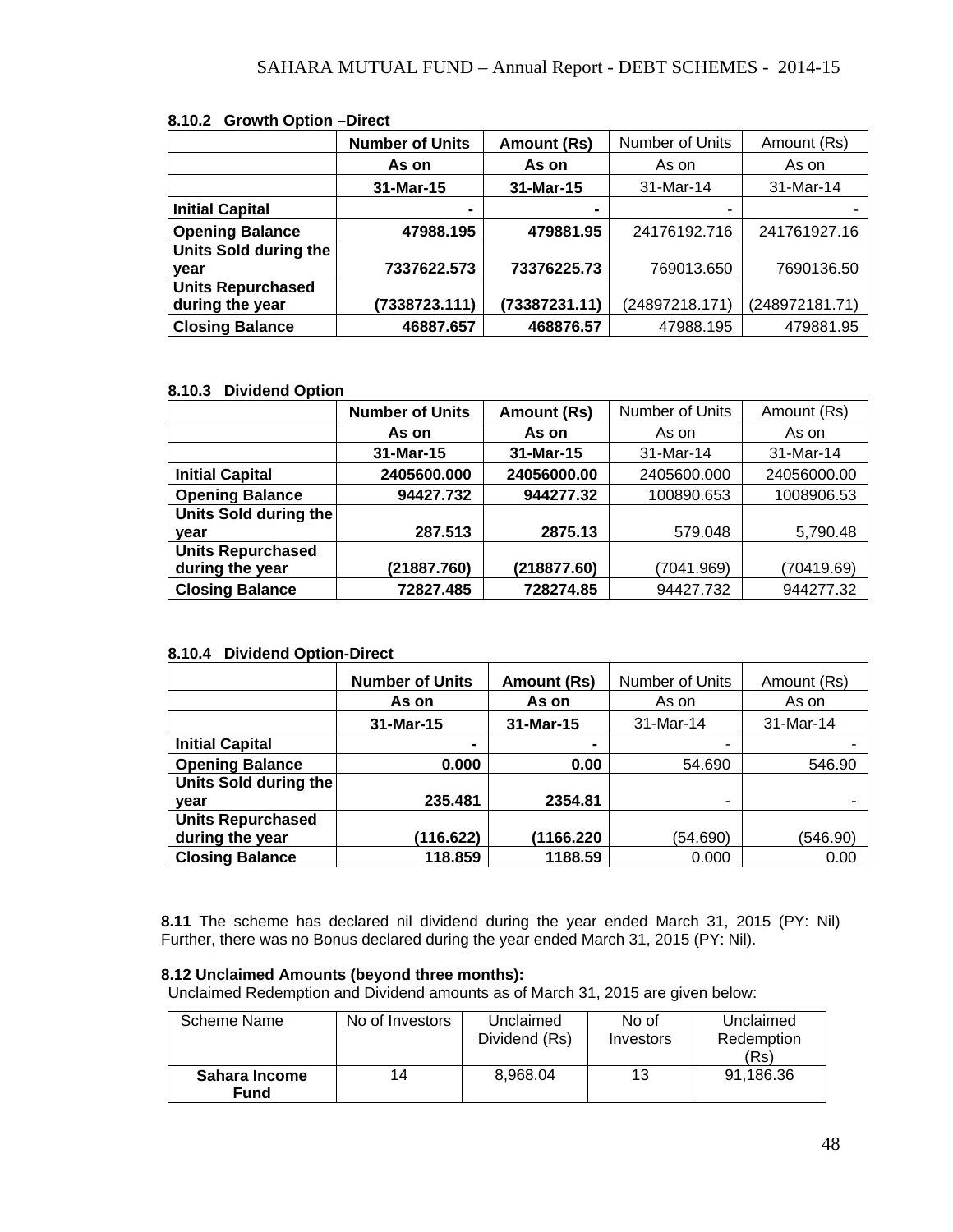|                                             | <b>Number of Units</b> | Amount (Rs)   | Number of Units | Amount (Rs)    |
|---------------------------------------------|------------------------|---------------|-----------------|----------------|
|                                             | As on                  | As on         | As on           | As on          |
|                                             | 31-Mar-15              | 31-Mar-15     | 31-Mar-14       | 31-Mar-14      |
| <b>Initial Capital</b>                      | $\blacksquare$         |               | ۰               |                |
| <b>Opening Balance</b>                      | 47988.195              | 479881.95     | 24176192.716    | 241761927.16   |
| Units Sold during the<br>year               | 7337622.573            | 73376225.73   | 769013.650      | 7690136.50     |
| <b>Units Repurchased</b><br>during the year | (7338723.111)          | (73387231.11) | (24897218.171)  | (248972181.71) |
| <b>Closing Balance</b>                      | 46887.657              | 468876.57     | 47988.195       | 479881.95      |

### **8.10.2 Growth Option –Direct**

### **8.10.3 Dividend Option**

|                          | <b>Number of Units</b> | Amount (Rs) | Number of Units | Amount (Rs) |
|--------------------------|------------------------|-------------|-----------------|-------------|
|                          | As on                  | As on       | As on           | As on       |
|                          | 31-Mar-15              | 31-Mar-15   | 31-Mar-14       | 31-Mar-14   |
| <b>Initial Capital</b>   | 2405600.000            | 24056000.00 | 2405600.000     | 24056000.00 |
| <b>Opening Balance</b>   | 94427.732              | 944277.32   | 100890.653      | 1008906.53  |
| Units Sold during the    |                        |             |                 |             |
| year                     | 287.513                | 2875.13     | 579.048         | 5,790.48    |
| <b>Units Repurchased</b> |                        |             |                 |             |
| during the year          | (21887.760)            | (218877.60) | (7041.969)      | (70419.69)  |
| <b>Closing Balance</b>   | 72827.485              | 728274.85   | 94427.732       | 944277.32   |

## **8.10.4 Dividend Option-Direct**

|                          | <b>Number of Units</b> | Amount (Rs) | Number of Units | Amount (Rs) |
|--------------------------|------------------------|-------------|-----------------|-------------|
|                          | As on                  | As on       | As on           | As on       |
|                          | 31-Mar-15              | 31-Mar-15   | 31-Mar-14       | 31-Mar-14   |
| <b>Initial Capital</b>   | $\blacksquare$         | -           |                 |             |
| <b>Opening Balance</b>   | 0.000                  | 0.00        | 54.690          | 546.90      |
| Units Sold during the    |                        |             |                 |             |
| year                     | 235.481                | 2354.81     |                 |             |
| <b>Units Repurchased</b> |                        |             |                 |             |
| during the year          | (116.622)              | (1166.220   | (54.690)        | (546.90)    |
| <b>Closing Balance</b>   | 118.859                | 1188.59     | 0.000           | 0.00        |

**8.11** The scheme has declared nil dividend during the year ended March 31, 2015 (PY: Nil) Further, there was no Bonus declared during the year ended March 31, 2015 (PY: Nil).

## **8.12 Unclaimed Amounts (beyond three months):**

Unclaimed Redemption and Dividend amounts as of March 31, 2015 are given below:

| Scheme Name           | No of Investors | Unclaimed<br>Dividend (Rs) | No of<br>Investors | Unclaimed<br>Redemption<br>(Rs) |
|-----------------------|-----------------|----------------------------|--------------------|---------------------------------|
| Sahara Income<br>Fund | 14              | 8.968.04                   | 13                 | 91.186.36                       |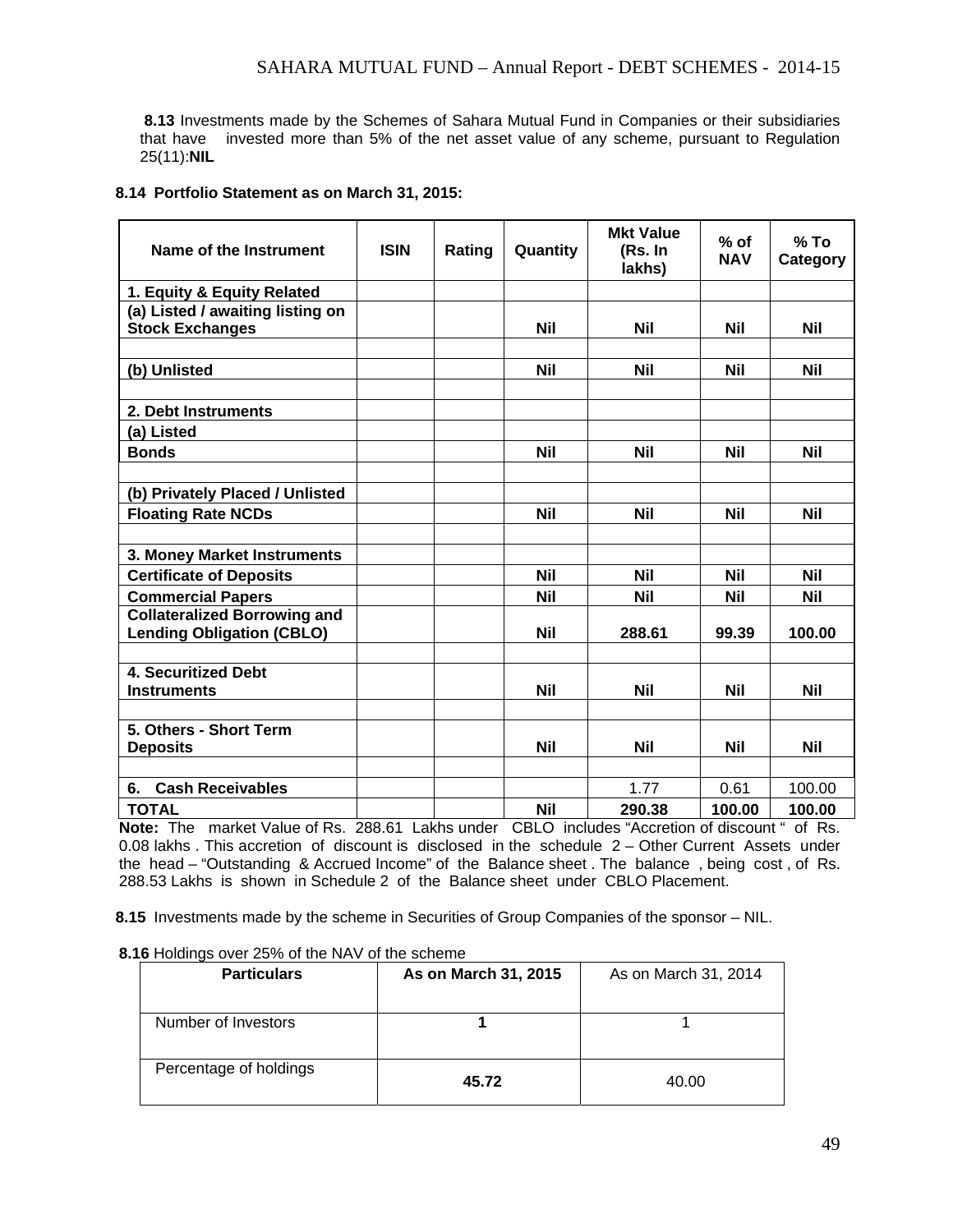**8.13** Investments made by the Schemes of Sahara Mutual Fund in Companies or their subsidiaries that have invested more than 5% of the net asset value of any scheme, pursuant to Regulation 25(11):**NIL** 

## **8.14 Portfolio Statement as on March 31, 2015:**

| Name of the Instrument                    | <b>ISIN</b> | Rating | Quantity   | <b>Mkt Value</b><br>(Rs. In<br>lakhs) | $%$ of<br><b>NAV</b> | $%$ To<br>Category |
|-------------------------------------------|-------------|--------|------------|---------------------------------------|----------------------|--------------------|
| 1. Equity & Equity Related                |             |        |            |                                       |                      |                    |
| (a) Listed / awaiting listing on          |             |        |            |                                       |                      |                    |
| <b>Stock Exchanges</b>                    |             |        | <b>Nil</b> | <b>Nil</b>                            | Nil                  | <b>Nil</b>         |
|                                           |             |        |            |                                       |                      |                    |
| (b) Unlisted                              |             |        | <b>Nil</b> | <b>Nil</b>                            | <b>Nil</b>           | Nil                |
|                                           |             |        |            |                                       |                      |                    |
| 2. Debt Instruments                       |             |        |            |                                       |                      |                    |
| (a) Listed                                |             |        |            |                                       |                      |                    |
| <b>Bonds</b>                              |             |        | <b>Nil</b> | Nil                                   | Nil                  | <b>Nil</b>         |
|                                           |             |        |            |                                       |                      |                    |
| (b) Privately Placed / Unlisted           |             |        |            |                                       |                      |                    |
| <b>Floating Rate NCDs</b>                 |             |        | <b>Nil</b> | <b>Nil</b>                            | <b>Nil</b>           | <b>Nil</b>         |
|                                           |             |        |            |                                       |                      |                    |
| 3. Money Market Instruments               |             |        |            |                                       |                      |                    |
| <b>Certificate of Deposits</b>            |             |        | <b>Nil</b> | <b>Nil</b>                            | <b>Nil</b>           | <b>Nil</b>         |
| <b>Commercial Papers</b>                  |             |        | <b>Nil</b> | <b>Nil</b>                            | <b>Nil</b>           | <b>Nil</b>         |
| <b>Collateralized Borrowing and</b>       |             |        |            |                                       |                      |                    |
| <b>Lending Obligation (CBLO)</b>          |             |        | <b>Nil</b> | 288.61                                | 99.39                | 100.00             |
|                                           |             |        |            |                                       |                      |                    |
| <b>4. Securitized Debt</b>                |             |        |            |                                       |                      |                    |
| <b>Instruments</b>                        |             |        | <b>Nil</b> | <b>Nil</b>                            | Nil                  | <b>Nil</b>         |
|                                           |             |        |            |                                       |                      |                    |
| 5. Others - Short Term<br><b>Deposits</b> |             |        | <b>Nil</b> | <b>Nil</b>                            | <b>Nil</b>           | <b>Nil</b>         |
|                                           |             |        |            |                                       |                      |                    |
| <b>Cash Receivables</b><br>6.             |             |        |            | 1.77                                  | 0.61                 | 100.00             |
|                                           |             |        |            |                                       |                      |                    |
| <b>TOTAL</b>                              |             |        | <b>Nil</b> | 290.38                                | 100.00               | 100.00             |

**Note:** The market Value of Rs. 288.61 Lakhs under CBLO includes "Accretion of discount " of Rs. 0.08 lakhs . This accretion of discount is disclosed in the schedule 2 – Other Current Assets under the head – "Outstanding & Accrued Income" of the Balance sheet . The balance , being cost , of Rs. 288.53 Lakhs is shown in Schedule 2 of the Balance sheet under CBLO Placement.

**8.15** Investments made by the scheme in Securities of Group Companies of the sponsor – NIL.

| 8.16 Holdings over 25% of the NAV of the scheme |  |  |  |
|-------------------------------------------------|--|--|--|
|-------------------------------------------------|--|--|--|

| <b>Particulars</b>     | As on March 31, 2015 | As on March 31, 2014 |
|------------------------|----------------------|----------------------|
| Number of Investors    |                      |                      |
| Percentage of holdings | 45.72                | 40.00                |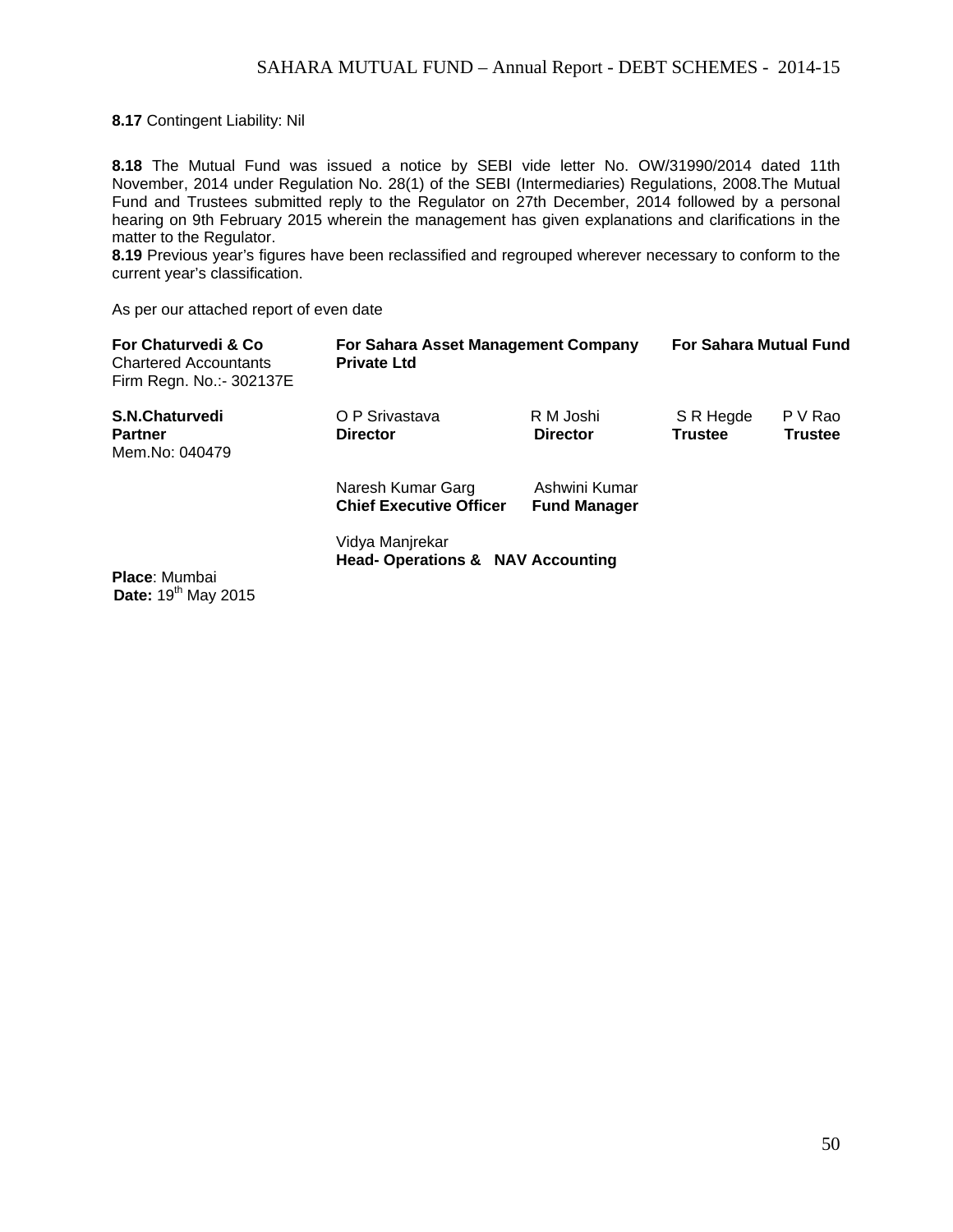**8.17** Contingent Liability: Nil

**8.18** The Mutual Fund was issued a notice by SEBI vide letter No. OW/31990/2014 dated 11th November, 2014 under Regulation No. 28(1) of the SEBI (Intermediaries) Regulations, 2008.The Mutual Fund and Trustees submitted reply to the Regulator on 27th December, 2014 followed by a personal hearing on 9th February 2015 wherein the management has given explanations and clarifications in the matter to the Regulator.

**8.19** Previous year's figures have been reclassified and regrouped wherever necessary to conform to the current year's classification.

As per our attached report of even date

| For Chaturvedi & Co.<br><b>Chartered Accountants</b><br>Firm Regn. No.:- 302137E | <b>For Sahara Asset Management Company</b><br><b>Private Ltd</b> |                                      | <b>For Sahara Mutual Fund</b> |                           |
|----------------------------------------------------------------------------------|------------------------------------------------------------------|--------------------------------------|-------------------------------|---------------------------|
| <b>S.N.Chaturvedi</b><br><b>Partner</b><br>Mem.No: 040479                        | O P Srivastava<br><b>Director</b>                                | R M Joshi<br><b>Director</b>         | S R Hegde<br><b>Trustee</b>   | P V Rao<br><b>Trustee</b> |
|                                                                                  | Naresh Kumar Garg<br><b>Chief Executive Officer</b>              | Ashwini Kumar<br><b>Fund Manager</b> |                               |                           |
| <b>Place:</b> Mumbai<br>Date: 19 <sup>th</sup> May 2015                          | Vidya Manjrekar<br><b>Head- Operations &amp; NAV Accounting</b>  |                                      |                               |                           |

50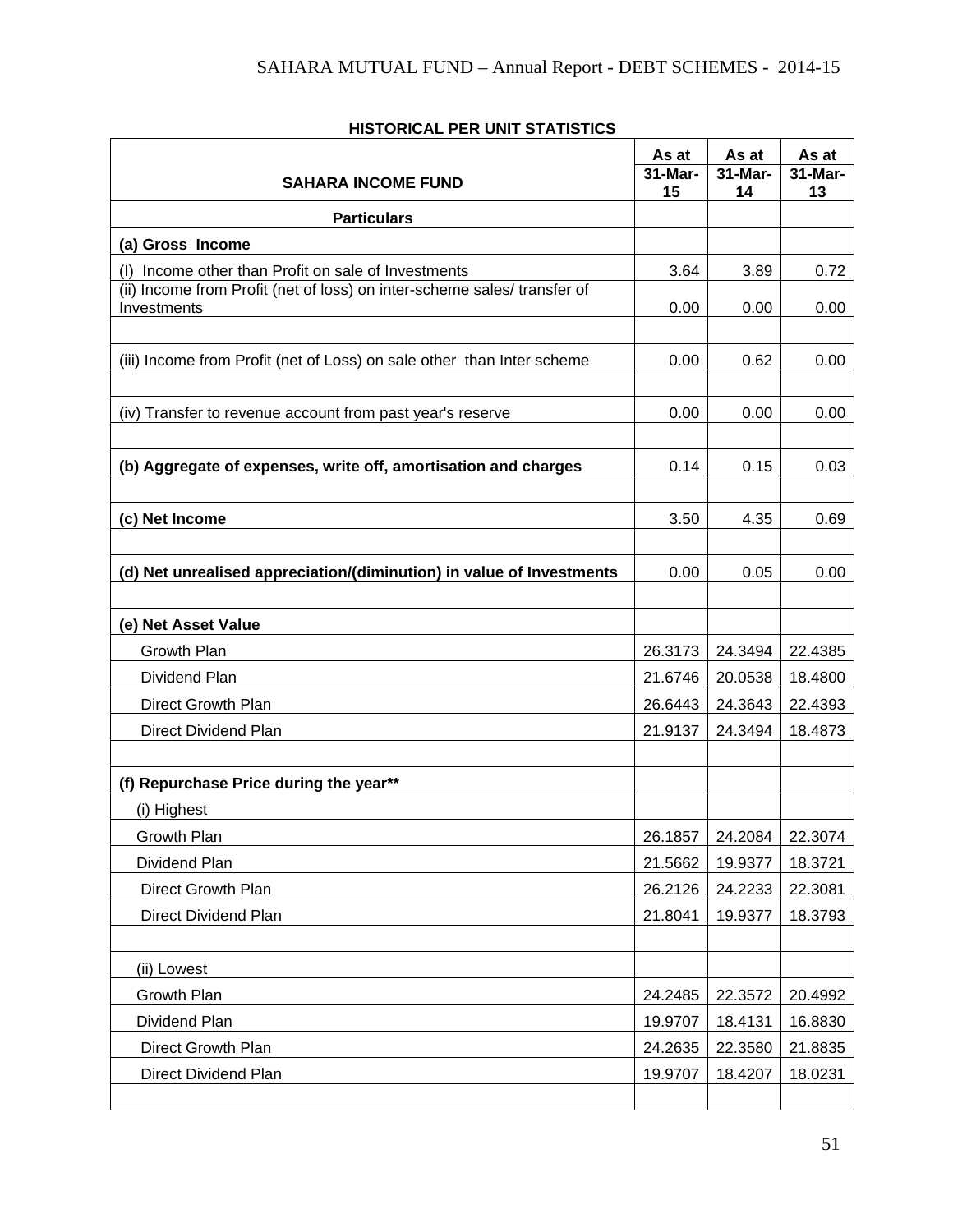|                                                                                         | As at<br>31-Mar- | As at<br>31-Mar- | As at<br>31-Mar- |
|-----------------------------------------------------------------------------------------|------------------|------------------|------------------|
| <b>SAHARA INCOME FUND</b>                                                               | 15               | 14               | 13               |
| <b>Particulars</b>                                                                      |                  |                  |                  |
| (a) Gross Income                                                                        |                  |                  |                  |
| (I) Income other than Profit on sale of Investments                                     | 3.64             | 3.89             | 0.72             |
| (ii) Income from Profit (net of loss) on inter-scheme sales/ transfer of<br>Investments | 0.00             | 0.00             | 0.00             |
|                                                                                         |                  |                  |                  |
| (iii) Income from Profit (net of Loss) on sale other than Inter scheme                  | 0.00             | 0.62             | 0.00             |
|                                                                                         |                  |                  |                  |
| (iv) Transfer to revenue account from past year's reserve                               | 0.00             | 0.00             | 0.00             |
|                                                                                         |                  |                  |                  |
| (b) Aggregate of expenses, write off, amortisation and charges                          | 0.14             | 0.15             | 0.03             |
|                                                                                         |                  |                  |                  |
| (c) Net Income                                                                          | 3.50             | 4.35             | 0.69             |
|                                                                                         |                  |                  |                  |
| (d) Net unrealised appreciation/(diminution) in value of Investments                    | 0.00             | 0.05             | 0.00             |
|                                                                                         |                  |                  |                  |
| (e) Net Asset Value                                                                     |                  |                  |                  |
| Growth Plan                                                                             | 26.3173          | 24.3494          | 22.4385          |
| Dividend Plan                                                                           | 21.6746          | 20.0538          | 18.4800          |
| Direct Growth Plan                                                                      | 26.6443          | 24.3643          | 22.4393          |
| <b>Direct Dividend Plan</b>                                                             | 21.9137          | 24.3494          | 18.4873          |
|                                                                                         |                  |                  |                  |
| (f) Repurchase Price during the year**                                                  |                  |                  |                  |
| (i) Highest                                                                             |                  |                  |                  |
| Growth Plan                                                                             |                  | 26.1857 24.2084  | 22.3074          |
| Dividend Plan                                                                           | 21.5662          | 19.9377          | 18.3721          |
| Direct Growth Plan                                                                      | 26.2126          | 24.2233          | 22.3081          |
| <b>Direct Dividend Plan</b>                                                             | 21.8041          | 19.9377          | 18.3793          |
|                                                                                         |                  |                  |                  |
| (ii) Lowest                                                                             |                  |                  |                  |
| Growth Plan                                                                             | 24.2485          | 22.3572          | 20.4992          |
| Dividend Plan                                                                           | 19.9707          | 18.4131          | 16.8830          |
| Direct Growth Plan                                                                      | 24.2635          | 22.3580          | 21.8835          |
| <b>Direct Dividend Plan</b>                                                             | 19.9707          | 18.4207          | 18.0231          |
|                                                                                         |                  |                  |                  |

## **HISTORICAL PER UNIT STATISTICS**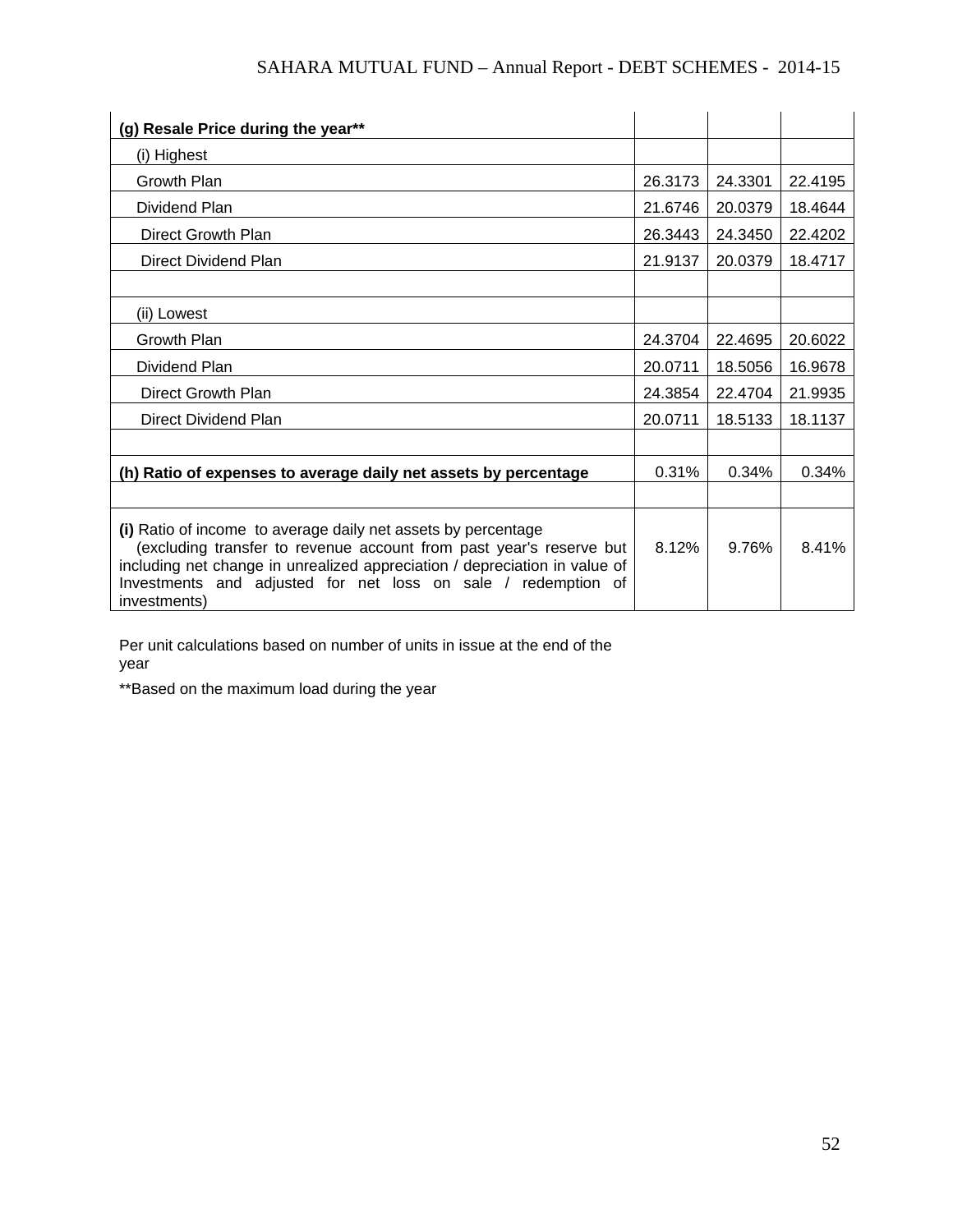| (g) Resale Price during the year**                                                                                                                                                                                                                                                                  |         |         |         |
|-----------------------------------------------------------------------------------------------------------------------------------------------------------------------------------------------------------------------------------------------------------------------------------------------------|---------|---------|---------|
| (i) Highest                                                                                                                                                                                                                                                                                         |         |         |         |
| <b>Growth Plan</b>                                                                                                                                                                                                                                                                                  | 26.3173 | 24.3301 | 22.4195 |
| Dividend Plan                                                                                                                                                                                                                                                                                       | 21.6746 | 20.0379 | 18.4644 |
| Direct Growth Plan                                                                                                                                                                                                                                                                                  | 26.3443 | 24.3450 | 22.4202 |
| Direct Dividend Plan                                                                                                                                                                                                                                                                                | 21.9137 | 20.0379 | 18.4717 |
|                                                                                                                                                                                                                                                                                                     |         |         |         |
| (ii) Lowest                                                                                                                                                                                                                                                                                         |         |         |         |
| Growth Plan                                                                                                                                                                                                                                                                                         | 24.3704 | 22.4695 | 20.6022 |
| Dividend Plan                                                                                                                                                                                                                                                                                       | 20.0711 | 18.5056 | 16.9678 |
| Direct Growth Plan                                                                                                                                                                                                                                                                                  | 24.3854 | 22.4704 | 21.9935 |
| Direct Dividend Plan                                                                                                                                                                                                                                                                                | 20.0711 | 18.5133 | 18.1137 |
|                                                                                                                                                                                                                                                                                                     |         |         |         |
| (h) Ratio of expenses to average daily net assets by percentage                                                                                                                                                                                                                                     | 0.31%   | 0.34%   | 0.34%   |
|                                                                                                                                                                                                                                                                                                     |         |         |         |
| (i) Ratio of income to average daily net assets by percentage<br>(excluding transfer to revenue account from past year's reserve but<br>including net change in unrealized appreciation / depreciation in value of<br>Investments and adjusted for net loss on sale / redemption of<br>investments) | 8.12%   | 9.76%   | 8.41%   |

Per unit calculations based on number of units in issue at the end of the year

\*\*Based on the maximum load during the year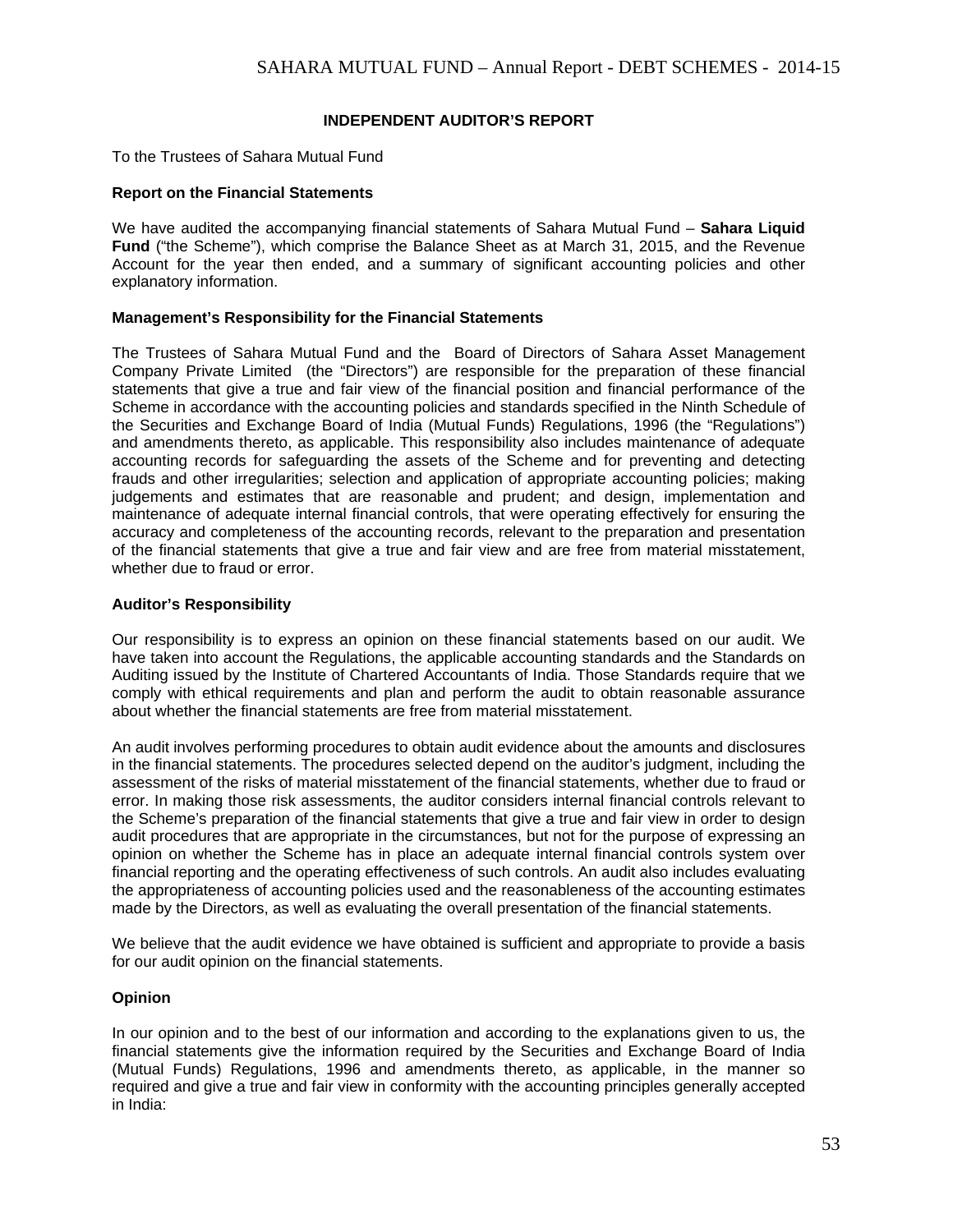## **INDEPENDENT AUDITOR'S REPORT**

To the Trustees of Sahara Mutual Fund

### **Report on the Financial Statements**

We have audited the accompanying financial statements of Sahara Mutual Fund – **Sahara Liquid Fund** ("the Scheme"), which comprise the Balance Sheet as at March 31, 2015, and the Revenue Account for the year then ended, and a summary of significant accounting policies and other explanatory information.

### **Management's Responsibility for the Financial Statements**

The Trustees of Sahara Mutual Fund and the Board of Directors of Sahara Asset Management Company Private Limited (the "Directors") are responsible for the preparation of these financial statements that give a true and fair view of the financial position and financial performance of the Scheme in accordance with the accounting policies and standards specified in the Ninth Schedule of the Securities and Exchange Board of India (Mutual Funds) Regulations, 1996 (the "Regulations") and amendments thereto, as applicable. This responsibility also includes maintenance of adequate accounting records for safeguarding the assets of the Scheme and for preventing and detecting frauds and other irregularities; selection and application of appropriate accounting policies; making judgements and estimates that are reasonable and prudent; and design, implementation and maintenance of adequate internal financial controls, that were operating effectively for ensuring the accuracy and completeness of the accounting records, relevant to the preparation and presentation of the financial statements that give a true and fair view and are free from material misstatement, whether due to fraud or error.

## **Auditor's Responsibility**

Our responsibility is to express an opinion on these financial statements based on our audit. We have taken into account the Regulations, the applicable accounting standards and the Standards on Auditing issued by the Institute of Chartered Accountants of India. Those Standards require that we comply with ethical requirements and plan and perform the audit to obtain reasonable assurance about whether the financial statements are free from material misstatement.

An audit involves performing procedures to obtain audit evidence about the amounts and disclosures in the financial statements. The procedures selected depend on the auditor's judgment, including the assessment of the risks of material misstatement of the financial statements, whether due to fraud or error. In making those risk assessments, the auditor considers internal financial controls relevant to the Scheme's preparation of the financial statements that give a true and fair view in order to design audit procedures that are appropriate in the circumstances, but not for the purpose of expressing an opinion on whether the Scheme has in place an adequate internal financial controls system over financial reporting and the operating effectiveness of such controls. An audit also includes evaluating the appropriateness of accounting policies used and the reasonableness of the accounting estimates made by the Directors, as well as evaluating the overall presentation of the financial statements.

We believe that the audit evidence we have obtained is sufficient and appropriate to provide a basis for our audit opinion on the financial statements.

## **Opinion**

In our opinion and to the best of our information and according to the explanations given to us, the financial statements give the information required by the Securities and Exchange Board of India (Mutual Funds) Regulations, 1996 and amendments thereto, as applicable, in the manner so required and give a true and fair view in conformity with the accounting principles generally accepted in India: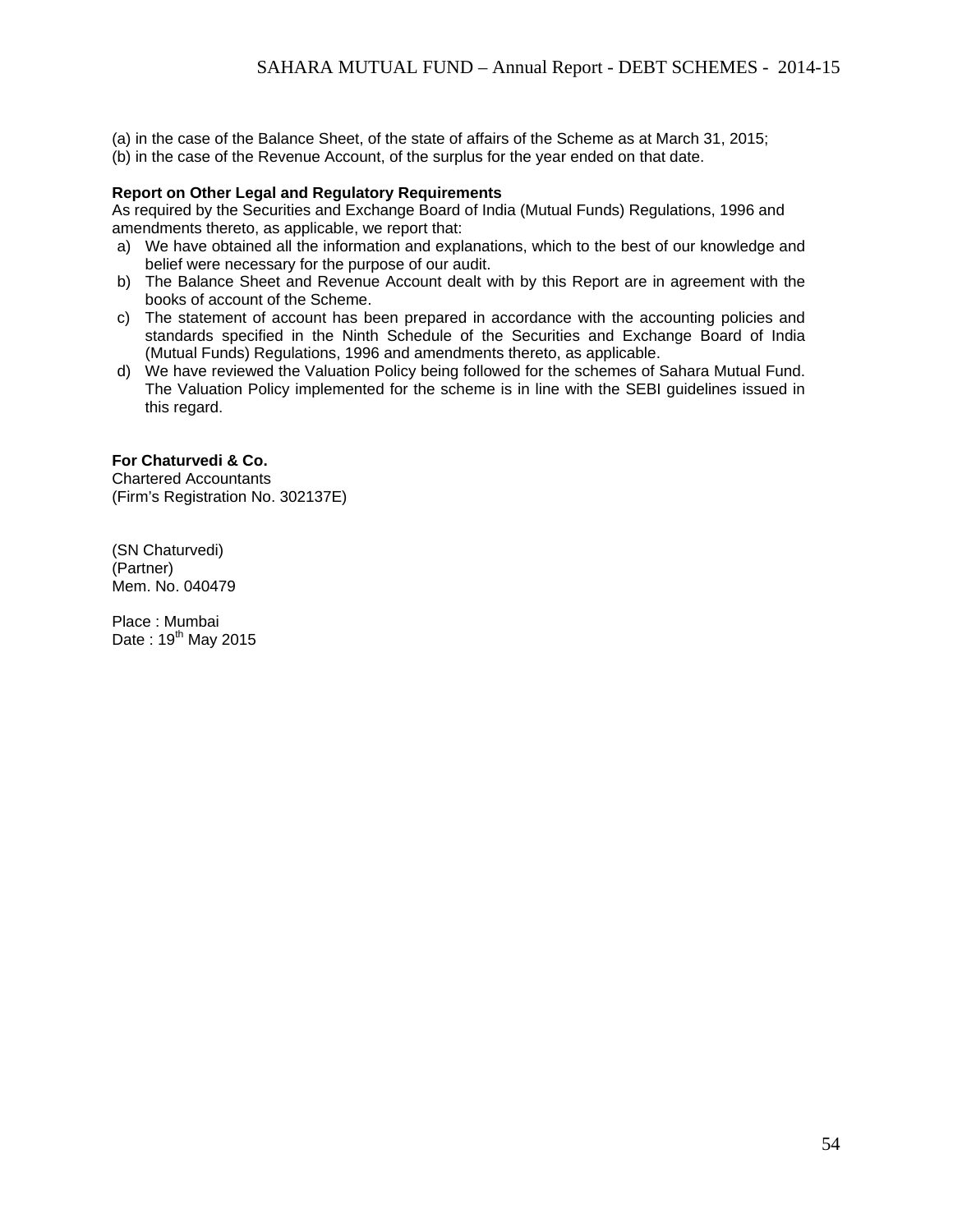(a) in the case of the Balance Sheet, of the state of affairs of the Scheme as at March 31, 2015; (b) in the case of the Revenue Account, of the surplus for the year ended on that date.

## **Report on Other Legal and Regulatory Requirements**

As required by the Securities and Exchange Board of India (Mutual Funds) Regulations, 1996 and amendments thereto, as applicable, we report that:

- a) We have obtained all the information and explanations, which to the best of our knowledge and belief were necessary for the purpose of our audit.
- b) The Balance Sheet and Revenue Account dealt with by this Report are in agreement with the books of account of the Scheme.
- c) The statement of account has been prepared in accordance with the accounting policies and standards specified in the Ninth Schedule of the Securities and Exchange Board of India (Mutual Funds) Regulations, 1996 and amendments thereto, as applicable.
- d) We have reviewed the Valuation Policy being followed for the schemes of Sahara Mutual Fund. The Valuation Policy implemented for the scheme is in line with the SEBI guidelines issued in this regard.

### **For Chaturvedi & Co.**

Chartered Accountants (Firm's Registration No. 302137E)

(SN Chaturvedi) (Partner) Mem. No. 040479

Place : Mumbai Date:  $19^{th}$  May 2015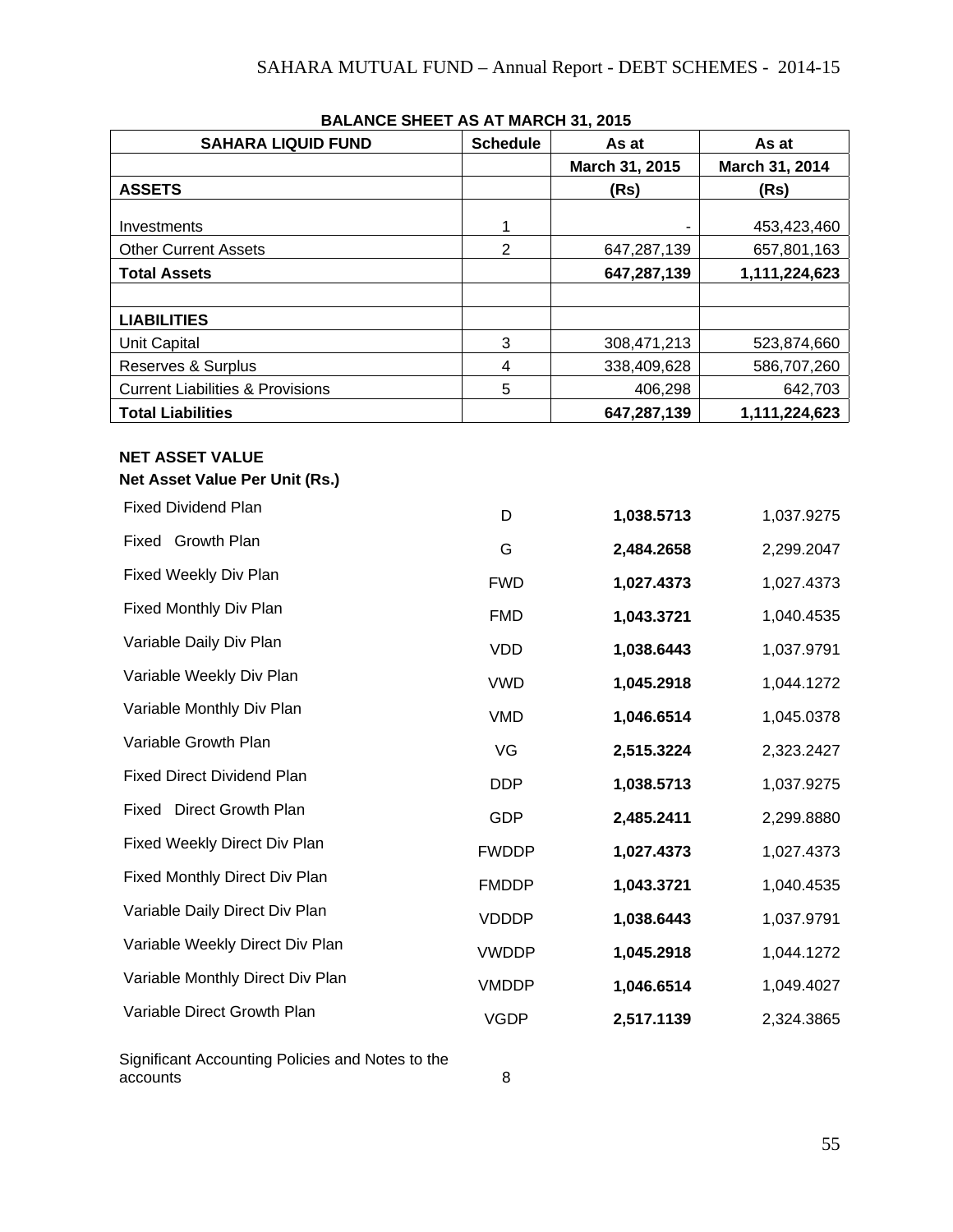| <b>BALANCE SHEET AS AT MARCH 31, 2015</b>                |                          |                |                |  |  |
|----------------------------------------------------------|--------------------------|----------------|----------------|--|--|
| <b>SAHARA LIQUID FUND</b>                                | <b>Schedule</b>          | As at          | As at          |  |  |
|                                                          |                          | March 31, 2015 | March 31, 2014 |  |  |
| <b>ASSETS</b>                                            |                          | (Rs)           | (Rs)           |  |  |
| Investments                                              | 1                        |                | 453,423,460    |  |  |
| <b>Other Current Assets</b>                              | $\overline{2}$           | 647,287,139    | 657,801,163    |  |  |
| <b>Total Assets</b>                                      |                          | 647,287,139    | 1,111,224,623  |  |  |
|                                                          |                          |                |                |  |  |
| <b>LIABILITIES</b>                                       |                          |                |                |  |  |
| Unit Capital                                             | 3                        | 308,471,213    | 523,874,660    |  |  |
| Reserves & Surplus                                       | $\overline{\mathcal{A}}$ | 338,409,628    | 586,707,260    |  |  |
| <b>Current Liabilities &amp; Provisions</b>              | 5                        | 406,298        | 642,703        |  |  |
| <b>Total Liabilities</b>                                 |                          | 647,287,139    | 1,111,224,623  |  |  |
| <b>NET ASSET VALUE</b><br>Net Asset Value Per Unit (Rs.) |                          |                |                |  |  |
| <b>Fixed Dividend Plan</b>                               | D                        | 1,038.5713     | 1,037.9275     |  |  |
| Fixed Growth Plan                                        | G                        | 2,484.2658     | 2,299.2047     |  |  |
| Fixed Weekly Div Plan                                    | <b>FWD</b>               | 1,027.4373     | 1,027.4373     |  |  |
| Fixed Monthly Div Plan                                   | <b>FMD</b>               | 1,043.3721     | 1,040.4535     |  |  |
| Variable Daily Div Plan                                  | <b>VDD</b>               | 1,038.6443     | 1,037.9791     |  |  |
| Variable Weekly Div Plan                                 | <b>VWD</b>               | 1,045.2918     | 1,044.1272     |  |  |
| Variable Monthly Div Plan                                | <b>VMD</b>               | 1,046.6514     | 1,045.0378     |  |  |
| Variable Growth Plan                                     | VG                       | 2,515.3224     | 2,323.2427     |  |  |
| <b>Fixed Direct Dividend Plan</b>                        | <b>DDP</b>               | 1,038.5713     | 1,037.9275     |  |  |
| Fixed Direct Growth Plan                                 | <b>GDP</b>               | 2,485.2411     | 2,299.8880     |  |  |
| Fixed Weekly Direct Div Plan                             | <b>FWDDP</b>             | 1,027.4373     | 1,027.4373     |  |  |
| <b>Fixed Monthly Direct Div Plan</b>                     | <b>FMDDP</b>             | 1,043.3721     | 1,040.4535     |  |  |
| Variable Daily Direct Div Plan                           | <b>VDDDP</b>             | 1,038.6443     | 1,037.9791     |  |  |
| Variable Weekly Direct Div Plan                          | <b>VWDDP</b>             | 1,045.2918     | 1,044.1272     |  |  |
| Variable Monthly Direct Div Plan                         | <b>VMDDP</b>             | 1,046.6514     | 1,049.4027     |  |  |
| Variable Direct Growth Plan                              | <b>VGDP</b>              | 2,517.1139     | 2,324.3865     |  |  |

Significant Accounting Policies and Notes to the accounts 8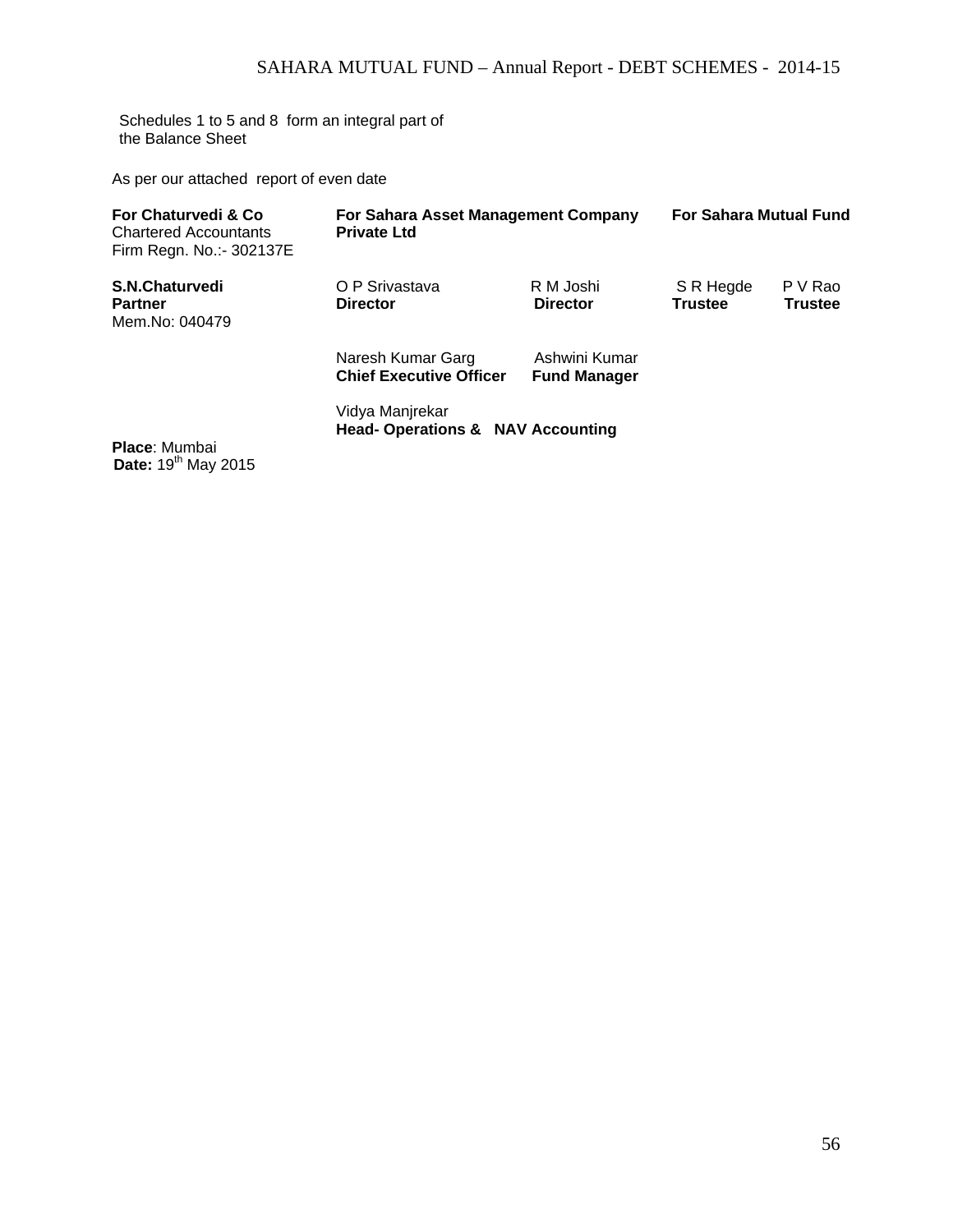Schedules 1 to 5 and 8 form an integral part of the Balance Sheet

As per our attached report of even date

| For Chaturvedi & Co.<br><b>Chartered Accountants</b><br>Firm Regn. No.:- 302137E | For Sahara Asset Management Company<br><b>Private Ltd</b>       |                                      | <b>For Sahara Mutual Fund</b> |                           |
|----------------------------------------------------------------------------------|-----------------------------------------------------------------|--------------------------------------|-------------------------------|---------------------------|
| S.N.Chaturvedi<br><b>Partner</b><br>Mem.No: 040479                               | O P Srivastava<br><b>Director</b>                               | R M Joshi<br><b>Director</b>         | S R Hegde<br><b>Trustee</b>   | P V Rao<br><b>Trustee</b> |
|                                                                                  | Naresh Kumar Garg<br><b>Chief Executive Officer</b>             | Ashwini Kumar<br><b>Fund Manager</b> |                               |                           |
| <b>Place:</b> Mumbai<br>Date: $19th$ May 2015                                    | Vidya Manjrekar<br><b>Head- Operations &amp; NAV Accounting</b> |                                      |                               |                           |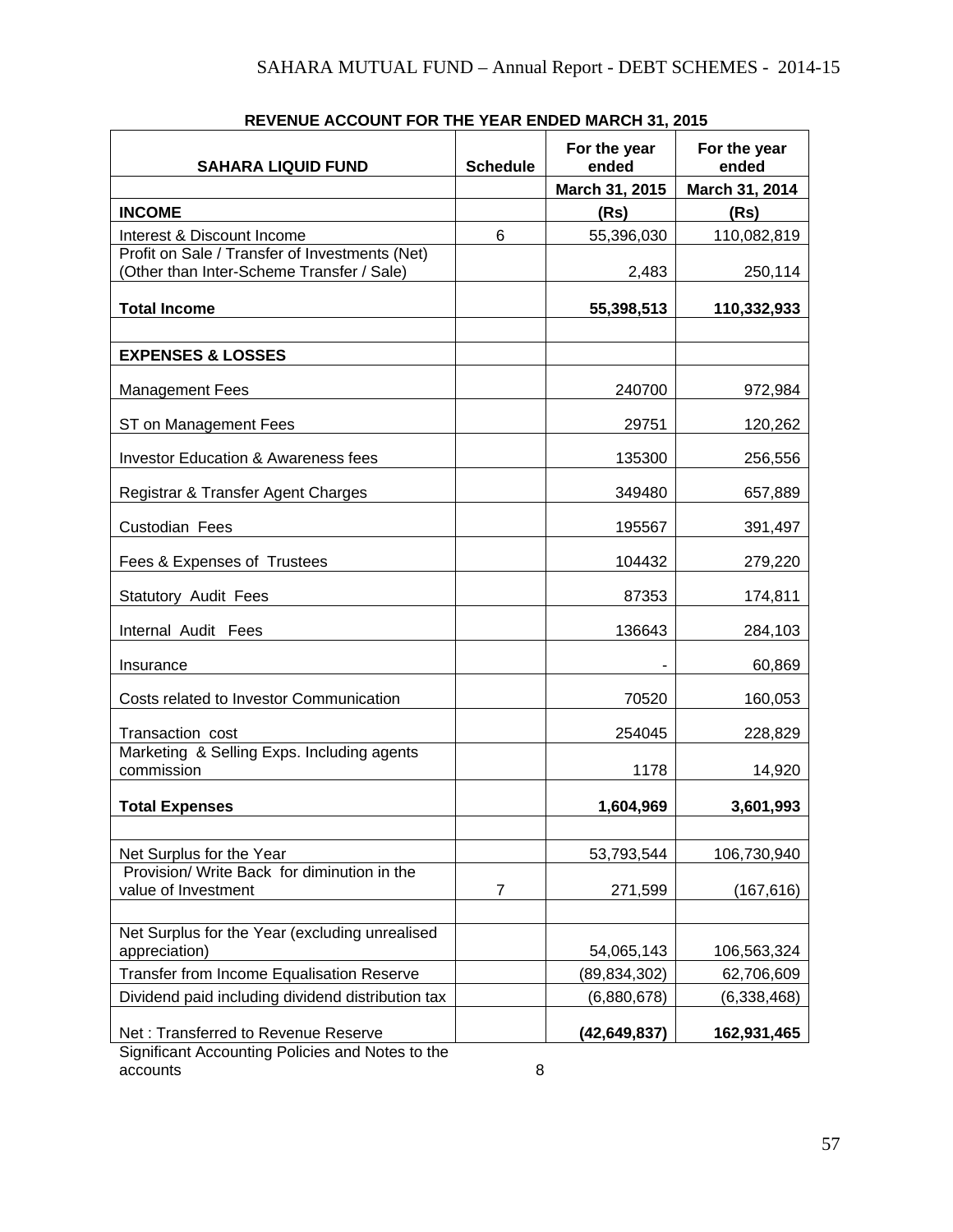| <b>SAHARA LIQUID FUND</b>                                                                   | <b>Schedule</b> | For the year<br>ended | For the year<br>ended |
|---------------------------------------------------------------------------------------------|-----------------|-----------------------|-----------------------|
|                                                                                             |                 | March 31, 2015        | March 31, 2014        |
| <b>INCOME</b>                                                                               |                 | (Rs)                  | (Rs)                  |
| Interest & Discount Income                                                                  | 6               | 55,396,030            | 110,082,819           |
| Profit on Sale / Transfer of Investments (Net)<br>(Other than Inter-Scheme Transfer / Sale) |                 | 2,483                 | 250,114               |
| <b>Total Income</b>                                                                         |                 | 55,398,513            | 110,332,933           |
| <b>EXPENSES &amp; LOSSES</b>                                                                |                 |                       |                       |
| <b>Management Fees</b>                                                                      |                 | 240700                | 972,984               |
| ST on Management Fees                                                                       |                 | 29751                 | 120,262               |
| <b>Investor Education &amp; Awareness fees</b>                                              |                 | 135300                | 256,556               |
| Registrar & Transfer Agent Charges                                                          |                 | 349480                | 657,889               |
| Custodian Fees                                                                              |                 | 195567                | 391,497               |
| Fees & Expenses of Trustees                                                                 |                 | 104432                | 279,220               |
| <b>Statutory Audit Fees</b>                                                                 |                 | 87353                 | 174,811               |
| Internal Audit Fees                                                                         |                 | 136643                | 284,103               |
| Insurance                                                                                   |                 |                       | 60,869                |
| Costs related to Investor Communication                                                     |                 | 70520                 | 160,053               |
| Transaction cost                                                                            |                 | 254045                | 228,829               |
| Marketing & Selling Exps. Including agents<br>commission                                    |                 | 1178                  | 14,920                |
| <b>Total Expenses</b>                                                                       |                 | 1,604,969             | 3,601,993             |
| Net Surplus for the Year                                                                    |                 | 53,793,544            | 106,730,940           |
| Provision/ Write Back for diminution in the<br>value of Investment                          | 7               | 271,599               | (167, 616)            |
|                                                                                             |                 |                       |                       |
| Net Surplus for the Year (excluding unrealised<br>appreciation)                             |                 | 54,065,143            | 106,563,324           |
| Transfer from Income Equalisation Reserve                                                   |                 | (89, 834, 302)        | 62,706,609            |
| Dividend paid including dividend distribution tax                                           |                 | (6,880,678)           | (6,338,468)           |
| Net : Transferred to Revenue Reserve<br>Significant Accounting Policies and Notes to the    |                 | (42,649,837)          | 162,931,465           |

# **REVENUE ACCOUNT FOR THE YEAR ENDED MARCH 31, 2015**

Significant Accounting Policies and Notes to the accounts 8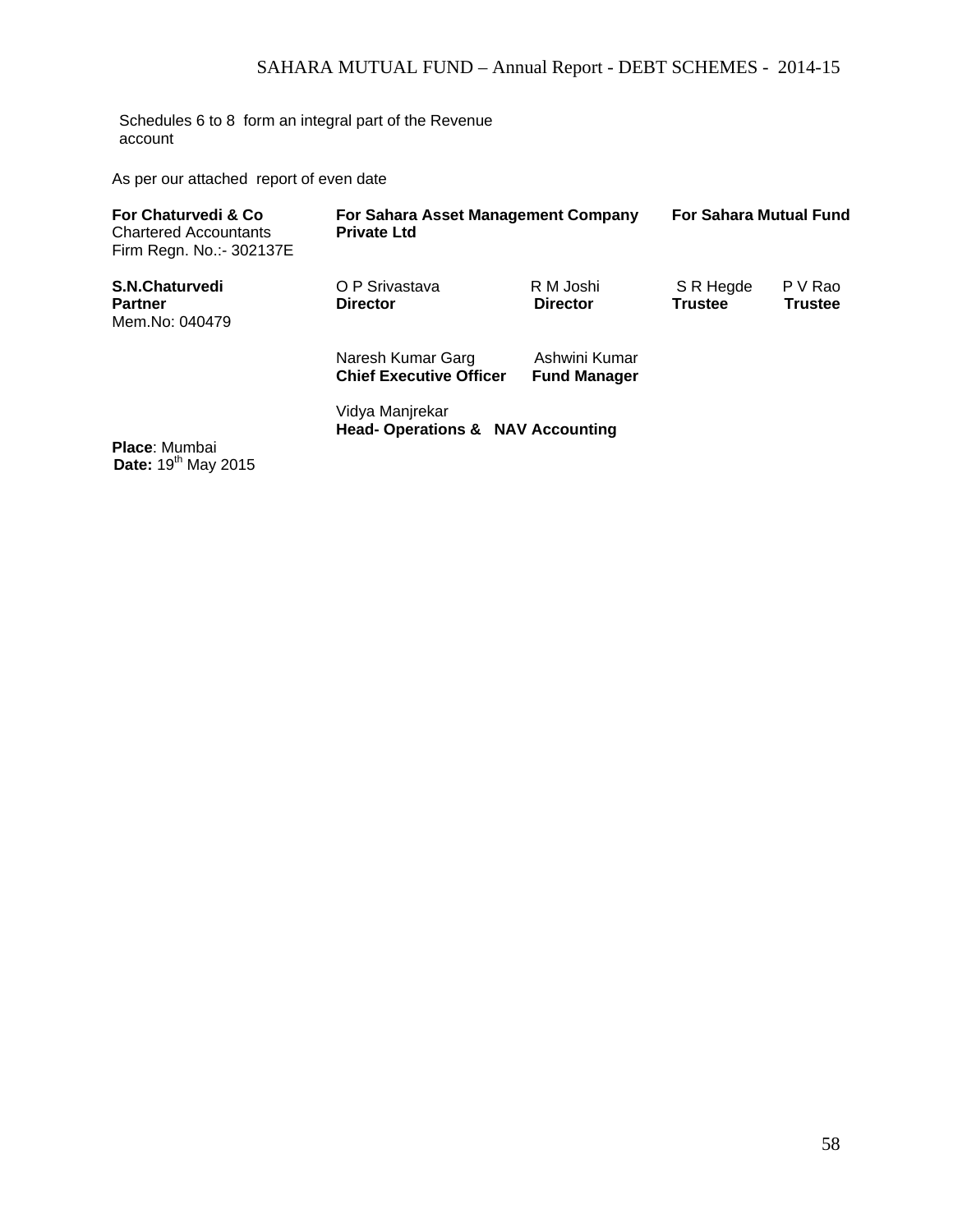Schedules 6 to 8 form an integral part of the Revenue account

As per our attached report of even date

| For Chaturvedi & Co.<br><b>Chartered Accountants</b><br>Firm Regn. No.:- 302137E | For Sahara Asset Management Company<br><b>Private Ltd</b>       |                                      | <b>For Sahara Mutual Fund</b> |                           |
|----------------------------------------------------------------------------------|-----------------------------------------------------------------|--------------------------------------|-------------------------------|---------------------------|
| S.N.Chaturvedi<br><b>Partner</b><br>Mem.No: 040479                               | O P Srivastava<br><b>Director</b>                               | R M Joshi<br><b>Director</b>         | S R Hegde<br><b>Trustee</b>   | P V Rao<br><b>Trustee</b> |
|                                                                                  | Naresh Kumar Garg<br><b>Chief Executive Officer</b>             | Ashwini Kumar<br><b>Fund Manager</b> |                               |                           |
| <b>Place:</b> Mumbai<br>Date: $19th$ May 2015                                    | Vidya Manjrekar<br><b>Head- Operations &amp; NAV Accounting</b> |                                      |                               |                           |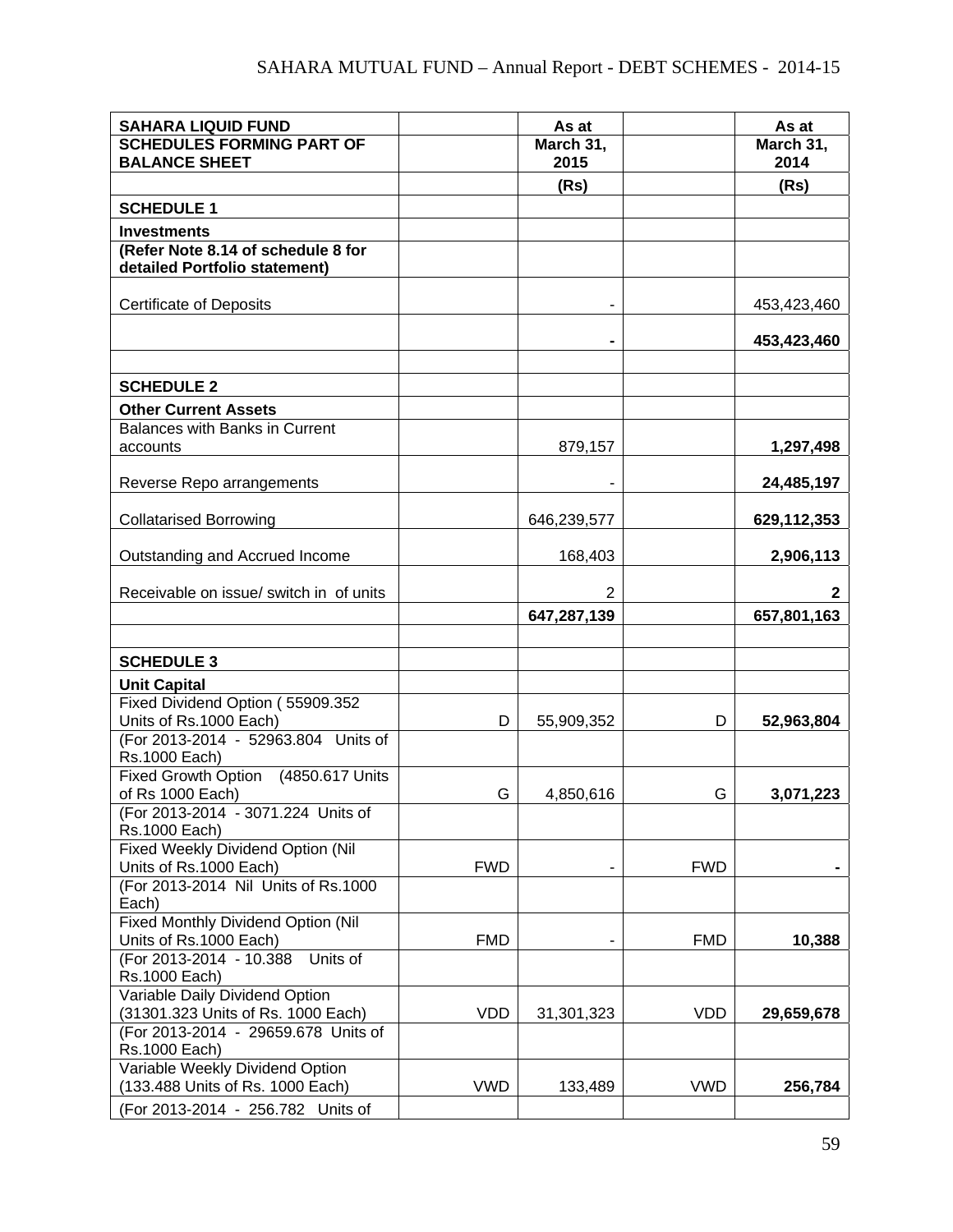| <b>SAHARA LIQUID FUND</b>                                     |            | As at       |            | As at        |
|---------------------------------------------------------------|------------|-------------|------------|--------------|
| <b>SCHEDULES FORMING PART OF</b>                              |            | March 31,   |            | March 31,    |
| <b>BALANCE SHEET</b>                                          |            | 2015        |            | 2014         |
|                                                               |            | (Rs)        |            | (Rs)         |
| <b>SCHEDULE 1</b>                                             |            |             |            |              |
| <b>Investments</b>                                            |            |             |            |              |
| (Refer Note 8.14 of schedule 8 for                            |            |             |            |              |
| detailed Portfolio statement)                                 |            |             |            |              |
|                                                               |            |             |            |              |
| <b>Certificate of Deposits</b>                                |            |             |            | 453,423,460  |
|                                                               |            |             |            |              |
|                                                               |            |             |            | 453,423,460  |
|                                                               |            |             |            |              |
| <b>SCHEDULE 2</b>                                             |            |             |            |              |
| <b>Other Current Assets</b>                                   |            |             |            |              |
| <b>Balances with Banks in Current</b>                         |            |             |            |              |
| accounts                                                      |            | 879,157     |            | 1,297,498    |
|                                                               |            |             |            |              |
| Reverse Repo arrangements                                     |            |             |            | 24,485,197   |
|                                                               |            |             |            |              |
| <b>Collatarised Borrowing</b>                                 |            | 646,239,577 |            | 629,112,353  |
|                                                               |            |             |            |              |
| Outstanding and Accrued Income                                |            | 168,403     |            | 2,906,113    |
| Receivable on issue/ switch in of units                       |            | 2           |            | $\mathbf{2}$ |
|                                                               |            |             |            |              |
|                                                               |            | 647,287,139 |            | 657,801,163  |
|                                                               |            |             |            |              |
| <b>SCHEDULE 3</b>                                             |            |             |            |              |
| <b>Unit Capital</b>                                           |            |             |            |              |
| Fixed Dividend Option (55909.352                              |            |             |            |              |
| Units of Rs.1000 Each)                                        | D          | 55,909,352  | D          | 52,963,804   |
| (For 2013-2014 - 52963.804 Units of<br>Rs.1000 Each)          |            |             |            |              |
| <b>Fixed Growth Option</b><br>(4850.617 Units                 |            |             |            |              |
| of Rs 1000 Each)                                              | G          | 4,850,616   | G          | 3,071,223    |
| (For 2013-2014 - 3071.224 Units of                            |            |             |            |              |
| Rs.1000 Each)                                                 |            |             |            |              |
| Fixed Weekly Dividend Option (Nil                             |            |             |            |              |
| Units of Rs.1000 Each)                                        | <b>FWD</b> |             | <b>FWD</b> |              |
| (For 2013-2014 Nil Units of Rs.1000                           |            |             |            |              |
| Each)                                                         |            |             |            |              |
| Fixed Monthly Dividend Option (Nil                            | <b>FMD</b> |             |            |              |
| Units of Rs.1000 Each)<br>Units of<br>(For 2013-2014 - 10.388 |            |             | <b>FMD</b> | 10,388       |
| Rs.1000 Each)                                                 |            |             |            |              |
| Variable Daily Dividend Option                                |            |             |            |              |
| (31301.323 Units of Rs. 1000 Each)                            | <b>VDD</b> | 31,301,323  | <b>VDD</b> | 29,659,678   |
| (For 2013-2014 - 29659.678 Units of                           |            |             |            |              |
| Rs.1000 Each)                                                 |            |             |            |              |
| Variable Weekly Dividend Option                               |            |             |            |              |
| (133.488 Units of Rs. 1000 Each)                              | <b>VWD</b> | 133,489     | <b>VWD</b> | 256,784      |
| (For 2013-2014 - 256.782 Units of                             |            |             |            |              |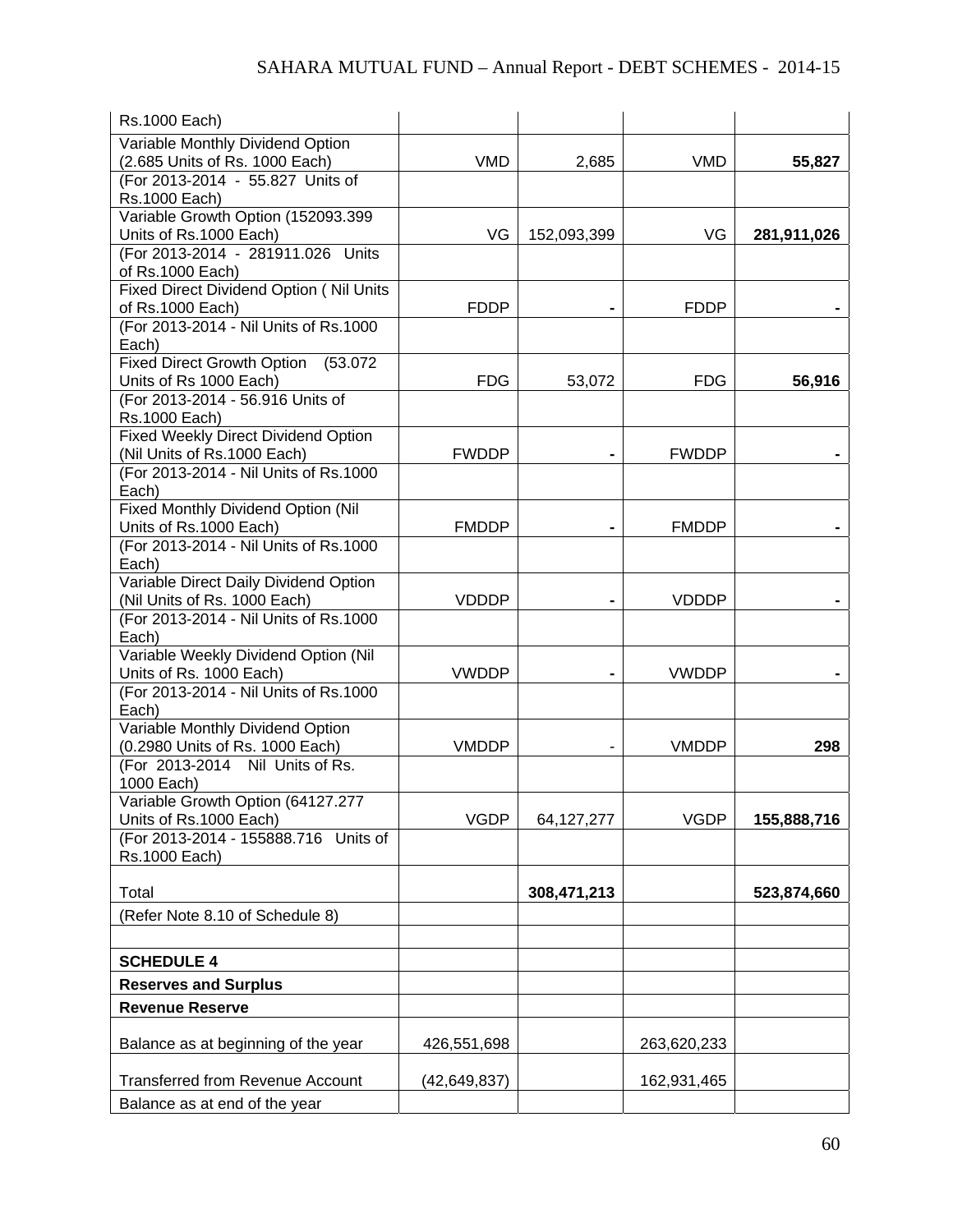| Rs.1000 Each)                                 |                |             |              |             |
|-----------------------------------------------|----------------|-------------|--------------|-------------|
| Variable Monthly Dividend Option              |                |             |              |             |
| (2.685 Units of Rs. 1000 Each)                | <b>VMD</b>     | 2,685       | <b>VMD</b>   | 55,827      |
| (For 2013-2014 - 55.827 Units of              |                |             |              |             |
| Rs.1000 Each)                                 |                |             |              |             |
| Variable Growth Option (152093.399            |                |             |              |             |
| Units of Rs.1000 Each)                        | VG             | 152,093,399 | VG           | 281,911,026 |
| (For 2013-2014 - 281911.026 Units             |                |             |              |             |
| of Rs.1000 Each)                              |                |             |              |             |
| Fixed Direct Dividend Option (Nil Units       |                |             |              |             |
| of Rs.1000 Each)                              | <b>FDDP</b>    |             | <b>FDDP</b>  |             |
| (For 2013-2014 - Nil Units of Rs.1000         |                |             |              |             |
| Each)                                         |                |             |              |             |
| <b>Fixed Direct Growth Option</b><br>(53.072) |                |             |              |             |
| Units of Rs 1000 Each)                        | <b>FDG</b>     | 53,072      | <b>FDG</b>   | 56,916      |
| (For 2013-2014 - 56.916 Units of              |                |             |              |             |
| Rs.1000 Each)                                 |                |             |              |             |
| <b>Fixed Weekly Direct Dividend Option</b>    |                |             |              |             |
| (Nil Units of Rs.1000 Each)                   | <b>FWDDP</b>   |             | <b>FWDDP</b> |             |
| (For 2013-2014 - Nil Units of Rs.1000         |                |             |              |             |
| Each)                                         |                |             |              |             |
| Fixed Monthly Dividend Option (Nil            |                |             |              |             |
| Units of Rs.1000 Each)                        | <b>FMDDP</b>   |             | <b>FMDDP</b> |             |
| (For 2013-2014 - Nil Units of Rs.1000         |                |             |              |             |
| Each)                                         |                |             |              |             |
| Variable Direct Daily Dividend Option         |                |             |              |             |
| (Nil Units of Rs. 1000 Each)                  | <b>VDDDP</b>   |             | <b>VDDDP</b> |             |
| (For 2013-2014 - Nil Units of Rs.1000         |                |             |              |             |
| Each)                                         |                |             |              |             |
| Variable Weekly Dividend Option (Nil          |                |             |              |             |
| Units of Rs. 1000 Each)                       | <b>VWDDP</b>   |             | <b>VWDDP</b> |             |
| (For 2013-2014 - Nil Units of Rs.1000         |                |             |              |             |
| Each)                                         |                |             |              |             |
| Variable Monthly Dividend Option              |                |             |              |             |
| (0.2980 Units of Rs. 1000 Each)               | <b>VMDDP</b>   |             | <b>VMDDP</b> | 298         |
| (For 2013-2014 Nil Units of Rs.               |                |             |              |             |
| 1000 Each)                                    |                |             |              |             |
| Variable Growth Option (64127.277)            |                |             |              |             |
| Units of Rs.1000 Each)                        | <b>VGDP</b>    | 64,127,277  | <b>VGDP</b>  | 155,888,716 |
| (For 2013-2014 - 155888.716 Units of          |                |             |              |             |
| Rs.1000 Each)                                 |                |             |              |             |
| Total                                         |                |             |              |             |
|                                               |                | 308,471,213 |              | 523,874,660 |
| (Refer Note 8.10 of Schedule 8)               |                |             |              |             |
|                                               |                |             |              |             |
| <b>SCHEDULE 4</b>                             |                |             |              |             |
| <b>Reserves and Surplus</b>                   |                |             |              |             |
| <b>Revenue Reserve</b>                        |                |             |              |             |
|                                               |                |             |              |             |
| Balance as at beginning of the year           | 426,551,698    |             | 263,620,233  |             |
|                                               |                |             |              |             |
| <b>Transferred from Revenue Account</b>       | (42, 649, 837) |             | 162,931,465  |             |
| Balance as at end of the year                 |                |             |              |             |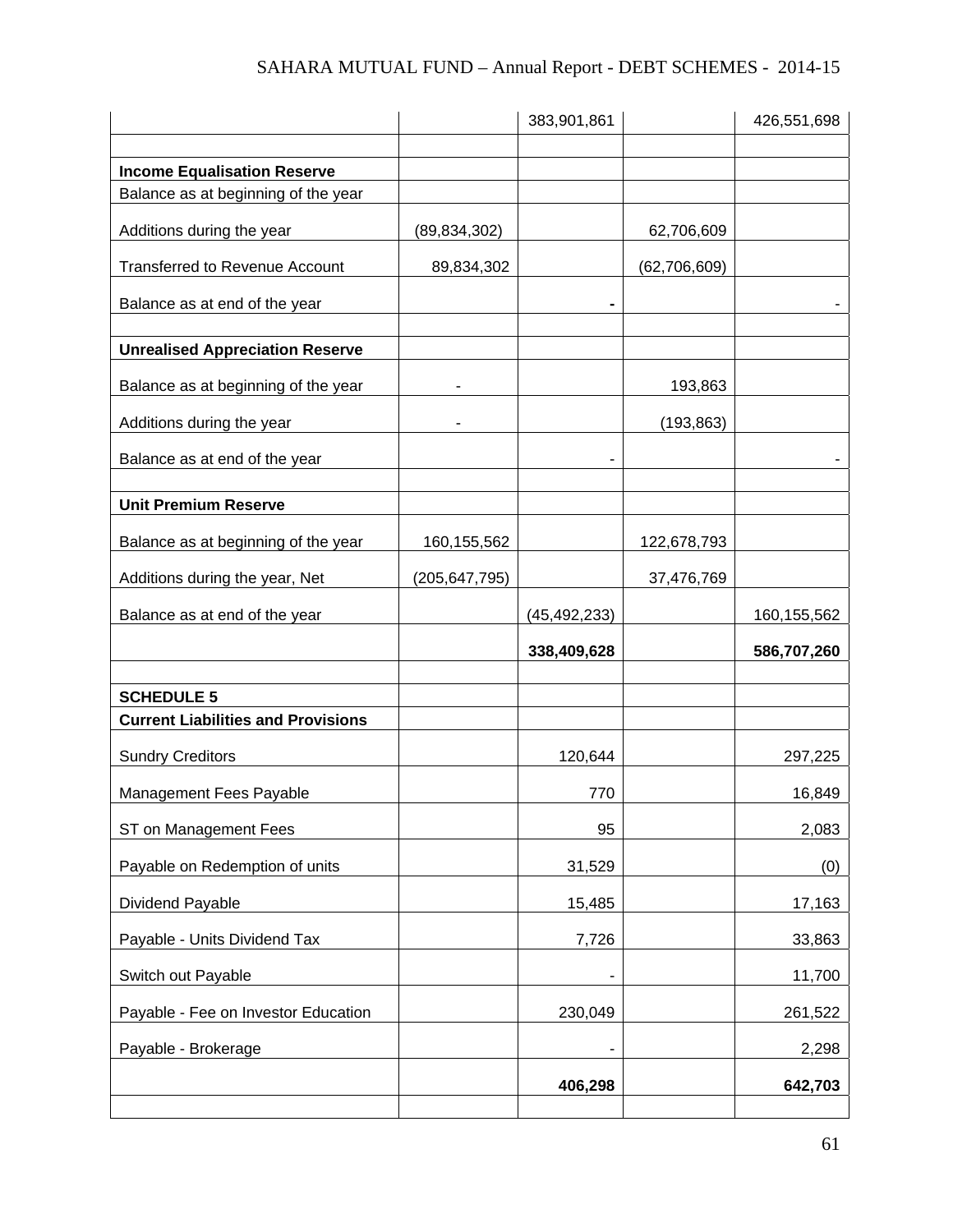# SAHARA MUTUAL FUND – Annual Report - DEBT SCHEMES - 2014-15

|                                           |                 | 383,901,861    |                | 426,551,698   |
|-------------------------------------------|-----------------|----------------|----------------|---------------|
|                                           |                 |                |                |               |
| <b>Income Equalisation Reserve</b>        |                 |                |                |               |
| Balance as at beginning of the year       |                 |                |                |               |
| Additions during the year                 | (89, 834, 302)  |                | 62,706,609     |               |
| <b>Transferred to Revenue Account</b>     | 89,834,302      |                | (62, 706, 609) |               |
| Balance as at end of the year             |                 |                |                |               |
| <b>Unrealised Appreciation Reserve</b>    |                 |                |                |               |
| Balance as at beginning of the year       |                 |                | 193,863        |               |
| Additions during the year                 |                 |                | (193, 863)     |               |
| Balance as at end of the year             |                 |                |                |               |
| <b>Unit Premium Reserve</b>               |                 |                |                |               |
| Balance as at beginning of the year       | 160,155,562     |                | 122,678,793    |               |
| Additions during the year, Net            | (205, 647, 795) |                | 37,476,769     |               |
| Balance as at end of the year             |                 | (45, 492, 233) |                | 160, 155, 562 |
|                                           |                 | 338,409,628    |                | 586,707,260   |
| <b>SCHEDULE 5</b>                         |                 |                |                |               |
| <b>Current Liabilities and Provisions</b> |                 |                |                |               |
| <b>Sundry Creditors</b>                   |                 | 120,644        |                | 297,225       |
| Management Fees Payable                   |                 | 770            |                | 16,849        |
| ST on Management Fees                     |                 | 95             |                | 2,083         |
| Payable on Redemption of units            |                 | 31,529         |                | (0)           |
| Dividend Payable                          |                 | 15,485         |                | 17,163        |
| Payable - Units Dividend Tax              |                 | 7,726          |                | 33,863        |
| Switch out Payable                        |                 |                |                | 11,700        |
| Payable - Fee on Investor Education       |                 | 230,049        |                | 261,522       |
| Payable - Brokerage                       |                 |                |                | 2,298         |
|                                           |                 | 406,298        |                | 642,703       |
|                                           |                 |                |                |               |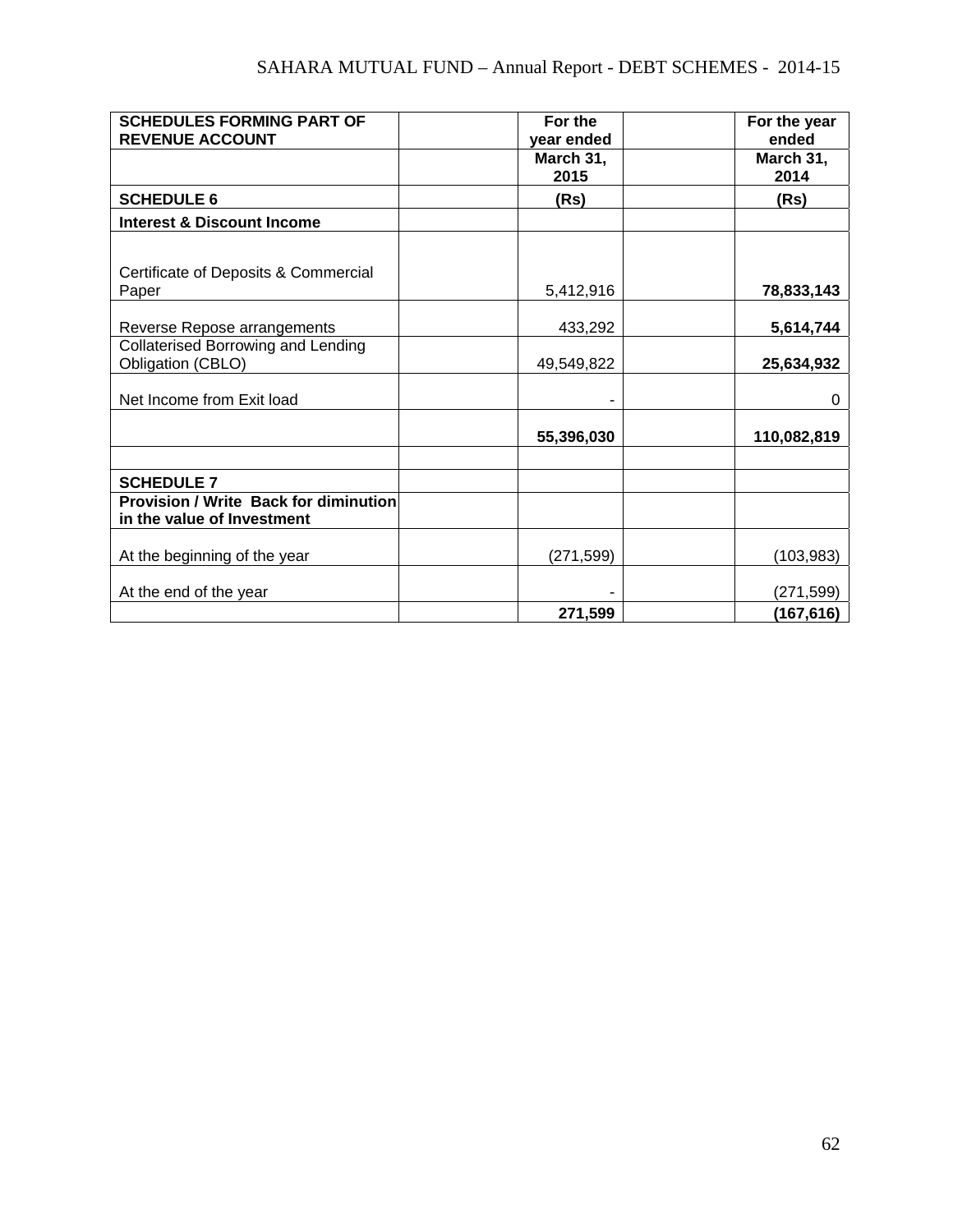| <b>SCHEDULES FORMING PART OF</b>             | For the    | For the year |
|----------------------------------------------|------------|--------------|
| <b>REVENUE ACCOUNT</b>                       | year ended | ended        |
|                                              | March 31,  | March 31,    |
|                                              | 2015       | 2014         |
| <b>SCHEDULE 6</b>                            | (Rs)       | (Rs)         |
| <b>Interest &amp; Discount Income</b>        |            |              |
|                                              |            |              |
| Certificate of Deposits & Commercial         |            |              |
| Paper                                        | 5,412,916  | 78,833,143   |
|                                              |            |              |
| Reverse Repose arrangements                  | 433,292    | 5,614,744    |
| <b>Collaterised Borrowing and Lending</b>    |            |              |
| Obligation (CBLO)                            | 49,549,822 | 25,634,932   |
|                                              |            |              |
| Net Income from Exit load                    |            | $\Omega$     |
|                                              |            |              |
|                                              | 55,396,030 | 110,082,819  |
|                                              |            |              |
| <b>SCHEDULE 7</b>                            |            |              |
| <b>Provision / Write Back for diminution</b> |            |              |
| in the value of Investment                   |            |              |
|                                              |            |              |
| At the beginning of the year                 | (271,599)  | (103, 983)   |
| At the end of the year                       |            | (271, 599)   |
|                                              | 271,599    | (167, 616)   |
|                                              |            |              |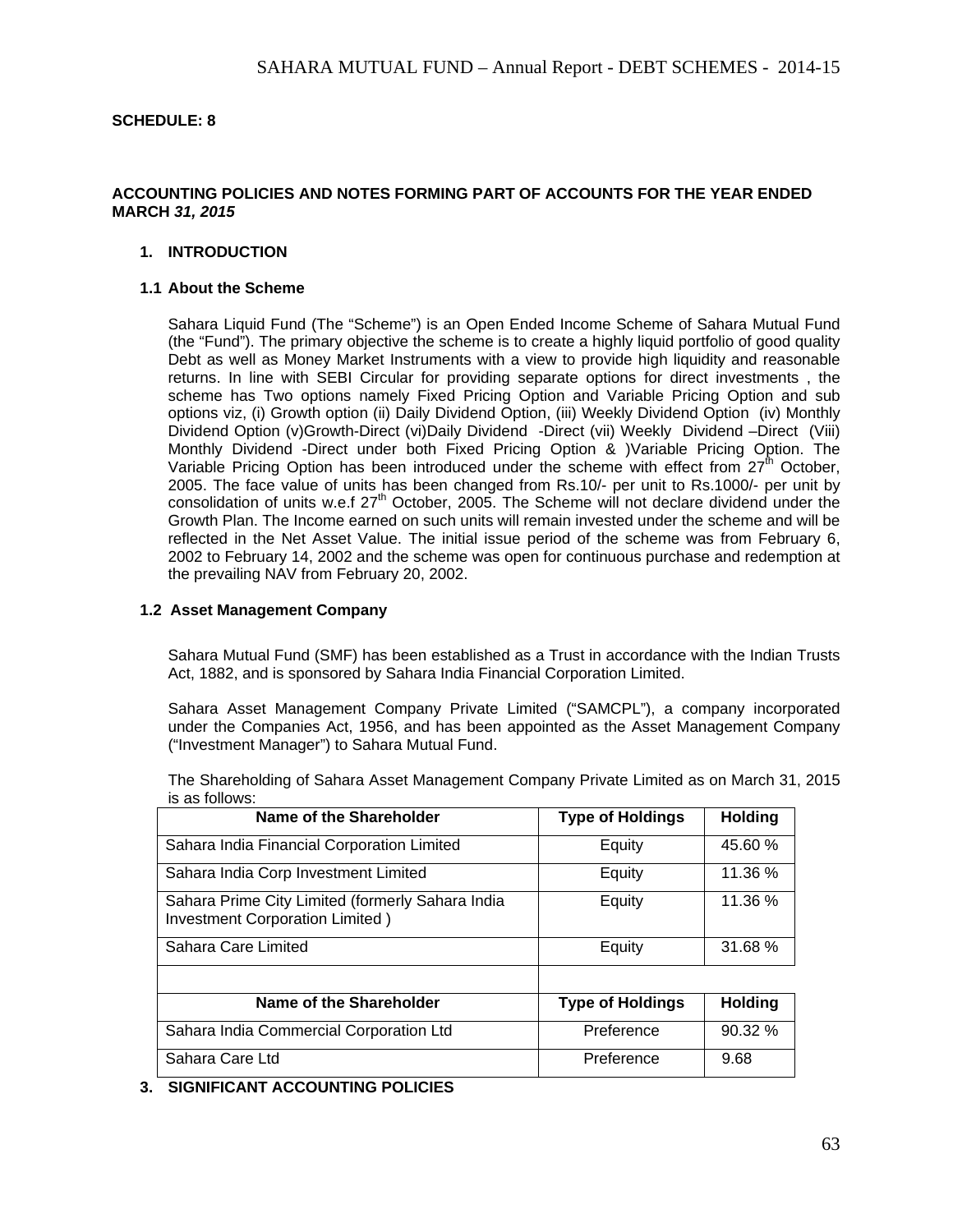## **SCHEDULE: 8**

### **ACCOUNTING POLICIES AND NOTES FORMING PART OF ACCOUNTS FOR THE YEAR ENDED MARCH** *31, 2015*

## **1. INTRODUCTION**

### **1.1 About the Scheme**

Sahara Liquid Fund (The "Scheme") is an Open Ended Income Scheme of Sahara Mutual Fund (the "Fund"). The primary objective the scheme is to create a highly liquid portfolio of good quality Debt as well as Money Market Instruments with a view to provide high liquidity and reasonable returns. In line with SEBI Circular for providing separate options for direct investments , the scheme has Two options namely Fixed Pricing Option and Variable Pricing Option and sub options viz, (i) Growth option (ii) Daily Dividend Option, (iii) Weekly Dividend Option (iv) Monthly Dividend Option (v)Growth-Direct (vi)Daily Dividend -Direct (vii) Weekly Dividend –Direct (Viii) Monthly Dividend -Direct under both Fixed Pricing Option & )Variable Pricing Option. The Variable Pricing Option has been introduced under the scheme with effect from 27<sup>th</sup> October, 2005. The face value of units has been changed from Rs.10/- per unit to Rs.1000/- per unit by consolidation of units w.e.f 27<sup>th</sup> October, 2005. The Scheme will not declare dividend under the Growth Plan. The Income earned on such units will remain invested under the scheme and will be reflected in the Net Asset Value. The initial issue period of the scheme was from February 6, 2002 to February 14, 2002 and the scheme was open for continuous purchase and redemption at the prevailing NAV from February 20, 2002.

### **1.2 Asset Management Company**

Sahara Mutual Fund (SMF) has been established as a Trust in accordance with the Indian Trusts Act, 1882, and is sponsored by Sahara India Financial Corporation Limited.

Sahara Asset Management Company Private Limited ("SAMCPL"), a company incorporated under the Companies Act, 1956, and has been appointed as the Asset Management Company ("Investment Manager") to Sahara Mutual Fund.

| Name of the Shareholder                                                             | <b>Type of Holdings</b> | <b>Holding</b> |
|-------------------------------------------------------------------------------------|-------------------------|----------------|
| Sahara India Financial Corporation Limited                                          | Equity                  | 45.60 %        |
| Sahara India Corp Investment Limited                                                | Equity                  | 11.36 %        |
| Sahara Prime City Limited (formerly Sahara India<br>Investment Corporation Limited) | Equity                  | 11.36%         |
| Sahara Care Limited                                                                 | Equity                  | 31.68%         |
|                                                                                     |                         |                |
| Name of the Shareholder                                                             | <b>Type of Holdings</b> | <b>Holding</b> |
| Sahara India Commercial Corporation Ltd                                             | Preference              | 90.32%         |
| Sahara Care Ltd                                                                     | Preference              | 9.68           |

The Shareholding of Sahara Asset Management Company Private Limited as on March 31, 2015 is as follows:

## **3. SIGNIFICANT ACCOUNTING POLICIES**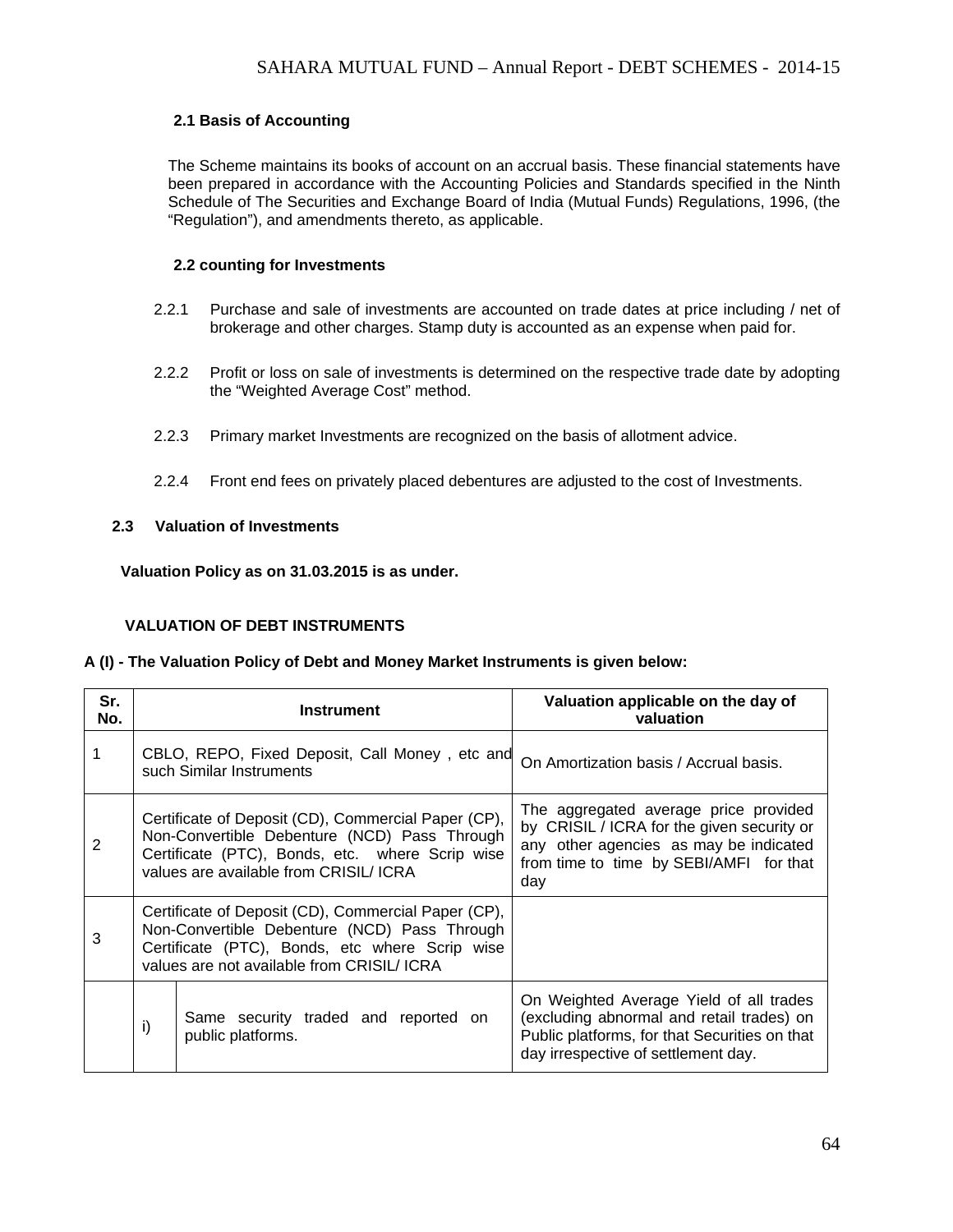## **2.1 Basis of Accounting**

The Scheme maintains its books of account on an accrual basis. These financial statements have been prepared in accordance with the Accounting Policies and Standards specified in the Ninth Schedule of The Securities and Exchange Board of India (Mutual Funds) Regulations, 1996, (the "Regulation"), and amendments thereto, as applicable.

## **2.2 counting for Investments**

- 2.2.1 Purchase and sale of investments are accounted on trade dates at price including / net of brokerage and other charges. Stamp duty is accounted as an expense when paid for.
- 2.2.2 Profit or loss on sale of investments is determined on the respective trade date by adopting the "Weighted Average Cost" method.
- 2.2.3 Primary market Investments are recognized on the basis of allotment advice.
- 2.2.4 Front end fees on privately placed debentures are adjusted to the cost of Investments.

## **2.3 Valuation of Investments**

 **Valuation Policy as on 31.03.2015 is as under.** 

## **VALUATION OF DEBT INSTRUMENTS**

### **A (I) - The Valuation Policy of Debt and Money Market Instruments is given below:**

| Sr.<br>No.   |    | <b>Instrument</b>                                                                                                                                                                                   | Valuation applicable on the day of<br>valuation                                                                                                                                 |
|--------------|----|-----------------------------------------------------------------------------------------------------------------------------------------------------------------------------------------------------|---------------------------------------------------------------------------------------------------------------------------------------------------------------------------------|
|              |    | CBLO, REPO, Fixed Deposit, Call Money, etc and<br>such Similar Instruments                                                                                                                          | On Amortization basis / Accrual basis.                                                                                                                                          |
| $\mathbf{2}$ |    | Certificate of Deposit (CD), Commercial Paper (CP),<br>Non-Convertible Debenture (NCD) Pass Through<br>Certificate (PTC), Bonds, etc. where Scrip wise<br>values are available from CRISIL/ ICRA    | The aggregated average price provided<br>by CRISIL / ICRA for the given security or<br>any other agencies as may be indicated<br>from time to time by SEBI/AMFI for that<br>day |
| 3            |    | Certificate of Deposit (CD), Commercial Paper (CP),<br>Non-Convertible Debenture (NCD) Pass Through<br>Certificate (PTC), Bonds, etc where Scrip wise<br>values are not available from CRISIL/ ICRA |                                                                                                                                                                                 |
|              | i) | Same security traded and reported on<br>public platforms.                                                                                                                                           | On Weighted Average Yield of all trades<br>(excluding abnormal and retail trades) on<br>Public platforms, for that Securities on that<br>day irrespective of settlement day.    |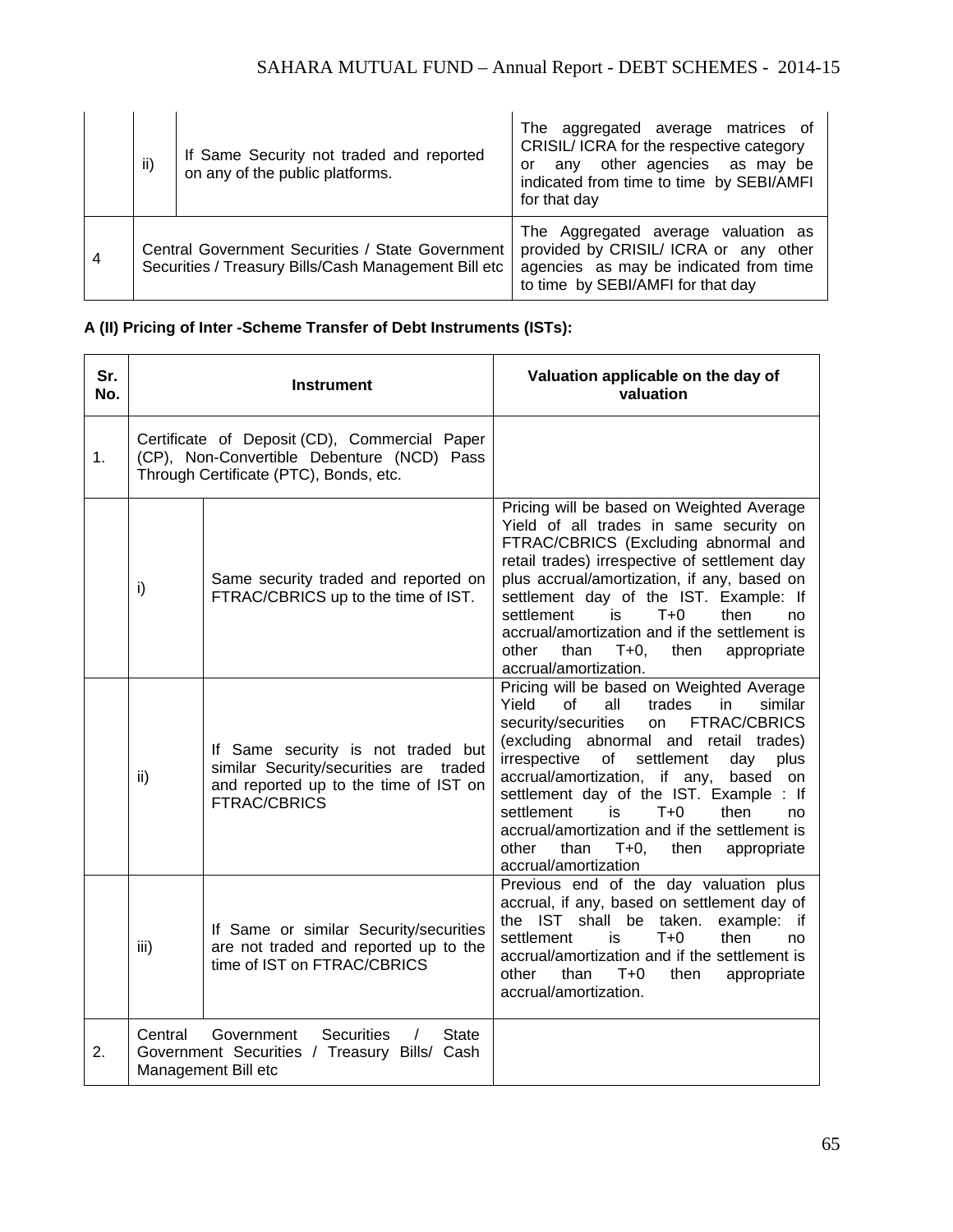| ii)                                                                                                      | If Same Security not traded and reported<br>on any of the public platforms. | The aggregated average matrices of<br>CRISIL/ ICRA for the respective category<br>any other agencies as may be<br>or<br>indicated from time to time by SEBI/AMFI<br>for that day |
|----------------------------------------------------------------------------------------------------------|-----------------------------------------------------------------------------|----------------------------------------------------------------------------------------------------------------------------------------------------------------------------------|
| Central Government Securities / State Government<br>Securities / Treasury Bills/Cash Management Bill etc |                                                                             | The Aggregated average valuation as<br>provided by CRISIL/ ICRA or any other<br>agencies as may be indicated from time<br>to time by SEBI/AMFI for that day                      |

# **A (II) Pricing of Inter -Scheme Transfer of Debt Instruments (ISTs):**

| Sr.<br>No. |         | <b>Instrument</b>                                                                                                                               | Valuation applicable on the day of<br>valuation                                                                                                                                                                                                                                                                                                                                                                                                                                                          |
|------------|---------|-------------------------------------------------------------------------------------------------------------------------------------------------|----------------------------------------------------------------------------------------------------------------------------------------------------------------------------------------------------------------------------------------------------------------------------------------------------------------------------------------------------------------------------------------------------------------------------------------------------------------------------------------------------------|
| 1.         |         | Certificate of Deposit (CD), Commercial Paper<br>(CP), Non-Convertible Debenture (NCD) Pass<br>Through Certificate (PTC), Bonds, etc.           |                                                                                                                                                                                                                                                                                                                                                                                                                                                                                                          |
|            | i)      | Same security traded and reported on<br>FTRAC/CBRICS up to the time of IST.                                                                     | Pricing will be based on Weighted Average<br>Yield of all trades in same security on<br>FTRAC/CBRICS (Excluding abnormal and<br>retail trades) irrespective of settlement day<br>plus accrual/amortization, if any, based on<br>settlement day of the IST. Example: If<br>$T+0$<br>settlement<br>is.<br>then<br>no<br>accrual/amortization and if the settlement is<br>other<br>than<br>$T+0$ ,<br>then<br>appropriate<br>accrual/amortization.                                                          |
|            | ii)     | If Same security is not traded but<br>similar Security/securities are<br>traded<br>and reported up to the time of IST on<br><b>FTRAC/CBRICS</b> | Pricing will be based on Weighted Average<br>Yield<br>Ωf<br>all<br>trades<br>similar<br>in.<br><b>FTRAC/CBRICS</b><br>security/securities<br>on<br>(excluding abnormal and retail trades)<br>settlement<br>irrespective<br>of<br>day<br>plus<br>accrual/amortization, if any,<br>based on<br>settlement day of the IST. Example : If<br>settlement<br>$T+0$<br>then<br>is<br>no<br>accrual/amortization and if the settlement is<br>other<br>than<br>T+0.<br>then<br>appropriate<br>accrual/amortization |
|            | iii)    | If Same or similar Security/securities<br>are not traded and reported up to the<br>time of IST on FTRAC/CBRICS                                  | Previous end of the day valuation plus<br>accrual, if any, based on settlement day of<br>the IST shall be taken.<br>example: if<br>$T+0$<br>settlement<br>is.<br>then<br>no<br>accrual/amortization and if the settlement is<br>$T+0$<br>other<br>than<br>then<br>appropriate<br>accrual/amortization.                                                                                                                                                                                                   |
| 2.         | Central | Government<br><b>Securities</b><br>State<br>$\sqrt{2}$<br>Government Securities / Treasury Bills/ Cash<br>Management Bill etc                   |                                                                                                                                                                                                                                                                                                                                                                                                                                                                                                          |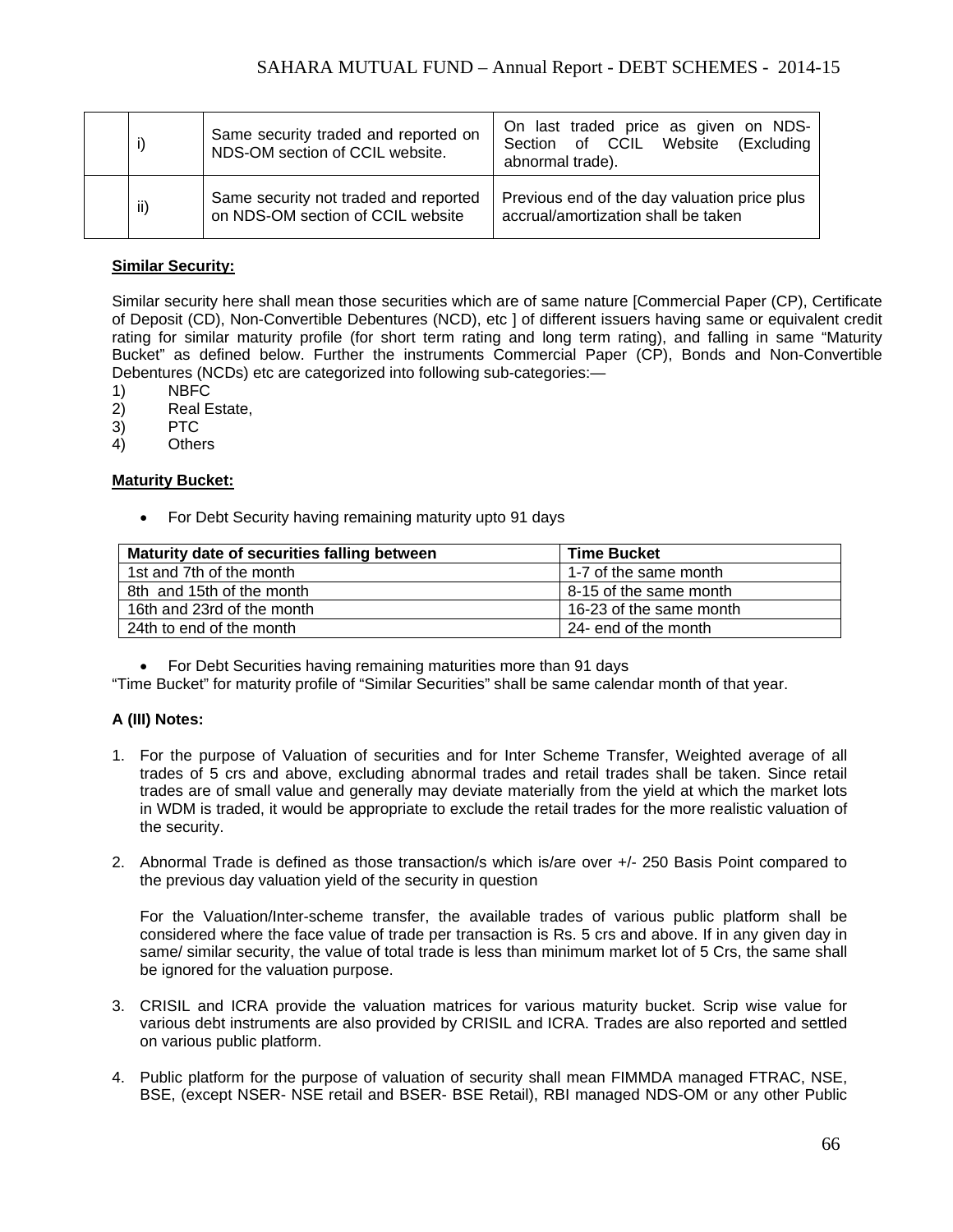|     | Same security traded and reported on<br>NDS-OM section of CCIL website.    | On last traded price as given on NDS-<br>Section of CCIL Website (Excluding<br>abnormal trade). |
|-----|----------------------------------------------------------------------------|-------------------------------------------------------------------------------------------------|
| ii) | Same security not traded and reported<br>on NDS-OM section of CCIL website | Previous end of the day valuation price plus<br>accrual/amortization shall be taken             |

## **Similar Security:**

Similar security here shall mean those securities which are of same nature [Commercial Paper (CP), Certificate of Deposit (CD), Non-Convertible Debentures (NCD), etc ] of different issuers having same or equivalent credit rating for similar maturity profile (for short term rating and long term rating), and falling in same "Maturity Bucket" as defined below. Further the instruments Commercial Paper (CP), Bonds and Non-Convertible Debentures (NCDs) etc are categorized into following sub-categories:—

- 1) NBFC
- 2) Real Estate,
- 3) PTC
- 4) Others

## **Maturity Bucket:**

• For Debt Security having remaining maturity upto 91 days

| Maturity date of securities falling between | <b>Time Bucket</b>      |
|---------------------------------------------|-------------------------|
| 1st and 7th of the month                    | 1-7 of the same month   |
| 8th and 15th of the month                   | 8-15 of the same month  |
| 16th and 23rd of the month                  | 16-23 of the same month |
| 24th to end of the month                    | 24- end of the month    |

• For Debt Securities having remaining maturities more than 91 days

"Time Bucket" for maturity profile of "Similar Securities" shall be same calendar month of that year.

## **A (III) Notes:**

- 1. For the purpose of Valuation of securities and for Inter Scheme Transfer, Weighted average of all trades of 5 crs and above, excluding abnormal trades and retail trades shall be taken. Since retail trades are of small value and generally may deviate materially from the yield at which the market lots in WDM is traded, it would be appropriate to exclude the retail trades for the more realistic valuation of the security.
- 2. Abnormal Trade is defined as those transaction/s which is/are over +/- 250 Basis Point compared to the previous day valuation yield of the security in question

For the Valuation/Inter-scheme transfer, the available trades of various public platform shall be considered where the face value of trade per transaction is Rs. 5 crs and above. If in any given day in same/ similar security, the value of total trade is less than minimum market lot of 5 Crs, the same shall be ignored for the valuation purpose.

- 3. CRISIL and ICRA provide the valuation matrices for various maturity bucket. Scrip wise value for various debt instruments are also provided by CRISIL and ICRA. Trades are also reported and settled on various public platform.
- 4. Public platform for the purpose of valuation of security shall mean FIMMDA managed FTRAC, NSE, BSE, (except NSER- NSE retail and BSER- BSE Retail), RBI managed NDS-OM or any other Public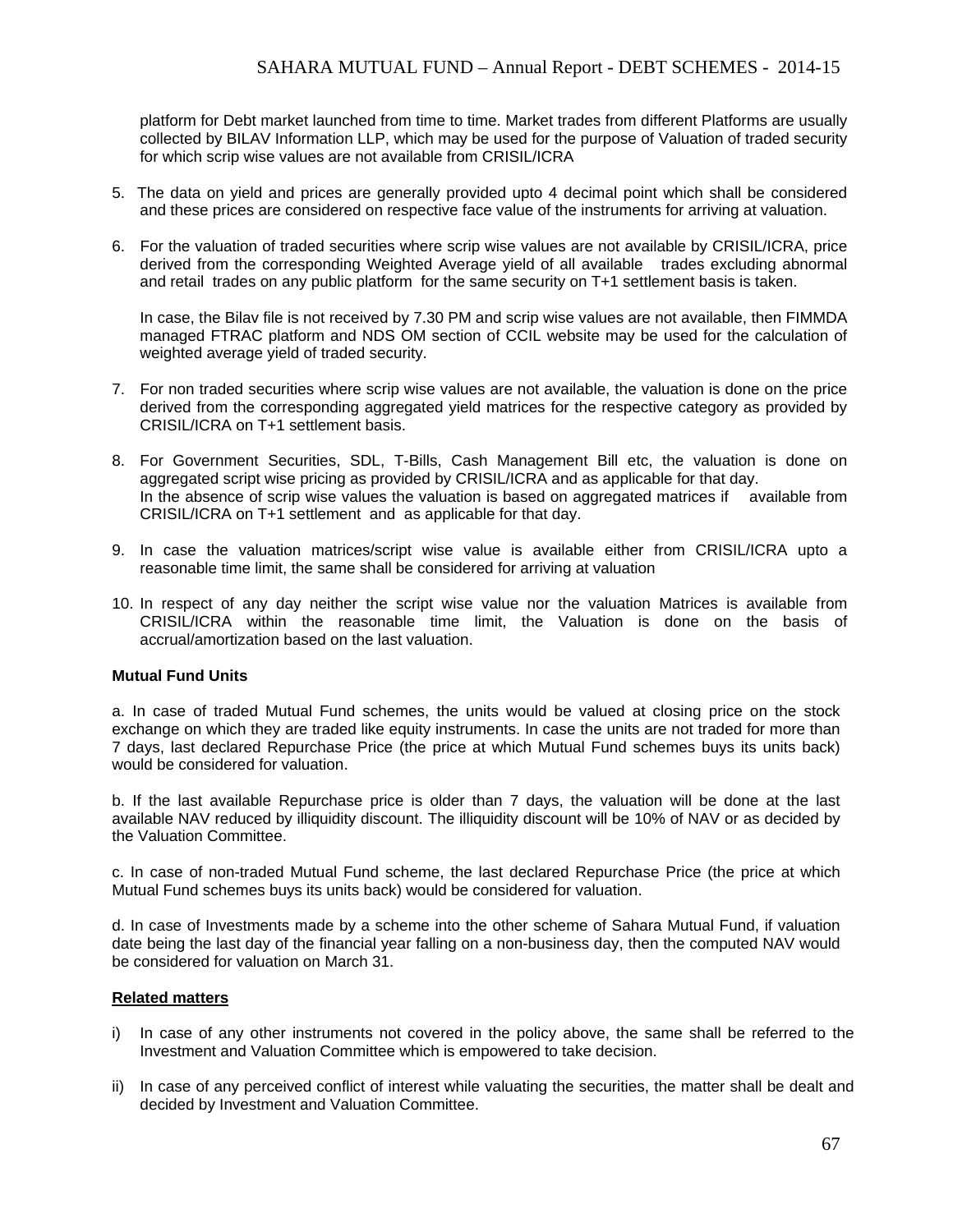platform for Debt market launched from time to time. Market trades from different Platforms are usually collected by BILAV Information LLP, which may be used for the purpose of Valuation of traded security for which scrip wise values are not available from CRISIL/ICRA

- 5. The data on yield and prices are generally provided upto 4 decimal point which shall be considered and these prices are considered on respective face value of the instruments for arriving at valuation.
- 6. For the valuation of traded securities where scrip wise values are not available by CRISIL/ICRA, price derived from the corresponding Weighted Average yield of all available trades excluding abnormal and retail trades on any public platform for the same security on T+1 settlement basis is taken.

In case, the Bilav file is not received by 7.30 PM and scrip wise values are not available, then FIMMDA managed FTRAC platform and NDS OM section of CCIL website may be used for the calculation of weighted average yield of traded security.

- 7. For non traded securities where scrip wise values are not available, the valuation is done on the price derived from the corresponding aggregated yield matrices for the respective category as provided by CRISIL/ICRA on T+1 settlement basis.
- 8. For Government Securities, SDL, T-Bills, Cash Management Bill etc, the valuation is done on aggregated script wise pricing as provided by CRISIL/ICRA and as applicable for that day. In the absence of scrip wise values the valuation is based on aggregated matrices if available from CRISIL/ICRA on T+1 settlement and as applicable for that day.
- 9. In case the valuation matrices/script wise value is available either from CRISIL/ICRA upto a reasonable time limit, the same shall be considered for arriving at valuation
- 10. In respect of any day neither the script wise value nor the valuation Matrices is available from CRISIL/ICRA within the reasonable time limit, the Valuation is done on the basis of accrual/amortization based on the last valuation.

### **Mutual Fund Units**

a. In case of traded Mutual Fund schemes, the units would be valued at closing price on the stock exchange on which they are traded like equity instruments. In case the units are not traded for more than 7 days, last declared Repurchase Price (the price at which Mutual Fund schemes buys its units back) would be considered for valuation.

b. If the last available Repurchase price is older than 7 days, the valuation will be done at the last available NAV reduced by illiquidity discount. The illiquidity discount will be 10% of NAV or as decided by the Valuation Committee.

c. In case of non-traded Mutual Fund scheme, the last declared Repurchase Price (the price at which Mutual Fund schemes buys its units back) would be considered for valuation.

d. In case of Investments made by a scheme into the other scheme of Sahara Mutual Fund, if valuation date being the last day of the financial year falling on a non-business day, then the computed NAV would be considered for valuation on March 31.

### **Related matters**

- i) In case of any other instruments not covered in the policy above, the same shall be referred to the Investment and Valuation Committee which is empowered to take decision.
- ii) In case of any perceived conflict of interest while valuating the securities, the matter shall be dealt and decided by Investment and Valuation Committee.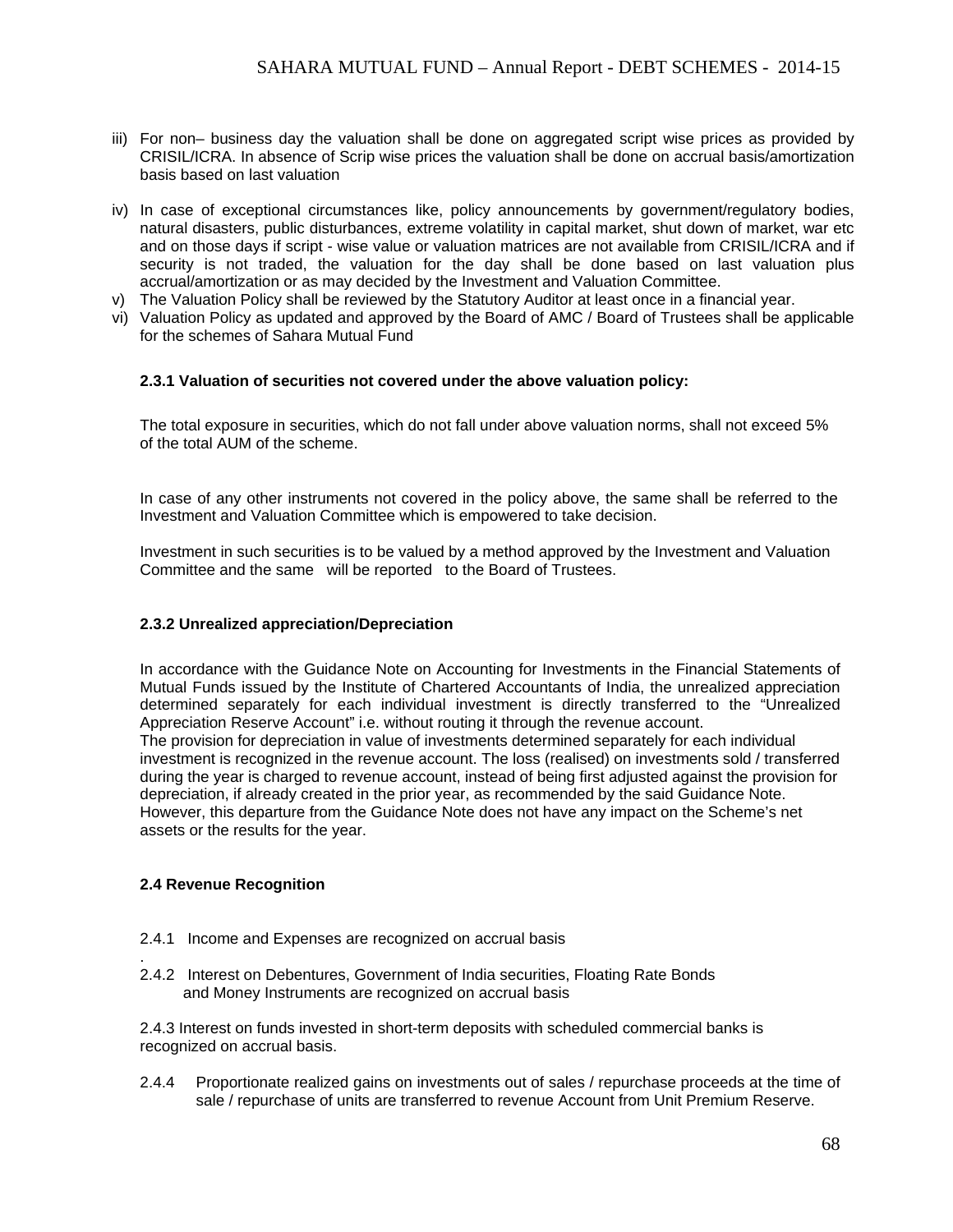- iii) For non– business day the valuation shall be done on aggregated script wise prices as provided by CRISIL/ICRA. In absence of Scrip wise prices the valuation shall be done on accrual basis/amortization basis based on last valuation
- iv) In case of exceptional circumstances like, policy announcements by government/regulatory bodies, natural disasters, public disturbances, extreme volatility in capital market, shut down of market, war etc and on those days if script - wise value or valuation matrices are not available from CRISIL/ICRA and if security is not traded, the valuation for the day shall be done based on last valuation plus accrual/amortization or as may decided by the Investment and Valuation Committee.
- v) The Valuation Policy shall be reviewed by the Statutory Auditor at least once in a financial year.
- vi) Valuation Policy as updated and approved by the Board of AMC / Board of Trustees shall be applicable for the schemes of Sahara Mutual Fund

## **2.3.1 Valuation of securities not covered under the above valuation policy:**

The total exposure in securities, which do not fall under above valuation norms, shall not exceed 5% of the total AUM of the scheme.

In case of any other instruments not covered in the policy above, the same shall be referred to the Investment and Valuation Committee which is empowered to take decision.

Investment in such securities is to be valued by a method approved by the Investment and Valuation Committee and the same will be reported to the Board of Trustees.

## **2.3.2 Unrealized appreciation/Depreciation**

In accordance with the Guidance Note on Accounting for Investments in the Financial Statements of Mutual Funds issued by the Institute of Chartered Accountants of India, the unrealized appreciation determined separately for each individual investment is directly transferred to the "Unrealized Appreciation Reserve Account" i.e. without routing it through the revenue account. The provision for depreciation in value of investments determined separately for each individual investment is recognized in the revenue account. The loss (realised) on investments sold / transferred during the year is charged to revenue account, instead of being first adjusted against the provision for depreciation, if already created in the prior year, as recommended by the said Guidance Note. However, this departure from the Guidance Note does not have any impact on the Scheme's net assets or the results for the year.

## **2.4 Revenue Recognition**

.

- 2.4.1 Income and Expenses are recognized on accrual basis
- 2.4.2 Interest on Debentures, Government of India securities, Floating Rate Bonds and Money Instruments are recognized on accrual basis

2.4.3 Interest on funds invested in short-term deposits with scheduled commercial banks is recognized on accrual basis.

2.4.4 Proportionate realized gains on investments out of sales / repurchase proceeds at the time of sale / repurchase of units are transferred to revenue Account from Unit Premium Reserve.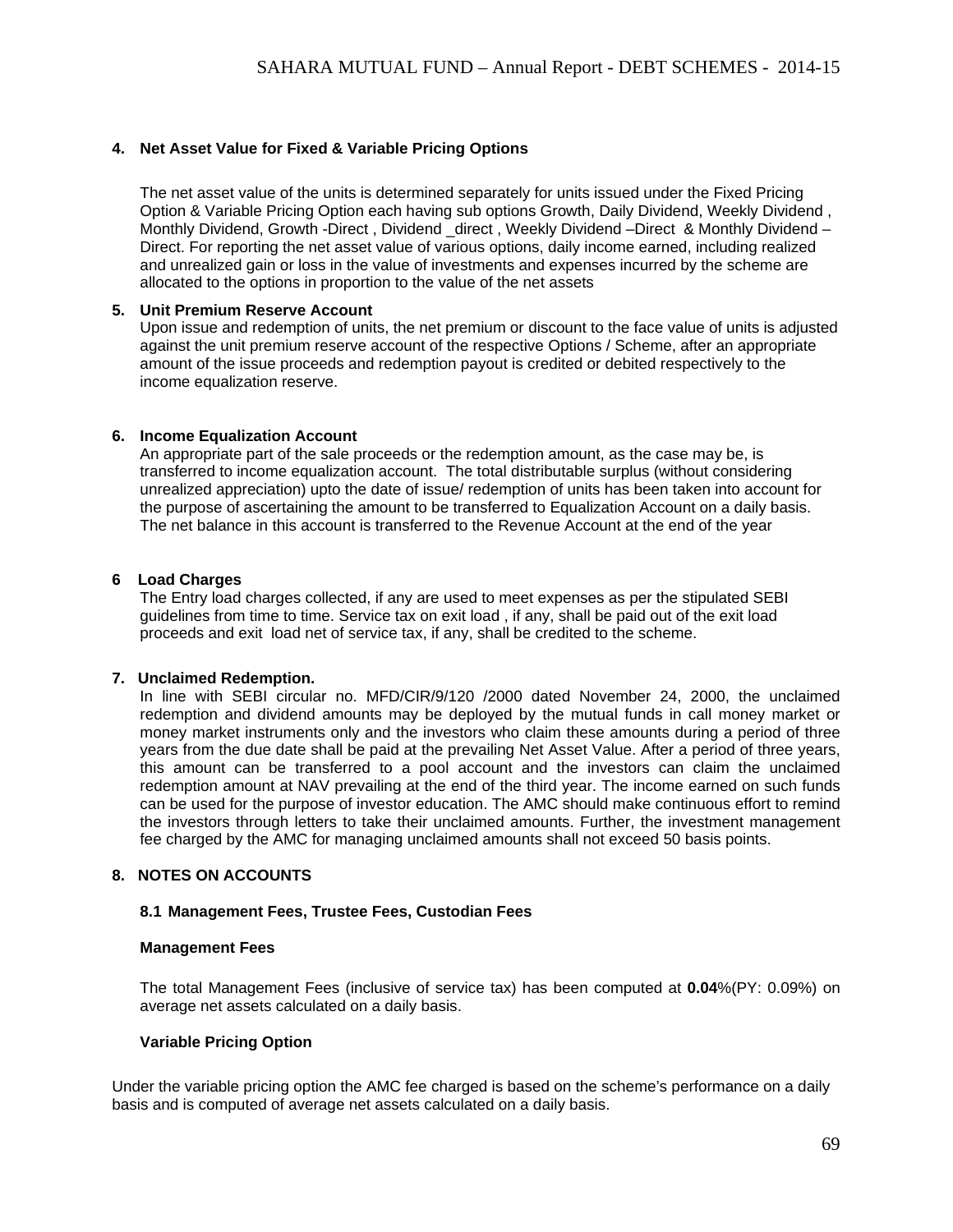## **4. Net Asset Value for Fixed & Variable Pricing Options**

The net asset value of the units is determined separately for units issued under the Fixed Pricing Option & Variable Pricing Option each having sub options Growth, Daily Dividend, Weekly Dividend , Monthly Dividend, Growth -Direct, Dividend direct, Weekly Dividend –Direct & Monthly Dividend – Direct. For reporting the net asset value of various options, daily income earned, including realized and unrealized gain or loss in the value of investments and expenses incurred by the scheme are allocated to the options in proportion to the value of the net assets

## **5. Unit Premium Reserve Account**

Upon issue and redemption of units, the net premium or discount to the face value of units is adjusted against the unit premium reserve account of the respective Options / Scheme, after an appropriate amount of the issue proceeds and redemption payout is credited or debited respectively to the income equalization reserve.

## **6. Income Equalization Account**

An appropriate part of the sale proceeds or the redemption amount, as the case may be, is transferred to income equalization account. The total distributable surplus (without considering unrealized appreciation) upto the date of issue/ redemption of units has been taken into account for the purpose of ascertaining the amount to be transferred to Equalization Account on a daily basis. The net balance in this account is transferred to the Revenue Account at the end of the year

## **6 Load Charges**

The Entry load charges collected, if any are used to meet expenses as per the stipulated SEBI guidelines from time to time. Service tax on exit load , if any, shall be paid out of the exit load proceeds and exit load net of service tax, if any, shall be credited to the scheme.

## **7. Unclaimed Redemption.**

In line with SEBI circular no. MFD/CIR/9/120 /2000 dated November 24, 2000, the unclaimed redemption and dividend amounts may be deployed by the mutual funds in call money market or money market instruments only and the investors who claim these amounts during a period of three years from the due date shall be paid at the prevailing Net Asset Value. After a period of three years, this amount can be transferred to a pool account and the investors can claim the unclaimed redemption amount at NAV prevailing at the end of the third year. The income earned on such funds can be used for the purpose of investor education. The AMC should make continuous effort to remind the investors through letters to take their unclaimed amounts. Further, the investment management fee charged by the AMC for managing unclaimed amounts shall not exceed 50 basis points.

## **8. NOTES ON ACCOUNTS**

### **8.1 Management Fees, Trustee Fees, Custodian Fees**

### **Management Fees**

The total Management Fees (inclusive of service tax) has been computed at **0.04**%(PY: 0.09%) on average net assets calculated on a daily basis.

### **Variable Pricing Option**

Under the variable pricing option the AMC fee charged is based on the scheme's performance on a daily basis and is computed of average net assets calculated on a daily basis.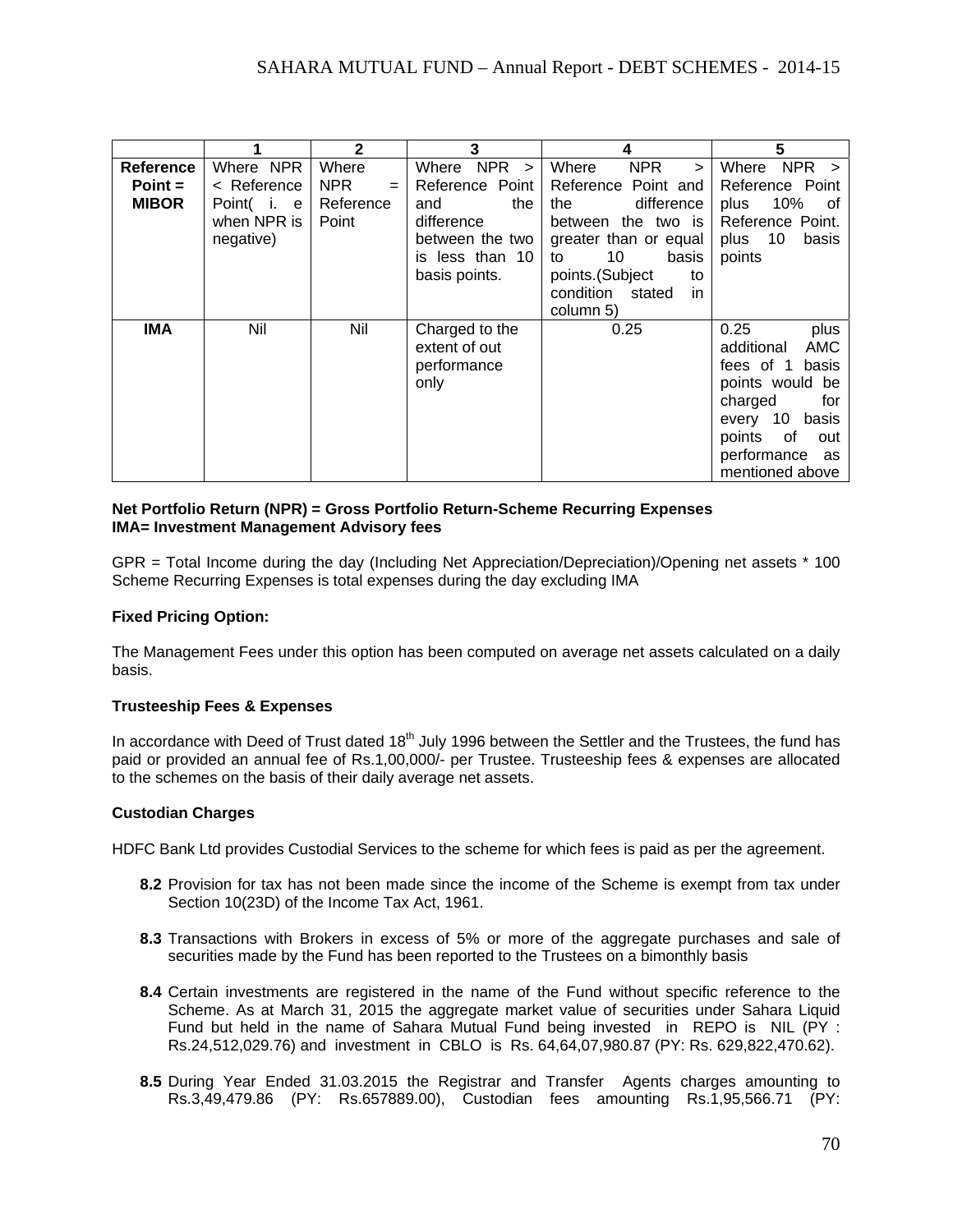|                                               |                                                                     | $\mathbf{2}$                                     | 3                                                                                                                    | 4                                                                                                                                                                                                                 | 5                                                                                                                                                                                   |
|-----------------------------------------------|---------------------------------------------------------------------|--------------------------------------------------|----------------------------------------------------------------------------------------------------------------------|-------------------------------------------------------------------------------------------------------------------------------------------------------------------------------------------------------------------|-------------------------------------------------------------------------------------------------------------------------------------------------------------------------------------|
| <b>Reference</b><br>$Point =$<br><b>MIBOR</b> | Where NPR<br>< Reference<br>Point( i. e<br>when NPR is<br>negative) | Where<br><b>NPR</b><br>$=$<br>Reference<br>Point | NPR ><br>Where<br>Reference Point<br>the<br>and<br>difference<br>between the two<br>is less than 10<br>basis points. | <b>NPR</b><br>Where<br>$\geq$<br>Reference Point and<br>the<br>difference<br>between the two is<br>greater than or equal<br>10<br>basis<br>to<br>points.(Subject<br>to<br>condition<br>stated<br>in.<br>column 5) | NPR ><br>Where<br>Reference Point<br>10%<br>plus<br>οf<br>Reference Point.<br>10<br>plus<br>basis<br>points                                                                         |
| <b>IMA</b>                                    | Nil                                                                 | Nil                                              | Charged to the<br>extent of out<br>performance<br>only                                                               | 0.25                                                                                                                                                                                                              | 0.25<br>plus<br>AMC<br>additional<br>basis<br>fees of 1<br>points would be<br>for<br>charged<br>10<br>basis<br>every<br>οf<br>points<br>out<br>performance<br>as<br>mentioned above |

### **Net Portfolio Return (NPR) = Gross Portfolio Return-Scheme Recurring Expenses IMA= Investment Management Advisory fees**

GPR = Total Income during the day (Including Net Appreciation/Depreciation)/Opening net assets \* 100 Scheme Recurring Expenses is total expenses during the day excluding IMA

## **Fixed Pricing Option:**

The Management Fees under this option has been computed on average net assets calculated on a daily basis.

### **Trusteeship Fees & Expenses**

In accordance with Deed of Trust dated  $18<sup>th</sup>$  July 1996 between the Settler and the Trustees, the fund has paid or provided an annual fee of Rs.1,00,000/- per Trustee. Trusteeship fees & expenses are allocated to the schemes on the basis of their daily average net assets.

### **Custodian Charges**

HDFC Bank Ltd provides Custodial Services to the scheme for which fees is paid as per the agreement.

- **8.2** Provision for tax has not been made since the income of the Scheme is exempt from tax under Section 10(23D) of the Income Tax Act, 1961.
- **8.3** Transactions with Brokers in excess of 5% or more of the aggregate purchases and sale of securities made by the Fund has been reported to the Trustees on a bimonthly basis
- **8.4** Certain investments are registered in the name of the Fund without specific reference to the Scheme. As at March 31, 2015 the aggregate market value of securities under Sahara Liquid Fund but held in the name of Sahara Mutual Fund being invested in REPO is NIL (PY : Rs.24,512,029.76) and investment in CBLO is Rs. 64,64,07,980.87 (PY: Rs. 629,822,470.62).
- **8.5** During Year Ended 31.03.2015 the Registrar and Transfer Agents charges amounting to Rs.3,49,479.86 (PY: Rs.657889.00), Custodian fees amounting Rs.1,95,566.71 (PY: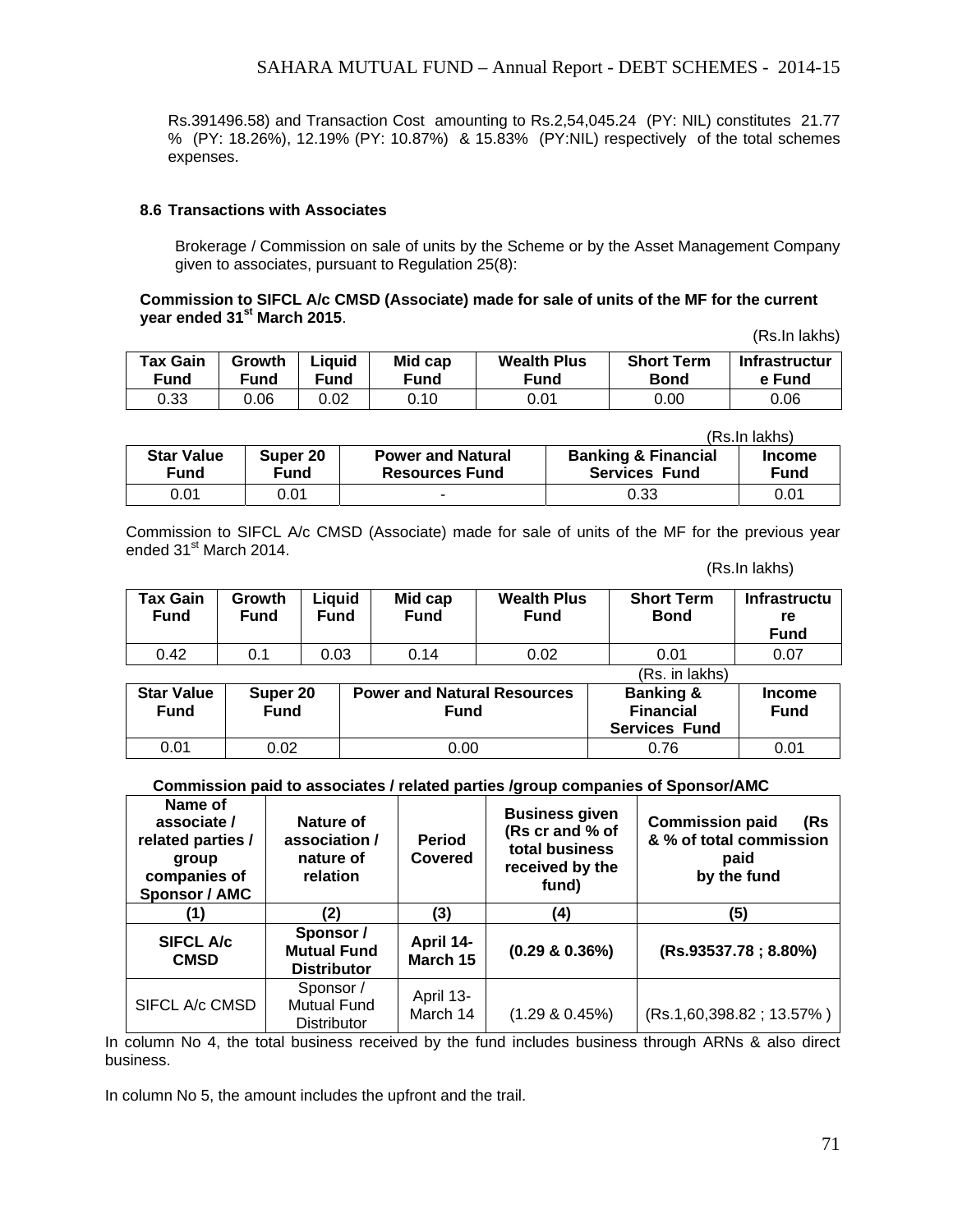Rs.391496.58) and Transaction Cost amounting to Rs.2,54,045.24 (PY: NIL) constitutes 21.77 % (PY: 18.26%), 12.19% (PY: 10.87%) & 15.83% (PY:NIL) respectively of the total schemes expenses.

## **8.6 Transactions with Associates**

Brokerage / Commission on sale of units by the Scheme or by the Asset Management Company given to associates, pursuant to Regulation 25(8):

### **Commission to SIFCL A/c CMSD (Associate) made for sale of units of the MF for the current year ended 31st March 2015**.

(Rs.In lakhs)

| <b>Tax Gain</b> | Growth | Liquid | Mid cap | <b>Wealth Plus</b> | <b>Short Term</b> | <b>Infrastructur</b> |
|-----------------|--------|--------|---------|--------------------|-------------------|----------------------|
| Fund            | Fund   | ™und   | Fund    | Fund               | Bond              | e Fund               |
| 0.33            | ა.06   | 0.02   | 0.10    | 0.01               | 0.00              | 0.06                 |

(Rs.In lakhs)

| <b>Star Value</b> | Super 20 | <b>Power and Natural</b> | <b>Banking &amp; Financial</b> | <b>Income</b> |
|-------------------|----------|--------------------------|--------------------------------|---------------|
| Fund              | Fund     | <b>Resources Fund</b>    | <b>Services Fund</b>           | Fund          |
| 0.01              | 0.01     |                          | 0.33                           | 0.01          |

Commission to SIFCL A/c CMSD (Associate) made for sale of units of the MF for the previous year ended 31<sup>st</sup> March 2014.

(Rs.In lakhs)

| <b>Tax Gain</b><br><b>Fund</b>                                                           | <b>Growth</b><br><b>Fund</b> | Liguid<br><b>Fund</b> | Mid cap<br><b>Fund</b>       | <b>Wealth Plus</b><br><b>Fund</b> | <b>Short Term</b><br><b>Bond</b> | <b>Infrastructu</b><br>re<br><b>Fund</b> |
|------------------------------------------------------------------------------------------|------------------------------|-----------------------|------------------------------|-----------------------------------|----------------------------------|------------------------------------------|
| 0.42                                                                                     | 0.1                          | 0.03                  | 0.14                         | 0.02                              | 0.01                             | 0.07                                     |
| (Rs. in lakhs)                                                                           |                              |                       |                              |                                   |                                  |                                          |
| <b>Star Value</b><br><b>Power and Natural Resources</b><br>Super 20<br>__<br>__<br>- - - |                              |                       | <b>Banking &amp;</b><br>____ | <b>Income</b><br>- -              |                                  |                                          |

| Fund | Fund | Fund | . .<br><b>Financial</b><br><b>Services</b><br>Fund | Fund |
|------|------|------|----------------------------------------------------|------|
| 0.01 | 0.02 | 0.00 | 0.76                                               | 0.01 |

### **Commission paid to associates / related parties /group companies of Sponsor/AMC**

| Name of<br>associate /<br>related parties /<br>group<br>companies of<br><b>Sponsor / AMC</b> | Nature of<br>association /<br>nature of<br>relation   | <b>Period</b><br><b>Covered</b> | <b>Business given</b><br>(Rs cr and % of<br>total business<br>received by the<br>fund) | <b>Commission paid</b><br>(Rs<br>& % of total commission<br>paid<br>by the fund |
|----------------------------------------------------------------------------------------------|-------------------------------------------------------|---------------------------------|----------------------------------------------------------------------------------------|---------------------------------------------------------------------------------|
| (1)                                                                                          | (2)                                                   | (3)                             | (4)                                                                                    | (5)                                                                             |
| <b>SIFCL A/c</b><br><b>CMSD</b>                                                              | Sponsor /<br><b>Mutual Fund</b><br><b>Distributor</b> | April 14-<br>March 15           | (0.29 & 0.36%)                                                                         | (Rs.93537.78; 8.80%)                                                            |
| SIFCL A/c CMSD                                                                               | Sponsor /<br><b>Mutual Fund</b><br><b>Distributor</b> | April 13-<br>March 14           | (1.29 & 0.45%)                                                                         | (Rs.1,60,398.82; 13.57%)                                                        |

In column No 4, the total business received by the fund includes business through ARNs & also direct business.

In column No 5, the amount includes the upfront and the trail.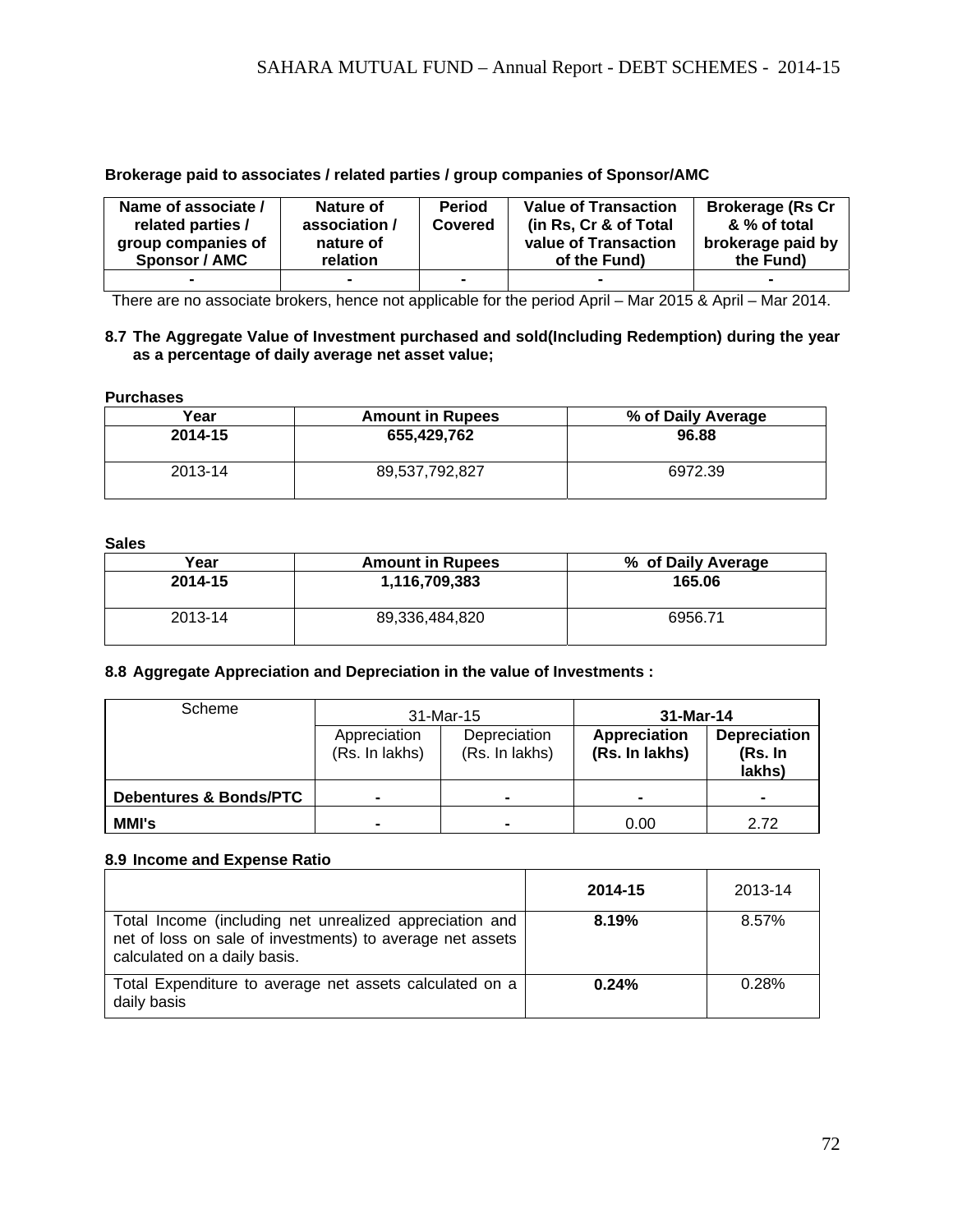## **Brokerage paid to associates / related parties / group companies of Sponsor/AMC**

| Name of associate /<br>related parties /<br>group companies of | Nature of<br>association /<br>nature of | Period<br><b>Covered</b> | <b>Value of Transaction</b><br>(in Rs, Cr & of Total)<br>value of Transaction | <b>Brokerage (Rs Cr</b><br>& % of total<br>brokerage paid by |
|----------------------------------------------------------------|-----------------------------------------|--------------------------|-------------------------------------------------------------------------------|--------------------------------------------------------------|
| <b>Sponsor / AMC</b>                                           | relation                                |                          | of the Fund)                                                                  | the Fund)                                                    |
| $\blacksquare$                                                 |                                         | $\blacksquare$           |                                                                               |                                                              |

There are no associate brokers, hence not applicable for the period April – Mar 2015 & April – Mar 2014.

## **8.7 The Aggregate Value of Investment purchased and sold(Including Redemption) during the year as a percentage of daily average net asset value;**

### **Purchases**

| Year |         | <b>Amount in Rupees</b> | % of Daily Average |  |  |  |  |
|------|---------|-------------------------|--------------------|--|--|--|--|
|      | 2014-15 | 655,429,762             | 96.88              |  |  |  |  |
|      |         |                         |                    |  |  |  |  |
|      | 2013-14 | 89,537,792,827          | 6972.39            |  |  |  |  |
|      |         |                         |                    |  |  |  |  |

### **Sales**

| Year    | <b>Amount in Rupees</b> | % of Daily Average |  |  |
|---------|-------------------------|--------------------|--|--|
| 2014-15 | 1,116,709,383           | 165.06             |  |  |
| 2013-14 | 89,336,484,820          | 6956.71            |  |  |

### **8.8 Aggregate Appreciation and Depreciation in the value of Investments :**

| Scheme                            | 31-Mar-15                      |                                | 31-Mar-14                      |                                          |
|-----------------------------------|--------------------------------|--------------------------------|--------------------------------|------------------------------------------|
|                                   | Appreciation<br>(Rs. In lakhs) | Depreciation<br>(Rs. In lakhs) | Appreciation<br>(Rs. In lakhs) | <b>Depreciation</b><br>(Rs. In<br>lakhs) |
| <b>Debentures &amp; Bonds/PTC</b> | $\blacksquare$                 | $\blacksquare$                 |                                | $\blacksquare$                           |
| <b>MMI's</b>                      | ۰                              |                                | 0.00                           | 2.72                                     |

### **8.9 Income and Expense Ratio**

|                                                                                                                                                      | 2014-15 | 2013-14 |
|------------------------------------------------------------------------------------------------------------------------------------------------------|---------|---------|
| Total Income (including net unrealized appreciation and<br>net of loss on sale of investments) to average net assets<br>calculated on a daily basis. | 8.19%   | 8.57%   |
| Total Expenditure to average net assets calculated on a<br>daily basis                                                                               | 0.24%   | 0.28%   |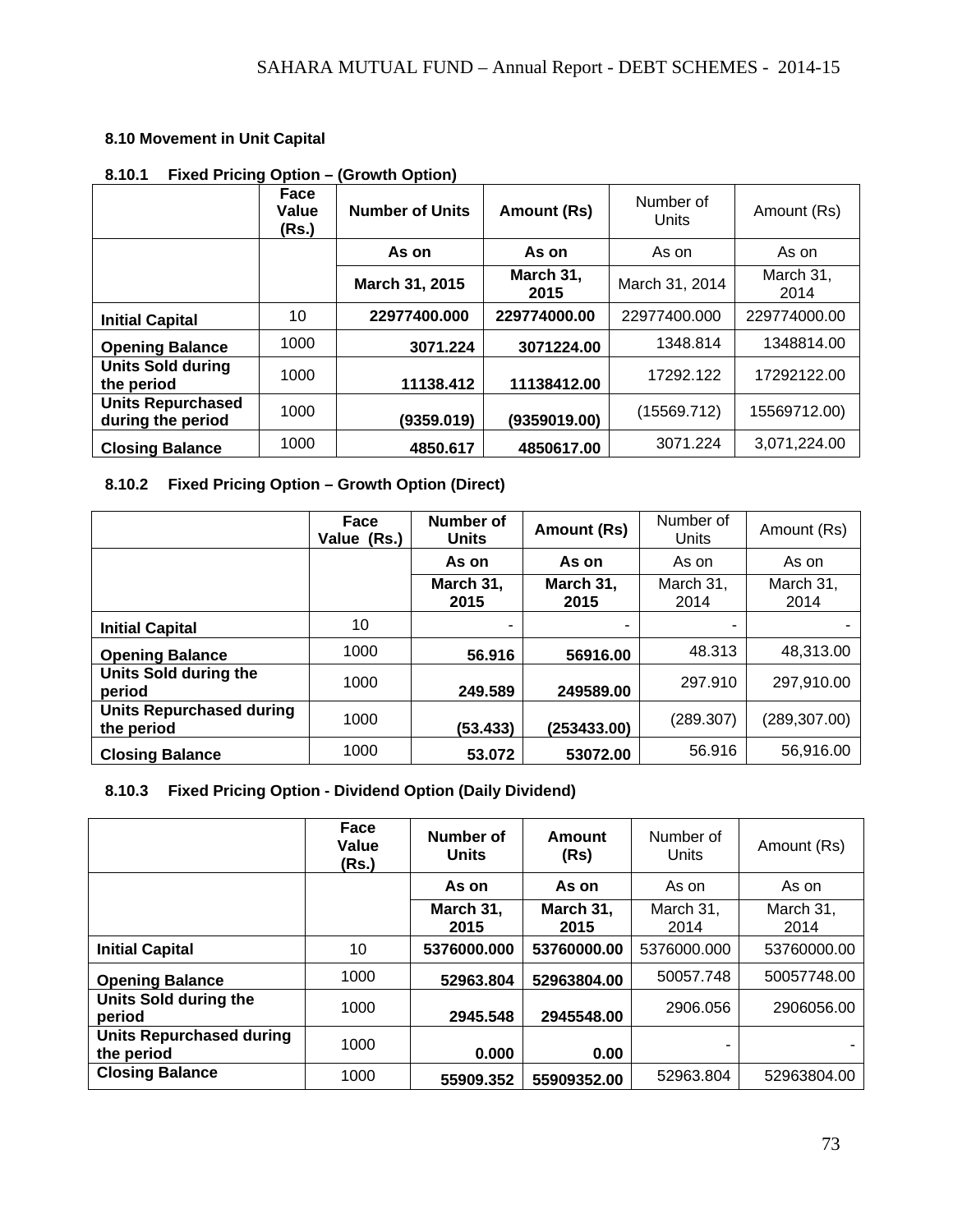# **8.10 Movement in Unit Capital**

# **8.10.1 Fixed Pricing Option – (Growth Option)**

|                                               | Face<br>Value<br>(Rs.) | <b>Number of Units</b> | Amount (Rs)       | Number of<br><b>Units</b> | Amount (Rs)       |
|-----------------------------------------------|------------------------|------------------------|-------------------|---------------------------|-------------------|
|                                               |                        | As on                  | As on             | As on                     | As on             |
|                                               |                        | March 31, 2015         | March 31,<br>2015 | March 31, 2014            | March 31,<br>2014 |
| <b>Initial Capital</b>                        | 10                     | 22977400.000           | 229774000.00      | 22977400.000              | 229774000.00      |
| <b>Opening Balance</b>                        | 1000                   | 3071.224               | 3071224.00        | 1348.814                  | 1348814.00        |
| <b>Units Sold during</b><br>the period        | 1000                   | 11138.412              | 11138412.00       | 17292.122                 | 17292122.00       |
| <b>Units Repurchased</b><br>during the period | 1000                   | (9359.019)             | (9359019.00)      | (15569.712)               | 15569712.00)      |
| <b>Closing Balance</b>                        | 1000                   | 4850.617               | 4850617.00        | 3071.224                  | 3,071,224.00      |

# **8.10.2 Fixed Pricing Option – Growth Option (Direct)**

|                                               | Face<br>Value (Rs.) | Number of<br><b>Units</b> | Amount (Rs)       | Number of<br><b>Units</b> | Amount (Rs)       |
|-----------------------------------------------|---------------------|---------------------------|-------------------|---------------------------|-------------------|
|                                               |                     | As on                     | As on             | As on                     | As on             |
|                                               |                     | March 31,<br>2015         | March 31,<br>2015 | March 31,<br>2014         | March 31,<br>2014 |
| <b>Initial Capital</b>                        | 10                  |                           |                   |                           |                   |
| <b>Opening Balance</b>                        | 1000                | 56.916                    | 56916.00          | 48.313                    | 48,313.00         |
| Units Sold during the<br>period               | 1000                | 249.589                   | 249589.00         | 297.910                   | 297,910.00        |
| <b>Units Repurchased during</b><br>the period | 1000                | (53.433)                  | (253433.00)       | (289.307)                 | (289, 307.00)     |
| <b>Closing Balance</b>                        | 1000                | 53.072                    | 53072.00          | 56.916                    | 56,916.00         |

# **8.10.3 Fixed Pricing Option - Dividend Option (Daily Dividend)**

|                                               | Face<br>Value<br>(Rs.) | <b>Number of</b><br><b>Units</b> | Amount<br>(Rs)    | Number of<br>Units | Amount (Rs)       |
|-----------------------------------------------|------------------------|----------------------------------|-------------------|--------------------|-------------------|
|                                               |                        | As on                            | As on             | As on              | As on             |
|                                               |                        | March 31,<br>2015                | March 31,<br>2015 | March 31,<br>2014  | March 31,<br>2014 |
| <b>Initial Capital</b>                        | 10                     | 5376000.000                      | 53760000.00       | 5376000.000        | 53760000.00       |
| <b>Opening Balance</b>                        | 1000                   | 52963.804                        | 52963804.00       | 50057.748          | 50057748.00       |
| Units Sold during the<br>period               | 1000                   | 2945.548                         | 2945548.00        | 2906.056           | 2906056.00        |
| <b>Units Repurchased during</b><br>the period | 1000                   | 0.000                            | 0.00              |                    |                   |
| <b>Closing Balance</b>                        | 1000                   | 55909.352                        | 55909352.00       | 52963.804          | 52963804.00       |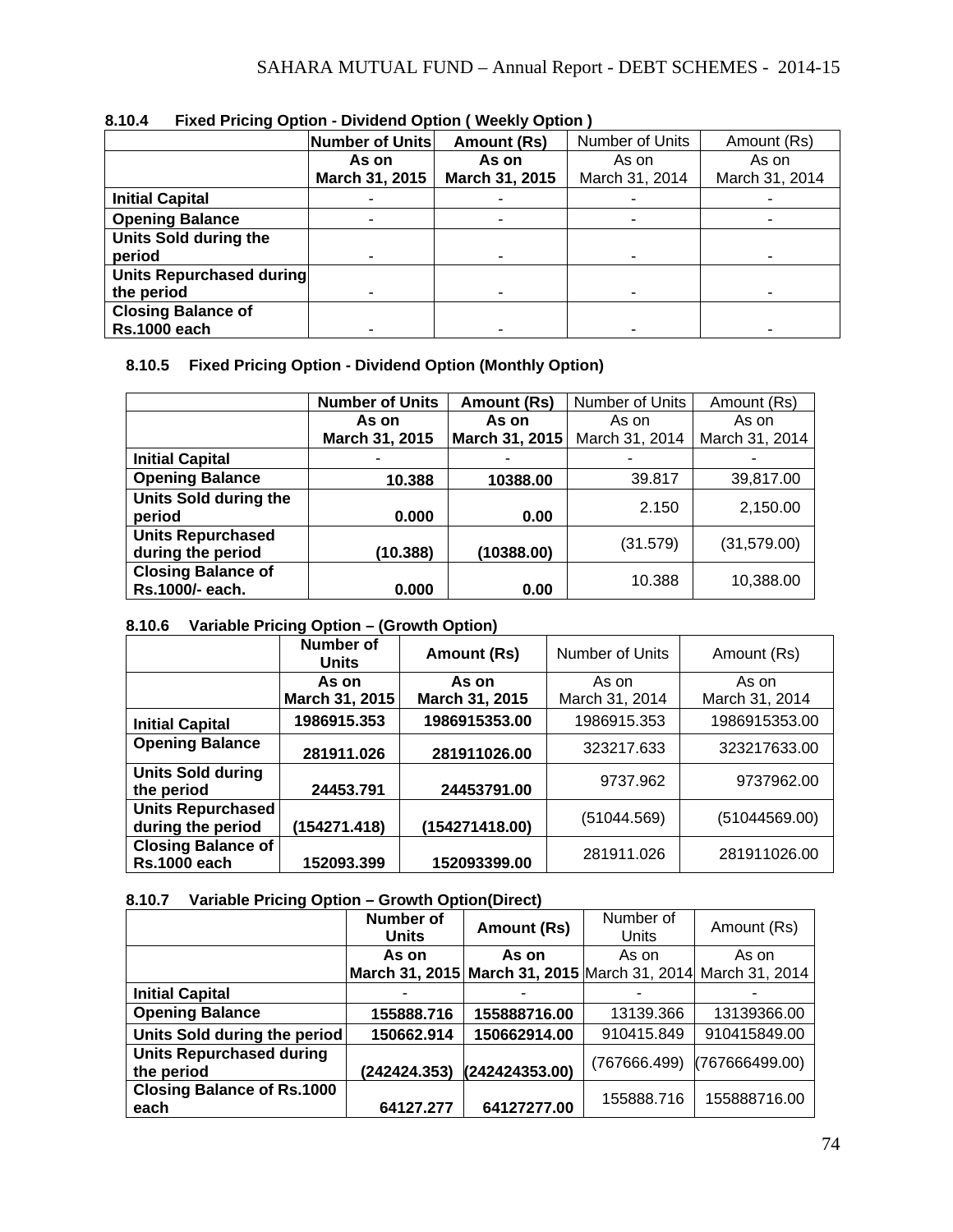|                           | Number of Units | Amount (Rs)    | Number of Units | Amount (Rs)    |  |  |  |
|---------------------------|-----------------|----------------|-----------------|----------------|--|--|--|
|                           | As on           | As on          | As on           | As on          |  |  |  |
|                           | March 31, 2015  | March 31, 2015 | March 31, 2014  | March 31, 2014 |  |  |  |
| <b>Initial Capital</b>    |                 |                |                 |                |  |  |  |
| <b>Opening Balance</b>    |                 |                |                 |                |  |  |  |
| Units Sold during the     |                 |                |                 |                |  |  |  |
| period                    |                 |                |                 |                |  |  |  |
| Units Repurchased during  |                 |                |                 |                |  |  |  |
| the period                |                 |                |                 |                |  |  |  |
| <b>Closing Balance of</b> |                 |                |                 |                |  |  |  |
| <b>Rs.1000 each</b>       |                 |                |                 |                |  |  |  |

## **8.10.4 Fixed Pricing Option - Dividend Option ( Weekly Option )**

# **8.10.5 Fixed Pricing Option - Dividend Option (Monthly Option)**

|                                               | <b>Number of Units</b> | Amount (Rs)    | Number of Units | Amount (Rs)    |
|-----------------------------------------------|------------------------|----------------|-----------------|----------------|
|                                               | As on                  | As on          | As on           | As on          |
|                                               | March 31, 2015         | March 31, 2015 | March 31, 2014  | March 31, 2014 |
| <b>Initial Capital</b>                        |                        |                |                 |                |
| <b>Opening Balance</b>                        | 10.388                 | 10388.00       | 39.817          | 39,817.00      |
| Units Sold during the                         |                        |                | 2.150           | 2,150.00       |
| period                                        | 0.000                  | 0.00           |                 |                |
| <b>Units Repurchased</b><br>during the period | (10.388)               | (10388.00)     | (31.579)        | (31, 579.00)   |
| <b>Closing Balance of</b><br>Rs.1000/- each.  | 0.000                  | 0.00           | 10.388          | 10,388.00      |

## **8.10.6 Variable Pricing Option – (Growth Option)**

|                                                  | Number of<br><b>Units</b> | Amount (Rs)    | Number of Units | Amount (Rs)    |
|--------------------------------------------------|---------------------------|----------------|-----------------|----------------|
|                                                  | As on                     | As on          | As on           | As on          |
|                                                  | March 31, 2015            | March 31, 2015 | March 31, 2014  | March 31, 2014 |
| <b>Initial Capital</b>                           | 1986915.353               | 1986915353.00  | 1986915.353     | 1986915353.00  |
| <b>Opening Balance</b>                           | 281911.026                | 281911026.00   | 323217.633      | 323217633.00   |
| <b>Units Sold during</b><br>the period           | 24453.791                 | 24453791.00    | 9737.962        | 9737962.00     |
| <b>Units Repurchased</b><br>during the period    | (154271.418)              | (154271418.00) | (51044.569)     | (51044569.00)  |
| <b>Closing Balance of</b><br><b>Rs.1000 each</b> | 152093.399                | 152093399.00   | 281911.026      | 281911026.00   |

## **8.10.7 Variable Pricing Option – Growth Option(Direct)**

|                                               | Number of<br><b>Units</b> | Amount (Rs)                 | Number of<br>Units | Amount (Rs)                                                 |
|-----------------------------------------------|---------------------------|-----------------------------|--------------------|-------------------------------------------------------------|
|                                               | As on                     | As on                       | As on              | As on                                                       |
|                                               |                           |                             |                    | March 31, 2015 March 31, 2015 March 31, 2014 March 31, 2014 |
| <b>Initial Capital</b>                        |                           |                             |                    |                                                             |
| <b>Opening Balance</b>                        | 155888.716                | 155888716.00                | 13139.366          | 13139366.00                                                 |
| Units Sold during the period                  | 150662.914                | 150662914.00                | 910415.849         | 910415849.00                                                |
| <b>Units Repurchased during</b><br>the period |                           | (242424.353) (242424353.00) | (767666.499)       | (767666499.00)                                              |
| <b>Closing Balance of Rs.1000</b><br>each     | 64127.277                 | 64127277.00                 | 155888.716         | 155888716.00                                                |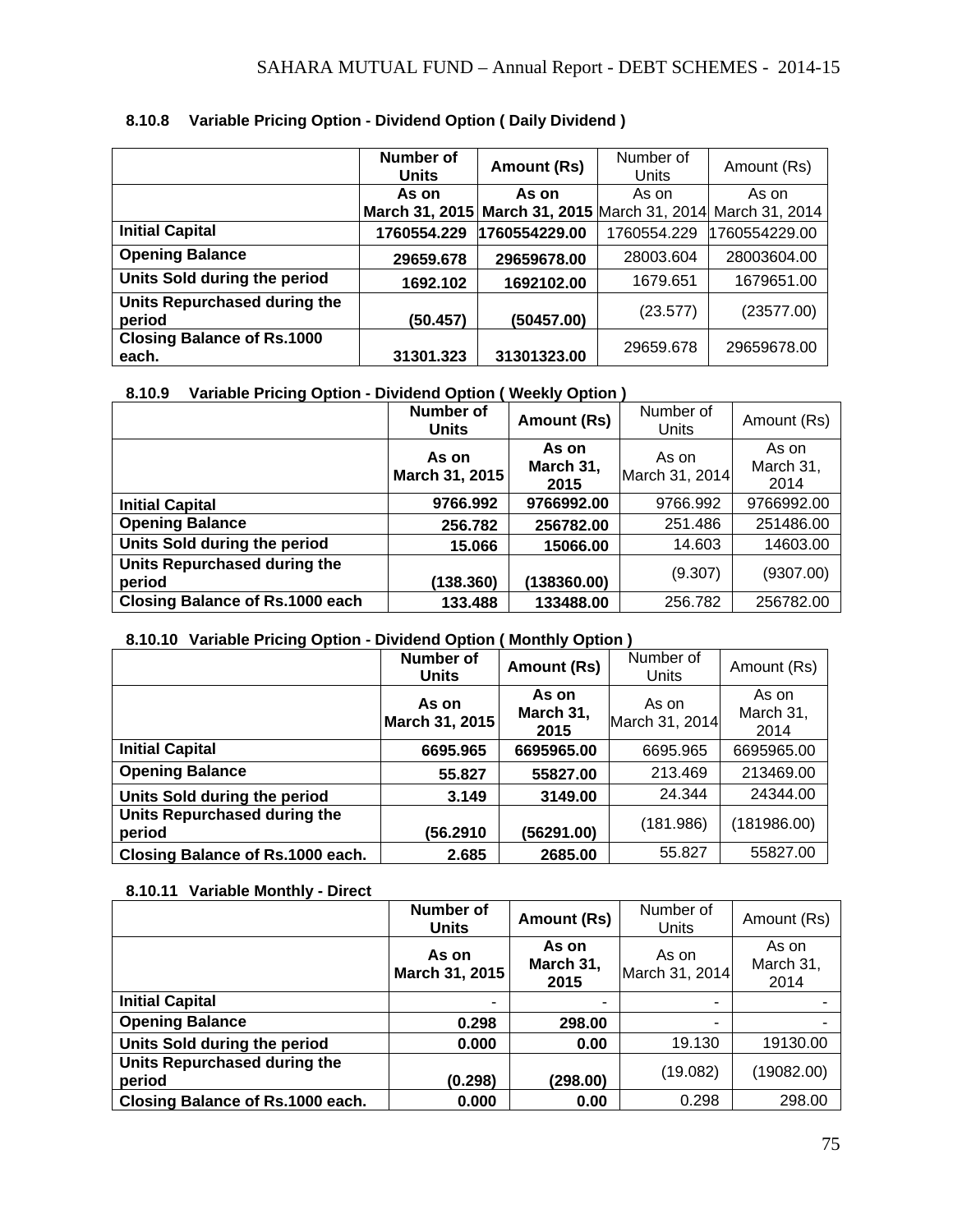|                                            | Number of<br><b>Units</b> | Amount (Rs)                            | Number of<br><b>Units</b> | Amount (Rs)             |
|--------------------------------------------|---------------------------|----------------------------------------|---------------------------|-------------------------|
|                                            | As on                     | As on<br>March 31, 2015 March 31, 2014 | As on                     | As on<br>March 31, 2014 |
|                                            | March 31, 2015            |                                        |                           |                         |
| <b>Initial Capital</b>                     | 1760554.229               | 1760554229.00                          | 1760554.229               | 1760554229.00           |
| <b>Opening Balance</b>                     | 29659.678                 | 29659678.00                            | 28003.604                 | 28003604.00             |
| Units Sold during the period               | 1692.102                  | 1692102.00                             | 1679.651                  | 1679651.00              |
| Units Repurchased during the<br>period     | (50.457)                  | (50457.00)                             | (23.577)                  | (23577.00)              |
| <b>Closing Balance of Rs.1000</b><br>each. | 31301.323                 | 31301323.00                            | 29659.678                 | 29659678.00             |

# **8.10.8 Variable Pricing Option - Dividend Option ( Daily Dividend )**

# **8.10.9 Variable Pricing Option - Dividend Option ( Weekly Option )**

|                                        | Number of<br><b>Units</b> | Amount (Rs)                | Number of<br>Units      | Amount (Rs)                |
|----------------------------------------|---------------------------|----------------------------|-------------------------|----------------------------|
|                                        | As on<br>March 31, 2015   | As on<br>March 31,<br>2015 | As on<br>March 31, 2014 | As on<br>March 31,<br>2014 |
| <b>Initial Capital</b>                 | 9766.992                  | 9766992.00                 | 9766.992                | 9766992.00                 |
| <b>Opening Balance</b>                 | 256.782                   | 256782.00                  | 251.486                 | 251486.00                  |
| Units Sold during the period           | 15.066                    | 15066.00                   | 14.603                  | 14603.00                   |
| Units Repurchased during the<br>period | (138.360)                 | (138360.00)                | (9.307)                 | (9307.00)                  |
| <b>Closing Balance of Rs.1000 each</b> | 133.488                   | 133488.00                  | 256.782                 | 256782.00                  |

# **8.10.10 Variable Pricing Option - Dividend Option ( Monthly Option )**

|                                        | <b>Number of</b><br><b>Units</b> | Amount (Rs)                | Number of<br>Units      | Amount (Rs)                |
|----------------------------------------|----------------------------------|----------------------------|-------------------------|----------------------------|
|                                        | As on<br>March 31, 2015          | As on<br>March 31,<br>2015 | As on<br>March 31, 2014 | As on<br>March 31,<br>2014 |
| <b>Initial Capital</b>                 | 6695.965                         | 6695965.00                 | 6695.965                | 6695965.00                 |
| <b>Opening Balance</b>                 | 55.827                           | 55827.00                   | 213.469                 | 213469.00                  |
| Units Sold during the period           | 3.149                            | 3149.00                    | 24.344                  | 24344.00                   |
| Units Repurchased during the<br>period | (56.2910                         | (56291.00)                 | (181.986)               | (181986.00)                |
| Closing Balance of Rs.1000 each.       | 2.685                            | 2685.00                    | 55.827                  | 55827.00                   |

## **8.10.11 Variable Monthly - Direct**

|                                        | <b>Number of</b><br><b>Units</b> | Amount (Rs)                | Number of<br><b>Units</b> | Amount (Rs)                |
|----------------------------------------|----------------------------------|----------------------------|---------------------------|----------------------------|
|                                        | As on<br>March 31, 2015          | As on<br>March 31,<br>2015 | As on<br>March 31, 2014   | As on<br>March 31,<br>2014 |
| <b>Initial Capital</b>                 |                                  | -                          |                           |                            |
| <b>Opening Balance</b>                 | 0.298                            | 298.00                     |                           |                            |
| Units Sold during the period           | 0.000                            | 0.00                       | 19.130                    | 19130.00                   |
| Units Repurchased during the<br>period | (0.298)                          | (298.00)                   | (19.082)                  | (19082.00)                 |
| Closing Balance of Rs.1000 each.       | 0.000                            | 0.00                       | 0.298                     | 298.00                     |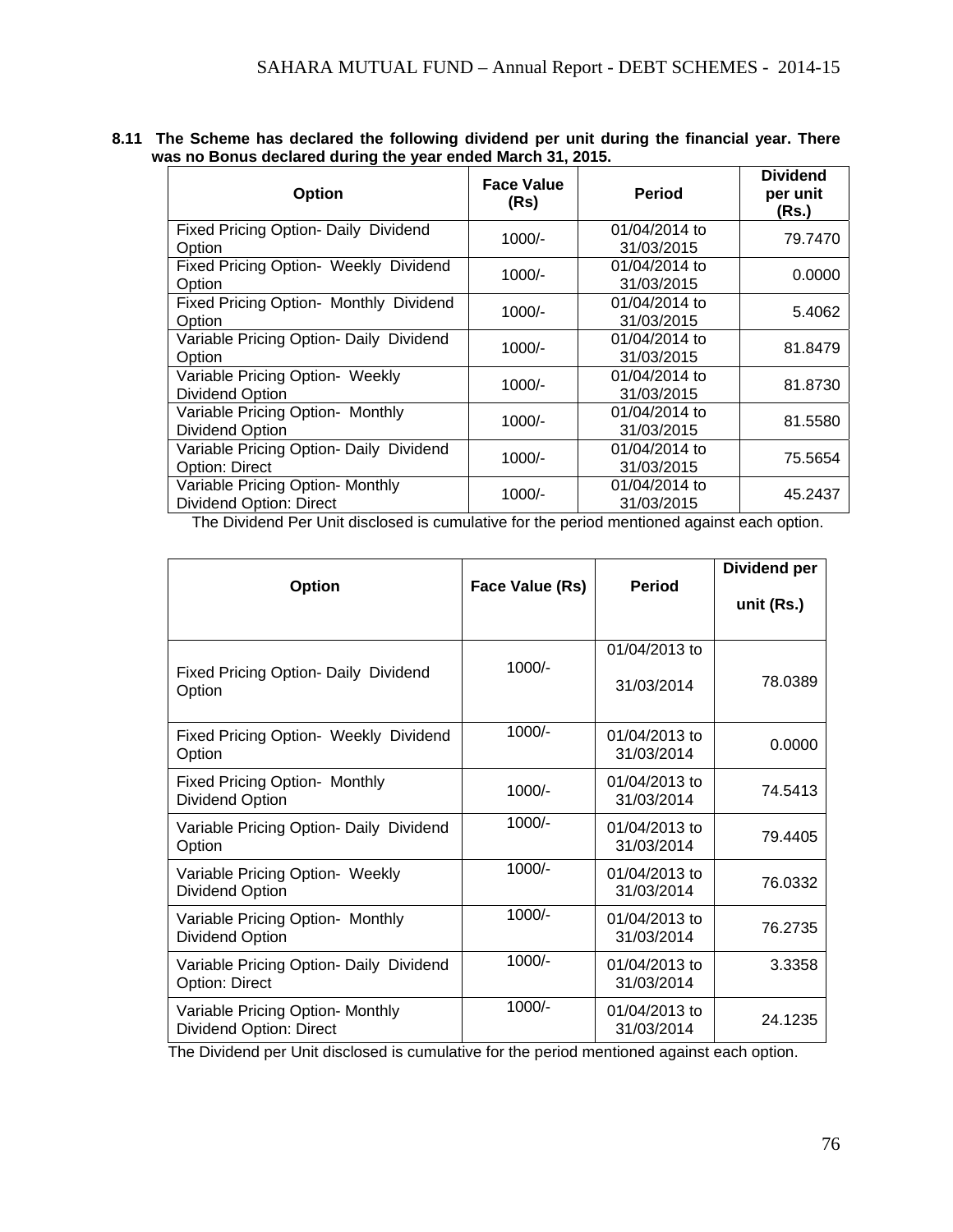**8.11 The Scheme has declared the following dividend per unit during the financial year. There was no Bonus declared during the year ended March 31, 2015.** 

| Option                                                             | <b>Face Value</b><br>(Rs) | <b>Period</b>               | <b>Dividend</b><br>per unit<br>(Rs.) |
|--------------------------------------------------------------------|---------------------------|-----------------------------|--------------------------------------|
| Fixed Pricing Option- Daily Dividend<br>Option                     | $1000/-$                  | 01/04/2014 to<br>31/03/2015 | 79.7470                              |
| Fixed Pricing Option- Weekly Dividend<br>Option                    | $1000/-$                  | 01/04/2014 to<br>31/03/2015 | 0.0000                               |
| Fixed Pricing Option- Monthly Dividend<br>Option                   | $1000/-$                  | 01/04/2014 to<br>31/03/2015 | 5.4062                               |
| Variable Pricing Option- Daily Dividend<br>Option                  | $1000/-$                  | 01/04/2014 to<br>31/03/2015 | 81.8479                              |
| Variable Pricing Option- Weekly<br>Dividend Option                 | $1000/-$                  | 01/04/2014 to<br>31/03/2015 | 81.8730                              |
| Variable Pricing Option- Monthly<br>Dividend Option                | $1000/-$                  | 01/04/2014 to<br>31/03/2015 | 81.5580                              |
| Variable Pricing Option- Daily Dividend<br><b>Option: Direct</b>   | $1000/-$                  | 01/04/2014 to<br>31/03/2015 | 75.5654                              |
| Variable Pricing Option- Monthly<br><b>Dividend Option: Direct</b> | $1000/-$                  | 01/04/2014 to<br>31/03/2015 | 45.2437                              |

The Dividend Per Unit disclosed is cumulative for the period mentioned against each option.

| Option                                                             | Face Value (Rs) | <b>Period</b>               | Dividend per |
|--------------------------------------------------------------------|-----------------|-----------------------------|--------------|
|                                                                    |                 |                             | unit (Rs.)   |
| Fixed Pricing Option- Daily Dividend<br>Option                     | $1000/-$        | 01/04/2013 to<br>31/03/2014 | 78.0389      |
| Fixed Pricing Option- Weekly Dividend<br>Option                    | $1000/-$        | 01/04/2013 to<br>31/03/2014 | 0.0000       |
| Fixed Pricing Option- Monthly<br>Dividend Option                   | $1000/-$        | 01/04/2013 to<br>31/03/2014 | 74.5413      |
| Variable Pricing Option- Daily Dividend<br>Option                  | 1000/-          | 01/04/2013 to<br>31/03/2014 | 79.4405      |
| Variable Pricing Option- Weekly<br>Dividend Option                 | $1000/-$        | 01/04/2013 to<br>31/03/2014 | 76.0332      |
| Variable Pricing Option- Monthly<br>Dividend Option                | $1000/-$        | 01/04/2013 to<br>31/03/2014 | 76.2735      |
| Variable Pricing Option- Daily Dividend<br><b>Option: Direct</b>   | $1000/-$        | 01/04/2013 to<br>31/03/2014 | 3.3358       |
| Variable Pricing Option- Monthly<br><b>Dividend Option: Direct</b> | 1000/-          | 01/04/2013 to<br>31/03/2014 | 24.1235      |

The Dividend per Unit disclosed is cumulative for the period mentioned against each option.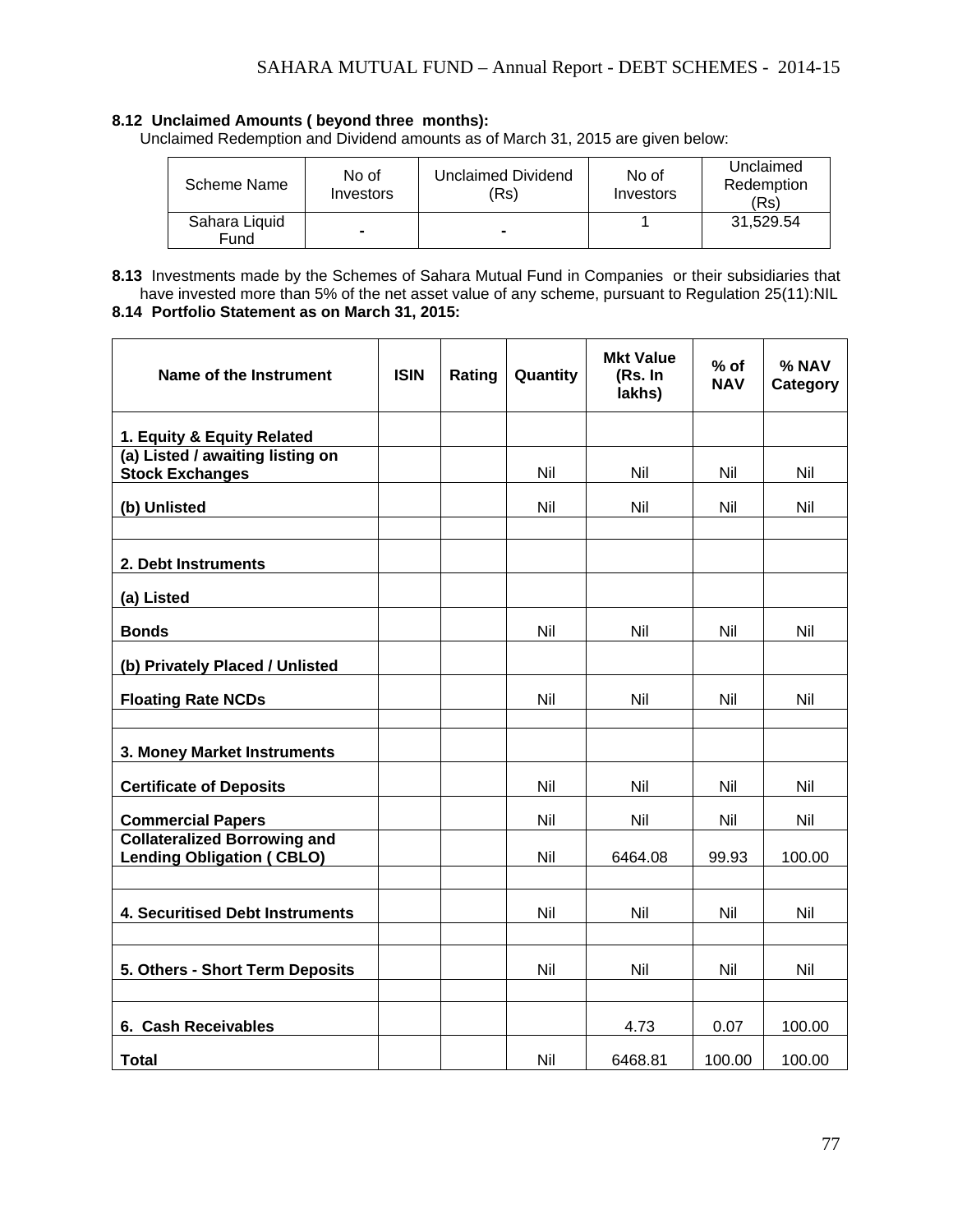## **8.12 Unclaimed Amounts ( beyond three months):**

Unclaimed Redemption and Dividend amounts as of March 31, 2015 are given below:

| Scheme Name           | No of<br>Investors | Unclaimed Dividend<br>(Rs) | No of<br>Investors | Unclaimed<br>Redemption<br>(Rs) |
|-----------------------|--------------------|----------------------------|--------------------|---------------------------------|
| Sahara Liquid<br>Fund | $\blacksquare$     |                            |                    | 31.529.54                       |

**8.13** Investments made by the Schemes of Sahara Mutual Fund in Companies or their subsidiaries that have invested more than 5% of the net asset value of any scheme, pursuant to Regulation 25(11):NIL **8.14 Portfolio Statement as on March 31, 2015:** 

| Name of the Instrument                                                  | <b>ISIN</b> | Rating | Quantity | <b>Mkt Value</b><br>(Rs. In<br>lakhs) | $%$ of<br><b>NAV</b> | % NAV<br>Category |
|-------------------------------------------------------------------------|-------------|--------|----------|---------------------------------------|----------------------|-------------------|
| 1. Equity & Equity Related                                              |             |        |          |                                       |                      |                   |
| (a) Listed / awaiting listing on<br><b>Stock Exchanges</b>              |             |        | Nil      | Nil                                   | Nil                  | Nil               |
| (b) Unlisted                                                            |             |        | Nil      | Nil                                   | Nil                  | Nil               |
|                                                                         |             |        |          |                                       |                      |                   |
| 2. Debt Instruments                                                     |             |        |          |                                       |                      |                   |
| (a) Listed                                                              |             |        |          |                                       |                      |                   |
| <b>Bonds</b>                                                            |             |        | Nil      | Nil                                   | Nil                  | Nil               |
| (b) Privately Placed / Unlisted                                         |             |        |          |                                       |                      |                   |
| <b>Floating Rate NCDs</b>                                               |             |        | Nil      | Nil                                   | Nil                  | Nil               |
| 3. Money Market Instruments                                             |             |        |          |                                       |                      |                   |
| <b>Certificate of Deposits</b>                                          |             |        | Nil      | Nil                                   | Nil                  | Nil               |
| <b>Commercial Papers</b>                                                |             |        | Nil      | Nil                                   | Nil                  | Nil               |
| <b>Collateralized Borrowing and</b><br><b>Lending Obligation (CBLO)</b> |             |        | Nil      | 6464.08                               | 99.93                | 100.00            |
|                                                                         |             |        |          |                                       |                      |                   |
| <b>4. Securitised Debt Instruments</b>                                  |             |        | Nil      | Nil                                   | Nil                  | Nil               |
|                                                                         |             |        |          |                                       |                      |                   |
| 5. Others - Short Term Deposits                                         |             |        | Nil      | Nil                                   | Nil                  | Nil               |
|                                                                         |             |        |          |                                       |                      |                   |
| 6. Cash Receivables                                                     |             |        |          | 4.73                                  | 0.07                 | 100.00            |
| <b>Total</b>                                                            |             |        | Nil      | 6468.81                               | 100.00               | 100.00            |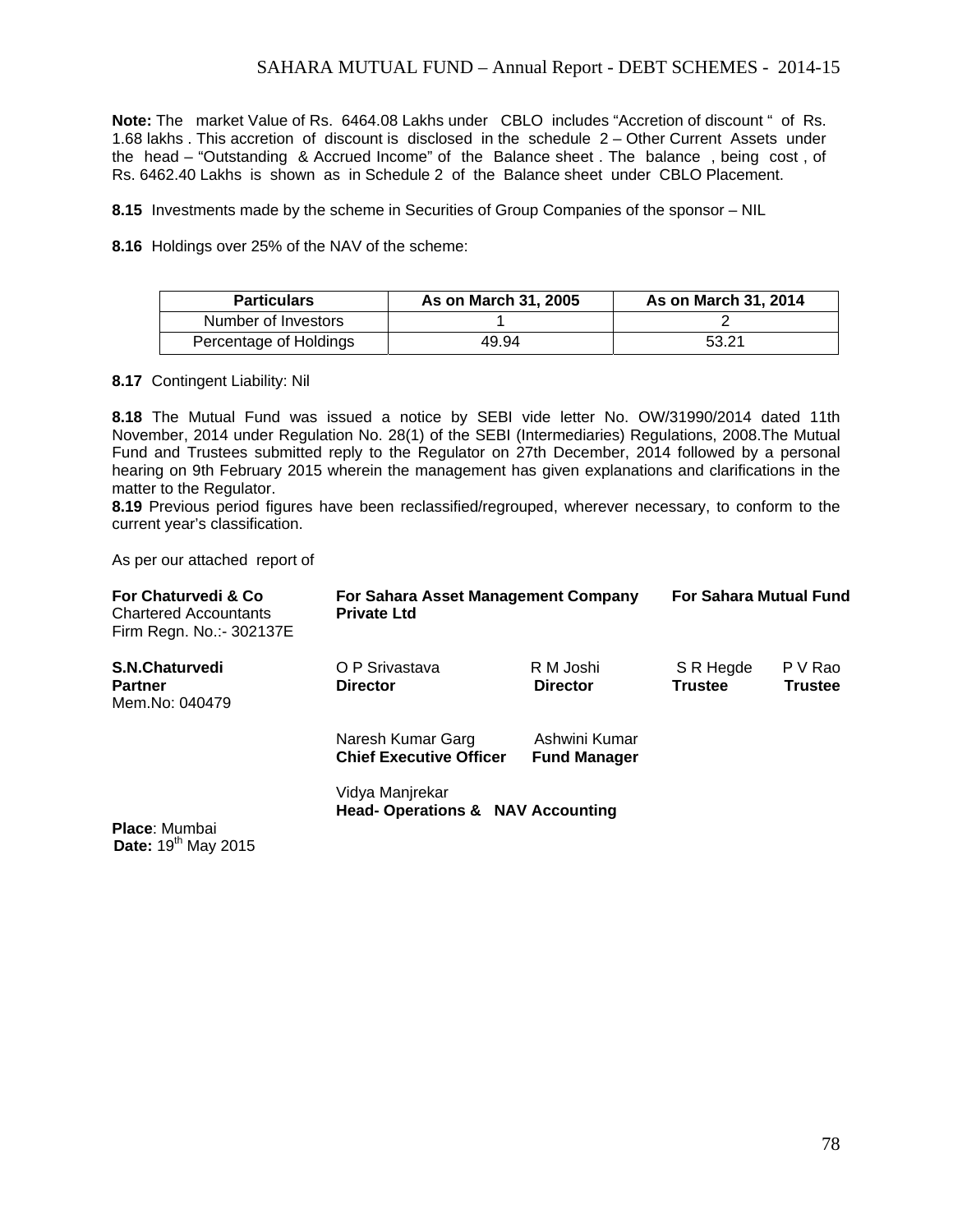**Note:** The market Value of Rs. 6464.08 Lakhs under CBLO includes "Accretion of discount " of Rs. 1.68 lakhs . This accretion of discount is disclosed in the schedule 2 – Other Current Assets under the head – "Outstanding & Accrued Income" of the Balance sheet . The balance , being cost , of Rs. 6462.40 Lakhs is shown as in Schedule 2 of the Balance sheet under CBLO Placement.

**8.15** Investments made by the scheme in Securities of Group Companies of the sponsor – NIL

**8.16** Holdings over 25% of the NAV of the scheme:

| As on March 31, 2005<br><b>Particulars</b> |       | As on March 31, 2014 |
|--------------------------------------------|-------|----------------------|
| Number of Investors                        |       |                      |
| Percentage of Holdings                     | 49.94 | 53.21                |

**8.17** Contingent Liability: Nil

**8.18** The Mutual Fund was issued a notice by SEBI vide letter No. OW/31990/2014 dated 11th November, 2014 under Regulation No. 28(1) of the SEBI (Intermediaries) Regulations, 2008.The Mutual Fund and Trustees submitted reply to the Regulator on 27th December, 2014 followed by a personal hearing on 9th February 2015 wherein the management has given explanations and clarifications in the matter to the Regulator.

**8.19** Previous period figures have been reclassified/regrouped, wherever necessary, to conform to the current year's classification.

As per our attached report of

| For Chaturvedi & Co.<br><b>Chartered Accountants</b><br>Firm Regn. No.:- 302137E | <b>For Sahara Asset Management Company</b><br><b>Private Ltd</b> | <b>For Sahara Mutual Fund</b>        |                             |                           |
|----------------------------------------------------------------------------------|------------------------------------------------------------------|--------------------------------------|-----------------------------|---------------------------|
| <b>S.N.Chaturvedi</b><br><b>Partner</b><br>Mem.No: 040479                        | O P Srivastava<br><b>Director</b>                                | R M Joshi<br><b>Director</b>         | S R Hegde<br><b>Trustee</b> | P V Rao<br><b>Trustee</b> |
|                                                                                  | Naresh Kumar Garg<br><b>Chief Executive Officer</b>              | Ashwini Kumar<br><b>Fund Manager</b> |                             |                           |
| <b>Place:</b> Mumbai                                                             | Vidya Manjrekar<br><b>Head- Operations &amp; NAV Accounting</b>  |                                      |                             |                           |

**Date:** 19<sup>th</sup> May 2015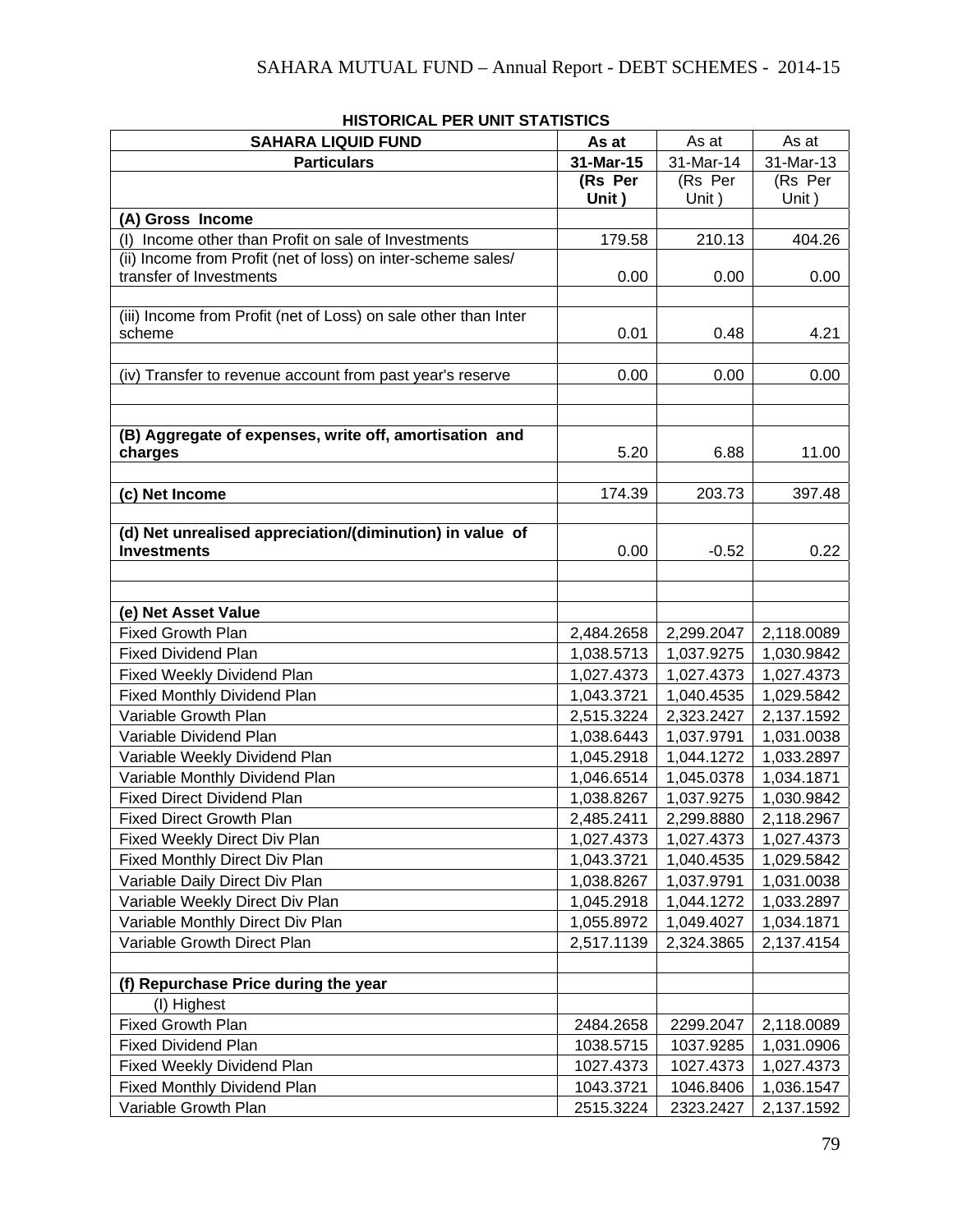| <b>INSTORIOAL FER UNIT STATISTICS</b><br><b>SAHARA LIQUID FUND</b> | As at            | As at                    | As at      |
|--------------------------------------------------------------------|------------------|--------------------------|------------|
|                                                                    |                  | 31-Mar-14                | 31-Mar-13  |
| <b>Particulars</b>                                                 | 31-Mar-15        |                          | (Rs Per    |
|                                                                    | (Rs Per<br>Unit) | (Rs Per<br>Unit)         | Unit $)$   |
| (A) Gross Income                                                   |                  |                          |            |
| (I) Income other than Profit on sale of Investments                |                  |                          |            |
| (ii) Income from Profit (net of loss) on inter-scheme sales/       | 179.58           | 210.13                   | 404.26     |
| transfer of Investments                                            | 0.00             | 0.00                     | 0.00       |
|                                                                    |                  |                          |            |
| (iii) Income from Profit (net of Loss) on sale other than Inter    |                  |                          |            |
| scheme                                                             | 0.01             | 0.48                     | 4.21       |
|                                                                    |                  |                          |            |
| (iv) Transfer to revenue account from past year's reserve          | 0.00             | 0.00                     | 0.00       |
|                                                                    |                  |                          |            |
|                                                                    |                  |                          |            |
| (B) Aggregate of expenses, write off, amortisation and             |                  |                          |            |
| charges                                                            | 5.20             | 6.88                     | 11.00      |
|                                                                    |                  |                          |            |
| (c) Net Income                                                     | 174.39           | 203.73                   | 397.48     |
|                                                                    |                  |                          |            |
| (d) Net unrealised appreciation/(diminution) in value of           |                  |                          |            |
| <b>Investments</b>                                                 | 0.00             | $-0.52$                  | 0.22       |
|                                                                    |                  |                          |            |
|                                                                    |                  |                          |            |
| (e) Net Asset Value                                                |                  |                          |            |
| <b>Fixed Growth Plan</b>                                           | 2,484.2658       | 2,299.2047               | 2,118.0089 |
| <b>Fixed Dividend Plan</b>                                         | 1,038.5713       | 1,037.9275               | 1,030.9842 |
| Fixed Weekly Dividend Plan                                         | 1,027.4373       | 1,027.4373               | 1,027.4373 |
| <b>Fixed Monthly Dividend Plan</b>                                 | 1,043.3721       | 1,040.4535               | 1,029.5842 |
| Variable Growth Plan                                               | 2,515.3224       | 2,323.2427               | 2,137.1592 |
| Variable Dividend Plan                                             | 1,038.6443       | 1,037.9791               | 1,031.0038 |
| Variable Weekly Dividend Plan                                      | 1,045.2918       | 1,044.1272               | 1,033.2897 |
| Variable Monthly Dividend Plan                                     | 1,046.6514       | 1,045.0378               | 1,034.1871 |
| <b>Fixed Direct Dividend Plan</b>                                  |                  |                          |            |
|                                                                    | 1,038.8267       | 1,037.9275<br>2,299.8880 | 1,030.9842 |
| <b>Fixed Direct Growth Plan</b>                                    | 2,485.2411       |                          | 2,118.2967 |
| Fixed Weekly Direct Div Plan                                       | 1,027.4373       | 1,027.4373               | 1,027.4373 |
| Fixed Monthly Direct Div Plan                                      | 1,043.3721       | 1,040.4535               | 1,029.5842 |
| Variable Daily Direct Div Plan                                     | 1,038.8267       | 1,037.9791               | 1,031.0038 |
| Variable Weekly Direct Div Plan                                    | 1,045.2918       | 1,044.1272               | 1,033.2897 |
| Variable Monthly Direct Div Plan                                   | 1,055.8972       | 1,049.4027               | 1,034.1871 |
| Variable Growth Direct Plan                                        | 2,517.1139       | 2,324.3865               | 2,137.4154 |
|                                                                    |                  |                          |            |
| (f) Repurchase Price during the year                               |                  |                          |            |
| (I) Highest                                                        |                  |                          |            |
| <b>Fixed Growth Plan</b>                                           | 2484.2658        | 2299.2047                | 2,118.0089 |
| <b>Fixed Dividend Plan</b>                                         | 1038.5715        | 1037.9285                | 1,031.0906 |
| Fixed Weekly Dividend Plan                                         | 1027.4373        | 1027.4373                | 1,027.4373 |
| <b>Fixed Monthly Dividend Plan</b>                                 | 1043.3721        | 1046.8406                | 1,036.1547 |
| Variable Growth Plan                                               | 2515.3224        | 2323.2427                | 2,137.1592 |

# **HISTORICAL PER UNIT STATISTICS**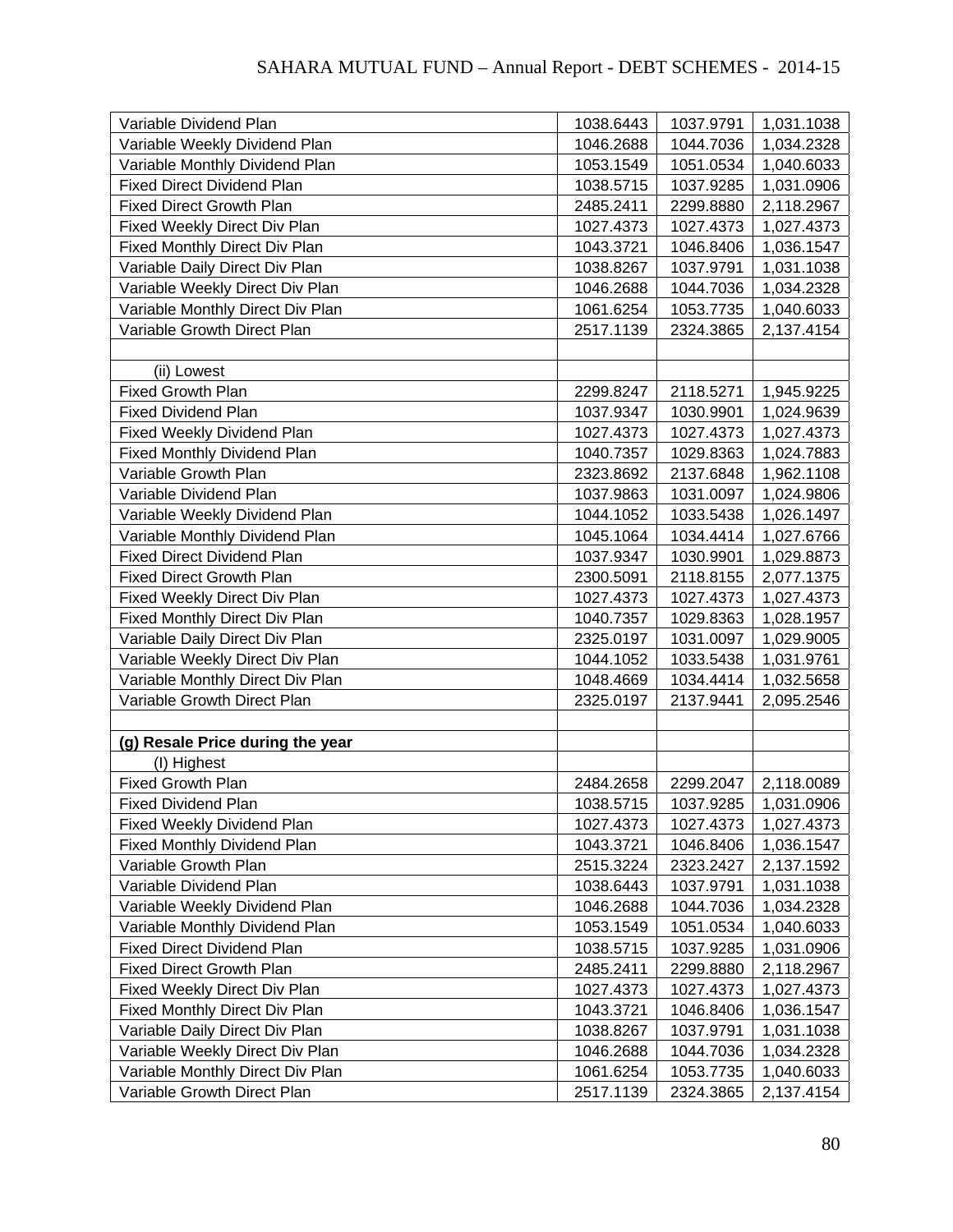| Variable Dividend Plan               | 1038.6443 | 1037.9791 | 1,031.1038 |
|--------------------------------------|-----------|-----------|------------|
| Variable Weekly Dividend Plan        | 1046.2688 | 1044.7036 | 1,034.2328 |
| Variable Monthly Dividend Plan       | 1053.1549 | 1051.0534 | 1,040.6033 |
| <b>Fixed Direct Dividend Plan</b>    | 1038.5715 | 1037.9285 | 1,031.0906 |
| <b>Fixed Direct Growth Plan</b>      | 2485.2411 | 2299.8880 | 2,118.2967 |
| Fixed Weekly Direct Div Plan         | 1027.4373 | 1027.4373 | 1,027.4373 |
| Fixed Monthly Direct Div Plan        | 1043.3721 | 1046.8406 | 1,036.1547 |
| Variable Daily Direct Div Plan       | 1038.8267 | 1037.9791 | 1,031.1038 |
| Variable Weekly Direct Div Plan      | 1046.2688 | 1044.7036 | 1,034.2328 |
| Variable Monthly Direct Div Plan     | 1061.6254 | 1053.7735 | 1,040.6033 |
| Variable Growth Direct Plan          | 2517.1139 | 2324.3865 | 2,137.4154 |
|                                      |           |           |            |
| (ii) Lowest                          |           |           |            |
| <b>Fixed Growth Plan</b>             | 2299.8247 | 2118.5271 | 1,945.9225 |
| <b>Fixed Dividend Plan</b>           | 1037.9347 | 1030.9901 | 1,024.9639 |
| <b>Fixed Weekly Dividend Plan</b>    | 1027.4373 | 1027.4373 | 1,027.4373 |
| <b>Fixed Monthly Dividend Plan</b>   | 1040.7357 | 1029.8363 | 1,024.7883 |
| Variable Growth Plan                 | 2323.8692 | 2137.6848 | 1,962.1108 |
| Variable Dividend Plan               | 1037.9863 | 1031.0097 | 1,024.9806 |
| Variable Weekly Dividend Plan        | 1044.1052 | 1033.5438 | 1,026.1497 |
| Variable Monthly Dividend Plan       | 1045.1064 | 1034.4414 | 1,027.6766 |
| <b>Fixed Direct Dividend Plan</b>    | 1037.9347 | 1030.9901 | 1,029.8873 |
| <b>Fixed Direct Growth Plan</b>      | 2300.5091 | 2118.8155 | 2,077.1375 |
| Fixed Weekly Direct Div Plan         | 1027.4373 | 1027.4373 | 1,027.4373 |
| <b>Fixed Monthly Direct Div Plan</b> | 1040.7357 | 1029.8363 | 1,028.1957 |
| Variable Daily Direct Div Plan       | 2325.0197 | 1031.0097 | 1,029.9005 |
| Variable Weekly Direct Div Plan      | 1044.1052 | 1033.5438 | 1,031.9761 |
| Variable Monthly Direct Div Plan     | 1048.4669 | 1034.4414 | 1,032.5658 |
| Variable Growth Direct Plan          | 2325.0197 | 2137.9441 | 2,095.2546 |
|                                      |           |           |            |
| (g) Resale Price during the year     |           |           |            |
| (I) Highest                          |           |           |            |
| <b>Fixed Growth Plan</b>             | 2484.2658 | 2299.2047 | 2,118.0089 |
| <b>Fixed Dividend Plan</b>           | 1038.5715 | 1037.9285 | 1,031.0906 |
| Fixed Weekly Dividend Plan           | 1027.4373 | 1027.4373 | 1,027.4373 |
| Fixed Monthly Dividend Plan          | 1043.3721 | 1046.8406 | 1,036.1547 |
| Variable Growth Plan                 | 2515.3224 | 2323.2427 | 2,137.1592 |
| Variable Dividend Plan               | 1038.6443 | 1037.9791 | 1,031.1038 |
| Variable Weekly Dividend Plan        | 1046.2688 | 1044.7036 | 1,034.2328 |
| Variable Monthly Dividend Plan       | 1053.1549 | 1051.0534 | 1,040.6033 |
| <b>Fixed Direct Dividend Plan</b>    | 1038.5715 | 1037.9285 | 1,031.0906 |
| <b>Fixed Direct Growth Plan</b>      | 2485.2411 | 2299.8880 | 2,118.2967 |
| Fixed Weekly Direct Div Plan         | 1027.4373 | 1027.4373 | 1,027.4373 |
| <b>Fixed Monthly Direct Div Plan</b> | 1043.3721 | 1046.8406 | 1,036.1547 |
| Variable Daily Direct Div Plan       | 1038.8267 | 1037.9791 | 1,031.1038 |
| Variable Weekly Direct Div Plan      | 1046.2688 | 1044.7036 | 1,034.2328 |
| Variable Monthly Direct Div Plan     | 1061.6254 | 1053.7735 | 1,040.6033 |
| Variable Growth Direct Plan          | 2517.1139 | 2324.3865 | 2,137.4154 |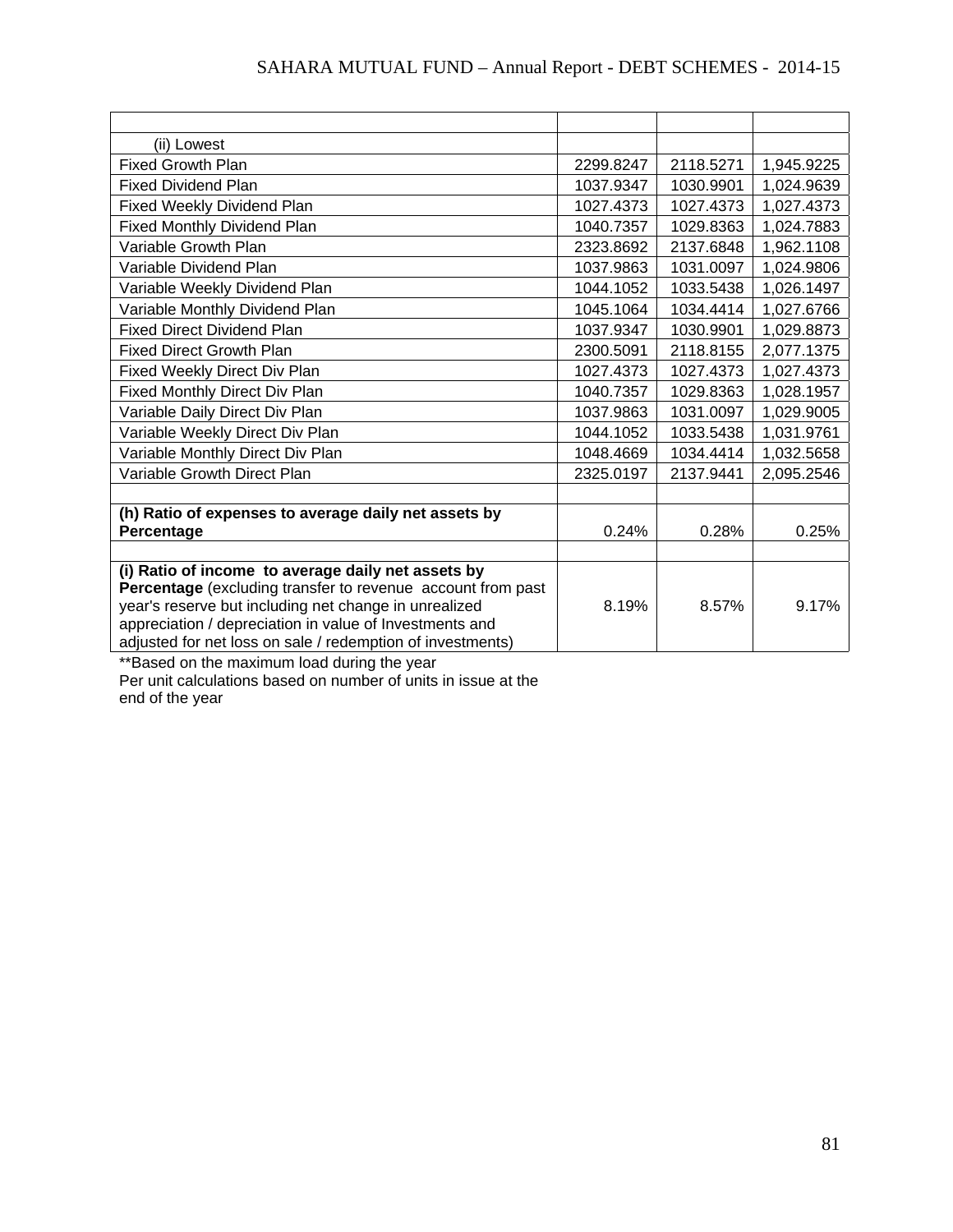| (ii) Lowest                                                                                                                                                                                                                           |           |           |            |
|---------------------------------------------------------------------------------------------------------------------------------------------------------------------------------------------------------------------------------------|-----------|-----------|------------|
| <b>Fixed Growth Plan</b>                                                                                                                                                                                                              | 2299.8247 | 2118.5271 | 1,945.9225 |
| <b>Fixed Dividend Plan</b>                                                                                                                                                                                                            | 1037.9347 | 1030.9901 | 1,024.9639 |
| <b>Fixed Weekly Dividend Plan</b>                                                                                                                                                                                                     | 1027.4373 | 1027.4373 | 1,027.4373 |
| <b>Fixed Monthly Dividend Plan</b>                                                                                                                                                                                                    | 1040.7357 | 1029.8363 | 1,024.7883 |
| Variable Growth Plan                                                                                                                                                                                                                  | 2323.8692 | 2137.6848 | 1,962.1108 |
| Variable Dividend Plan                                                                                                                                                                                                                | 1037.9863 | 1031.0097 | 1,024.9806 |
| Variable Weekly Dividend Plan                                                                                                                                                                                                         | 1044.1052 | 1033.5438 | 1,026.1497 |
| Variable Monthly Dividend Plan                                                                                                                                                                                                        | 1045.1064 | 1034.4414 | 1,027.6766 |
| <b>Fixed Direct Dividend Plan</b>                                                                                                                                                                                                     | 1037.9347 | 1030.9901 | 1,029.8873 |
| Fixed Direct Growth Plan                                                                                                                                                                                                              | 2300.5091 | 2118.8155 | 2,077.1375 |
| <b>Fixed Weekly Direct Div Plan</b>                                                                                                                                                                                                   | 1027.4373 | 1027.4373 | 1,027.4373 |
| Fixed Monthly Direct Div Plan                                                                                                                                                                                                         | 1040.7357 | 1029.8363 | 1,028.1957 |
| Variable Daily Direct Div Plan                                                                                                                                                                                                        | 1037.9863 | 1031.0097 | 1,029.9005 |
| Variable Weekly Direct Div Plan                                                                                                                                                                                                       | 1044.1052 | 1033.5438 | 1,031.9761 |
| Variable Monthly Direct Div Plan                                                                                                                                                                                                      | 1048.4669 | 1034.4414 | 1,032.5658 |
| Variable Growth Direct Plan                                                                                                                                                                                                           | 2325.0197 | 2137.9441 | 2,095.2546 |
|                                                                                                                                                                                                                                       |           |           |            |
| (h) Ratio of expenses to average daily net assets by                                                                                                                                                                                  |           |           |            |
| Percentage                                                                                                                                                                                                                            | 0.24%     | 0.28%     | 0.25%      |
|                                                                                                                                                                                                                                       |           |           |            |
| (i) Ratio of income to average daily net assets by<br>Percentage (excluding transfer to revenue account from past<br>year's reserve but including net change in unrealized<br>appreciation / depreciation in value of Investments and | 8.19%     | 8.57%     | 9.17%      |
| adjusted for net loss on sale / redemption of investments)                                                                                                                                                                            |           |           |            |

\*\*Based on the maximum load during the year

Per unit calculations based on number of units in issue at the end of the year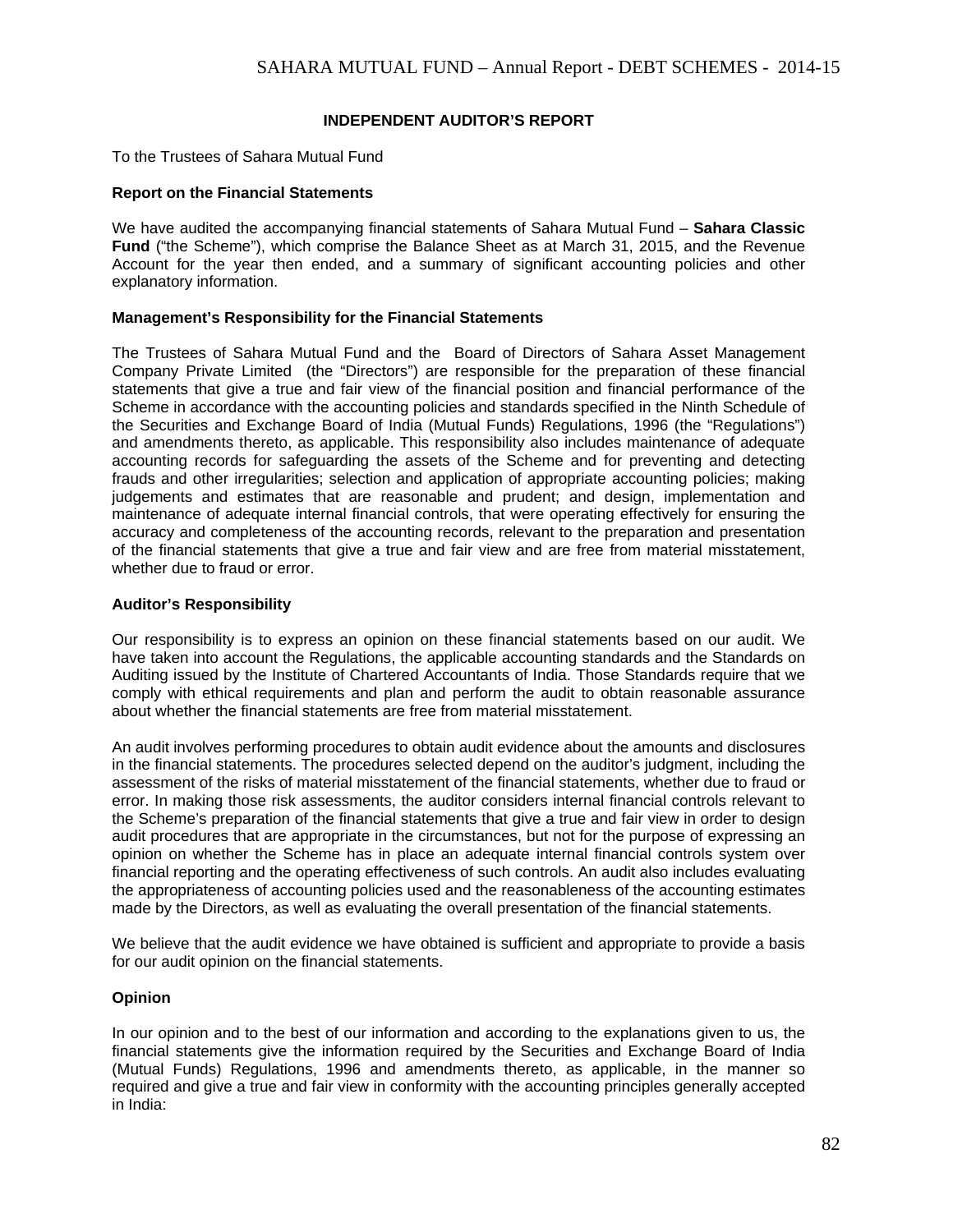## **INDEPENDENT AUDITOR'S REPORT**

To the Trustees of Sahara Mutual Fund

#### **Report on the Financial Statements**

We have audited the accompanying financial statements of Sahara Mutual Fund – **Sahara Classic Fund** ("the Scheme"), which comprise the Balance Sheet as at March 31, 2015, and the Revenue Account for the year then ended, and a summary of significant accounting policies and other explanatory information.

#### **Management's Responsibility for the Financial Statements**

The Trustees of Sahara Mutual Fund and the Board of Directors of Sahara Asset Management Company Private Limited (the "Directors") are responsible for the preparation of these financial statements that give a true and fair view of the financial position and financial performance of the Scheme in accordance with the accounting policies and standards specified in the Ninth Schedule of the Securities and Exchange Board of India (Mutual Funds) Regulations, 1996 (the "Regulations") and amendments thereto, as applicable. This responsibility also includes maintenance of adequate accounting records for safeguarding the assets of the Scheme and for preventing and detecting frauds and other irregularities; selection and application of appropriate accounting policies; making judgements and estimates that are reasonable and prudent; and design, implementation and maintenance of adequate internal financial controls, that were operating effectively for ensuring the accuracy and completeness of the accounting records, relevant to the preparation and presentation of the financial statements that give a true and fair view and are free from material misstatement, whether due to fraud or error.

#### **Auditor's Responsibility**

Our responsibility is to express an opinion on these financial statements based on our audit. We have taken into account the Regulations, the applicable accounting standards and the Standards on Auditing issued by the Institute of Chartered Accountants of India. Those Standards require that we comply with ethical requirements and plan and perform the audit to obtain reasonable assurance about whether the financial statements are free from material misstatement.

An audit involves performing procedures to obtain audit evidence about the amounts and disclosures in the financial statements. The procedures selected depend on the auditor's judgment, including the assessment of the risks of material misstatement of the financial statements, whether due to fraud or error. In making those risk assessments, the auditor considers internal financial controls relevant to the Scheme's preparation of the financial statements that give a true and fair view in order to design audit procedures that are appropriate in the circumstances, but not for the purpose of expressing an opinion on whether the Scheme has in place an adequate internal financial controls system over financial reporting and the operating effectiveness of such controls. An audit also includes evaluating the appropriateness of accounting policies used and the reasonableness of the accounting estimates made by the Directors, as well as evaluating the overall presentation of the financial statements.

We believe that the audit evidence we have obtained is sufficient and appropriate to provide a basis for our audit opinion on the financial statements.

## **Opinion**

In our opinion and to the best of our information and according to the explanations given to us, the financial statements give the information required by the Securities and Exchange Board of India (Mutual Funds) Regulations, 1996 and amendments thereto, as applicable, in the manner so required and give a true and fair view in conformity with the accounting principles generally accepted in India: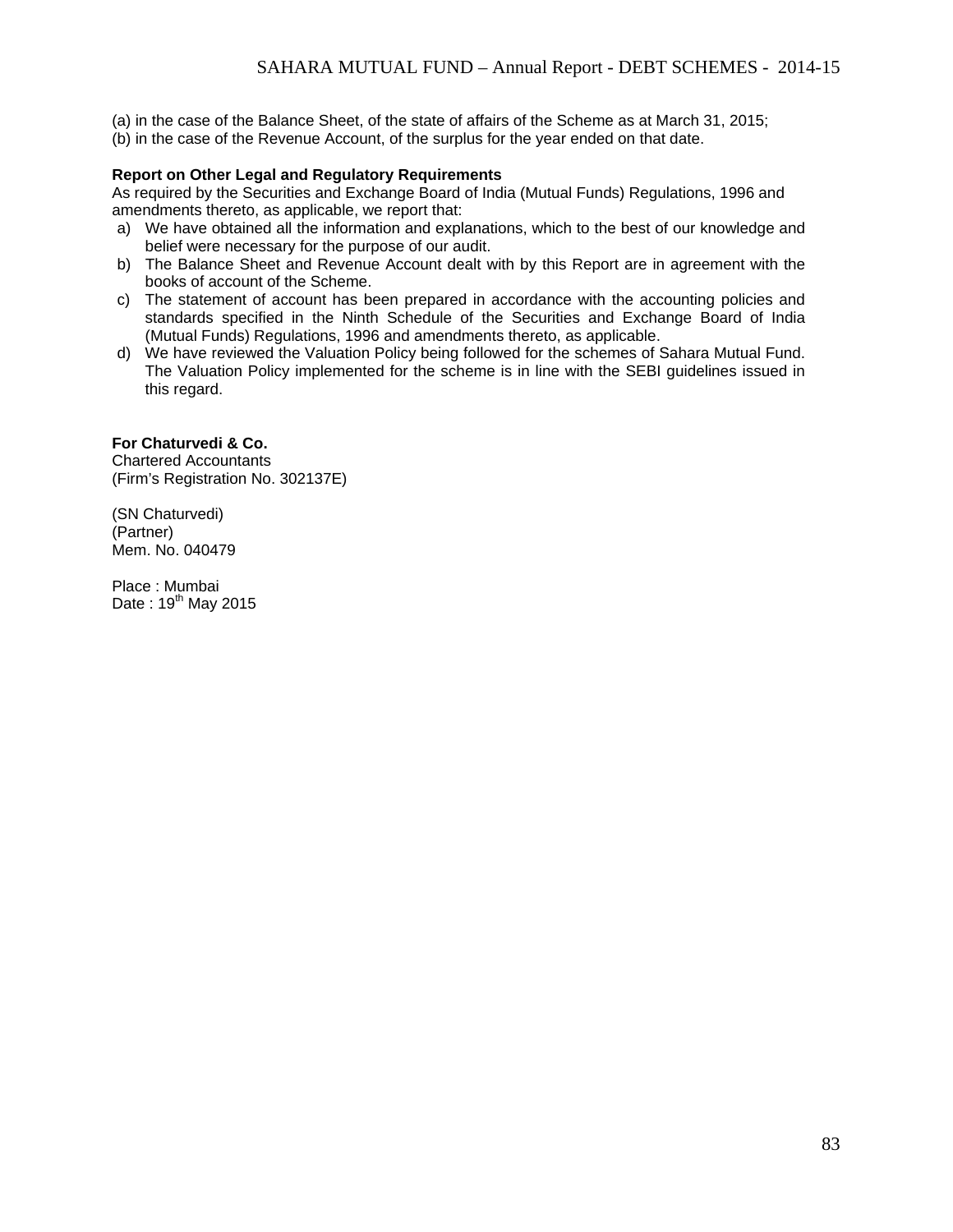(a) in the case of the Balance Sheet, of the state of affairs of the Scheme as at March 31, 2015; (b) in the case of the Revenue Account, of the surplus for the year ended on that date.

## **Report on Other Legal and Regulatory Requirements**

As required by the Securities and Exchange Board of India (Mutual Funds) Regulations, 1996 and amendments thereto, as applicable, we report that:

- a) We have obtained all the information and explanations, which to the best of our knowledge and belief were necessary for the purpose of our audit.
- b) The Balance Sheet and Revenue Account dealt with by this Report are in agreement with the books of account of the Scheme.
- c) The statement of account has been prepared in accordance with the accounting policies and standards specified in the Ninth Schedule of the Securities and Exchange Board of India (Mutual Funds) Regulations, 1996 and amendments thereto, as applicable.
- d) We have reviewed the Valuation Policy being followed for the schemes of Sahara Mutual Fund. The Valuation Policy implemented for the scheme is in line with the SEBI guidelines issued in this regard.

## **For Chaturvedi & Co.**

Chartered Accountants (Firm's Registration No. 302137E)

(SN Chaturvedi) (Partner) Mem. No. 040479

Place : Mumbai Date:  $19^{th}$  May 2015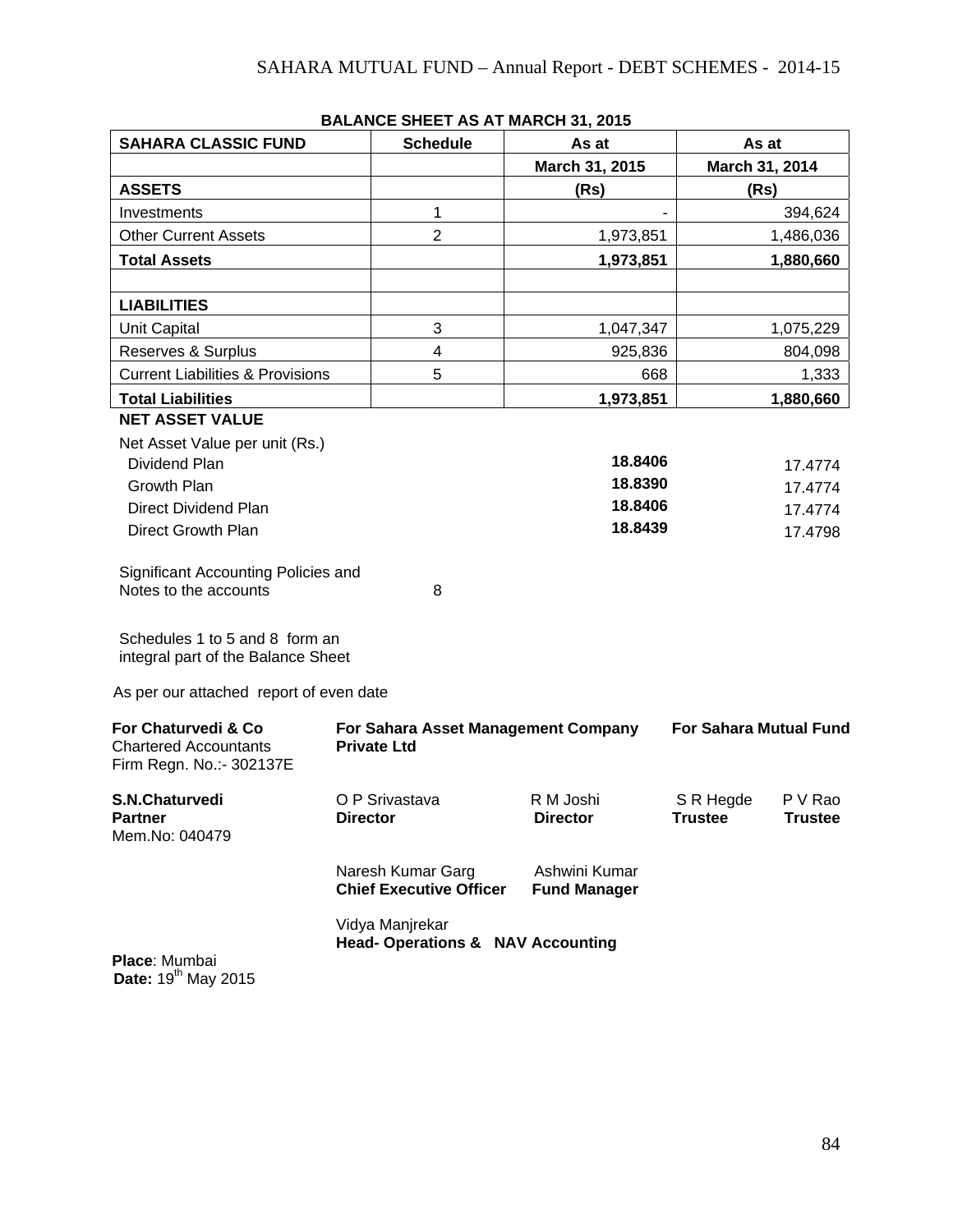| <b>SAHARA CLASSIC FUND</b>                                                                                                           |                 | <b>Schedule</b>                                                 | As at                                | As at                         |                           |
|--------------------------------------------------------------------------------------------------------------------------------------|-----------------|-----------------------------------------------------------------|--------------------------------------|-------------------------------|---------------------------|
|                                                                                                                                      |                 |                                                                 | March 31, 2015                       | March 31, 2014                |                           |
| <b>ASSETS</b>                                                                                                                        |                 |                                                                 | (Rs)                                 | (Rs)                          |                           |
| Investments                                                                                                                          |                 | 1                                                               |                                      |                               | 394,624                   |
| <b>Other Current Assets</b>                                                                                                          |                 | $\overline{2}$                                                  | 1,973,851                            | 1,486,036                     |                           |
| <b>Total Assets</b>                                                                                                                  |                 |                                                                 | 1,973,851                            | 1,880,660                     |                           |
|                                                                                                                                      |                 |                                                                 |                                      |                               |                           |
| <b>LIABILITIES</b>                                                                                                                   |                 |                                                                 |                                      |                               |                           |
| <b>Unit Capital</b>                                                                                                                  |                 | 3                                                               | 1,047,347                            | 1,075,229                     |                           |
| Reserves & Surplus                                                                                                                   |                 | $\overline{\mathbf{4}}$                                         | 925,836                              |                               | 804,098                   |
| <b>Current Liabilities &amp; Provisions</b>                                                                                          |                 | 5                                                               | 668                                  |                               | 1,333                     |
| <b>Total Liabilities</b>                                                                                                             |                 |                                                                 | 1,973,851                            | 1,880,660                     |                           |
| <b>NET ASSET VALUE</b>                                                                                                               |                 |                                                                 |                                      |                               |                           |
| Net Asset Value per unit (Rs.)                                                                                                       |                 |                                                                 |                                      |                               |                           |
| <b>Dividend Plan</b>                                                                                                                 |                 |                                                                 | 18.8406                              |                               | 17.4774                   |
| <b>Growth Plan</b>                                                                                                                   |                 |                                                                 | 18.8390                              |                               | 17.4774                   |
| <b>Direct Dividend Plan</b>                                                                                                          |                 |                                                                 | 18.8406                              |                               | 17.4774                   |
| Direct Growth Plan                                                                                                                   |                 |                                                                 | 18.8439                              |                               | 17.4798                   |
| Significant Accounting Policies and<br>Notes to the accounts<br>Schedules 1 to 5 and 8 form an<br>integral part of the Balance Sheet |                 | 8                                                               |                                      |                               |                           |
| As per our attached report of even date                                                                                              |                 |                                                                 |                                      |                               |                           |
| For Chaturvedi & Co<br><b>Chartered Accountants</b><br>Firm Regn. No.:- 302137E                                                      |                 | For Sahara Asset Management Company<br><b>Private Ltd</b>       |                                      | <b>For Sahara Mutual Fund</b> |                           |
| S.N.Chaturvedi<br><b>Partner</b><br>Mem.No: 040479                                                                                   | <b>Director</b> | O P Srivastava                                                  | R M Joshi<br><b>Director</b>         | S R Hegde<br><b>Trustee</b>   | P V Rao<br><b>Trustee</b> |
|                                                                                                                                      |                 | Naresh Kumar Garg<br><b>Chief Executive Officer</b>             | Ashwini Kumar<br><b>Fund Manager</b> |                               |                           |
| <b>Place: Mumbai</b><br>Date: 19 <sup>th</sup> May 2015                                                                              |                 | Vidya Manjrekar<br><b>Head- Operations &amp; NAV Accounting</b> |                                      |                               |                           |

# **BALANCE SHEET AS AT MARCH 31, 2015**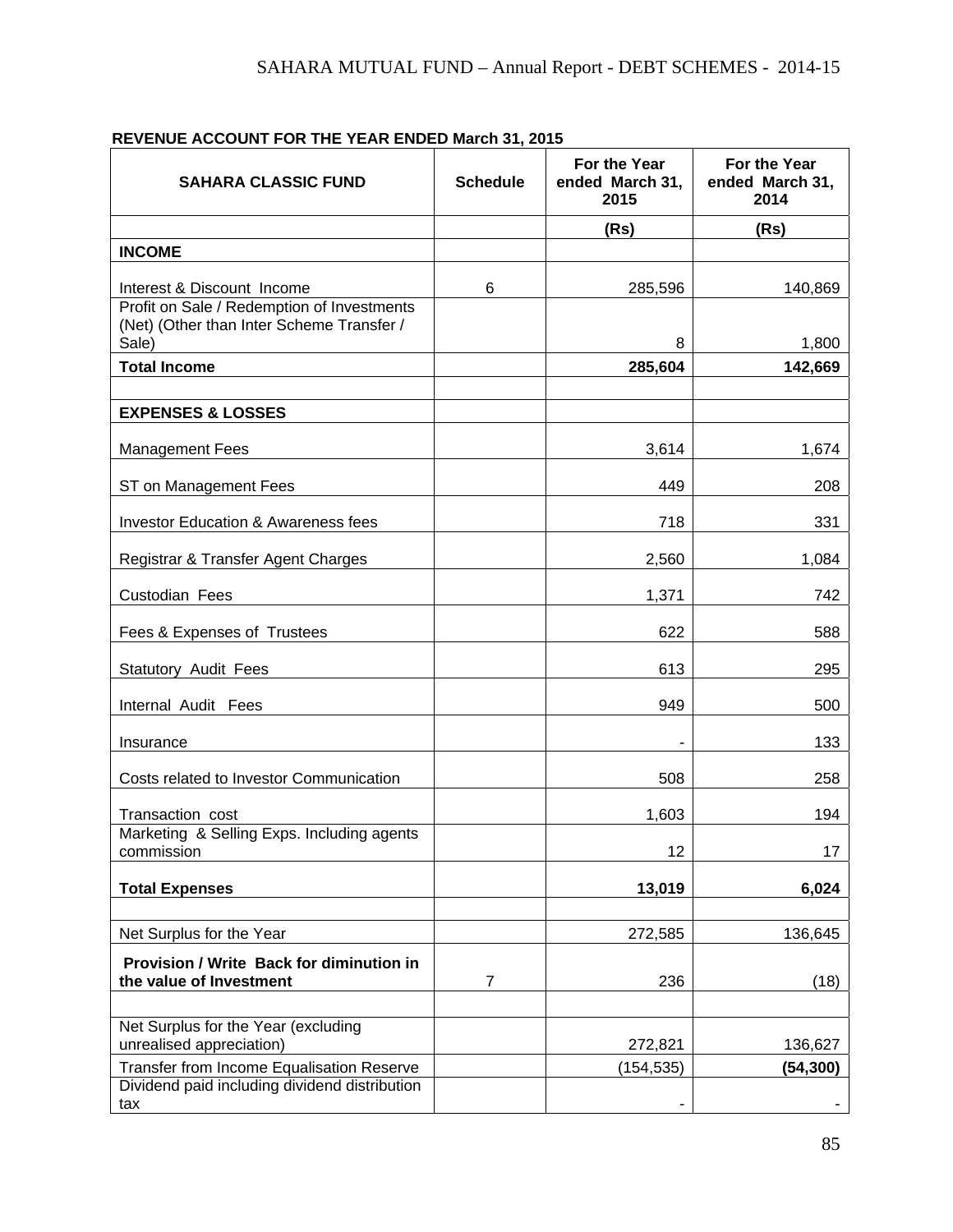| $\blacksquare$ $\blacksquare$ $\blacksquare$ $\blacksquare$ $\blacksquare$ $\blacksquare$ $\blacksquare$ $\blacksquare$ $\blacksquare$ $\blacksquare$ $\blacksquare$ $\blacksquare$ $\blacksquare$ $\blacksquare$ $\blacksquare$ $\blacksquare$ $\blacksquare$ $\blacksquare$ $\blacksquare$ $\blacksquare$ $\blacksquare$ $\blacksquare$ $\blacksquare$ $\blacksquare$ $\blacksquare$ $\blacksquare$ $\blacksquare$ $\blacksquare$ $\blacksquare$ $\blacksquare$ $\blacksquare$ $\blacks$<br><b>SAHARA CLASSIC FUND</b> | <b>Schedule</b> | For the Year<br>ended March 31,<br>2015 | For the Year<br>ended March 31,<br>2014 |  |
|--------------------------------------------------------------------------------------------------------------------------------------------------------------------------------------------------------------------------------------------------------------------------------------------------------------------------------------------------------------------------------------------------------------------------------------------------------------------------------------------------------------------------|-----------------|-----------------------------------------|-----------------------------------------|--|
|                                                                                                                                                                                                                                                                                                                                                                                                                                                                                                                          |                 | (Rs)                                    | (Rs)                                    |  |
| <b>INCOME</b>                                                                                                                                                                                                                                                                                                                                                                                                                                                                                                            |                 |                                         |                                         |  |
| Interest & Discount Income                                                                                                                                                                                                                                                                                                                                                                                                                                                                                               | 6               | 285,596                                 | 140,869                                 |  |
| Profit on Sale / Redemption of Investments<br>(Net) (Other than Inter Scheme Transfer /<br>Sale)                                                                                                                                                                                                                                                                                                                                                                                                                         |                 | 8                                       | 1,800                                   |  |
| <b>Total Income</b>                                                                                                                                                                                                                                                                                                                                                                                                                                                                                                      |                 | 285,604                                 | 142,669                                 |  |
|                                                                                                                                                                                                                                                                                                                                                                                                                                                                                                                          |                 |                                         |                                         |  |
| <b>EXPENSES &amp; LOSSES</b>                                                                                                                                                                                                                                                                                                                                                                                                                                                                                             |                 |                                         |                                         |  |
| <b>Management Fees</b>                                                                                                                                                                                                                                                                                                                                                                                                                                                                                                   |                 | 3,614                                   | 1,674                                   |  |
| ST on Management Fees                                                                                                                                                                                                                                                                                                                                                                                                                                                                                                    |                 | 449                                     | 208                                     |  |
| <b>Investor Education &amp; Awareness fees</b>                                                                                                                                                                                                                                                                                                                                                                                                                                                                           |                 | 718                                     | 331                                     |  |
| Registrar & Transfer Agent Charges                                                                                                                                                                                                                                                                                                                                                                                                                                                                                       |                 | 2,560                                   | 1,084                                   |  |
| Custodian Fees                                                                                                                                                                                                                                                                                                                                                                                                                                                                                                           |                 | 1,371                                   | 742                                     |  |
| Fees & Expenses of Trustees                                                                                                                                                                                                                                                                                                                                                                                                                                                                                              |                 | 622                                     | 588                                     |  |
| <b>Statutory Audit Fees</b>                                                                                                                                                                                                                                                                                                                                                                                                                                                                                              |                 | 613                                     | 295                                     |  |
| Internal Audit Fees                                                                                                                                                                                                                                                                                                                                                                                                                                                                                                      |                 | 949                                     | 500                                     |  |
| Insurance                                                                                                                                                                                                                                                                                                                                                                                                                                                                                                                |                 |                                         | 133                                     |  |
| Costs related to Investor Communication                                                                                                                                                                                                                                                                                                                                                                                                                                                                                  |                 | 508                                     | 258                                     |  |
| Transaction cost                                                                                                                                                                                                                                                                                                                                                                                                                                                                                                         |                 | 1,603                                   | 194                                     |  |
| Marketing & Selling Exps. Including agents<br>commission                                                                                                                                                                                                                                                                                                                                                                                                                                                                 |                 | 12                                      | 17                                      |  |
| <b>Total Expenses</b>                                                                                                                                                                                                                                                                                                                                                                                                                                                                                                    |                 | 13,019                                  | 6,024                                   |  |
|                                                                                                                                                                                                                                                                                                                                                                                                                                                                                                                          |                 |                                         |                                         |  |
| Net Surplus for the Year                                                                                                                                                                                                                                                                                                                                                                                                                                                                                                 |                 | 272,585                                 | 136,645                                 |  |
| Provision / Write Back for diminution in<br>the value of Investment                                                                                                                                                                                                                                                                                                                                                                                                                                                      | $\overline{7}$  | 236                                     | (18)                                    |  |
|                                                                                                                                                                                                                                                                                                                                                                                                                                                                                                                          |                 |                                         |                                         |  |
| Net Surplus for the Year (excluding<br>unrealised appreciation)                                                                                                                                                                                                                                                                                                                                                                                                                                                          |                 | 272,821                                 | 136,627                                 |  |
| Transfer from Income Equalisation Reserve                                                                                                                                                                                                                                                                                                                                                                                                                                                                                |                 | (154, 535)                              | (54, 300)                               |  |
| Dividend paid including dividend distribution<br>tax                                                                                                                                                                                                                                                                                                                                                                                                                                                                     |                 |                                         |                                         |  |

## **REVENUE ACCOUNT FOR THE YEAR ENDED March 31, 2015**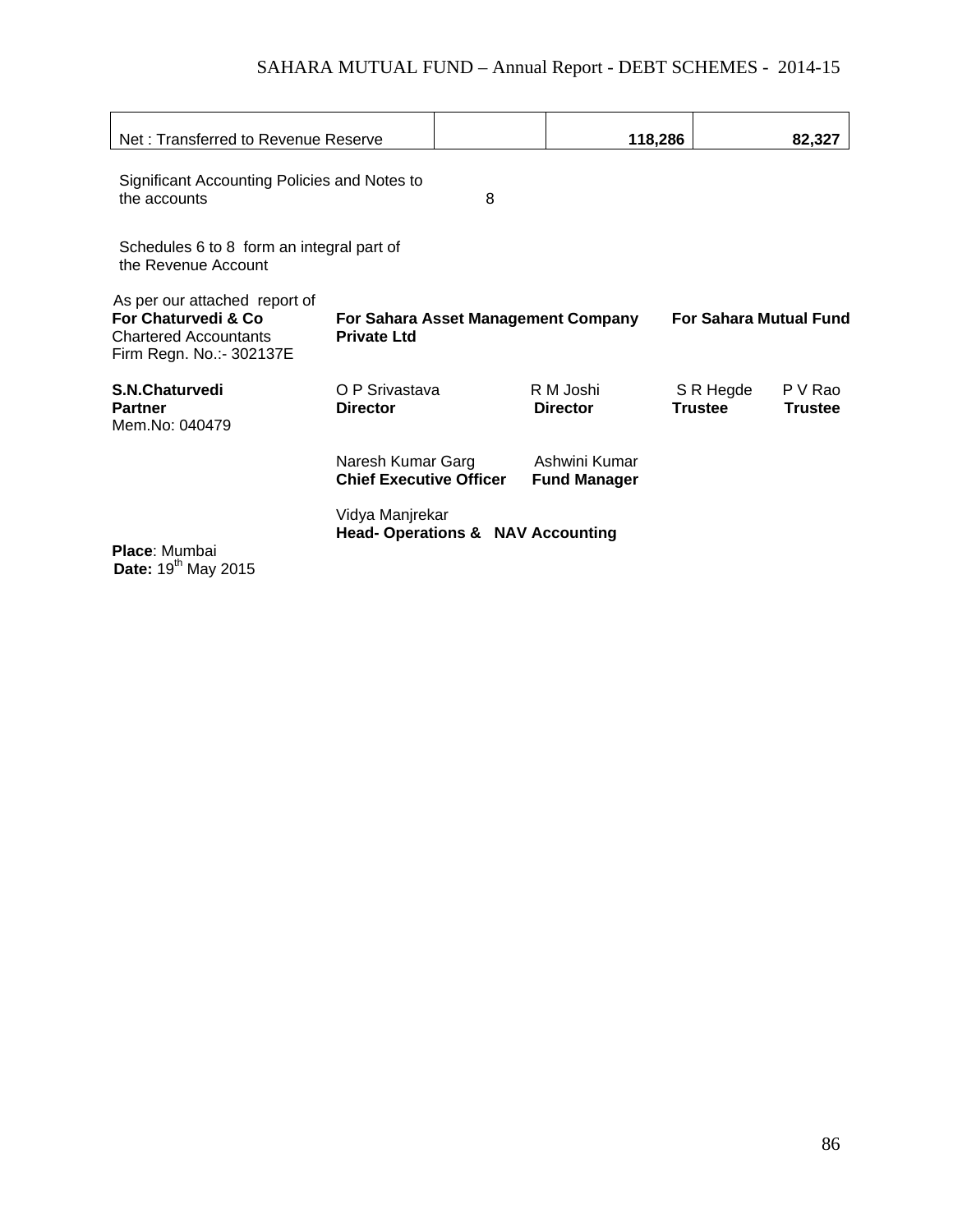| Net: Transferred to Revenue Reserve                                                                              |                                                                 |  |                                      | 118,286 |                               | 82,327             |
|------------------------------------------------------------------------------------------------------------------|-----------------------------------------------------------------|--|--------------------------------------|---------|-------------------------------|--------------------|
| Significant Accounting Policies and Notes to<br>8<br>the accounts                                                |                                                                 |  |                                      |         |                               |                    |
| Schedules 6 to 8 form an integral part of<br>the Revenue Account                                                 |                                                                 |  |                                      |         |                               |                    |
| As per our attached report of<br>For Chaturvedi & Co<br><b>Chartered Accountants</b><br>Firm Regn. No.:- 302137E | For Sahara Asset Management Company<br><b>Private Ltd</b>       |  |                                      |         | <b>For Sahara Mutual Fund</b> |                    |
| <b>S.N.Chaturvedi</b><br><b>Partner</b><br>Mem.No: 040479                                                        | O P Srivastava<br><b>Director</b>                               |  | R M Joshi<br><b>Director</b>         |         | S R Hegde<br><b>Trustee</b>   | P V Rao<br>Trustee |
|                                                                                                                  | Naresh Kumar Garg<br><b>Chief Executive Officer</b>             |  | Ashwini Kumar<br><b>Fund Manager</b> |         |                               |                    |
| <b>Place:</b> Mumbai<br>Date: 19 <sup>th</sup> May 2015                                                          | Vidya Manjrekar<br><b>Head- Operations &amp; NAV Accounting</b> |  |                                      |         |                               |                    |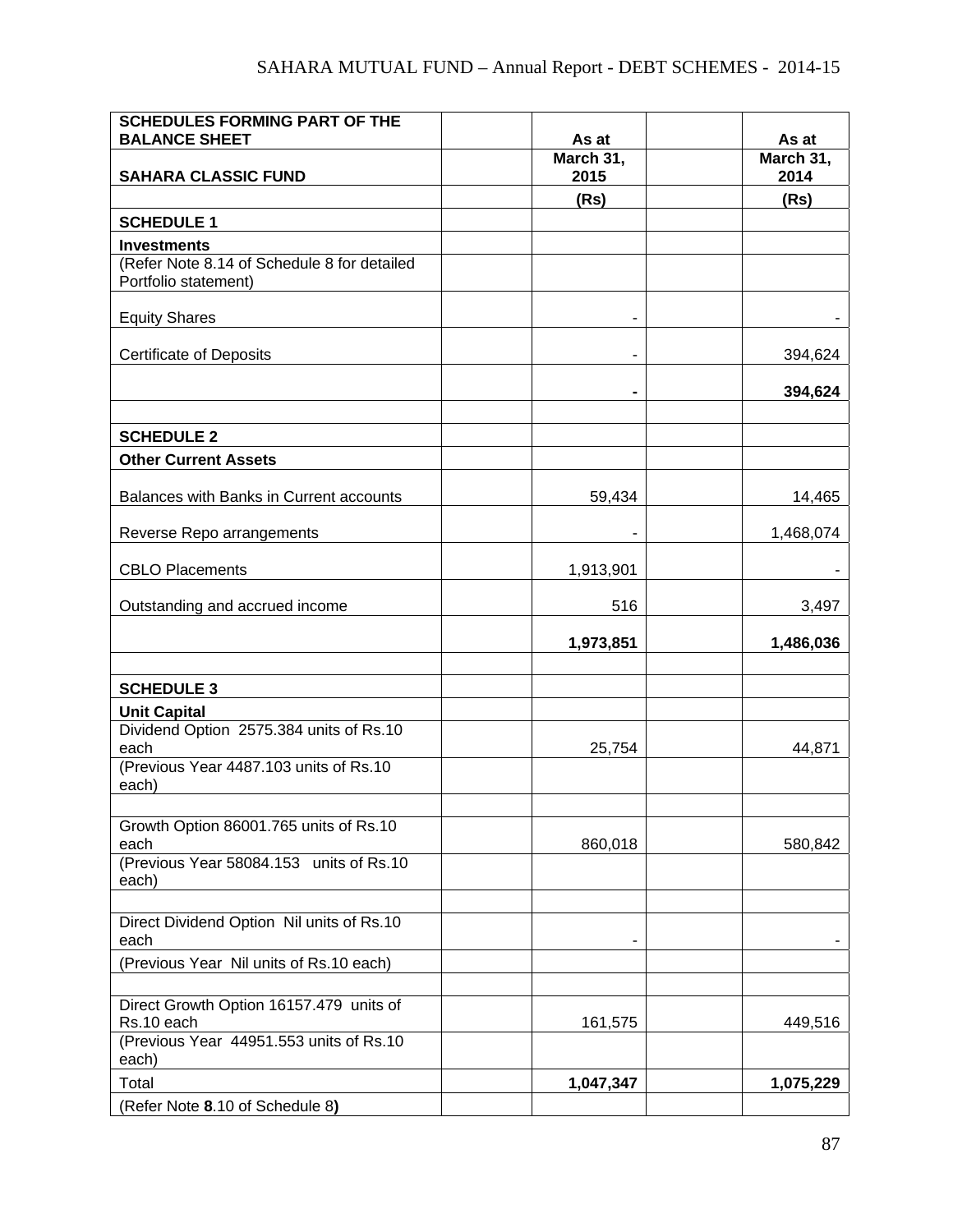| <b>SCHEDULES FORMING PART OF THE</b>                           |                   |                   |
|----------------------------------------------------------------|-------------------|-------------------|
| <b>BALANCE SHEET</b>                                           | As at             | As at             |
| <b>SAHARA CLASSIC FUND</b>                                     | March 31,<br>2015 | March 31,<br>2014 |
|                                                                | (Rs)              | (Rs)              |
| <b>SCHEDULE 1</b>                                              |                   |                   |
| <b>Investments</b>                                             |                   |                   |
| (Refer Note 8.14 of Schedule 8 for detailed                    |                   |                   |
| Portfolio statement)                                           |                   |                   |
| <b>Equity Shares</b>                                           |                   |                   |
|                                                                |                   |                   |
| <b>Certificate of Deposits</b>                                 |                   | 394,624           |
|                                                                |                   | 394,624           |
|                                                                |                   |                   |
| <b>SCHEDULE 2</b>                                              |                   |                   |
| <b>Other Current Assets</b>                                    |                   |                   |
|                                                                |                   |                   |
| Balances with Banks in Current accounts                        | 59,434            | 14,465            |
| Reverse Repo arrangements                                      |                   | 1,468,074         |
|                                                                |                   |                   |
| <b>CBLO Placements</b>                                         | 1,913,901         |                   |
| Outstanding and accrued income                                 | 516               | 3,497             |
|                                                                |                   |                   |
|                                                                | 1,973,851         | 1,486,036         |
|                                                                |                   |                   |
| <b>SCHEDULE 3</b>                                              |                   |                   |
| <b>Unit Capital</b><br>Dividend Option 2575.384 units of Rs.10 |                   |                   |
| each                                                           | 25,754            | 44,871            |
| (Previous Year 4487.103 units of Rs.10                         |                   |                   |
| each)                                                          |                   |                   |
| Growth Option 86001.765 units of Rs.10                         |                   |                   |
| each                                                           | 860,018           | 580,842           |
| (Previous Year 58084.153 units of Rs.10                        |                   |                   |
| each)                                                          |                   |                   |
| Direct Dividend Option Nil units of Rs.10                      |                   |                   |
| each                                                           |                   |                   |
| (Previous Year Nil units of Rs.10 each)                        |                   |                   |
|                                                                |                   |                   |
| Direct Growth Option 16157.479 units of                        |                   |                   |
| Rs.10 each<br>(Previous Year 44951.553 units of Rs.10          | 161,575           | 449,516           |
| each)                                                          |                   |                   |
| Total                                                          | 1,047,347         | 1,075,229         |
| (Refer Note 8.10 of Schedule 8)                                |                   |                   |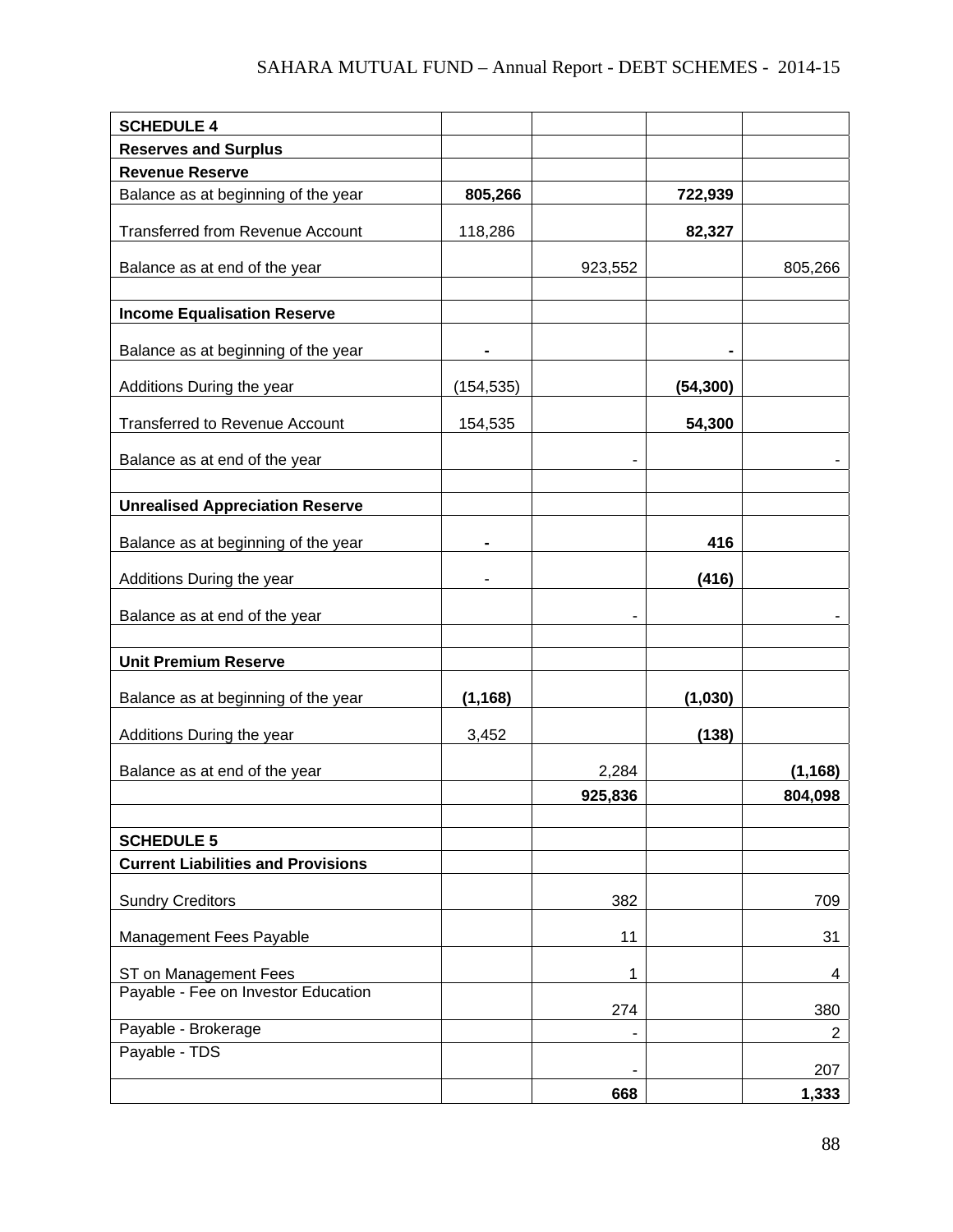| <b>SCHEDULE 4</b>                         |                          |         |           |                |
|-------------------------------------------|--------------------------|---------|-----------|----------------|
| <b>Reserves and Surplus</b>               |                          |         |           |                |
| <b>Revenue Reserve</b>                    |                          |         |           |                |
| Balance as at beginning of the year       | 805,266                  |         | 722,939   |                |
| <b>Transferred from Revenue Account</b>   | 118,286                  |         | 82,327    |                |
| Balance as at end of the year             |                          | 923,552 |           | 805,266        |
| <b>Income Equalisation Reserve</b>        |                          |         |           |                |
| Balance as at beginning of the year       |                          |         |           |                |
| Additions During the year                 | (154, 535)               |         | (54, 300) |                |
| <b>Transferred to Revenue Account</b>     | 154,535                  |         | 54,300    |                |
| Balance as at end of the year             |                          |         |           |                |
| <b>Unrealised Appreciation Reserve</b>    |                          |         |           |                |
| Balance as at beginning of the year       |                          |         | 416       |                |
| Additions During the year                 | $\overline{\phantom{a}}$ |         | (416)     |                |
| Balance as at end of the year             |                          |         |           |                |
| <b>Unit Premium Reserve</b>               |                          |         |           |                |
| Balance as at beginning of the year       | (1, 168)                 |         | (1,030)   |                |
| Additions During the year                 | 3,452                    |         | (138)     |                |
| Balance as at end of the year             |                          | 2,284   |           | (1, 168)       |
|                                           |                          | 925,836 |           | 804,098        |
| <b>SCHEDULE 5</b>                         |                          |         |           |                |
| <b>Current Liabilities and Provisions</b> |                          |         |           |                |
| <b>Sundry Creditors</b>                   |                          | 382     |           | 709            |
| Management Fees Payable                   |                          | 11      |           | 31             |
| ST on Management Fees                     |                          | 1       |           | 4              |
| Payable - Fee on Investor Education       |                          | 274     |           | 380            |
| Payable - Brokerage                       |                          |         |           | $\overline{2}$ |
| Payable - TDS                             |                          |         |           | 207            |
|                                           |                          | 668     |           | 1,333          |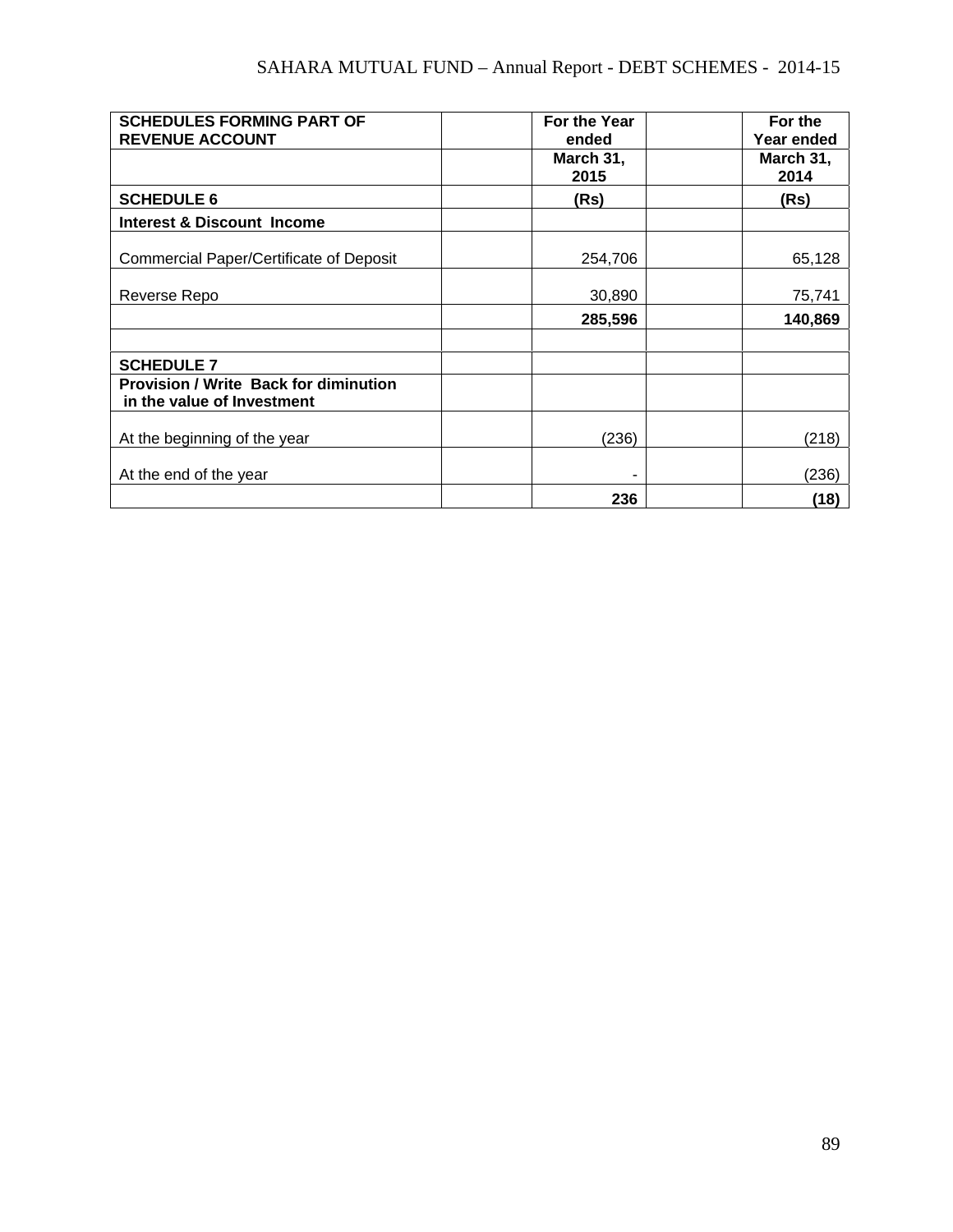# SAHARA MUTUAL FUND – Annual Report - DEBT SCHEMES - 2014-15

| <b>SCHEDULES FORMING PART OF</b>                                           | For the Year | For the    |
|----------------------------------------------------------------------------|--------------|------------|
| <b>REVENUE ACCOUNT</b>                                                     | ended        | Year ended |
|                                                                            | March 31,    | March 31,  |
|                                                                            | 2015         | 2014       |
| <b>SCHEDULE 6</b>                                                          | (Rs)         | (Rs)       |
| <b>Interest &amp; Discount Income</b>                                      |              |            |
| <b>Commercial Paper/Certificate of Deposit</b>                             | 254,706      | 65,128     |
|                                                                            |              |            |
| Reverse Repo                                                               | 30,890       | 75,741     |
|                                                                            | 285,596      | 140,869    |
|                                                                            |              |            |
| <b>SCHEDULE 7</b>                                                          |              |            |
| <b>Provision / Write Back for diminution</b><br>in the value of Investment |              |            |
| At the beginning of the year                                               | (236)        | (218)      |
| At the end of the year                                                     |              | 236)       |
|                                                                            | 236          | (18)       |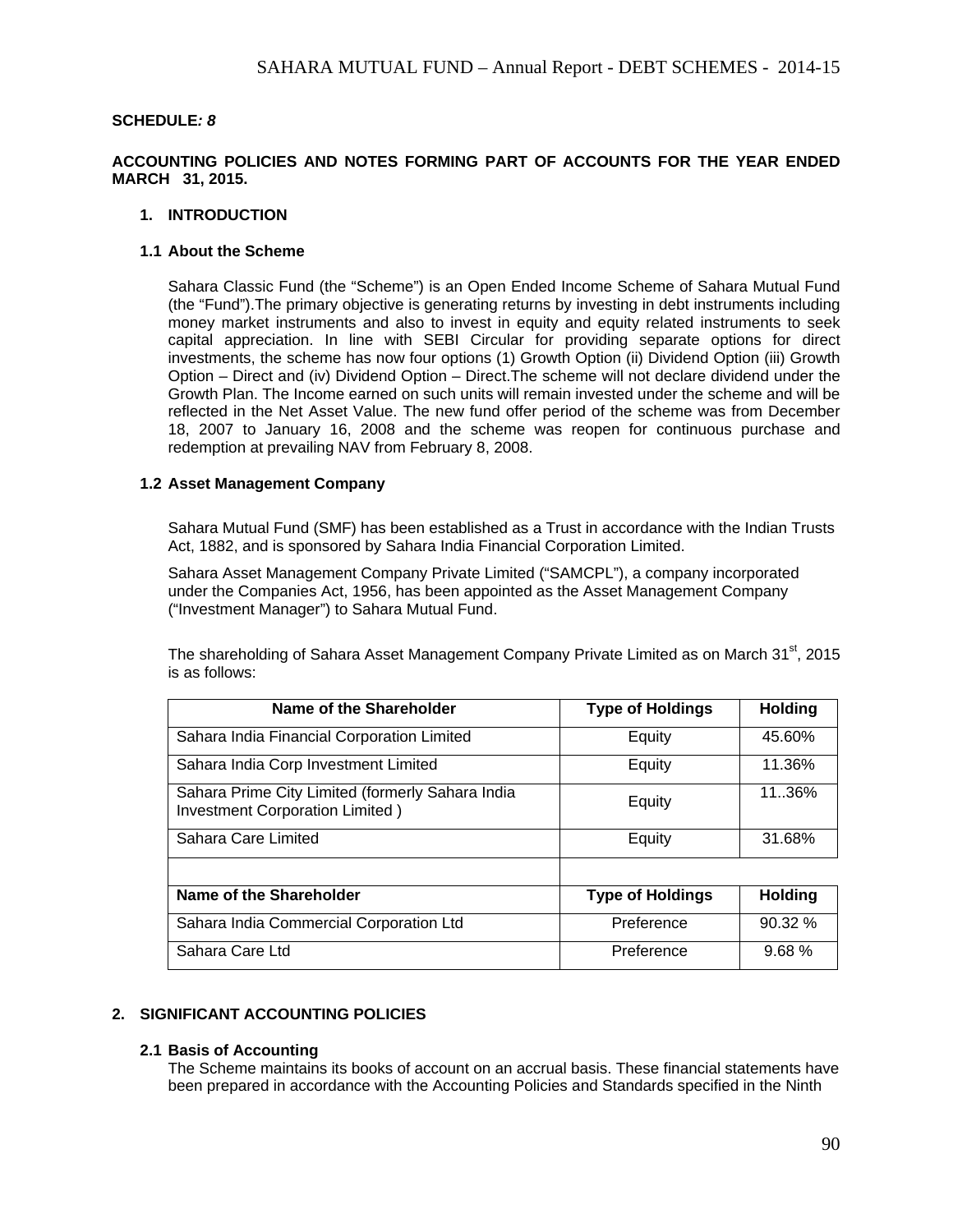## **SCHEDULE***: 8*

## **ACCOUNTING POLICIES AND NOTES FORMING PART OF ACCOUNTS FOR THE YEAR ENDED MARCH 31, 2015.**

## **1. INTRODUCTION**

## **1.1 About the Scheme**

Sahara Classic Fund (the "Scheme") is an Open Ended Income Scheme of Sahara Mutual Fund (the "Fund").The primary objective is generating returns by investing in debt instruments including money market instruments and also to invest in equity and equity related instruments to seek capital appreciation. In line with SEBI Circular for providing separate options for direct investments, the scheme has now four options (1) Growth Option (ii) Dividend Option (iii) Growth Option – Direct and (iv) Dividend Option – Direct.The scheme will not declare dividend under the Growth Plan. The Income earned on such units will remain invested under the scheme and will be reflected in the Net Asset Value. The new fund offer period of the scheme was from December 18, 2007 to January 16, 2008 and the scheme was reopen for continuous purchase and redemption at prevailing NAV from February 8, 2008.

## **1.2 Asset Management Company**

Sahara Mutual Fund (SMF) has been established as a Trust in accordance with the Indian Trusts Act, 1882, and is sponsored by Sahara India Financial Corporation Limited.

Sahara Asset Management Company Private Limited ("SAMCPL"), a company incorporated under the Companies Act, 1956, has been appointed as the Asset Management Company ("Investment Manager") to Sahara Mutual Fund.

The shareholding of Sahara Asset Management Company Private Limited as on March 31<sup>st</sup>, 2015 is as follows:

| Name of the Shareholder                                                             | <b>Type of Holdings</b> | <b>Holding</b> |
|-------------------------------------------------------------------------------------|-------------------------|----------------|
| Sahara India Financial Corporation Limited                                          | Equity                  | 45.60%         |
| Sahara India Corp Investment Limited                                                | Equity                  | 11.36%         |
| Sahara Prime City Limited (formerly Sahara India<br>Investment Corporation Limited) | Equity                  | 11.36%         |
| Sahara Care Limited                                                                 | Equity                  | 31.68%         |
|                                                                                     |                         |                |
| Name of the Shareholder                                                             | <b>Type of Holdings</b> | <b>Holding</b> |
| Sahara India Commercial Corporation Ltd                                             | Preference              | 90.32%         |
| Sahara Care Ltd                                                                     | Preference              | 9.68%          |

## **2. SIGNIFICANT ACCOUNTING POLICIES**

#### **2.1 Basis of Accounting**

The Scheme maintains its books of account on an accrual basis. These financial statements have been prepared in accordance with the Accounting Policies and Standards specified in the Ninth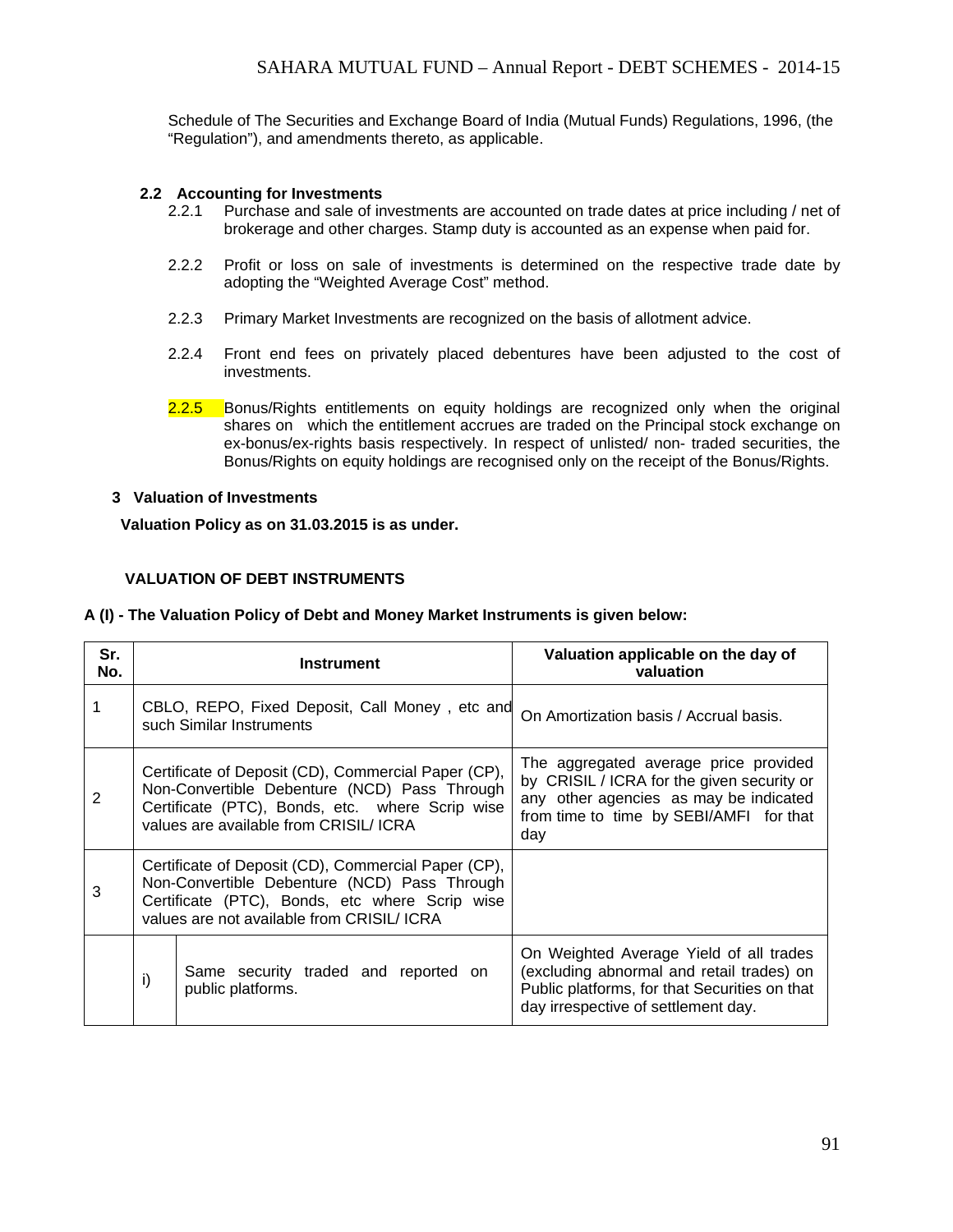Schedule of The Securities and Exchange Board of India (Mutual Funds) Regulations, 1996, (the "Regulation"), and amendments thereto, as applicable.

## **2.2 Accounting for Investments**

- 2.2.1 Purchase and sale of investments are accounted on trade dates at price including / net of brokerage and other charges. Stamp duty is accounted as an expense when paid for.
- 2.2.2 Profit or loss on sale of investments is determined on the respective trade date by adopting the "Weighted Average Cost" method.
- 2.2.3 Primary Market Investments are recognized on the basis of allotment advice.
- 2.2.4 Front end fees on privately placed debentures have been adjusted to the cost of investments.
- 2.2.5 Bonus/Rights entitlements on equity holdings are recognized only when the original shares on which the entitlement accrues are traded on the Principal stock exchange on ex-bonus/ex-rights basis respectively. In respect of unlisted/ non- traded securities, the Bonus/Rights on equity holdings are recognised only on the receipt of the Bonus/Rights.

## **3 Valuation of Investments**

 **Valuation Policy as on 31.03.2015 is as under.** 

## **VALUATION OF DEBT INSTRUMENTS**

#### **A (I) - The Valuation Policy of Debt and Money Market Instruments is given below:**

| Sr.<br>No. |    | <b>Instrument</b>                                                                                                                                                                                   | Valuation applicable on the day of<br>valuation                                                                                                                                 |
|------------|----|-----------------------------------------------------------------------------------------------------------------------------------------------------------------------------------------------------|---------------------------------------------------------------------------------------------------------------------------------------------------------------------------------|
| 1          |    | CBLO, REPO, Fixed Deposit, Call Money, etc and<br>such Similar Instruments                                                                                                                          | On Amortization basis / Accrual basis.                                                                                                                                          |
| 2          |    | Certificate of Deposit (CD), Commercial Paper (CP),<br>Non-Convertible Debenture (NCD) Pass Through<br>Certificate (PTC), Bonds, etc. where Scrip wise<br>values are available from CRISIL/ ICRA    | The aggregated average price provided<br>by CRISIL / ICRA for the given security or<br>any other agencies as may be indicated<br>from time to time by SEBI/AMFI for that<br>day |
| 3          |    | Certificate of Deposit (CD), Commercial Paper (CP),<br>Non-Convertible Debenture (NCD) Pass Through<br>Certificate (PTC), Bonds, etc where Scrip wise<br>values are not available from CRISIL/ ICRA |                                                                                                                                                                                 |
|            | i) | Same security traded and reported on<br>public platforms.                                                                                                                                           | On Weighted Average Yield of all trades<br>(excluding abnormal and retail trades) on<br>Public platforms, for that Securities on that<br>day irrespective of settlement day.    |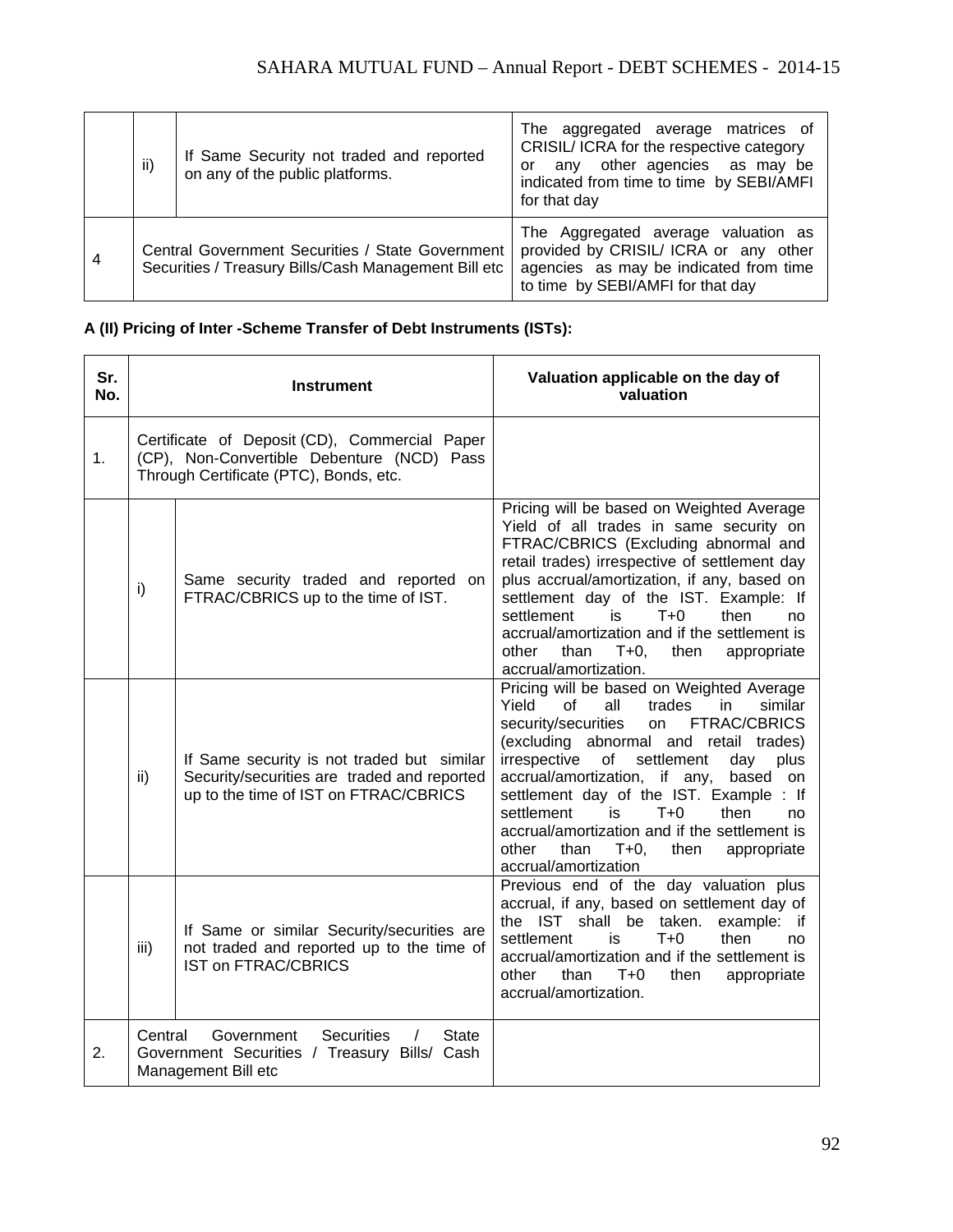| ii) | If Same Security not traded and reported<br>on any of the public platforms.                              | The aggregated average matrices of<br>CRISIL/ ICRA for the respective category<br>any other agencies as may be<br>or<br>indicated from time to time by SEBI/AMFI<br>for that day |
|-----|----------------------------------------------------------------------------------------------------------|----------------------------------------------------------------------------------------------------------------------------------------------------------------------------------|
|     | Central Government Securities / State Government<br>Securities / Treasury Bills/Cash Management Bill etc | The Aggregated average valuation as<br>provided by CRISIL/ ICRA or any other<br>agencies as may be indicated from time<br>to time by SEBI/AMFI for that day                      |

# **A (II) Pricing of Inter -Scheme Transfer of Debt Instruments (ISTs):**

| Sr.<br>No. |         | <b>Instrument</b>                                                                                                                     | Valuation applicable on the day of<br>valuation                                                                                                                                                                                                                                                                                                                                                                                                                                                          |
|------------|---------|---------------------------------------------------------------------------------------------------------------------------------------|----------------------------------------------------------------------------------------------------------------------------------------------------------------------------------------------------------------------------------------------------------------------------------------------------------------------------------------------------------------------------------------------------------------------------------------------------------------------------------------------------------|
| 1.         |         | Certificate of Deposit (CD), Commercial Paper<br>(CP), Non-Convertible Debenture (NCD) Pass<br>Through Certificate (PTC), Bonds, etc. |                                                                                                                                                                                                                                                                                                                                                                                                                                                                                                          |
|            | i)      | Same security traded and reported on<br>FTRAC/CBRICS up to the time of IST.                                                           | Pricing will be based on Weighted Average<br>Yield of all trades in same security on<br>FTRAC/CBRICS (Excluding abnormal and<br>retail trades) irrespective of settlement day<br>plus accrual/amortization, if any, based on<br>settlement day of the IST. Example: If<br>$T+0$<br>settlement<br>is<br>then<br>no<br>accrual/amortization and if the settlement is<br>other<br>than<br>$T+0$ ,<br>then<br>appropriate<br>accrual/amortization.                                                           |
|            | ii)     | If Same security is not traded but similar<br>Security/securities are traded and reported<br>up to the time of IST on FTRAC/CBRICS    | Pricing will be based on Weighted Average<br>all<br>Yield<br>of<br>trades<br>similar<br>in<br><b>FTRAC/CBRICS</b><br>security/securities<br>on<br>(excluding abnormal and retail trades)<br>irrespective<br>settlement<br>of<br>day<br>plus<br>accrual/amortization, if any,<br>based on<br>settlement day of the IST. Example : If<br>settlement<br>$T+0$<br>then<br>is.<br>no<br>accrual/amortization and if the settlement is<br>other<br>than<br>T+0.<br>then<br>appropriate<br>accrual/amortization |
|            | iii)    | If Same or similar Security/securities are<br>not traded and reported up to the time of<br><b>IST on FTRAC/CBRICS</b>                 | Previous end of the day valuation plus<br>accrual, if any, based on settlement day of<br>shall be taken.<br>the IST<br>example:<br>if.<br>$T+0$<br>then<br>settlement<br>is<br>no<br>accrual/amortization and if the settlement is<br>$T+0$<br>other<br>than<br>then<br>appropriate<br>accrual/amortization.                                                                                                                                                                                             |
| 2.         | Central | <b>Securities</b><br>Government<br>State<br>$\prime$<br>Government Securities / Treasury Bills/ Cash<br>Management Bill etc           |                                                                                                                                                                                                                                                                                                                                                                                                                                                                                                          |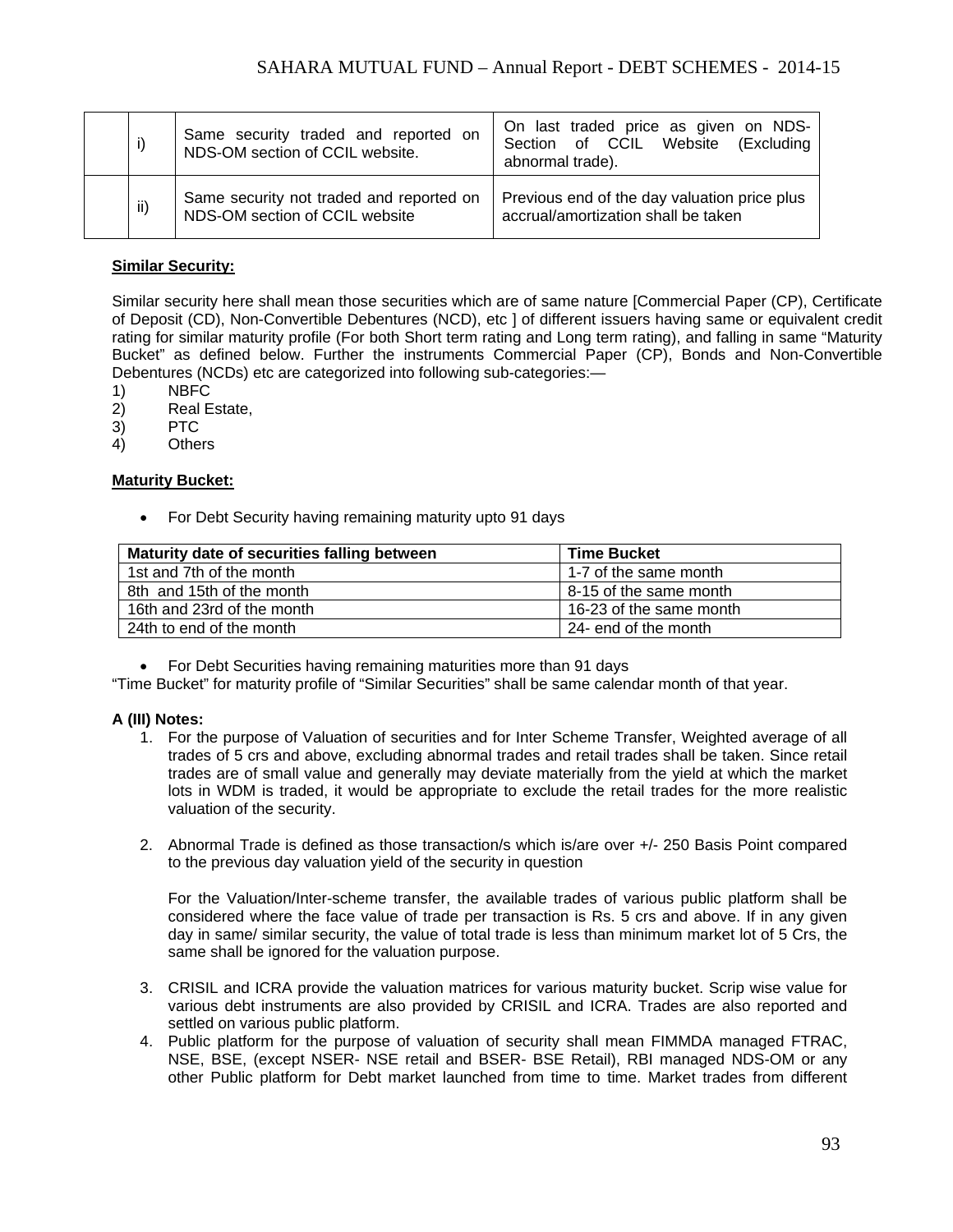|     | Same security traded and reported on<br>NDS-OM section of CCIL website.    | On last traded price as given on NDS-<br>Section of CCIL Website (Excluding<br>abnormal trade). |  |
|-----|----------------------------------------------------------------------------|-------------------------------------------------------------------------------------------------|--|
| ii) | Same security not traded and reported on<br>NDS-OM section of CCIL website | Previous end of the day valuation price plus<br>accrual/amortization shall be taken             |  |

## **Similar Security:**

Similar security here shall mean those securities which are of same nature [Commercial Paper (CP), Certificate of Deposit (CD), Non-Convertible Debentures (NCD), etc ] of different issuers having same or equivalent credit rating for similar maturity profile (For both Short term rating and Long term rating), and falling in same "Maturity Bucket" as defined below. Further the instruments Commercial Paper (CP), Bonds and Non-Convertible Debentures (NCDs) etc are categorized into following sub-categories:—

- 1) NBFC
- 2) Real Estate,
- 3) PTC
- 4) Others

## **Maturity Bucket:**

• For Debt Security having remaining maturity upto 91 days

| Maturity date of securities falling between | <b>Time Bucket</b>      |
|---------------------------------------------|-------------------------|
| 1st and 7th of the month                    | 1-7 of the same month   |
| 8th and 15th of the month                   | 8-15 of the same month  |
| 16th and 23rd of the month                  | 16-23 of the same month |
| 24th to end of the month                    | 24- end of the month    |

• For Debt Securities having remaining maturities more than 91 days

"Time Bucket" for maturity profile of "Similar Securities" shall be same calendar month of that year.

#### **A (III) Notes:**

- 1. For the purpose of Valuation of securities and for Inter Scheme Transfer, Weighted average of all trades of 5 crs and above, excluding abnormal trades and retail trades shall be taken. Since retail trades are of small value and generally may deviate materially from the yield at which the market lots in WDM is traded, it would be appropriate to exclude the retail trades for the more realistic valuation of the security.
- 2. Abnormal Trade is defined as those transaction/s which is/are over +/- 250 Basis Point compared to the previous day valuation yield of the security in question

For the Valuation/Inter-scheme transfer, the available trades of various public platform shall be considered where the face value of trade per transaction is Rs. 5 crs and above. If in any given day in same/ similar security, the value of total trade is less than minimum market lot of 5 Crs, the same shall be ignored for the valuation purpose.

- 3. CRISIL and ICRA provide the valuation matrices for various maturity bucket. Scrip wise value for various debt instruments are also provided by CRISIL and ICRA. Trades are also reported and settled on various public platform.
- 4. Public platform for the purpose of valuation of security shall mean FIMMDA managed FTRAC, NSE, BSE, (except NSER- NSE retail and BSER- BSE Retail), RBI managed NDS-OM or any other Public platform for Debt market launched from time to time. Market trades from different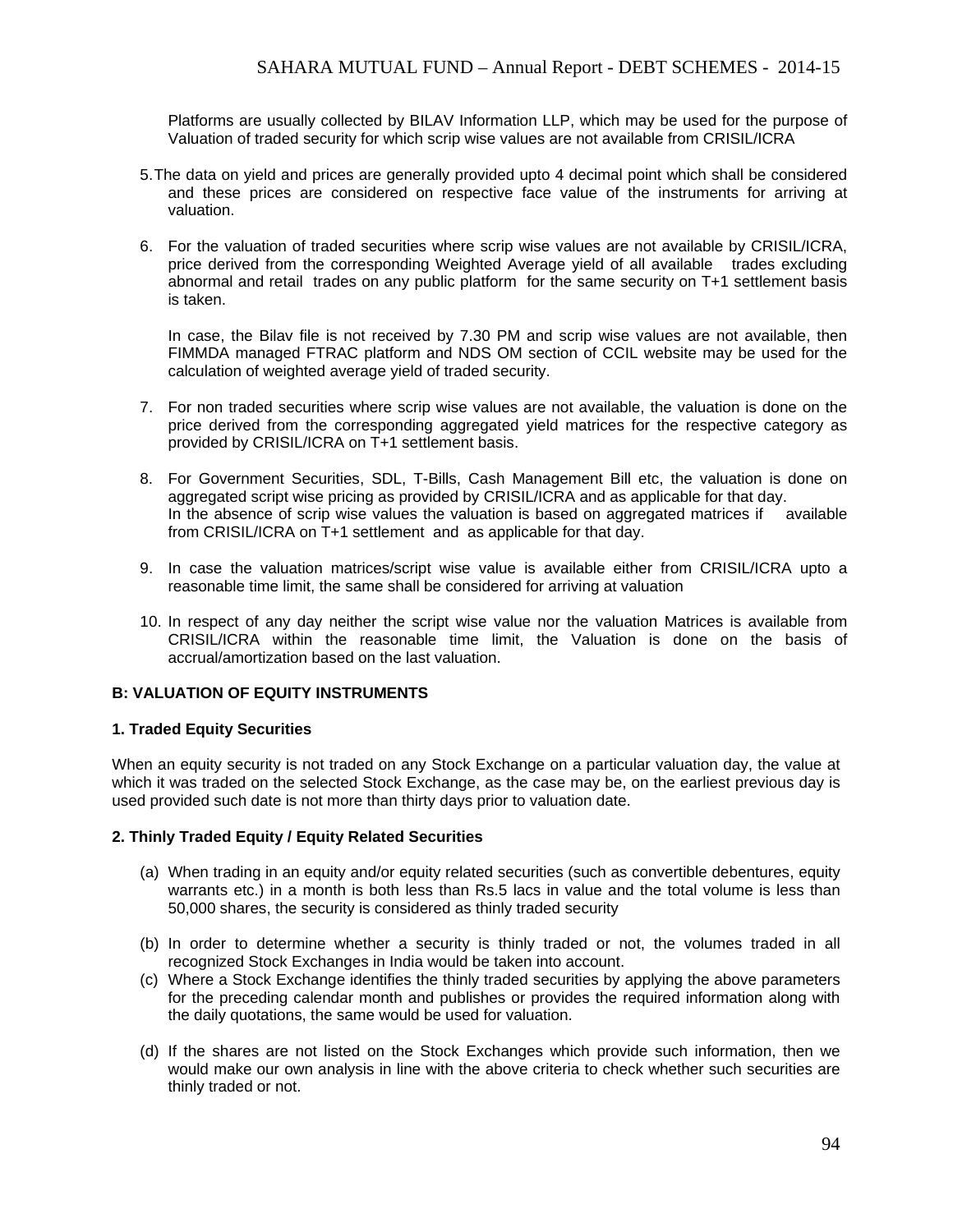Platforms are usually collected by BILAV Information LLP, which may be used for the purpose of Valuation of traded security for which scrip wise values are not available from CRISIL/ICRA

- 5. The data on yield and prices are generally provided upto 4 decimal point which shall be considered and these prices are considered on respective face value of the instruments for arriving at valuation.
- 6. For the valuation of traded securities where scrip wise values are not available by CRISIL/ICRA, price derived from the corresponding Weighted Average yield of all available trades excluding abnormal and retail trades on any public platform for the same security on T+1 settlement basis is taken.

In case, the Bilav file is not received by 7.30 PM and scrip wise values are not available, then FIMMDA managed FTRAC platform and NDS OM section of CCIL website may be used for the calculation of weighted average yield of traded security.

- 7. For non traded securities where scrip wise values are not available, the valuation is done on the price derived from the corresponding aggregated yield matrices for the respective category as provided by CRISIL/ICRA on T+1 settlement basis.
- 8. For Government Securities, SDL, T-Bills, Cash Management Bill etc, the valuation is done on aggregated script wise pricing as provided by CRISIL/ICRA and as applicable for that day. In the absence of scrip wise values the valuation is based on aggregated matrices if available from CRISIL/ICRA on T+1 settlement and as applicable for that day.
- 9. In case the valuation matrices/script wise value is available either from CRISIL/ICRA upto a reasonable time limit, the same shall be considered for arriving at valuation
- 10. In respect of any day neither the script wise value nor the valuation Matrices is available from CRISIL/ICRA within the reasonable time limit, the Valuation is done on the basis of accrual/amortization based on the last valuation.

## **B: VALUATION OF EQUITY INSTRUMENTS**

#### **1. Traded Equity Securities**

When an equity security is not traded on any Stock Exchange on a particular valuation day, the value at which it was traded on the selected Stock Exchange, as the case may be, on the earliest previous day is used provided such date is not more than thirty days prior to valuation date.

#### **2. Thinly Traded Equity / Equity Related Securities**

- (a) When trading in an equity and/or equity related securities (such as convertible debentures, equity warrants etc.) in a month is both less than Rs.5 lacs in value and the total volume is less than 50,000 shares, the security is considered as thinly traded security
- (b) In order to determine whether a security is thinly traded or not, the volumes traded in all recognized Stock Exchanges in India would be taken into account.
- (c) Where a Stock Exchange identifies the thinly traded securities by applying the above parameters for the preceding calendar month and publishes or provides the required information along with the daily quotations, the same would be used for valuation.
- (d) If the shares are not listed on the Stock Exchanges which provide such information, then we would make our own analysis in line with the above criteria to check whether such securities are thinly traded or not.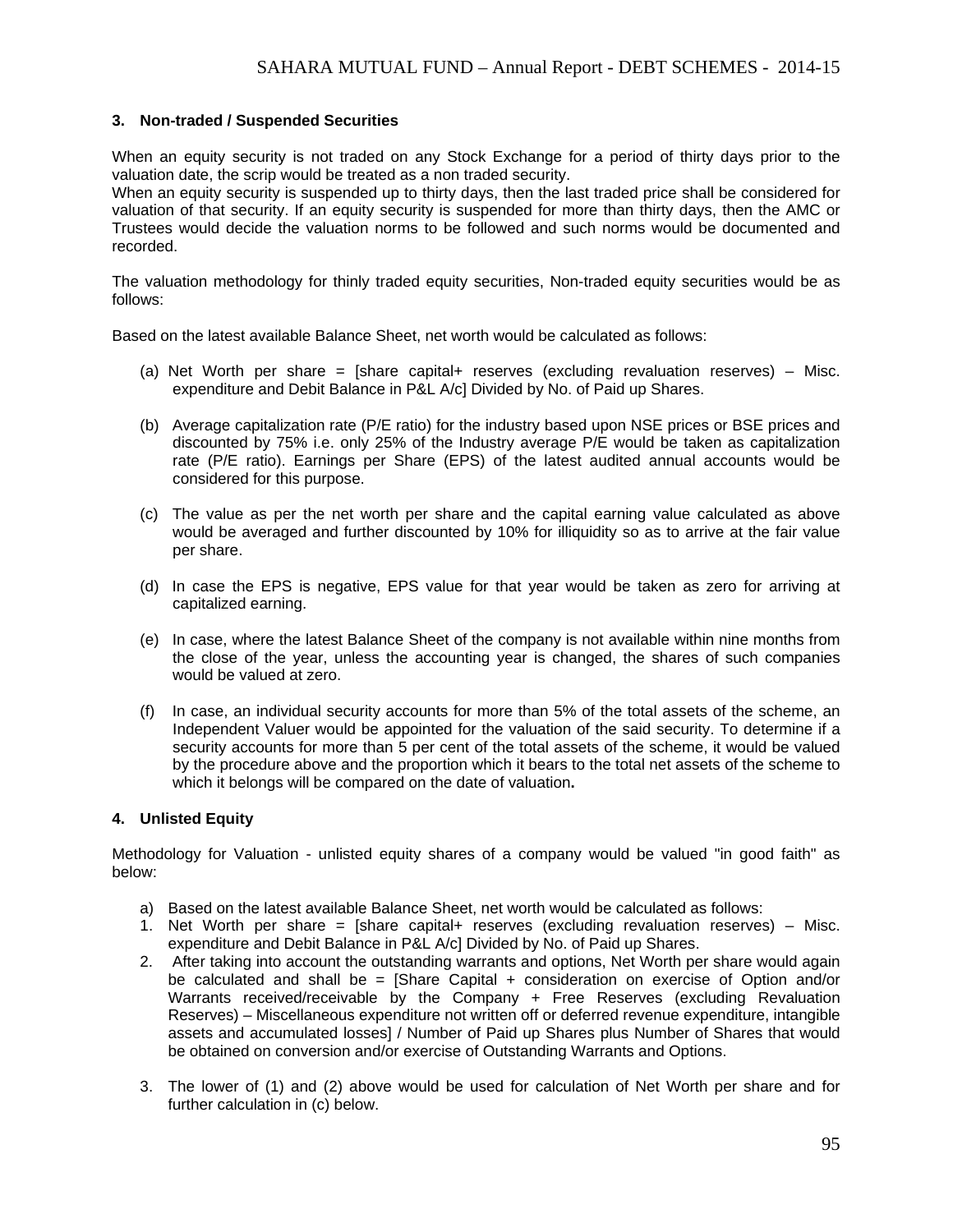## **3. Non-traded / Suspended Securities**

When an equity security is not traded on any Stock Exchange for a period of thirty days prior to the valuation date, the scrip would be treated as a non traded security.

When an equity security is suspended up to thirty days, then the last traded price shall be considered for valuation of that security. If an equity security is suspended for more than thirty days, then the AMC or Trustees would decide the valuation norms to be followed and such norms would be documented and recorded.

The valuation methodology for thinly traded equity securities, Non-traded equity securities would be as follows:

Based on the latest available Balance Sheet, net worth would be calculated as follows:

- (a) Net Worth per share =  $[share$  capital+ reserves (excluding revaluation reserves) Misc. expenditure and Debit Balance in P&L A/c] Divided by No. of Paid up Shares.
- (b) Average capitalization rate (P/E ratio) for the industry based upon NSE prices or BSE prices and discounted by 75% i.e. only 25% of the Industry average P/E would be taken as capitalization rate (P/E ratio). Earnings per Share (EPS) of the latest audited annual accounts would be considered for this purpose.
- (c) The value as per the net worth per share and the capital earning value calculated as above would be averaged and further discounted by 10% for illiquidity so as to arrive at the fair value per share.
- (d) In case the EPS is negative, EPS value for that year would be taken as zero for arriving at capitalized earning.
- (e) In case, where the latest Balance Sheet of the company is not available within nine months from the close of the year, unless the accounting year is changed, the shares of such companies would be valued at zero.
- (f) In case, an individual security accounts for more than 5% of the total assets of the scheme, an Independent Valuer would be appointed for the valuation of the said security. To determine if a security accounts for more than 5 per cent of the total assets of the scheme, it would be valued by the procedure above and the proportion which it bears to the total net assets of the scheme to which it belongs will be compared on the date of valuation**.**

#### **4. Unlisted Equity**

Methodology for Valuation - unlisted equity shares of a company would be valued "in good faith" as below:

- a) Based on the latest available Balance Sheet, net worth would be calculated as follows:
- 1. Net Worth per share =  $[share$  capital+ reserves (excluding revaluation reserves) Misc. expenditure and Debit Balance in P&L A/c] Divided by No. of Paid up Shares.
- 2. After taking into account the outstanding warrants and options, Net Worth per share would again be calculated and shall be = [Share Capital + consideration on exercise of Option and/or Warrants received/receivable by the Company + Free Reserves (excluding Revaluation Reserves) – Miscellaneous expenditure not written off or deferred revenue expenditure, intangible assets and accumulated losses] / Number of Paid up Shares plus Number of Shares that would be obtained on conversion and/or exercise of Outstanding Warrants and Options.
- 3. The lower of (1) and (2) above would be used for calculation of Net Worth per share and for further calculation in (c) below.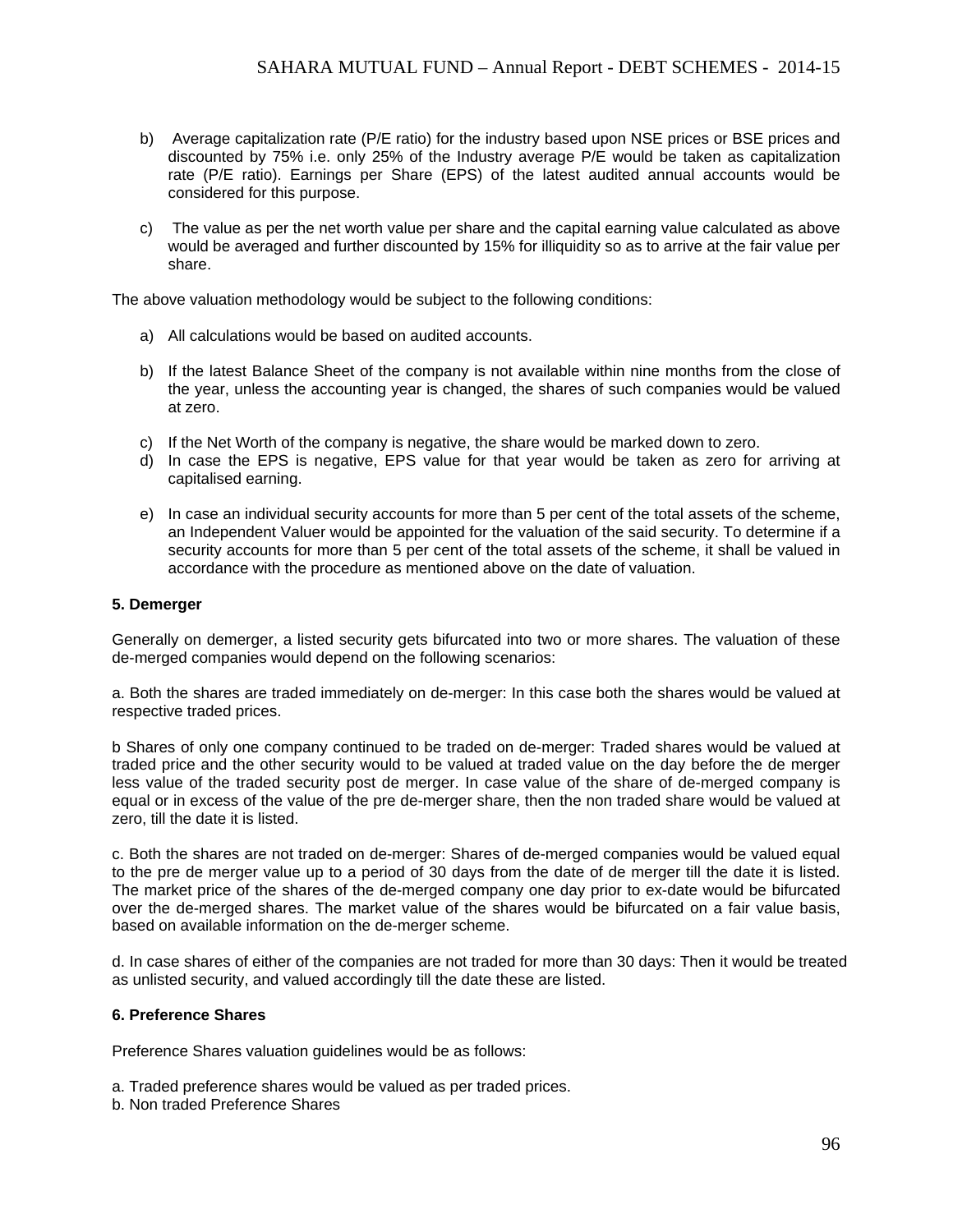- b) Average capitalization rate (P/E ratio) for the industry based upon NSE prices or BSE prices and discounted by 75% i.e. only 25% of the Industry average P/E would be taken as capitalization rate (P/E ratio). Earnings per Share (EPS) of the latest audited annual accounts would be considered for this purpose.
- c) The value as per the net worth value per share and the capital earning value calculated as above would be averaged and further discounted by 15% for illiquidity so as to arrive at the fair value per share.

The above valuation methodology would be subject to the following conditions:

- a) All calculations would be based on audited accounts.
- b) If the latest Balance Sheet of the company is not available within nine months from the close of the year, unless the accounting year is changed, the shares of such companies would be valued at zero.
- c) If the Net Worth of the company is negative, the share would be marked down to zero.
- d) In case the EPS is negative, EPS value for that year would be taken as zero for arriving at capitalised earning.
- e) In case an individual security accounts for more than 5 per cent of the total assets of the scheme, an Independent Valuer would be appointed for the valuation of the said security. To determine if a security accounts for more than 5 per cent of the total assets of the scheme, it shall be valued in accordance with the procedure as mentioned above on the date of valuation.

## **5. Demerger**

Generally on demerger, a listed security gets bifurcated into two or more shares. The valuation of these de-merged companies would depend on the following scenarios:

a. Both the shares are traded immediately on de-merger: In this case both the shares would be valued at respective traded prices.

b Shares of only one company continued to be traded on de-merger: Traded shares would be valued at traded price and the other security would to be valued at traded value on the day before the de merger less value of the traded security post de merger. In case value of the share of de-merged company is equal or in excess of the value of the pre de-merger share, then the non traded share would be valued at zero, till the date it is listed.

c. Both the shares are not traded on de-merger: Shares of de-merged companies would be valued equal to the pre de merger value up to a period of 30 days from the date of de merger till the date it is listed. The market price of the shares of the de-merged company one day prior to ex-date would be bifurcated over the de-merged shares. The market value of the shares would be bifurcated on a fair value basis, based on available information on the de-merger scheme.

d. In case shares of either of the companies are not traded for more than 30 days: Then it would be treated as unlisted security, and valued accordingly till the date these are listed.

#### **6. Preference Shares**

Preference Shares valuation guidelines would be as follows:

- a. Traded preference shares would be valued as per traded prices.
- b. Non traded Preference Shares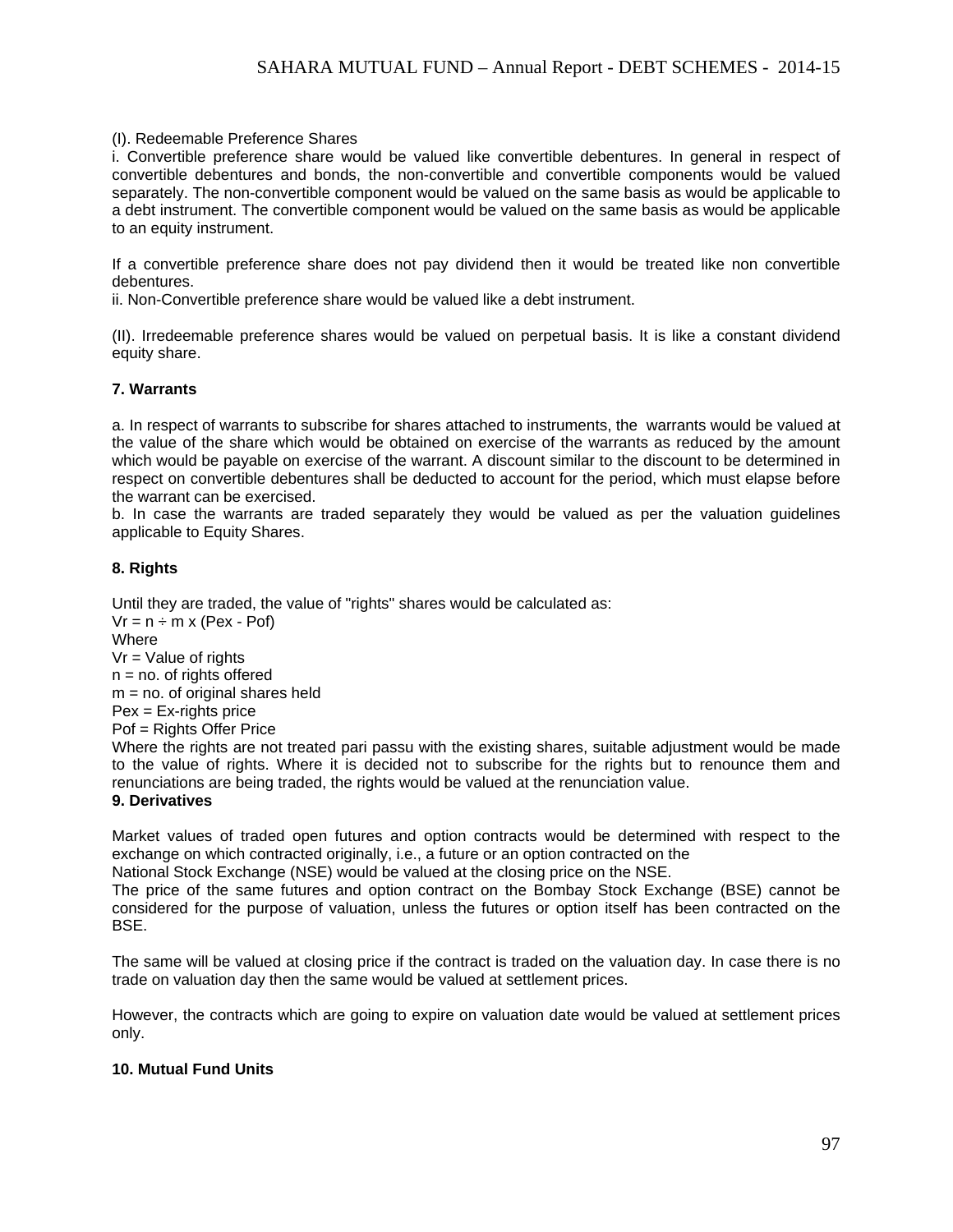## (I). Redeemable Preference Shares

i. Convertible preference share would be valued like convertible debentures. In general in respect of convertible debentures and bonds, the non-convertible and convertible components would be valued separately. The non-convertible component would be valued on the same basis as would be applicable to a debt instrument. The convertible component would be valued on the same basis as would be applicable to an equity instrument.

If a convertible preference share does not pay dividend then it would be treated like non convertible debentures.

ii. Non-Convertible preference share would be valued like a debt instrument.

(II). Irredeemable preference shares would be valued on perpetual basis. It is like a constant dividend equity share.

## **7. Warrants**

a. In respect of warrants to subscribe for shares attached to instruments, the warrants would be valued at the value of the share which would be obtained on exercise of the warrants as reduced by the amount which would be payable on exercise of the warrant. A discount similar to the discount to be determined in respect on convertible debentures shall be deducted to account for the period, which must elapse before the warrant can be exercised.

b. In case the warrants are traded separately they would be valued as per the valuation guidelines applicable to Equity Shares.

## **8. Rights**

Until they are traded, the value of "rights" shares would be calculated as:

 $Vr = n \div m$  x (Pex - Pof) Where  $Vr =$  Value of rights  $n = no$ . of rights offered  $m = no$ . of original shares held Pex = Ex-rights price Pof = Rights Offer Price Where the rights are not treated pari passu with the existing shares, suitable adjustment would be made to the value of rights. Where it is decided not to subscribe for the rights but to renounce them and renunciations are being traded, the rights would be valued at the renunciation value.

#### **9. Derivatives**

Market values of traded open futures and option contracts would be determined with respect to the exchange on which contracted originally, i.e., a future or an option contracted on the

National Stock Exchange (NSE) would be valued at the closing price on the NSE.

The price of the same futures and option contract on the Bombay Stock Exchange (BSE) cannot be considered for the purpose of valuation, unless the futures or option itself has been contracted on the BSE.

The same will be valued at closing price if the contract is traded on the valuation day. In case there is no trade on valuation day then the same would be valued at settlement prices.

However, the contracts which are going to expire on valuation date would be valued at settlement prices only.

## **10. Mutual Fund Units**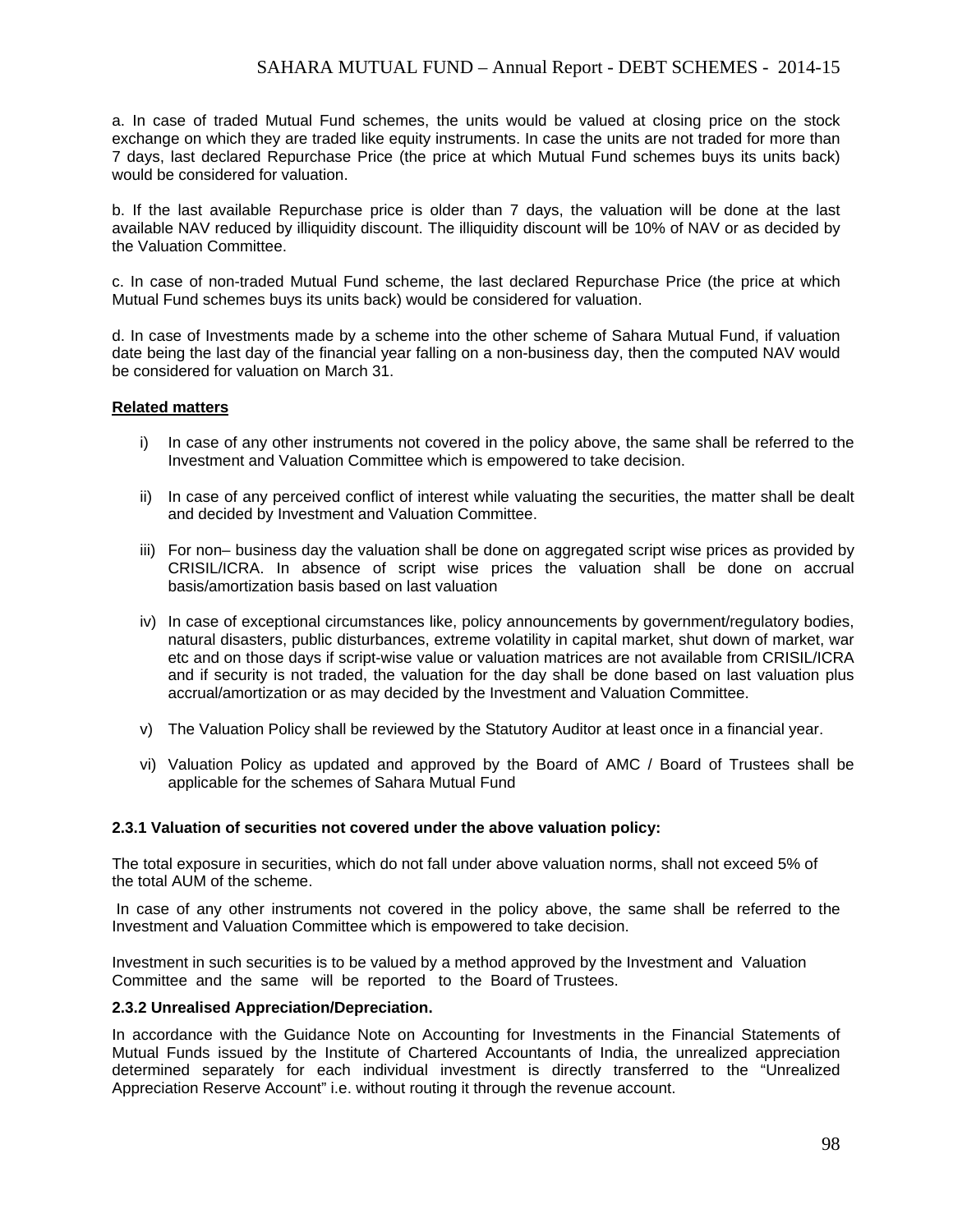a. In case of traded Mutual Fund schemes, the units would be valued at closing price on the stock exchange on which they are traded like equity instruments. In case the units are not traded for more than 7 days, last declared Repurchase Price (the price at which Mutual Fund schemes buys its units back) would be considered for valuation.

b. If the last available Repurchase price is older than 7 days, the valuation will be done at the last available NAV reduced by illiquidity discount. The illiquidity discount will be 10% of NAV or as decided by the Valuation Committee.

c. In case of non-traded Mutual Fund scheme, the last declared Repurchase Price (the price at which Mutual Fund schemes buys its units back) would be considered for valuation.

d. In case of Investments made by a scheme into the other scheme of Sahara Mutual Fund, if valuation date being the last day of the financial year falling on a non-business day, then the computed NAV would be considered for valuation on March 31.

## **Related matters**

- i) In case of any other instruments not covered in the policy above, the same shall be referred to the Investment and Valuation Committee which is empowered to take decision.
- ii) In case of any perceived conflict of interest while valuating the securities, the matter shall be dealt and decided by Investment and Valuation Committee.
- iii) For non– business day the valuation shall be done on aggregated script wise prices as provided by CRISIL/ICRA. In absence of script wise prices the valuation shall be done on accrual basis/amortization basis based on last valuation
- iv) In case of exceptional circumstances like, policy announcements by government/regulatory bodies, natural disasters, public disturbances, extreme volatility in capital market, shut down of market, war etc and on those days if script-wise value or valuation matrices are not available from CRISIL/ICRA and if security is not traded, the valuation for the day shall be done based on last valuation plus accrual/amortization or as may decided by the Investment and Valuation Committee.
- v) The Valuation Policy shall be reviewed by the Statutory Auditor at least once in a financial year.
- vi) Valuation Policy as updated and approved by the Board of AMC / Board of Trustees shall be applicable for the schemes of Sahara Mutual Fund

#### **2.3.1 Valuation of securities not covered under the above valuation policy:**

The total exposure in securities, which do not fall under above valuation norms, shall not exceed 5% of the total AUM of the scheme.

 In case of any other instruments not covered in the policy above, the same shall be referred to the Investment and Valuation Committee which is empowered to take decision.

Investment in such securities is to be valued by a method approved by the Investment and Valuation Committee and the same will be reported to the Board of Trustees.

#### **2.3.2 Unrealised Appreciation/Depreciation.**

In accordance with the Guidance Note on Accounting for Investments in the Financial Statements of Mutual Funds issued by the Institute of Chartered Accountants of India, the unrealized appreciation determined separately for each individual investment is directly transferred to the "Unrealized Appreciation Reserve Account" i.e. without routing it through the revenue account.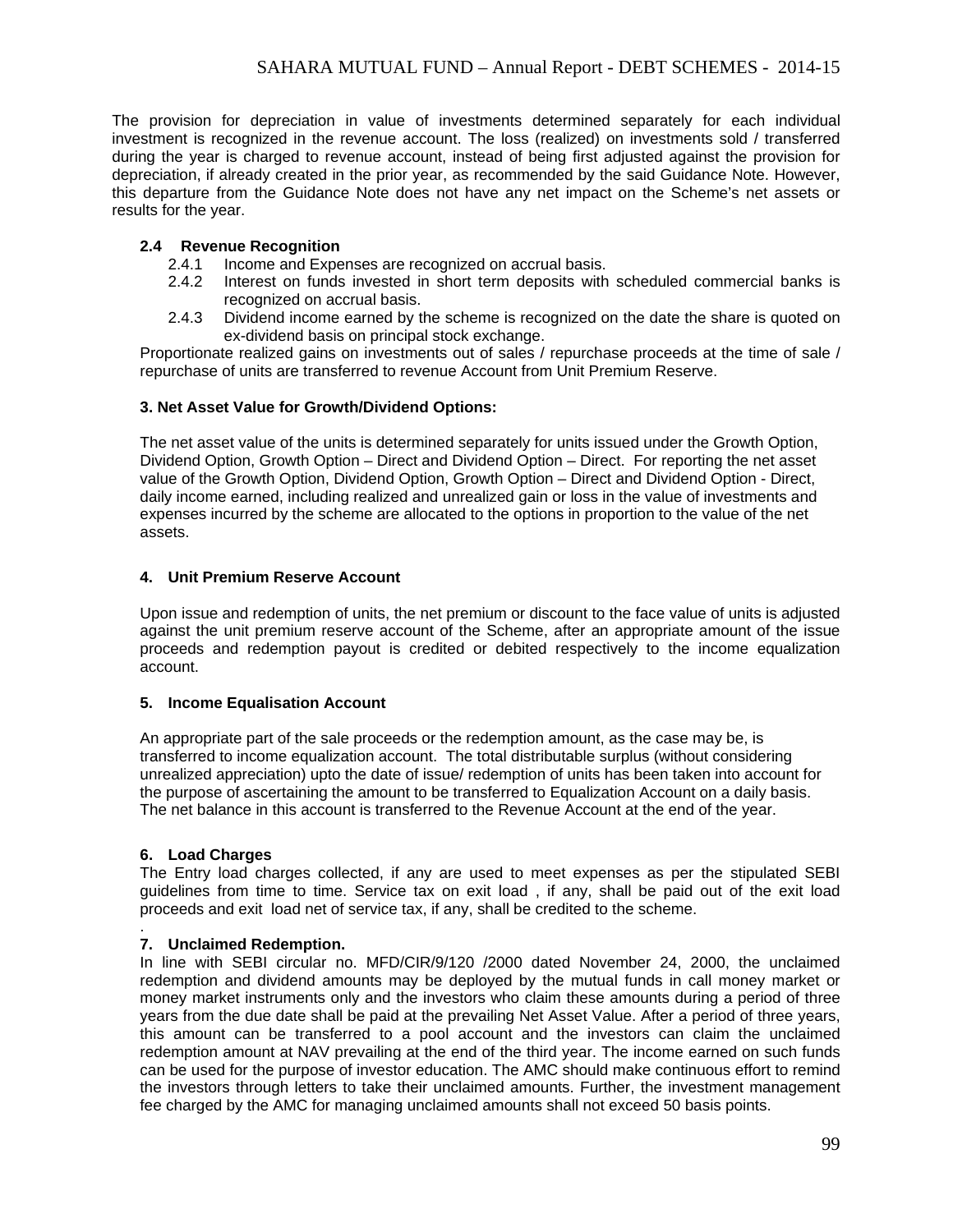The provision for depreciation in value of investments determined separately for each individual investment is recognized in the revenue account. The loss (realized) on investments sold / transferred during the year is charged to revenue account, instead of being first adjusted against the provision for depreciation, if already created in the prior year, as recommended by the said Guidance Note. However, this departure from the Guidance Note does not have any net impact on the Scheme's net assets or results for the year.

## **2.4 Revenue Recognition**

- 2.4.1 Income and Expenses are recognized on accrual basis.<br>2.4.2 Interest on funds invested in short term deposits with
- Interest on funds invested in short term deposits with scheduled commercial banks is recognized on accrual basis.
- 2.4.3 Dividend income earned by the scheme is recognized on the date the share is quoted on ex-dividend basis on principal stock exchange.

Proportionate realized gains on investments out of sales / repurchase proceeds at the time of sale / repurchase of units are transferred to revenue Account from Unit Premium Reserve.

## **3. Net Asset Value for Growth/Dividend Options:**

The net asset value of the units is determined separately for units issued under the Growth Option, Dividend Option, Growth Option – Direct and Dividend Option – Direct. For reporting the net asset value of the Growth Option, Dividend Option, Growth Option – Direct and Dividend Option - Direct, daily income earned, including realized and unrealized gain or loss in the value of investments and expenses incurred by the scheme are allocated to the options in proportion to the value of the net assets.

## **4. Unit Premium Reserve Account**

Upon issue and redemption of units, the net premium or discount to the face value of units is adjusted against the unit premium reserve account of the Scheme, after an appropriate amount of the issue proceeds and redemption payout is credited or debited respectively to the income equalization account.

## **5. Income Equalisation Account**

An appropriate part of the sale proceeds or the redemption amount, as the case may be, is transferred to income equalization account. The total distributable surplus (without considering unrealized appreciation) upto the date of issue/ redemption of units has been taken into account for the purpose of ascertaining the amount to be transferred to Equalization Account on a daily basis. The net balance in this account is transferred to the Revenue Account at the end of the year.

## **6. Load Charges**

The Entry load charges collected, if any are used to meet expenses as per the stipulated SEBI guidelines from time to time. Service tax on exit load , if any, shall be paid out of the exit load proceeds and exit load net of service tax, if any, shall be credited to the scheme.

#### . **7. Unclaimed Redemption.**

In line with SEBI circular no. MFD/CIR/9/120 /2000 dated November 24, 2000, the unclaimed redemption and dividend amounts may be deployed by the mutual funds in call money market or money market instruments only and the investors who claim these amounts during a period of three years from the due date shall be paid at the prevailing Net Asset Value. After a period of three years, this amount can be transferred to a pool account and the investors can claim the unclaimed redemption amount at NAV prevailing at the end of the third year. The income earned on such funds can be used for the purpose of investor education. The AMC should make continuous effort to remind the investors through letters to take their unclaimed amounts. Further, the investment management fee charged by the AMC for managing unclaimed amounts shall not exceed 50 basis points.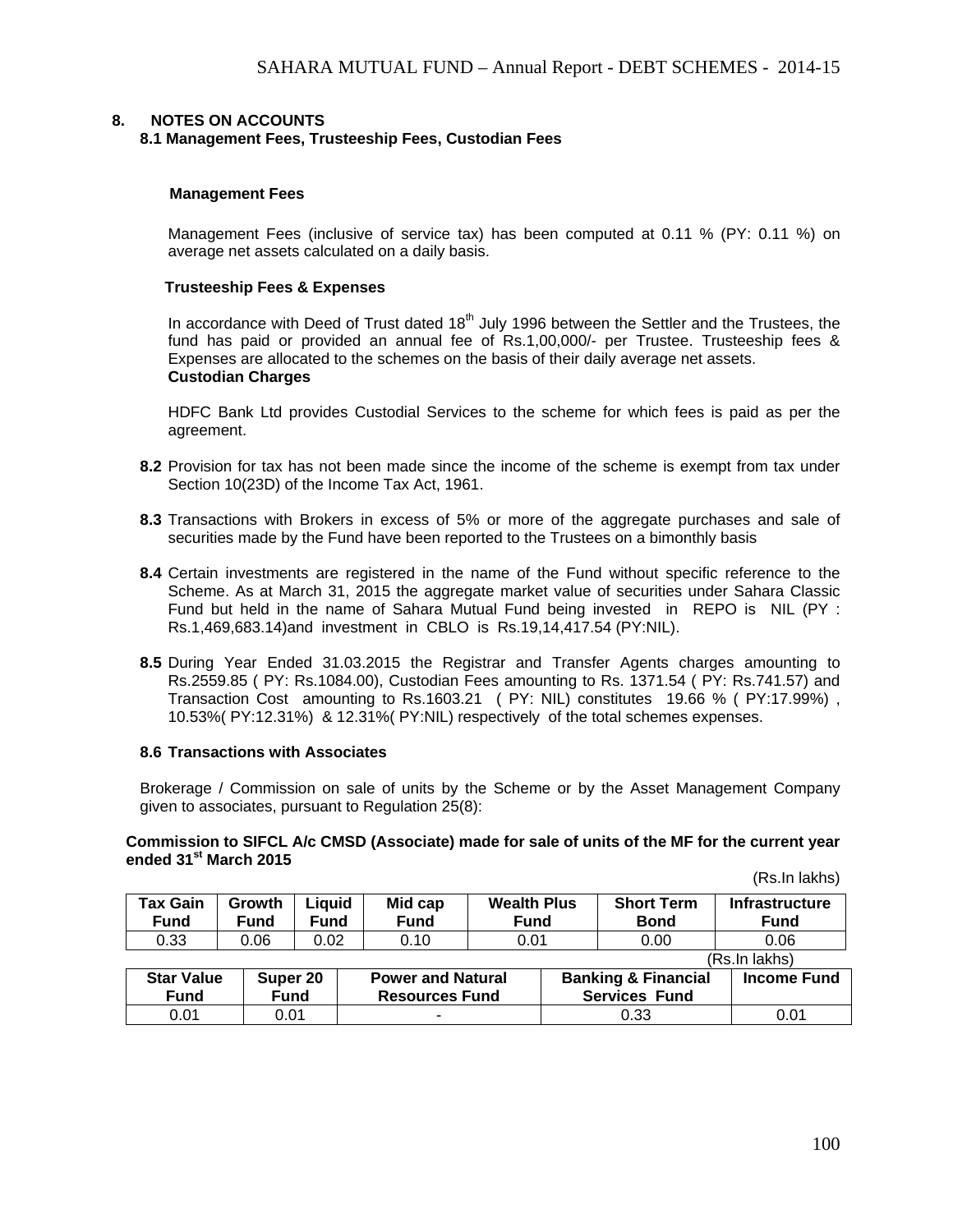## **8. NOTES ON ACCOUNTS**

#### **8.1 Management Fees, Trusteeship Fees, Custodian Fees**

#### **Management Fees**

Management Fees (inclusive of service tax) has been computed at 0.11 % (PY: 0.11 %) on average net assets calculated on a daily basis.

#### **Trusteeship Fees & Expenses**

In accordance with Deed of Trust dated  $18<sup>th</sup>$  July 1996 between the Settler and the Trustees, the fund has paid or provided an annual fee of Rs.1,00,000/- per Trustee. Trusteeship fees & Expenses are allocated to the schemes on the basis of their daily average net assets. **Custodian Charges** 

HDFC Bank Ltd provides Custodial Services to the scheme for which fees is paid as per the agreement.

- **8.2** Provision for tax has not been made since the income of the scheme is exempt from tax under Section 10(23D) of the Income Tax Act, 1961.
- **8.3** Transactions with Brokers in excess of 5% or more of the aggregate purchases and sale of securities made by the Fund have been reported to the Trustees on a bimonthly basis
- **8.4** Certain investments are registered in the name of the Fund without specific reference to the Scheme. As at March 31, 2015 the aggregate market value of securities under Sahara Classic Fund but held in the name of Sahara Mutual Fund being invested in REPO is NIL (PY : Rs.1,469,683.14)and investment in CBLO is Rs.19,14,417.54 (PY:NIL).
- **8.5** During Year Ended 31.03.2015 the Registrar and Transfer Agents charges amounting to Rs.2559.85 ( PY: Rs.1084.00), Custodian Fees amounting to Rs. 1371.54 ( PY: Rs.741.57) and Transaction Cost amounting to Rs.1603.21 ( PY: NIL) constitutes 19.66 % ( PY:17.99%) , 10.53%( PY:12.31%) & 12.31%( PY:NIL) respectively of the total schemes expenses.

#### **8.6 Transactions with Associates**

Brokerage / Commission on sale of units by the Scheme or by the Asset Management Company given to associates, pursuant to Regulation 25(8):

**Commission to SIFCL A/c CMSD (Associate) made for sale of units of the MF for the current year ended 31st March 2015** 

(Rs.In lakhs)

| <b>Tax Gain</b><br><b>Fund</b>                                                                                   | Growth<br><b>Fund</b> | Liquid<br><b>Fund</b> | Mid cap<br><b>Fund</b>                                 | <b>Wealth Plus</b><br><b>Fund</b> |      | <b>Short Term</b><br><b>Bond</b> | <b>Infrastructure</b><br><b>Fund</b> |
|------------------------------------------------------------------------------------------------------------------|-----------------------|-----------------------|--------------------------------------------------------|-----------------------------------|------|----------------------------------|--------------------------------------|
| 0.33                                                                                                             | 0.06                  | 0.02                  | 0.10                                                   | 0.01                              |      | 0.00                             | 0.06                                 |
|                                                                                                                  |                       |                       |                                                        |                                   |      |                                  | (Rs.In lakhs)                        |
| <b>Star Value</b><br>Super 20<br><b>Power and Natural</b><br><b>Fund</b><br><b>Resources Fund</b><br><b>Fund</b> |                       |                       | <b>Banking &amp; Financial</b><br><b>Services Fund</b> | <b>Income Fund</b>                |      |                                  |                                      |
| 0.01                                                                                                             | 0.01                  |                       | ۰                                                      |                                   | 0.33 |                                  | 0.01                                 |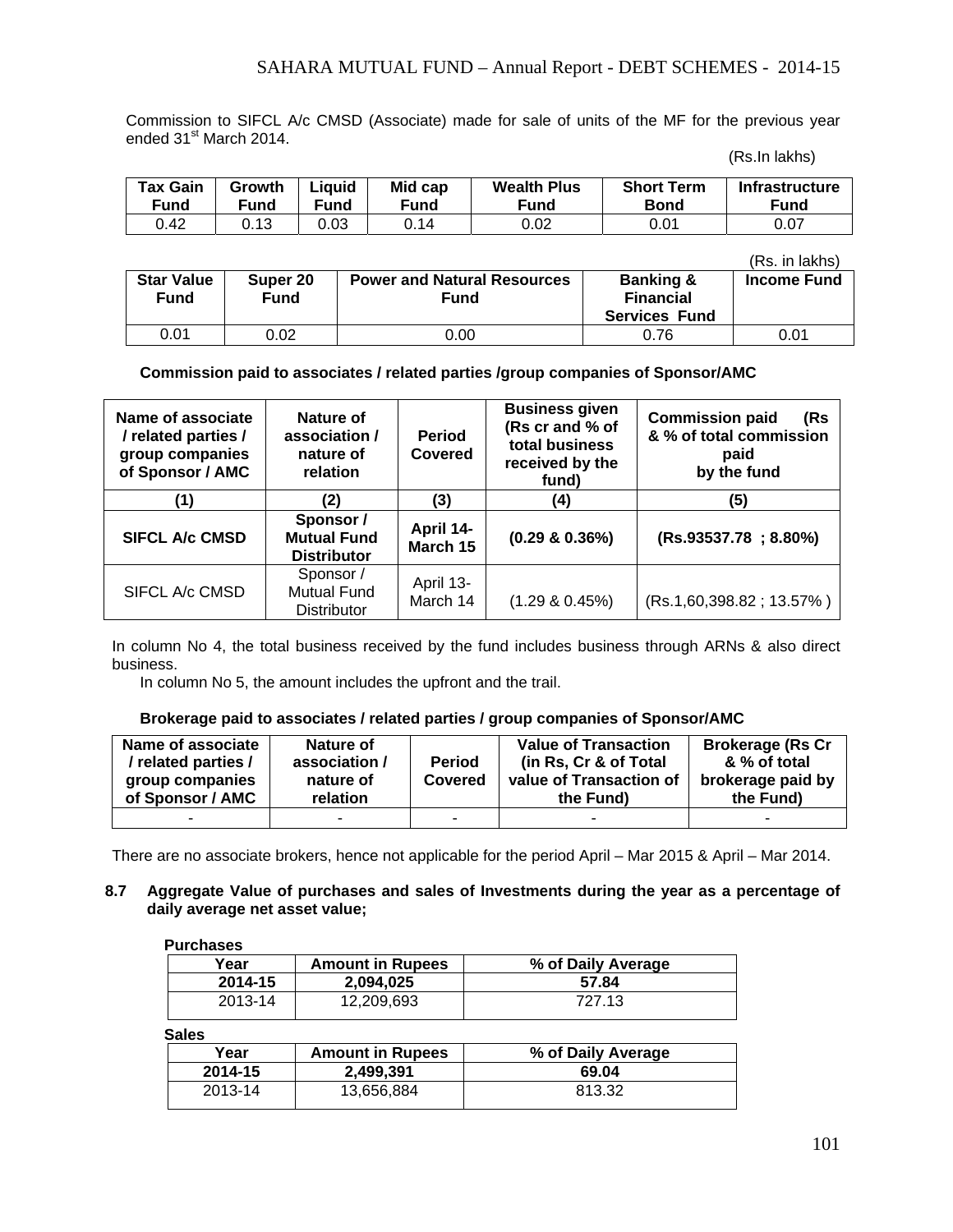(Rs.In lakhs)

Commission to SIFCL A/c CMSD (Associate) made for sale of units of the MF for the previous year ended 31<sup>st</sup> March 2014.

| <b>Tax Gain</b> | Growth | Liguid | Mid cap | <b>Wealth Plus</b> | <b>Short Term</b> | <b>Infrastructure</b> |
|-----------------|--------|--------|---------|--------------------|-------------------|-----------------------|
| Fund            | Fund   | Fund   | Fund    | Fund               | <b>Bond</b>       | Fund                  |
| 0.42            | 0.13   | 0.03   | 0.14    | 0.02               | 0.01              |                       |

|                                  |                         |                                            |                                                                  | (Rs. in lakhs)     |
|----------------------------------|-------------------------|--------------------------------------------|------------------------------------------------------------------|--------------------|
| <b>Star Value</b><br><b>Fund</b> | Super 20<br><b>Fund</b> | <b>Power and Natural Resources</b><br>Fund | <b>Banking &amp;</b><br><b>Financial</b><br><b>Services Fund</b> | <b>Income Fund</b> |
| 0.01                             | 0.02                    | 0.00                                       | 0.76                                                             | 0.01               |

**Commission paid to associates / related parties /group companies of Sponsor/AMC** 

| Name of associate<br>/ related parties /<br>group companies<br>of Sponsor / AMC | Nature of<br>association /<br>nature of<br>relation   | Period<br><b>Covered</b> | <b>Business given</b><br>(Rs cr and % of<br>total business<br>received by the<br>fund) | <b>Commission paid</b><br>(Rs<br>& % of total commission<br>paid<br>by the fund |
|---------------------------------------------------------------------------------|-------------------------------------------------------|--------------------------|----------------------------------------------------------------------------------------|---------------------------------------------------------------------------------|
| (1)                                                                             | (2)                                                   | (3)                      | (4)                                                                                    | (5)                                                                             |
| <b>SIFCL A/c CMSD</b>                                                           | Sponsor /<br><b>Mutual Fund</b><br><b>Distributor</b> | April 14-<br>March 15    | (0.29 & 0.36%)                                                                         | (Rs.93537.78; 8.80%)                                                            |
| SIFCL A/c CMSD                                                                  | Sponsor /<br><b>Mutual Fund</b><br>Distributor        | April 13-<br>March 14    | (1.29 & 0.45%)                                                                         | (Rs.1,60,398.82; 13.57%)                                                        |

In column No 4, the total business received by the fund includes business through ARNs & also direct business.

In column No 5, the amount includes the upfront and the trail.

## **Brokerage paid to associates / related parties / group companies of Sponsor/AMC**

| Name of associate<br>/ related parties /<br>group companies<br>of Sponsor / AMC | Nature of<br>association /<br>nature of<br>relation | <b>Period</b><br>Covered | <b>Value of Transaction</b><br>(in Rs, Cr & of Total)<br>value of Transaction of<br>the Fund) | <b>Brokerage (Rs Cr</b><br>& % of total<br>brokerage paid by<br>the Fund) |
|---------------------------------------------------------------------------------|-----------------------------------------------------|--------------------------|-----------------------------------------------------------------------------------------------|---------------------------------------------------------------------------|
| $\overline{\phantom{a}}$                                                        |                                                     | -                        |                                                                                               |                                                                           |

There are no associate brokers, hence not applicable for the period April – Mar 2015 & April – Mar 2014.

#### **8.7 Aggregate Value of purchases and sales of Investments during the year as a percentage of daily average net asset value;**

 **Purchases** 

| Year    | <b>Amount in Rupees</b> | % of Daily Average |
|---------|-------------------------|--------------------|
| 2014-15 | 2.094.025               | 57.84              |
| 2013-14 | 12,209,693              | 727.13             |

 **Sales** 

| σαισδ   |                         |                    |
|---------|-------------------------|--------------------|
| Year    | <b>Amount in Rupees</b> | % of Daily Average |
| 2014-15 | 2.499.391               | 69.04              |
| 2013-14 | 13,656,884              | 813.32             |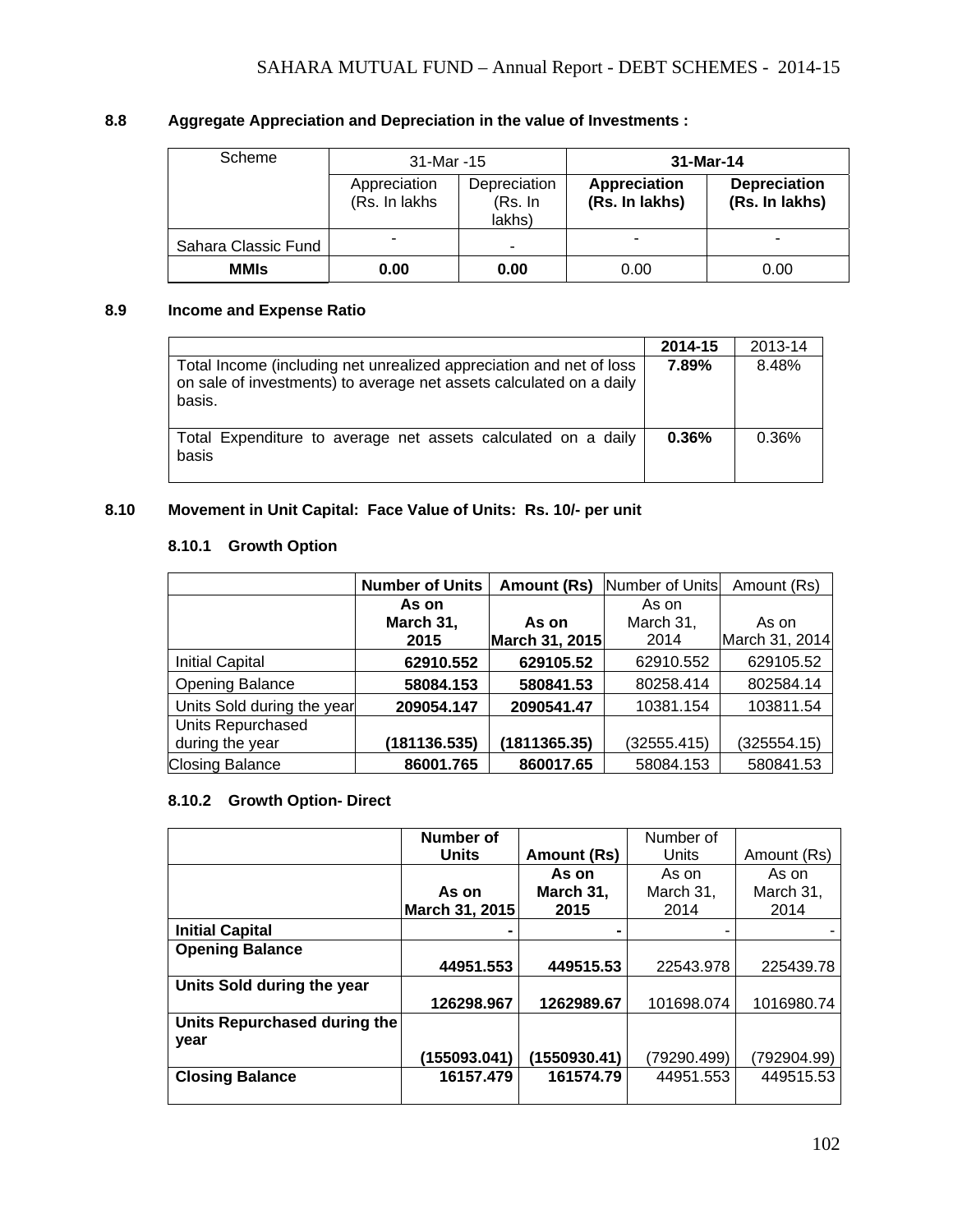## **8.8 Aggregate Appreciation and Depreciation in the value of Investments :**

| Scheme              | 31-Mar -15                    |                                   | 31-Mar-14                      |                                       |  |
|---------------------|-------------------------------|-----------------------------------|--------------------------------|---------------------------------------|--|
|                     | Appreciation<br>(Rs. In lakhs | Depreciation<br>(Rs. In<br>lakhs) | Appreciation<br>(Rs. In lakhs) | <b>Depreciation</b><br>(Rs. In lakhs) |  |
| Sahara Classic Fund |                               |                                   | -                              | -                                     |  |
| <b>MMIs</b>         | 0.00                          | 0.00                              | 0.00                           | 0.00                                  |  |

## **8.9 Income and Expense Ratio**

|                                                                                                                                                      | 2014-15 | 2013-14 |
|------------------------------------------------------------------------------------------------------------------------------------------------------|---------|---------|
| Total Income (including net unrealized appreciation and net of loss<br>on sale of investments) to average net assets calculated on a daily<br>basis. |         | 8.48%   |
| Total Expenditure to average net assets calculated on a daily<br>basis                                                                               | 0.36%   | 0.36%   |

# **8.10 Movement in Unit Capital: Face Value of Units: Rs. 10/- per unit**

# **8.10.1 Growth Option**

|                            | <b>Number of Units</b> | Amount (Rs)    | Number of Units | Amount (Rs)    |
|----------------------------|------------------------|----------------|-----------------|----------------|
|                            | As on                  |                | As on           |                |
|                            | March 31,              | As on          | March 31,       | As on          |
|                            | 2015                   | March 31, 2015 | 2014            | March 31, 2014 |
| <b>Initial Capital</b>     | 62910.552              | 629105.52      | 62910.552       | 629105.52      |
| <b>Opening Balance</b>     | 58084.153              | 580841.53      | 80258.414       | 802584.14      |
| Units Sold during the year | 209054.147             | 2090541.47     | 10381.154       | 103811.54      |
| Units Repurchased          |                        |                |                 |                |
| during the year            | (181136.535)           | (1811365.35)   | (32555.415)     | (325554.15)    |
| <b>Closing Balance</b>     | 86001.765              | 860017.65      | 58084.153       | 580841.53      |

# **8.10.2 Growth Option- Direct**

|                              | Number of      |              | Number of   |             |
|------------------------------|----------------|--------------|-------------|-------------|
|                              | <b>Units</b>   | Amount (Rs)  | Units       | Amount (Rs) |
|                              |                | As on        | As on       | As on       |
|                              | As on          | March 31,    | March 31,   | March 31,   |
|                              | March 31, 2015 | 2015         | 2014        | 2014        |
| <b>Initial Capital</b>       |                |              |             |             |
| <b>Opening Balance</b>       |                |              |             |             |
|                              | 44951.553      | 449515.53    | 22543.978   | 225439.78   |
| Units Sold during the year   |                |              |             |             |
|                              | 126298.967     | 1262989.67   | 101698.074  | 1016980.74  |
| Units Repurchased during the |                |              |             |             |
| year                         |                |              |             |             |
|                              | (155093.041)   | (1550930.41) | (79290.499) | (792904.99) |
| <b>Closing Balance</b>       | 16157.479      | 161574.79    | 44951.553   | 449515.53   |
|                              |                |              |             |             |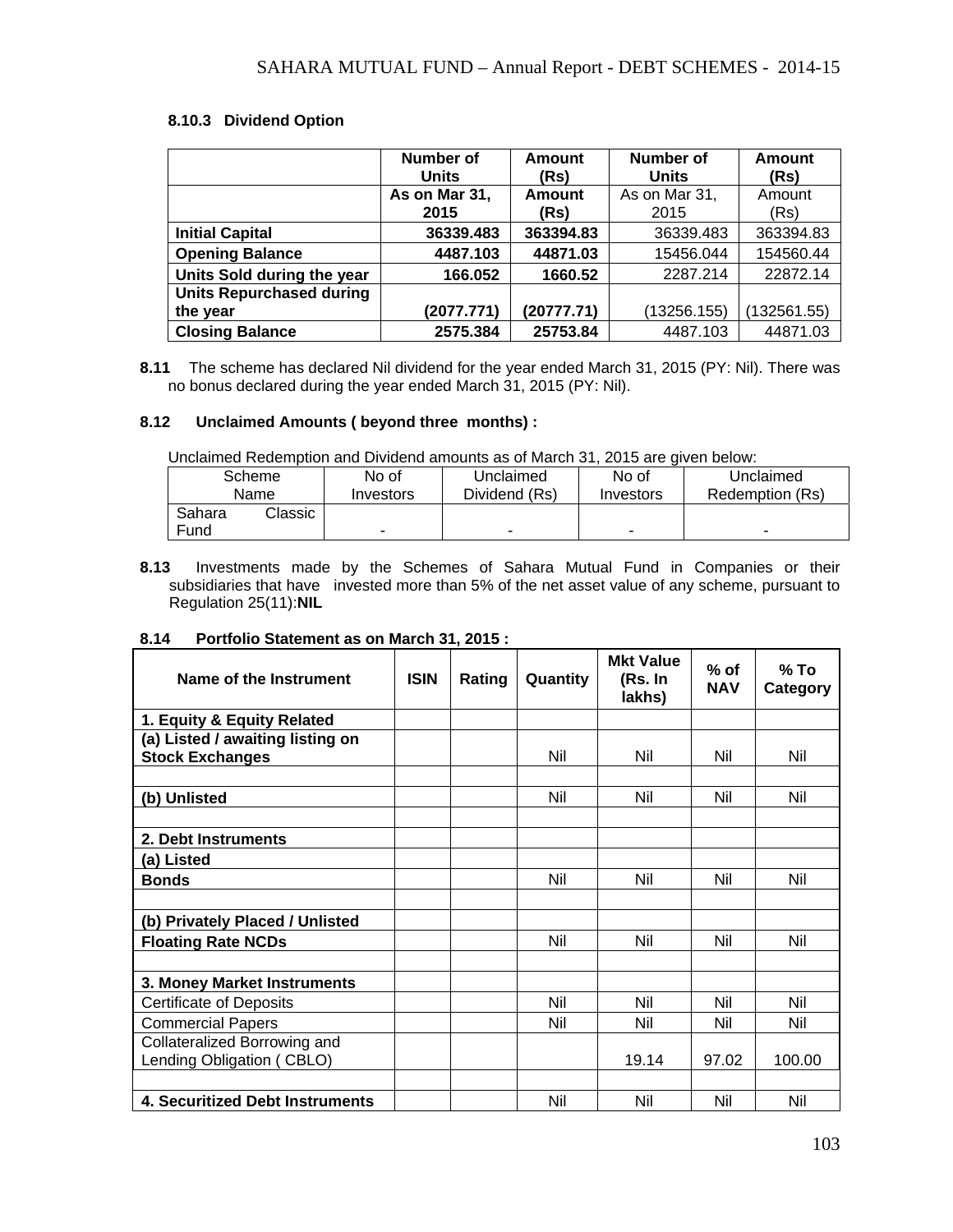## **8.10.3 Dividend Option**

|                                 | Number of<br><b>Units</b> | Amount<br>(Rs) | Number of<br><b>Units</b> | Amount<br>(Rs) |
|---------------------------------|---------------------------|----------------|---------------------------|----------------|
|                                 | As on Mar 31,<br>2015     | Amount<br>(Rs) | As on Mar 31,<br>2015     | Amount<br>(Rs) |
| <b>Initial Capital</b>          | 36339.483                 | 363394.83      | 36339.483                 | 363394.83      |
| <b>Opening Balance</b>          | 4487.103                  | 44871.03       | 15456.044                 | 154560.44      |
| Units Sold during the year      | 166.052                   | 1660.52        | 2287.214                  | 22872.14       |
| <b>Units Repurchased during</b> |                           |                |                           |                |
| the year                        | (2077.771)                | (20777.71)     | (13256.155)               | (132561.55)    |
| <b>Closing Balance</b>          | 2575.384                  | 25753.84       | 4487.103                  | 44871.03       |

**8.11** The scheme has declared Nil dividend for the year ended March 31, 2015 (PY: Nil). There was no bonus declared during the year ended March 31, 2015 (PY: Nil).

## **8.12 Unclaimed Amounts ( beyond three months) :**

Unclaimed Redemption and Dividend amounts as of March 31, 2015 are given below:

|                | Scheme  | No of     | Unclaimed     | No of     | Unclaimed       |
|----------------|---------|-----------|---------------|-----------|-----------------|
|                | Name    | Investors | Dividend (Rs) | Investors | Redemption (Rs) |
| Sahara<br>Fund | Classic | -         | -             | -         |                 |

**8.13** Investments made by the Schemes of Sahara Mutual Fund in Companies or their subsidiaries that have invested more than 5% of the net asset value of any scheme, pursuant to Regulation 25(11):**NIL** 

## **8.14 Portfolio Statement as on March 31, 2015 :**

| Name of the Instrument           | <b>ISIN</b> | Rating | Quantity | <b>Mkt Value</b><br>(Rs. In<br>lakhs) | $%$ of<br><b>NAV</b> | $%$ To<br>Category |
|----------------------------------|-------------|--------|----------|---------------------------------------|----------------------|--------------------|
| 1. Equity & Equity Related       |             |        |          |                                       |                      |                    |
| (a) Listed / awaiting listing on |             |        |          |                                       |                      |                    |
| <b>Stock Exchanges</b>           |             |        | Nil      | Nil                                   | Nil                  | Nil                |
|                                  |             |        |          |                                       |                      |                    |
| (b) Unlisted                     |             |        | Nil      | Nil                                   | Nil                  | Nil                |
|                                  |             |        |          |                                       |                      |                    |
| 2. Debt Instruments              |             |        |          |                                       |                      |                    |
| (a) Listed                       |             |        |          |                                       |                      |                    |
| <b>Bonds</b>                     |             |        | Nil      | Nil                                   | Nil                  | Nil                |
|                                  |             |        |          |                                       |                      |                    |
| (b) Privately Placed / Unlisted  |             |        |          |                                       |                      |                    |
| <b>Floating Rate NCDs</b>        |             |        | Nil      | Nil                                   | Nil                  | Nil                |
|                                  |             |        |          |                                       |                      |                    |
| 3. Money Market Instruments      |             |        |          |                                       |                      |                    |
| Certificate of Deposits          |             |        | Nil      | Nil                                   | Nil                  | Nil                |
| <b>Commercial Papers</b>         |             |        | Nil      | Nil                                   | Nil                  | Nil                |
| Collateralized Borrowing and     |             |        |          |                                       |                      |                    |
| Lending Obligation (CBLO)        |             |        |          | 19.14                                 | 97.02                | 100.00             |
|                                  |             |        |          |                                       |                      |                    |
| 4. Securitized Debt Instruments  |             |        | Nil      | Nil                                   | Nil                  | Nil                |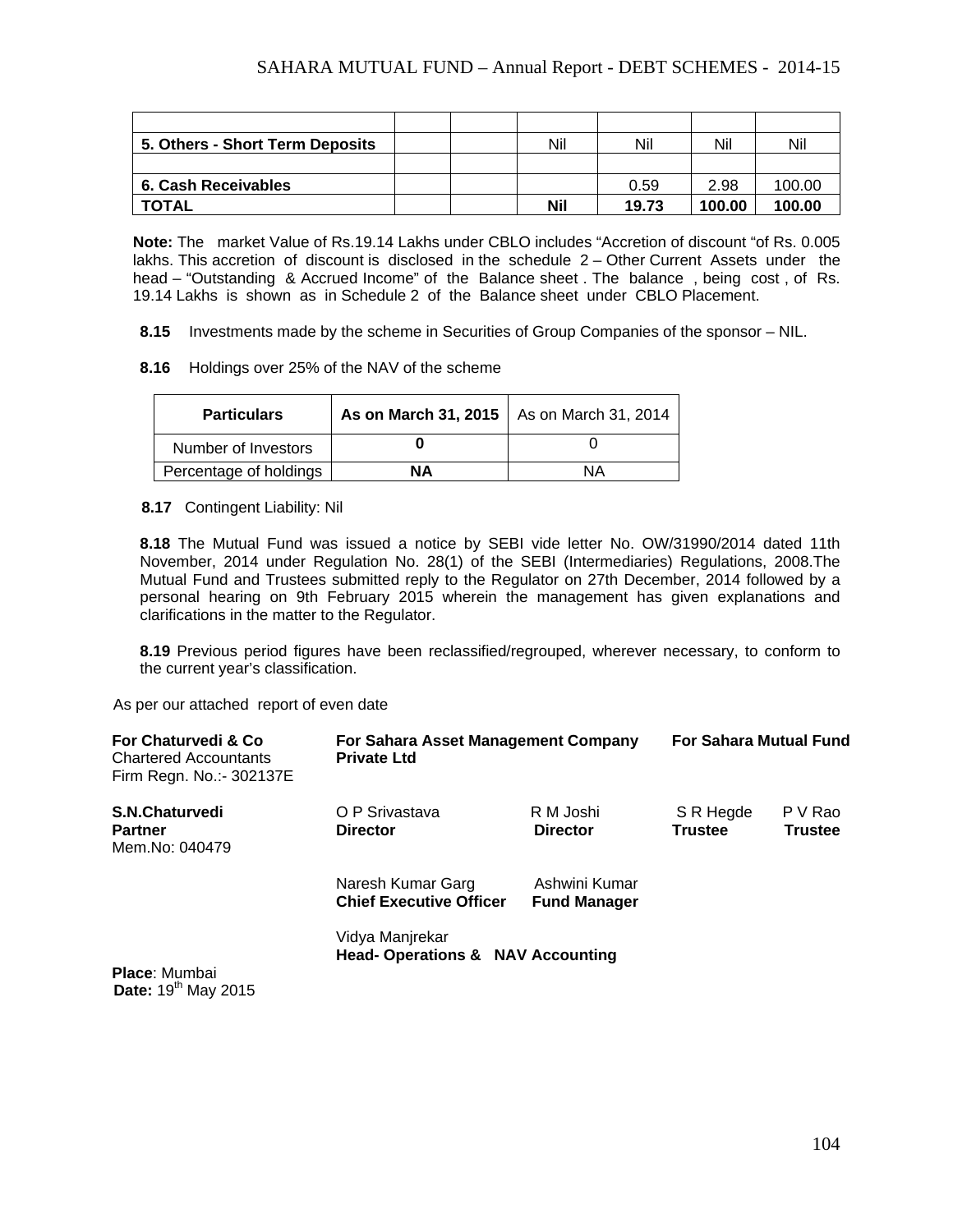| 5. Others - Short Term Deposits |  | Nil        | Nil   | Nil    | Nil    |
|---------------------------------|--|------------|-------|--------|--------|
|                                 |  |            |       |        |        |
| 6. Cash Receivables             |  |            | 0.59  | 2.98   | 100.00 |
| <b>TOTAL</b>                    |  | <b>Nil</b> | 19.73 | 100.00 | 100.00 |

**Note:** The market Value of Rs.19.14 Lakhs under CBLO includes "Accretion of discount "of Rs. 0.005 lakhs. This accretion of discount is disclosed in the schedule 2 – Other Current Assets under the head – "Outstanding & Accrued Income" of the Balance sheet . The balance , being cost , of Rs. 19.14 Lakhs is shown as in Schedule 2 of the Balance sheet under CBLO Placement.

**8.15** Investments made by the scheme in Securities of Group Companies of the sponsor – NIL.

**8.16** Holdings over 25% of the NAV of the scheme

| <b>Particulars</b>     | As on March 31, 2015   As on March 31, 2014 |    |
|------------------------|---------------------------------------------|----|
| Number of Investors    |                                             |    |
| Percentage of holdings | NΔ                                          | NΑ |

 **8.17** Contingent Liability: Nil

**8.18** The Mutual Fund was issued a notice by SEBI vide letter No. OW/31990/2014 dated 11th November, 2014 under Regulation No. 28(1) of the SEBI (Intermediaries) Regulations, 2008.The Mutual Fund and Trustees submitted reply to the Regulator on 27th December, 2014 followed by a personal hearing on 9th February 2015 wherein the management has given explanations and clarifications in the matter to the Regulator.

**8.19** Previous period figures have been reclassified/regrouped, wherever necessary, to conform to the current year's classification.

As per our attached report of even date

| For Chaturvedi & Co.<br><b>Chartered Accountants</b><br>Firm Regn. No.:- 302137E | For Sahara Asset Management Company<br><b>Private Ltd</b>       |                                      | <b>For Sahara Mutual Fund</b> |                           |
|----------------------------------------------------------------------------------|-----------------------------------------------------------------|--------------------------------------|-------------------------------|---------------------------|
| <b>S.N.Chaturvedi</b><br><b>Partner</b><br>Mem.No: 040479                        | O P Srivastava<br><b>Director</b>                               | R M Joshi<br><b>Director</b>         | S R Hegde<br><b>Trustee</b>   | P V Rao<br><b>Trustee</b> |
|                                                                                  | Naresh Kumar Garg<br><b>Chief Executive Officer</b>             | Ashwini Kumar<br><b>Fund Manager</b> |                               |                           |
|                                                                                  | Vidya Manjrekar<br><b>Head- Operations &amp; NAV Accounting</b> |                                      |                               |                           |
| <b>Place: Mumbai</b><br>مدمم بداله بدريم                                         |                                                                 |                                      |                               |                           |

**Date:** 19<sup>th</sup> May 2015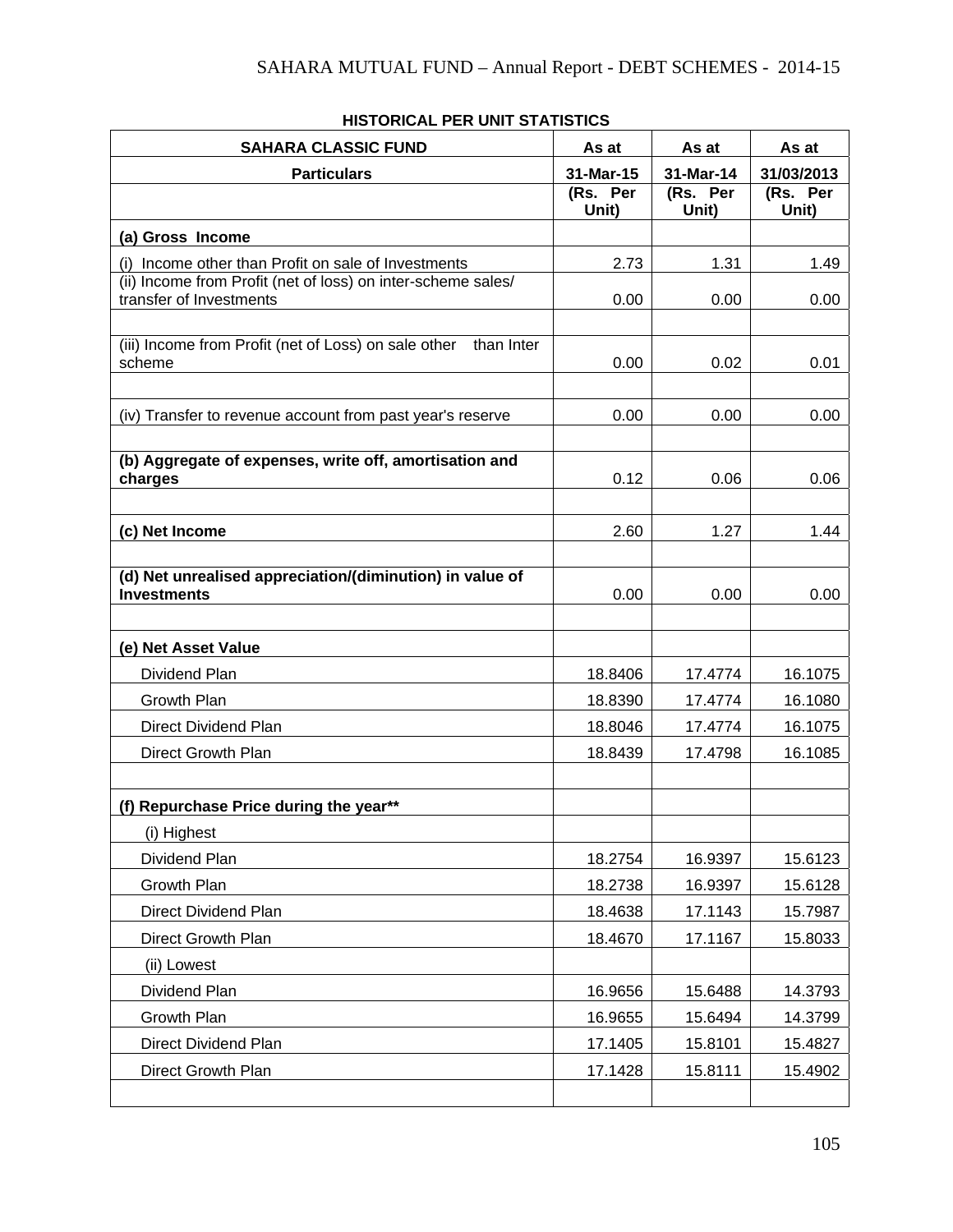| <b>SAHARA CLASSIC FUND</b>                                                              | As at             | As at             | As at             |
|-----------------------------------------------------------------------------------------|-------------------|-------------------|-------------------|
| <b>Particulars</b>                                                                      | 31-Mar-15         | 31-Mar-14         | 31/03/2013        |
|                                                                                         | (Rs. Per<br>Unit) | (Rs. Per<br>Unit) | (Rs. Per<br>Unit) |
| (a) Gross Income                                                                        |                   |                   |                   |
| (i) Income other than Profit on sale of Investments                                     | 2.73              | 1.31              | 1.49              |
| (ii) Income from Profit (net of loss) on inter-scheme sales/<br>transfer of Investments | 0.00              | 0.00              | 0.00              |
|                                                                                         |                   |                   |                   |
| (iii) Income from Profit (net of Loss) on sale other than Inter                         |                   |                   |                   |
| scheme                                                                                  | 0.00              | 0.02              | 0.01              |
|                                                                                         |                   |                   |                   |
| (iv) Transfer to revenue account from past year's reserve                               | 0.00              | 0.00              | 0.00              |
| (b) Aggregate of expenses, write off, amortisation and                                  |                   |                   |                   |
| charges                                                                                 | 0.12              | 0.06              | 0.06              |
|                                                                                         |                   |                   |                   |
| (c) Net Income                                                                          | 2.60              | 1.27              | 1.44              |
|                                                                                         |                   |                   |                   |
| (d) Net unrealised appreciation/(diminution) in value of<br><b>Investments</b>          | 0.00              | 0.00              | 0.00              |
|                                                                                         |                   |                   |                   |
| (e) Net Asset Value                                                                     |                   |                   |                   |
| Dividend Plan                                                                           | 18.8406           | 17.4774           | 16.1075           |
| Growth Plan                                                                             | 18.8390           | 17.4774           | 16.1080           |
| Direct Dividend Plan                                                                    | 18.8046           | 17.4774           | 16.1075           |
| Direct Growth Plan                                                                      | 18.8439           | 17.4798           | 16.1085           |
|                                                                                         |                   |                   |                   |
| (f) Repurchase Price during the year**                                                  |                   |                   |                   |
| (i) Highest                                                                             |                   |                   |                   |
| Dividend Plan                                                                           | 18.2754           | 16.9397           | 15.6123           |
| Growth Plan                                                                             | 18.2738           | 16.9397           | 15.6128           |
| Direct Dividend Plan                                                                    | 18.4638           | 17.1143           | 15.7987           |
| Direct Growth Plan                                                                      | 18.4670           | 17.1167           | 15.8033           |
| (ii) Lowest                                                                             |                   |                   |                   |
| Dividend Plan                                                                           | 16.9656           | 15.6488           | 14.3793           |
| Growth Plan                                                                             | 16.9655           | 15.6494           | 14.3799           |
| Direct Dividend Plan                                                                    | 17.1405           | 15.8101           | 15.4827           |
| Direct Growth Plan                                                                      | 17.1428           | 15.8111           | 15.4902           |
|                                                                                         |                   |                   |                   |

# **HISTORICAL PER UNIT STATISTICS**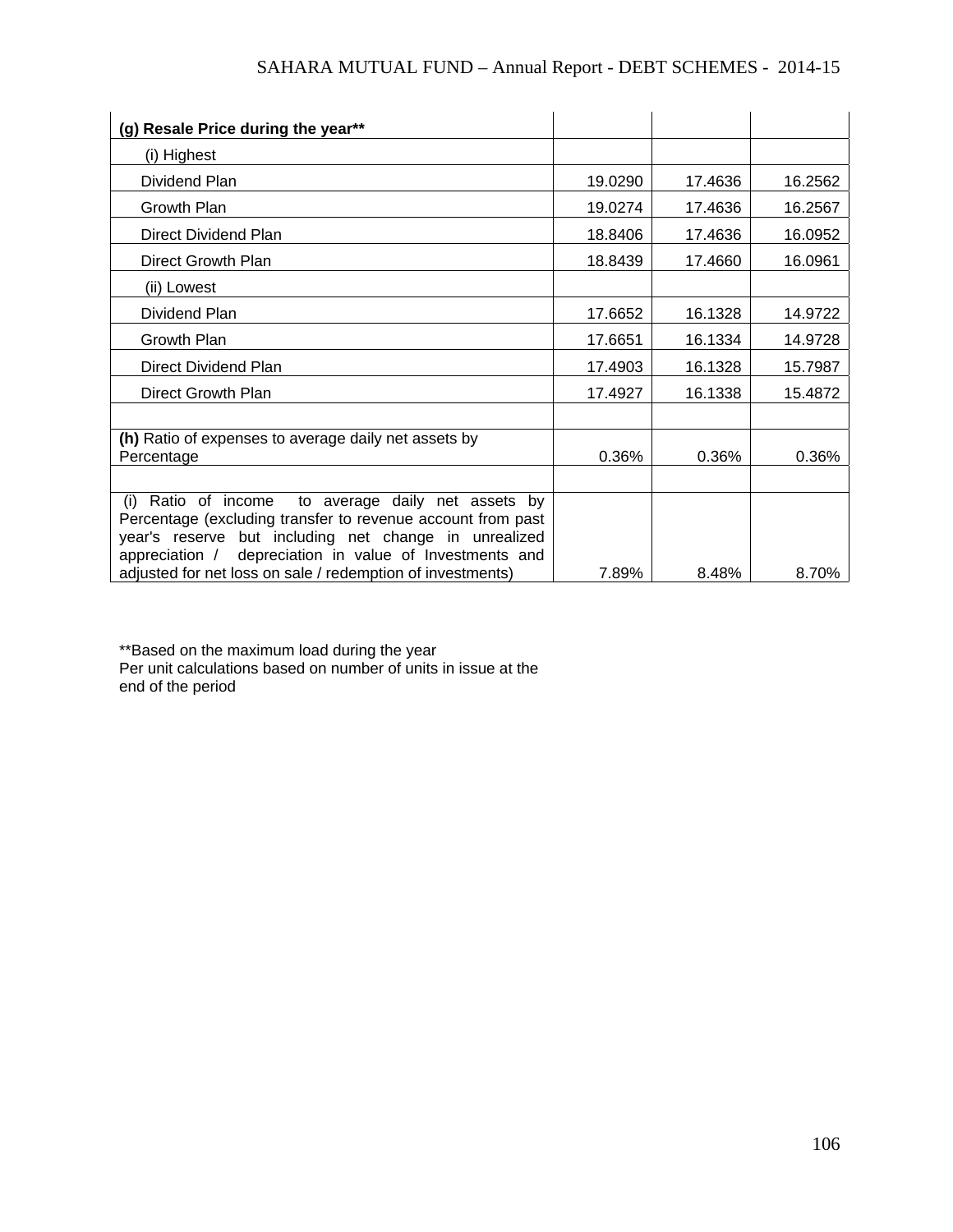| (g) Resale Price during the year**                                                                                                                                                                                                       |         |         |         |
|------------------------------------------------------------------------------------------------------------------------------------------------------------------------------------------------------------------------------------------|---------|---------|---------|
| (i) Highest                                                                                                                                                                                                                              |         |         |         |
| Dividend Plan                                                                                                                                                                                                                            | 19.0290 | 17.4636 | 16.2562 |
| Growth Plan                                                                                                                                                                                                                              | 19.0274 | 17.4636 | 16.2567 |
| Direct Dividend Plan                                                                                                                                                                                                                     | 18.8406 | 17.4636 | 16.0952 |
| Direct Growth Plan                                                                                                                                                                                                                       | 18.8439 | 17.4660 | 16.0961 |
| (ii) Lowest                                                                                                                                                                                                                              |         |         |         |
| Dividend Plan                                                                                                                                                                                                                            | 17.6652 | 16.1328 | 14.9722 |
| Growth Plan                                                                                                                                                                                                                              | 17.6651 | 16.1334 | 14.9728 |
| Direct Dividend Plan                                                                                                                                                                                                                     | 17.4903 | 16.1328 | 15.7987 |
| Direct Growth Plan                                                                                                                                                                                                                       | 17.4927 | 16.1338 | 15.4872 |
|                                                                                                                                                                                                                                          |         |         |         |
| (h) Ratio of expenses to average daily net assets by<br>Percentage                                                                                                                                                                       | 0.36%   | 0.36%   | 0.36%   |
|                                                                                                                                                                                                                                          |         |         |         |
| Ratio of income to average daily net assets by<br>(i)<br>Percentage (excluding transfer to revenue account from past<br>year's reserve but including net change in unrealized<br>appreciation / depreciation in value of Investments and |         |         |         |
| adjusted for net loss on sale / redemption of investments)                                                                                                                                                                               | 7.89%   | 8.48%   | 8.70%   |

\*\*Based on the maximum load during the year Per unit calculations based on number of units in issue at the end of the period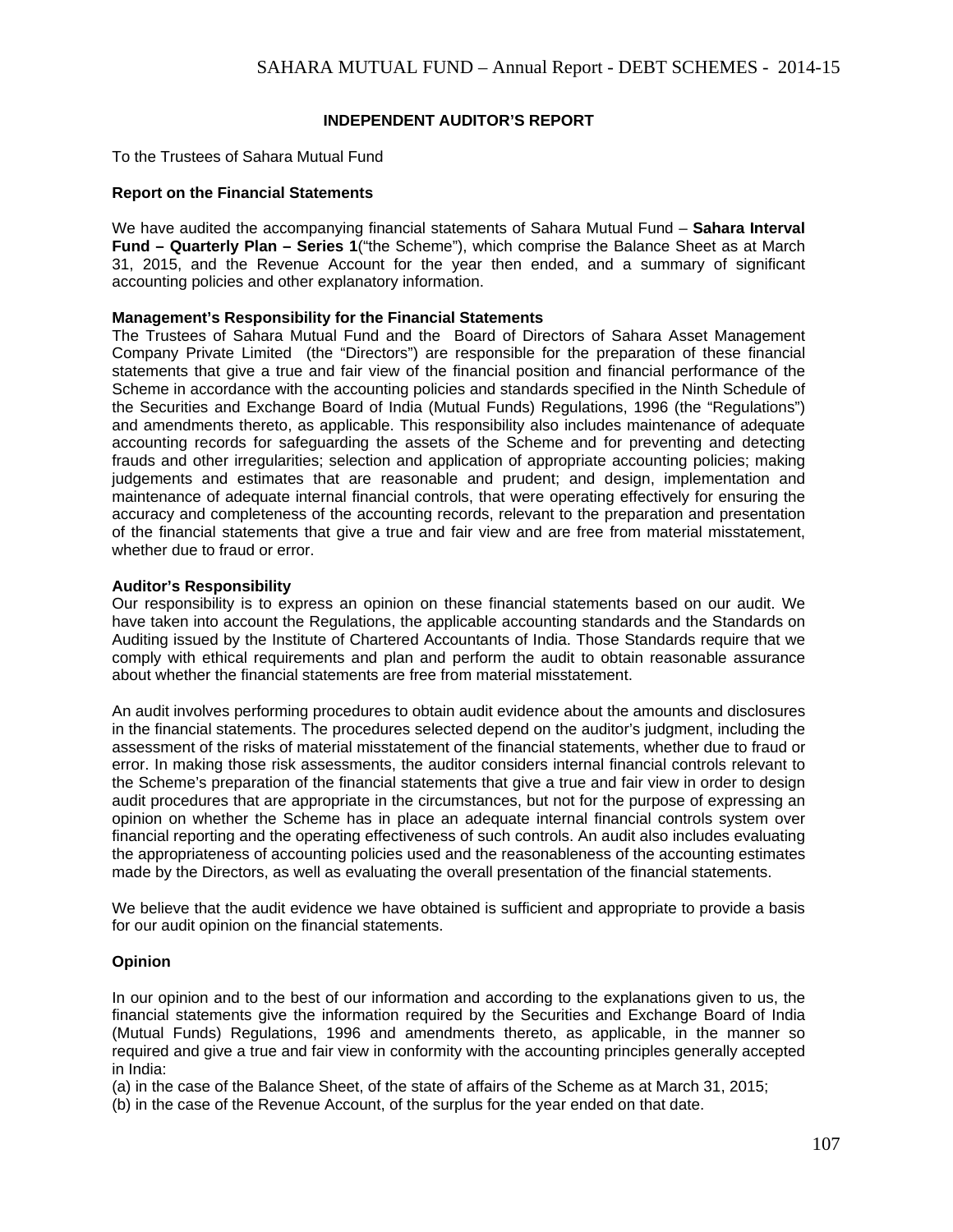## **INDEPENDENT AUDITOR'S REPORT**

To the Trustees of Sahara Mutual Fund

#### **Report on the Financial Statements**

We have audited the accompanying financial statements of Sahara Mutual Fund – **Sahara Interval Fund – Quarterly Plan – Series 1**("the Scheme"), which comprise the Balance Sheet as at March 31, 2015, and the Revenue Account for the year then ended, and a summary of significant accounting policies and other explanatory information.

## **Management's Responsibility for the Financial Statements**

The Trustees of Sahara Mutual Fund and the Board of Directors of Sahara Asset Management Company Private Limited (the "Directors") are responsible for the preparation of these financial statements that give a true and fair view of the financial position and financial performance of the Scheme in accordance with the accounting policies and standards specified in the Ninth Schedule of the Securities and Exchange Board of India (Mutual Funds) Regulations, 1996 (the "Regulations") and amendments thereto, as applicable. This responsibility also includes maintenance of adequate accounting records for safeguarding the assets of the Scheme and for preventing and detecting frauds and other irregularities; selection and application of appropriate accounting policies; making judgements and estimates that are reasonable and prudent; and design, implementation and maintenance of adequate internal financial controls, that were operating effectively for ensuring the accuracy and completeness of the accounting records, relevant to the preparation and presentation of the financial statements that give a true and fair view and are free from material misstatement, whether due to fraud or error.

#### **Auditor's Responsibility**

Our responsibility is to express an opinion on these financial statements based on our audit. We have taken into account the Regulations, the applicable accounting standards and the Standards on Auditing issued by the Institute of Chartered Accountants of India. Those Standards require that we comply with ethical requirements and plan and perform the audit to obtain reasonable assurance about whether the financial statements are free from material misstatement.

An audit involves performing procedures to obtain audit evidence about the amounts and disclosures in the financial statements. The procedures selected depend on the auditor's judgment, including the assessment of the risks of material misstatement of the financial statements, whether due to fraud or error. In making those risk assessments, the auditor considers internal financial controls relevant to the Scheme's preparation of the financial statements that give a true and fair view in order to design audit procedures that are appropriate in the circumstances, but not for the purpose of expressing an opinion on whether the Scheme has in place an adequate internal financial controls system over financial reporting and the operating effectiveness of such controls. An audit also includes evaluating the appropriateness of accounting policies used and the reasonableness of the accounting estimates made by the Directors, as well as evaluating the overall presentation of the financial statements.

We believe that the audit evidence we have obtained is sufficient and appropriate to provide a basis for our audit opinion on the financial statements.

#### **Opinion**

In our opinion and to the best of our information and according to the explanations given to us, the financial statements give the information required by the Securities and Exchange Board of India (Mutual Funds) Regulations, 1996 and amendments thereto, as applicable, in the manner so required and give a true and fair view in conformity with the accounting principles generally accepted in India:

(a) in the case of the Balance Sheet, of the state of affairs of the Scheme as at March 31, 2015;

(b) in the case of the Revenue Account, of the surplus for the year ended on that date.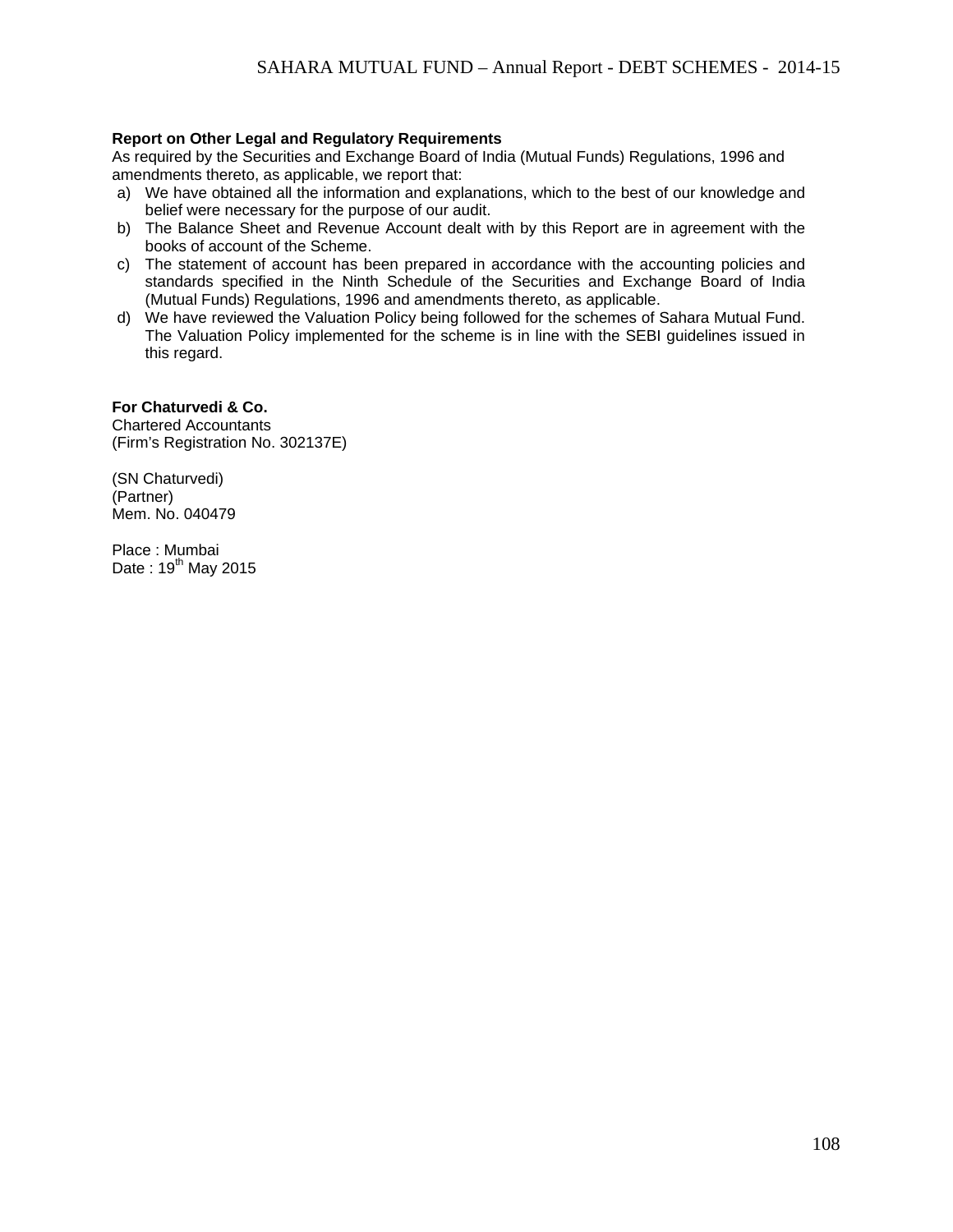## **Report on Other Legal and Regulatory Requirements**

As required by the Securities and Exchange Board of India (Mutual Funds) Regulations, 1996 and amendments thereto, as applicable, we report that:

- a) We have obtained all the information and explanations, which to the best of our knowledge and belief were necessary for the purpose of our audit.
- b) The Balance Sheet and Revenue Account dealt with by this Report are in agreement with the books of account of the Scheme.
- c) The statement of account has been prepared in accordance with the accounting policies and standards specified in the Ninth Schedule of the Securities and Exchange Board of India (Mutual Funds) Regulations, 1996 and amendments thereto, as applicable.
- d) We have reviewed the Valuation Policy being followed for the schemes of Sahara Mutual Fund. The Valuation Policy implemented for the scheme is in line with the SEBI guidelines issued in this regard.

## **For Chaturvedi & Co.**

Chartered Accountants (Firm's Registration No. 302137E)

(SN Chaturvedi) (Partner) Mem. No. 040479

Place : Mumbai Date:  $19^{th}$  May 2015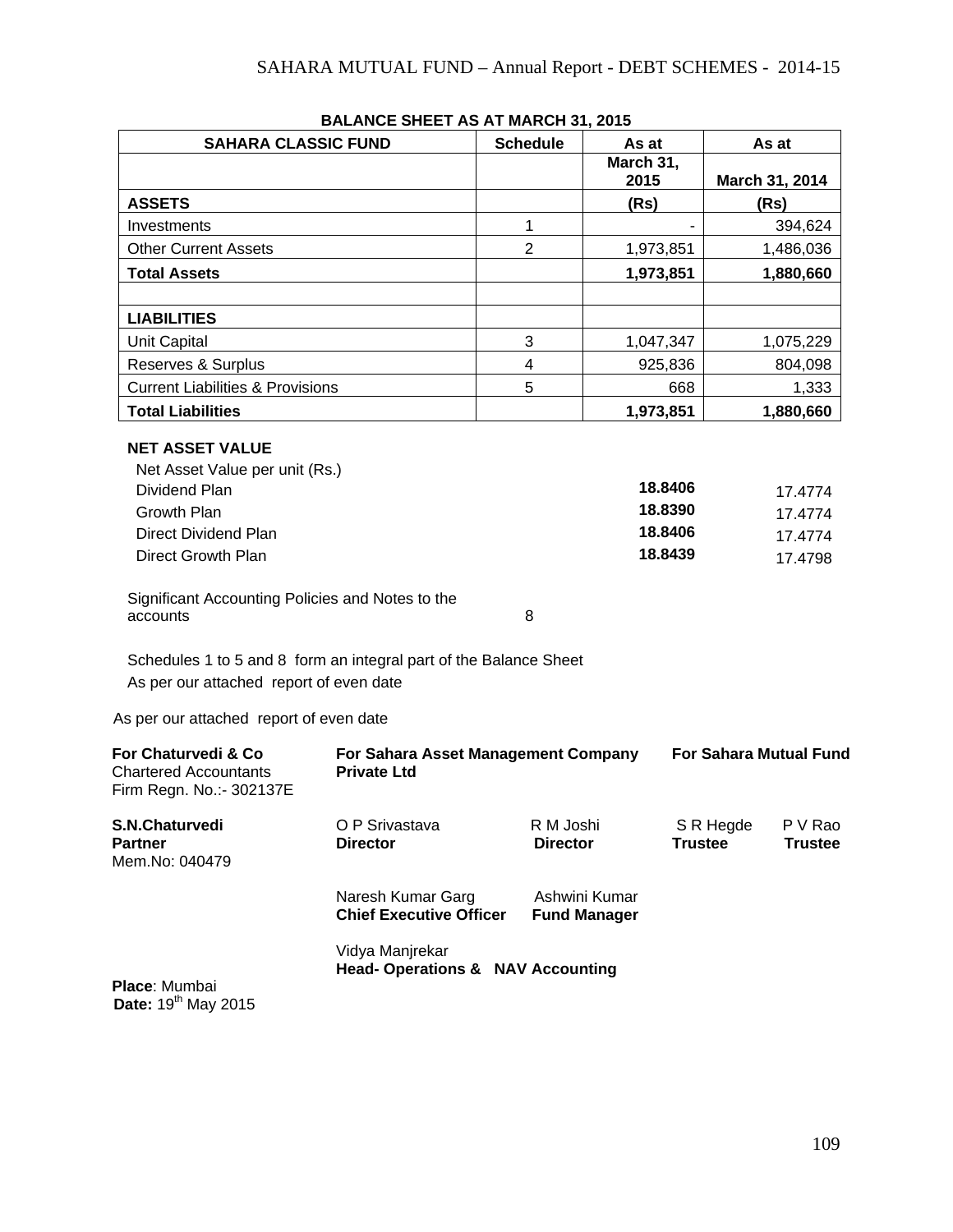|                                                                                                                                                                                                                                                                                      | <b>BALANCE SHEET AS AT MARCH 31, 2015</b>                       |                              |                                      |                                        |
|--------------------------------------------------------------------------------------------------------------------------------------------------------------------------------------------------------------------------------------------------------------------------------------|-----------------------------------------------------------------|------------------------------|--------------------------------------|----------------------------------------|
| <b>SAHARA CLASSIC FUND</b>                                                                                                                                                                                                                                                           |                                                                 | <b>Schedule</b>              | As at<br>March 31,<br>2015           | As at<br>March 31, 2014                |
| <b>ASSETS</b>                                                                                                                                                                                                                                                                        |                                                                 |                              | (Rs)                                 | (Rs)                                   |
| Investments                                                                                                                                                                                                                                                                          |                                                                 | 1                            |                                      | 394,624                                |
| <b>Other Current Assets</b>                                                                                                                                                                                                                                                          |                                                                 | 2                            | 1,973,851                            | 1,486,036                              |
| <b>Total Assets</b>                                                                                                                                                                                                                                                                  |                                                                 |                              | 1,973,851                            | 1,880,660                              |
| <b>LIABILITIES</b>                                                                                                                                                                                                                                                                   |                                                                 |                              |                                      |                                        |
| Unit Capital                                                                                                                                                                                                                                                                         |                                                                 | 3                            | 1,047,347                            | 1,075,229                              |
| Reserves & Surplus                                                                                                                                                                                                                                                                   |                                                                 | 4                            | 925,836                              | 804,098                                |
| <b>Current Liabilities &amp; Provisions</b>                                                                                                                                                                                                                                          |                                                                 | 5                            | 668                                  | 1,333                                  |
| <b>Total Liabilities</b>                                                                                                                                                                                                                                                             |                                                                 |                              | 1,973,851                            | 1,880,660                              |
| Growth Plan<br>Direct Dividend Plan<br>Direct Growth Plan<br>Significant Accounting Policies and Notes to the<br>accounts<br>Schedules 1 to 5 and 8 form an integral part of the Balance Sheet<br>As per our attached report of even date<br>As per our attached report of even date |                                                                 | 8                            | 18.8406<br>18.8439                   | 17.4774<br>17.4774<br>17.4798          |
| For Chaturvedi & Co<br><b>Chartered Accountants</b><br>Firm Regn. No.:- 302137E                                                                                                                                                                                                      | For Sahara Asset Management Company<br><b>Private Ltd</b>       |                              |                                      | <b>For Sahara Mutual Fund</b>          |
| S.N.Chaturvedi<br><b>Partner</b><br>Mem.No: 040479                                                                                                                                                                                                                                   | O P Srivastava<br><b>Director</b>                               | R M Joshi<br><b>Director</b> | <b>Trustee</b>                       | S R Hegde<br>P V Rao<br><b>Trustee</b> |
|                                                                                                                                                                                                                                                                                      | Naresh Kumar Garg<br><b>Chief Executive Officer</b>             |                              | Ashwini Kumar<br><b>Fund Manager</b> |                                        |
|                                                                                                                                                                                                                                                                                      | Vidya Manjrekar<br><b>Head- Operations &amp; NAV Accounting</b> |                              |                                      |                                        |

**Place**: Mumbai **Date:** 19<sup>th</sup> May 2015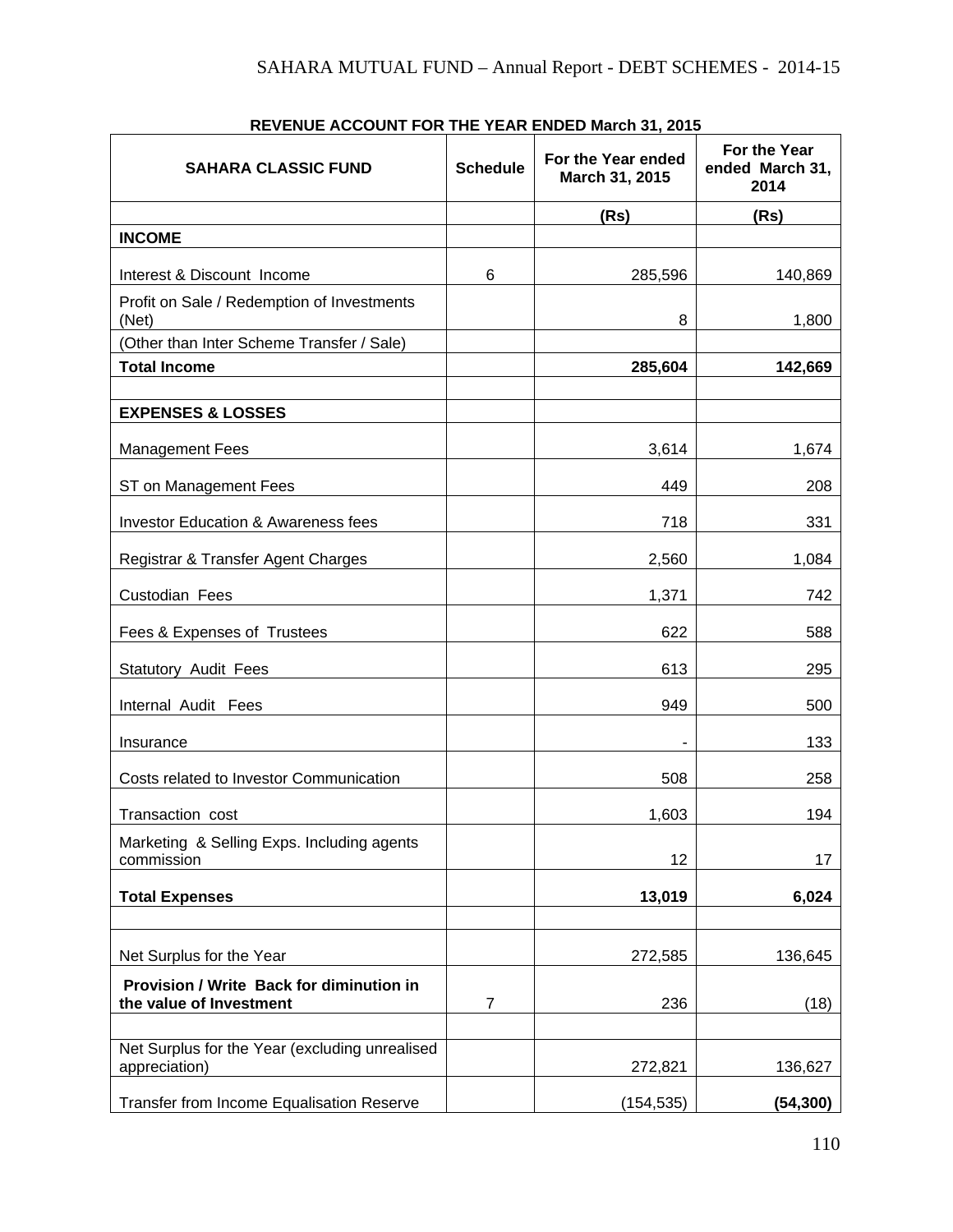| <b>SAHARA CLASSIC FUND</b>                                                 | <b>Schedule</b> | For the Year ended<br>March 31, 2015 | For the Year<br>ended March 31,<br>2014 |
|----------------------------------------------------------------------------|-----------------|--------------------------------------|-----------------------------------------|
|                                                                            |                 | (Rs)                                 | (Rs)                                    |
| <b>INCOME</b>                                                              |                 |                                      |                                         |
| Interest & Discount Income                                                 | 6               | 285,596                              | 140,869                                 |
| Profit on Sale / Redemption of Investments<br>(Net)                        |                 | 8                                    | 1,800                                   |
| Other than Inter Scheme Transfer / Sale)                                   |                 |                                      |                                         |
| <b>Total Income</b>                                                        |                 | 285,604                              | 142,669                                 |
|                                                                            |                 |                                      |                                         |
| <b>EXPENSES &amp; LOSSES</b>                                               |                 |                                      |                                         |
| <b>Management Fees</b>                                                     |                 | 3,614                                | 1,674                                   |
| ST on Management Fees                                                      |                 | 449                                  | 208                                     |
| <b>Investor Education &amp; Awareness fees</b>                             |                 | 718                                  | 331                                     |
| Registrar & Transfer Agent Charges                                         |                 | 2,560                                | 1,084                                   |
| Custodian Fees                                                             |                 | 1,371                                | 742                                     |
| Fees & Expenses of Trustees                                                |                 | 622                                  | 588                                     |
| Statutory Audit Fees                                                       |                 | 613                                  | 295                                     |
| Internal Audit Fees                                                        |                 | 949                                  | 500                                     |
| Insurance                                                                  |                 |                                      | 133                                     |
| Costs related to Investor Communication                                    |                 | 508                                  | 258                                     |
| Transaction cost                                                           |                 | 1,603                                | 194                                     |
| Marketing & Selling Exps. Including agents<br>commission                   |                 | 12                                   | 17                                      |
| <b>Total Expenses</b>                                                      |                 | 13,019                               | 6,024                                   |
|                                                                            |                 |                                      |                                         |
| Net Surplus for the Year                                                   |                 | 272,585                              | 136,645                                 |
| <b>Provision / Write Back for diminution in</b><br>the value of Investment | $\overline{7}$  | 236                                  | (18)                                    |
|                                                                            |                 |                                      |                                         |
| Net Surplus for the Year (excluding unrealised<br>appreciation)            |                 | 272,821                              | 136,627                                 |
| Transfer from Income Equalisation Reserve                                  |                 | (154, 535)                           | (54, 300)                               |

| <b>REVENUE ACCOUNT FOR THE YEAR ENDED March 31, 2015</b> |  |  |  |  |
|----------------------------------------------------------|--|--|--|--|
|                                                          |  |  |  |  |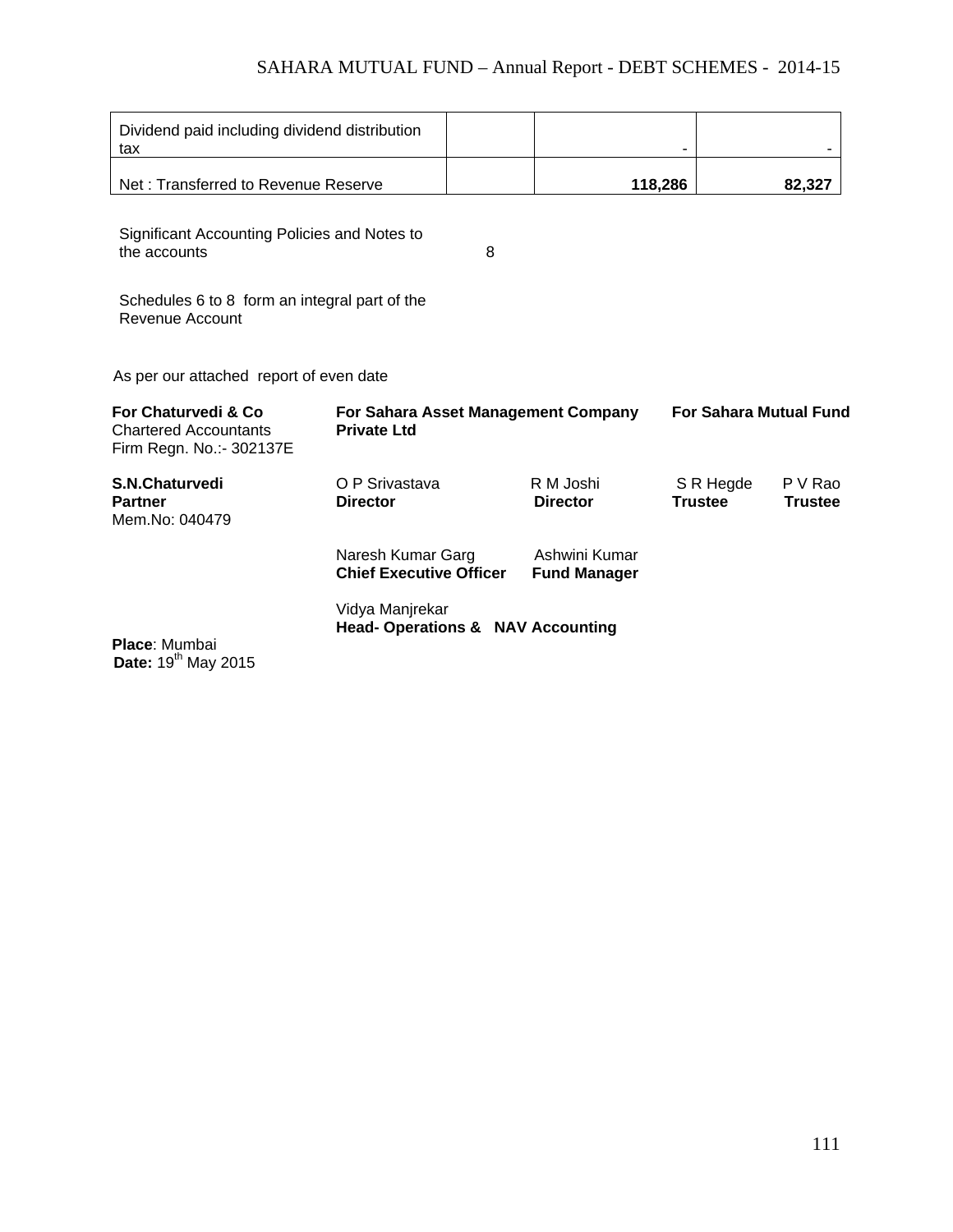# SAHARA MUTUAL FUND – Annual Report - DEBT SCHEMES - 2014-15

| Dividend paid including dividend distribution<br>tax                             |                                                                 |                                      |                             |                               |
|----------------------------------------------------------------------------------|-----------------------------------------------------------------|--------------------------------------|-----------------------------|-------------------------------|
| Net: Transferred to Revenue Reserve                                              |                                                                 |                                      | 118,286                     | 82,327                        |
| Significant Accounting Policies and Notes to<br>the accounts                     | 8                                                               |                                      |                             |                               |
| Schedules 6 to 8 form an integral part of the<br>Revenue Account                 |                                                                 |                                      |                             |                               |
| As per our attached report of even date                                          |                                                                 |                                      |                             |                               |
| For Chaturvedi & Co.<br><b>Chartered Accountants</b><br>Firm Regn. No.:- 302137E | For Sahara Asset Management Company<br><b>Private Ltd</b>       |                                      |                             | <b>For Sahara Mutual Fund</b> |
| S.N.Chaturvedi<br><b>Partner</b><br>Mem.No: 040479                               | O P Srivastava<br><b>Director</b>                               | R M Joshi<br><b>Director</b>         | S R Hegde<br><b>Trustee</b> | P V Rao<br><b>Trustee</b>     |
|                                                                                  | Naresh Kumar Garg<br><b>Chief Executive Officer</b>             | Ashwini Kumar<br><b>Fund Manager</b> |                             |                               |
| <b>Place:</b> Mumbai<br>$\sim$ th $\sim$ $\sim$                                  | Vidya Manjrekar<br><b>Head- Operations &amp; NAV Accounting</b> |                                      |                             |                               |

**Date:** 19<sup>th</sup> May 2015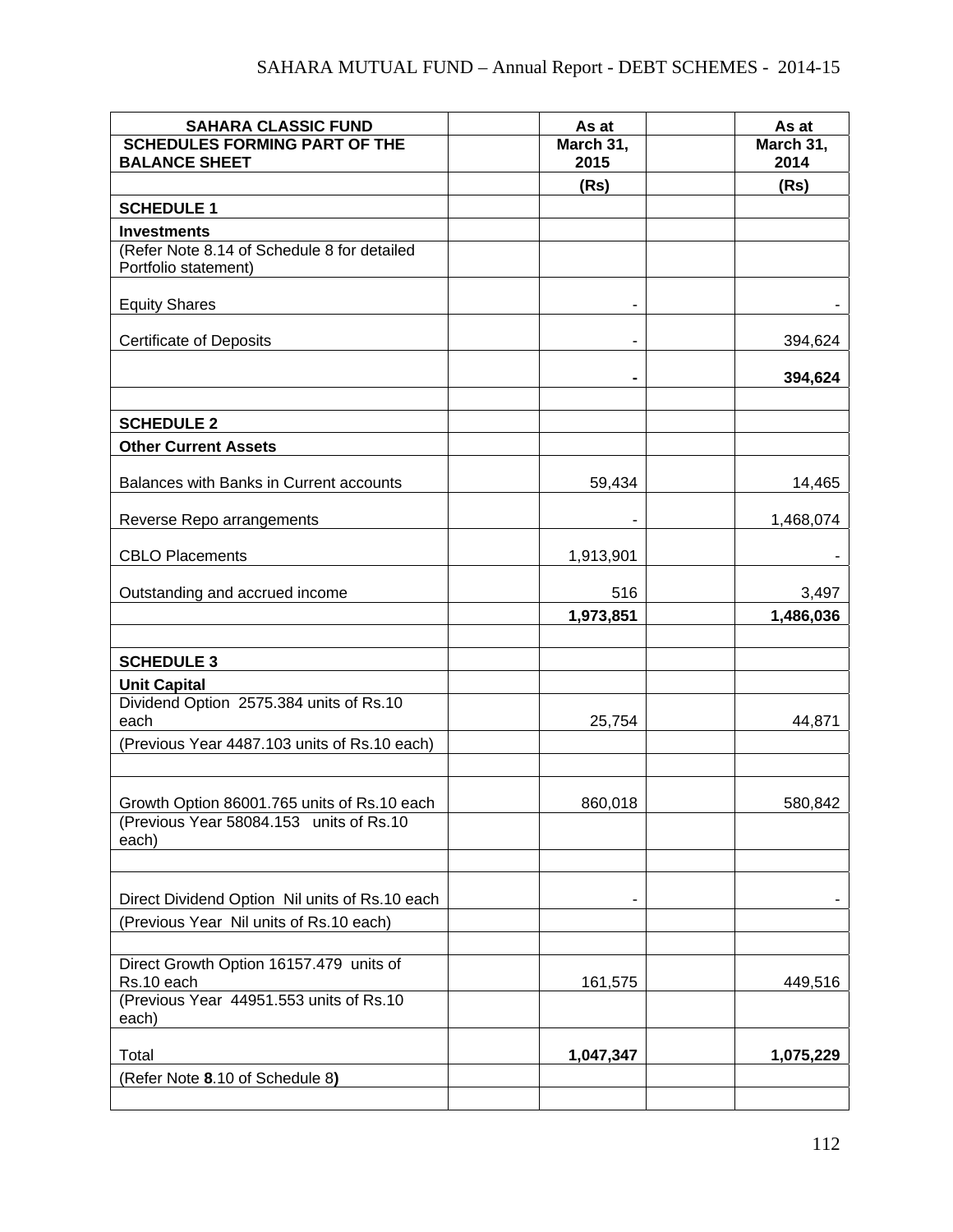| <b>SAHARA CLASSIC FUND</b>                            | As at     | As at     |
|-------------------------------------------------------|-----------|-----------|
| <b>SCHEDULES FORMING PART OF THE</b>                  | March 31, | March 31, |
| <b>BALANCE SHEET</b>                                  | 2015      | 2014      |
|                                                       | (Rs)      | (Rs)      |
| <b>SCHEDULE 1</b>                                     |           |           |
| <b>Investments</b>                                    |           |           |
| (Refer Note 8.14 of Schedule 8 for detailed           |           |           |
| Portfolio statement)                                  |           |           |
| <b>Equity Shares</b>                                  |           |           |
| <b>Certificate of Deposits</b>                        |           | 394,624   |
|                                                       |           |           |
|                                                       |           | 394,624   |
|                                                       |           |           |
| <b>SCHEDULE 2</b>                                     |           |           |
| <b>Other Current Assets</b>                           |           |           |
| Balances with Banks in Current accounts               | 59,434    | 14,465    |
| Reverse Repo arrangements                             |           | 1,468,074 |
| <b>CBLO Placements</b>                                | 1,913,901 |           |
| Outstanding and accrued income                        | 516       | 3,497     |
|                                                       | 1,973,851 | 1,486,036 |
|                                                       |           |           |
| <b>SCHEDULE 3</b>                                     |           |           |
| <b>Unit Capital</b>                                   |           |           |
| Dividend Option 2575.384 units of Rs.10               |           |           |
| each                                                  | 25,754    | 44,871    |
| (Previous Year 4487.103 units of Rs.10 each)          |           |           |
|                                                       |           |           |
|                                                       |           |           |
| Growth Option 86001.765 units of Rs.10 each           | 860,018   | 580,842   |
| (Previous Year 58084.153 units of Rs.10<br>each)      |           |           |
|                                                       |           |           |
|                                                       |           |           |
| Direct Dividend Option Nil units of Rs.10 each        |           |           |
| (Previous Year Nil units of Rs.10 each)               |           |           |
|                                                       |           |           |
| Direct Growth Option 16157.479 units of<br>Rs.10 each | 161,575   | 449,516   |
| (Previous Year 44951.553 units of Rs.10<br>each)      |           |           |
| Total                                                 | 1,047,347 | 1,075,229 |
| (Refer Note 8.10 of Schedule 8)                       |           |           |
|                                                       |           |           |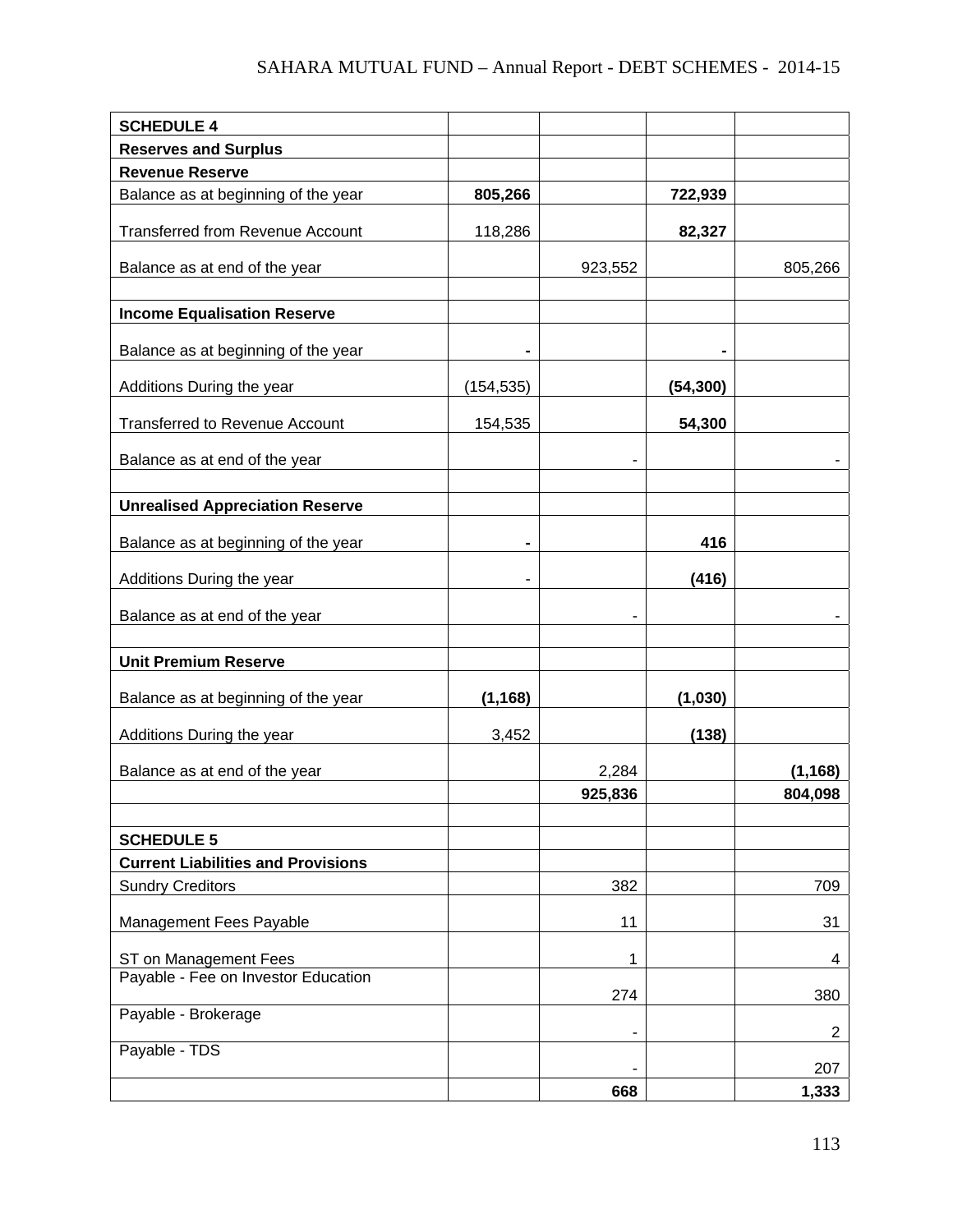| <b>SCHEDULE 4</b>                         |            |         |           |                |
|-------------------------------------------|------------|---------|-----------|----------------|
| <b>Reserves and Surplus</b>               |            |         |           |                |
| <b>Revenue Reserve</b>                    |            |         |           |                |
| Balance as at beginning of the year       | 805,266    |         | 722,939   |                |
| <b>Transferred from Revenue Account</b>   | 118,286    |         | 82,327    |                |
| Balance as at end of the year             |            | 923,552 |           | 805,266        |
| <b>Income Equalisation Reserve</b>        |            |         |           |                |
| Balance as at beginning of the year       |            |         |           |                |
| Additions During the year                 | (154, 535) |         | (54, 300) |                |
| <b>Transferred to Revenue Account</b>     | 154,535    |         | 54,300    |                |
| Balance as at end of the year             |            |         |           |                |
| <b>Unrealised Appreciation Reserve</b>    |            |         |           |                |
| Balance as at beginning of the year       | -          |         | 416       |                |
| Additions During the year                 | -          |         | (416)     |                |
| Balance as at end of the year             |            |         |           |                |
| <b>Unit Premium Reserve</b>               |            |         |           |                |
| Balance as at beginning of the year       | (1, 168)   |         | (1,030)   |                |
| Additions During the year                 | 3,452      |         | (138)     |                |
| Balance as at end of the year             |            | 2,284   |           | (1, 168)       |
|                                           |            | 925,836 |           | 804,098        |
| <b>SCHEDULE 5</b>                         |            |         |           |                |
| <b>Current Liabilities and Provisions</b> |            |         |           |                |
| <b>Sundry Creditors</b>                   |            | 382     |           | 709            |
| Management Fees Payable                   |            | 11      |           | 31             |
| ST on Management Fees                     |            | 1       |           | 4              |
| Payable - Fee on Investor Education       |            | 274     |           | 380            |
| Payable - Brokerage                       |            |         |           | $\overline{c}$ |
| Payable - TDS                             |            |         |           | 207            |
|                                           |            | 668     |           | 1,333          |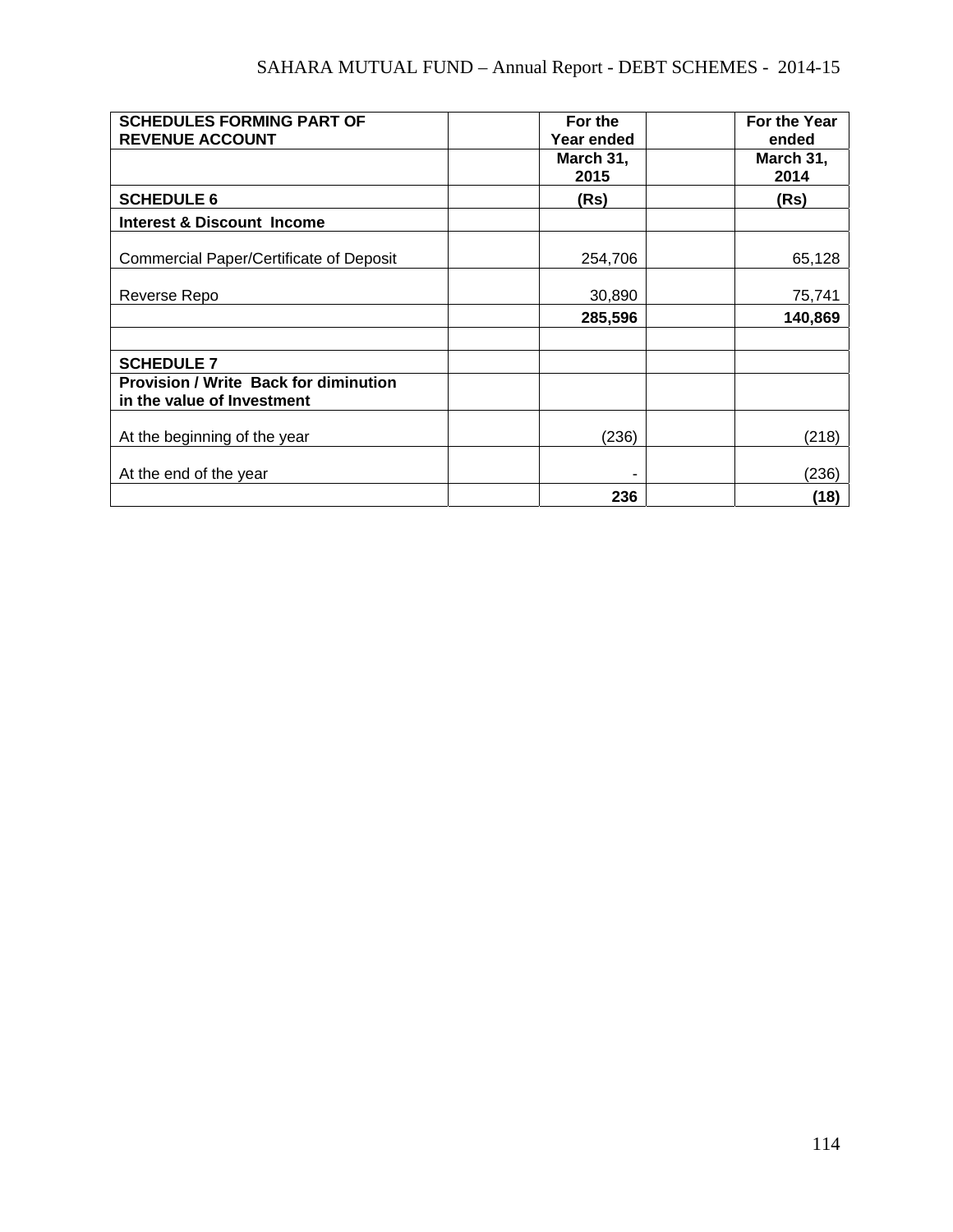| <b>SCHEDULES FORMING PART OF</b>                                           | For the                         | For the Year               |
|----------------------------------------------------------------------------|---------------------------------|----------------------------|
| <b>REVENUE ACCOUNT</b>                                                     | Year ended<br>March 31,<br>2015 | ended<br>March 31,<br>2014 |
| <b>SCHEDULE 6</b>                                                          | (Rs)                            | (Rs)                       |
| <b>Interest &amp; Discount Income</b>                                      |                                 |                            |
| <b>Commercial Paper/Certificate of Deposit</b>                             | 254,706                         | 65,128                     |
| Reverse Repo                                                               | 30,890                          | 75,741                     |
|                                                                            | 285,596                         | 140,869                    |
|                                                                            |                                 |                            |
| <b>SCHEDULE 7</b>                                                          |                                 |                            |
| <b>Provision / Write Back for diminution</b><br>in the value of Investment |                                 |                            |
| At the beginning of the year                                               | (236)                           | (218)                      |
| At the end of the year                                                     |                                 | (236)                      |
|                                                                            | 236                             | (18)                       |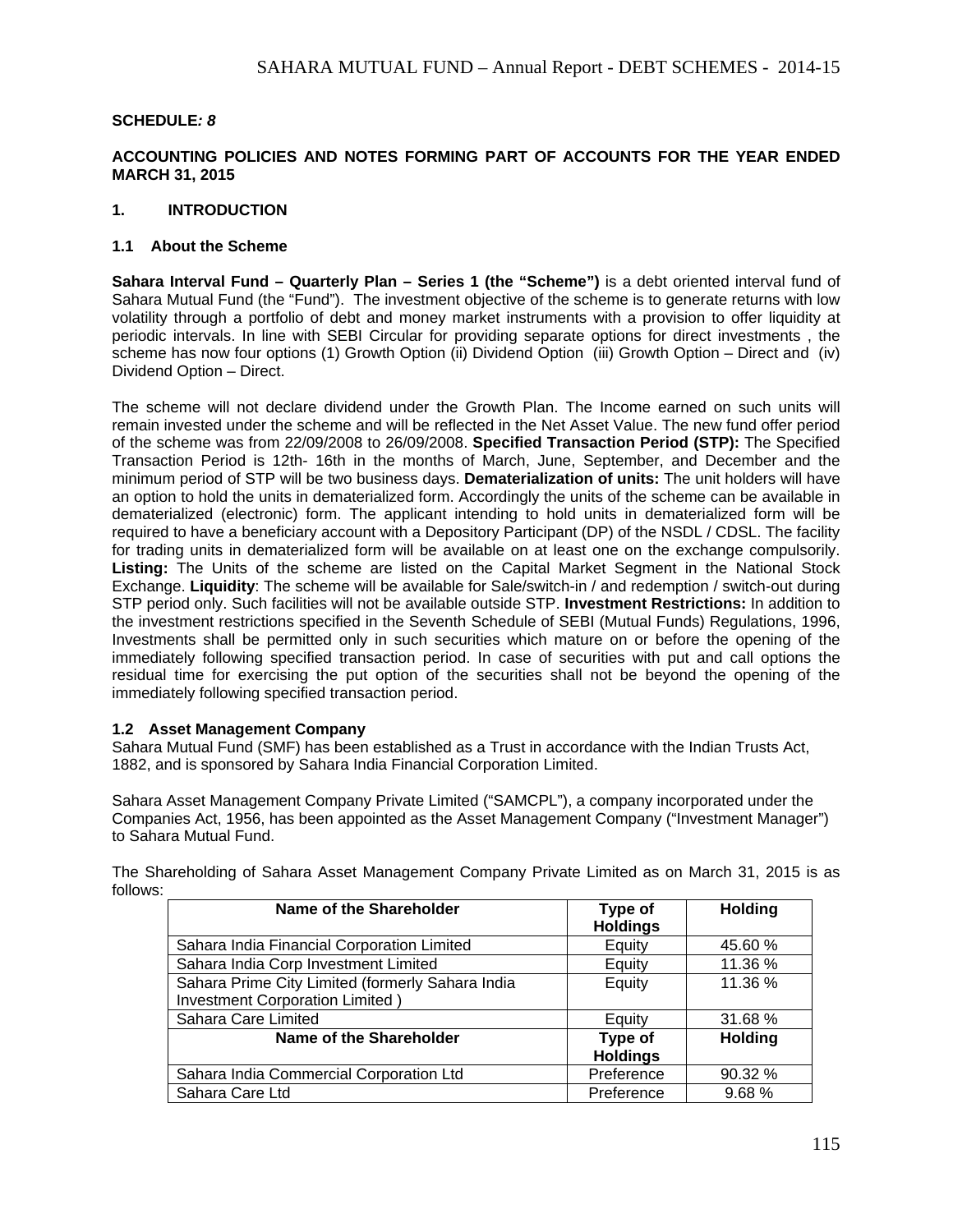## **SCHEDULE***: 8*

**ACCOUNTING POLICIES AND NOTES FORMING PART OF ACCOUNTS FOR THE YEAR ENDED MARCH 31, 2015** 

## **1. INTRODUCTION**

### **1.1 About the Scheme**

**Sahara Interval Fund – Quarterly Plan – Series 1 (the "Scheme")** is a debt oriented interval fund of Sahara Mutual Fund (the "Fund"). The investment objective of the scheme is to generate returns with low volatility through a portfolio of debt and money market instruments with a provision to offer liquidity at periodic intervals. In line with SEBI Circular for providing separate options for direct investments , the scheme has now four options (1) Growth Option (ii) Dividend Option (iii) Growth Option – Direct and (iv) Dividend Option – Direct.

The scheme will not declare dividend under the Growth Plan. The Income earned on such units will remain invested under the scheme and will be reflected in the Net Asset Value. The new fund offer period of the scheme was from 22/09/2008 to 26/09/2008. **Specified Transaction Period (STP):** The Specified Transaction Period is 12th- 16th in the months of March, June, September, and December and the minimum period of STP will be two business days. **Dematerialization of units:** The unit holders will have an option to hold the units in dematerialized form. Accordingly the units of the scheme can be available in dematerialized (electronic) form. The applicant intending to hold units in dematerialized form will be required to have a beneficiary account with a Depository Participant (DP) of the NSDL / CDSL. The facility for trading units in dematerialized form will be available on at least one on the exchange compulsorily. **Listing:** The Units of the scheme are listed on the Capital Market Segment in the National Stock Exchange. **Liquidity**: The scheme will be available for Sale/switch-in / and redemption / switch-out during STP period only. Such facilities will not be available outside STP. **Investment Restrictions:** In addition to the investment restrictions specified in the Seventh Schedule of SEBI (Mutual Funds) Regulations, 1996, Investments shall be permitted only in such securities which mature on or before the opening of the immediately following specified transaction period. In case of securities with put and call options the residual time for exercising the put option of the securities shall not be beyond the opening of the immediately following specified transaction period.

### **1.2 Asset Management Company**

Sahara Mutual Fund (SMF) has been established as a Trust in accordance with the Indian Trusts Act, 1882, and is sponsored by Sahara India Financial Corporation Limited.

Sahara Asset Management Company Private Limited ("SAMCPL"), a company incorporated under the Companies Act, 1956, has been appointed as the Asset Management Company ("Investment Manager") to Sahara Mutual Fund.

| Name of the Shareholder                          | Type of         | <b>Holding</b> |
|--------------------------------------------------|-----------------|----------------|
|                                                  | <b>Holdings</b> |                |
| Sahara India Financial Corporation Limited       | Equity          | 45.60 %        |
| Sahara India Corp Investment Limited             | Equity          | 11.36 %        |
| Sahara Prime City Limited (formerly Sahara India | Equity          | 11.36 %        |
| Investment Corporation Limited)                  |                 |                |
| Sahara Care Limited                              | Equity          | 31.68%         |
| Name of the Shareholder                          | Type of         | <b>Holding</b> |
|                                                  | <b>Holdings</b> |                |
| Sahara India Commercial Corporation Ltd          | Preference      | 90.32 %        |
| Sahara Care Ltd                                  | Preference      | 9.68%          |

The Shareholding of Sahara Asset Management Company Private Limited as on March 31, 2015 is as follows: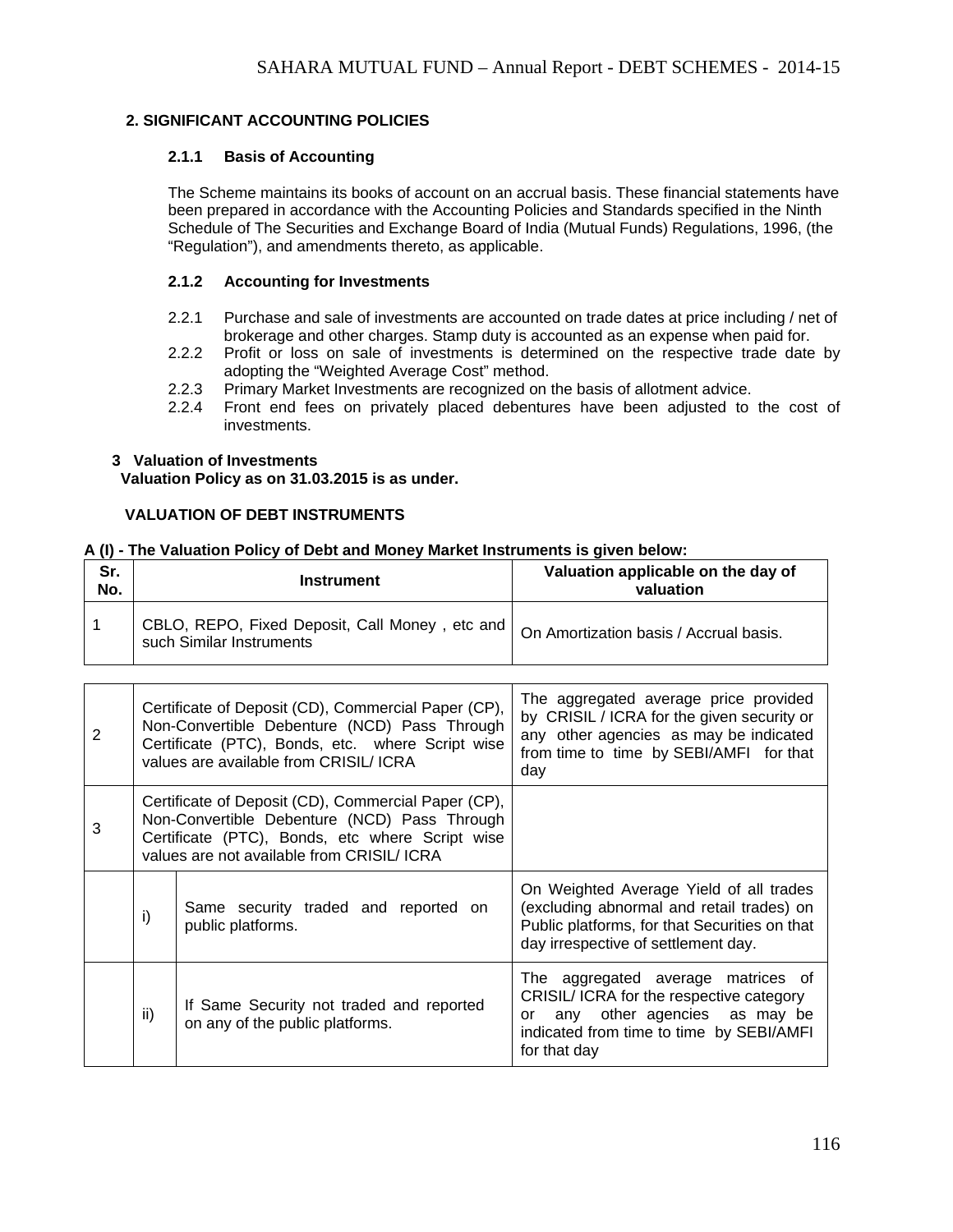## **2. SIGNIFICANT ACCOUNTING POLICIES**

## **2.1.1 Basis of Accounting**

The Scheme maintains its books of account on an accrual basis. These financial statements have been prepared in accordance with the Accounting Policies and Standards specified in the Ninth Schedule of The Securities and Exchange Board of India (Mutual Funds) Regulations, 1996, (the "Regulation"), and amendments thereto, as applicable.

## **2.1.2 Accounting for Investments**

- 2.2.1 Purchase and sale of investments are accounted on trade dates at price including / net of brokerage and other charges. Stamp duty is accounted as an expense when paid for.
- 2.2.2 Profit or loss on sale of investments is determined on the respective trade date by adopting the "Weighted Average Cost" method.
- 2.2.3 Primary Market Investments are recognized on the basis of allotment advice.
- 2.2.4 Front end fees on privately placed debentures have been adjusted to the cost of investments.

## **3 Valuation of Investments**

 **Valuation Policy as on 31.03.2015 is as under.** 

## **VALUATION OF DEBT INSTRUMENTS**

#### **A (I) - The Valuation Policy of Debt and Money Market Instruments is given below:**

| Sr.<br>No. | <b>Instrument</b>                                                          | Valuation applicable on the day of<br>valuation |
|------------|----------------------------------------------------------------------------|-------------------------------------------------|
|            | CBLO, REPO, Fixed Deposit, Call Money, etc and<br>such Similar Instruments | On Amortization basis / Accrual basis.          |

| 2 | Certificate of Deposit (CD), Commercial Paper (CP),<br>Non-Convertible Debenture (NCD) Pass Through<br>Certificate (PTC), Bonds, etc. where Script wise<br>values are available from CRISIL/ ICRA |                                                                                                                                                                                                      | The aggregated average price provided<br>by CRISIL / ICRA for the given security or<br>any other agencies as may be indicated<br>from time to time by SEBI/AMFI for that<br>day |
|---|---------------------------------------------------------------------------------------------------------------------------------------------------------------------------------------------------|------------------------------------------------------------------------------------------------------------------------------------------------------------------------------------------------------|---------------------------------------------------------------------------------------------------------------------------------------------------------------------------------|
| 3 |                                                                                                                                                                                                   | Certificate of Deposit (CD), Commercial Paper (CP),<br>Non-Convertible Debenture (NCD) Pass Through<br>Certificate (PTC), Bonds, etc where Script wise<br>values are not available from CRISIL/ ICRA |                                                                                                                                                                                 |
|   | i)                                                                                                                                                                                                | Same security traded and reported on<br>public platforms.                                                                                                                                            | On Weighted Average Yield of all trades<br>(excluding abnormal and retail trades) on<br>Public platforms, for that Securities on that<br>day irrespective of settlement day.    |
|   | ii)                                                                                                                                                                                               | If Same Security not traded and reported<br>on any of the public platforms.                                                                                                                          | The aggregated average matrices of<br>CRISIL/ICRA for the respective category<br>any other agencies as may be<br>or<br>indicated from time to time by SEBI/AMFI<br>for that day |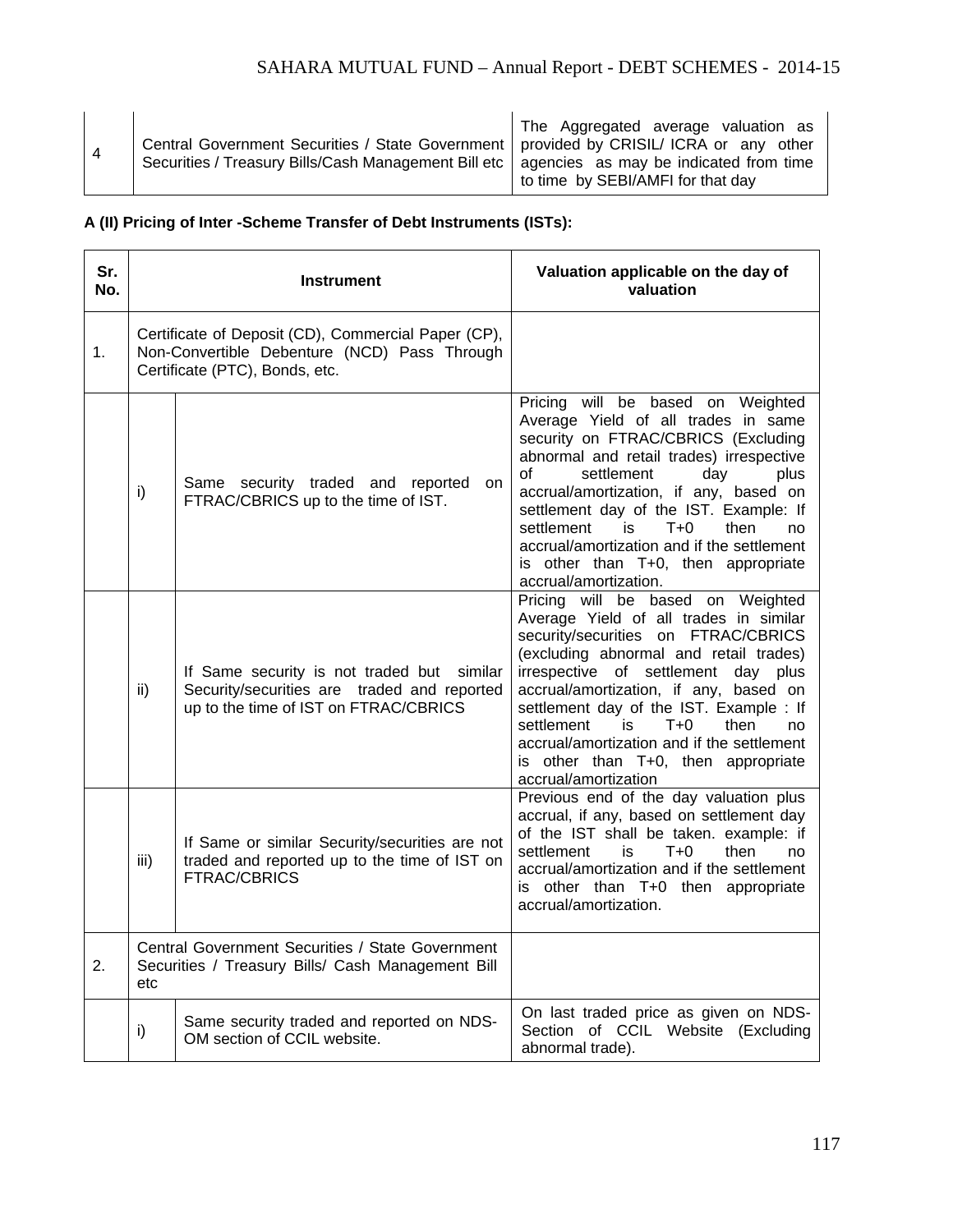| Central Government Securities / State Government   provided by CRISIL/ ICRA or any other<br>4<br>Securities / Treasury Bills/Cash Management Bill etc   agencies as may be indicated from time | The Aggregated average valuation as<br>to time by SEBI/AMFI for that day |
|------------------------------------------------------------------------------------------------------------------------------------------------------------------------------------------------|--------------------------------------------------------------------------|
|------------------------------------------------------------------------------------------------------------------------------------------------------------------------------------------------|--------------------------------------------------------------------------|

## **A (II) Pricing of Inter -Scheme Transfer of Debt Instruments (ISTs):**

| Sr.<br>No. | <b>Instrument</b>                                                                                                                     |                                                                                                                                    | Valuation applicable on the day of<br>valuation                                                                                                                                                                                                                                                                                                                                                                                                  |
|------------|---------------------------------------------------------------------------------------------------------------------------------------|------------------------------------------------------------------------------------------------------------------------------------|--------------------------------------------------------------------------------------------------------------------------------------------------------------------------------------------------------------------------------------------------------------------------------------------------------------------------------------------------------------------------------------------------------------------------------------------------|
| 1.         | Certificate of Deposit (CD), Commercial Paper (CP),<br>Non-Convertible Debenture (NCD) Pass Through<br>Certificate (PTC), Bonds, etc. |                                                                                                                                    |                                                                                                                                                                                                                                                                                                                                                                                                                                                  |
|            | i)                                                                                                                                    | Same security traded and reported on<br>FTRAC/CBRICS up to the time of IST.                                                        | Pricing will be based on Weighted<br>Average Yield of all trades in same<br>security on FTRAC/CBRICS (Excluding<br>abnormal and retail trades) irrespective<br>of<br>settlement<br>day<br>plus<br>accrual/amortization, if any, based on<br>settlement day of the IST. Example: If<br>settlement<br>$T+0$<br>is.<br>then<br>no<br>accrual/amortization and if the settlement<br>is other than T+0, then appropriate<br>accrual/amortization.     |
|            | ii)                                                                                                                                   | If Same security is not traded but similar<br>Security/securities are traded and reported<br>up to the time of IST on FTRAC/CBRICS | Pricing will be based on Weighted<br>Average Yield of all trades in similar<br>security/securities on FTRAC/CBRICS<br>(excluding abnormal and retail trades)<br>irrespective of settlement day plus<br>accrual/amortization, if any, based on<br>settlement day of the IST. Example : If<br>settlement<br>is<br>$T+0$<br>then<br>no<br>accrual/amortization and if the settlement<br>is other than T+0, then appropriate<br>accrual/amortization |
|            | iii)                                                                                                                                  | If Same or similar Security/securities are not<br>traded and reported up to the time of IST on<br><b>FTRAC/CBRICS</b>              | Previous end of the day valuation plus<br>accrual, if any, based on settlement day<br>of the IST shall be taken. example: if<br>$T+0$<br>then<br>settlement<br>is.<br>no<br>accrual/amortization and if the settlement<br>is other than T+0 then appropriate<br>accrual/amortization.                                                                                                                                                            |
| 2.         | Central Government Securities / State Government<br>Securities / Treasury Bills/ Cash Management Bill<br>etc                          |                                                                                                                                    |                                                                                                                                                                                                                                                                                                                                                                                                                                                  |
|            | i)                                                                                                                                    | Same security traded and reported on NDS-<br>OM section of CCIL website.                                                           | On last traded price as given on NDS-<br>Section of CCIL Website (Excluding<br>abnormal trade).                                                                                                                                                                                                                                                                                                                                                  |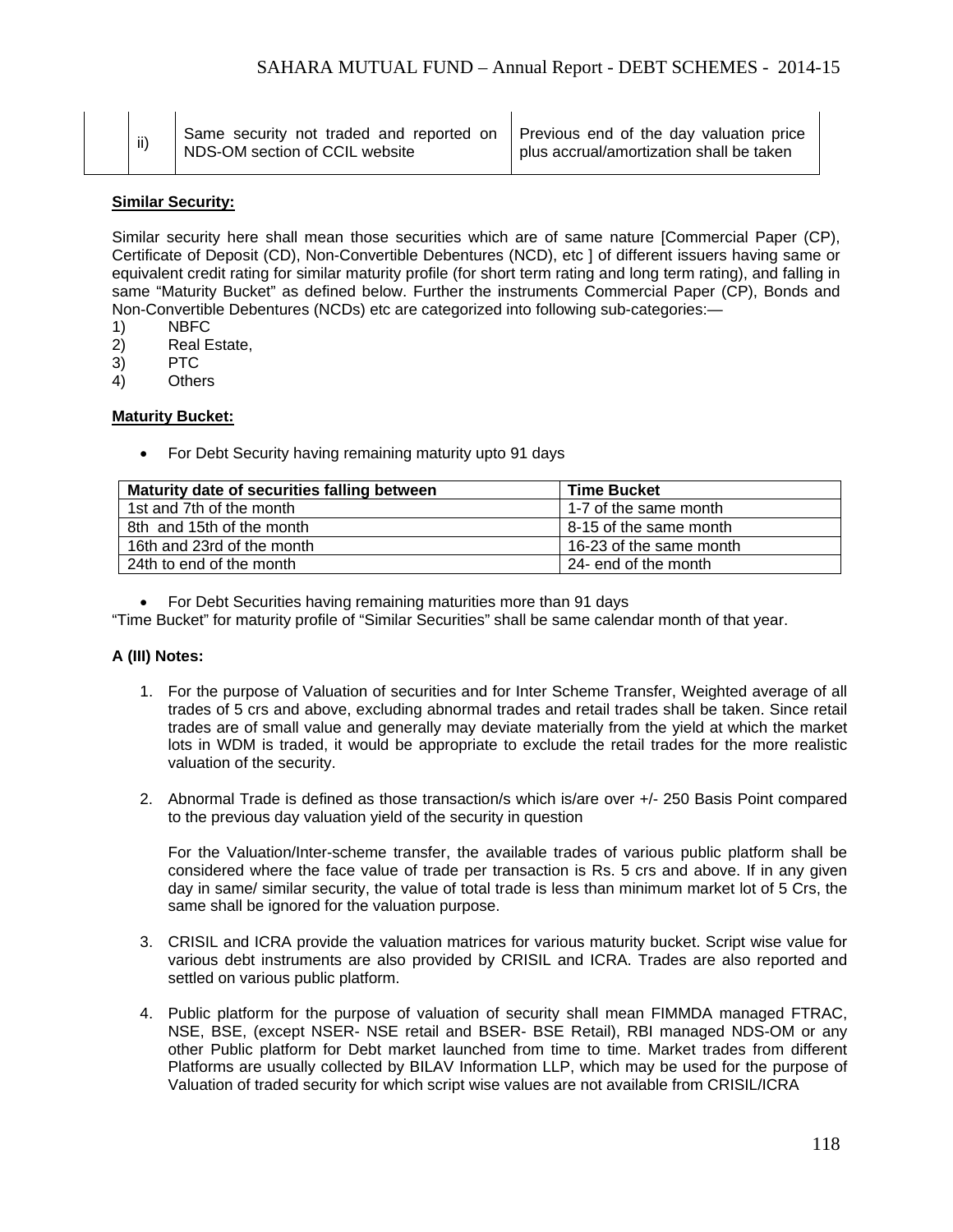|  | ii) | Same security not traded and reported on   Previous end of the day valuation price<br>NDS-OM section of CCIL website | plus accrual/amortization shall be taken |
|--|-----|----------------------------------------------------------------------------------------------------------------------|------------------------------------------|
|--|-----|----------------------------------------------------------------------------------------------------------------------|------------------------------------------|

## **Similar Security:**

Similar security here shall mean those securities which are of same nature [Commercial Paper (CP), Certificate of Deposit (CD), Non-Convertible Debentures (NCD), etc ] of different issuers having same or equivalent credit rating for similar maturity profile (for short term rating and long term rating), and falling in same "Maturity Bucket" as defined below. Further the instruments Commercial Paper (CP), Bonds and Non-Convertible Debentures (NCDs) etc are categorized into following sub-categories:—

- 1) NBFC<br>2) Real E
- Real Estate.
- 3) PTC
- 4) Others

## **Maturity Bucket:**

• For Debt Security having remaining maturity upto 91 days

| Maturity date of securities falling between | <b>Time Bucket</b>      |
|---------------------------------------------|-------------------------|
| 1st and 7th of the month                    | 1-7 of the same month   |
| 8th and 15th of the month                   | 8-15 of the same month  |
| 16th and 23rd of the month                  | 16-23 of the same month |
| 24th to end of the month                    | 24- end of the month    |

• For Debt Securities having remaining maturities more than 91 days

"Time Bucket" for maturity profile of "Similar Securities" shall be same calendar month of that year.

#### **A (III) Notes:**

- 1. For the purpose of Valuation of securities and for Inter Scheme Transfer, Weighted average of all trades of 5 crs and above, excluding abnormal trades and retail trades shall be taken. Since retail trades are of small value and generally may deviate materially from the yield at which the market lots in WDM is traded, it would be appropriate to exclude the retail trades for the more realistic valuation of the security.
- 2. Abnormal Trade is defined as those transaction/s which is/are over +/- 250 Basis Point compared to the previous day valuation yield of the security in question

For the Valuation/Inter-scheme transfer, the available trades of various public platform shall be considered where the face value of trade per transaction is Rs. 5 crs and above. If in any given day in same/ similar security, the value of total trade is less than minimum market lot of 5 Crs, the same shall be ignored for the valuation purpose.

- 3. CRISIL and ICRA provide the valuation matrices for various maturity bucket. Script wise value for various debt instruments are also provided by CRISIL and ICRA. Trades are also reported and settled on various public platform.
- 4. Public platform for the purpose of valuation of security shall mean FIMMDA managed FTRAC, NSE, BSE, (except NSER- NSE retail and BSER- BSE Retail), RBI managed NDS-OM or any other Public platform for Debt market launched from time to time. Market trades from different Platforms are usually collected by BILAV Information LLP, which may be used for the purpose of Valuation of traded security for which script wise values are not available from CRISIL/ICRA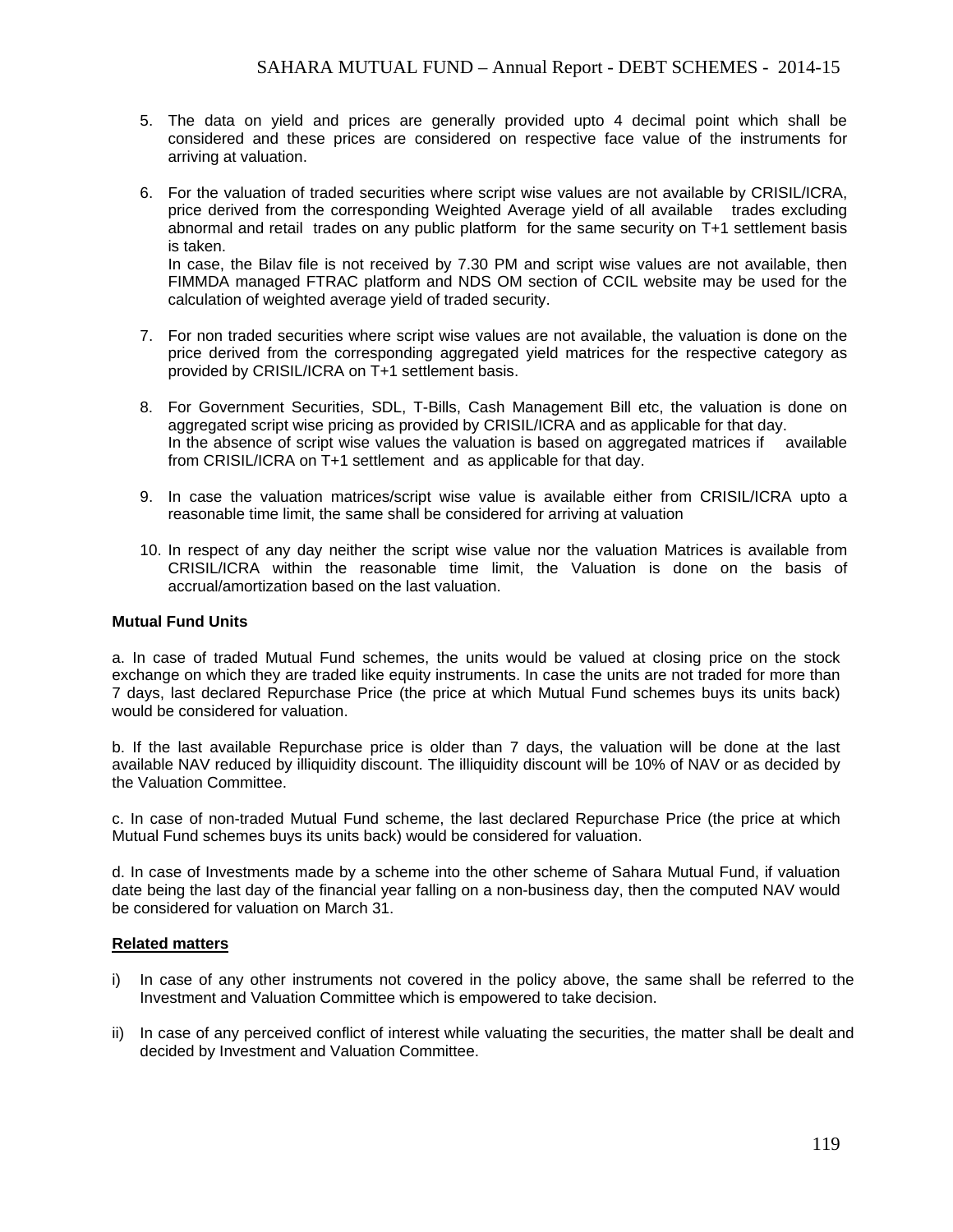- 5. The data on yield and prices are generally provided upto 4 decimal point which shall be considered and these prices are considered on respective face value of the instruments for arriving at valuation.
- 6. For the valuation of traded securities where script wise values are not available by CRISIL/ICRA, price derived from the corresponding Weighted Average yield of all available trades excluding abnormal and retail trades on any public platform for the same security on T+1 settlement basis is taken. In case, the Bilav file is not received by 7.30 PM and script wise values are not available, then

FIMMDA managed FTRAC platform and NDS OM section of CCIL website may be used for the calculation of weighted average yield of traded security.

- 7. For non traded securities where script wise values are not available, the valuation is done on the price derived from the corresponding aggregated yield matrices for the respective category as provided by CRISIL/ICRA on T+1 settlement basis.
- 8. For Government Securities, SDL, T-Bills, Cash Management Bill etc, the valuation is done on aggregated script wise pricing as provided by CRISIL/ICRA and as applicable for that day. In the absence of script wise values the valuation is based on aggregated matrices if available from CRISIL/ICRA on T+1 settlement and as applicable for that day.
- 9. In case the valuation matrices/script wise value is available either from CRISIL/ICRA upto a reasonable time limit, the same shall be considered for arriving at valuation
- 10. In respect of any day neither the script wise value nor the valuation Matrices is available from CRISIL/ICRA within the reasonable time limit, the Valuation is done on the basis of accrual/amortization based on the last valuation.

## **Mutual Fund Units**

a. In case of traded Mutual Fund schemes, the units would be valued at closing price on the stock exchange on which they are traded like equity instruments. In case the units are not traded for more than 7 days, last declared Repurchase Price (the price at which Mutual Fund schemes buys its units back) would be considered for valuation.

b. If the last available Repurchase price is older than 7 days, the valuation will be done at the last available NAV reduced by illiquidity discount. The illiquidity discount will be 10% of NAV or as decided by the Valuation Committee.

c. In case of non-traded Mutual Fund scheme, the last declared Repurchase Price (the price at which Mutual Fund schemes buys its units back) would be considered for valuation.

d. In case of Investments made by a scheme into the other scheme of Sahara Mutual Fund, if valuation date being the last day of the financial year falling on a non-business day, then the computed NAV would be considered for valuation on March 31.

#### **Related matters**

- i) In case of any other instruments not covered in the policy above, the same shall be referred to the Investment and Valuation Committee which is empowered to take decision.
- ii) In case of any perceived conflict of interest while valuating the securities, the matter shall be dealt and decided by Investment and Valuation Committee.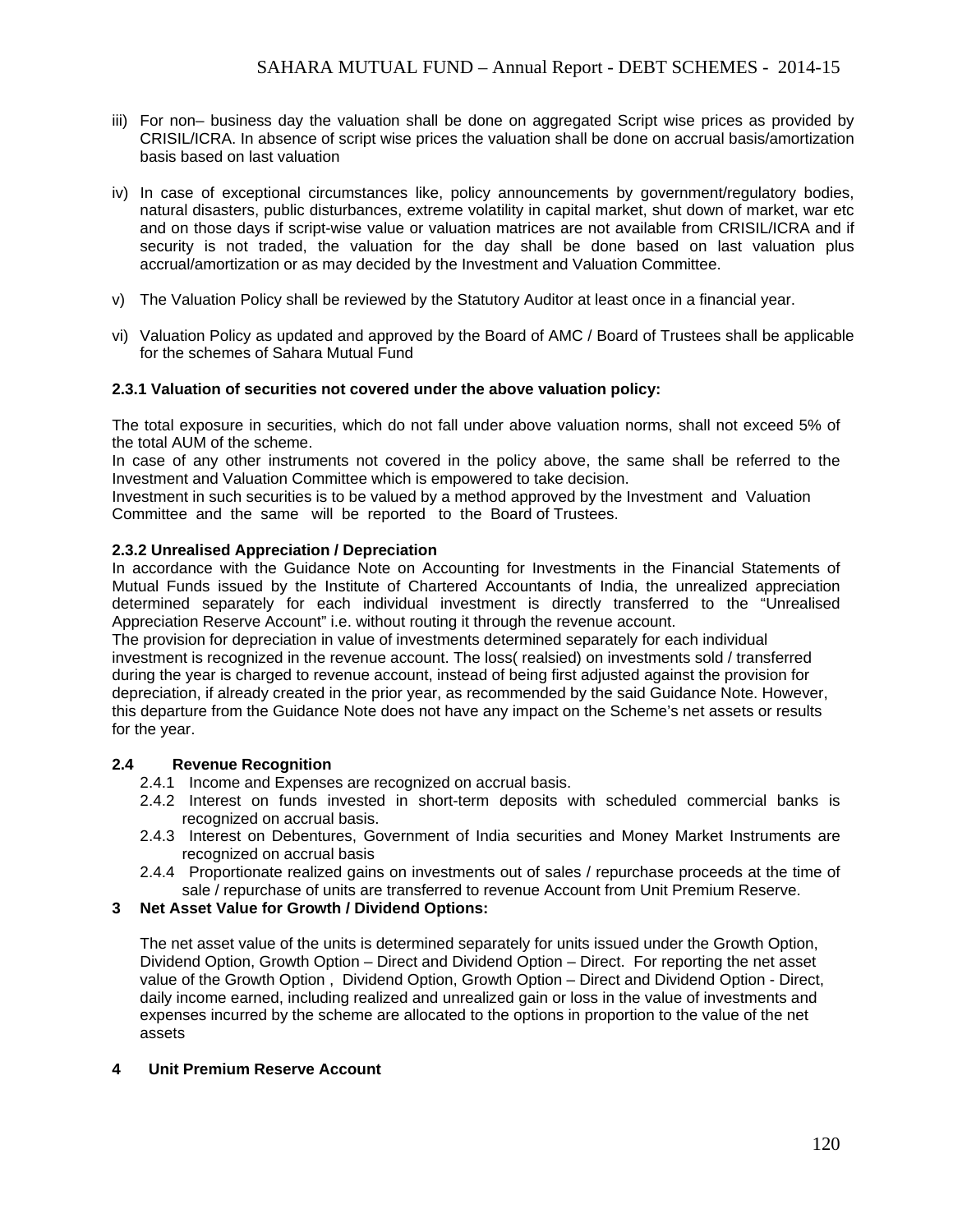- iii) For non– business day the valuation shall be done on aggregated Script wise prices as provided by CRISIL/ICRA. In absence of script wise prices the valuation shall be done on accrual basis/amortization basis based on last valuation
- iv) In case of exceptional circumstances like, policy announcements by government/regulatory bodies, natural disasters, public disturbances, extreme volatility in capital market, shut down of market, war etc and on those days if script-wise value or valuation matrices are not available from CRISIL/ICRA and if security is not traded, the valuation for the day shall be done based on last valuation plus accrual/amortization or as may decided by the Investment and Valuation Committee.
- v) The Valuation Policy shall be reviewed by the Statutory Auditor at least once in a financial year.
- vi) Valuation Policy as updated and approved by the Board of AMC / Board of Trustees shall be applicable for the schemes of Sahara Mutual Fund

## **2.3.1 Valuation of securities not covered under the above valuation policy:**

The total exposure in securities, which do not fall under above valuation norms, shall not exceed 5% of the total AUM of the scheme.

In case of any other instruments not covered in the policy above, the same shall be referred to the Investment and Valuation Committee which is empowered to take decision.

Investment in such securities is to be valued by a method approved by the Investment and Valuation Committee and the same will be reported to the Board of Trustees.

## **2.3.2 Unrealised Appreciation / Depreciation**

In accordance with the Guidance Note on Accounting for Investments in the Financial Statements of Mutual Funds issued by the Institute of Chartered Accountants of India, the unrealized appreciation determined separately for each individual investment is directly transferred to the "Unrealised Appreciation Reserve Account" i.e. without routing it through the revenue account.

The provision for depreciation in value of investments determined separately for each individual investment is recognized in the revenue account. The loss( realsied) on investments sold / transferred during the year is charged to revenue account, instead of being first adjusted against the provision for depreciation, if already created in the prior year, as recommended by the said Guidance Note. However, this departure from the Guidance Note does not have any impact on the Scheme's net assets or results for the year.

#### **2.4 Revenue Recognition**

- 2.4.1 Income and Expenses are recognized on accrual basis.
- 2.4.2 Interest on funds invested in short-term deposits with scheduled commercial banks is recognized on accrual basis.
- 2.4.3 Interest on Debentures, Government of India securities and Money Market Instruments are recognized on accrual basis
- 2.4.4 Proportionate realized gains on investments out of sales / repurchase proceeds at the time of sale / repurchase of units are transferred to revenue Account from Unit Premium Reserve.

#### **3 Net Asset Value for Growth / Dividend Options:**

The net asset value of the units is determined separately for units issued under the Growth Option, Dividend Option, Growth Option – Direct and Dividend Option – Direct. For reporting the net asset value of the Growth Option , Dividend Option, Growth Option – Direct and Dividend Option - Direct, daily income earned, including realized and unrealized gain or loss in the value of investments and expenses incurred by the scheme are allocated to the options in proportion to the value of the net assets

## **4 Unit Premium Reserve Account**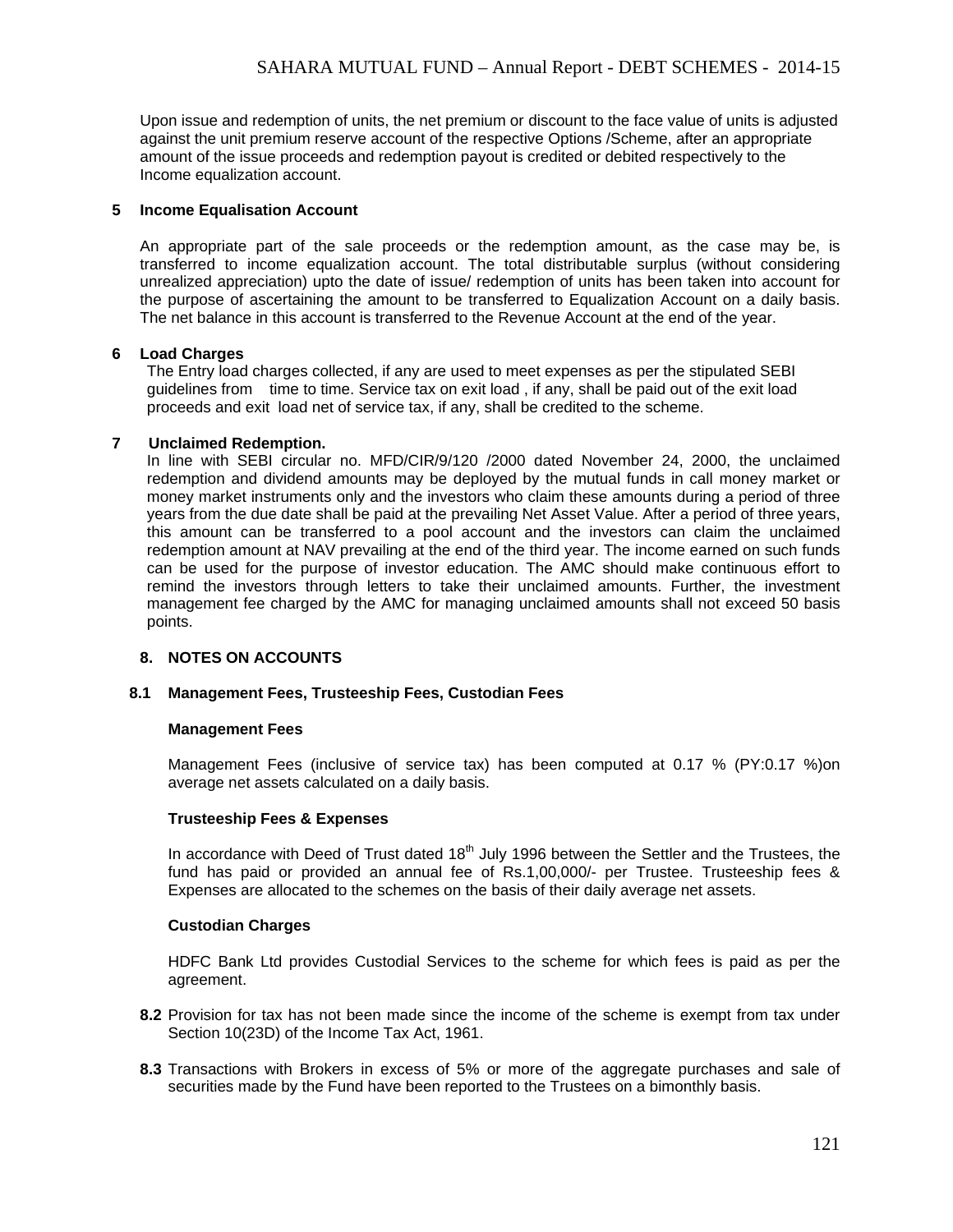Upon issue and redemption of units, the net premium or discount to the face value of units is adjusted against the unit premium reserve account of the respective Options /Scheme, after an appropriate amount of the issue proceeds and redemption payout is credited or debited respectively to the Income equalization account.

## **5 Income Equalisation Account**

An appropriate part of the sale proceeds or the redemption amount, as the case may be, is transferred to income equalization account. The total distributable surplus (without considering unrealized appreciation) upto the date of issue/ redemption of units has been taken into account for the purpose of ascertaining the amount to be transferred to Equalization Account on a daily basis. The net balance in this account is transferred to the Revenue Account at the end of the year.

## **6 Load Charges**

The Entry load charges collected, if any are used to meet expenses as per the stipulated SEBI guidelines from time to time. Service tax on exit load , if any, shall be paid out of the exit load proceeds and exit load net of service tax, if any, shall be credited to the scheme.

## **7 Unclaimed Redemption.**

In line with SEBI circular no. MFD/CIR/9/120 /2000 dated November 24, 2000, the unclaimed redemption and dividend amounts may be deployed by the mutual funds in call money market or money market instruments only and the investors who claim these amounts during a period of three years from the due date shall be paid at the prevailing Net Asset Value. After a period of three years, this amount can be transferred to a pool account and the investors can claim the unclaimed redemption amount at NAV prevailing at the end of the third year. The income earned on such funds can be used for the purpose of investor education. The AMC should make continuous effort to remind the investors through letters to take their unclaimed amounts. Further, the investment management fee charged by the AMC for managing unclaimed amounts shall not exceed 50 basis points.

## **8. NOTES ON ACCOUNTS**

## **8.1 Management Fees, Trusteeship Fees, Custodian Fees**

#### **Management Fees**

Management Fees (inclusive of service tax) has been computed at 0.17 % (PY:0.17 %)on average net assets calculated on a daily basis.

#### **Trusteeship Fees & Expenses**

In accordance with Deed of Trust dated  $18<sup>th</sup>$  July 1996 between the Settler and the Trustees, the fund has paid or provided an annual fee of Rs.1,00,000/- per Trustee. Trusteeship fees & Expenses are allocated to the schemes on the basis of their daily average net assets.

#### **Custodian Charges**

HDFC Bank Ltd provides Custodial Services to the scheme for which fees is paid as per the agreement.

- **8.2** Provision for tax has not been made since the income of the scheme is exempt from tax under Section 10(23D) of the Income Tax Act, 1961.
- **8.3** Transactions with Brokers in excess of 5% or more of the aggregate purchases and sale of securities made by the Fund have been reported to the Trustees on a bimonthly basis.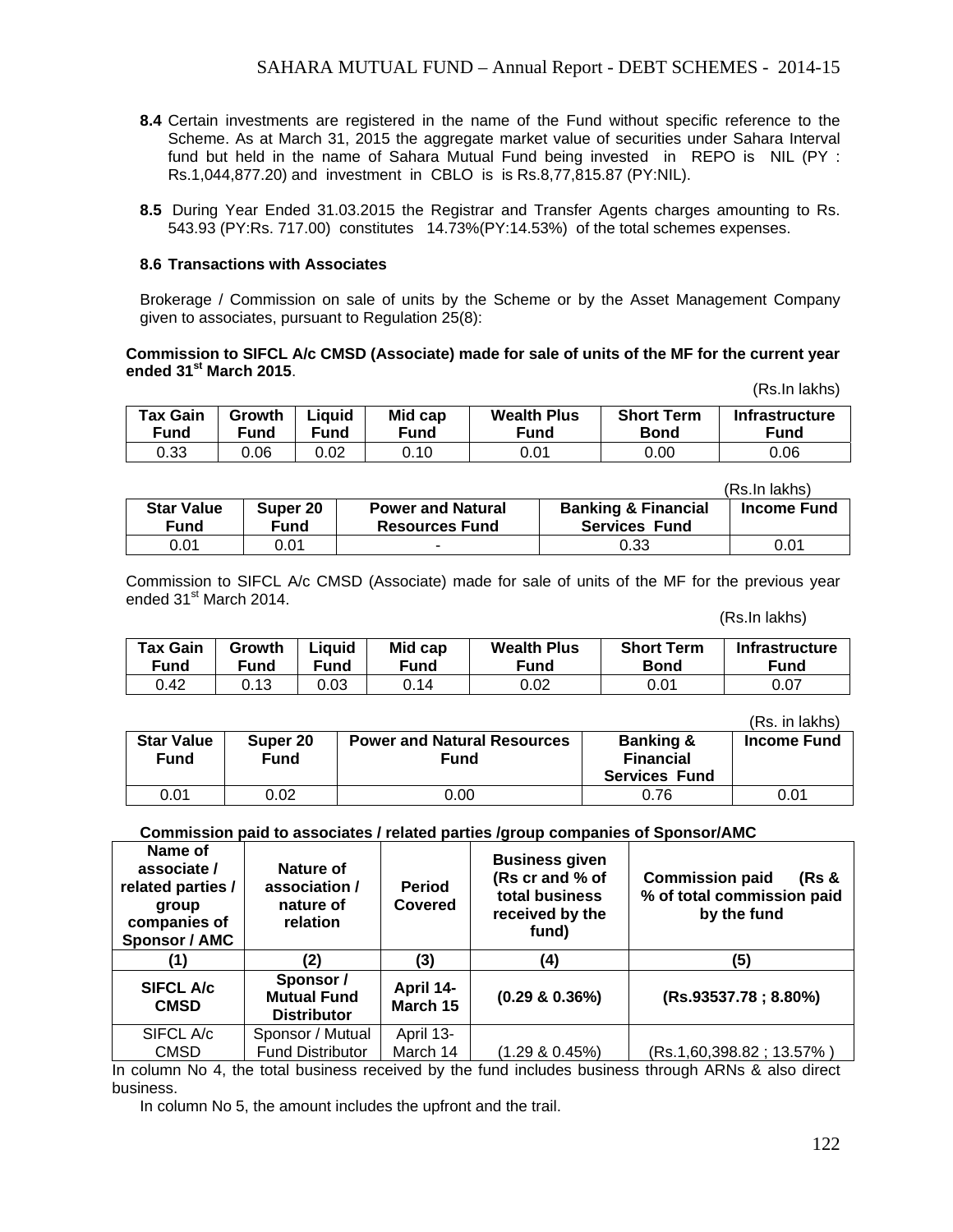- **8.4** Certain investments are registered in the name of the Fund without specific reference to the Scheme. As at March 31, 2015 the aggregate market value of securities under Sahara Interval fund but held in the name of Sahara Mutual Fund being invested in REPO is NIL (PY : Rs.1,044,877.20) and investment in CBLO is is Rs.8,77,815.87 (PY:NIL).
- **8.5** During Year Ended 31.03.2015 the Registrar and Transfer Agents charges amounting to Rs. 543.93 (PY:Rs. 717.00) constitutes 14.73%(PY:14.53%) of the total schemes expenses.

### **8.6 Transactions with Associates**

Brokerage / Commission on sale of units by the Scheme or by the Asset Management Company given to associates, pursuant to Regulation 25(8):

#### **Commission to SIFCL A/c CMSD (Associate) made for sale of units of the MF for the current year ended 31st March 2015**.

| <b>Tax Gain</b> | Growth | Liguid | Mid cap | <b>Wealth Plus</b> | <b>Short Term</b> | <b>Infrastructure</b> |
|-----------------|--------|--------|---------|--------------------|-------------------|-----------------------|
| Fund            | Fund   | Fund   | Fund    | Fund               | <b>Bond</b>       | Fund                  |
| 0.33            | 0.06   | 0.02   | 0.10    | 0.01               | 0.00              | 0.06                  |

|                           |                  |                                                   |                                                        | (Rs.In lakhs) |
|---------------------------|------------------|---------------------------------------------------|--------------------------------------------------------|---------------|
| <b>Star Value</b><br>Fund | Super 20<br>Fund | <b>Power and Natural</b><br><b>Resources Fund</b> | <b>Banking &amp; Financial</b><br><b>Services Fund</b> | Income Fund   |
| 0.01                      | 0.01             | -                                                 | 0.33                                                   | 0.01          |

Commission to SIFCL A/c CMSD (Associate) made for sale of units of the MF for the previous year ended 31<sup>st</sup> March 2014.

#### (Rs.In lakhs)

(Rs.In lakhs)

| <b>Tax Gain</b> | Growth | Liguid | Mid cap | <b>Wealth Plus</b> | <b>Short Term</b> | <b>Infrastructure</b> |
|-----------------|--------|--------|---------|--------------------|-------------------|-----------------------|
| Fund            | Fund   | Fund   | Fund    | Fund               | <b>Bond</b>       | Fund                  |
| 0.42            | 0.13   | 0.03   | 0.14    | 0.02               | 0.01              | 0.07                  |

|                                  |                         |                                            |                                                                  | (Rs. in lakhs) |
|----------------------------------|-------------------------|--------------------------------------------|------------------------------------------------------------------|----------------|
| <b>Star Value</b><br><b>Fund</b> | Super 20<br><b>Fund</b> | <b>Power and Natural Resources</b><br>Fund | <b>Banking &amp;</b><br><b>Financial</b><br><b>Services Fund</b> | Income Fund    |
| 0.01                             | 0.02                    | 0.00                                       | 0.76                                                             | 0.01           |

**Commission paid to associates / related parties /group companies of Sponsor/AMC** 

| Name of<br>associate /<br>related parties /<br>group<br>companies of<br><b>Sponsor / AMC</b> | Nature of<br>association /<br>nature of<br>relation   | <b>Period</b><br><b>Covered</b> | <b>Business given</b><br>(Rs cr and % of<br>total business<br>received by the<br>fund) | <b>Commission paid</b><br>(Rs &<br>% of total commission paid<br>by the fund |
|----------------------------------------------------------------------------------------------|-------------------------------------------------------|---------------------------------|----------------------------------------------------------------------------------------|------------------------------------------------------------------------------|
| (1)                                                                                          | (2)                                                   | (3)                             | (4)                                                                                    | (5)                                                                          |
| <b>SIFCL A/c</b><br><b>CMSD</b>                                                              | Sponsor /<br><b>Mutual Fund</b><br><b>Distributor</b> | April 14-<br>March 15           | $(0.29 & 0.36\%)$                                                                      | (Rs.93537.78; 8.80%)                                                         |
| SIFCL A/c<br><b>CMSD</b>                                                                     | Sponsor / Mutual<br><b>Fund Distributor</b>           | April 13-<br>March 14           | (1.29 & 0.45%)                                                                         | (Rs.1,60,398.82; 13.57%)                                                     |

In column No 4, the total business received by the fund includes business through ARNs & also direct business.

In column No 5, the amount includes the upfront and the trail.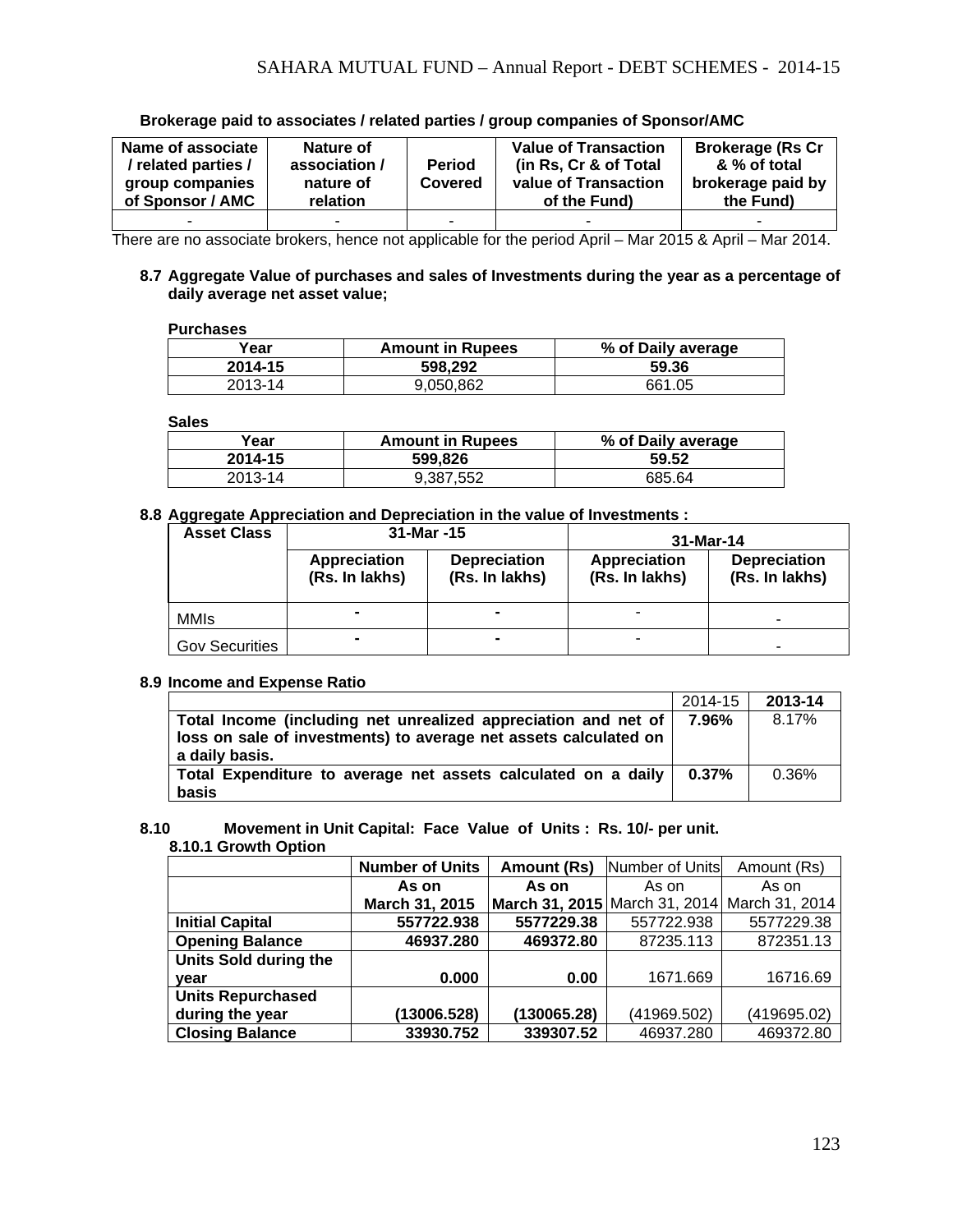## **Brokerage paid to associates / related parties / group companies of Sponsor/AMC**

| Name of associate<br>/ related parties /<br>group companies<br>of Sponsor / AMC | Nature of<br>association /<br>nature of<br>relation | <b>Period</b><br>Covered | <b>Value of Transaction</b><br>(in Rs. Cr & of Total)<br>value of Transaction<br>of the Fund) | <b>Brokerage (Rs Cr</b><br>& % of total<br>brokerage paid by<br>the Fund) |
|---------------------------------------------------------------------------------|-----------------------------------------------------|--------------------------|-----------------------------------------------------------------------------------------------|---------------------------------------------------------------------------|
|                                                                                 |                                                     |                          |                                                                                               |                                                                           |

There are no associate brokers, hence not applicable for the period April – Mar 2015 & April – Mar 2014.

#### **8.7 Aggregate Value of purchases and sales of Investments during the year as a percentage of daily average net asset value;**

## **Purchases**

| <sup>∨</sup> ear | <b>Amount in Rupees</b> | % of Daily average |
|------------------|-------------------------|--------------------|
| 2014-15          | 598.292                 | 59.36              |
| 2013-14          | 9.050.862               | 661.05             |

**Sales** 

| Year    | <b>Amount in Rupees</b> | % of Daily average |  |  |
|---------|-------------------------|--------------------|--|--|
| 2014-15 | 599.826                 | 59.52              |  |  |
| 2013-14 | 9.387.552               | 685.64             |  |  |

## **8.8 Aggregate Appreciation and Depreciation in the value of Investments :**

| <b>Asset Class</b>    | 31-Mar -15                     |                                       |                                | 31-Mar-14                             |
|-----------------------|--------------------------------|---------------------------------------|--------------------------------|---------------------------------------|
|                       | Appreciation<br>(Rs. In lakhs) | <b>Depreciation</b><br>(Rs. In lakhs) | Appreciation<br>(Rs. In lakhs) | <b>Depreciation</b><br>(Rs. In lakhs) |
| MMIs                  |                                |                                       |                                |                                       |
| <b>Gov Securities</b> |                                |                                       | -                              |                                       |

#### **8.9 Income and Expense Ratio**

|                                                                  | 2014-15  | 2013-14 |
|------------------------------------------------------------------|----------|---------|
| Total Income (including net unrealized appreciation and net of   | 7.96%    | 8.17%   |
| loss on sale of investments) to average net assets calculated on |          |         |
| a daily basis.                                                   |          |         |
| Total Expenditure to average net assets calculated on a daily    | $0.37\%$ | 0.36%   |
| basis                                                            |          |         |

## **8.10 Movement in Unit Capital: Face Value of Units : Rs. 10/- per unit.**

**8.10.1 Growth Option** 

|                          | <b>Number of Units</b> | Amount (Rs)                                      | Number of Units | Amount (Rs) |
|--------------------------|------------------------|--------------------------------------------------|-----------------|-------------|
|                          | As on                  | As on                                            | As on           | As on       |
|                          | March 31, 2015         | March 31, 2015   March 31, 2014   March 31, 2014 |                 |             |
| <b>Initial Capital</b>   | 557722.938             | 5577229.38                                       | 557722.938      | 5577229.38  |
| <b>Opening Balance</b>   | 46937.280              | 469372.80                                        | 87235.113       | 872351.13   |
| Units Sold during the    |                        |                                                  |                 |             |
| year                     | 0.000                  | 0.00                                             | 1671.669        | 16716.69    |
| <b>Units Repurchased</b> |                        |                                                  |                 |             |
| during the year          | (13006.528)            | (130065.28)                                      | (41969.502)     | (419695.02) |
| <b>Closing Balance</b>   | 33930.752              | 339307.52                                        | 46937.280       | 469372.80   |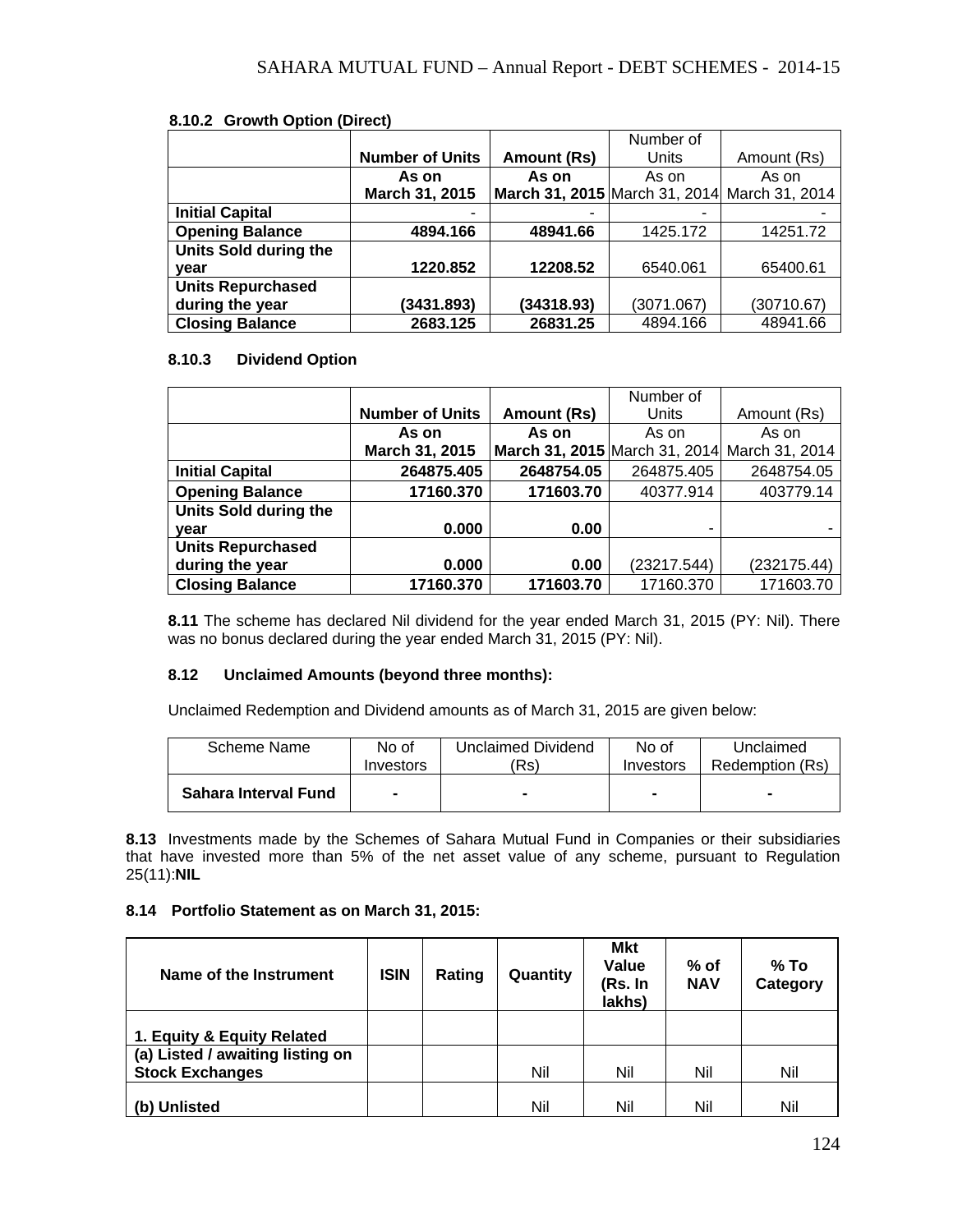## **8.10.2 Growth Option (Direct)**

|                          |                        |             | Number of  |                                              |
|--------------------------|------------------------|-------------|------------|----------------------------------------------|
|                          | <b>Number of Units</b> | Amount (Rs) | Units      | Amount (Rs)                                  |
|                          | As on                  | As on       | As on      | As on                                        |
|                          | March 31, 2015         |             |            | March 31, 2015 March 31, 2014 March 31, 2014 |
| <b>Initial Capital</b>   |                        |             |            |                                              |
| <b>Opening Balance</b>   | 4894.166               | 48941.66    | 1425.172   | 14251.72                                     |
| Units Sold during the    |                        |             |            |                                              |
| vear                     | 1220.852               | 12208.52    | 6540.061   | 65400.61                                     |
| <b>Units Repurchased</b> |                        |             |            |                                              |
| during the year          | (3431.893)             | (34318.93)  | (3071.067) | (30710.67)                                   |
| <b>Closing Balance</b>   | 2683.125               | 26831.25    | 4894.166   | 48941.66                                     |

## **8.10.3 Dividend Option**

|                          |                        |                                              | Number of   |             |
|--------------------------|------------------------|----------------------------------------------|-------------|-------------|
|                          | <b>Number of Units</b> | Amount (Rs)                                  | Units       | Amount (Rs) |
|                          | As on                  | As on                                        | As on       | As on       |
|                          | March 31, 2015         | March 31, 2015 March 31, 2014 March 31, 2014 |             |             |
| <b>Initial Capital</b>   | 264875.405             | 2648754.05                                   | 264875.405  | 2648754.05  |
| <b>Opening Balance</b>   | 17160.370              | 171603.70                                    | 40377.914   | 403779.14   |
| Units Sold during the    |                        |                                              |             |             |
| year                     | 0.000                  | 0.00                                         | ۰           |             |
| <b>Units Repurchased</b> |                        |                                              |             |             |
| during the year          | 0.000                  | 0.00                                         | (23217.544) | (232175.44) |
| <b>Closing Balance</b>   | 17160.370              | 171603.70                                    | 17160.370   | 171603.70   |

**8.11** The scheme has declared Nil dividend for the year ended March 31, 2015 (PY: Nil). There was no bonus declared during the year ended March 31, 2015 (PY: Nil).

## **8.12 Unclaimed Amounts (beyond three months):**

Unclaimed Redemption and Dividend amounts as of March 31, 2015 are given below:

| Scheme Name          | No of     | Unclaimed Dividend | No of          | Unclaimed       |
|----------------------|-----------|--------------------|----------------|-----------------|
|                      | Investors | 'Rs)               | Investors      | Redemption (Rs) |
| Sahara Interval Fund | -         | $\blacksquare$     | $\blacksquare$ |                 |

**8.13** Investments made by the Schemes of Sahara Mutual Fund in Companies or their subsidiaries that have invested more than 5% of the net asset value of any scheme, pursuant to Regulation 25(11):**NIL** 

## **8.14 Portfolio Statement as on March 31, 2015:**

| Name of the Instrument           | <b>ISIN</b> | Rating | Quantity | <b>Mkt</b><br>Value<br>(Rs. In<br>lakhs) | $%$ of<br><b>NAV</b> | $%$ To<br>Category |
|----------------------------------|-------------|--------|----------|------------------------------------------|----------------------|--------------------|
| 1. Equity & Equity Related       |             |        |          |                                          |                      |                    |
| (a) Listed / awaiting listing on |             |        |          |                                          |                      |                    |
| <b>Stock Exchanges</b>           |             |        | Nil      | Nil                                      | Nil                  | Nil                |
| (b) Unlisted                     |             |        | Nil      | Nil                                      | Nil                  | Nil                |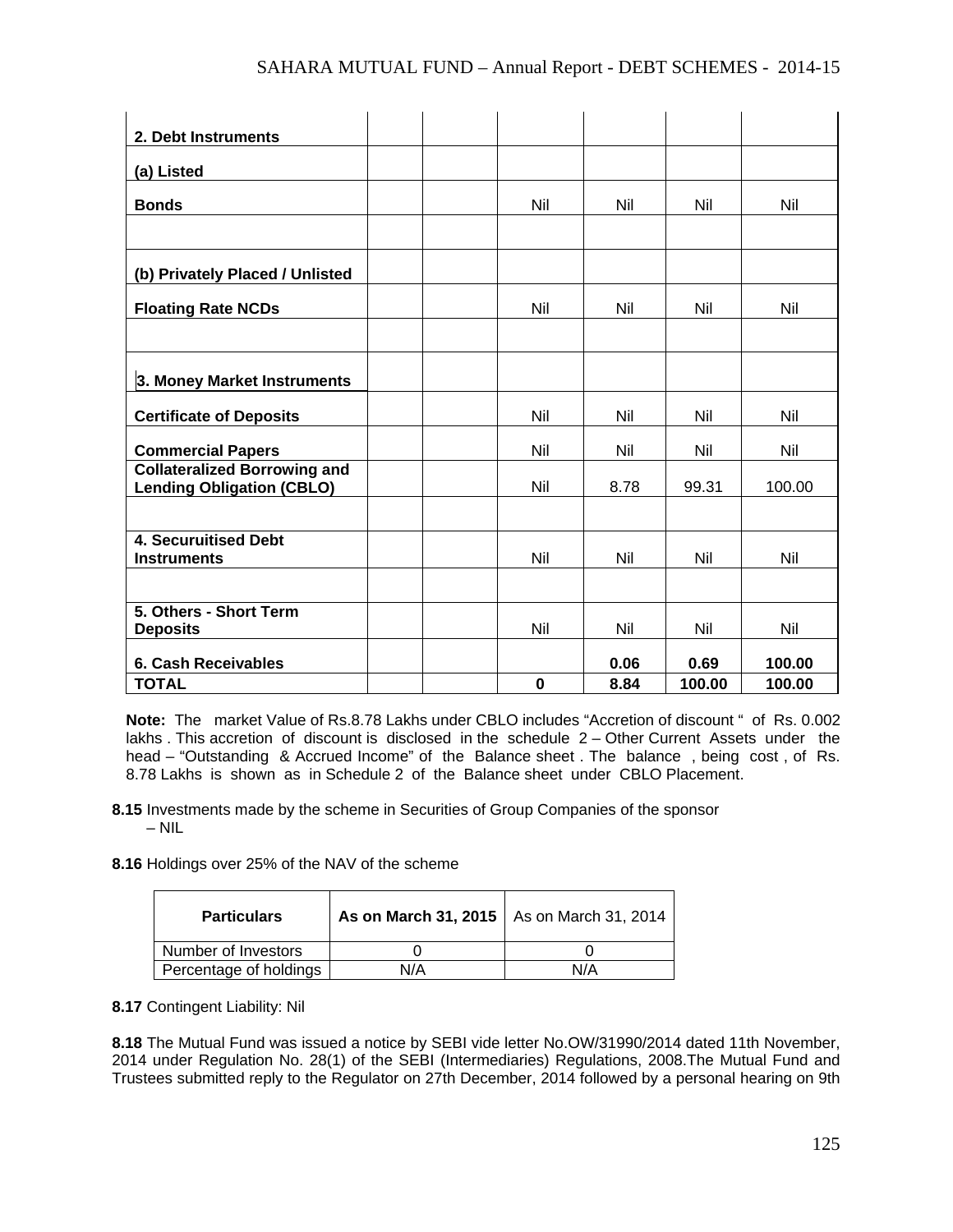| 2. Debt Instruments                                                     |          |      |        |            |
|-------------------------------------------------------------------------|----------|------|--------|------------|
| (a) Listed                                                              |          |      |        |            |
| <b>Bonds</b>                                                            | Nil      | Nil  | Nil    | Nil        |
|                                                                         |          |      |        |            |
| (b) Privately Placed / Unlisted                                         |          |      |        |            |
| <b>Floating Rate NCDs</b>                                               | Nil      | Nil  | Nil    | Nil        |
|                                                                         |          |      |        |            |
| 3. Money Market Instruments                                             |          |      |        |            |
| <b>Certificate of Deposits</b>                                          | Nil      | Nil  | Nil    | Nil        |
| <b>Commercial Papers</b>                                                | Nil      | Nil  | Nil    | Nil        |
| <b>Collateralized Borrowing and</b><br><b>Lending Obligation (CBLO)</b> | Nil      | 8.78 | 99.31  | 100.00     |
|                                                                         |          |      |        |            |
| <b>4. Securuitised Debt</b><br><b>Instruments</b>                       | Nil      | Nil  | Nil    | Nil        |
|                                                                         |          |      |        |            |
| 5. Others - Short Term<br><b>Deposits</b>                               | Nil      | Nil  | Nil    | <b>Nil</b> |
| 6. Cash Receivables                                                     |          | 0.06 | 0.69   | 100.00     |
| <b>TOTAL</b>                                                            | $\bf{0}$ | 8.84 | 100.00 | 100.00     |

**Note:** The market Value of Rs.8.78 Lakhs under CBLO includes "Accretion of discount " of Rs. 0.002 lakhs . This accretion of discount is disclosed in the schedule 2 – Other Current Assets under the head – "Outstanding & Accrued Income" of the Balance sheet. The balance, being cost, of Rs. 8.78 Lakhs is shown as in Schedule 2 of the Balance sheet under CBLO Placement.

**8.15** Investments made by the scheme in Securities of Group Companies of the sponsor – NIL

**8.16** Holdings over 25% of the NAV of the scheme

| <b>Particulars</b>     | As on March 31, 2015   As on March 31, 2014 |     |
|------------------------|---------------------------------------------|-----|
| Number of Investors    |                                             |     |
| Percentage of holdings | N/A                                         | N/A |

**8.17** Contingent Liability: Nil

**8.18** The Mutual Fund was issued a notice by SEBI vide letter No.OW/31990/2014 dated 11th November, 2014 under Regulation No. 28(1) of the SEBI (Intermediaries) Regulations, 2008.The Mutual Fund and Trustees submitted reply to the Regulator on 27th December, 2014 followed by a personal hearing on 9th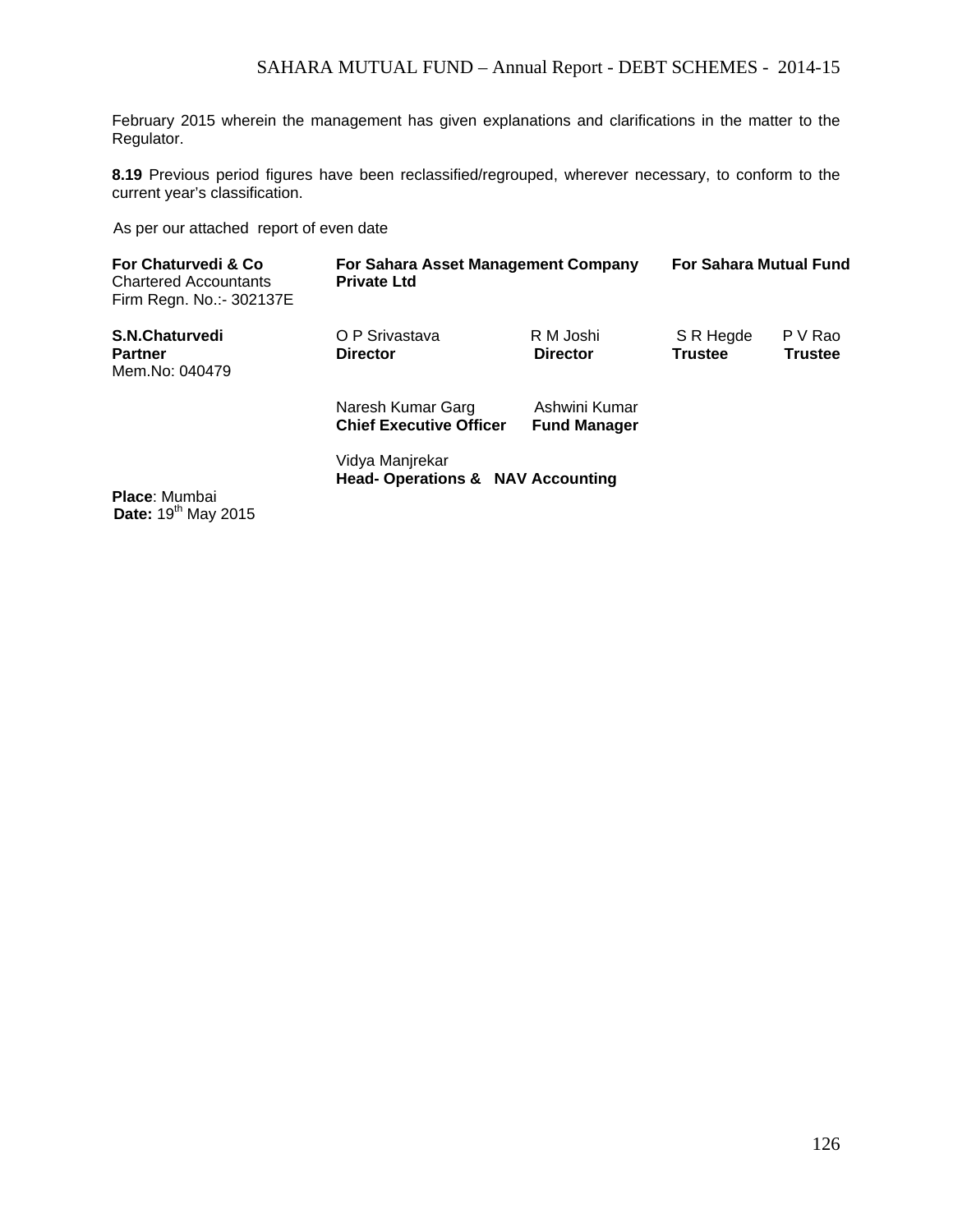February 2015 wherein the management has given explanations and clarifications in the matter to the Regulator.

**8.19** Previous period figures have been reclassified/regrouped, wherever necessary, to conform to the current year's classification.

As per our attached report of even date

| For Chaturvedi & Co.<br><b>Chartered Accountants</b><br>Firm Regn. No.:- 302137E | For Sahara Asset Management Company<br><b>Private Ltd</b>       |                                      | <b>For Sahara Mutual Fund</b> |                           |
|----------------------------------------------------------------------------------|-----------------------------------------------------------------|--------------------------------------|-------------------------------|---------------------------|
| <b>S.N.Chaturvedi</b><br><b>Partner</b><br>Mem.No: 040479                        | O P Srivastava<br><b>Director</b>                               | R M Joshi<br><b>Director</b>         | S R Hegde<br><b>Trustee</b>   | P V Rao<br><b>Trustee</b> |
|                                                                                  | Naresh Kumar Garg<br><b>Chief Executive Officer</b>             | Ashwini Kumar<br><b>Fund Manager</b> |                               |                           |
|                                                                                  | Vidya Manjrekar<br><b>Head- Operations &amp; NAV Accounting</b> |                                      |                               |                           |
| <b>Place:</b> Mumbai<br>Date: $19th$ May 2015                                    |                                                                 |                                      |                               |                           |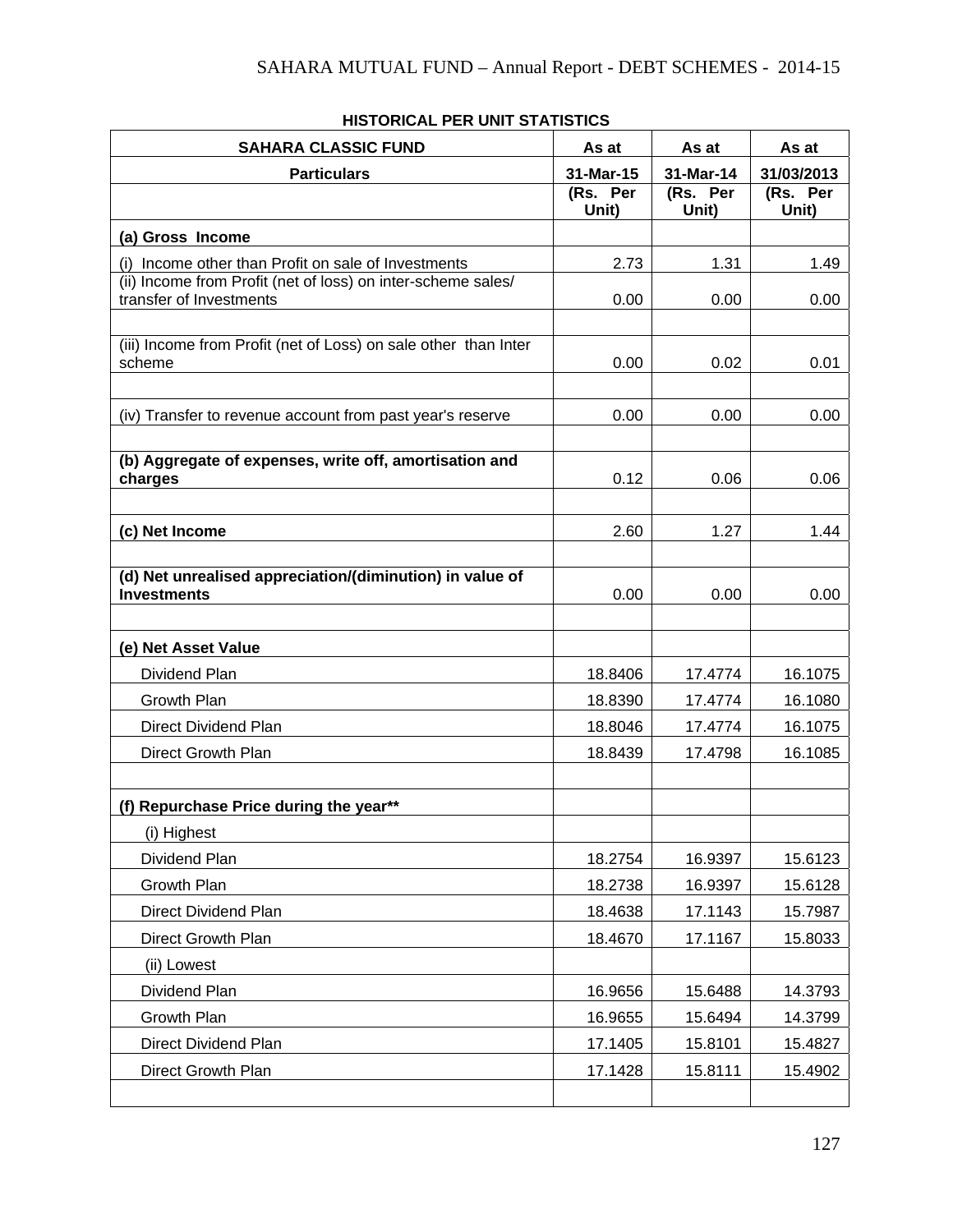| <b>SAHARA CLASSIC FUND</b>                                                              | As at             | As at             | As at             |
|-----------------------------------------------------------------------------------------|-------------------|-------------------|-------------------|
| <b>Particulars</b>                                                                      | 31-Mar-15         | 31-Mar-14         | 31/03/2013        |
|                                                                                         | (Rs. Per<br>Unit) | (Rs. Per<br>Unit) | (Rs. Per<br>Unit) |
| (a) Gross Income                                                                        |                   |                   |                   |
| (i) Income other than Profit on sale of Investments                                     | 2.73              | 1.31              | 1.49              |
| (ii) Income from Profit (net of loss) on inter-scheme sales/<br>transfer of Investments | 0.00              | 0.00              | 0.00              |
|                                                                                         |                   |                   |                   |
| (iii) Income from Profit (net of Loss) on sale other than Inter                         |                   |                   |                   |
| scheme                                                                                  | 0.00              | 0.02              | 0.01              |
|                                                                                         |                   |                   |                   |
| (iv) Transfer to revenue account from past year's reserve                               | 0.00              | 0.00              | 0.00              |
| (b) Aggregate of expenses, write off, amortisation and                                  |                   |                   |                   |
| charges                                                                                 | 0.12              | 0.06              | 0.06              |
|                                                                                         |                   |                   |                   |
| (c) Net Income                                                                          | 2.60              | 1.27              | 1.44              |
|                                                                                         |                   |                   |                   |
| (d) Net unrealised appreciation/(diminution) in value of<br><b>Investments</b>          | 0.00              | 0.00              | 0.00              |
|                                                                                         |                   |                   |                   |
| (e) Net Asset Value                                                                     |                   |                   |                   |
| Dividend Plan                                                                           | 18.8406           | 17.4774           | 16.1075           |
| Growth Plan                                                                             | 18.8390           | 17.4774           | 16.1080           |
| Direct Dividend Plan                                                                    | 18.8046           | 17.4774           | 16.1075           |
| Direct Growth Plan                                                                      | 18.8439           | 17.4798           | 16.1085           |
|                                                                                         |                   |                   |                   |
| (f) Repurchase Price during the year**                                                  |                   |                   |                   |
| (i) Highest                                                                             |                   |                   |                   |
| Dividend Plan                                                                           | 18.2754           | 16.9397           | 15.6123           |
| Growth Plan                                                                             | 18.2738           | 16.9397           | 15.6128           |
| Direct Dividend Plan                                                                    | 18.4638           | 17.1143           | 15.7987           |
| Direct Growth Plan                                                                      | 18.4670           | 17.1167           | 15.8033           |
| (ii) Lowest                                                                             |                   |                   |                   |
| Dividend Plan                                                                           | 16.9656           | 15.6488           | 14.3793           |
| Growth Plan                                                                             | 16.9655           | 15.6494           | 14.3799           |
| Direct Dividend Plan                                                                    | 17.1405           | 15.8101           | 15.4827           |
| Direct Growth Plan                                                                      | 17.1428           | 15.8111           | 15.4902           |
|                                                                                         |                   |                   |                   |

## **HISTORICAL PER UNIT STATISTICS**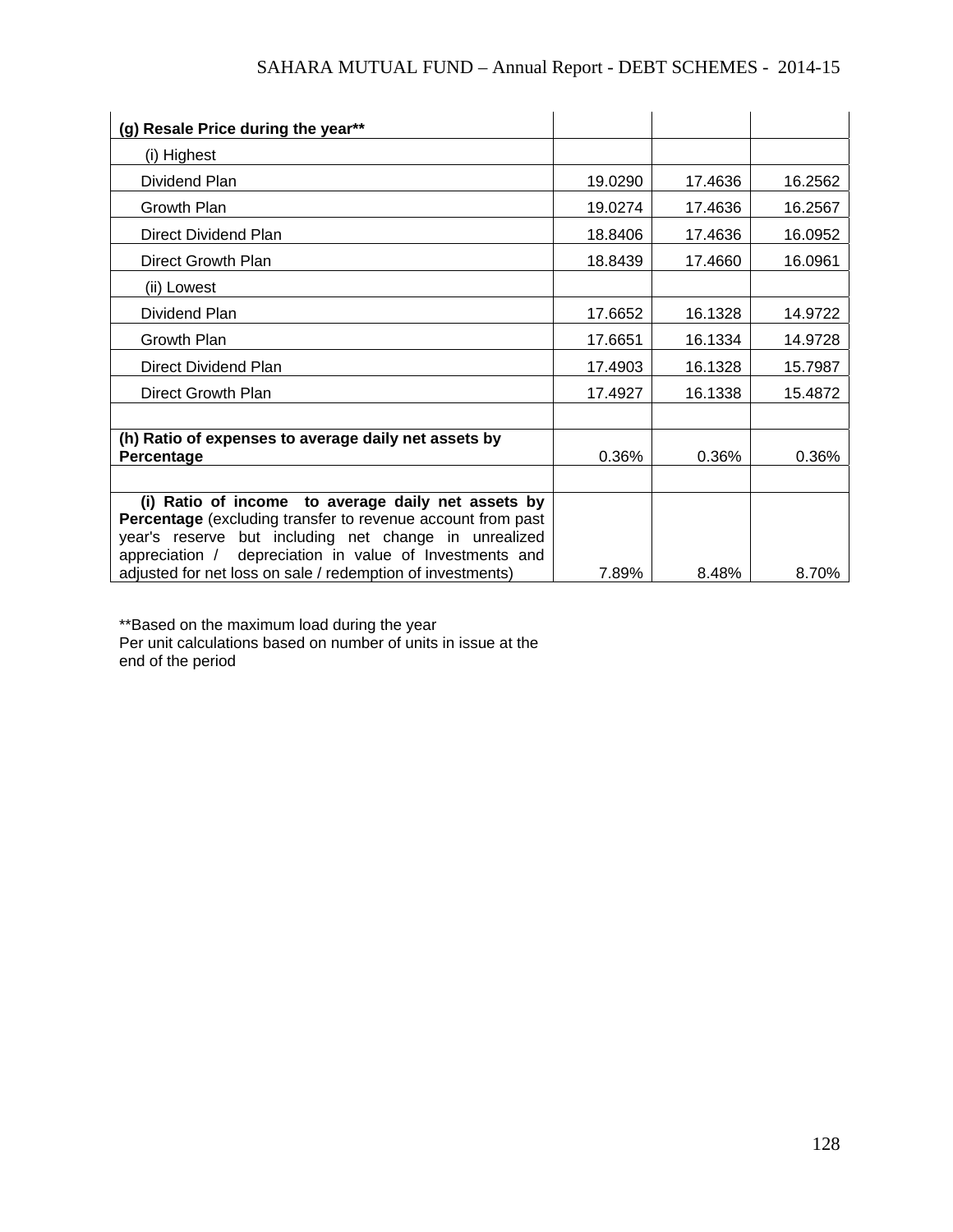| (g) Resale Price during the year**                                                                                                                                                                                                                                                                         |         |         |         |
|------------------------------------------------------------------------------------------------------------------------------------------------------------------------------------------------------------------------------------------------------------------------------------------------------------|---------|---------|---------|
| (i) Highest                                                                                                                                                                                                                                                                                                |         |         |         |
| Dividend Plan                                                                                                                                                                                                                                                                                              | 19.0290 | 17.4636 | 16.2562 |
| Growth Plan                                                                                                                                                                                                                                                                                                | 19.0274 | 17.4636 | 16.2567 |
| Direct Dividend Plan                                                                                                                                                                                                                                                                                       | 18.8406 | 17.4636 | 16.0952 |
| Direct Growth Plan                                                                                                                                                                                                                                                                                         | 18.8439 | 17.4660 | 16.0961 |
| (ii) Lowest                                                                                                                                                                                                                                                                                                |         |         |         |
| Dividend Plan                                                                                                                                                                                                                                                                                              | 17.6652 | 16.1328 | 14.9722 |
| Growth Plan                                                                                                                                                                                                                                                                                                | 17.6651 | 16.1334 | 14.9728 |
| Direct Dividend Plan                                                                                                                                                                                                                                                                                       | 17.4903 | 16.1328 | 15.7987 |
| Direct Growth Plan                                                                                                                                                                                                                                                                                         | 17.4927 | 16.1338 | 15.4872 |
|                                                                                                                                                                                                                                                                                                            |         |         |         |
| (h) Ratio of expenses to average daily net assets by<br>Percentage                                                                                                                                                                                                                                         | 0.36%   | 0.36%   | 0.36%   |
|                                                                                                                                                                                                                                                                                                            |         |         |         |
| (i) Ratio of income to average daily net assets by<br><b>Percentage</b> (excluding transfer to revenue account from past<br>year's reserve but including net change in unrealized<br>appreciation / depreciation in value of Investments and<br>adjusted for net loss on sale / redemption of investments) | 7.89%   | 8.48%   | 8.70%   |

\*\*Based on the maximum load during the year Per unit calculations based on number of units in issue at the end of the period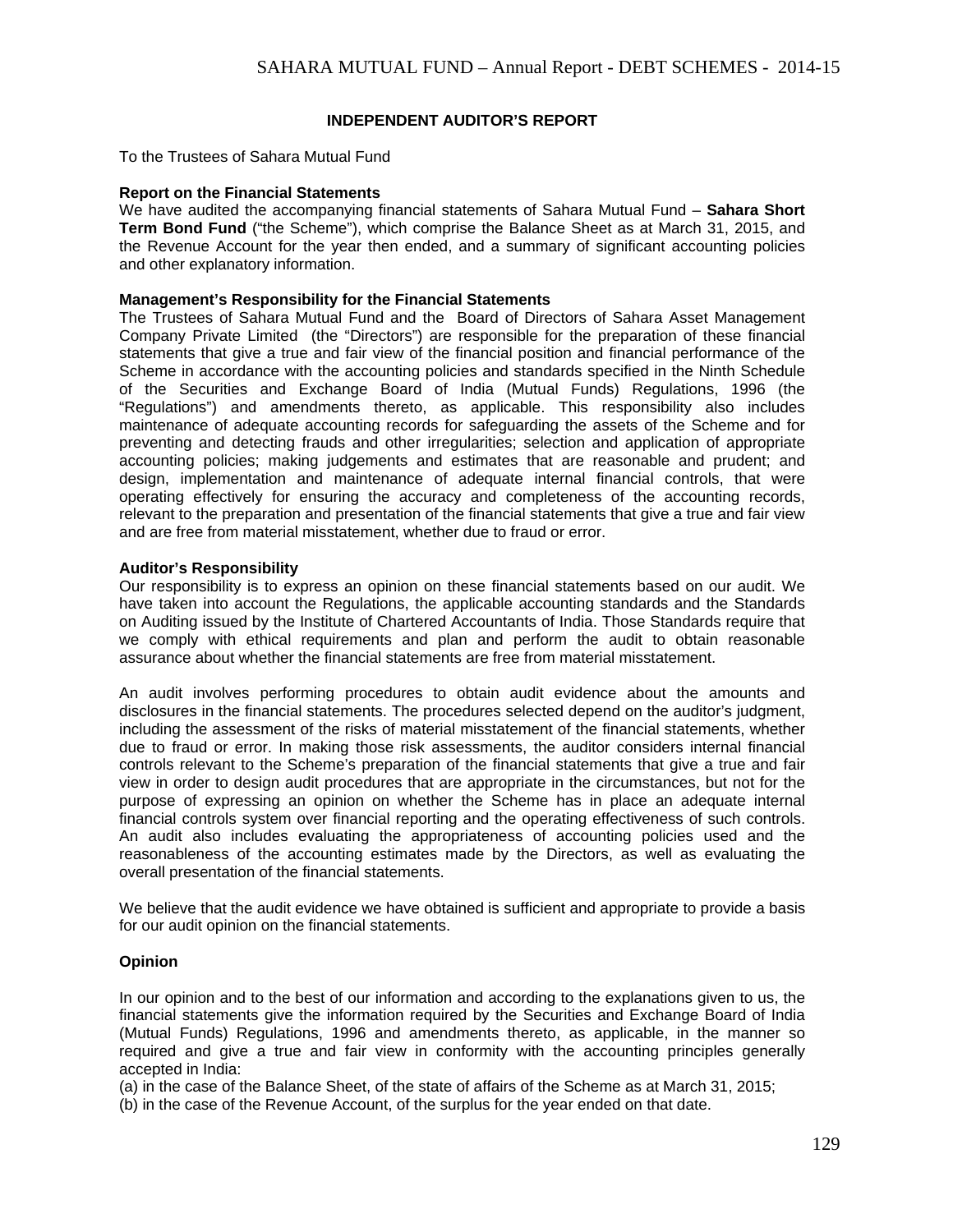## **INDEPENDENT AUDITOR'S REPORT**

To the Trustees of Sahara Mutual Fund

#### **Report on the Financial Statements**

We have audited the accompanying financial statements of Sahara Mutual Fund – **Sahara Short Term Bond Fund** ("the Scheme"), which comprise the Balance Sheet as at March 31, 2015, and the Revenue Account for the year then ended, and a summary of significant accounting policies and other explanatory information.

#### **Management's Responsibility for the Financial Statements**

The Trustees of Sahara Mutual Fund and the Board of Directors of Sahara Asset Management Company Private Limited (the "Directors") are responsible for the preparation of these financial statements that give a true and fair view of the financial position and financial performance of the Scheme in accordance with the accounting policies and standards specified in the Ninth Schedule of the Securities and Exchange Board of India (Mutual Funds) Regulations, 1996 (the "Regulations") and amendments thereto, as applicable. This responsibility also includes maintenance of adequate accounting records for safeguarding the assets of the Scheme and for preventing and detecting frauds and other irregularities; selection and application of appropriate accounting policies; making judgements and estimates that are reasonable and prudent; and design, implementation and maintenance of adequate internal financial controls, that were operating effectively for ensuring the accuracy and completeness of the accounting records, relevant to the preparation and presentation of the financial statements that give a true and fair view and are free from material misstatement, whether due to fraud or error.

#### **Auditor's Responsibility**

Our responsibility is to express an opinion on these financial statements based on our audit. We have taken into account the Regulations, the applicable accounting standards and the Standards on Auditing issued by the Institute of Chartered Accountants of India. Those Standards require that we comply with ethical requirements and plan and perform the audit to obtain reasonable assurance about whether the financial statements are free from material misstatement.

An audit involves performing procedures to obtain audit evidence about the amounts and disclosures in the financial statements. The procedures selected depend on the auditor's judgment, including the assessment of the risks of material misstatement of the financial statements, whether due to fraud or error. In making those risk assessments, the auditor considers internal financial controls relevant to the Scheme's preparation of the financial statements that give a true and fair view in order to design audit procedures that are appropriate in the circumstances, but not for the purpose of expressing an opinion on whether the Scheme has in place an adequate internal financial controls system over financial reporting and the operating effectiveness of such controls. An audit also includes evaluating the appropriateness of accounting policies used and the reasonableness of the accounting estimates made by the Directors, as well as evaluating the overall presentation of the financial statements.

We believe that the audit evidence we have obtained is sufficient and appropriate to provide a basis for our audit opinion on the financial statements.

#### **Opinion**

In our opinion and to the best of our information and according to the explanations given to us, the financial statements give the information required by the Securities and Exchange Board of India (Mutual Funds) Regulations, 1996 and amendments thereto, as applicable, in the manner so required and give a true and fair view in conformity with the accounting principles generally accepted in India:

(a) in the case of the Balance Sheet, of the state of affairs of the Scheme as at March 31, 2015;

(b) in the case of the Revenue Account, of the surplus for the year ended on that date.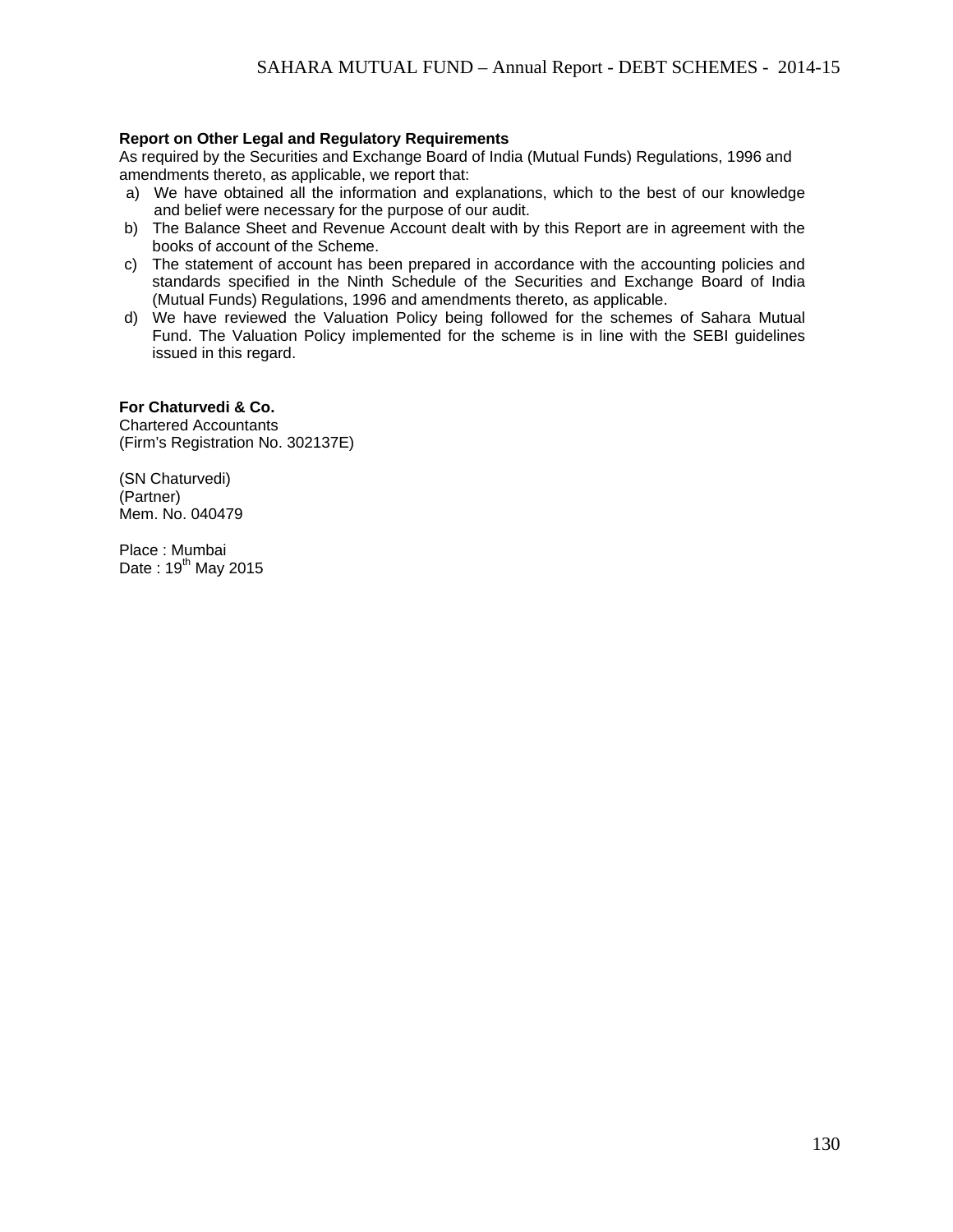## **Report on Other Legal and Regulatory Requirements**

As required by the Securities and Exchange Board of India (Mutual Funds) Regulations, 1996 and amendments thereto, as applicable, we report that:

- a) We have obtained all the information and explanations, which to the best of our knowledge and belief were necessary for the purpose of our audit.
- b) The Balance Sheet and Revenue Account dealt with by this Report are in agreement with the books of account of the Scheme.
- c) The statement of account has been prepared in accordance with the accounting policies and standards specified in the Ninth Schedule of the Securities and Exchange Board of India (Mutual Funds) Regulations, 1996 and amendments thereto, as applicable.
- d) We have reviewed the Valuation Policy being followed for the schemes of Sahara Mutual Fund. The Valuation Policy implemented for the scheme is in line with the SEBI guidelines issued in this regard.

## **For Chaturvedi & Co.**

Chartered Accountants (Firm's Registration No. 302137E)

(SN Chaturvedi) (Partner) Mem. No. 040479

Place : Mumbai Date:  $19^{th}$  May 2015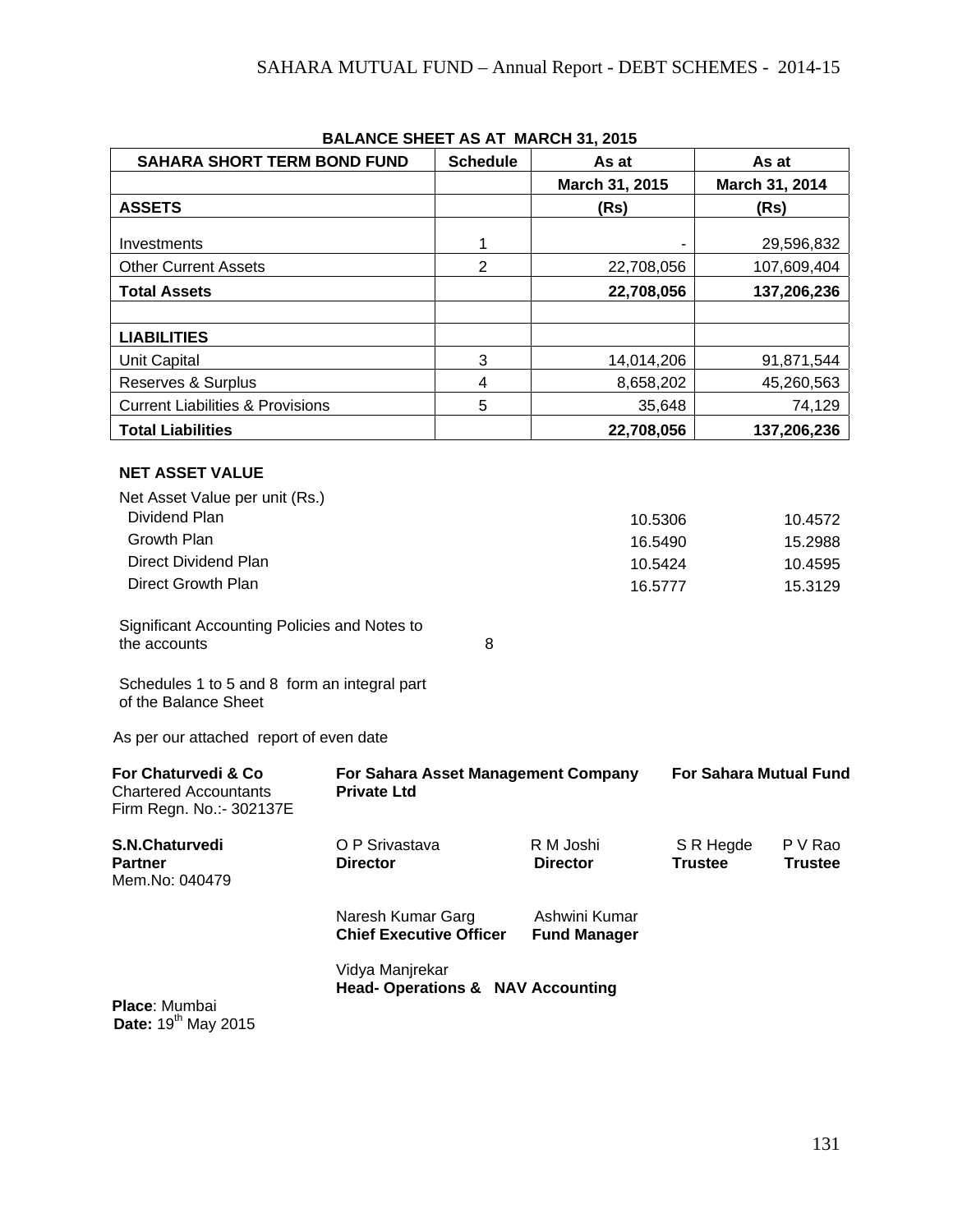|                                                                                                                                                                                                                                                                                                               |                                                     |                 | <b>BALANCE SHEET AS AT MARCH 31, 2015</b>    |                                          |                               |                                          |
|---------------------------------------------------------------------------------------------------------------------------------------------------------------------------------------------------------------------------------------------------------------------------------------------------------------|-----------------------------------------------------|-----------------|----------------------------------------------|------------------------------------------|-------------------------------|------------------------------------------|
| <b>SAHARA SHORT TERM BOND FUND</b>                                                                                                                                                                                                                                                                            |                                                     | <b>Schedule</b> | As at                                        |                                          | As at                         |                                          |
|                                                                                                                                                                                                                                                                                                               |                                                     |                 | March 31, 2015                               |                                          | March 31, 2014                |                                          |
| <b>ASSETS</b>                                                                                                                                                                                                                                                                                                 |                                                     |                 | (Rs)                                         |                                          | (Rs)                          |                                          |
| Investments                                                                                                                                                                                                                                                                                                   |                                                     | 1               |                                              |                                          |                               | 29,596,832                               |
| <b>Other Current Assets</b>                                                                                                                                                                                                                                                                                   |                                                     | $\overline{2}$  | 22,708,056                                   |                                          |                               | 107,609,404                              |
| <b>Total Assets</b>                                                                                                                                                                                                                                                                                           |                                                     |                 | 22,708,056                                   |                                          |                               | 137,206,236                              |
| <b>LIABILITIES</b>                                                                                                                                                                                                                                                                                            |                                                     |                 |                                              |                                          |                               |                                          |
| Unit Capital                                                                                                                                                                                                                                                                                                  |                                                     | 3               | 14,014,206                                   |                                          |                               | 91,871,544                               |
| Reserves & Surplus                                                                                                                                                                                                                                                                                            |                                                     | $\overline{4}$  | 8,658,202                                    |                                          |                               | 45,260,563                               |
| <b>Current Liabilities &amp; Provisions</b>                                                                                                                                                                                                                                                                   |                                                     | 5               |                                              | 35,648                                   |                               | 74,129                                   |
| <b>Total Liabilities</b>                                                                                                                                                                                                                                                                                      |                                                     |                 | 22,708,056                                   |                                          |                               | 137,206,236                              |
| Net Asset Value per unit (Rs.)<br>Dividend Plan<br><b>Growth Plan</b><br><b>Direct Dividend Plan</b><br>Direct Growth Plan<br>Significant Accounting Policies and Notes to<br>the accounts<br>Schedules 1 to 5 and 8 form an integral part<br>of the Balance Sheet<br>As per our attached report of even date |                                                     | 8               |                                              | 10.5306<br>16.5490<br>10.5424<br>16.5777 |                               | 10.4572<br>15.2988<br>10.4595<br>15.3129 |
| For Chaturvedi & Co<br><b>Chartered Accountants</b><br>Firm Regn. No.:- 302137E                                                                                                                                                                                                                               | <b>Private Ltd</b>                                  |                 | For Sahara Asset Management Company          |                                          | <b>For Sahara Mutual Fund</b> |                                          |
| <b>S.N.Chaturvedi</b><br><b>Partner</b><br>Mem.No: 040479                                                                                                                                                                                                                                                     | O P Srivastava<br><b>Director</b>                   |                 | R M Joshi<br><b>Director</b>                 | <b>Trustee</b>                           | S R Hegde                     | P V Rao<br><b>Trustee</b>                |
|                                                                                                                                                                                                                                                                                                               | Naresh Kumar Garg<br><b>Chief Executive Officer</b> |                 | Ashwini Kumar<br><b>Fund Manager</b>         |                                          |                               |                                          |
| Place: Mumbai                                                                                                                                                                                                                                                                                                 | Vidya Manjrekar                                     |                 | <b>Head- Operations &amp; NAV Accounting</b> |                                          |                               |                                          |

**Date:** 19<sup>th</sup> May 2015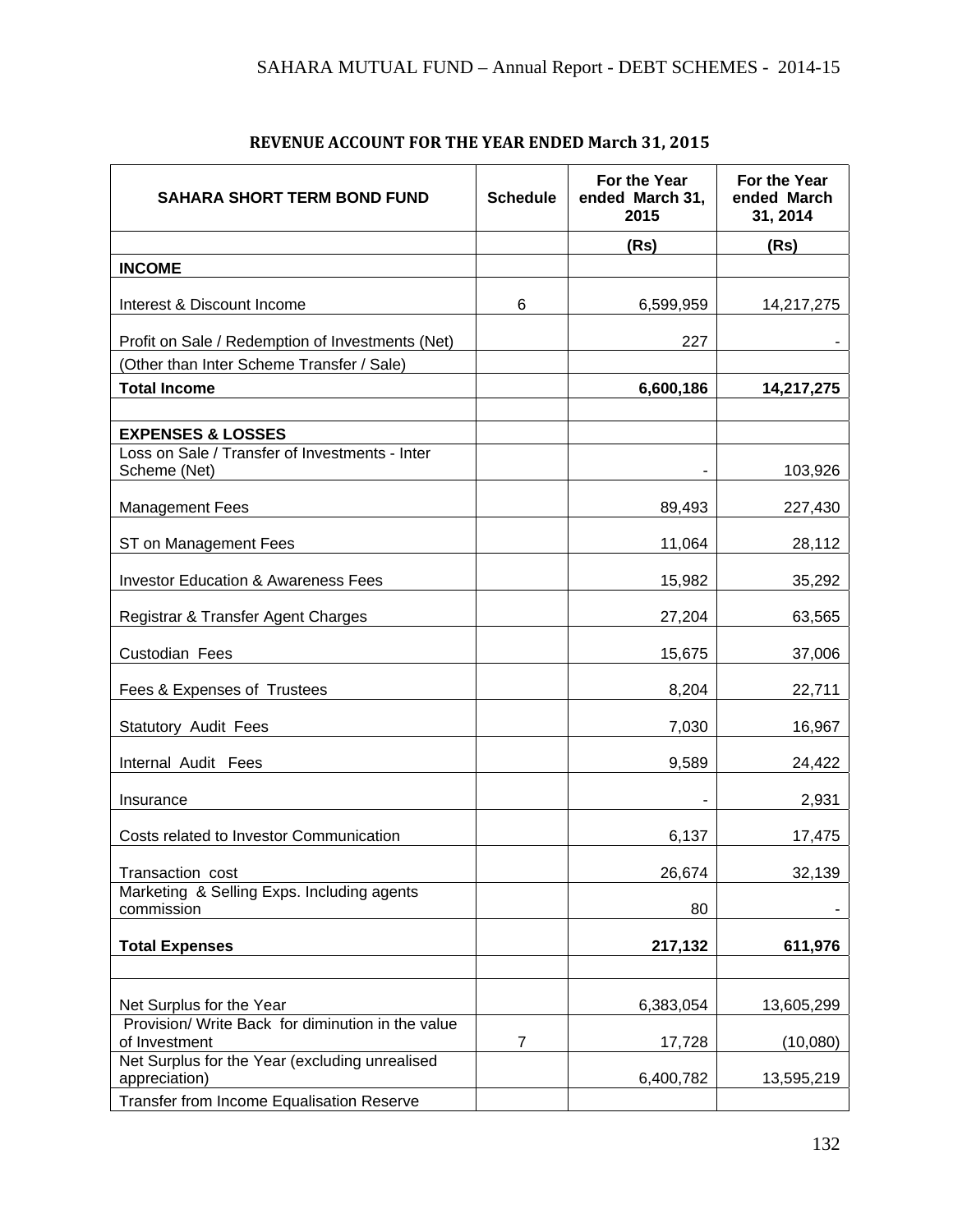| <b>SAHARA SHORT TERM BOND FUND</b>                              | <b>Schedule</b> | For the Year<br>ended March 31,<br>2015 | For the Year<br>ended March<br>31, 2014 |
|-----------------------------------------------------------------|-----------------|-----------------------------------------|-----------------------------------------|
|                                                                 |                 | (Rs)                                    | (Rs)                                    |
| <b>INCOME</b>                                                   |                 |                                         |                                         |
| Interest & Discount Income                                      | 6               | 6,599,959                               | 14,217,275                              |
| Profit on Sale / Redemption of Investments (Net)                |                 | 227                                     |                                         |
| (Other than Inter Scheme Transfer / Sale)                       |                 |                                         |                                         |
| <b>Total Income</b>                                             |                 | 6,600,186                               | 14,217,275                              |
|                                                                 |                 |                                         |                                         |
| <b>EXPENSES &amp; LOSSES</b>                                    |                 |                                         |                                         |
| Loss on Sale / Transfer of Investments - Inter<br>Scheme (Net)  |                 |                                         | 103,926                                 |
| <b>Management Fees</b>                                          |                 | 89,493                                  | 227,430                                 |
| ST on Management Fees                                           |                 | 11,064                                  | 28,112                                  |
| <b>Investor Education &amp; Awareness Fees</b>                  |                 | 15,982                                  | 35,292                                  |
| Registrar & Transfer Agent Charges                              |                 | 27,204                                  | 63,565                                  |
| Custodian Fees                                                  |                 | 15,675                                  | 37,006                                  |
| Fees & Expenses of Trustees                                     |                 | 8,204                                   | 22,711                                  |
| <b>Statutory Audit Fees</b>                                     |                 | 7,030                                   | 16,967                                  |
| Internal Audit Fees                                             |                 | 9,589                                   | 24,422                                  |
| Insurance                                                       |                 |                                         | 2,931                                   |
| Costs related to Investor Communication                         |                 | 6,137                                   | 17,475                                  |
| Transaction cost                                                |                 | 26,674                                  | 32,139                                  |
| Marketing & Selling Exps. Including agents<br>commission        |                 | 80                                      |                                         |
| <b>Total Expenses</b>                                           |                 | 217,132                                 | 611,976                                 |
|                                                                 |                 |                                         |                                         |
| Net Surplus for the Year                                        |                 | 6,383,054                               | 13,605,299                              |
| Provision/ Write Back for diminution in the value               |                 |                                         |                                         |
| of Investment<br>Net Surplus for the Year (excluding unrealised | $\overline{7}$  | 17,728                                  | (10,080)                                |
| appreciation)                                                   |                 | 6,400,782                               | 13,595,219                              |
| Transfer from Income Equalisation Reserve                       |                 |                                         |                                         |

## **REVENUE ACCOUNT FOR THE YEAR ENDED March 31, 2015**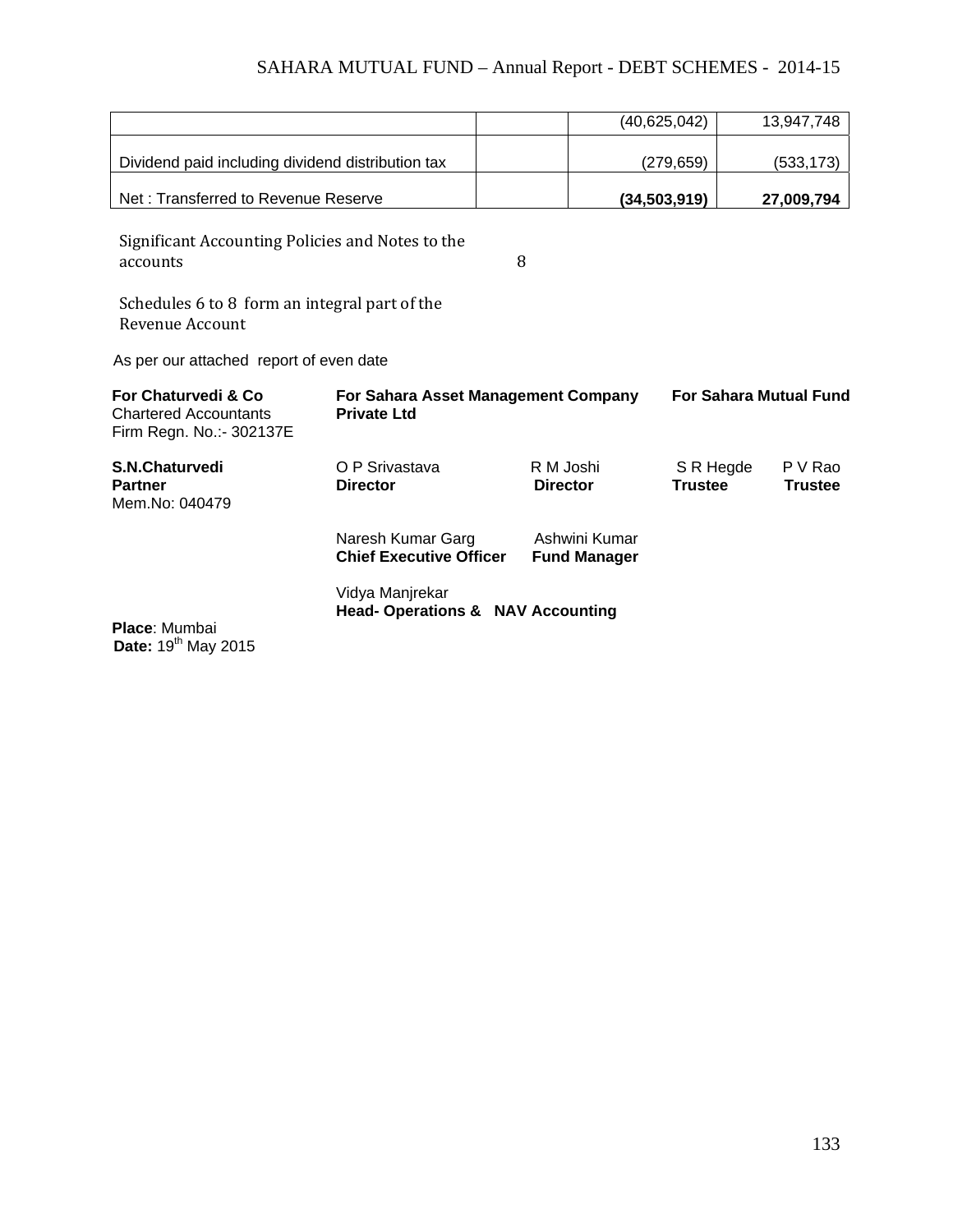|                                                   | (40,625,042) | 13,947,748 |
|---------------------------------------------------|--------------|------------|
| Dividend paid including dividend distribution tax | (279, 659)   | (533, 173) |
| Net: Transferred to Revenue Reserve               | (34,503,919) | 27,009,794 |

Significant Accounting Policies and Notes to the accounts 8

Schedules 6 to 8 form an integral part of the Revenue Account

As per our attached report of even date

| For Chaturvedi & Co.<br><b>Chartered Accountants</b><br>Firm Regn. No.:- 302137E | <b>For Sahara Asset Management Company</b><br><b>Private Ltd</b> | <b>For Sahara Mutual Fund</b>        |                             |                           |
|----------------------------------------------------------------------------------|------------------------------------------------------------------|--------------------------------------|-----------------------------|---------------------------|
| <b>S.N.Chaturvedi</b><br><b>Partner</b><br>Mem.No: 040479                        | O P Srivastava<br><b>Director</b>                                | R M Joshi<br><b>Director</b>         | S R Hegde<br><b>Trustee</b> | P V Rao<br><b>Trustee</b> |
|                                                                                  | Naresh Kumar Garg<br><b>Chief Executive Officer</b>              | Ashwini Kumar<br><b>Fund Manager</b> |                             |                           |
| <b>Place: Mumbai</b>                                                             | Vidya Manjrekar<br><b>Head- Operations &amp; NAV Accounting</b>  |                                      |                             |                           |

**Date:** 19<sup>th</sup> May 2015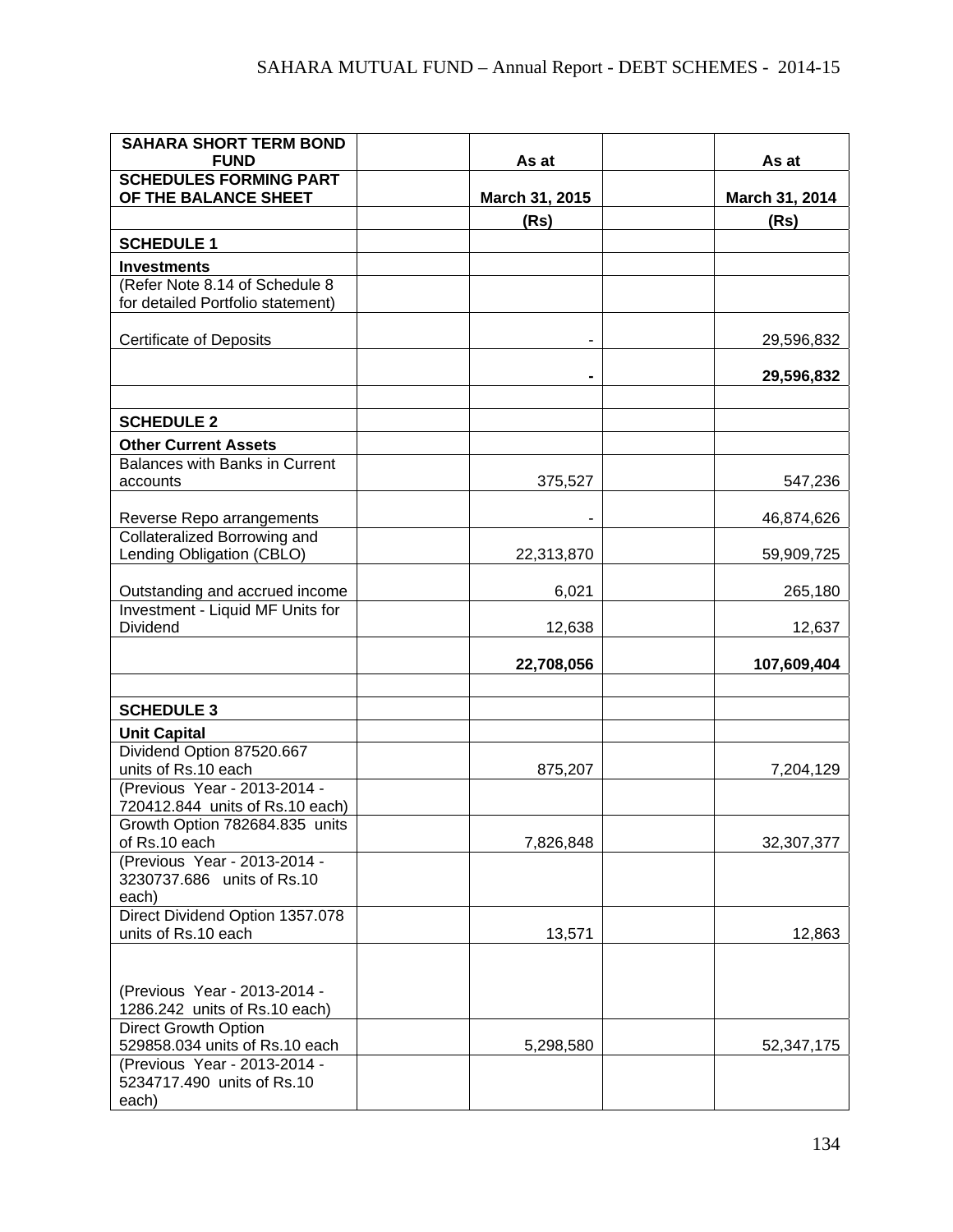| <b>SAHARA SHORT TERM BOND</b>                                     |                |                |
|-------------------------------------------------------------------|----------------|----------------|
| <b>FUND</b>                                                       | As at          | As at          |
| <b>SCHEDULES FORMING PART</b><br>OF THE BALANCE SHEET             | March 31, 2015 | March 31, 2014 |
|                                                                   | (Rs)           | (Rs)           |
| <b>SCHEDULE 1</b>                                                 |                |                |
| <b>Investments</b>                                                |                |                |
| (Refer Note 8.14 of Schedule 8                                    |                |                |
| for detailed Portfolio statement)                                 |                |                |
| <b>Certificate of Deposits</b>                                    | -              | 29,596,832     |
|                                                                   |                |                |
|                                                                   | -              | 29,596,832     |
|                                                                   |                |                |
| <b>SCHEDULE 2</b>                                                 |                |                |
| <b>Other Current Assets</b>                                       |                |                |
| <b>Balances with Banks in Current</b>                             |                |                |
| accounts                                                          | 375,527        | 547,236        |
| Reverse Repo arrangements                                         |                | 46,874,626     |
| <b>Collateralized Borrowing and</b>                               |                |                |
| Lending Obligation (CBLO)                                         | 22,313,870     | 59,909,725     |
| Outstanding and accrued income                                    | 6,021          | 265,180        |
| Investment - Liquid MF Units for                                  |                |                |
| Dividend                                                          | 12,638         | 12,637         |
|                                                                   | 22,708,056     | 107,609,404    |
|                                                                   |                |                |
| <b>SCHEDULE 3</b>                                                 |                |                |
| <b>Unit Capital</b>                                               |                |                |
| Dividend Option 87520.667                                         |                |                |
| units of Rs.10 each                                               | 875,207        | 7,204,129      |
| (Previous Year - 2013-2014 -                                      |                |                |
| 720412.844 units of Rs.10 each)<br>Growth Option 782684.835 units |                |                |
| of Rs.10 each                                                     | 7,826,848      | 32,307,377     |
| (Previous Year - 2013-2014 -                                      |                |                |
| 3230737.686 units of Rs.10                                        |                |                |
| each)                                                             |                |                |
| Direct Dividend Option 1357.078<br>units of Rs.10 each            | 13,571         | 12,863         |
|                                                                   |                |                |
|                                                                   |                |                |
| (Previous Year - 2013-2014 -                                      |                |                |
| 1286.242 units of Rs.10 each)                                     |                |                |
| <b>Direct Growth Option</b><br>529858.034 units of Rs.10 each     | 5,298,580      | 52,347,175     |
| (Previous Year - 2013-2014 -                                      |                |                |
| 5234717.490 units of Rs.10                                        |                |                |
| each)                                                             |                |                |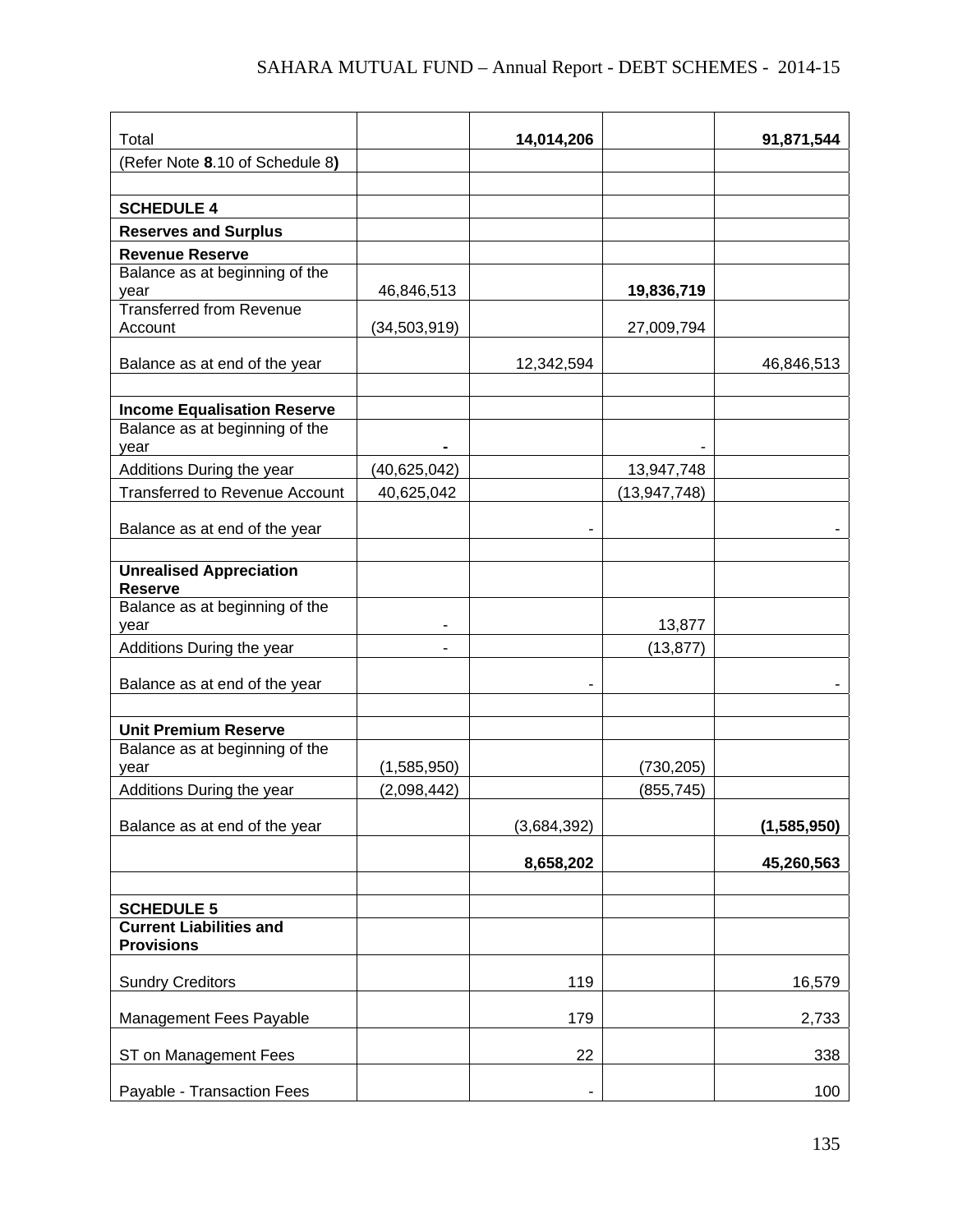| Total                                                         |                | 14,014,206  |                | 91,871,544  |
|---------------------------------------------------------------|----------------|-------------|----------------|-------------|
| (Refer Note 8.10 of Schedule 8)                               |                |             |                |             |
|                                                               |                |             |                |             |
| <b>SCHEDULE 4</b>                                             |                |             |                |             |
| <b>Reserves and Surplus</b>                                   |                |             |                |             |
| <b>Revenue Reserve</b>                                        |                |             |                |             |
| Balance as at beginning of the<br>year                        | 46,846,513     |             | 19,836,719     |             |
| <b>Transferred from Revenue</b>                               |                |             |                |             |
| Account                                                       | (34,503,919)   |             | 27,009,794     |             |
| Balance as at end of the year                                 |                | 12,342,594  |                | 46,846,513  |
| <b>Income Equalisation Reserve</b>                            |                |             |                |             |
| Balance as at beginning of the<br>year                        |                |             |                |             |
| Additions During the year                                     | (40, 625, 042) |             | 13,947,748     |             |
| <b>Transferred to Revenue Account</b>                         | 40,625,042     |             | (13, 947, 748) |             |
| Balance as at end of the year                                 |                |             |                |             |
| <b>Unrealised Appreciation</b><br><b>Reserve</b>              |                |             |                |             |
| Balance as at beginning of the<br>year                        |                |             | 13,877         |             |
| Additions During the year                                     |                |             | (13, 877)      |             |
| Balance as at end of the year                                 |                |             |                |             |
|                                                               |                |             |                |             |
| <b>Unit Premium Reserve</b><br>Balance as at beginning of the |                |             |                |             |
| vear                                                          | (1,585,950)    |             | (730, 205)     |             |
| Additions During the year                                     | (2,098,442)    |             | (855, 745)     |             |
| Balance as at end of the year                                 |                | (3,684,392) |                | (1,585,950) |
|                                                               |                | 8,658,202   |                | 45,260,563  |
|                                                               |                |             |                |             |
| <b>SCHEDULE 5</b>                                             |                |             |                |             |
| <b>Current Liabilities and</b><br><b>Provisions</b>           |                |             |                |             |
|                                                               |                |             |                |             |
| <b>Sundry Creditors</b>                                       |                | 119         |                | 16,579      |
| Management Fees Payable                                       |                | 179         |                | 2,733       |
| ST on Management Fees                                         |                | 22          |                | 338         |
| Payable - Transaction Fees                                    |                |             |                | 100         |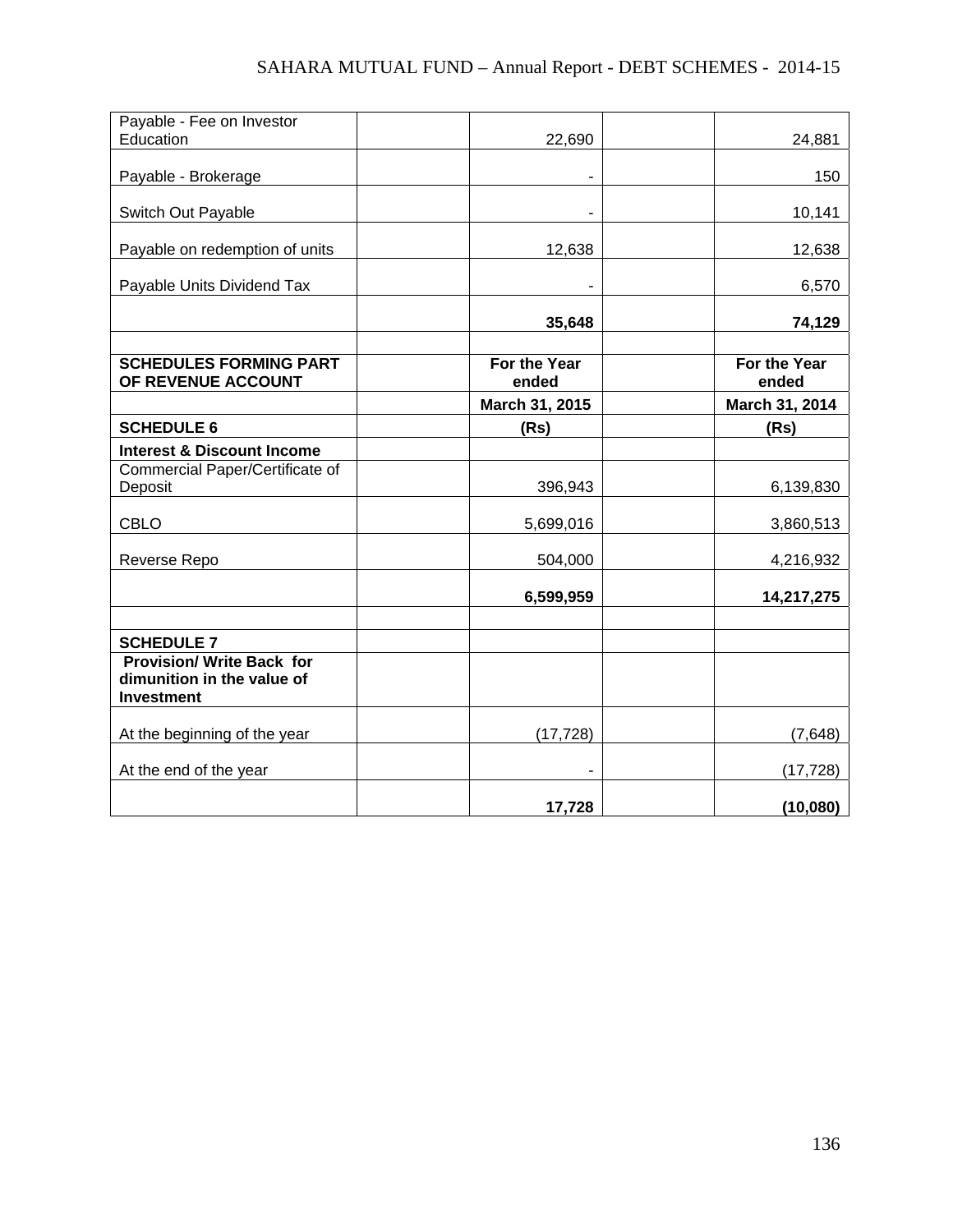| Payable - Fee on Investor<br>Education                                              |                       |                       |
|-------------------------------------------------------------------------------------|-----------------------|-----------------------|
|                                                                                     | 22,690                | 24,881                |
| Payable - Brokerage                                                                 |                       | 150                   |
| Switch Out Payable                                                                  |                       | 10,141                |
| Payable on redemption of units                                                      | 12,638                | 12,638                |
| Payable Units Dividend Tax                                                          |                       | 6,570                 |
|                                                                                     | 35,648                | 74,129                |
| <b>SCHEDULES FORMING PART</b><br>OF REVENUE ACCOUNT                                 | For the Year<br>ended | For the Year<br>ended |
|                                                                                     | March 31, 2015        | March 31, 2014        |
| <b>SCHEDULE 6</b>                                                                   | (Rs)                  | (Rs)                  |
| <b>Interest &amp; Discount Income</b>                                               |                       |                       |
| Commercial Paper/Certificate of<br>Deposit                                          | 396,943               | 6,139,830             |
| <b>CBLO</b>                                                                         | 5,699,016             | 3,860,513             |
| Reverse Repo                                                                        | 504,000               | 4,216,932             |
|                                                                                     | 6,599,959             | 14,217,275            |
| <b>SCHEDULE 7</b>                                                                   |                       |                       |
| <b>Provision/ Write Back for</b><br>dimunition in the value of<br><b>Investment</b> |                       |                       |
| At the beginning of the year                                                        | (17, 728)             | (7,648)               |
| At the end of the year                                                              |                       | (17, 728)             |
|                                                                                     | 17,728                | (10,080)              |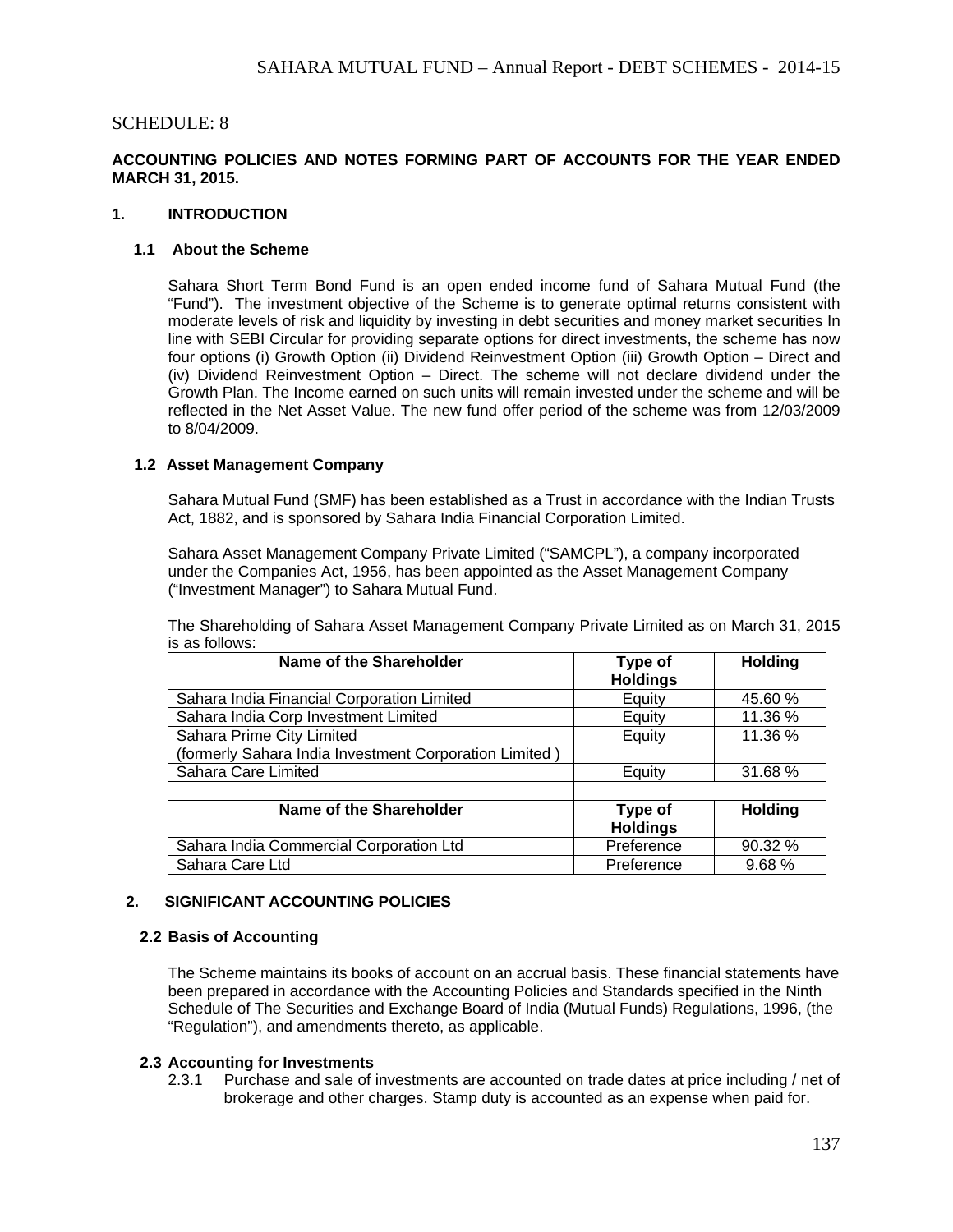## SCHEDULE: 8

## **ACCOUNTING POLICIES AND NOTES FORMING PART OF ACCOUNTS FOR THE YEAR ENDED MARCH 31, 2015.**

## **1. INTRODUCTION**

## **1.1 About the Scheme**

Sahara Short Term Bond Fund is an open ended income fund of Sahara Mutual Fund (the "Fund"). The investment objective of the Scheme is to generate optimal returns consistent with moderate levels of risk and liquidity by investing in debt securities and money market securities In line with SEBI Circular for providing separate options for direct investments, the scheme has now four options (i) Growth Option (ii) Dividend Reinvestment Option (iii) Growth Option – Direct and (iv) Dividend Reinvestment Option – Direct. The scheme will not declare dividend under the Growth Plan. The Income earned on such units will remain invested under the scheme and will be reflected in the Net Asset Value. The new fund offer period of the scheme was from 12/03/2009 to 8/04/2009.

#### **1.2 Asset Management Company**

Sahara Mutual Fund (SMF) has been established as a Trust in accordance with the Indian Trusts Act, 1882, and is sponsored by Sahara India Financial Corporation Limited.

Sahara Asset Management Company Private Limited ("SAMCPL"), a company incorporated under the Companies Act, 1956, has been appointed as the Asset Management Company ("Investment Manager") to Sahara Mutual Fund.

The Shareholding of Sahara Asset Management Company Private Limited as on March 31, 2015 is as follows:

| <b>Name of the Shareholder</b>                         | Type of         | <b>Holding</b> |
|--------------------------------------------------------|-----------------|----------------|
|                                                        | <b>Holdings</b> |                |
| Sahara India Financial Corporation Limited             | Equity          | 45.60 %        |
| Sahara India Corp Investment Limited                   | Equity          | 11.36 %        |
| Sahara Prime City Limited                              | Equity          | 11.36 %        |
| (formerly Sahara India Investment Corporation Limited) |                 |                |
| Sahara Care Limited                                    | Equity          | 31.68 %        |
|                                                        |                 |                |
| Name of the Shareholder                                | Type of         | <b>Holding</b> |
|                                                        | <b>Holdings</b> |                |
| Sahara India Commercial Corporation Ltd                | Preference      | 90.32 %        |
| Sahara Care Ltd                                        | Preference      | 9.68%          |

## **2. SIGNIFICANT ACCOUNTING POLICIES**

#### **2.2 Basis of Accounting**

The Scheme maintains its books of account on an accrual basis. These financial statements have been prepared in accordance with the Accounting Policies and Standards specified in the Ninth Schedule of The Securities and Exchange Board of India (Mutual Funds) Regulations, 1996, (the "Regulation"), and amendments thereto, as applicable.

#### **2.3 Accounting for Investments**

2.3.1 Purchase and sale of investments are accounted on trade dates at price including / net of brokerage and other charges. Stamp duty is accounted as an expense when paid for.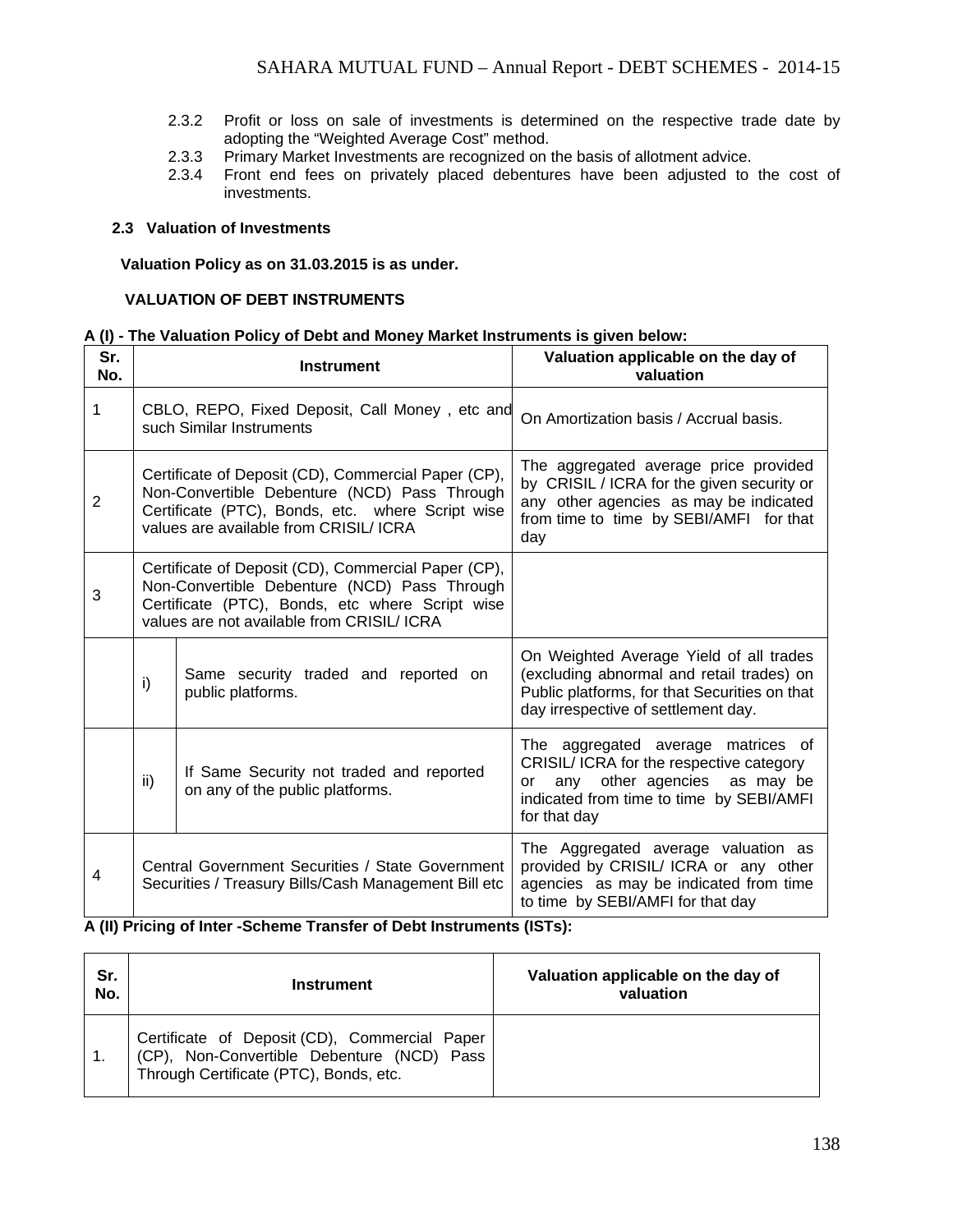- 2.3.2 Profit or loss on sale of investments is determined on the respective trade date by adopting the "Weighted Average Cost" method.
- 2.3.3 Primary Market Investments are recognized on the basis of allotment advice.<br>2.3.4 Front end fees on privately placed debentures have been adjusted to
- Front end fees on privately placed debentures have been adjusted to the cost of investments.

## **2.3 Valuation of Investments**

 **Valuation Policy as on 31.03.2015 is as under.** 

## **VALUATION OF DEBT INSTRUMENTS**

### **A (I) - The Valuation Policy of Debt and Money Market Instruments is given below:**

| Sr.<br>No. |                                                                                    | <b>Instrument</b>                                                                                                                                                                                    | Valuation applicable on the day of<br>valuation                                                                                                                                    |
|------------|------------------------------------------------------------------------------------|------------------------------------------------------------------------------------------------------------------------------------------------------------------------------------------------------|------------------------------------------------------------------------------------------------------------------------------------------------------------------------------------|
| 1          |                                                                                    | CBLO, REPO, Fixed Deposit, Call Money, etc and<br>such Similar Instruments                                                                                                                           | On Amortization basis / Accrual basis.                                                                                                                                             |
| 2          |                                                                                    | Certificate of Deposit (CD), Commercial Paper (CP),<br>Non-Convertible Debenture (NCD) Pass Through<br>Certificate (PTC), Bonds, etc. where Script wise<br>values are available from CRISIL/ ICRA    | The aggregated average price provided<br>by CRISIL / ICRA for the given security or<br>any other agencies as may be indicated<br>from time to time by SEBI/AMFI for that<br>day    |
| 3          |                                                                                    | Certificate of Deposit (CD), Commercial Paper (CP),<br>Non-Convertible Debenture (NCD) Pass Through<br>Certificate (PTC), Bonds, etc where Script wise<br>values are not available from CRISIL/ ICRA |                                                                                                                                                                                    |
|            | Same security traded and reported on<br>i)<br>public platforms.                    |                                                                                                                                                                                                      | On Weighted Average Yield of all trades<br>(excluding abnormal and retail trades) on<br>Public platforms, for that Securities on that<br>day irrespective of settlement day.       |
|            | If Same Security not traded and reported<br>ii)<br>on any of the public platforms. |                                                                                                                                                                                                      | The aggregated average matrices of<br>CRISIL/ICRA for the respective category<br>other agencies as may be<br>any<br>or<br>indicated from time to time by SEBI/AMFI<br>for that day |
| 4          |                                                                                    | Central Government Securities / State Government<br>Securities / Treasury Bills/Cash Management Bill etc                                                                                             | The Aggregated average valuation as<br>provided by CRISIL/ ICRA or any other<br>agencies as may be indicated from time<br>to time by SEBI/AMFI for that day                        |

## **A (II) Pricing of Inter -Scheme Transfer of Debt Instruments (ISTs):**

| Sr.<br>No. | <b>Instrument</b>                                                                                                                     | Valuation applicable on the day of<br>valuation |
|------------|---------------------------------------------------------------------------------------------------------------------------------------|-------------------------------------------------|
|            | Certificate of Deposit (CD), Commercial Paper<br>(CP), Non-Convertible Debenture (NCD) Pass<br>Through Certificate (PTC), Bonds, etc. |                                                 |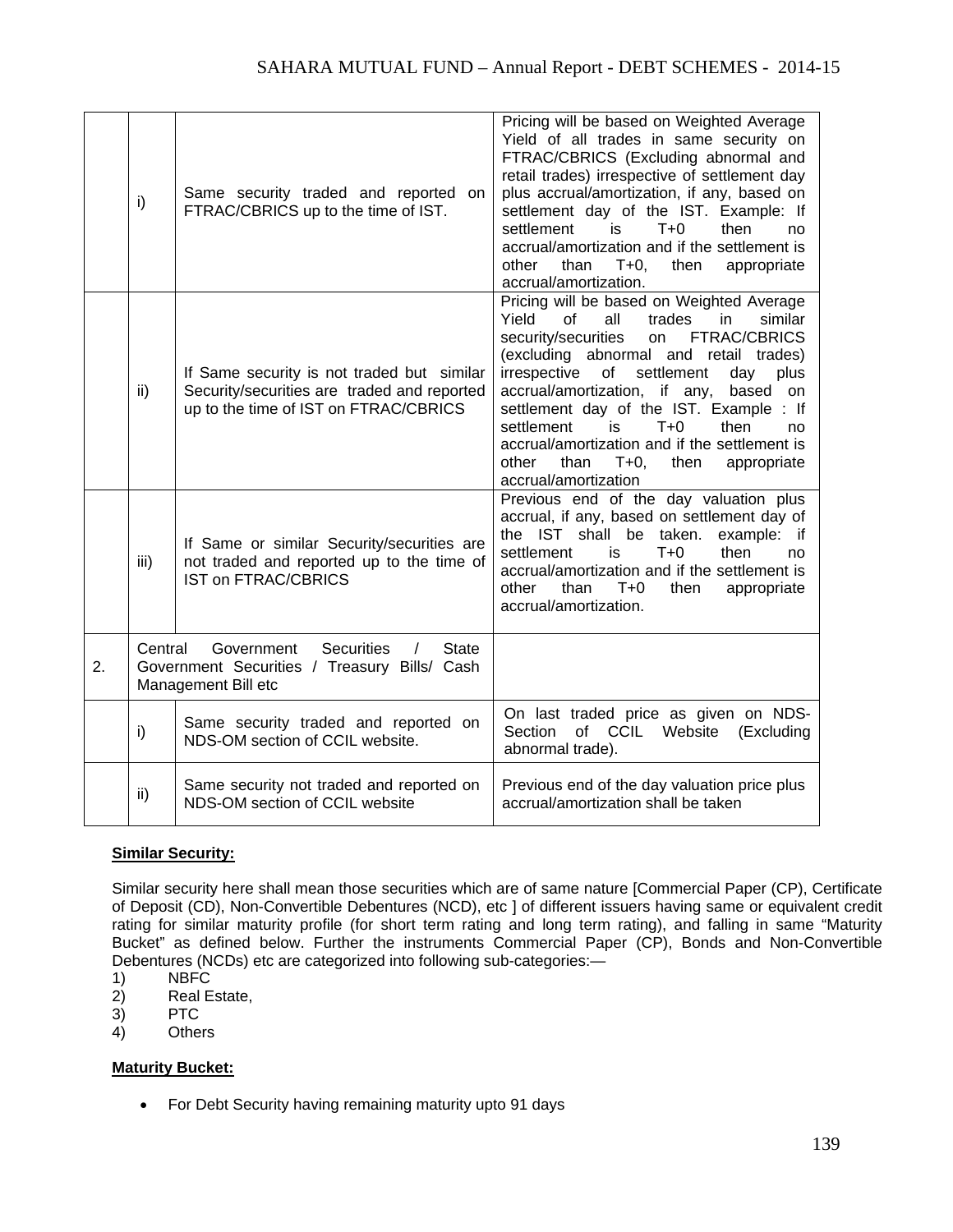|    | i)      | Same security traded and reported on<br>FTRAC/CBRICS up to the time of IST.                                                        | Pricing will be based on Weighted Average<br>Yield of all trades in same security on<br>FTRAC/CBRICS (Excluding abnormal and<br>retail trades) irrespective of settlement day<br>plus accrual/amortization, if any, based on<br>settlement day of the IST. Example: If<br>settlement<br>T+0<br>then<br>is<br>no<br>accrual/amortization and if the settlement is<br>other<br>$T+0$ ,<br>than<br>then<br>appropriate<br>accrual/amortization.                                                                    |
|----|---------|------------------------------------------------------------------------------------------------------------------------------------|-----------------------------------------------------------------------------------------------------------------------------------------------------------------------------------------------------------------------------------------------------------------------------------------------------------------------------------------------------------------------------------------------------------------------------------------------------------------------------------------------------------------|
|    | ii)     | If Same security is not traded but similar<br>Security/securities are traded and reported<br>up to the time of IST on FTRAC/CBRICS | Pricing will be based on Weighted Average<br>all<br>similar<br>Yield<br>Ωf<br>trades<br>in.<br>security/securities<br><b>FTRAC/CBRICS</b><br>on<br>(excluding abnormal and retail trades)<br>irrespective<br>of<br>settlement<br>day<br>plus<br>accrual/amortization, if any,<br>based<br>on.<br>settlement day of the IST. Example : If<br>settlement<br>is<br>$T+0$<br>then<br>no<br>accrual/amortization and if the settlement is<br>other<br>than<br>$T+0$ ,<br>then<br>appropriate<br>accrual/amortization |
|    | iii)    | If Same or similar Security/securities are<br>not traded and reported up to the time of<br><b>IST on FTRAC/CBRICS</b>              | Previous end of the day valuation plus<br>accrual, if any, based on settlement day of<br>the IST shall be taken.<br>example:<br>if<br>$T+0$<br>settlement<br>is.<br>then<br>no<br>accrual/amortization and if the settlement is<br>other<br>than<br>T+0<br>then<br>appropriate<br>accrual/amortization.                                                                                                                                                                                                         |
| 2. | Central | <b>Securities</b><br>Government<br><b>State</b><br>Government Securities / Treasury Bills/ Cash<br>Management Bill etc             |                                                                                                                                                                                                                                                                                                                                                                                                                                                                                                                 |
|    | i)      | Same security traded and reported on<br>NDS-OM section of CCIL website.                                                            | On last traded price as given on NDS-<br>of<br><b>CCIL</b><br>Website<br>Section<br>(Excluding<br>abnormal trade).                                                                                                                                                                                                                                                                                                                                                                                              |
|    | ii)     | Same security not traded and reported on<br>NDS-OM section of CCIL website                                                         | Previous end of the day valuation price plus<br>accrual/amortization shall be taken                                                                                                                                                                                                                                                                                                                                                                                                                             |

## **Similar Security:**

Similar security here shall mean those securities which are of same nature [Commercial Paper (CP), Certificate of Deposit (CD), Non-Convertible Debentures (NCD), etc ] of different issuers having same or equivalent credit rating for similar maturity profile (for short term rating and long term rating), and falling in same "Maturity Bucket" as defined below. Further the instruments Commercial Paper (CP), Bonds and Non-Convertible Debentures (NCDs) etc are categorized into following sub-categories:—

- 1) NBFC
- 2) Real Estate,
- 3) PTC
- 4) Others

## **Maturity Bucket:**

• For Debt Security having remaining maturity upto 91 days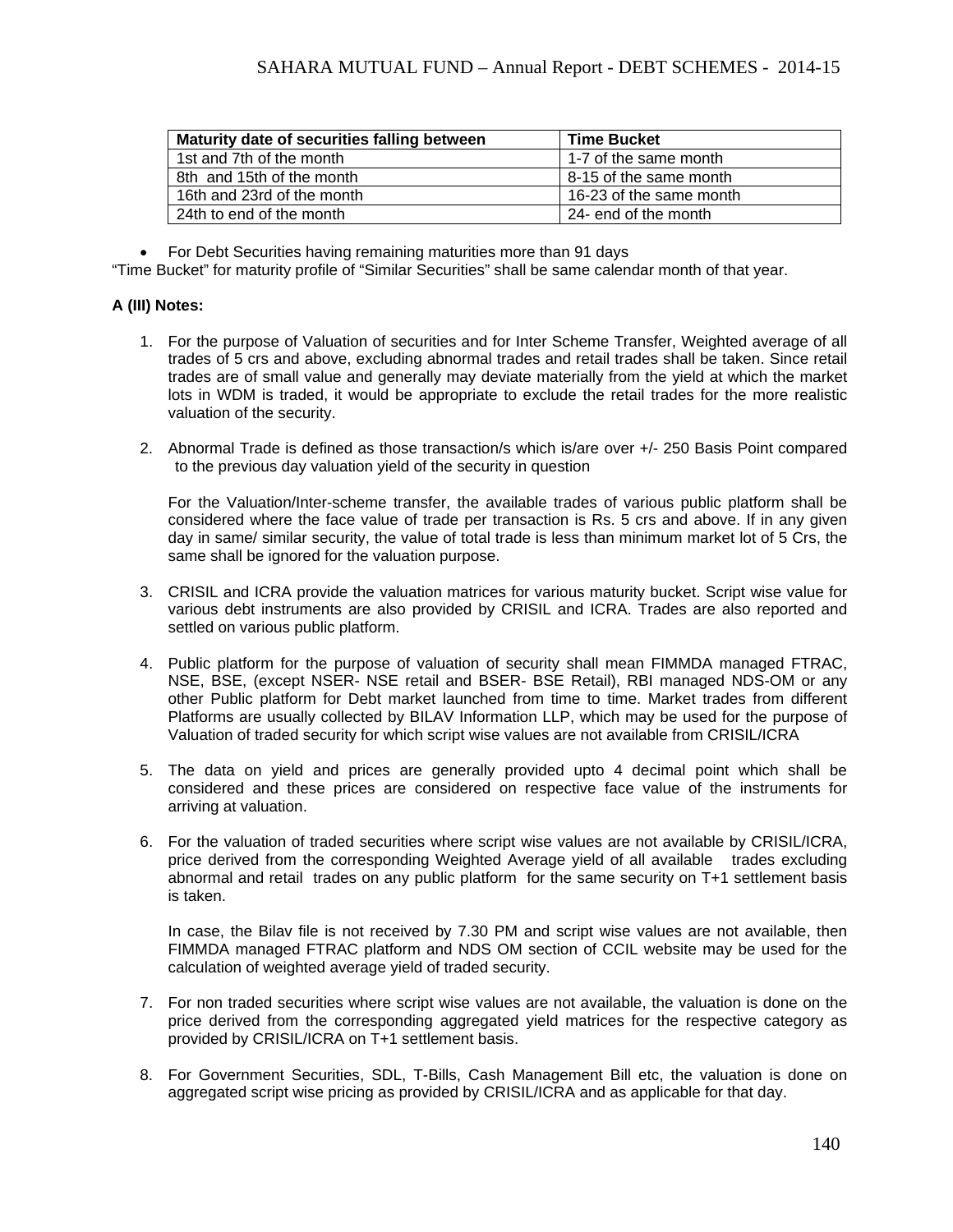| Maturity date of securities falling between | <b>Time Bucket</b>      |
|---------------------------------------------|-------------------------|
| 1st and 7th of the month                    | 1-7 of the same month   |
| 8th and 15th of the month                   | 8-15 of the same month  |
| 16th and 23rd of the month                  | 16-23 of the same month |
| 24th to end of the month                    | 24- end of the month    |

• For Debt Securities having remaining maturities more than 91 days

"Time Bucket" for maturity profile of "Similar Securities" shall be same calendar month of that year.

#### **A (III) Notes:**

- 1. For the purpose of Valuation of securities and for Inter Scheme Transfer, Weighted average of all trades of 5 crs and above, excluding abnormal trades and retail trades shall be taken. Since retail trades are of small value and generally may deviate materially from the yield at which the market lots in WDM is traded, it would be appropriate to exclude the retail trades for the more realistic valuation of the security.
- 2. Abnormal Trade is defined as those transaction/s which is/are over +/- 250 Basis Point compared to the previous day valuation yield of the security in question

For the Valuation/Inter-scheme transfer, the available trades of various public platform shall be considered where the face value of trade per transaction is Rs. 5 crs and above. If in any given day in same/ similar security, the value of total trade is less than minimum market lot of 5 Crs, the same shall be ignored for the valuation purpose.

- 3. CRISIL and ICRA provide the valuation matrices for various maturity bucket. Script wise value for various debt instruments are also provided by CRISIL and ICRA. Trades are also reported and settled on various public platform.
- 4. Public platform for the purpose of valuation of security shall mean FIMMDA managed FTRAC, NSE, BSE, (except NSER- NSE retail and BSER- BSE Retail), RBI managed NDS-OM or any other Public platform for Debt market launched from time to time. Market trades from different Platforms are usually collected by BILAV Information LLP, which may be used for the purpose of Valuation of traded security for which script wise values are not available from CRISIL/ICRA
- 5. The data on yield and prices are generally provided upto 4 decimal point which shall be considered and these prices are considered on respective face value of the instruments for arriving at valuation.
- 6. For the valuation of traded securities where script wise values are not available by CRISIL/ICRA, price derived from the corresponding Weighted Average yield of all available trades excluding abnormal and retail trades on any public platform for the same security on T+1 settlement basis is taken.

In case, the Bilav file is not received by 7.30 PM and script wise values are not available, then FIMMDA managed FTRAC platform and NDS OM section of CCIL website may be used for the calculation of weighted average yield of traded security.

- 7. For non traded securities where script wise values are not available, the valuation is done on the price derived from the corresponding aggregated yield matrices for the respective category as provided by CRISIL/ICRA on T+1 settlement basis.
- 8. For Government Securities, SDL, T-Bills, Cash Management Bill etc, the valuation is done on aggregated script wise pricing as provided by CRISIL/ICRA and as applicable for that day.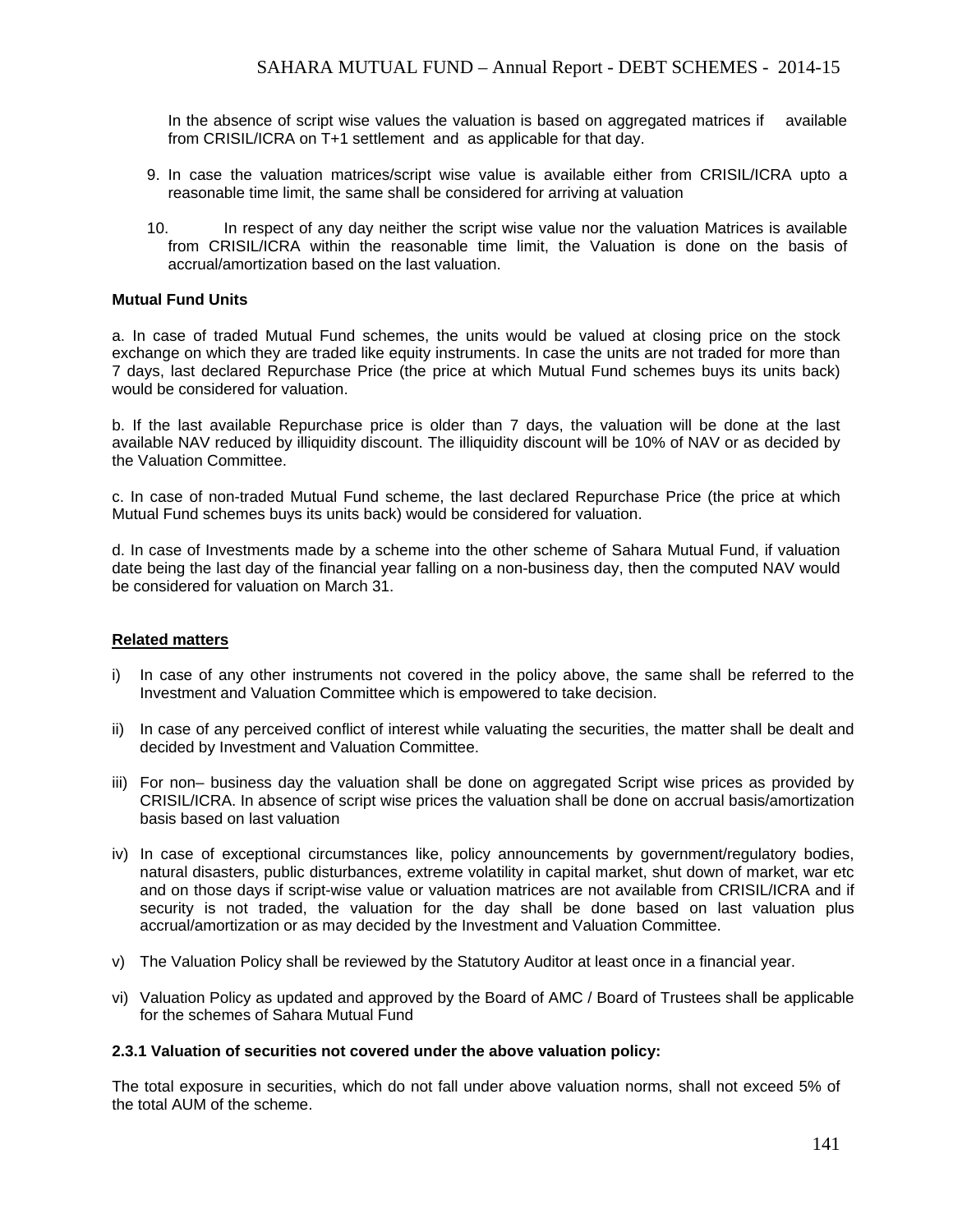In the absence of script wise values the valuation is based on aggregated matrices if available from CRISIL/ICRA on T+1 settlement and as applicable for that day.

- 9. In case the valuation matrices/script wise value is available either from CRISIL/ICRA upto a reasonable time limit, the same shall be considered for arriving at valuation
- 10. In respect of any day neither the script wise value nor the valuation Matrices is available from CRISIL/ICRA within the reasonable time limit, the Valuation is done on the basis of accrual/amortization based on the last valuation.

## **Mutual Fund Units**

a. In case of traded Mutual Fund schemes, the units would be valued at closing price on the stock exchange on which they are traded like equity instruments. In case the units are not traded for more than 7 days, last declared Repurchase Price (the price at which Mutual Fund schemes buys its units back) would be considered for valuation.

b. If the last available Repurchase price is older than 7 days, the valuation will be done at the last available NAV reduced by illiquidity discount. The illiquidity discount will be 10% of NAV or as decided by the Valuation Committee.

c. In case of non-traded Mutual Fund scheme, the last declared Repurchase Price (the price at which Mutual Fund schemes buys its units back) would be considered for valuation.

d. In case of Investments made by a scheme into the other scheme of Sahara Mutual Fund, if valuation date being the last day of the financial year falling on a non-business day, then the computed NAV would be considered for valuation on March 31.

#### **Related matters**

- i) In case of any other instruments not covered in the policy above, the same shall be referred to the Investment and Valuation Committee which is empowered to take decision.
- ii) In case of any perceived conflict of interest while valuating the securities, the matter shall be dealt and decided by Investment and Valuation Committee.
- iii) For non– business day the valuation shall be done on aggregated Script wise prices as provided by CRISIL/ICRA. In absence of script wise prices the valuation shall be done on accrual basis/amortization basis based on last valuation
- iv) In case of exceptional circumstances like, policy announcements by government/regulatory bodies, natural disasters, public disturbances, extreme volatility in capital market, shut down of market, war etc and on those days if script-wise value or valuation matrices are not available from CRISIL/ICRA and if security is not traded, the valuation for the day shall be done based on last valuation plus accrual/amortization or as may decided by the Investment and Valuation Committee.
- v) The Valuation Policy shall be reviewed by the Statutory Auditor at least once in a financial year.
- vi) Valuation Policy as updated and approved by the Board of AMC / Board of Trustees shall be applicable for the schemes of Sahara Mutual Fund

#### **2.3.1 Valuation of securities not covered under the above valuation policy:**

The total exposure in securities, which do not fall under above valuation norms, shall not exceed 5% of the total AUM of the scheme.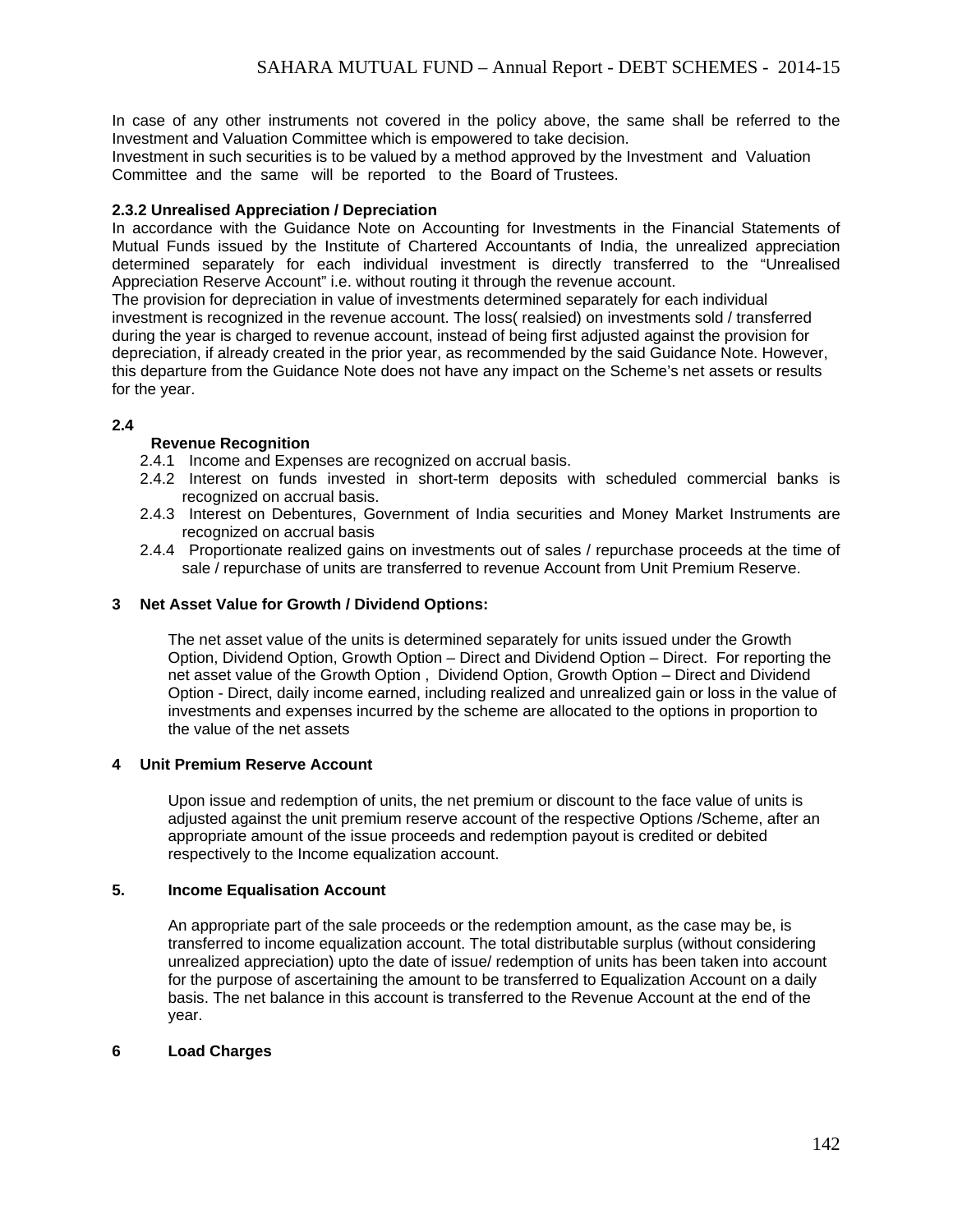In case of any other instruments not covered in the policy above, the same shall be referred to the Investment and Valuation Committee which is empowered to take decision.

Investment in such securities is to be valued by a method approved by the Investment and Valuation Committee and the same will be reported to the Board of Trustees.

## **2.3.2 Unrealised Appreciation / Depreciation**

In accordance with the Guidance Note on Accounting for Investments in the Financial Statements of Mutual Funds issued by the Institute of Chartered Accountants of India, the unrealized appreciation determined separately for each individual investment is directly transferred to the "Unrealised Appreciation Reserve Account" i.e. without routing it through the revenue account.

The provision for depreciation in value of investments determined separately for each individual investment is recognized in the revenue account. The loss( realsied) on investments sold / transferred during the year is charged to revenue account, instead of being first adjusted against the provision for depreciation, if already created in the prior year, as recommended by the said Guidance Note. However, this departure from the Guidance Note does not have any impact on the Scheme's net assets or results for the year.

## **2.4**

## **Revenue Recognition**

- 2.4.1 Income and Expenses are recognized on accrual basis.
- 2.4.2 Interest on funds invested in short-term deposits with scheduled commercial banks is recognized on accrual basis.
- 2.4.3 Interest on Debentures, Government of India securities and Money Market Instruments are recognized on accrual basis
- 2.4.4 Proportionate realized gains on investments out of sales / repurchase proceeds at the time of sale / repurchase of units are transferred to revenue Account from Unit Premium Reserve.

## **3 Net Asset Value for Growth / Dividend Options:**

The net asset value of the units is determined separately for units issued under the Growth Option, Dividend Option, Growth Option – Direct and Dividend Option – Direct. For reporting the net asset value of the Growth Option , Dividend Option, Growth Option – Direct and Dividend Option - Direct, daily income earned, including realized and unrealized gain or loss in the value of investments and expenses incurred by the scheme are allocated to the options in proportion to the value of the net assets

#### **4 Unit Premium Reserve Account**

Upon issue and redemption of units, the net premium or discount to the face value of units is adjusted against the unit premium reserve account of the respective Options /Scheme, after an appropriate amount of the issue proceeds and redemption payout is credited or debited respectively to the Income equalization account.

#### **5. Income Equalisation Account**

An appropriate part of the sale proceeds or the redemption amount, as the case may be, is transferred to income equalization account. The total distributable surplus (without considering unrealized appreciation) upto the date of issue/ redemption of units has been taken into account for the purpose of ascertaining the amount to be transferred to Equalization Account on a daily basis. The net balance in this account is transferred to the Revenue Account at the end of the year.

#### **6 Load Charges**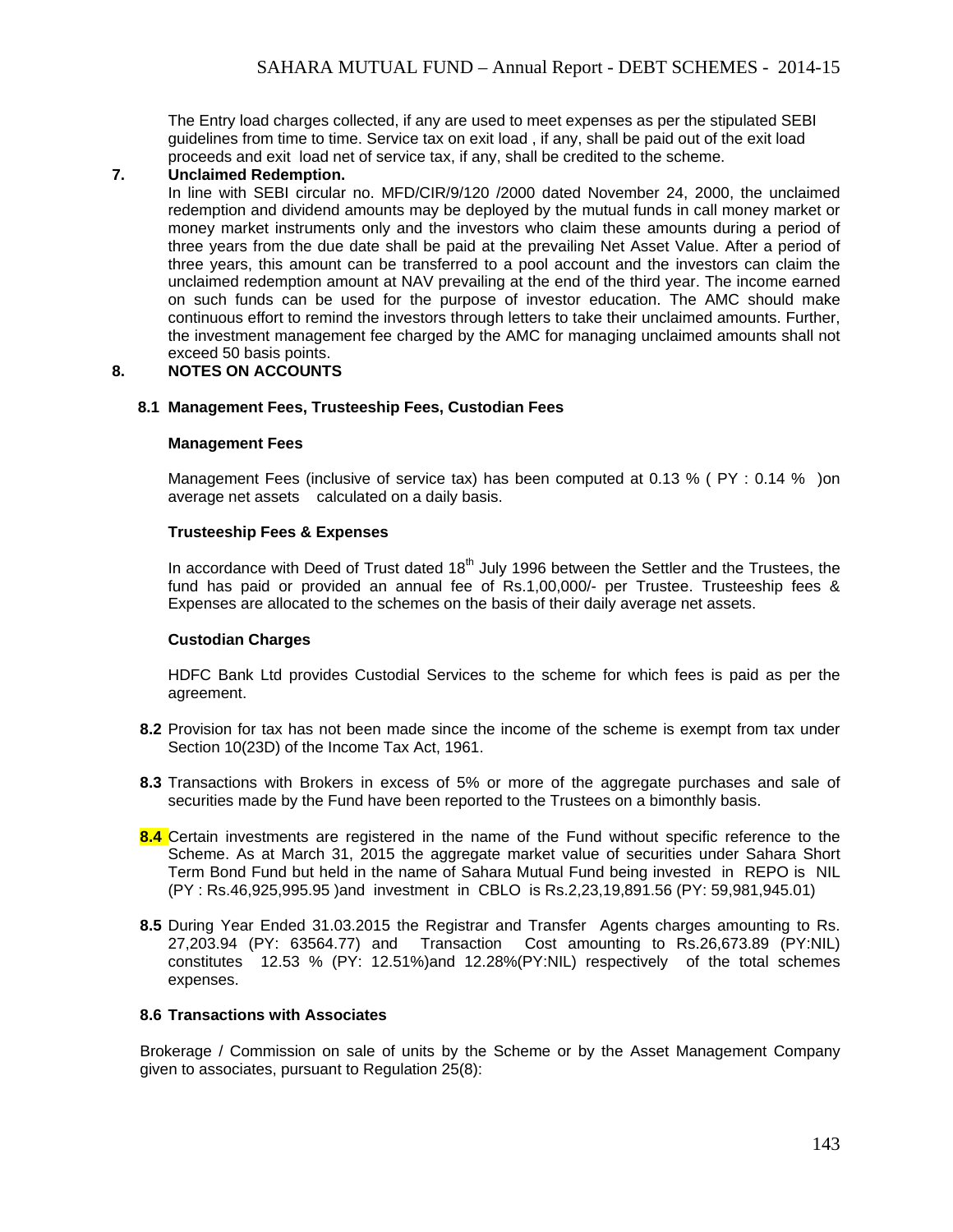The Entry load charges collected, if any are used to meet expenses as per the stipulated SEBI guidelines from time to time. Service tax on exit load , if any, shall be paid out of the exit load proceeds and exit load net of service tax, if any, shall be credited to the scheme.

## **7. Unclaimed Redemption.**

In line with SEBI circular no. MFD/CIR/9/120 /2000 dated November 24, 2000, the unclaimed redemption and dividend amounts may be deployed by the mutual funds in call money market or money market instruments only and the investors who claim these amounts during a period of three years from the due date shall be paid at the prevailing Net Asset Value. After a period of three years, this amount can be transferred to a pool account and the investors can claim the unclaimed redemption amount at NAV prevailing at the end of the third year. The income earned on such funds can be used for the purpose of investor education. The AMC should make continuous effort to remind the investors through letters to take their unclaimed amounts. Further, the investment management fee charged by the AMC for managing unclaimed amounts shall not exceed 50 basis points.

## **8. NOTES ON ACCOUNTS**

## **8.1 Management Fees, Trusteeship Fees, Custodian Fees**

#### **Management Fees**

Management Fees (inclusive of service tax) has been computed at 0.13 % ( PY : 0.14 % )on average net assets calculated on a daily basis.

#### **Trusteeship Fees & Expenses**

In accordance with Deed of Trust dated  $18<sup>th</sup>$  July 1996 between the Settler and the Trustees, the fund has paid or provided an annual fee of Rs.1,00,000/- per Trustee. Trusteeship fees & Expenses are allocated to the schemes on the basis of their daily average net assets.

#### **Custodian Charges**

HDFC Bank Ltd provides Custodial Services to the scheme for which fees is paid as per the agreement.

- **8.2** Provision for tax has not been made since the income of the scheme is exempt from tax under Section 10(23D) of the Income Tax Act, 1961.
- **8.3** Transactions with Brokers in excess of 5% or more of the aggregate purchases and sale of securities made by the Fund have been reported to the Trustees on a bimonthly basis.
- **8.4** Certain investments are registered in the name of the Fund without specific reference to the Scheme. As at March 31, 2015 the aggregate market value of securities under Sahara Short Term Bond Fund but held in the name of Sahara Mutual Fund being invested in REPO is NIL (PY : Rs.46,925,995.95 )and investment in CBLO is Rs.2,23,19,891.56 (PY: 59,981,945.01)
- **8.5** During Year Ended 31.03.2015 the Registrar and Transfer Agents charges amounting to Rs. 27,203.94 (PY: 63564.77) and Transaction Cost amounting to Rs.26,673.89 (PY:NIL) constitutes 12.53 % (PY: 12.51%)and 12.28%(PY:NIL) respectively of the total schemes expenses.

#### **8.6 Transactions with Associates**

Brokerage / Commission on sale of units by the Scheme or by the Asset Management Company given to associates, pursuant to Regulation 25(8):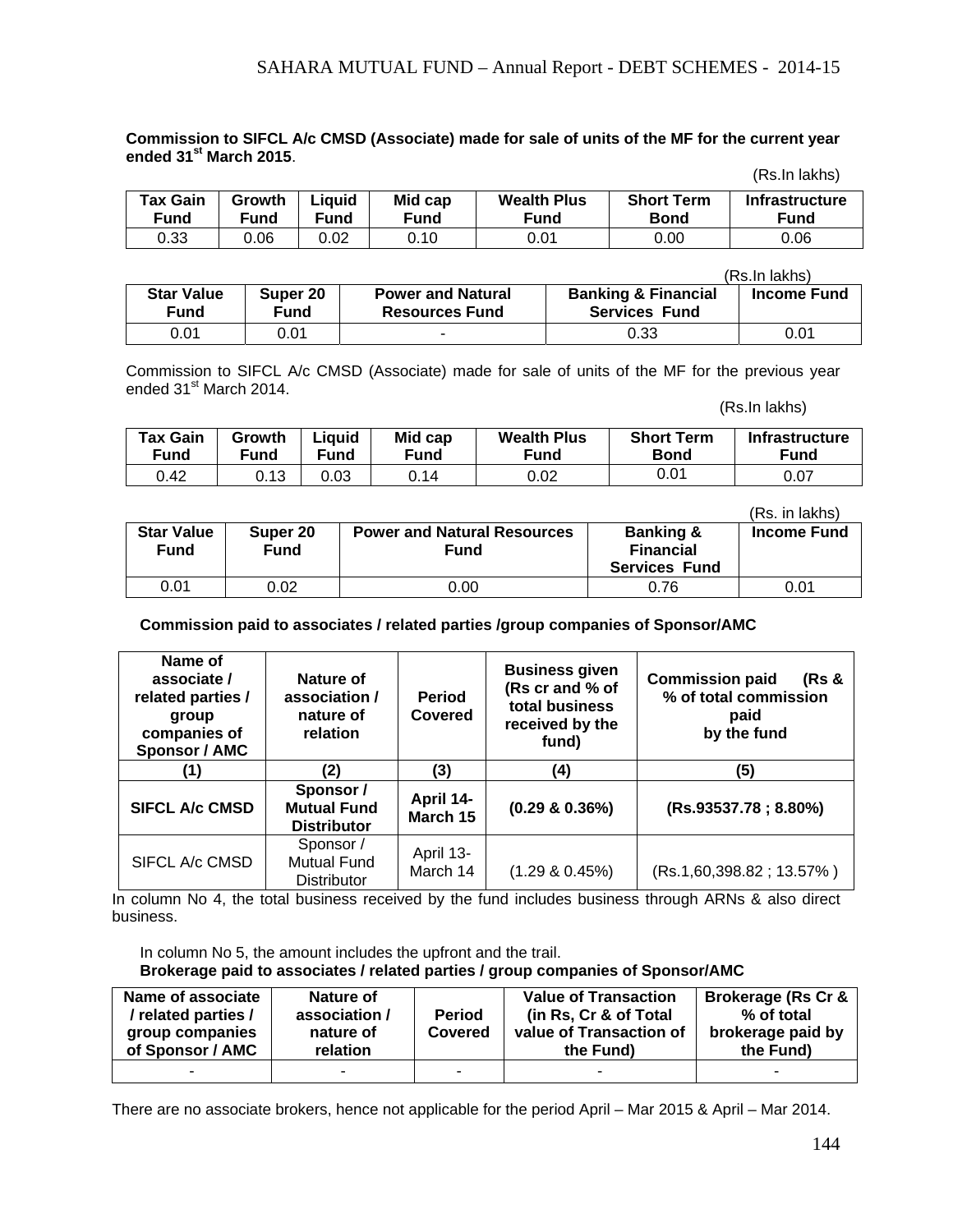**Commission to SIFCL A/c CMSD (Associate) made for sale of units of the MF for the current year ended 31st March 2015**.

|                         |                |                |                 |                            |                           | (Rs.In lakhs)                        |
|-------------------------|----------------|----------------|-----------------|----------------------------|---------------------------|--------------------------------------|
| <b>Tax Gain</b><br>Fund | Growth<br>Fund | Liguid<br>Fund | Mid cap<br>Fund | <b>Wealth Plus</b><br>Fund | <b>Short Term</b><br>Bond | <b>Infrastructure</b><br><b>Fund</b> |
| 0.33                    | 0.06           | 0.02           | 0.10            | 0.01                       | 0.00                      | 0.06                                 |

|                           |                  |                                                   |                                                        | (Rs. In lakhs) |
|---------------------------|------------------|---------------------------------------------------|--------------------------------------------------------|----------------|
| <b>Star Value</b><br>Fund | Super 20<br>Fund | <b>Power and Natural</b><br><b>Resources Fund</b> | <b>Banking &amp; Financial</b><br><b>Services Fund</b> | Income Fund    |
| 0.01                      | 0.01             |                                                   | 0.33                                                   | 0.01           |

Commission to SIFCL A/c CMSD (Associate) made for sale of units of the MF for the previous year ended 31<sup>st</sup> March 2014.

(Rs.In lakhs)

| <b>Tax Gain</b> | Growth | Liauid | Mid cap | <b>Wealth Plus</b> | <b>Short Term</b> | Infrastructure |
|-----------------|--------|--------|---------|--------------------|-------------------|----------------|
| Fund            | Fund   | Fund   | ⊑und    | Fund               | Bond              | Fund           |
| 0.42            | 0.13   | 0.03   | 0.14    | 0.02               | 0.01              | 0.07           |

|                                  |                  |                                            |                                                                  | (Rs. in lakhs) |
|----------------------------------|------------------|--------------------------------------------|------------------------------------------------------------------|----------------|
| <b>Star Value</b><br><b>Fund</b> | Super 20<br>Fund | <b>Power and Natural Resources</b><br>Fund | <b>Banking &amp;</b><br><b>Financial</b><br><b>Services Fund</b> | Income Fund    |
| 0.01                             | 0.02             | 0.00                                       | 0.76                                                             | 0.01           |

**Commission paid to associates / related parties /group companies of Sponsor/AMC** 

| Name of<br>associate /<br>related parties /<br>group<br>companies of<br><b>Sponsor / AMC</b> | Nature of<br>association /<br>nature of<br>relation   | <b>Period</b><br><b>Covered</b> | <b>Business given</b><br>(Rs cr and % of<br>total business<br>received by the<br>fund) | <b>Commission paid</b><br>(Rs &<br>% of total commission<br>paid<br>by the fund |
|----------------------------------------------------------------------------------------------|-------------------------------------------------------|---------------------------------|----------------------------------------------------------------------------------------|---------------------------------------------------------------------------------|
|                                                                                              | (2)                                                   | (3)                             | (4)                                                                                    | (5)                                                                             |
| <b>SIFCL A/c CMSD</b>                                                                        | Sponsor /<br><b>Mutual Fund</b><br><b>Distributor</b> | April 14-<br>March 15           | (0.29 & 0.36%)                                                                         | (Rs.93537.78; 8.80%)                                                            |
| SIFCL A/c CMSD                                                                               | Sponsor /<br><b>Mutual Fund</b><br><b>Distributor</b> | April 13-<br>March 14           | (1.29 & 0.45%)                                                                         | (Rs.1,60,398.82; 13.57%)                                                        |

In column No 4, the total business received by the fund includes business through ARNs & also direct business.

In column No 5, the amount includes the upfront and the trail.

**Brokerage paid to associates / related parties / group companies of Sponsor/AMC** 

| Name of associate<br>/ related parties /<br>group companies<br>of Sponsor / AMC | Nature of<br>association /<br>nature of<br>relation | <b>Period</b><br>Covered | <b>Value of Transaction</b><br>(in Rs, Cr & of Total)<br>value of Transaction of<br>the Fund) | Brokerage (Rs Cr &<br>% of total<br>brokerage paid by<br>the Fund) |
|---------------------------------------------------------------------------------|-----------------------------------------------------|--------------------------|-----------------------------------------------------------------------------------------------|--------------------------------------------------------------------|
| -                                                                               |                                                     | $\overline{\phantom{a}}$ |                                                                                               |                                                                    |

There are no associate brokers, hence not applicable for the period April – Mar 2015 & April – Mar 2014.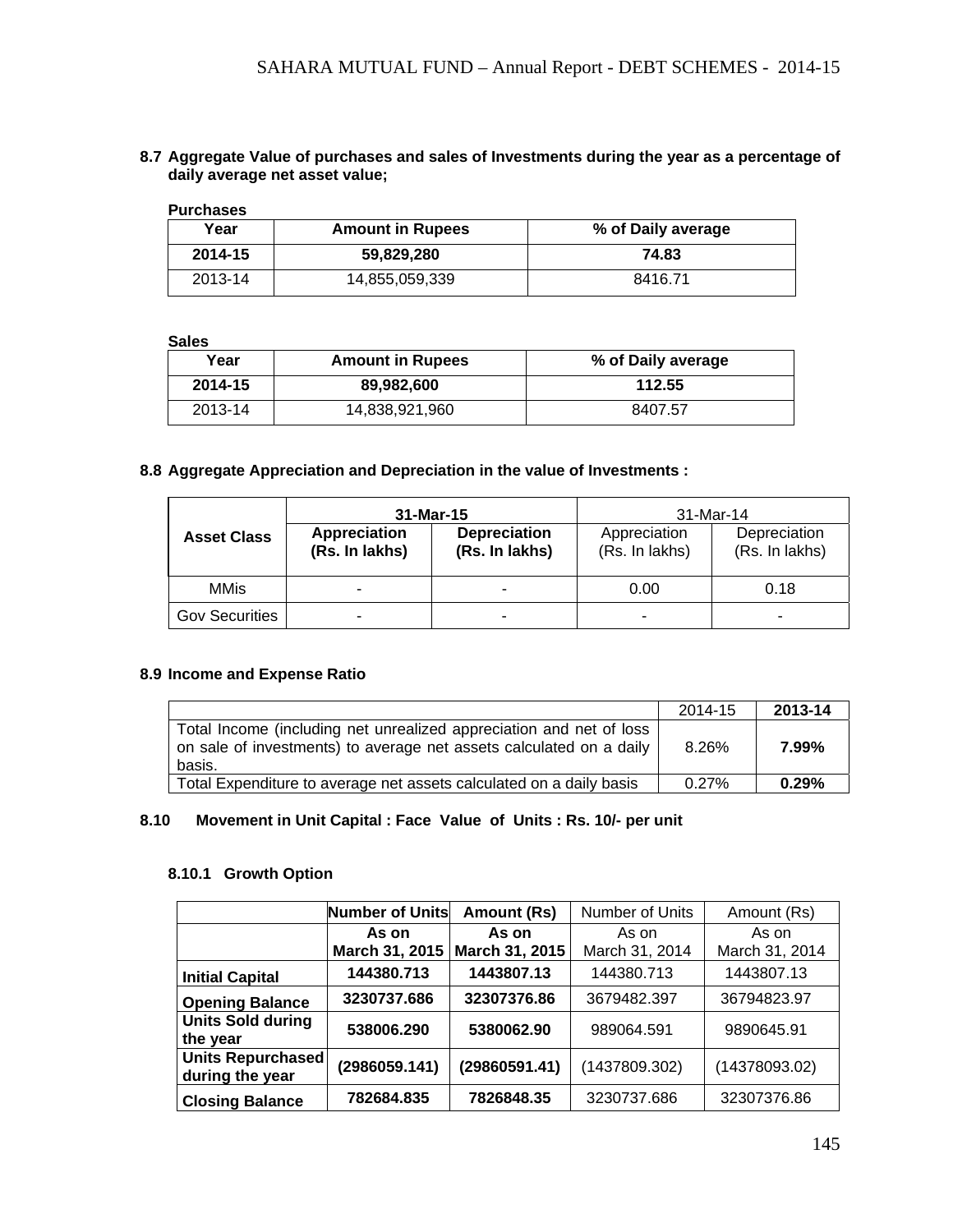#### **8.7 Aggregate Value of purchases and sales of Investments during the year as a percentage of daily average net asset value;**

**Purchases** 

| .       |                         |                    |
|---------|-------------------------|--------------------|
| Year    | <b>Amount in Rupees</b> | % of Daily average |
| 2014-15 | 59,829,280              | 74.83              |
| 2013-14 | 14,855,059,339          | 8416.71            |

**Sales** 

| Year    | <b>Amount in Rupees</b> | % of Daily average |
|---------|-------------------------|--------------------|
| 2014-15 | 89,982,600              | 112.55             |
| 2013-14 | 14,838,921,960          | 8407.57            |

#### **8.8 Aggregate Appreciation and Depreciation in the value of Investments :**

|                       | 31-Mar-15                      |                                       | 31-Mar-14                      |                                |  |
|-----------------------|--------------------------------|---------------------------------------|--------------------------------|--------------------------------|--|
| <b>Asset Class</b>    | Appreciation<br>(Rs. In lakhs) | <b>Depreciation</b><br>(Rs. In lakhs) | Appreciation<br>(Rs. In lakhs) | Depreciation<br>(Rs. In lakhs) |  |
| <b>MMis</b>           | -                              |                                       | 0.00                           | 0.18                           |  |
| <b>Gov Securities</b> |                                |                                       |                                | -                              |  |

#### **8.9 Income and Expense Ratio**

|                                                                                                                                                      | 2014-15 | 2013-14 |
|------------------------------------------------------------------------------------------------------------------------------------------------------|---------|---------|
| Total Income (including net unrealized appreciation and net of loss<br>on sale of investments) to average net assets calculated on a daily<br>basis. | 8.26%   | 7.99%   |
| Total Expenditure to average net assets calculated on a daily basis                                                                                  | 0.27%   | 0.29%   |

#### **8.10 Movement in Unit Capital : Face Value of Units : Rs. 10/- per unit**

## **8.10.1 Growth Option**

|                                             | <b>Number of Units</b>  | Amount (Rs)<br>Number of Units |                         | Amount (Rs)             |
|---------------------------------------------|-------------------------|--------------------------------|-------------------------|-------------------------|
|                                             | As on<br>March 31, 2015 | As on<br>March 31, 2015        | As on<br>March 31, 2014 | As on<br>March 31, 2014 |
| <b>Initial Capital</b>                      | 144380.713              | 1443807.13                     | 144380.713              | 1443807.13              |
| <b>Opening Balance</b>                      | 3230737.686             | 32307376.86                    | 3679482.397             | 36794823.97             |
| <b>Units Sold during</b><br>the year        | 538006.290              | 5380062.90                     | 989064.591              | 9890645.91              |
| <b>Units Repurchased</b><br>during the year | (2986059.141)           | (29860591.41)                  | (1437809.302)           | (14378093.02)           |
| <b>Closing Balance</b>                      | 782684.835              | 7826848.35                     | 3230737.686             | 32307376.86             |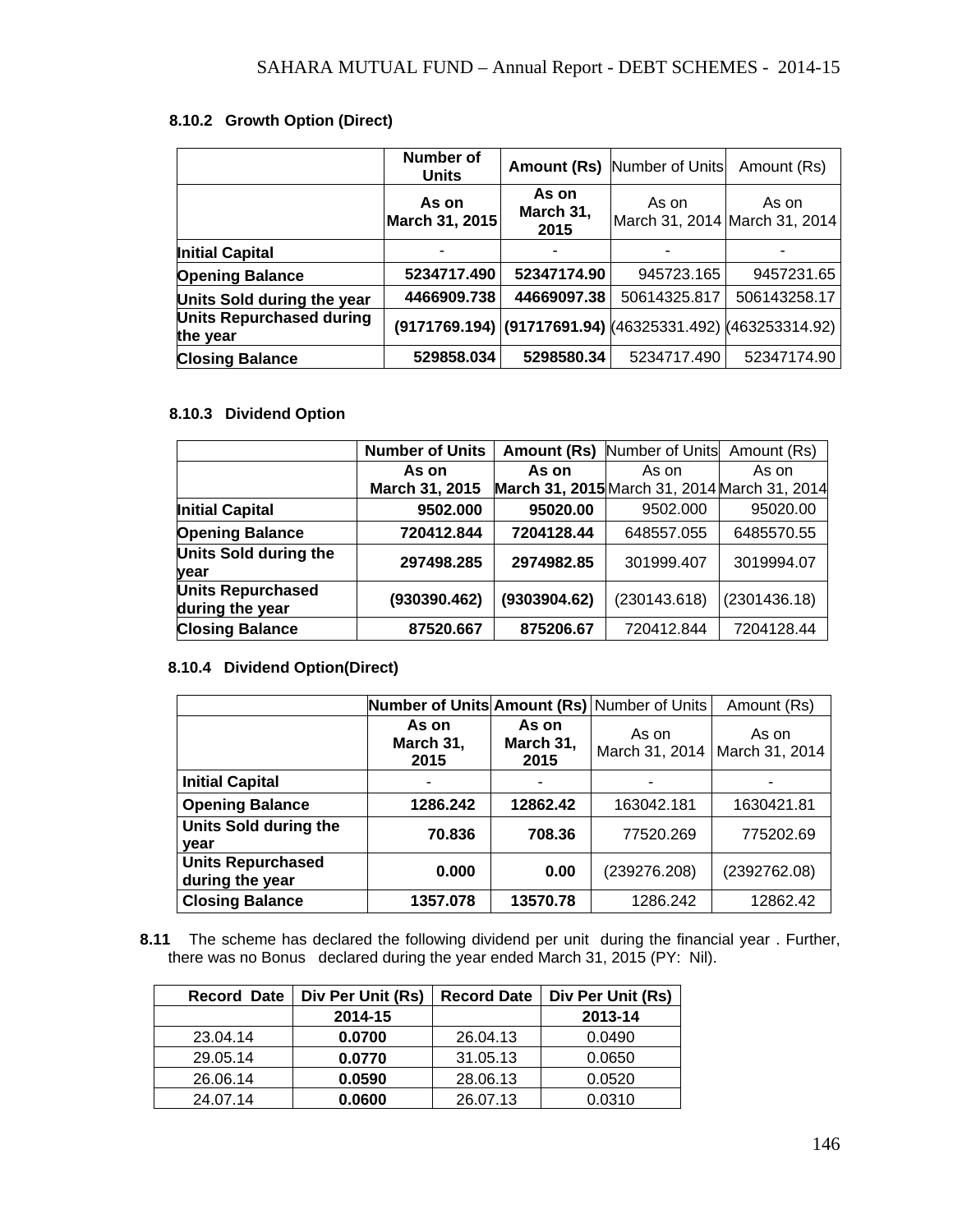# **8.10.2 Growth Option (Direct)**

|                                      | Number of<br><b>Units</b> |                            | <b>Amount (Rs) Number of Units</b>                                | Amount (Rs)  |
|--------------------------------------|---------------------------|----------------------------|-------------------------------------------------------------------|--------------|
|                                      | As on<br>March 31, 2015   | As on<br>March 31,<br>2015 | As on<br>March 31, 2014 March 31, 2014                            | As on        |
| <b>Initial Capital</b>               |                           |                            |                                                                   |              |
| <b>Opening Balance</b>               | 5234717.490               | 52347174.90                | 945723.165                                                        | 9457231.65   |
| Units Sold during the year           | 4466909.738               | 44669097.38                | 50614325.817                                                      | 506143258.17 |
| Units Repurchased during<br>the year |                           |                            | $(9171769.194)$ $(91717691.94)$ $(46325331.492)$ $(463253314.92)$ |              |
| <b>Closing Balance</b>               | 529858.034                | 5298580.34                 | 5234717.490                                                       | 52347174.90  |

# **8.10.3 Dividend Option**

|                                             | <b>Number of Units</b> | Amount (Rs)                                  | Number of Units Amount (Rs) |              |
|---------------------------------------------|------------------------|----------------------------------------------|-----------------------------|--------------|
|                                             | As on                  | As on                                        | As on                       | As on        |
|                                             | March 31, 2015         | March 31, 2015 March 31, 2014 March 31, 2014 |                             |              |
| <b>Initial Capital</b>                      | 9502.000               | 95020.00                                     | 9502.000                    | 95020.00     |
| <b>Opening Balance</b>                      | 720412.844             | 7204128.44                                   | 648557.055                  | 6485570.55   |
| Units Sold during the<br>year               | 297498.285             | 2974982.85                                   | 301999.407                  | 3019994.07   |
| <b>Units Repurchased</b><br>during the year | (930390.462)           | (9303904.62)                                 | (230143.618)                | (2301436.18) |
| <b>Closing Balance</b>                      | 87520.667              | 875206.67                                    | 720412.844                  | 7204128.44   |

# **8.10.4 Dividend Option(Direct)**

|                                             | <b>Number of Units Amount (Rs) Number of Units</b> |                            |                         | Amount (Rs)             |
|---------------------------------------------|----------------------------------------------------|----------------------------|-------------------------|-------------------------|
|                                             | As on<br>March 31,<br>2015                         | As on<br>March 31,<br>2015 | As on<br>March 31, 2014 | As on<br>March 31, 2014 |
| <b>Initial Capital</b>                      |                                                    |                            |                         |                         |
| <b>Opening Balance</b>                      | 1286.242                                           | 12862.42                   | 163042.181              | 1630421.81              |
| Units Sold during the<br>year               | 70.836                                             | 708.36                     | 77520.269               | 775202.69               |
| <b>Units Repurchased</b><br>during the year | 0.000                                              | 0.00                       | (239276.208)            | (2392762.08)            |
| <b>Closing Balance</b>                      | 1357.078                                           | 13570.78                   | 1286.242                | 12862.42                |

**8.11** The scheme has declared the following dividend per unit during the financial year . Further, there was no Bonus declared during the year ended March 31, 2015 (PY: Nil).

| <b>Record Date</b> | Div Per Unit (Rs) | <b>Record Date</b> | Div Per Unit (Rs) |
|--------------------|-------------------|--------------------|-------------------|
|                    | 2014-15           |                    | 2013-14           |
| 23.04.14           | 0.0700            | 26.04.13           | 0.0490            |
| 29.05.14           | 0.0770            | 31.05.13           | 0.0650            |
| 26.06.14           | 0.0590            | 28.06.13           | 0.0520            |
| 24.07.14           | 0.0600            | 26.07.13           | 0.0310            |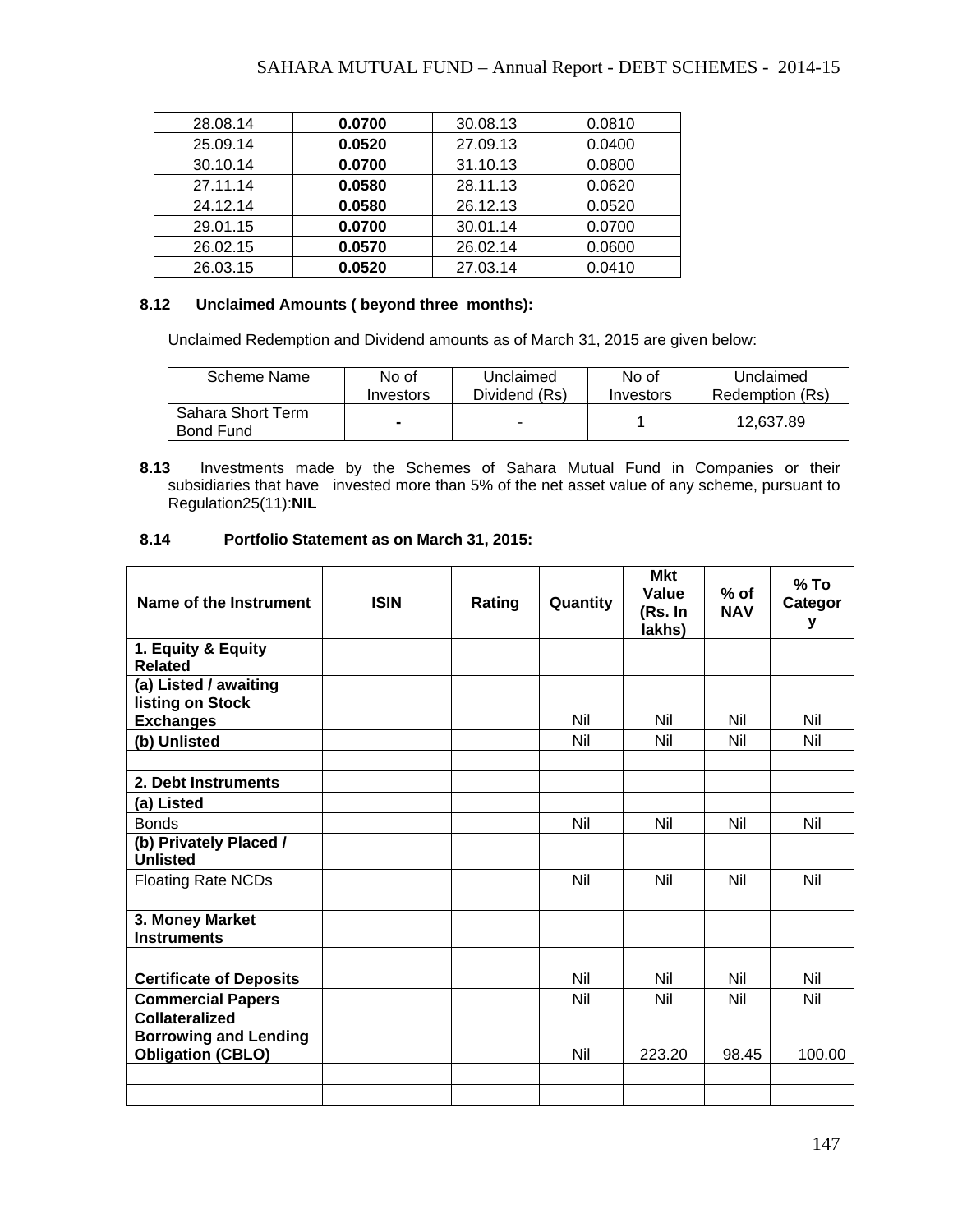| 28.08.14 | 0.0700 | 30.08.13 | 0.0810 |
|----------|--------|----------|--------|
| 25.09.14 | 0.0520 | 27.09.13 | 0.0400 |
| 30.10.14 | 0.0700 | 31.10.13 | 0.0800 |
| 27.11.14 | 0.0580 | 28.11.13 | 0.0620 |
| 24.12.14 | 0.0580 | 26.12.13 | 0.0520 |
| 29.01.15 | 0.0700 | 30.01.14 | 0.0700 |
| 26.02.15 | 0.0570 | 26.02.14 | 0.0600 |
| 26.03.15 | 0.0520 | 27.03.14 | 0.0410 |

# **8.12 Unclaimed Amounts ( beyond three months):**

Unclaimed Redemption and Dividend amounts as of March 31, 2015 are given below:

| Scheme Name                    | No of     | Unclaimed     | No of     | Unclaimed       |
|--------------------------------|-----------|---------------|-----------|-----------------|
|                                | Investors | Dividend (Rs) | Investors | Redemption (Rs) |
| Sahara Short Term<br>Bond Fund |           | ۰             |           | 12.637.89       |

**8.13** Investments made by the Schemes of Sahara Mutual Fund in Companies or their subsidiaries that have invested more than 5% of the net asset value of any scheme, pursuant to Regulation25(11):**NIL** 

# **8.14 Portfolio Statement as on March 31, 2015:**

| Name of the Instrument                                                            | <b>ISIN</b> | Rating | Quantity | <b>Mkt</b><br>Value<br>(Rs. In<br>lakhs) | $%$ of<br><b>NAV</b> | $%$ To<br>Categor<br>у |
|-----------------------------------------------------------------------------------|-------------|--------|----------|------------------------------------------|----------------------|------------------------|
| 1. Equity & Equity<br><b>Related</b>                                              |             |        |          |                                          |                      |                        |
| (a) Listed / awaiting                                                             |             |        |          |                                          |                      |                        |
| listing on Stock<br><b>Exchanges</b>                                              |             |        | Nil      | <b>Nil</b>                               | Nil                  | Nil                    |
| (b) Unlisted                                                                      |             |        | Nil      | Nil                                      | Nil                  | Nil                    |
| 2. Debt Instruments                                                               |             |        |          |                                          |                      |                        |
| (a) Listed                                                                        |             |        |          |                                          |                      |                        |
| <b>Bonds</b>                                                                      |             |        | Nil      | Nil                                      | Nil                  | Nil                    |
| (b) Privately Placed /<br><b>Unlisted</b>                                         |             |        |          |                                          |                      |                        |
| <b>Floating Rate NCDs</b>                                                         |             |        | Nil      | Nil                                      | <b>Nil</b>           | Nil                    |
| 3. Money Market<br><b>Instruments</b>                                             |             |        |          |                                          |                      |                        |
| <b>Certificate of Deposits</b>                                                    |             |        | Nil      | Nil                                      | Nil                  | Nil                    |
| <b>Commercial Papers</b>                                                          |             |        | Nil      | Nil                                      | Nil                  | Nil                    |
| <b>Collateralized</b><br><b>Borrowing and Lending</b><br><b>Obligation (CBLO)</b> |             |        | Nil      | 223.20                                   | 98.45                | 100.00                 |
|                                                                                   |             |        |          |                                          |                      |                        |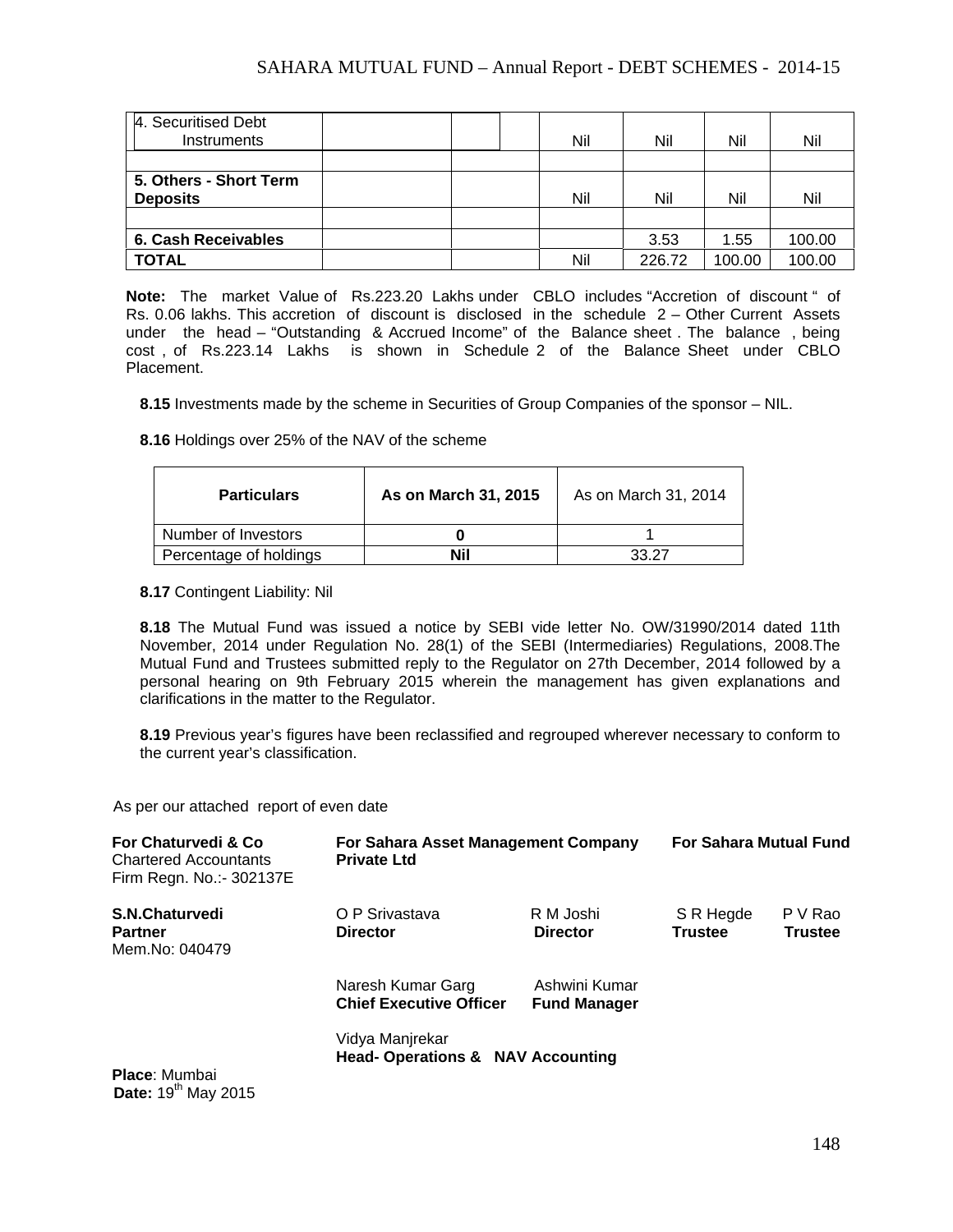| 4. Securitised Debt<br>Instruments        |  | Nil | Nil    | Nil    | Nil    |
|-------------------------------------------|--|-----|--------|--------|--------|
|                                           |  |     |        |        |        |
| 5. Others - Short Term<br><b>Deposits</b> |  | Nil | Nil    | Nil    | Nil    |
|                                           |  |     |        |        |        |
| 6. Cash Receivables                       |  |     | 3.53   | 1.55   | 100.00 |
| <b>TOTAL</b>                              |  | Nil | 226.72 | 100.00 | 100.00 |

**Note:** The market Value of Rs.223.20 Lakhs under CBLO includes "Accretion of discount " of Rs. 0.06 lakhs. This accretion of discount is disclosed in the schedule 2 – Other Current Assets under the head – "Outstanding & Accrued Income" of the Balance sheet . The balance , being cost , of Rs.223.14 Lakhs is shown in Schedule 2 of the Balance Sheet under CBLO Placement.

**8.15** Investments made by the scheme in Securities of Group Companies of the sponsor – NIL.

**8.16** Holdings over 25% of the NAV of the scheme

| <b>Particulars</b>     | As on March 31, 2015 | As on March 31, 2014 |
|------------------------|----------------------|----------------------|
| Number of Investors    |                      |                      |
| Percentage of holdings | Nil                  | 33.27                |

**8.17** Contingent Liability: Nil

**8.18** The Mutual Fund was issued a notice by SEBI vide letter No. OW/31990/2014 dated 11th November, 2014 under Regulation No. 28(1) of the SEBI (Intermediaries) Regulations, 2008.The Mutual Fund and Trustees submitted reply to the Regulator on 27th December, 2014 followed by a personal hearing on 9th February 2015 wherein the management has given explanations and clarifications in the matter to the Regulator.

**8.19** Previous year's figures have been reclassified and regrouped wherever necessary to conform to the current year's classification.

As per our attached report of even date

| For Chaturvedi & Co.<br><b>Chartered Accountants</b><br>Firm Regn. No.:- 302137E | <b>For Sahara Asset Management Company</b><br><b>Private Ltd</b> |                                      | <b>For Sahara Mutual Fund</b> |                           |
|----------------------------------------------------------------------------------|------------------------------------------------------------------|--------------------------------------|-------------------------------|---------------------------|
| <b>S.N.Chaturvedi</b><br><b>Partner</b><br>Mem.No: 040479                        | O P Srivastava<br><b>Director</b>                                | R M Joshi<br><b>Director</b>         | S R Hegde<br><b>Trustee</b>   | P V Rao<br><b>Trustee</b> |
|                                                                                  | Naresh Kumar Garg<br><b>Chief Executive Officer</b>              | Ashwini Kumar<br><b>Fund Manager</b> |                               |                           |
| <b>Place:</b> Mumbai                                                             | Vidya Manjrekar<br><b>Head- Operations &amp; NAV Accounting</b>  |                                      |                               |                           |

**Date:** 19<sup>th</sup> May 2015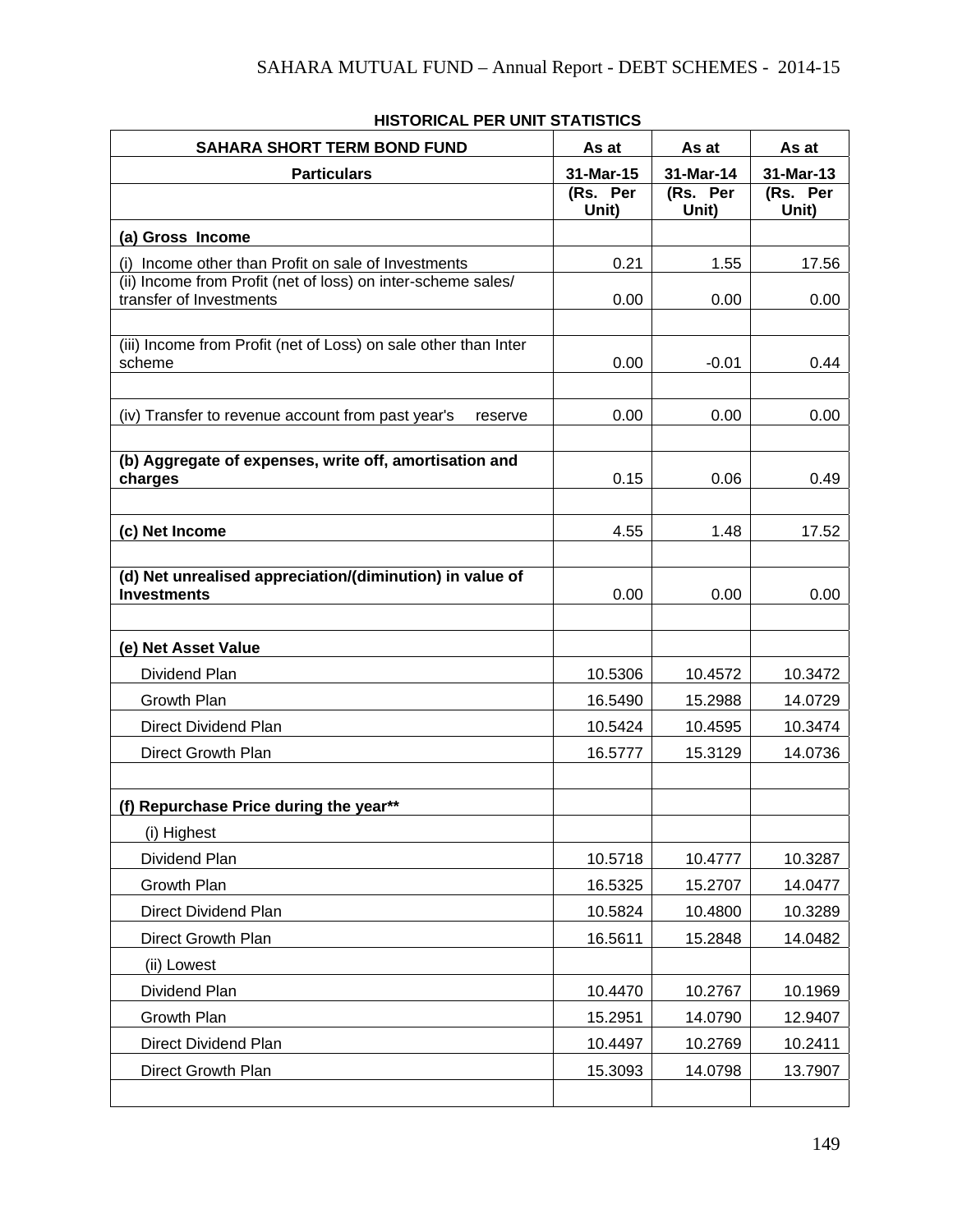| <b>INSTUNIUAL FER UNIT STATISTICS</b><br><b>SAHARA SHORT TERM BOND FUND</b>             | As at             | As at             | As at             |  |
|-----------------------------------------------------------------------------------------|-------------------|-------------------|-------------------|--|
| <b>Particulars</b>                                                                      | 31-Mar-15         | 31-Mar-14         | 31-Mar-13         |  |
|                                                                                         | (Rs. Per<br>Unit) | (Rs. Per<br>Unit) | (Rs. Per<br>Unit) |  |
| (a) Gross Income                                                                        |                   |                   |                   |  |
| (i) Income other than Profit on sale of Investments                                     | 0.21              | 1.55              | 17.56             |  |
| (ii) Income from Profit (net of loss) on inter-scheme sales/<br>transfer of Investments | 0.00              | 0.00              | 0.00              |  |
|                                                                                         |                   |                   |                   |  |
| (iii) Income from Profit (net of Loss) on sale other than Inter<br>scheme               | 0.00              | $-0.01$           | 0.44              |  |
|                                                                                         |                   |                   |                   |  |
| (iv) Transfer to revenue account from past year's<br>reserve                            | 0.00              | 0.00              | 0.00              |  |
| (b) Aggregate of expenses, write off, amortisation and<br>charges                       | 0.15              | 0.06              | 0.49              |  |
|                                                                                         |                   |                   |                   |  |
| (c) Net Income                                                                          | 4.55              | 1.48              | 17.52             |  |
|                                                                                         |                   |                   |                   |  |
| (d) Net unrealised appreciation/(diminution) in value of<br><b>Investments</b>          | 0.00              | 0.00              | 0.00              |  |
|                                                                                         |                   |                   |                   |  |
| (e) Net Asset Value                                                                     |                   |                   |                   |  |
| Dividend Plan                                                                           | 10.5306           | 10.4572           | 10.3472           |  |
| Growth Plan                                                                             | 16.5490           | 15.2988           | 14.0729           |  |
| Direct Dividend Plan                                                                    | 10.5424           | 10.4595           | 10.3474           |  |
| Direct Growth Plan                                                                      | 16.5777           | 15.3129           | 14.0736           |  |
|                                                                                         |                   |                   |                   |  |
| (f) Repurchase Price during the year**                                                  |                   |                   |                   |  |
| (i) Highest                                                                             |                   |                   |                   |  |
| Dividend Plan                                                                           | 10.5718           | 10.4777           | 10.3287           |  |
| Growth Plan                                                                             | 16.5325           | 15.2707           | 14.0477           |  |
| Direct Dividend Plan                                                                    | 10.5824           | 10.4800           | 10.3289           |  |
| Direct Growth Plan                                                                      | 16.5611           | 15.2848           | 14.0482           |  |
| (ii) Lowest                                                                             |                   |                   |                   |  |
| Dividend Plan                                                                           | 10.4470           | 10.2767           | 10.1969           |  |
| Growth Plan                                                                             | 15.2951           | 14.0790           | 12.9407           |  |
| Direct Dividend Plan                                                                    | 10.4497           | 10.2769           | 10.2411           |  |
| Direct Growth Plan                                                                      | 15.3093           | 14.0798           | 13.7907           |  |
|                                                                                         |                   |                   |                   |  |

# **HISTORICAL PER UNIT STATISTICS**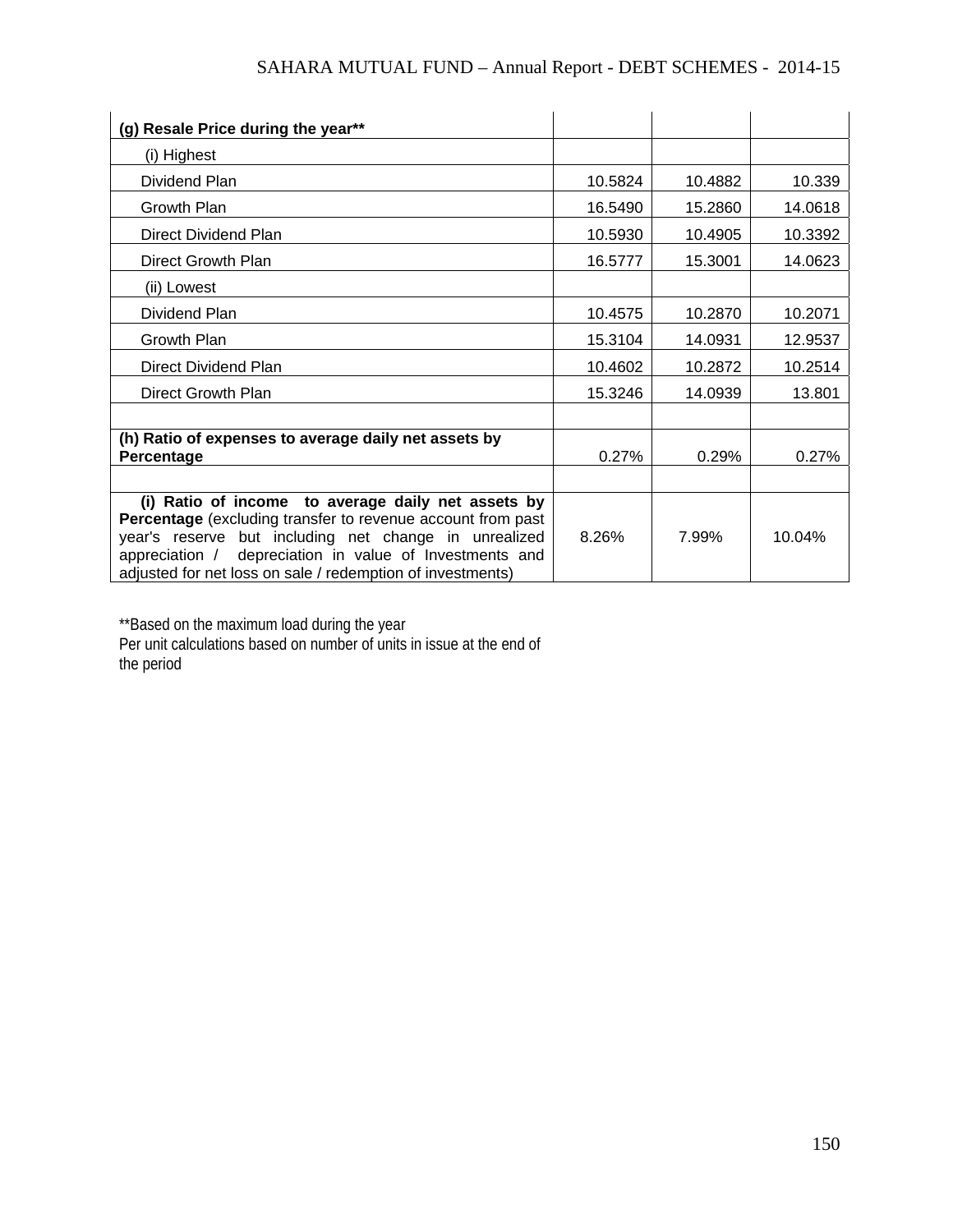| (g) Resale Price during the year**                                                                                                                                                                                                                                                                         |         |         |         |
|------------------------------------------------------------------------------------------------------------------------------------------------------------------------------------------------------------------------------------------------------------------------------------------------------------|---------|---------|---------|
| (i) Highest                                                                                                                                                                                                                                                                                                |         |         |         |
| Dividend Plan                                                                                                                                                                                                                                                                                              | 10.5824 | 10.4882 | 10.339  |
| Growth Plan                                                                                                                                                                                                                                                                                                | 16.5490 | 15.2860 | 14.0618 |
| Direct Dividend Plan                                                                                                                                                                                                                                                                                       | 10.5930 | 10.4905 | 10.3392 |
| Direct Growth Plan                                                                                                                                                                                                                                                                                         | 16.5777 | 15.3001 | 14.0623 |
| (ii) Lowest                                                                                                                                                                                                                                                                                                |         |         |         |
| Dividend Plan                                                                                                                                                                                                                                                                                              | 10.4575 | 10.2870 | 10.2071 |
| Growth Plan                                                                                                                                                                                                                                                                                                | 15.3104 | 14.0931 | 12.9537 |
| Direct Dividend Plan                                                                                                                                                                                                                                                                                       | 10.4602 | 10.2872 | 10.2514 |
| Direct Growth Plan                                                                                                                                                                                                                                                                                         | 15.3246 | 14.0939 | 13.801  |
|                                                                                                                                                                                                                                                                                                            |         |         |         |
| (h) Ratio of expenses to average daily net assets by<br>Percentage                                                                                                                                                                                                                                         | 0.27%   | 0.29%   | 0.27%   |
|                                                                                                                                                                                                                                                                                                            |         |         |         |
| (i) Ratio of income to average daily net assets by<br><b>Percentage</b> (excluding transfer to revenue account from past<br>year's reserve but including net change in unrealized<br>appreciation / depreciation in value of Investments and<br>adjusted for net loss on sale / redemption of investments) | 8.26%   | 7.99%   | 10.04%  |

\*\*Based on the maximum load during the year Per unit calculations based on number of units in issue at the end of the period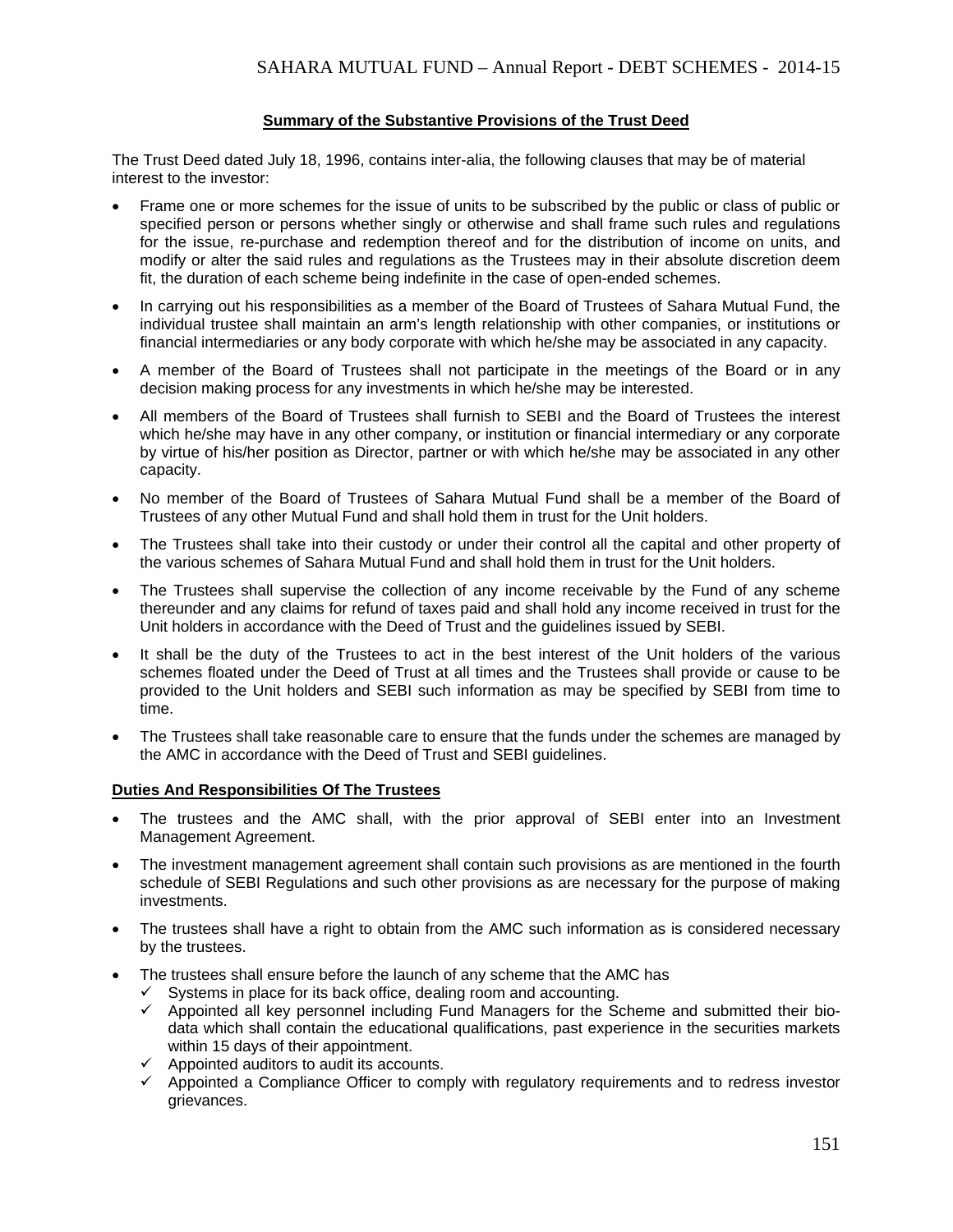## **Summary of the Substantive Provisions of the Trust Deed**

The Trust Deed dated July 18, 1996, contains inter-alia, the following clauses that may be of material interest to the investor:

- Frame one or more schemes for the issue of units to be subscribed by the public or class of public or specified person or persons whether singly or otherwise and shall frame such rules and regulations for the issue, re-purchase and redemption thereof and for the distribution of income on units, and modify or alter the said rules and regulations as the Trustees may in their absolute discretion deem fit, the duration of each scheme being indefinite in the case of open-ended schemes.
- In carrying out his responsibilities as a member of the Board of Trustees of Sahara Mutual Fund, the individual trustee shall maintain an arm's length relationship with other companies, or institutions or financial intermediaries or any body corporate with which he/she may be associated in any capacity.
- A member of the Board of Trustees shall not participate in the meetings of the Board or in any decision making process for any investments in which he/she may be interested.
- All members of the Board of Trustees shall furnish to SEBI and the Board of Trustees the interest which he/she may have in any other company, or institution or financial intermediary or any corporate by virtue of his/her position as Director, partner or with which he/she may be associated in any other capacity.
- No member of the Board of Trustees of Sahara Mutual Fund shall be a member of the Board of Trustees of any other Mutual Fund and shall hold them in trust for the Unit holders.
- The Trustees shall take into their custody or under their control all the capital and other property of the various schemes of Sahara Mutual Fund and shall hold them in trust for the Unit holders.
- The Trustees shall supervise the collection of any income receivable by the Fund of any scheme thereunder and any claims for refund of taxes paid and shall hold any income received in trust for the Unit holders in accordance with the Deed of Trust and the guidelines issued by SEBI.
- It shall be the duty of the Trustees to act in the best interest of the Unit holders of the various schemes floated under the Deed of Trust at all times and the Trustees shall provide or cause to be provided to the Unit holders and SEBI such information as may be specified by SEBI from time to time.
- The Trustees shall take reasonable care to ensure that the funds under the schemes are managed by the AMC in accordance with the Deed of Trust and SEBI guidelines.

### **Duties And Responsibilities Of The Trustees**

- The trustees and the AMC shall, with the prior approval of SEBI enter into an Investment Management Agreement.
- The investment management agreement shall contain such provisions as are mentioned in the fourth schedule of SEBI Regulations and such other provisions as are necessary for the purpose of making investments.
- The trustees shall have a right to obtain from the AMC such information as is considered necessary by the trustees.
- The trustees shall ensure before the launch of any scheme that the AMC has
	- $\checkmark$  Systems in place for its back office, dealing room and accounting.
	- $\checkmark$  Appointed all key personnel including Fund Managers for the Scheme and submitted their biodata which shall contain the educational qualifications, past experience in the securities markets within 15 days of their appointment.
	- $\checkmark$  Appointed auditors to audit its accounts.
	- $\checkmark$  Appointed a Compliance Officer to comply with regulatory requirements and to redress investor grievances.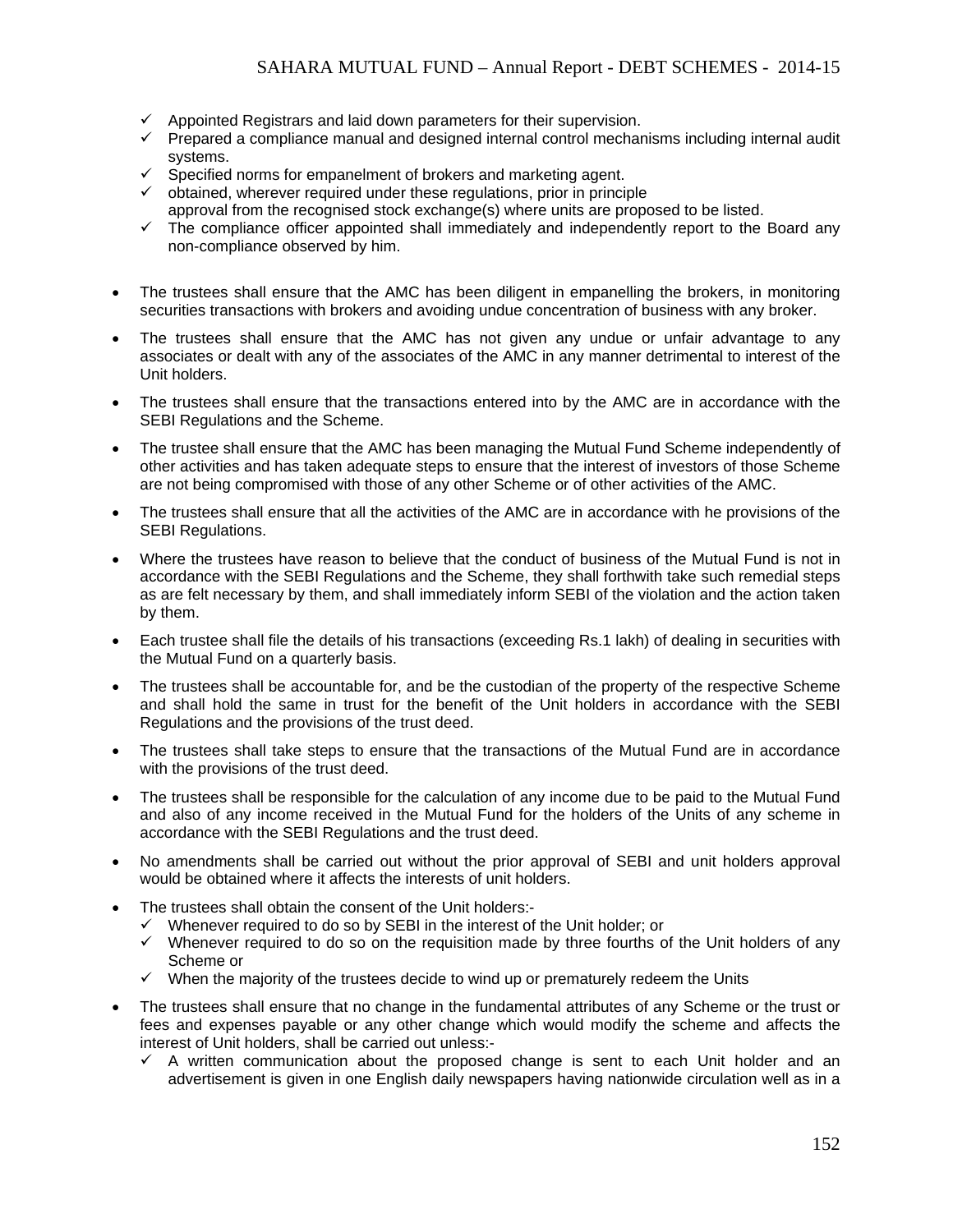- $\checkmark$  Appointed Registrars and laid down parameters for their supervision.
- $\checkmark$  Prepared a compliance manual and designed internal control mechanisms including internal audit systems.
- $\checkmark$  Specified norms for empanelment of brokers and marketing agent.
- $\checkmark$  obtained, wherever required under these regulations, prior in principle
	- approval from the recognised stock exchange(s) where units are proposed to be listed.
- $\checkmark$  The compliance officer appointed shall immediately and independently report to the Board any non-compliance observed by him.
- The trustees shall ensure that the AMC has been diligent in empanelling the brokers, in monitoring securities transactions with brokers and avoiding undue concentration of business with any broker.
- The trustees shall ensure that the AMC has not given any undue or unfair advantage to any associates or dealt with any of the associates of the AMC in any manner detrimental to interest of the Unit holders.
- The trustees shall ensure that the transactions entered into by the AMC are in accordance with the SEBI Regulations and the Scheme.
- The trustee shall ensure that the AMC has been managing the Mutual Fund Scheme independently of other activities and has taken adequate steps to ensure that the interest of investors of those Scheme are not being compromised with those of any other Scheme or of other activities of the AMC.
- The trustees shall ensure that all the activities of the AMC are in accordance with he provisions of the SEBI Regulations.
- Where the trustees have reason to believe that the conduct of business of the Mutual Fund is not in accordance with the SEBI Regulations and the Scheme, they shall forthwith take such remedial steps as are felt necessary by them, and shall immediately inform SEBI of the violation and the action taken by them.
- Each trustee shall file the details of his transactions (exceeding Rs.1 lakh) of dealing in securities with the Mutual Fund on a quarterly basis.
- The trustees shall be accountable for, and be the custodian of the property of the respective Scheme and shall hold the same in trust for the benefit of the Unit holders in accordance with the SEBI Regulations and the provisions of the trust deed.
- The trustees shall take steps to ensure that the transactions of the Mutual Fund are in accordance with the provisions of the trust deed.
- The trustees shall be responsible for the calculation of any income due to be paid to the Mutual Fund and also of any income received in the Mutual Fund for the holders of the Units of any scheme in accordance with the SEBI Regulations and the trust deed.
- No amendments shall be carried out without the prior approval of SEBI and unit holders approval would be obtained where it affects the interests of unit holders.
- The trustees shall obtain the consent of the Unit holders:-
	- $\checkmark$  Whenever required to do so by SEBI in the interest of the Unit holder; or
	- $\checkmark$  Whenever required to do so on the requisition made by three fourths of the Unit holders of any Scheme or
	- $\checkmark$  When the majority of the trustees decide to wind up or prematurely redeem the Units
- The trustees shall ensure that no change in the fundamental attributes of any Scheme or the trust or fees and expenses payable or any other change which would modify the scheme and affects the interest of Unit holders, shall be carried out unless:-
	- $\checkmark$  A written communication about the proposed change is sent to each Unit holder and an advertisement is given in one English daily newspapers having nationwide circulation well as in a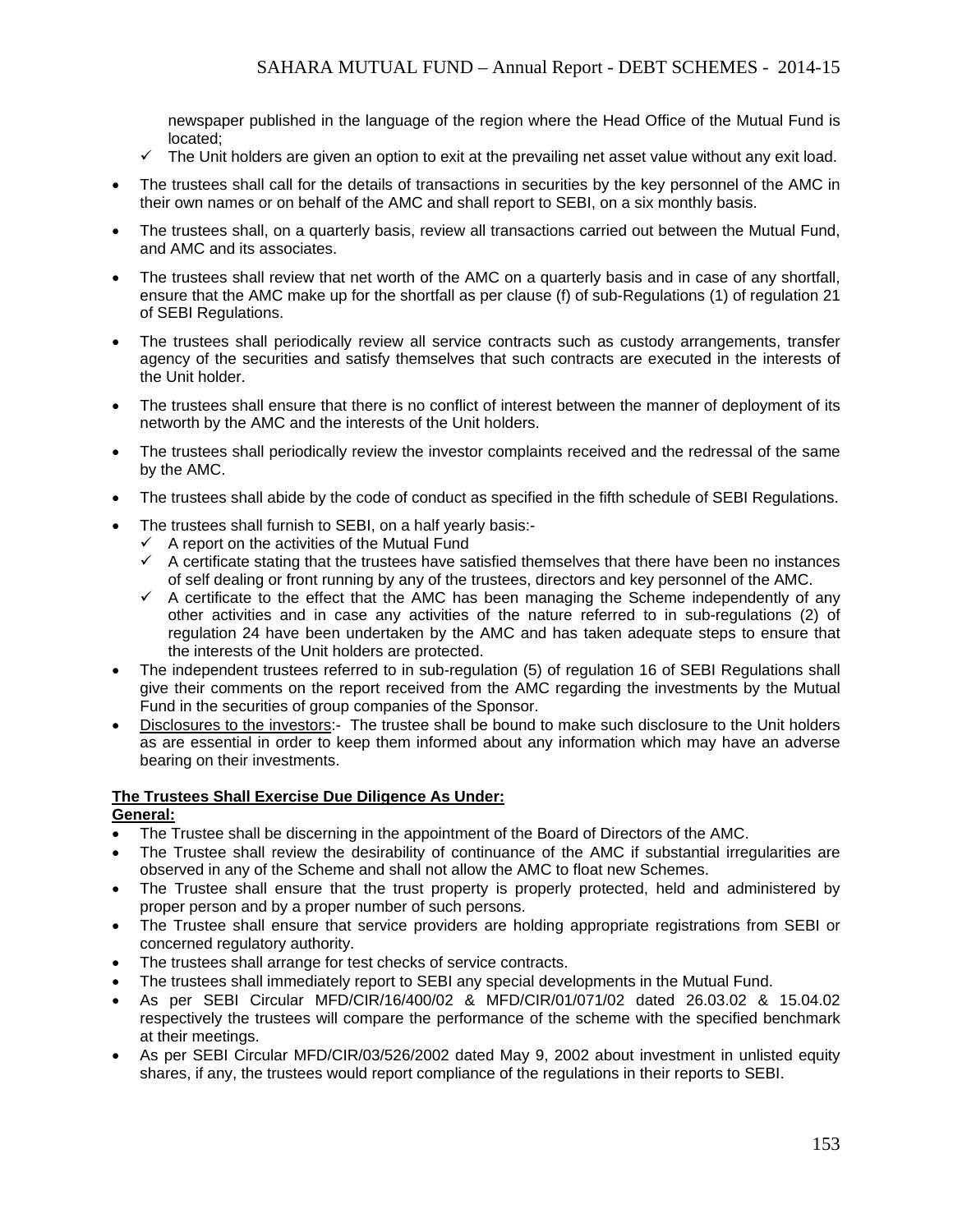newspaper published in the language of the region where the Head Office of the Mutual Fund is located;

- $\checkmark$  The Unit holders are given an option to exit at the prevailing net asset value without any exit load.
- The trustees shall call for the details of transactions in securities by the key personnel of the AMC in their own names or on behalf of the AMC and shall report to SEBI, on a six monthly basis.
- The trustees shall, on a quarterly basis, review all transactions carried out between the Mutual Fund, and AMC and its associates.
- The trustees shall review that net worth of the AMC on a quarterly basis and in case of any shortfall, ensure that the AMC make up for the shortfall as per clause (f) of sub-Regulations (1) of regulation 21 of SEBI Regulations.
- The trustees shall periodically review all service contracts such as custody arrangements, transfer agency of the securities and satisfy themselves that such contracts are executed in the interests of the Unit holder.
- The trustees shall ensure that there is no conflict of interest between the manner of deployment of its networth by the AMC and the interests of the Unit holders.
- The trustees shall periodically review the investor complaints received and the redressal of the same by the AMC.
- The trustees shall abide by the code of conduct as specified in the fifth schedule of SEBI Regulations.
- The trustees shall furnish to SEBI, on a half yearly basis:-
	- $\checkmark$  A report on the activities of the Mutual Fund
	- $\checkmark$  A certificate stating that the trustees have satisfied themselves that there have been no instances of self dealing or front running by any of the trustees, directors and key personnel of the AMC.
	- $\checkmark$  A certificate to the effect that the AMC has been managing the Scheme independently of any other activities and in case any activities of the nature referred to in sub-regulations (2) of regulation 24 have been undertaken by the AMC and has taken adequate steps to ensure that the interests of the Unit holders are protected.
- The independent trustees referred to in sub-regulation (5) of regulation 16 of SEBI Regulations shall give their comments on the report received from the AMC regarding the investments by the Mutual Fund in the securities of group companies of the Sponsor.
- Disclosures to the investors:- The trustee shall be bound to make such disclosure to the Unit holders as are essential in order to keep them informed about any information which may have an adverse bearing on their investments.

### **The Trustees Shall Exercise Due Diligence As Under:**

### **General:**

- The Trustee shall be discerning in the appointment of the Board of Directors of the AMC.
- The Trustee shall review the desirability of continuance of the AMC if substantial irregularities are observed in any of the Scheme and shall not allow the AMC to float new Schemes.
- The Trustee shall ensure that the trust property is properly protected, held and administered by proper person and by a proper number of such persons.
- The Trustee shall ensure that service providers are holding appropriate registrations from SEBI or concerned regulatory authority.
- The trustees shall arrange for test checks of service contracts.
- The trustees shall immediately report to SEBI any special developments in the Mutual Fund.
- As per SEBI Circular MFD/CIR/16/400/02 & MFD/CIR/01/071/02 dated 26.03.02 & 15.04.02 respectively the trustees will compare the performance of the scheme with the specified benchmark at their meetings.
- As per SEBI Circular MFD/CIR/03/526/2002 dated May 9, 2002 about investment in unlisted equity shares, if any, the trustees would report compliance of the regulations in their reports to SEBI.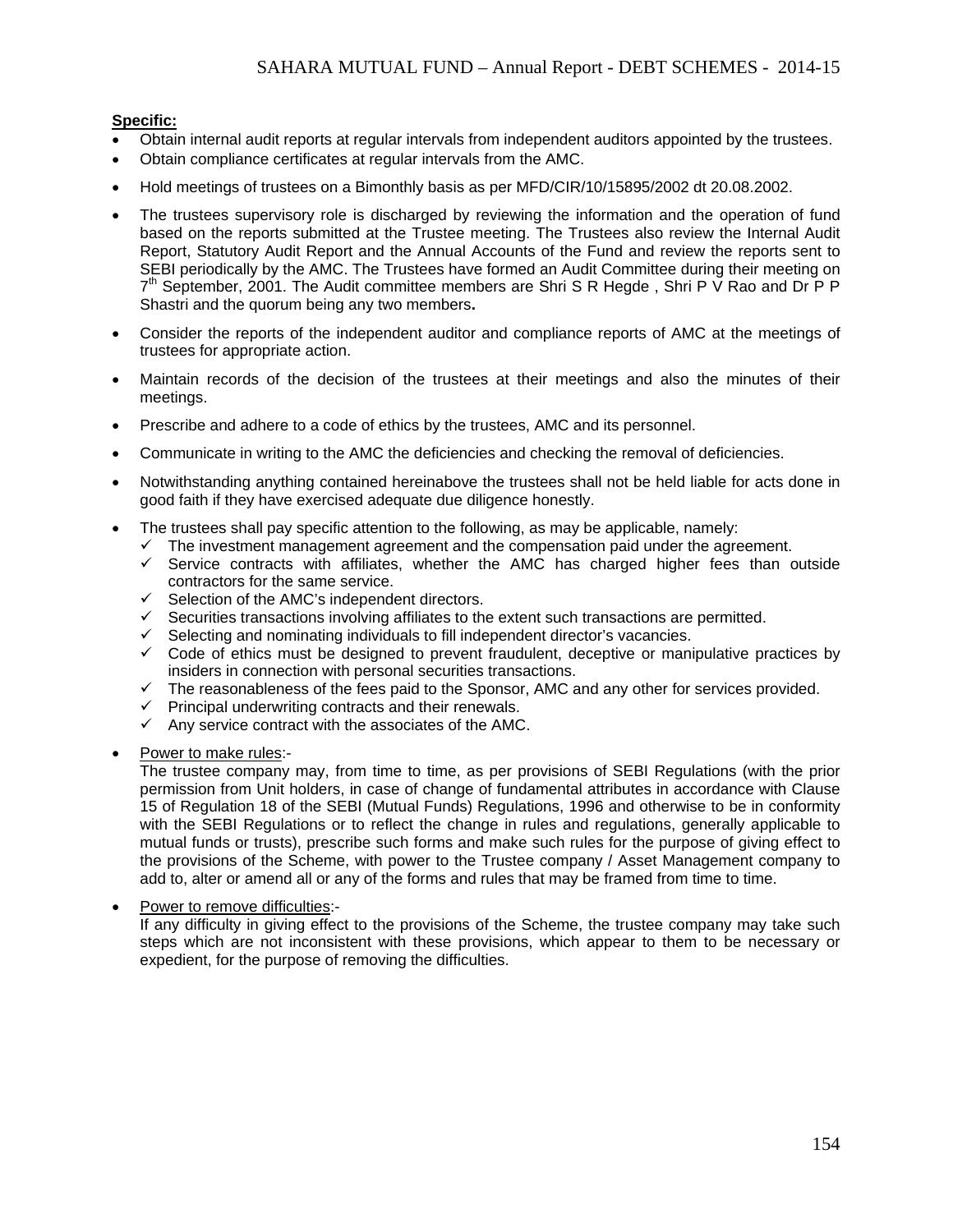# **Specific:**

- Obtain internal audit reports at regular intervals from independent auditors appointed by the trustees.
- Obtain compliance certificates at regular intervals from the AMC.
- Hold meetings of trustees on a Bimonthly basis as per MFD/CIR/10/15895/2002 dt 20.08.2002.
- The trustees supervisory role is discharged by reviewing the information and the operation of fund based on the reports submitted at the Trustee meeting. The Trustees also review the Internal Audit Report, Statutory Audit Report and the Annual Accounts of the Fund and review the reports sent to SEBI periodically by the AMC. The Trustees have formed an Audit Committee during their meeting on  $7<sup>th</sup>$  September, 2001. The Audit committee members are Shri S R Hegde, Shri P V Rao and Dr P P Shastri and the quorum being any two members**.**
- Consider the reports of the independent auditor and compliance reports of AMC at the meetings of trustees for appropriate action.
- Maintain records of the decision of the trustees at their meetings and also the minutes of their meetings.
- Prescribe and adhere to a code of ethics by the trustees, AMC and its personnel.
- Communicate in writing to the AMC the deficiencies and checking the removal of deficiencies.
- Notwithstanding anything contained hereinabove the trustees shall not be held liable for acts done in good faith if they have exercised adequate due diligence honestly.
- The trustees shall pay specific attention to the following, as may be applicable, namely:
	- $\checkmark$  The investment management agreement and the compensation paid under the agreement.
	- $\checkmark$  Service contracts with affiliates, whether the AMC has charged higher fees than outside contractors for the same service.
	- $\checkmark$  Selection of the AMC's independent directors.
	- $\checkmark$  Securities transactions involving affiliates to the extent such transactions are permitted.
	- $\checkmark$  Selecting and nominating individuals to fill independent director's vacancies.
	- $\checkmark$  Code of ethics must be designed to prevent fraudulent, deceptive or manipulative practices by insiders in connection with personal securities transactions.
	- $\checkmark$  The reasonableness of the fees paid to the Sponsor, AMC and any other for services provided.
	- $\checkmark$  Principal underwriting contracts and their renewals.
	- $\checkmark$  Any service contract with the associates of the AMC.
- Power to make rules:-

The trustee company may, from time to time, as per provisions of SEBI Regulations (with the prior permission from Unit holders, in case of change of fundamental attributes in accordance with Clause 15 of Regulation 18 of the SEBI (Mutual Funds) Regulations, 1996 and otherwise to be in conformity with the SEBI Regulations or to reflect the change in rules and regulations, generally applicable to mutual funds or trusts), prescribe such forms and make such rules for the purpose of giving effect to the provisions of the Scheme, with power to the Trustee company / Asset Management company to add to, alter or amend all or any of the forms and rules that may be framed from time to time.

• Power to remove difficulties:-

If any difficulty in giving effect to the provisions of the Scheme, the trustee company may take such steps which are not inconsistent with these provisions, which appear to them to be necessary or expedient, for the purpose of removing the difficulties.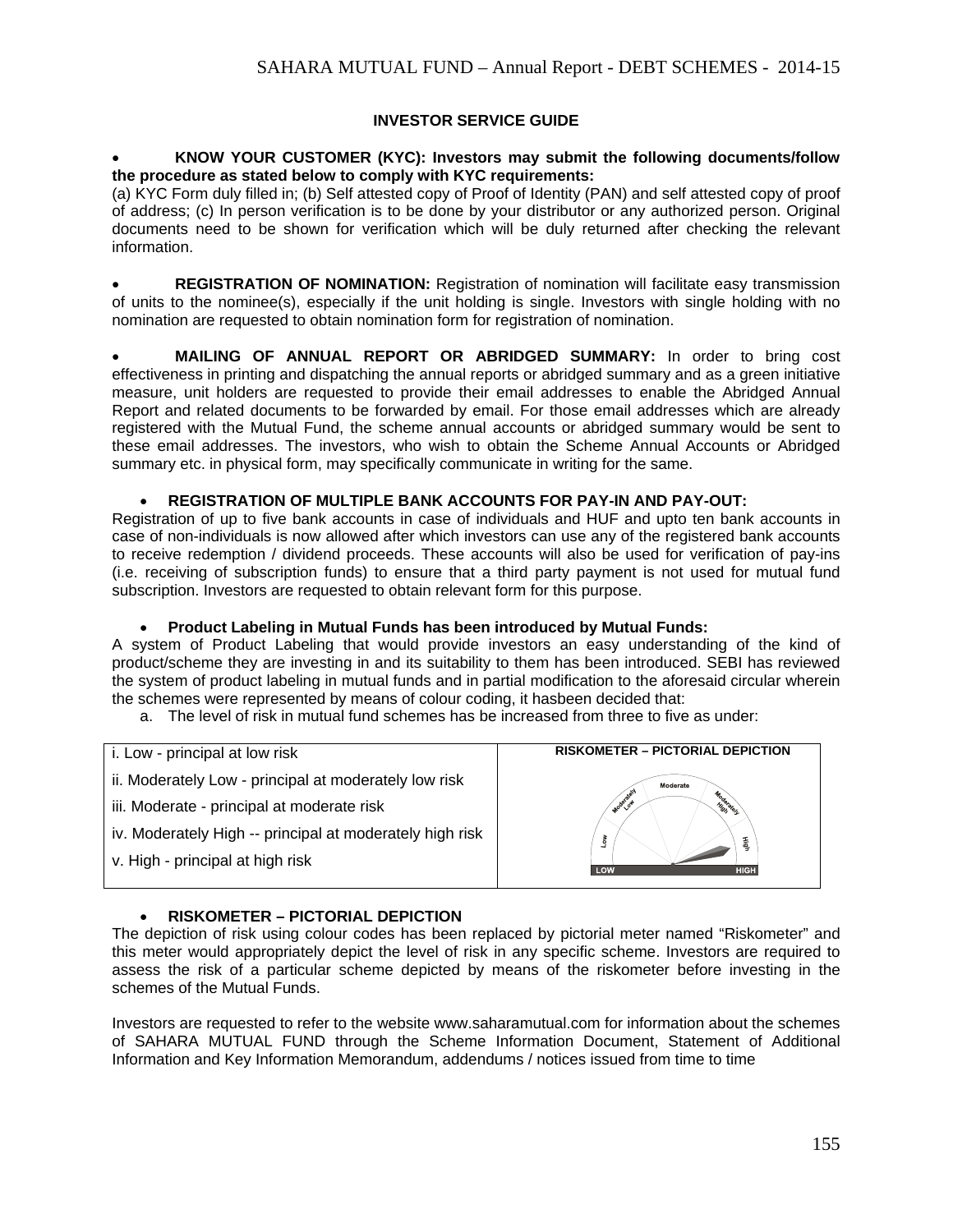# **INVESTOR SERVICE GUIDE**

#### • **KNOW YOUR CUSTOMER (KYC): Investors may submit the following documents/follow the procedure as stated below to comply with KYC requirements:**

(a) KYC Form duly filled in; (b) Self attested copy of Proof of Identity (PAN) and self attested copy of proof of address; (c) In person verification is to be done by your distributor or any authorized person. Original documents need to be shown for verification which will be duly returned after checking the relevant information.

• **REGISTRATION OF NOMINATION:** Registration of nomination will facilitate easy transmission of units to the nominee(s), especially if the unit holding is single. Investors with single holding with no nomination are requested to obtain nomination form for registration of nomination.

• **MAILING OF ANNUAL REPORT OR ABRIDGED SUMMARY:** In order to bring cost effectiveness in printing and dispatching the annual reports or abridged summary and as a green initiative measure, unit holders are requested to provide their email addresses to enable the Abridged Annual Report and related documents to be forwarded by email. For those email addresses which are already registered with the Mutual Fund, the scheme annual accounts or abridged summary would be sent to these email addresses. The investors, who wish to obtain the Scheme Annual Accounts or Abridged summary etc. in physical form, may specifically communicate in writing for the same.

#### • **REGISTRATION OF MULTIPLE BANK ACCOUNTS FOR PAY-IN AND PAY-OUT:**

Registration of up to five bank accounts in case of individuals and HUF and upto ten bank accounts in case of non-individuals is now allowed after which investors can use any of the registered bank accounts to receive redemption / dividend proceeds. These accounts will also be used for verification of pay-ins (i.e. receiving of subscription funds) to ensure that a third party payment is not used for mutual fund subscription. Investors are requested to obtain relevant form for this purpose.

### • **Product Labeling in Mutual Funds has been introduced by Mutual Funds:**

A system of Product Labeling that would provide investors an easy understanding of the kind of product/scheme they are investing in and its suitability to them has been introduced. SEBI has reviewed the system of product labeling in mutual funds and in partial modification to the aforesaid circular wherein the schemes were represented by means of colour coding, it hasbeen decided that:

a. The level of risk in mutual fund schemes has be increased from three to five as under:



- ii. Moderately Low principal at moderately low risk
- iii. Moderate principal at moderate risk
- iv. Moderately High -- principal at moderately high risk
- v. High principal at high risk



### • **RISKOMETER – PICTORIAL DEPICTION**

The depiction of risk using colour codes has been replaced by pictorial meter named "Riskometer" and this meter would appropriately depict the level of risk in any specific scheme. Investors are required to assess the risk of a particular scheme depicted by means of the riskometer before investing in the schemes of the Mutual Funds.

Investors are requested to refer to the website www.saharamutual.com for information about the schemes of SAHARA MUTUAL FUND through the Scheme Information Document, Statement of Additional Information and Key Information Memorandum, addendums / notices issued from time to time